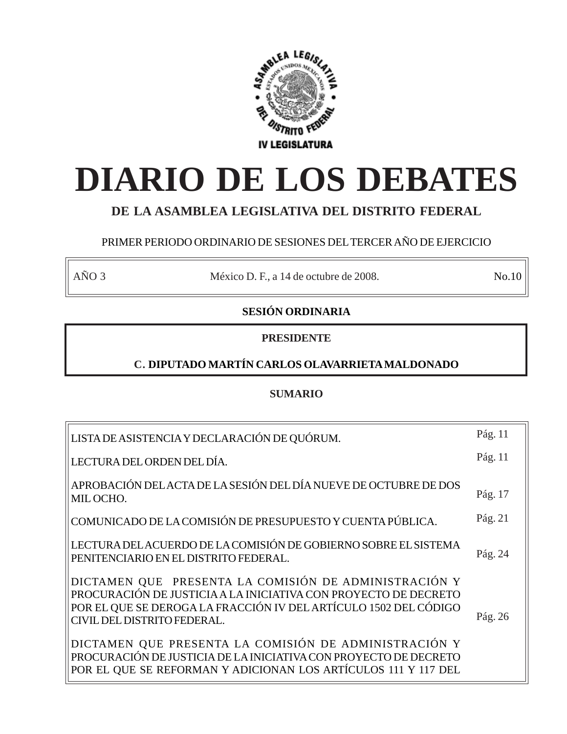

# **DIARIO DE LOS DEBATES**

# **DE LA ASAMBLEA LEGISLATIVA DEL DISTRITO FEDERAL**

# PRIMER PERIODO ORDINARIO DE SESIONES DEL TERCER AÑO DE EJERCICIO

AÑO 3 México D. F., a 14 de octubre de 2008. No.10

# **SESIÓN ORDINARIA**

# **PRESIDENTE**

# **C. DIPUTADO MARTÍN CARLOS OLAVARRIETA MALDONADO**

# **SUMARIO**

| LISTA DE ASISTENCIA Y DECLARACIÓN DE QUÓRUM.                                                                                                                                                                                | Pág. 11 |
|-----------------------------------------------------------------------------------------------------------------------------------------------------------------------------------------------------------------------------|---------|
| LECTURA DEL ORDEN DEL DÍA.                                                                                                                                                                                                  | Pág. 11 |
| APROBACIÓN DEL ACTA DE LA SESIÓN DEL DÍA NUEVE DE OCTUBRE DE DOS<br>MIL OCHO.                                                                                                                                               | Pág. 17 |
| COMUNICADO DE LA COMISIÓN DE PRESUPUESTO Y CUENTA PÚBLICA.                                                                                                                                                                  | Pág. 21 |
| LECTURA DEL ACUERDO DE LA COMISIÓN DE GOBIERNO SOBRE EL SISTEMA<br>PENITENCIARIO EN EL DISTRITO FEDERAL.                                                                                                                    | Pág. 24 |
| DICTAMEN QUE PRESENTA LA COMISIÓN DE ADMINISTRACIÓN Y<br>PROCURACIÓN DE JUSTICIA A LA INICIATIVA CON PROYECTO DE DECRETO<br>POR EL QUE SE DEROGA LA FRACCIÓN IV DEL ARTÍCULO 1502 DEL CÓDIGO<br>CIVIL DEL DISTRITO FEDERAL. | Pág. 26 |
| DICTAMEN QUE PRESENTA LA COMISIÓN DE ADMINISTRACIÓN Y<br>PROCURACIÓN DE JUSTICIA DE LA INICIATIVA CON PROYECTO DE DECRETO<br>POR EL QUE SE REFORMAN Y ADICIONAN LOS ARTÍCULOS 111 Y 117 DEL                                 |         |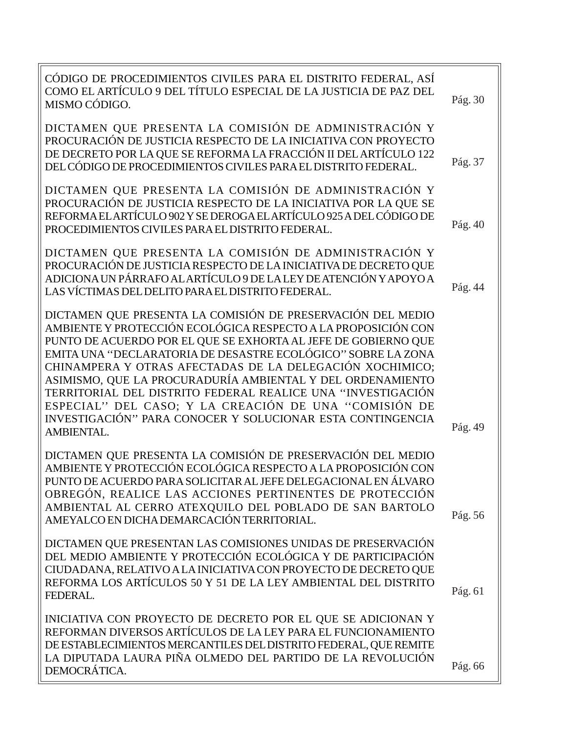| CÓDIGO DE PROCEDIMIENTOS CIVILES PARA EL DISTRITO FEDERAL, ASÍ<br>COMO EL ARTÍCULO 9 DEL TÍTULO ESPECIAL DE LA JUSTICIA DE PAZ DEL<br>MISMO CÓDIGO.                                                                                                                                                                                                                                                                                                                                                                                                                                            | Pág. 30 |
|------------------------------------------------------------------------------------------------------------------------------------------------------------------------------------------------------------------------------------------------------------------------------------------------------------------------------------------------------------------------------------------------------------------------------------------------------------------------------------------------------------------------------------------------------------------------------------------------|---------|
| DICTAMEN QUE PRESENTA LA COMISIÓN DE ADMINISTRACIÓN Y<br>PROCURACIÓN DE JUSTICIA RESPECTO DE LA INICIATIVA CON PROYECTO<br>DE DECRETO POR LA QUE SE REFORMA LA FRACCIÓN II DEL ARTÍCULO 122<br>DEL CÓDIGO DE PROCEDIMIENTOS CIVILES PARA EL DISTRITO FEDERAL.                                                                                                                                                                                                                                                                                                                                  | Pág. 37 |
| DICTAMEN QUE PRESENTA LA COMISIÓN DE ADMINISTRACIÓN Y<br>PROCURACIÓN DE JUSTICIA RESPECTO DE LA INICIATIVA POR LA QUE SE<br>REFORMA EL ARTÍCULO 902 Y SE DEROGA EL ARTÍCULO 925 A DEL CÓDIGO DE<br>PROCEDIMIENTOS CIVILES PARA EL DISTRITO FEDERAL.                                                                                                                                                                                                                                                                                                                                            | Pág. 40 |
| DICTAMEN QUE PRESENTA LA COMISIÓN DE ADMINISTRACIÓN Y<br>PROCURACIÓN DE JUSTICIA RESPECTO DE LA INICIATIVA DE DECRETO QUE<br>ADICIONA UN PÁRRAFO AL ARTÍCULO 9 DE LA LEY DE ATENCIÓN Y APOYO A<br>LAS VÍCTIMAS DEL DELITO PARA EL DISTRITO FEDERAL.                                                                                                                                                                                                                                                                                                                                            | Pág. 44 |
| DICTAMEN QUE PRESENTA LA COMISIÓN DE PRESERVACIÓN DEL MEDIO<br>AMBIENTE Y PROTECCIÓN ECOLÓGICA RESPECTO A LA PROPOSICIÓN CON<br>PUNTO DE ACUERDO POR EL QUE SE EXHORTA AL JEFE DE GOBIERNO QUE<br>EMITA UNA ''DECLARATORIA DE DESASTRE ECOLÓGICO'' SOBRE LA ZONA<br>CHINAMPERA Y OTRAS AFECTADAS DE LA DELEGACIÓN XOCHIMICO;<br>ASIMISMO, QUE LA PROCURADURÍA AMBIENTAL Y DEL ORDENAMIENTO<br>TERRITORIAL DEL DISTRITO FEDERAL REALICE UNA "INVESTIGACIÓN<br>ESPECIAL" DEL CASO; Y LA CREACIÓN DE UNA "COMISIÓN DE<br>INVESTIGACIÓN" PARA CONOCER Y SOLUCIONAR ESTA CONTINGENCIA<br>AMBIENTAL. | Pág. 49 |
| DICTAMEN QUE PRESENTA LA COMISIÓN DE PRESERVACIÓN DEL MEDIO<br>AMBIENTE Y PROTECCIÓN ECOLÓGICA RESPECTO A LA PROPOSICIÓN CON<br>PUNTO DE ACUERDO PARA SOLICITAR AL JEFE DELEGACIONAL EN ÁLVARO<br>OBREGÓN, REALICE LAS ACCIONES PERTINENTES DE PROTECCIÓN<br>AMBIENTAL AL CERRO ATEXQUILO DEL POBLADO DE SAN BARTOLO<br>AMEYALCO EN DICHA DEMARCACIÓN TERRITORIAL.                                                                                                                                                                                                                             | Pág. 56 |
| DICTAMEN QUE PRESENTAN LAS COMISIONES UNIDAS DE PRESERVACIÓN<br>DEL MEDIO AMBIENTE Y PROTECCIÓN ECOLÓGICA Y DE PARTICIPACIÓN<br>CIUDADANA, RELATIVO A LA INICIATIVA CON PROYECTO DE DECRETO QUE<br>REFORMA LOS ARTÍCULOS 50 Y 51 DE LA LEY AMBIENTAL DEL DISTRITO<br>FEDERAL.                                                                                                                                                                                                                                                                                                                  | Pág. 61 |
| INICIATIVA CON PROYECTO DE DECRETO POR EL QUE SE ADICIONAN Y<br>REFORMAN DIVERSOS ARTÍCULOS DE LA LEY PARA EL FUNCIONAMIENTO<br>DE ESTABLECIMIENTOS MERCANTILES DEL DISTRITO FEDERAL, QUE REMITE<br>LA DIPUTADA LAURA PIÑA OLMEDO DEL PARTIDO DE LA REVOLUCIÓN<br>DEMOCRÁTICA.                                                                                                                                                                                                                                                                                                                 | Pág. 66 |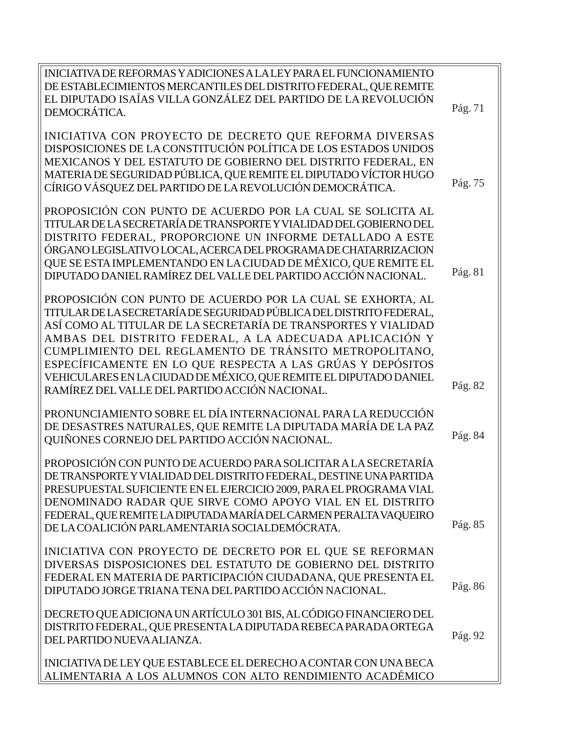| EL DIPUTADO ISAÍAS VILLA GONZÁLEZ DEL PARTIDO DE LA REVOLUCIÓN<br>Pág. 71<br>DEMOCRÁTICA.<br>INICIATIVA CON PROYECTO DE DECRETO QUE REFORMA DIVERSAS<br>DISPOSICIONES DE LA CONSTITUCIÓN POLÍTICA DE LOS ESTADOS UNIDOS<br>MEXICANOS Y DEL ESTATUTO DE GOBIERNO DEL DISTRITO FEDERAL, EN<br>MATERIA DE SEGURIDAD PÚBLICA, QUE REMITE EL DIPUTADO VÍCTOR HUGO<br>Pág. 75<br>CÍRIGO VÁSQUEZ DEL PARTIDO DE LA REVOLUCIÓN DEMOCRÁTICA.<br>PROPOSICIÓN CON PUNTO DE ACUERDO POR LA CUAL SE SOLICITA AL<br>TITULAR DE LA SECRETARÍA DE TRANSPORTE Y VIALIDAD DEL GOBIERNO DEL<br>DISTRITO FEDERAL, PROPORCIONE UN INFORME DETALLADO A ESTE<br>ÓRGANO LEGISLATIVO LOCAL, ACERCA DEL PROGRAMA DE CHATARRIZACION<br>QUE SE ESTA IMPLEMENTANDO EN LA CIUDAD DE MÉXICO, QUE REMITE EL<br>Pág. 81<br>DIPUTADO DANIEL RAMÍREZ DEL VALLE DEL PARTIDO ACCIÓN NACIONAL.<br>PROPOSICIÓN CON PUNTO DE ACUERDO POR LA CUAL SE EXHORTA, AL<br>TITULAR DE LA SECRETARÍA DE SEGURIDAD PÚBLICA DEL DISTRITO FEDERAL,<br>ASÍ COMO AL TITULAR DE LA SECRETARÍA DE TRANSPORTES Y VIALIDAD<br>AMBAS DEL DISTRITO FEDERAL, A LA ADECUADA APLICACIÓN Y<br>CUMPLIMIENTO DEL REGLAMENTO DE TRÁNSITO METROPOLITANO,<br>ESPECÍFICAMENTE EN LO QUE RESPECTA A LAS GRÚAS Y DEPÓSITOS<br>VEHICULARES EN LA CIUDAD DE MÉXICO, QUE REMITE EL DIPUTADO DANIEL<br>Pág. 82<br>RAMÍREZ DEL VALLE DEL PARTIDO ACCIÓN NACIONAL.<br>PRONUNCIAMIENTO SOBRE EL DÍA INTERNACIONAL PARA LA REDUCCIÓN<br>DE DESASTRES NATURALES, QUE REMITE LA DIPUTADA MARÍA DE LA PAZ<br>Pág. 84<br>QUIÑONES CORNEJO DEL PARTIDO ACCIÓN NACIONAL.<br>PROPOSICIÓN CON PUNTO DE ACUERDO PARA SOLICITAR A LA SECRETARÍA<br>DE TRANSPORTE Y VIALIDAD DEL DISTRITO FEDERAL. DESTINE UNA PARTIDA<br>PRESUPUESTAL SUFICIENTE EN EL EJERCICIO 2009, PARA EL PROGRAMA VIAL<br>DENOMINADO RADAR QUE SIRVE COMO APOYO VIAL EN EL DISTRITO<br>FEDERAL, QUE REMITE LA DIPUTADA MARÍA DEL CARMEN PERALTA VAQUEIRO<br>Pág. 85<br>DE LA COALICIÓN PARLAMENTARIA SOCIALDEMÓCRATA.<br>INICIATIVA CON PROYECTO DE DECRETO POR EL QUE SE REFORMAN<br>DIVERSAS DISPOSICIONES DEL ESTATUTO DE GOBIERNO DEL DISTRITO<br>FEDERAL EN MATERIA DE PARTICIPACIÓN CIUDADANA, QUE PRESENTA EL<br>Pág. 86<br>DIPUTADO JORGE TRIANA TENA DEL PARTIDO ACCIÓN NACIONAL.<br>DECRETO QUE ADICIONA UN ARTÍCULO 301 BIS, AL CÓDIGO FINANCIERO DEL<br>DISTRITO FEDERAL, QUE PRESENTA LA DIPUTADA REBECA PARADA ORTEGA<br>Pág. 92<br>DEL PARTIDO NUEVA ALIANZA.<br>INICIATIVA DE LEY QUE ESTABLECE EL DERECHO A CONTAR CON UNA BECA<br>ALIMENTARIA A LOS ALUMNOS CON ALTO RENDIMIENTO ACADÉMICO | INICIATIVA DE REFORMAS Y ADICIONES A LA LEY PARA EL FUNCIONAMIENTO |  |
|------------------------------------------------------------------------------------------------------------------------------------------------------------------------------------------------------------------------------------------------------------------------------------------------------------------------------------------------------------------------------------------------------------------------------------------------------------------------------------------------------------------------------------------------------------------------------------------------------------------------------------------------------------------------------------------------------------------------------------------------------------------------------------------------------------------------------------------------------------------------------------------------------------------------------------------------------------------------------------------------------------------------------------------------------------------------------------------------------------------------------------------------------------------------------------------------------------------------------------------------------------------------------------------------------------------------------------------------------------------------------------------------------------------------------------------------------------------------------------------------------------------------------------------------------------------------------------------------------------------------------------------------------------------------------------------------------------------------------------------------------------------------------------------------------------------------------------------------------------------------------------------------------------------------------------------------------------------------------------------------------------------------------------------------------------------------------------------------------------------------------------------------------------------------------------------------------------------------------------------------------------------------------------------------------------------------------------------------------------------------------------------------------------------------------------------------------------------------------------------------------------------------------------------------------------------------------------------|--------------------------------------------------------------------|--|
|                                                                                                                                                                                                                                                                                                                                                                                                                                                                                                                                                                                                                                                                                                                                                                                                                                                                                                                                                                                                                                                                                                                                                                                                                                                                                                                                                                                                                                                                                                                                                                                                                                                                                                                                                                                                                                                                                                                                                                                                                                                                                                                                                                                                                                                                                                                                                                                                                                                                                                                                                                                          | DE ESTABLECIMIENTOS MERCANTILES DEL DISTRITO FEDERAL, QUE REMITE   |  |
|                                                                                                                                                                                                                                                                                                                                                                                                                                                                                                                                                                                                                                                                                                                                                                                                                                                                                                                                                                                                                                                                                                                                                                                                                                                                                                                                                                                                                                                                                                                                                                                                                                                                                                                                                                                                                                                                                                                                                                                                                                                                                                                                                                                                                                                                                                                                                                                                                                                                                                                                                                                          |                                                                    |  |
|                                                                                                                                                                                                                                                                                                                                                                                                                                                                                                                                                                                                                                                                                                                                                                                                                                                                                                                                                                                                                                                                                                                                                                                                                                                                                                                                                                                                                                                                                                                                                                                                                                                                                                                                                                                                                                                                                                                                                                                                                                                                                                                                                                                                                                                                                                                                                                                                                                                                                                                                                                                          |                                                                    |  |
|                                                                                                                                                                                                                                                                                                                                                                                                                                                                                                                                                                                                                                                                                                                                                                                                                                                                                                                                                                                                                                                                                                                                                                                                                                                                                                                                                                                                                                                                                                                                                                                                                                                                                                                                                                                                                                                                                                                                                                                                                                                                                                                                                                                                                                                                                                                                                                                                                                                                                                                                                                                          |                                                                    |  |
|                                                                                                                                                                                                                                                                                                                                                                                                                                                                                                                                                                                                                                                                                                                                                                                                                                                                                                                                                                                                                                                                                                                                                                                                                                                                                                                                                                                                                                                                                                                                                                                                                                                                                                                                                                                                                                                                                                                                                                                                                                                                                                                                                                                                                                                                                                                                                                                                                                                                                                                                                                                          |                                                                    |  |
|                                                                                                                                                                                                                                                                                                                                                                                                                                                                                                                                                                                                                                                                                                                                                                                                                                                                                                                                                                                                                                                                                                                                                                                                                                                                                                                                                                                                                                                                                                                                                                                                                                                                                                                                                                                                                                                                                                                                                                                                                                                                                                                                                                                                                                                                                                                                                                                                                                                                                                                                                                                          |                                                                    |  |
|                                                                                                                                                                                                                                                                                                                                                                                                                                                                                                                                                                                                                                                                                                                                                                                                                                                                                                                                                                                                                                                                                                                                                                                                                                                                                                                                                                                                                                                                                                                                                                                                                                                                                                                                                                                                                                                                                                                                                                                                                                                                                                                                                                                                                                                                                                                                                                                                                                                                                                                                                                                          |                                                                    |  |
|                                                                                                                                                                                                                                                                                                                                                                                                                                                                                                                                                                                                                                                                                                                                                                                                                                                                                                                                                                                                                                                                                                                                                                                                                                                                                                                                                                                                                                                                                                                                                                                                                                                                                                                                                                                                                                                                                                                                                                                                                                                                                                                                                                                                                                                                                                                                                                                                                                                                                                                                                                                          |                                                                    |  |
|                                                                                                                                                                                                                                                                                                                                                                                                                                                                                                                                                                                                                                                                                                                                                                                                                                                                                                                                                                                                                                                                                                                                                                                                                                                                                                                                                                                                                                                                                                                                                                                                                                                                                                                                                                                                                                                                                                                                                                                                                                                                                                                                                                                                                                                                                                                                                                                                                                                                                                                                                                                          |                                                                    |  |
|                                                                                                                                                                                                                                                                                                                                                                                                                                                                                                                                                                                                                                                                                                                                                                                                                                                                                                                                                                                                                                                                                                                                                                                                                                                                                                                                                                                                                                                                                                                                                                                                                                                                                                                                                                                                                                                                                                                                                                                                                                                                                                                                                                                                                                                                                                                                                                                                                                                                                                                                                                                          |                                                                    |  |
|                                                                                                                                                                                                                                                                                                                                                                                                                                                                                                                                                                                                                                                                                                                                                                                                                                                                                                                                                                                                                                                                                                                                                                                                                                                                                                                                                                                                                                                                                                                                                                                                                                                                                                                                                                                                                                                                                                                                                                                                                                                                                                                                                                                                                                                                                                                                                                                                                                                                                                                                                                                          |                                                                    |  |
|                                                                                                                                                                                                                                                                                                                                                                                                                                                                                                                                                                                                                                                                                                                                                                                                                                                                                                                                                                                                                                                                                                                                                                                                                                                                                                                                                                                                                                                                                                                                                                                                                                                                                                                                                                                                                                                                                                                                                                                                                                                                                                                                                                                                                                                                                                                                                                                                                                                                                                                                                                                          |                                                                    |  |
|                                                                                                                                                                                                                                                                                                                                                                                                                                                                                                                                                                                                                                                                                                                                                                                                                                                                                                                                                                                                                                                                                                                                                                                                                                                                                                                                                                                                                                                                                                                                                                                                                                                                                                                                                                                                                                                                                                                                                                                                                                                                                                                                                                                                                                                                                                                                                                                                                                                                                                                                                                                          |                                                                    |  |
|                                                                                                                                                                                                                                                                                                                                                                                                                                                                                                                                                                                                                                                                                                                                                                                                                                                                                                                                                                                                                                                                                                                                                                                                                                                                                                                                                                                                                                                                                                                                                                                                                                                                                                                                                                                                                                                                                                                                                                                                                                                                                                                                                                                                                                                                                                                                                                                                                                                                                                                                                                                          |                                                                    |  |
|                                                                                                                                                                                                                                                                                                                                                                                                                                                                                                                                                                                                                                                                                                                                                                                                                                                                                                                                                                                                                                                                                                                                                                                                                                                                                                                                                                                                                                                                                                                                                                                                                                                                                                                                                                                                                                                                                                                                                                                                                                                                                                                                                                                                                                                                                                                                                                                                                                                                                                                                                                                          |                                                                    |  |
|                                                                                                                                                                                                                                                                                                                                                                                                                                                                                                                                                                                                                                                                                                                                                                                                                                                                                                                                                                                                                                                                                                                                                                                                                                                                                                                                                                                                                                                                                                                                                                                                                                                                                                                                                                                                                                                                                                                                                                                                                                                                                                                                                                                                                                                                                                                                                                                                                                                                                                                                                                                          |                                                                    |  |
|                                                                                                                                                                                                                                                                                                                                                                                                                                                                                                                                                                                                                                                                                                                                                                                                                                                                                                                                                                                                                                                                                                                                                                                                                                                                                                                                                                                                                                                                                                                                                                                                                                                                                                                                                                                                                                                                                                                                                                                                                                                                                                                                                                                                                                                                                                                                                                                                                                                                                                                                                                                          |                                                                    |  |
|                                                                                                                                                                                                                                                                                                                                                                                                                                                                                                                                                                                                                                                                                                                                                                                                                                                                                                                                                                                                                                                                                                                                                                                                                                                                                                                                                                                                                                                                                                                                                                                                                                                                                                                                                                                                                                                                                                                                                                                                                                                                                                                                                                                                                                                                                                                                                                                                                                                                                                                                                                                          |                                                                    |  |
|                                                                                                                                                                                                                                                                                                                                                                                                                                                                                                                                                                                                                                                                                                                                                                                                                                                                                                                                                                                                                                                                                                                                                                                                                                                                                                                                                                                                                                                                                                                                                                                                                                                                                                                                                                                                                                                                                                                                                                                                                                                                                                                                                                                                                                                                                                                                                                                                                                                                                                                                                                                          |                                                                    |  |
|                                                                                                                                                                                                                                                                                                                                                                                                                                                                                                                                                                                                                                                                                                                                                                                                                                                                                                                                                                                                                                                                                                                                                                                                                                                                                                                                                                                                                                                                                                                                                                                                                                                                                                                                                                                                                                                                                                                                                                                                                                                                                                                                                                                                                                                                                                                                                                                                                                                                                                                                                                                          |                                                                    |  |
|                                                                                                                                                                                                                                                                                                                                                                                                                                                                                                                                                                                                                                                                                                                                                                                                                                                                                                                                                                                                                                                                                                                                                                                                                                                                                                                                                                                                                                                                                                                                                                                                                                                                                                                                                                                                                                                                                                                                                                                                                                                                                                                                                                                                                                                                                                                                                                                                                                                                                                                                                                                          |                                                                    |  |
|                                                                                                                                                                                                                                                                                                                                                                                                                                                                                                                                                                                                                                                                                                                                                                                                                                                                                                                                                                                                                                                                                                                                                                                                                                                                                                                                                                                                                                                                                                                                                                                                                                                                                                                                                                                                                                                                                                                                                                                                                                                                                                                                                                                                                                                                                                                                                                                                                                                                                                                                                                                          |                                                                    |  |
|                                                                                                                                                                                                                                                                                                                                                                                                                                                                                                                                                                                                                                                                                                                                                                                                                                                                                                                                                                                                                                                                                                                                                                                                                                                                                                                                                                                                                                                                                                                                                                                                                                                                                                                                                                                                                                                                                                                                                                                                                                                                                                                                                                                                                                                                                                                                                                                                                                                                                                                                                                                          |                                                                    |  |
|                                                                                                                                                                                                                                                                                                                                                                                                                                                                                                                                                                                                                                                                                                                                                                                                                                                                                                                                                                                                                                                                                                                                                                                                                                                                                                                                                                                                                                                                                                                                                                                                                                                                                                                                                                                                                                                                                                                                                                                                                                                                                                                                                                                                                                                                                                                                                                                                                                                                                                                                                                                          |                                                                    |  |
|                                                                                                                                                                                                                                                                                                                                                                                                                                                                                                                                                                                                                                                                                                                                                                                                                                                                                                                                                                                                                                                                                                                                                                                                                                                                                                                                                                                                                                                                                                                                                                                                                                                                                                                                                                                                                                                                                                                                                                                                                                                                                                                                                                                                                                                                                                                                                                                                                                                                                                                                                                                          |                                                                    |  |
|                                                                                                                                                                                                                                                                                                                                                                                                                                                                                                                                                                                                                                                                                                                                                                                                                                                                                                                                                                                                                                                                                                                                                                                                                                                                                                                                                                                                                                                                                                                                                                                                                                                                                                                                                                                                                                                                                                                                                                                                                                                                                                                                                                                                                                                                                                                                                                                                                                                                                                                                                                                          |                                                                    |  |
|                                                                                                                                                                                                                                                                                                                                                                                                                                                                                                                                                                                                                                                                                                                                                                                                                                                                                                                                                                                                                                                                                                                                                                                                                                                                                                                                                                                                                                                                                                                                                                                                                                                                                                                                                                                                                                                                                                                                                                                                                                                                                                                                                                                                                                                                                                                                                                                                                                                                                                                                                                                          |                                                                    |  |
|                                                                                                                                                                                                                                                                                                                                                                                                                                                                                                                                                                                                                                                                                                                                                                                                                                                                                                                                                                                                                                                                                                                                                                                                                                                                                                                                                                                                                                                                                                                                                                                                                                                                                                                                                                                                                                                                                                                                                                                                                                                                                                                                                                                                                                                                                                                                                                                                                                                                                                                                                                                          |                                                                    |  |
|                                                                                                                                                                                                                                                                                                                                                                                                                                                                                                                                                                                                                                                                                                                                                                                                                                                                                                                                                                                                                                                                                                                                                                                                                                                                                                                                                                                                                                                                                                                                                                                                                                                                                                                                                                                                                                                                                                                                                                                                                                                                                                                                                                                                                                                                                                                                                                                                                                                                                                                                                                                          |                                                                    |  |
|                                                                                                                                                                                                                                                                                                                                                                                                                                                                                                                                                                                                                                                                                                                                                                                                                                                                                                                                                                                                                                                                                                                                                                                                                                                                                                                                                                                                                                                                                                                                                                                                                                                                                                                                                                                                                                                                                                                                                                                                                                                                                                                                                                                                                                                                                                                                                                                                                                                                                                                                                                                          |                                                                    |  |
|                                                                                                                                                                                                                                                                                                                                                                                                                                                                                                                                                                                                                                                                                                                                                                                                                                                                                                                                                                                                                                                                                                                                                                                                                                                                                                                                                                                                                                                                                                                                                                                                                                                                                                                                                                                                                                                                                                                                                                                                                                                                                                                                                                                                                                                                                                                                                                                                                                                                                                                                                                                          |                                                                    |  |
|                                                                                                                                                                                                                                                                                                                                                                                                                                                                                                                                                                                                                                                                                                                                                                                                                                                                                                                                                                                                                                                                                                                                                                                                                                                                                                                                                                                                                                                                                                                                                                                                                                                                                                                                                                                                                                                                                                                                                                                                                                                                                                                                                                                                                                                                                                                                                                                                                                                                                                                                                                                          |                                                                    |  |
|                                                                                                                                                                                                                                                                                                                                                                                                                                                                                                                                                                                                                                                                                                                                                                                                                                                                                                                                                                                                                                                                                                                                                                                                                                                                                                                                                                                                                                                                                                                                                                                                                                                                                                                                                                                                                                                                                                                                                                                                                                                                                                                                                                                                                                                                                                                                                                                                                                                                                                                                                                                          |                                                                    |  |
|                                                                                                                                                                                                                                                                                                                                                                                                                                                                                                                                                                                                                                                                                                                                                                                                                                                                                                                                                                                                                                                                                                                                                                                                                                                                                                                                                                                                                                                                                                                                                                                                                                                                                                                                                                                                                                                                                                                                                                                                                                                                                                                                                                                                                                                                                                                                                                                                                                                                                                                                                                                          |                                                                    |  |
|                                                                                                                                                                                                                                                                                                                                                                                                                                                                                                                                                                                                                                                                                                                                                                                                                                                                                                                                                                                                                                                                                                                                                                                                                                                                                                                                                                                                                                                                                                                                                                                                                                                                                                                                                                                                                                                                                                                                                                                                                                                                                                                                                                                                                                                                                                                                                                                                                                                                                                                                                                                          |                                                                    |  |
|                                                                                                                                                                                                                                                                                                                                                                                                                                                                                                                                                                                                                                                                                                                                                                                                                                                                                                                                                                                                                                                                                                                                                                                                                                                                                                                                                                                                                                                                                                                                                                                                                                                                                                                                                                                                                                                                                                                                                                                                                                                                                                                                                                                                                                                                                                                                                                                                                                                                                                                                                                                          |                                                                    |  |
|                                                                                                                                                                                                                                                                                                                                                                                                                                                                                                                                                                                                                                                                                                                                                                                                                                                                                                                                                                                                                                                                                                                                                                                                                                                                                                                                                                                                                                                                                                                                                                                                                                                                                                                                                                                                                                                                                                                                                                                                                                                                                                                                                                                                                                                                                                                                                                                                                                                                                                                                                                                          |                                                                    |  |
|                                                                                                                                                                                                                                                                                                                                                                                                                                                                                                                                                                                                                                                                                                                                                                                                                                                                                                                                                                                                                                                                                                                                                                                                                                                                                                                                                                                                                                                                                                                                                                                                                                                                                                                                                                                                                                                                                                                                                                                                                                                                                                                                                                                                                                                                                                                                                                                                                                                                                                                                                                                          |                                                                    |  |
|                                                                                                                                                                                                                                                                                                                                                                                                                                                                                                                                                                                                                                                                                                                                                                                                                                                                                                                                                                                                                                                                                                                                                                                                                                                                                                                                                                                                                                                                                                                                                                                                                                                                                                                                                                                                                                                                                                                                                                                                                                                                                                                                                                                                                                                                                                                                                                                                                                                                                                                                                                                          |                                                                    |  |
|                                                                                                                                                                                                                                                                                                                                                                                                                                                                                                                                                                                                                                                                                                                                                                                                                                                                                                                                                                                                                                                                                                                                                                                                                                                                                                                                                                                                                                                                                                                                                                                                                                                                                                                                                                                                                                                                                                                                                                                                                                                                                                                                                                                                                                                                                                                                                                                                                                                                                                                                                                                          |                                                                    |  |
|                                                                                                                                                                                                                                                                                                                                                                                                                                                                                                                                                                                                                                                                                                                                                                                                                                                                                                                                                                                                                                                                                                                                                                                                                                                                                                                                                                                                                                                                                                                                                                                                                                                                                                                                                                                                                                                                                                                                                                                                                                                                                                                                                                                                                                                                                                                                                                                                                                                                                                                                                                                          |                                                                    |  |
|                                                                                                                                                                                                                                                                                                                                                                                                                                                                                                                                                                                                                                                                                                                                                                                                                                                                                                                                                                                                                                                                                                                                                                                                                                                                                                                                                                                                                                                                                                                                                                                                                                                                                                                                                                                                                                                                                                                                                                                                                                                                                                                                                                                                                                                                                                                                                                                                                                                                                                                                                                                          |                                                                    |  |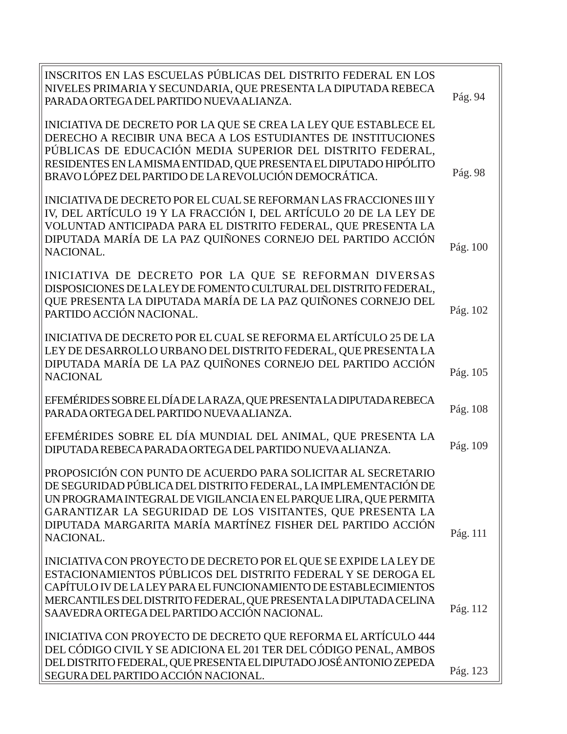| INSCRITOS EN LAS ESCUELAS PÚBLICAS DEL DISTRITO FEDERAL EN LOS<br>NIVELES PRIMARIA Y SECUNDARIA, QUE PRESENTA LA DIPUTADA REBECA<br>PARADA ORTEGA DEL PARTIDO NUEVA ALIANZA.                                                                                                                                                                    | Pág. 94  |
|-------------------------------------------------------------------------------------------------------------------------------------------------------------------------------------------------------------------------------------------------------------------------------------------------------------------------------------------------|----------|
| INICIATIVA DE DECRETO POR LA QUE SE CREA LA LEY QUE ESTABLECE EL<br>DERECHO A RECIBIR UNA BECA A LOS ESTUDIANTES DE INSTITUCIONES<br>PÚBLICAS DE EDUCACIÓN MEDIA SUPERIOR DEL DISTRITO FEDERAL,<br>RESIDENTES EN LA MISMA ENTIDAD, QUE PRESENTA EL DIPUTADO HIPÓLITO<br>BRAVO LÓPEZ DEL PARTIDO DE LA REVOLUCIÓN DEMOCRÁTICA.                   | Pág. 98  |
| INICIATIVA DE DECRETO POR EL CUAL SE REFORMAN LAS FRACCIONES III Y<br>IV, DEL ARTÍCULO 19 Y LA FRACCIÓN I, DEL ARTÍCULO 20 DE LA LEY DE<br>VOLUNTAD ANTICIPADA PARA EL DISTRITO FEDERAL, QUE PRESENTA LA<br>DIPUTADA MARÍA DE LA PAZ QUIÑONES CORNEJO DEL PARTIDO ACCIÓN<br>NACIONAL.                                                           | Pág. 100 |
| INICIATIVA DE DECRETO POR LA QUE SE REFORMAN DIVERSAS<br>DISPOSICIONES DE LA LEY DE FOMENTO CULTURAL DEL DISTRITO FEDERAL,<br>QUE PRESENTA LA DIPUTADA MARÍA DE LA PAZ QUIÑONES CORNEJO DEL<br>PARTIDO ACCIÓN NACIONAL.                                                                                                                         | Pág. 102 |
| INICIATIVA DE DECRETO POR EL CUAL SE REFORMA EL ARTÍCULO 25 DE LA<br>LEY DE DESARROLLO URBANO DEL DISTRITO FEDERAL, QUE PRESENTA LA<br>DIPUTADA MARÍA DE LA PAZ QUIÑONES CORNEJO DEL PARTIDO ACCIÓN<br><b>NACIONAL</b>                                                                                                                          | Pág. 105 |
| EFEMÉRIDES SOBRE EL DÍA DE LA RAZA, QUE PRESENTA LA DIPUTADA REBECA<br>PARADA ORTEGA DEL PARTIDO NUEVA ALIANZA.                                                                                                                                                                                                                                 | Pág. 108 |
| EFEMÉRIDES SOBRE EL DÍA MUNDIAL DEL ANIMAL, QUE PRESENTA LA<br>DIPUTADA REBECA PARADA ORTEGA DEL PARTIDO NUEVA ALIANZA.                                                                                                                                                                                                                         | Pág. 109 |
| PROPOSICIÓN CON PUNTO DE ACUERDO PARA SOLICITAR AL SECRETARIO<br>DE SEGURIDAD PÚBLICA DEL DISTRITO FEDERAL, LA IMPLEMENTACIÓN DE<br>UN PROGRAMA INTEGRAL DE VIGILANCIA EN EL PARQUE LIRA, QUE PERMITA<br>GARANTIZAR LA SEGURIDAD DE LOS VISITANTES, QUE PRESENTA LA<br>DIPUTADA MARGARITA MARÍA MARTÍNEZ FISHER DEL PARTIDO ACCIÓN<br>NACIONAL. | Pág. 111 |
| INICIATIVA CON PROYECTO DE DECRETO POR EL QUE SE EXPIDE LA LEY DE<br>ESTACIONAMIENTOS PÚBLICOS DEL DISTRITO FEDERAL Y SE DEROGA EL<br>CAPÍTULO IV DE LA LEY PARA EL FUNCIONAMIENTO DE ESTABLECIMIENTOS<br>MERCANTILES DEL DISTRITO FEDERAL, QUE PRESENTA LA DIPUTADA CELINA<br>SAAVEDRA ORTEGA DEL PARTIDO ACCIÓN NACIONAL.                     | Pág. 112 |
| INICIATIVA CON PROYECTO DE DECRETO QUE REFORMA EL ARTÍCULO 444<br>DEL CÓDIGO CIVIL Y SE ADICIONA EL 201 TER DEL CÓDIGO PENAL, AMBOS<br>DEL DISTRITO FEDERAL, QUE PRESENTA EL DIPUTADO JOSÉ ANTONIO ZEPEDA<br>SEGURA DEL PARTIDO ACCIÓN NACIONAL.                                                                                                | Pág. 123 |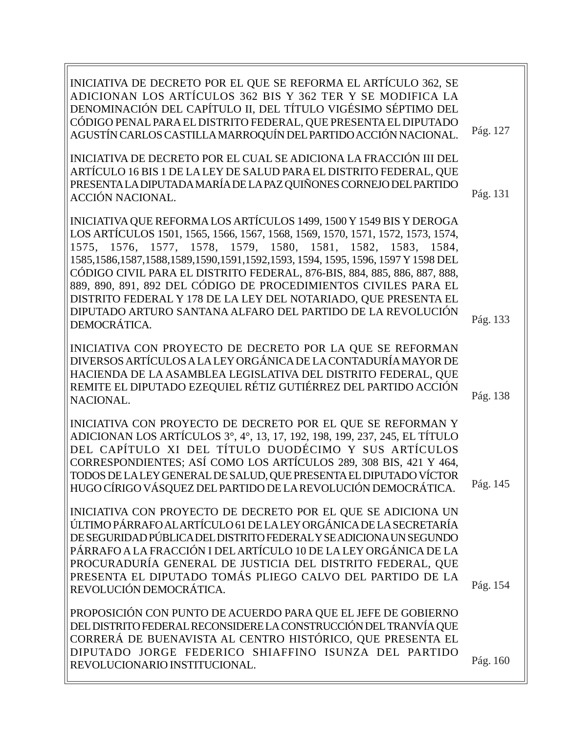| INICIATIVA DE DECRETO POR EL QUE SE REFORMA EL ARTÍCULO 362, SE<br>ADICIONAN LOS ARTÍCULOS 362 BIS Y 362 TER Y SE MODIFICA LA<br>DENOMINACIÓN DEL CAPÍTULO II, DEL TÍTULO VIGÉSIMO SÉPTIMO DEL<br>CÓDIGO PENAL PARA EL DISTRITO FEDERAL, QUE PRESENTA EL DIPUTADO<br>AGUSTÍN CARLOS CASTILLA MARROQUÍN DEL PARTIDO ACCIÓN NACIONAL.                                                                                                                                                                                                                                                                               | Pág. 127 |
|-------------------------------------------------------------------------------------------------------------------------------------------------------------------------------------------------------------------------------------------------------------------------------------------------------------------------------------------------------------------------------------------------------------------------------------------------------------------------------------------------------------------------------------------------------------------------------------------------------------------|----------|
| INICIATIVA DE DECRETO POR EL CUAL SE ADICIONA LA FRACCIÓN III DEL<br>ARTÍCULO 16 BIS 1 DE LA LEY DE SALUD PARA EL DISTRITO FEDERAL, QUE<br>PRESENTA LA DIPUTADA MARÍA DE LA PAZ QUIÑONES CORNEJO DEL PARTIDO<br><b>ACCIÓN NACIONAL.</b>                                                                                                                                                                                                                                                                                                                                                                           | Pág. 131 |
| INICIATIVA QUE REFORMA LOS ARTÍCULOS 1499, 1500 Y 1549 BIS Y DEROGA<br>LOS ARTÍCULOS 1501, 1565, 1566, 1567, 1568, 1569, 1570, 1571, 1572, 1573, 1574,<br>1575, 1576, 1577, 1578, 1579, 1580, 1581, 1582, 1583, 1584,<br>1585, 1586, 1587, 1588, 1589, 1590, 1591, 1592, 1593, 1594, 1595, 1596, 1597 Y 1598 DEL<br>CÓDIGO CIVIL PARA EL DISTRITO FEDERAL, 876-BIS, 884, 885, 886, 887, 888,<br>889, 890, 891, 892 DEL CÓDIGO DE PROCEDIMIENTOS CIVILES PARA EL<br>DISTRITO FEDERAL Y 178 DE LA LEY DEL NOTARIADO, QUE PRESENTA EL<br>DIPUTADO ARTURO SANTANA ALFARO DEL PARTIDO DE LA REVOLUCIÓN<br>DEMOCRÁTICA. | Pág. 133 |
| INICIATIVA CON PROYECTO DE DECRETO POR LA QUE SE REFORMAN<br>DIVERSOS ARTÍCULOS A LA LEY ORGÁNICA DE LA CONTADURÍA MAYOR DE<br>HACIENDA DE LA ASAMBLEA LEGISLATIVA DEL DISTRITO FEDERAL, QUE<br>REMITE EL DIPUTADO EZEQUIEL RÉTIZ GUTIÉRREZ DEL PARTIDO ACCIÓN<br>NACIONAL.                                                                                                                                                                                                                                                                                                                                       | Pág. 138 |
| INICIATIVA CON PROYECTO DE DECRETO POR EL QUE SE REFORMAN Y<br>ADICIONAN LOS ARTÍCULOS 3°, 4°, 13, 17, 192, 198, 199, 237, 245, EL TÍTULO<br>DEL CAPÍTULO XI DEL TÍTULO DUODÉCIMO Y SUS ARTÍCULOS<br>CORRESPONDIENTES; ASÍ COMO LOS ARTÍCULOS 289, 308 BIS, 421 Y 464,<br>TODOS DE LA LEY GENERAL DE SALUD, QUE PRESENTA EL DIPUTADO VÍCTOR<br>HUGO CÍRIGO VÁSQUEZ DEL PARTIDO DE LA REVOLUCIÓN DEMOCRÁTICA.                                                                                                                                                                                                      | Pág. 145 |
| INICIATIVA CON PROYECTO DE DECRETO POR EL QUE SE ADICIONA UN<br>ÚLTIMO PÁRRAFO AL ARTÍCULO 61 DE LA LEY ORGÁNICA DE LA SECRETARÍA<br>DE SEGURIDAD PÚBLICA DEL DISTRITO FEDERAL Y SE ADICIONA UN SEGUNDO<br>PÁRRAFO A LA FRACCIÓN I DEL ARTÍCULO 10 DE LA LEY ORGÁNICA DE LA<br>PROCURADURÍA GENERAL DE JUSTICIA DEL DISTRITO FEDERAL, QUE<br>PRESENTA EL DIPUTADO TOMÁS PLIEGO CALVO DEL PARTIDO DE LA<br>REVOLUCIÓN DEMOCRÁTICA.                                                                                                                                                                                 | Pág. 154 |
| PROPOSICIÓN CON PUNTO DE ACUERDO PARA QUE EL JEFE DE GOBIERNO<br>DEL DISTRITO FEDERAL RECONSIDERE LA CONSTRUCCIÓN DEL TRANVÍA QUE<br>CORRERÁ DE BUENAVISTA AL CENTRO HISTÓRICO, QUE PRESENTA EL<br>DIPUTADO JORGE FEDERICO SHIAFFINO ISUNZA DEL PARTIDO<br>REVOLUCIONARIO INSTITUCIONAL.                                                                                                                                                                                                                                                                                                                          | Pág. 160 |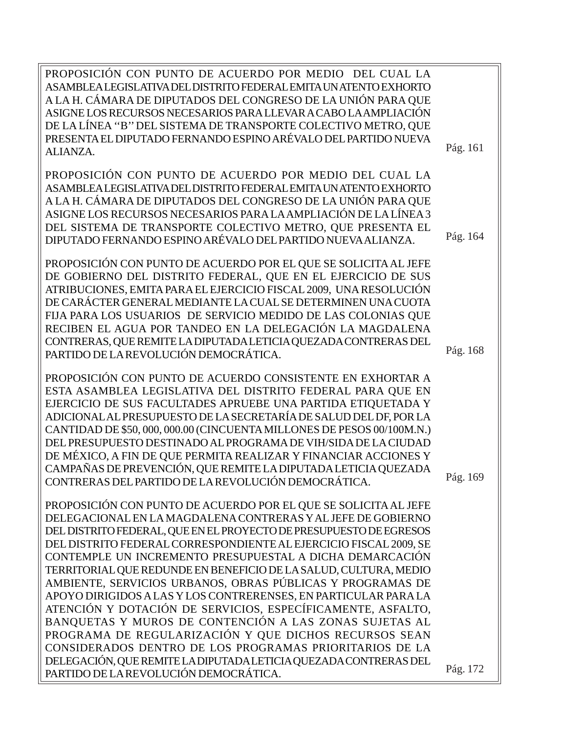PROPOSICIÓN CON PUNTO DE ACUERDO POR MEDIO DEL CUAL LA ASAMBLEA LEGISLATIVA DEL DISTRITO FEDERAL EMITA UN ATENTO EXHORTO A LA H. CÁMARA DE DIPUTADOS DEL CONGRESO DE LA UNIÓN PARA QUE ASIGNE LOS RECURSOS NECESARIOS PARA LLEVAR A CABO LA AMPLIACIÓN DE LA LÍNEA ''B'' DEL SISTEMA DE TRANSPORTE COLECTIVO METRO, QUE PRESENTA EL DIPUTADO FERNANDO ESPINO ARÉVALO DEL PARTIDO NUEVA ALIANZA. PROPOSICIÓN CON PUNTO DE ACUERDO POR MEDIO DEL CUAL LA ASAMBLEA LEGISLATIVA DEL DISTRITO FEDERAL EMITA UN ATENTO EXHORTO A LA H. CÁMARA DE DIPUTADOS DEL CONGRESO DE LA UNIÓN PARA QUE ASIGNE LOS RECURSOS NECESARIOS PARA LA AMPLIACIÓN DE LA LÍNEA 3 DEL SISTEMA DE TRANSPORTE COLECTIVO METRO, QUE PRESENTA EL DIPUTADO FERNANDO ESPINO ARÉVALO DEL PARTIDO NUEVA ALIANZA. PROPOSICIÓN CON PUNTO DE ACUERDO POR EL QUE SE SOLICITA AL JEFE DE GOBIERNO DEL DISTRITO FEDERAL, QUE EN EL EJERCICIO DE SUS ATRIBUCIONES, EMITA PARA EL EJERCICIO FISCAL 2009, UNA RESOLUCIÓN DE CARÁCTER GENERAL MEDIANTE LA CUAL SE DETERMINEN UNA CUOTA FIJA PARA LOS USUARIOS DE SERVICIO MEDIDO DE LAS COLONIAS QUE RECIBEN EL AGUA POR TANDEO EN LA DELEGACIÓN LA MAGDALENA CONTRERAS, QUE REMITE LA DIPUTADA LETICIA QUEZADA CONTRERAS DEL PARTIDO DE LA REVOLUCIÓN DEMOCRÁTICA. PROPOSICIÓN CON PUNTO DE ACUERDO CONSISTENTE EN EXHORTAR A ESTA ASAMBLEA LEGISLATIVA DEL DISTRITO FEDERAL PARA QUE EN EJERCICIO DE SUS FACULTADES APRUEBE UNA PARTIDA ETIQUETADA Y ADICIONAL AL PRESUPUESTO DE LA SECRETARÍA DE SALUD DEL DF, POR LA CANTIDAD DE \$50, 000, 000.00 (CINCUENTA MILLONES DE PESOS 00/100M.N.) DEL PRESUPUESTO DESTINADO AL PROGRAMA DE VIH/SIDA DE LA CIUDAD DE MÉXICO, A FIN DE QUE PERMITA REALIZAR Y FINANCIAR ACCIONES Y CAMPAÑAS DE PREVENCIÓN, QUE REMITE LA DIPUTADA LETICIA QUEZADA CONTRERAS DEL PARTIDO DE LA REVOLUCIÓN DEMOCRÁTICA. PROPOSICIÓN CON PUNTO DE ACUERDO POR EL QUE SE SOLICITA AL JEFE DELEGACIONAL EN LA MAGDALENA CONTRERAS Y AL JEFE DE GOBIERNO DEL DISTRITO FEDERAL, QUE EN EL PROYECTO DE PRESUPUESTO DE EGRESOS DEL DISTRITO FEDERAL CORRESPONDIENTE AL EJERCICIO FISCAL 2009, SE CONTEMPLE UN INCREMENTO PRESUPUESTAL A DICHA DEMARCACIÓN TERRITORIAL QUE REDUNDE EN BENEFICIO DE LA SALUD, CULTURA, MEDIO AMBIENTE, SERVICIOS URBANOS, OBRAS PÚBLICAS Y PROGRAMAS DE APOYO DIRIGIDOS A LAS Y LOS CONTRERENSES, EN PARTICULAR PARA LA ATENCIÓN Y DOTACIÓN DE SERVICIOS, ESPECÍFICAMENTE, ASFALTO, BANQUETAS Y MUROS DE CONTENCIÓN A LAS ZONAS SUJETAS AL PROGRAMA DE REGULARIZACIÓN Y QUE DICHOS RECURSOS SEAN CONSIDERADOS DENTRO DE LOS PROGRAMAS PRIORITARIOS DE LA DELEGACIÓN, QUE REMITE LA DIPUTADA LETICIA QUEZADA CONTRERAS DEL PARTIDO DE LA REVOLUCIÓN DEMOCRÁTICA. Pág. 161 Pág. 164 Pág. 172 Pág. 169 Pág. 168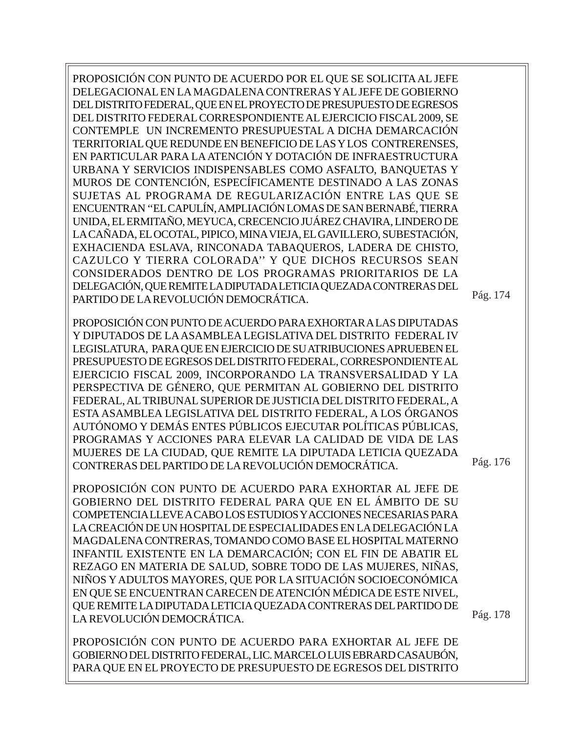PROPOSICIÓN CON PUNTO DE ACUERDO POR EL QUE SE SOLICITA AL JEFE DELEGACIONAL EN LA MAGDALENA CONTRERAS Y AL JEFE DE GOBIERNO DEL DISTRITO FEDERAL, QUE EN EL PROYECTO DE PRESUPUESTO DE EGRESOS DEL DISTRITO FEDERAL CORRESPONDIENTE AL EJERCICIO FISCAL 2009, SE CONTEMPLE UN INCREMENTO PRESUPUESTAL A DICHA DEMARCACIÓN TERRITORIAL QUE REDUNDE EN BENEFICIO DE LAS Y LOS CONTRERENSES, EN PARTICULAR PARA LA ATENCIÓN Y DOTACIÓN DE INFRAESTRUCTURA URBANA Y SERVICIOS INDISPENSABLES COMO ASFALTO, BANQUETAS Y MUROS DE CONTENCIÓN, ESPECÍFICAMENTE DESTINADO A LAS ZONAS SUJETAS AL PROGRAMA DE REGULARIZACIÓN ENTRE LAS QUE SE ENCUENTRAN ''EL CAPULÍN, AMPLIACIÓN LOMAS DE SAN BERNABÉ, TIERRA UNIDA, EL ERMITAÑO, MEYUCA, CRECENCIO JUÁREZ CHAVIRA, LINDERO DE LA CAÑADA, EL OCOTAL, PIPICO, MINA VIEJA, EL GAVILLERO, SUBESTACIÓN, EXHACIENDA ESLAVA, RINCONADA TABAQUEROS, LADERA DE CHISTO, CAZULCO Y TIERRA COLORADA'' Y QUE DICHOS RECURSOS SEAN CONSIDERADOS DENTRO DE LOS PROGRAMAS PRIORITARIOS DE LA DELEGACIÓN, QUE REMITE LA DIPUTADA LETICIA QUEZADA CONTRERAS DEL PARTIDO DE LA REVOLUCIÓN DEMOCRÁTICA.

PROPOSICIÓN CON PUNTO DE ACUERDO PARA EXHORTAR A LAS DIPUTADAS Y DIPUTADOS DE LA ASAMBLEA LEGISLATIVA DEL DISTRITO FEDERAL IV LEGISLATURA, PARA QUE EN EJERCICIO DE SU ATRIBUCIONES APRUEBEN EL PRESUPUESTO DE EGRESOS DEL DISTRITO FEDERAL, CORRESPONDIENTE AL EJERCICIO FISCAL 2009, INCORPORANDO LA TRANSVERSALIDAD Y LA PERSPECTIVA DE GÉNERO, QUE PERMITAN AL GOBIERNO DEL DISTRITO FEDERAL, AL TRIBUNAL SUPERIOR DE JUSTICIA DEL DISTRITO FEDERAL, A ESTA ASAMBLEA LEGISLATIVA DEL DISTRITO FEDERAL, A LOS ÓRGANOS AUTÓNOMO Y DEMÁS ENTES PÚBLICOS EJECUTAR POLÍTICAS PÚBLICAS, PROGRAMAS Y ACCIONES PARA ELEVAR LA CALIDAD DE VIDA DE LAS MUJERES DE LA CIUDAD, QUE REMITE LA DIPUTADA LETICIA QUEZADA CONTRERAS DEL PARTIDO DE LA REVOLUCIÓN DEMOCRÁTICA.

PROPOSICIÓN CON PUNTO DE ACUERDO PARA EXHORTAR AL JEFE DE GOBIERNO DEL DISTRITO FEDERAL PARA QUE EN EL ÁMBITO DE SU COMPETENCIA LLEVE A CABO LOS ESTUDIOS Y ACCIONES NECESARIAS PARA LA CREACIÓN DE UN HOSPITAL DE ESPECIALIDADES EN LA DELEGACIÓN LA MAGDALENA CONTRERAS, TOMANDO COMO BASE EL HOSPITAL MATERNO INFANTIL EXISTENTE EN LA DEMARCACIÓN; CON EL FIN DE ABATIR EL REZAGO EN MATERIA DE SALUD, SOBRE TODO DE LAS MUJERES, NIÑAS, NIÑOS Y ADULTOS MAYORES, QUE POR LA SITUACIÓN SOCIOECONÓMICA EN QUE SE ENCUENTRAN CARECEN DE ATENCIÓN MÉDICA DE ESTE NIVEL, QUE REMITE LA DIPUTADA LETICIA QUEZADA CONTRERAS DEL PARTIDO DE LA REVOLUCIÓN DEMOCRÁTICA.

PROPOSICIÓN CON PUNTO DE ACUERDO PARA EXHORTAR AL JEFE DE GOBIERNO DEL DISTRITO FEDERAL, LIC. MARCELO LUIS EBRARD CASAUBÓN, PARA QUE EN EL PROYECTO DE PRESUPUESTO DE EGRESOS DEL DISTRITO

Pág. 176

Pág. 174

Pág. 178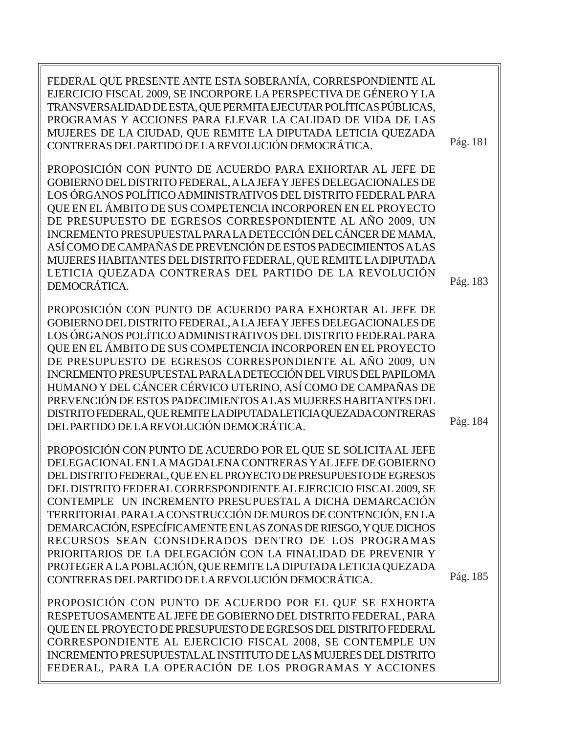| FEDERAL QUE PRESENTE ANTE ESTA SOBERANÍA, CORRESPONDIENTE AL<br>EJERCICIO FISCAL 2009, SE INCORPORE LA PERSPECTIVA DE GÉNERO Y LA<br>TRANSVERSALIDAD DE ESTA, QUE PERMITA EJECUTAR POLÍTICAS PÚBLICAS,<br>PROGRAMAS Y ACCIONES PARA ELEVAR LA CALIDAD DE VIDA DE LAS<br>MUJERES DE LA CIUDAD, QUE REMITE LA DIPUTADA LETICIA QUEZADA<br>CONTRERAS DEL PARTIDO DE LA REVOLUCIÓN DEMOCRÁTICA.                                                                                                                                                                                                                                                                                                                                   | Pág. 181 |
|-------------------------------------------------------------------------------------------------------------------------------------------------------------------------------------------------------------------------------------------------------------------------------------------------------------------------------------------------------------------------------------------------------------------------------------------------------------------------------------------------------------------------------------------------------------------------------------------------------------------------------------------------------------------------------------------------------------------------------|----------|
| PROPOSICIÓN CON PUNTO DE ACUERDO PARA EXHORTAR AL JEFE DE<br>GOBIERNO DEL DISTRITO FEDERAL, A LA JEFA Y JEFES DELEGACIONALES DE<br>LOS ÓRGANOS POLÍTICO ADMINISTRATIVOS DEL DISTRITO FEDERAL PARA<br>QUE EN EL ÁMBITO DE SUS COMPETENCIA INCORPOREN EN EL PROYECTO<br>DE PRESUPUESTO DE EGRESOS CORRESPONDIENTE AL AÑO 2009, UN<br>INCREMENTO PRESUPUESTAL PARA LA DETECCIÓN DEL CÁNCER DE MAMA,<br>ASÍ COMO DE CAMPAÑAS DE PREVENCIÓN DE ESTOS PADECIMIENTOS A LAS<br>MUJERES HABITANTES DEL DISTRITO FEDERAL, QUE REMITE LA DIPUTADA<br>LETICIA QUEZADA CONTRERAS DEL PARTIDO DE LA REVOLUCIÓN<br>DEMOCRÁTICA.                                                                                                              | Pág. 183 |
| PROPOSICIÓN CON PUNTO DE ACUERDO PARA EXHORTAR AL JEFE DE<br>GOBIERNO DEL DISTRITO FEDERAL, A LA JEFA Y JEFES DELEGACIONALES DE<br>LOS ÓRGANOS POLÍTICO ADMINISTRATIVOS DEL DISTRITO FEDERAL PARA<br>QUE EN EL ÁMBITO DE SUS COMPETENCIA INCORPOREN EN EL PROYECTO<br>DE PRESUPUESTO DE EGRESOS CORRESPONDIENTE AL AÑO 2009, UN<br>INCREMENTO PRESUPUESTAL PARA LA DETECCIÓN DEL VIRUS DEL PAPILOMA<br>HUMANO Y DEL CÁNCER CÉRVICO UTERINO, ASÍ COMO DE CAMPAÑAS DE<br>PREVENCIÓN DE ESTOS PADECIMIENTOS A LAS MUJERES HABITANTES DEL<br>DISTRITO FEDERAL, QUE REMITE LA DIPUTADA LETICIA QUEZADA CONTRERAS<br>DEL PARTIDO DE LA REVOLUCIÓN DEMOCRÁTICA.                                                                      | Pág. 184 |
| PROPOSICIÓN CON PUNTO DE ACUERDO POR EL QUE SE SOLICITA AL JEFE<br>DELEGACIONAL EN LA MAGDALENA CONTRERAS Y AL JEFE DE GOBIERNO<br>DEL DISTRITO FEDERAL, QUE EN EL PROYECTO DE PRESUPUESTO DE EGRESOS<br>DEL DISTRITO FEDERAL CORRESPONDIENTE AL EJERCICIO FISCAL 2009, SE<br>CONTEMPLE UN INCREMENTO PRESUPUESTAL A DICHA DEMARCACIÓN<br>TERRITORIAL PARA LA CONSTRUCCIÓN DE MUROS DE CONTENCIÓN, EN LA<br>DEMARCACIÓN, ESPECÍFICAMENTE EN LAS ZONAS DE RIESGO, Y QUE DICHOS<br>RECURSOS SEAN CONSIDERADOS DENTRO DE LOS PROGRAMAS<br>PRIORITARIOS DE LA DELEGACIÓN CON LA FINALIDAD DE PREVENIR Y<br>PROTEGER A LA POBLACIÓN, QUE REMITE LA DIPUTADA LETICIA QUEZADA<br>CONTRERAS DEL PARTIDO DE LA REVOLUCIÓN DEMOCRÁTICA. | Pág. 185 |
| PROPOSICIÓN CON PUNTO DE ACUERDO POR EL QUE SE EXHORTA<br>RESPETUOSAMENTE AL JEFE DE GOBIERNO DEL DISTRITO FEDERAL, PARA<br>QUE EN EL PROYECTO DE PRESUPUESTO DE EGRESOS DEL DISTRITO FEDERAL<br>CORRESPONDIENTE AL EJERCICIO FISCAL 2008, SE CONTEMPLE UN                                                                                                                                                                                                                                                                                                                                                                                                                                                                    |          |

INCREMENTO PRESUPUESTAL AL INSTITUTO DE LAS MUJERES DEL DISTRITO FEDERAL, PARA LA OPERACIÓN DE LOS PROGRAMAS Y ACCIONES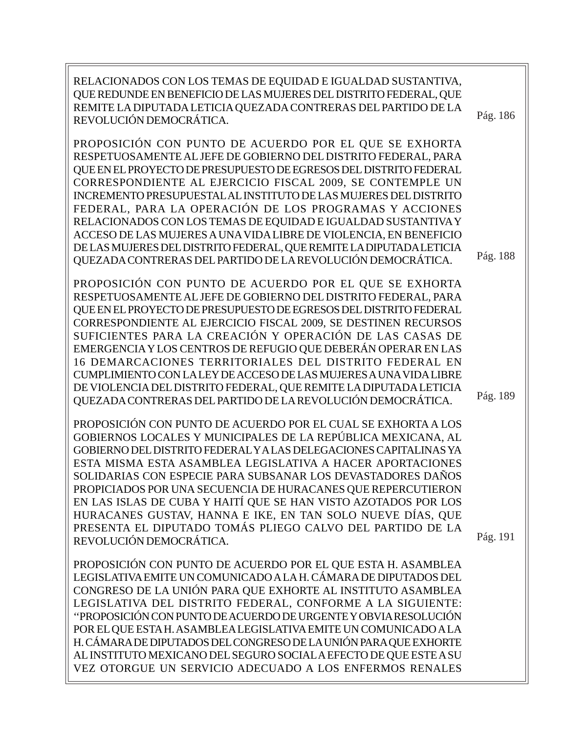RELACIONADOS CON LOS TEMAS DE EQUIDAD E IGUALDAD SUSTANTIVA, QUE REDUNDE EN BENEFICIO DE LAS MUJERES DEL DISTRITO FEDERAL, QUE REMITE LA DIPUTADA LETICIA QUEZADA CONTRERAS DEL PARTIDO DE LA REVOLUCIÓN DEMOCRÁTICA. Pág. 186

PROPOSICIÓN CON PUNTO DE ACUERDO POR EL QUE SE EXHORTA RESPETUOSAMENTE AL JEFE DE GOBIERNO DEL DISTRITO FEDERAL, PARA QUE EN EL PROYECTO DE PRESUPUESTO DE EGRESOS DEL DISTRITO FEDERAL CORRESPONDIENTE AL EJERCICIO FISCAL 2009, SE CONTEMPLE UN INCREMENTO PRESUPUESTAL AL INSTITUTO DE LAS MUJERES DEL DISTRITO FEDERAL, PARA LA OPERACIÓN DE LOS PROGRAMAS Y ACCIONES RELACIONADOS CON LOS TEMAS DE EQUIDAD E IGUALDAD SUSTANTIVA Y ACCESO DE LAS MUJERES A UNA VIDA LIBRE DE VIOLENCIA, EN BENEFICIO DE LAS MUJERES DEL DISTRITO FEDERAL, QUE REMITE LA DIPUTADA LETICIA QUEZADA CONTRERAS DEL PARTIDO DE LA REVOLUCIÓN DEMOCRÁTICA.

PROPOSICIÓN CON PUNTO DE ACUERDO POR EL QUE SE EXHORTA RESPETUOSAMENTE AL JEFE DE GOBIERNO DEL DISTRITO FEDERAL, PARA QUE EN EL PROYECTO DE PRESUPUESTO DE EGRESOS DEL DISTRITO FEDERAL CORRESPONDIENTE AL EJERCICIO FISCAL 2009, SE DESTINEN RECURSOS SUFICIENTES PARA LA CREACIÓN Y OPERACIÓN DE LAS CASAS DE EMERGENCIA Y LOS CENTROS DE REFUGIO QUE DEBERÁN OPERAR EN LAS 16 DEMARCACIONES TERRITORIALES DEL DISTRITO FEDERAL EN CUMPLIMIENTO CON LA LEY DE ACCESO DE LAS MUJERES A UNA VIDA LIBRE DE VIOLENCIA DEL DISTRITO FEDERAL, QUE REMITE LA DIPUTADA LETICIA QUEZADA CONTRERAS DEL PARTIDO DE LA REVOLUCIÓN DEMOCRÁTICA.

PROPOSICIÓN CON PUNTO DE ACUERDO POR EL CUAL SE EXHORTA A LOS GOBIERNOS LOCALES Y MUNICIPALES DE LA REPÚBLICA MEXICANA, AL GOBIERNO DEL DISTRITO FEDERAL Y A LAS DELEGACIONES CAPITALINAS YA ESTA MISMA ESTA ASAMBLEA LEGISLATIVA A HACER APORTACIONES SOLIDARIAS CON ESPECIE PARA SUBSANAR LOS DEVASTADORES DAÑOS PROPICIADOS POR UNA SECUENCIA DE HURACANES QUE REPERCUTIERON EN LAS ISLAS DE CUBA Y HAITÍ QUE SE HAN VISTO AZOTADOS POR LOS HURACANES GUSTAV, HANNA E IKE, EN TAN SOLO NUEVE DÍAS, QUE PRESENTA EL DIPUTADO TOMÁS PLIEGO CALVO DEL PARTIDO DE LA REVOLUCIÓN DEMOCRÁTICA.

Pág. 189

Pág. 188

Pág. 191

PROPOSICIÓN CON PUNTO DE ACUERDO POR EL QUE ESTA H. ASAMBLEA LEGISLATIVA EMITE UN COMUNICADO A LA H. CÁMARA DE DIPUTADOS DEL CONGRESO DE LA UNIÓN PARA QUE EXHORTE AL INSTITUTO ASAMBLEA LEGISLATIVA DEL DISTRITO FEDERAL, CONFORME A LA SIGUIENTE: ''PROPOSICIÓN CON PUNTO DE ACUERDO DE URGENTE Y OBVIA RESOLUCIÓN POR EL QUE ESTA H. ASAMBLEA LEGISLATIVA EMITE UN COMUNICADO A LA H. CÁMARA DE DIPUTADOS DEL CONGRESO DE LA UNIÓN PARA QUE EXHORTE AL INSTITUTO MEXICANO DEL SEGURO SOCIAL A EFECTO DE QUE ESTE A SU VEZ OTORGUE UN SERVICIO ADECUADO A LOS ENFERMOS RENALES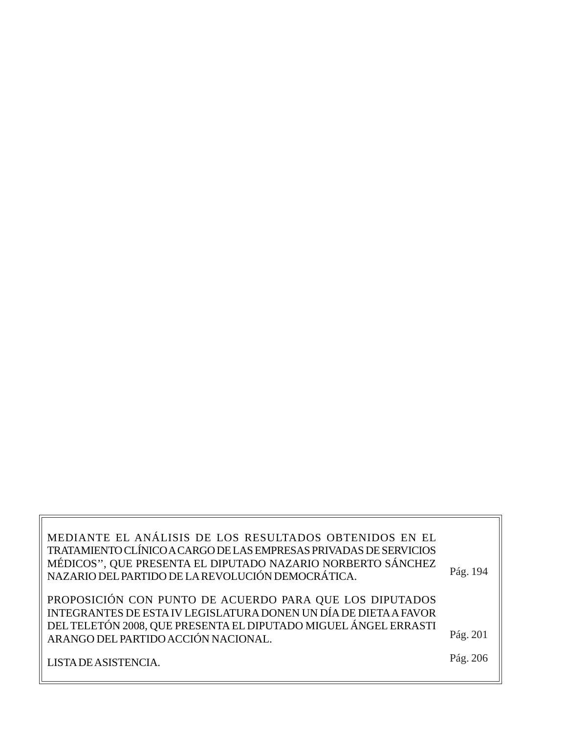MEDIANTE EL ANÁLISIS DE LOS RESULTADOS OBTENIDOS EN EL TRATAMIENTO CLÍNICO A CARGO DE LAS EMPRESAS PRIVADAS DE SERVICIOS MÉDICOS'', QUE PRESENTA EL DIPUTADO NAZARIO NORBERTO SÁNCHEZ NAZARIO DEL PARTIDO DE LA REVOLUCIÓN DEMOCRÁTICA. PROPOSICIÓN CON PUNTO DE ACUERDO PARA QUE LOS DIPUTADOS INTEGRANTES DE ESTA IV LEGISLATURA DONEN UN DÍA DE DIETA A FAVOR DEL TELETÓN 2008, QUE PRESENTA EL DIPUTADO MIGUEL ÁNGEL ERRASTI ARANGO DEL PARTIDO ACCIÓN NACIONAL. LISTA DE ASISTENCIA. Pág. 201 Pág. 194 Pág. 206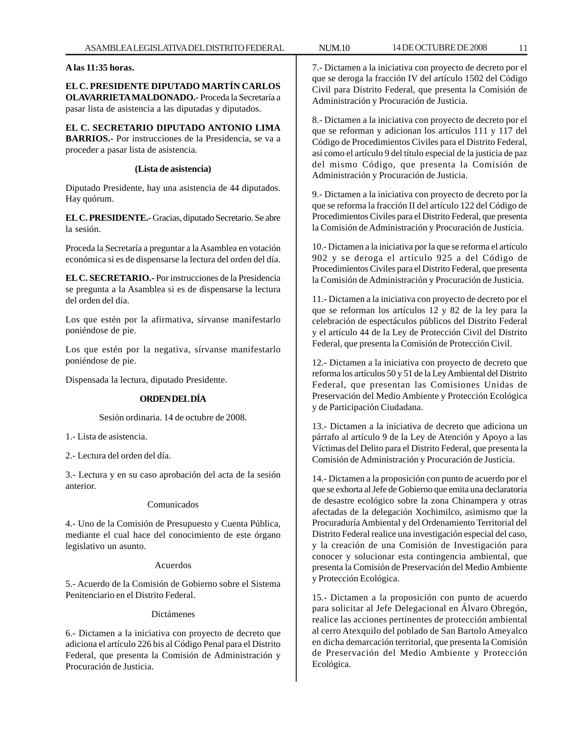**A las 11:35 horas.**

**EL C. PRESIDENTE DIPUTADO MARTÍN CARLOS OLAVARRIETA MALDONADO.-** Proceda la Secretaría a pasar lista de asistencia a las diputadas y diputados.

**EL C. SECRETARIO DIPUTADO ANTONIO LIMA BARRIOS.-** Por instrucciones de la Presidencia, se va a proceder a pasar lista de asistencia.

# **(Lista de asistencia)**

Diputado Presidente, hay una asistencia de 44 diputados. Hay quórum.

**EL C. PRESIDENTE.-** Gracias, diputado Secretario. Se abre la sesión.

Proceda la Secretaría a preguntar a la Asamblea en votación económica si es de dispensarse la lectura del orden del día.

**EL C. SECRETARIO.-** Por instrucciones de la Presidencia se pregunta a la Asamblea si es de dispensarse la lectura del orden del día.

Los que estén por la afirmativa, sírvanse manifestarlo poniéndose de pie.

Los que estén por la negativa, sírvanse manifestarlo poniéndose de pie.

Dispensada la lectura, diputado Presidente.

# **ORDEN DEL DÍA**

Sesión ordinaria. 14 de octubre de 2008.

1.- Lista de asistencia.

2.- Lectura del orden del día.

3.- Lectura y en su caso aprobación del acta de la sesión anterior.

# Comunicados

4.- Uno de la Comisión de Presupuesto y Cuenta Pública, mediante el cual hace del conocimiento de este órgano legislativo un asunto.

# Acuerdos

5.- Acuerdo de la Comisión de Gobierno sobre el Sistema Penitenciario en el Distrito Federal.

# Dictámenes

6.- Dictamen a la iniciativa con proyecto de decreto que adiciona el artículo 226 bis al Código Penal para el Distrito Federal, que presenta la Comisión de Administración y Procuración de Justicia.

7.- Dictamen a la iniciativa con proyecto de decreto por el que se deroga la fracción IV del artículo 1502 del Código Civil para Distrito Federal, que presenta la Comisión de Administración y Procuración de Justicia.

8.- Dictamen a la iniciativa con proyecto de decreto por el que se reforman y adicionan los artículos 111 y 117 del Código de Procedimientos Civiles para el Distrito Federal, así como el artículo 9 del título especial de la justicia de paz del mismo Código, que presenta la Comisión de Administración y Procuración de Justicia.

9.- Dictamen a la iniciativa con proyecto de decreto por la que se reforma la fracción II del artículo 122 del Código de Procedimientos Civiles para el Distrito Federal, que presenta la Comisión de Administración y Procuración de Justicia.

10.- Dictamen a la iniciativa por la que se reforma el artículo 902 y se deroga el artículo 925 a del Código de Procedimientos Civiles para el Distrito Federal, que presenta la Comisión de Administración y Procuración de Justicia.

11.- Dictamen a la iniciativa con proyecto de decreto por el que se reforman los artículos 12 y 82 de la ley para la celebración de espectáculos públicos del Distrito Federal y el artículo 44 de la Ley de Protección Civil del Distrito Federal, que presenta la Comisión de Protección Civil.

12.- Dictamen a la iniciativa con proyecto de decreto que reforma los artículos 50 y 51 de la Ley Ambiental del Distrito Federal, que presentan las Comisiones Unidas de Preservación del Medio Ambiente y Protección Ecológica y de Participación Ciudadana.

13.- Dictamen a la iniciativa de decreto que adiciona un párrafo al artículo 9 de la Ley de Atención y Apoyo a las Víctimas del Delito para el Distrito Federal, que presenta la Comisión de Administración y Procuración de Justicia.

14.- Dictamen a la proposición con punto de acuerdo por el que se exhorta al Jefe de Gobierno que emita una declaratoria de desastre ecológico sobre la zona Chinampera y otras afectadas de la delegación Xochimilco, asimismo que la Procuraduría Ambiental y del Ordenamiento Territorial del Distrito Federal realice una investigación especial del caso, y la creación de una Comisión de Investigación para conocer y solucionar esta contingencia ambiental, que presenta la Comisión de Preservación del Medio Ambiente y Protección Ecológica.

15.- Dictamen a la proposición con punto de acuerdo para solicitar al Jefe Delegacional en Álvaro Obregón, realice las acciones pertinentes de protección ambiental al cerro Atexquilo del poblado de San Bartolo Ameyalco en dicha demarcación territorial, que presenta la Comisión de Preservación del Medio Ambiente y Protección Ecológica.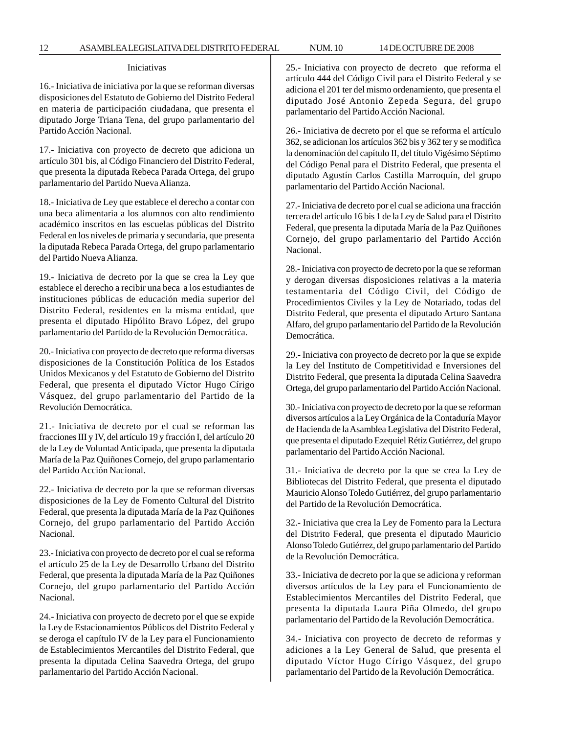#### Iniciativas

16.- Iniciativa de iniciativa por la que se reforman diversas disposiciones del Estatuto de Gobierno del Distrito Federal en materia de participación ciudadana, que presenta el diputado Jorge Triana Tena, del grupo parlamentario del Partido Acción Nacional.

17.- Iniciativa con proyecto de decreto que adiciona un artículo 301 bis, al Código Financiero del Distrito Federal, que presenta la diputada Rebeca Parada Ortega, del grupo parlamentario del Partido Nueva Alianza.

18.- Iniciativa de Ley que establece el derecho a contar con una beca alimentaria a los alumnos con alto rendimiento académico inscritos en las escuelas públicas del Distrito Federal en los niveles de primaria y secundaria, que presenta la diputada Rebeca Parada Ortega, del grupo parlamentario del Partido Nueva Alianza.

19.- Iniciativa de decreto por la que se crea la Ley que establece el derecho a recibir una beca a los estudiantes de instituciones públicas de educación media superior del Distrito Federal, residentes en la misma entidad, que presenta el diputado Hipólito Bravo López, del grupo parlamentario del Partido de la Revolución Democrática.

20.- Iniciativa con proyecto de decreto que reforma diversas disposiciones de la Constitución Política de los Estados Unidos Mexicanos y del Estatuto de Gobierno del Distrito Federal, que presenta el diputado Víctor Hugo Círigo Vásquez, del grupo parlamentario del Partido de la Revolución Democrática.

21.- Iniciativa de decreto por el cual se reforman las fracciones III y IV, del artículo 19 y fracción I, del artículo 20 de la Ley de Voluntad Anticipada, que presenta la diputada María de la Paz Quiñones Cornejo, del grupo parlamentario del Partido Acción Nacional.

22.- Iniciativa de decreto por la que se reforman diversas disposiciones de la Ley de Fomento Cultural del Distrito Federal, que presenta la diputada María de la Paz Quiñones Cornejo, del grupo parlamentario del Partido Acción Nacional.

23.- Iniciativa con proyecto de decreto por el cual se reforma el artículo 25 de la Ley de Desarrollo Urbano del Distrito Federal, que presenta la diputada María de la Paz Quiñones Cornejo, del grupo parlamentario del Partido Acción Nacional.

24.- Iniciativa con proyecto de decreto por el que se expide la Ley de Estacionamientos Públicos del Distrito Federal y se deroga el capítulo IV de la Ley para el Funcionamiento de Establecimientos Mercantiles del Distrito Federal, que presenta la diputada Celina Saavedra Ortega, del grupo parlamentario del Partido Acción Nacional.

25.- Iniciativa con proyecto de decreto que reforma el artículo 444 del Código Civil para el Distrito Federal y se adiciona el 201 ter del mismo ordenamiento, que presenta el diputado José Antonio Zepeda Segura, del grupo parlamentario del Partido Acción Nacional.

26.- Iniciativa de decreto por el que se reforma el artículo 362, se adicionan los artículos 362 bis y 362 ter y se modifica la denominación del capítulo II, del título Vigésimo Séptimo del Código Penal para el Distrito Federal, que presenta el diputado Agustín Carlos Castilla Marroquín, del grupo parlamentario del Partido Acción Nacional.

27.- Iniciativa de decreto por el cual se adiciona una fracción tercera del artículo 16 bis 1 de la Ley de Salud para el Distrito Federal, que presenta la diputada María de la Paz Quiñones Cornejo, del grupo parlamentario del Partido Acción Nacional.

28.- Iniciativa con proyecto de decreto por la que se reforman y derogan diversas disposiciones relativas a la materia testamentaria del Código Civil, del Código de Procedimientos Civiles y la Ley de Notariado, todas del Distrito Federal, que presenta el diputado Arturo Santana Alfaro, del grupo parlamentario del Partido de la Revolución Democrática.

29.- Iniciativa con proyecto de decreto por la que se expide la Ley del Instituto de Competitividad e Inversiones del Distrito Federal, que presenta la diputada Celina Saavedra Ortega, del grupo parlamentario del Partido Acción Nacional.

30.- Iniciativa con proyecto de decreto por la que se reforman diversos artículos a la Ley Orgánica de la Contaduría Mayor de Hacienda de la Asamblea Legislativa del Distrito Federal, que presenta el diputado Ezequiel Rétiz Gutiérrez, del grupo parlamentario del Partido Acción Nacional.

31.- Iniciativa de decreto por la que se crea la Ley de Bibliotecas del Distrito Federal, que presenta el diputado Mauricio Alonso Toledo Gutiérrez, del grupo parlamentario del Partido de la Revolución Democrática.

32.- Iniciativa que crea la Ley de Fomento para la Lectura del Distrito Federal, que presenta el diputado Mauricio Alonso Toledo Gutiérrez, del grupo parlamentario del Partido de la Revolución Democrática.

33.- Iniciativa de decreto por la que se adiciona y reforman diversos artículos de la Ley para el Funcionamiento de Establecimientos Mercantiles del Distrito Federal, que presenta la diputada Laura Piña Olmedo, del grupo parlamentario del Partido de la Revolución Democrática.

34.- Iniciativa con proyecto de decreto de reformas y adiciones a la Ley General de Salud, que presenta el diputado Víctor Hugo Círigo Vásquez, del grupo parlamentario del Partido de la Revolución Democrática.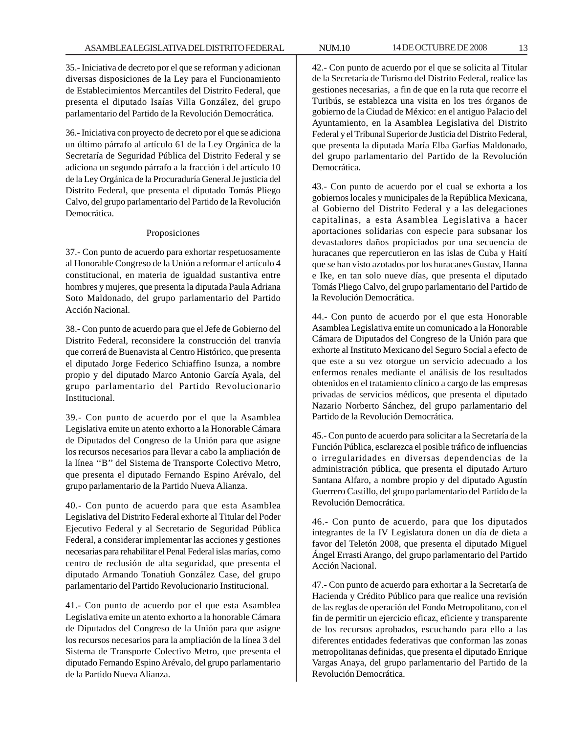35.- Iniciativa de decreto por el que se reforman y adicionan diversas disposiciones de la Ley para el Funcionamiento de Establecimientos Mercantiles del Distrito Federal, que presenta el diputado Isaías Villa González, del grupo parlamentario del Partido de la Revolución Democrática.

36.- Iniciativa con proyecto de decreto por el que se adiciona un último párrafo al artículo 61 de la Ley Orgánica de la Secretaría de Seguridad Pública del Distrito Federal y se adiciona un segundo párrafo a la fracción i del artículo 10 de la Ley Orgánica de la Procuraduría General Je justicia del Distrito Federal, que presenta el diputado Tomás Pliego Calvo, del grupo parlamentario del Partido de la Revolución Democrática.

# Proposiciones

37.- Con punto de acuerdo para exhortar respetuosamente al Honorable Congreso de la Unión a reformar el artículo 4 constitucional, en materia de igualdad sustantiva entre hombres y mujeres, que presenta la diputada Paula Adriana Soto Maldonado, del grupo parlamentario del Partido Acción Nacional.

38.- Con punto de acuerdo para que el Jefe de Gobierno del Distrito Federal, reconsidere la construcción del tranvía que correrá de Buenavista al Centro Histórico, que presenta el diputado Jorge Federico Schiaffino Isunza, a nombre propio y del diputado Marco Antonio García Ayala, del grupo parlamentario del Partido Revolucionario Institucional.

39.- Con punto de acuerdo por el que la Asamblea Legislativa emite un atento exhorto a la Honorable Cámara de Diputados del Congreso de la Unión para que asigne los recursos necesarios para llevar a cabo la ampliación de la línea ''B'' del Sistema de Transporte Colectivo Metro, que presenta el diputado Fernando Espino Arévalo, del grupo parlamentario de la Partido Nueva Alianza.

40.- Con punto de acuerdo para que esta Asamblea Legislativa del Distrito Federal exhorte al Titular del Poder Ejecutivo Federal y al Secretario de Seguridad Pública Federal, a considerar implementar las acciones y gestiones necesarias para rehabilitar el Penal Federal islas marías, como centro de reclusión de alta seguridad, que presenta el diputado Armando Tonatiuh González Case, del grupo parlamentario del Partido Revolucionario Institucional.

41.- Con punto de acuerdo por el que esta Asamblea Legislativa emite un atento exhorto a la honorable Cámara de Diputados del Congreso de la Unión para que asigne los recursos necesarios para la ampliación de la línea 3 del Sistema de Transporte Colectivo Metro, que presenta el diputado Fernando Espino Arévalo, del grupo parlamentario de la Partido Nueva Alianza.

42.- Con punto de acuerdo por el que se solicita al Titular de la Secretaría de Turismo del Distrito Federal, realice las gestiones necesarias, a fin de que en la ruta que recorre el Turibús, se establezca una visita en los tres órganos de gobierno de la Ciudad de México: en el antiguo Palacio del Ayuntamiento, en la Asamblea Legislativa del Distrito Federal y el Tribunal Superior de Justicia del Distrito Federal, que presenta la diputada María Elba Garfias Maldonado, del grupo parlamentario del Partido de la Revolución Democrática.

43.- Con punto de acuerdo por el cual se exhorta a los gobiernos locales y municipales de la República Mexicana, al Gobierno del Distrito Federal y a las delegaciones capitalinas, a esta Asamblea Legislativa a hacer aportaciones solidarias con especie para subsanar los devastadores daños propiciados por una secuencia de huracanes que repercutieron en las islas de Cuba y Haití que se han visto azotados por los huracanes Gustav, Hanna e Ike, en tan solo nueve días, que presenta el diputado Tomás Pliego Calvo, del grupo parlamentario del Partido de la Revolución Democrática.

44.- Con punto de acuerdo por el que esta Honorable Asamblea Legislativa emite un comunicado a la Honorable Cámara de Diputados del Congreso de la Unión para que exhorte al Instituto Mexicano del Seguro Social a efecto de que este a su vez otorgue un servicio adecuado a los enfermos renales mediante el análisis de los resultados obtenidos en el tratamiento clínico a cargo de las empresas privadas de servicios médicos, que presenta el diputado Nazario Norberto Sánchez, del grupo parlamentario del Partido de la Revolución Democrática.

45.- Con punto de acuerdo para solicitar a la Secretaría de la Función Pública, esclarezca el posible tráfico de influencias o irregularidades en diversas dependencias de la administración pública, que presenta el diputado Arturo Santana Alfaro, a nombre propio y del diputado Agustín Guerrero Castillo, del grupo parlamentario del Partido de la Revolución Democrática.

46.- Con punto de acuerdo, para que los diputados integrantes de la IV Legislatura donen un día de dieta a favor del Teletón 2008, que presenta el diputado Miguel Ángel Errasti Arango, del grupo parlamentario del Partido Acción Nacional.

47.- Con punto de acuerdo para exhortar a la Secretaría de Hacienda y Crédito Público para que realice una revisión de las reglas de operación del Fondo Metropolitano, con el fin de permitir un ejercicio eficaz, eficiente y transparente de los recursos aprobados, escuchando para ello a las diferentes entidades federativas que conforman las zonas metropolitanas definidas, que presenta el diputado Enrique Vargas Anaya, del grupo parlamentario del Partido de la Revolución Democrática.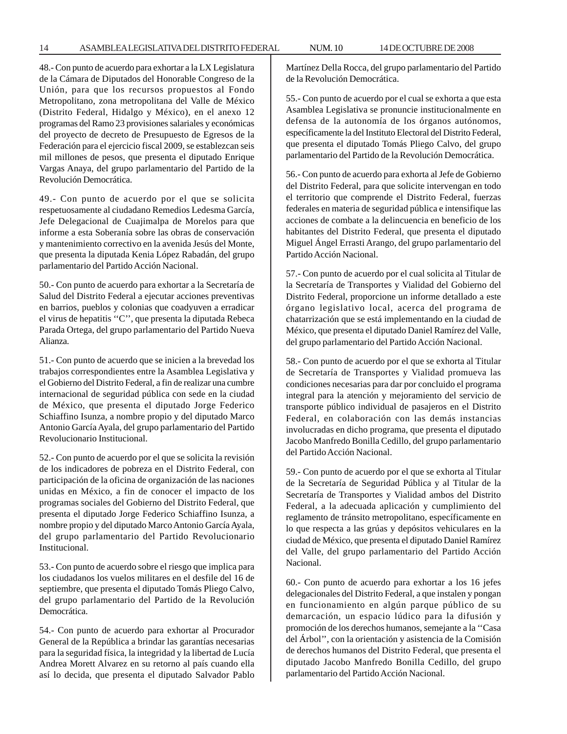48.- Con punto de acuerdo para exhortar a la LX Legislatura de la Cámara de Diputados del Honorable Congreso de la Unión, para que los recursos propuestos al Fondo Metropolitano, zona metropolitana del Valle de México (Distrito Federal, Hidalgo y México), en el anexo 12 programas del Ramo 23 provisiones salariales y económicas del proyecto de decreto de Presupuesto de Egresos de la Federación para el ejercicio fiscal 2009, se establezcan seis mil millones de pesos, que presenta el diputado Enrique Vargas Anaya, del grupo parlamentario del Partido de la Revolución Democrática.

49.- Con punto de acuerdo por el que se solicita respetuosamente al ciudadano Remedios Ledesma García, Jefe Delegacional de Cuajimalpa de Morelos para que informe a esta Soberanía sobre las obras de conservación y mantenimiento correctivo en la avenida Jesús del Monte, que presenta la diputada Kenia López Rabadán, del grupo parlamentario del Partido Acción Nacional.

50.- Con punto de acuerdo para exhortar a la Secretaría de Salud del Distrito Federal a ejecutar acciones preventivas en barrios, pueblos y colonias que coadyuven a erradicar el virus de hepatitis ''C'', que presenta la diputada Rebeca Parada Ortega, del grupo parlamentario del Partido Nueva Alianza.

51.- Con punto de acuerdo que se inicien a la brevedad los trabajos correspondientes entre la Asamblea Legislativa y el Gobierno del Distrito Federal, a fin de realizar una cumbre internacional de seguridad pública con sede en la ciudad de México, que presenta el diputado Jorge Federico Schiaffino Isunza, a nombre propio y del diputado Marco Antonio García Ayala, del grupo parlamentario del Partido Revolucionario Institucional.

52.- Con punto de acuerdo por el que se solicita la revisión de los indicadores de pobreza en el Distrito Federal, con participación de la oficina de organización de las naciones unidas en México, a fin de conocer el impacto de los programas sociales del Gobierno del Distrito Federal, que presenta el diputado Jorge Federico Schiaffino Isunza, a nombre propio y del diputado Marco Antonio García Ayala, del grupo parlamentario del Partido Revolucionario Institucional.

53.- Con punto de acuerdo sobre el riesgo que implica para los ciudadanos los vuelos militares en el desfile del 16 de septiembre, que presenta el diputado Tomás Pliego Calvo, del grupo parlamentario del Partido de la Revolución Democrática.

54.- Con punto de acuerdo para exhortar al Procurador General de la República a brindar las garantías necesarias para la seguridad física, la integridad y la libertad de Lucía Andrea Morett Alvarez en su retorno al país cuando ella así lo decida, que presenta el diputado Salvador Pablo Martínez Della Rocca, del grupo parlamentario del Partido de la Revolución Democrática.

55.- Con punto de acuerdo por el cual se exhorta a que esta Asamblea Legislativa se pronuncie institucionalmente en defensa de la autonomía de los órganos autónomos, específicamente la del Instituto Electoral del Distrito Federal, que presenta el diputado Tomás Pliego Calvo, del grupo parlamentario del Partido de la Revolución Democrática.

56.- Con punto de acuerdo para exhorta al Jefe de Gobierno del Distrito Federal, para que solicite intervengan en todo el territorio que comprende el Distrito Federal, fuerzas federales en materia de seguridad pública e intensifique las acciones de combate a la delincuencia en beneficio de los habitantes del Distrito Federal, que presenta el diputado Miguel Ángel Errasti Arango, del grupo parlamentario del Partido Acción Nacional.

57.- Con punto de acuerdo por el cual solicita al Titular de la Secretaría de Transportes y Vialidad del Gobierno del Distrito Federal, proporcione un informe detallado a este órgano legislativo local, acerca del programa de chatarrización que se está implementando en la ciudad de México, que presenta el diputado Daniel Ramírez del Valle, del grupo parlamentario del Partido Acción Nacional.

58.- Con punto de acuerdo por el que se exhorta al Titular de Secretaría de Transportes y Vialidad promueva las condiciones necesarias para dar por concluido el programa integral para la atención y mejoramiento del servicio de transporte público individual de pasajeros en el Distrito Federal, en colaboración con las demás instancias involucradas en dicho programa, que presenta el diputado Jacobo Manfredo Bonilla Cedillo, del grupo parlamentario del Partido Acción Nacional.

59.- Con punto de acuerdo por el que se exhorta al Titular de la Secretaría de Seguridad Pública y al Titular de la Secretaría de Transportes y Vialidad ambos del Distrito Federal, a la adecuada aplicación y cumplimiento del reglamento de tránsito metropolitano, específicamente en lo que respecta a las grúas y depósitos vehiculares en la ciudad de México, que presenta el diputado Daniel Ramírez del Valle, del grupo parlamentario del Partido Acción Nacional.

60.- Con punto de acuerdo para exhortar a los 16 jefes delegacionales del Distrito Federal, a que instalen y pongan en funcionamiento en algún parque público de su demarcación, un espacio lúdico para la difusión y promoción de los derechos humanos, semejante a la ''Casa del Árbol'', con la orientación y asistencia de la Comisión de derechos humanos del Distrito Federal, que presenta el diputado Jacobo Manfredo Bonilla Cedillo, del grupo parlamentario del Partido Acción Nacional.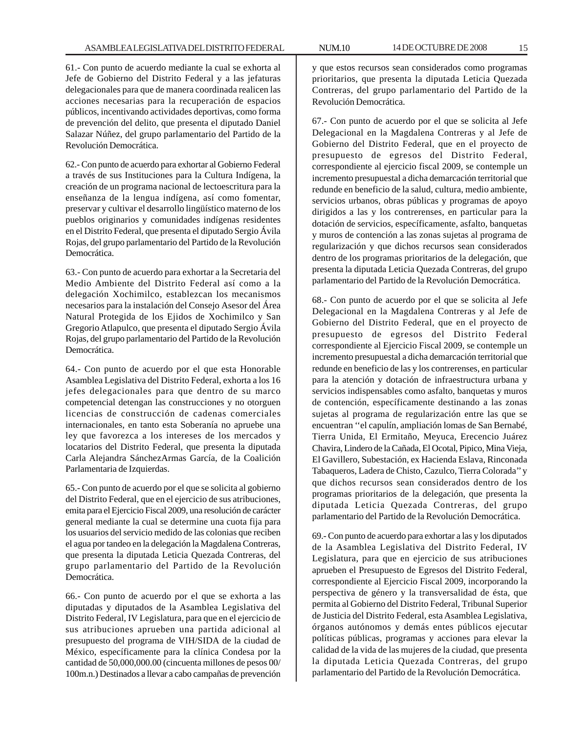61.- Con punto de acuerdo mediante la cual se exhorta al Jefe de Gobierno del Distrito Federal y a las jefaturas delegacionales para que de manera coordinada realicen las acciones necesarias para la recuperación de espacios públicos, incentivando actividades deportivas, como forma de prevención del delito, que presenta el diputado Daniel Salazar Núñez, del grupo parlamentario del Partido de la Revolución Democrática.

62.- Con punto de acuerdo para exhortar al Gobierno Federal a través de sus Instituciones para la Cultura Indígena, la creación de un programa nacional de lectoescritura para la enseñanza de la lengua indígena, así como fomentar, preservar y cultivar el desarrollo lingüístico materno de los pueblos originarios y comunidades indígenas residentes en el Distrito Federal, que presenta el diputado Sergio Ávila Rojas, del grupo parlamentario del Partido de la Revolución Democrática.

63.- Con punto de acuerdo para exhortar a la Secretaria del Medio Ambiente del Distrito Federal así como a la delegación Xochimilco, establezcan los mecanismos necesarios para la instalación del Consejo Asesor del Área Natural Protegida de los Ejidos de Xochimilco y San Gregorio Atlapulco, que presenta el diputado Sergio Ávila Rojas, del grupo parlamentario del Partido de la Revolución Democrática.

64.- Con punto de acuerdo por el que esta Honorable Asamblea Legislativa del Distrito Federal, exhorta a los 16 jefes delegacionales para que dentro de su marco competencial detengan las construcciones y no otorguen licencias de construcción de cadenas comerciales internacionales, en tanto esta Soberanía no apruebe una ley que favorezca a los intereses de los mercados y locatarios del Distrito Federal, que presenta la diputada Carla Alejandra SánchezArmas García, de la Coalición Parlamentaria de Izquierdas.

65.- Con punto de acuerdo por el que se solicita al gobierno del Distrito Federal, que en el ejercicio de sus atribuciones, emita para el Ejercicio Fiscal 2009, una resolución de carácter general mediante la cual se determine una cuota fija para los usuarios del servicio medido de las colonias que reciben el agua por tandeo en la delegación la Magdalena Contreras, que presenta la diputada Leticia Quezada Contreras, del grupo parlamentario del Partido de la Revolución Democrática.

66.- Con punto de acuerdo por el que se exhorta a las diputadas y diputados de la Asamblea Legislativa del Distrito Federal, IV Legislatura, para que en el ejercicio de sus atribuciones aprueben una partida adicional al presupuesto del programa de VIH/SIDA de la ciudad de México, específicamente para la clínica Condesa por la cantidad de 50,000,000.00 (cincuenta millones de pesos 00/ 100m.n.) Destinados a llevar a cabo campañas de prevención

y que estos recursos sean considerados como programas prioritarios, que presenta la diputada Leticia Quezada Contreras, del grupo parlamentario del Partido de la Revolución Democrática.

67.- Con punto de acuerdo por el que se solicita al Jefe Delegacional en la Magdalena Contreras y al Jefe de Gobierno del Distrito Federal, que en el proyecto de presupuesto de egresos del Distrito Federal, correspondiente al ejercicio fiscal 2009, se contemple un incremento presupuestal a dicha demarcación territorial que redunde en beneficio de la salud, cultura, medio ambiente, servicios urbanos, obras públicas y programas de apoyo dirigidos a las y los contrerenses, en particular para la dotación de servicios, específicamente, asfalto, banquetas y muros de contención a las zonas sujetas al programa de regularización y que dichos recursos sean considerados dentro de los programas prioritarios de la delegación, que presenta la diputada Leticia Quezada Contreras, del grupo parlamentario del Partido de la Revolución Democrática.

68.- Con punto de acuerdo por el que se solicita al Jefe Delegacional en la Magdalena Contreras y al Jefe de Gobierno del Distrito Federal, que en el proyecto de presupuesto de egresos del Distrito Federal correspondiente al Ejercicio Fiscal 2009, se contemple un incremento presupuestal a dicha demarcación territorial que redunde en beneficio de las y los contrerenses, en particular para la atención y dotación de infraestructura urbana y servicios indispensables como asfalto, banquetas y muros de contención, específicamente destinando a las zonas sujetas al programa de regularización entre las que se encuentran ''el capulín, ampliación lomas de San Bernabé, Tierra Unida, El Ermitaño, Meyuca, Erecencio Juárez Chavira, Lindero de la Cañada, El Ocotal, Pipico, Mina Vieja, El Gavillero, Subestación, ex Hacienda Eslava, Rinconada Tabaqueros, Ladera de Chisto, Cazulco, Tierra Colorada'' y que dichos recursos sean considerados dentro de los programas prioritarios de la delegación, que presenta la diputada Leticia Quezada Contreras, del grupo parlamentario del Partido de la Revolución Democrática.

69.- Con punto de acuerdo para exhortar a las y los diputados de la Asamblea Legislativa del Distrito Federal, IV Legislatura, para que en ejercicio de sus atribuciones aprueben el Presupuesto de Egresos del Distrito Federal, correspondiente al Ejercicio Fiscal 2009, incorporando la perspectiva de género y la transversalidad de ésta, que permita al Gobierno del Distrito Federal, Tribunal Superior de Justicia del Distrito Federal, esta Asamblea Legislativa, órganos autónomos y demás entes públicos ejecutar políticas públicas, programas y acciones para elevar la calidad de la vida de las mujeres de la ciudad, que presenta la diputada Leticia Quezada Contreras, del grupo parlamentario del Partido de la Revolución Democrática.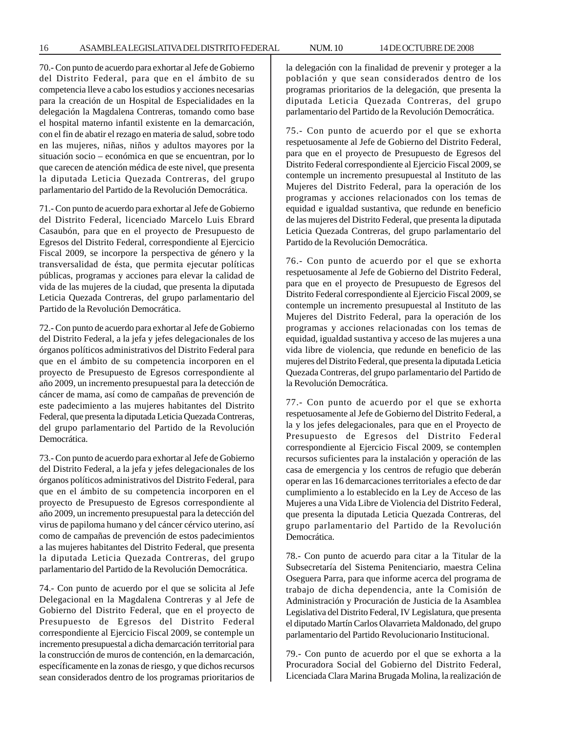70.- Con punto de acuerdo para exhortar al Jefe de Gobierno del Distrito Federal, para que en el ámbito de su competencia lleve a cabo los estudios y acciones necesarias para la creación de un Hospital de Especialidades en la delegación la Magdalena Contreras, tomando como base el hospital materno infantil existente en la demarcación, con el fin de abatir el rezago en materia de salud, sobre todo en las mujeres, niñas, niños y adultos mayores por la situación socio – económica en que se encuentran, por lo que carecen de atención médica de este nivel, que presenta la diputada Leticia Quezada Contreras, del grupo parlamentario del Partido de la Revolución Democrática.

71.- Con punto de acuerdo para exhortar al Jefe de Gobierno del Distrito Federal, licenciado Marcelo Luis Ebrard Casaubón, para que en el proyecto de Presupuesto de Egresos del Distrito Federal, correspondiente al Ejercicio Fiscal 2009, se incorpore la perspectiva de género y la transversalidad de ésta, que permita ejecutar políticas públicas, programas y acciones para elevar la calidad de vida de las mujeres de la ciudad, que presenta la diputada Leticia Quezada Contreras, del grupo parlamentario del Partido de la Revolución Democrática.

72.- Con punto de acuerdo para exhortar al Jefe de Gobierno del Distrito Federal, a la jefa y jefes delegacionales de los órganos políticos administrativos del Distrito Federal para que en el ámbito de su competencia incorporen en el proyecto de Presupuesto de Egresos correspondiente al año 2009, un incremento presupuestal para la detección de cáncer de mama, así como de campañas de prevención de este padecimiento a las mujeres habitantes del Distrito Federal, que presenta la diputada Leticia Quezada Contreras, del grupo parlamentario del Partido de la Revolución Democrática.

73.- Con punto de acuerdo para exhortar al Jefe de Gobierno del Distrito Federal, a la jefa y jefes delegacionales de los órganos políticos administrativos del Distrito Federal, para que en el ámbito de su competencia incorporen en el proyecto de Presupuesto de Egresos correspondiente al año 2009, un incremento presupuestal para la detección del virus de papiloma humano y del cáncer cérvico uterino, así como de campañas de prevención de estos padecimientos a las mujeres habitantes del Distrito Federal, que presenta la diputada Leticia Quezada Contreras, del grupo parlamentario del Partido de la Revolución Democrática.

74.- Con punto de acuerdo por el que se solicita al Jefe Delegacional en la Magdalena Contreras y al Jefe de Gobierno del Distrito Federal, que en el proyecto de Presupuesto de Egresos del Distrito Federal correspondiente al Ejercicio Fiscal 2009, se contemple un incremento presupuestal a dicha demarcación territorial para la construcción de muros de contención, en la demarcación, específicamente en la zonas de riesgo, y que dichos recursos sean considerados dentro de los programas prioritarios de

la delegación con la finalidad de prevenir y proteger a la población y que sean considerados dentro de los programas prioritarios de la delegación, que presenta la diputada Leticia Quezada Contreras, del grupo parlamentario del Partido de la Revolución Democrática.

75.- Con punto de acuerdo por el que se exhorta respetuosamente al Jefe de Gobierno del Distrito Federal, para que en el proyecto de Presupuesto de Egresos del Distrito Federal correspondiente al Ejercicio Fiscal 2009, se contemple un incremento presupuestal al Instituto de las Mujeres del Distrito Federal, para la operación de los programas y acciones relacionados con los temas de equidad e igualdad sustantiva, que redunde en beneficio de las mujeres del Distrito Federal, que presenta la diputada Leticia Quezada Contreras, del grupo parlamentario del Partido de la Revolución Democrática.

76.- Con punto de acuerdo por el que se exhorta respetuosamente al Jefe de Gobierno del Distrito Federal, para que en el proyecto de Presupuesto de Egresos del Distrito Federal correspondiente al Ejercicio Fiscal 2009, se contemple un incremento presupuestal al Instituto de las Mujeres del Distrito Federal, para la operación de los programas y acciones relacionadas con los temas de equidad, igualdad sustantiva y acceso de las mujeres a una vida libre de violencia, que redunde en beneficio de las mujeres del Distrito Federal, que presenta la diputada Leticia Quezada Contreras, del grupo parlamentario del Partido de la Revolución Democrática.

77.- Con punto de acuerdo por el que se exhorta respetuosamente al Jefe de Gobierno del Distrito Federal, a la y los jefes delegacionales, para que en el Proyecto de Presupuesto de Egresos del Distrito Federal correspondiente al Ejercicio Fiscal 2009, se contemplen recursos suficientes para la instalación y operación de las casa de emergencia y los centros de refugio que deberán operar en las 16 demarcaciones territoriales a efecto de dar cumplimiento a lo establecido en la Ley de Acceso de las Mujeres a una Vida Libre de Violencia del Distrito Federal, que presenta la diputada Leticia Quezada Contreras, del grupo parlamentario del Partido de la Revolución Democrática.

78.- Con punto de acuerdo para citar a la Titular de la Subsecretaría del Sistema Penitenciario, maestra Celina Oseguera Parra, para que informe acerca del programa de trabajo de dicha dependencia, ante la Comisión de Administración y Procuración de Justicia de la Asamblea Legislativa del Distrito Federal, IV Legislatura, que presenta el diputado Martín Carlos Olavarrieta Maldonado, del grupo parlamentario del Partido Revolucionario Institucional.

79.- Con punto de acuerdo por el que se exhorta a la Procuradora Social del Gobierno del Distrito Federal, Licenciada Clara Marina Brugada Molina, la realización de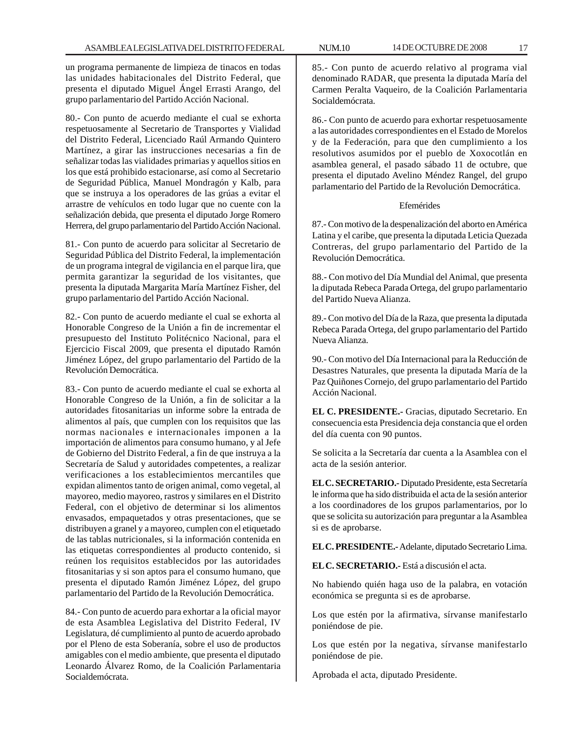un programa permanente de limpieza de tinacos en todas las unidades habitacionales del Distrito Federal, que presenta el diputado Miguel Ángel Errasti Arango, del grupo parlamentario del Partido Acción Nacional.

80.- Con punto de acuerdo mediante el cual se exhorta respetuosamente al Secretario de Transportes y Vialidad del Distrito Federal, Licenciado Raúl Armando Quintero Martínez, a girar las instrucciones necesarias a fin de señalizar todas las vialidades primarias y aquellos sitios en los que está prohibido estacionarse, así como al Secretario de Seguridad Pública, Manuel Mondragón y Kalb, para que se instruya a los operadores de las grúas a evitar el arrastre de vehículos en todo lugar que no cuente con la señalización debida, que presenta el diputado Jorge Romero Herrera, del grupo parlamentario del Partido Acción Nacional.

81.- Con punto de acuerdo para solicitar al Secretario de Seguridad Pública del Distrito Federal, la implementación de un programa integral de vigilancia en el parque lira, que permita garantizar la seguridad de los visitantes, que presenta la diputada Margarita María Martínez Fisher, del grupo parlamentario del Partido Acción Nacional.

82.- Con punto de acuerdo mediante el cual se exhorta al Honorable Congreso de la Unión a fin de incrementar el presupuesto del Instituto Politécnico Nacional, para el Ejercicio Fiscal 2009, que presenta el diputado Ramón Jiménez López, del grupo parlamentario del Partido de la Revolución Democrática.

83.- Con punto de acuerdo mediante el cual se exhorta al Honorable Congreso de la Unión, a fin de solicitar a la autoridades fitosanitarias un informe sobre la entrada de alimentos al país, que cumplen con los requisitos que las normas nacionales e internacionales imponen a la importación de alimentos para consumo humano, y al Jefe de Gobierno del Distrito Federal, a fin de que instruya a la Secretaría de Salud y autoridades competentes, a realizar verificaciones a los establecimientos mercantiles que expidan alimentos tanto de origen animal, como vegetal, al mayoreo, medio mayoreo, rastros y similares en el Distrito Federal, con el objetivo de determinar si los alimentos envasados, empaquetados y otras presentaciones, que se distribuyen a granel y a mayoreo, cumplen con el etiquetado de las tablas nutricionales, si la información contenida en las etiquetas correspondientes al producto contenido, si reúnen los requisitos establecidos por las autoridades fitosanitarias y si son aptos para el consumo humano, que presenta el diputado Ramón Jiménez López, del grupo parlamentario del Partido de la Revolución Democrática.

84.- Con punto de acuerdo para exhortar a la oficial mayor de esta Asamblea Legislativa del Distrito Federal, IV Legislatura, dé cumplimiento al punto de acuerdo aprobado por el Pleno de esta Soberanía, sobre el uso de productos amigables con el medio ambiente, que presenta el diputado Leonardo Álvarez Romo, de la Coalición Parlamentaria Socialdemócrata.

85.- Con punto de acuerdo relativo al programa vial

denominado RADAR, que presenta la diputada María del Carmen Peralta Vaqueiro, de la Coalición Parlamentaria Socialdemócrata.

86.- Con punto de acuerdo para exhortar respetuosamente a las autoridades correspondientes en el Estado de Morelos y de la Federación, para que den cumplimiento a los resolutivos asumidos por el pueblo de Xoxocotlán en asamblea general, el pasado sábado 11 de octubre, que presenta el diputado Avelino Méndez Rangel, del grupo parlamentario del Partido de la Revolución Democrática.

# Efemérides

87.- Con motivo de la despenalización del aborto en América Latina y el caribe, que presenta la diputada Leticia Quezada Contreras, del grupo parlamentario del Partido de la Revolución Democrática.

88.- Con motivo del Día Mundial del Animal, que presenta la diputada Rebeca Parada Ortega, del grupo parlamentario del Partido Nueva Alianza.

89.- Con motivo del Día de la Raza, que presenta la diputada Rebeca Parada Ortega, del grupo parlamentario del Partido Nueva Alianza.

90.- Con motivo del Día Internacional para la Reducción de Desastres Naturales, que presenta la diputada María de la Paz Quiñones Cornejo, del grupo parlamentario del Partido Acción Nacional.

**EL C. PRESIDENTE.-** Gracias, diputado Secretario. En consecuencia esta Presidencia deja constancia que el orden del día cuenta con 90 puntos.

Se solicita a la Secretaría dar cuenta a la Asamblea con el acta de la sesión anterior.

**EL C. SECRETARIO.-** Diputado Presidente, esta Secretaría le informa que ha sido distribuida el acta de la sesión anterior a los coordinadores de los grupos parlamentarios, por lo que se solicita su autorización para preguntar a la Asamblea si es de aprobarse.

**EL C. PRESIDENTE.-** Adelante, diputado Secretario Lima.

**EL C. SECRETARIO.-** Está a discusión el acta.

No habiendo quién haga uso de la palabra, en votación económica se pregunta si es de aprobarse.

Los que estén por la afirmativa, sírvanse manifestarlo poniéndose de pie.

Los que estén por la negativa, sírvanse manifestarlo poniéndose de pie.

Aprobada el acta, diputado Presidente.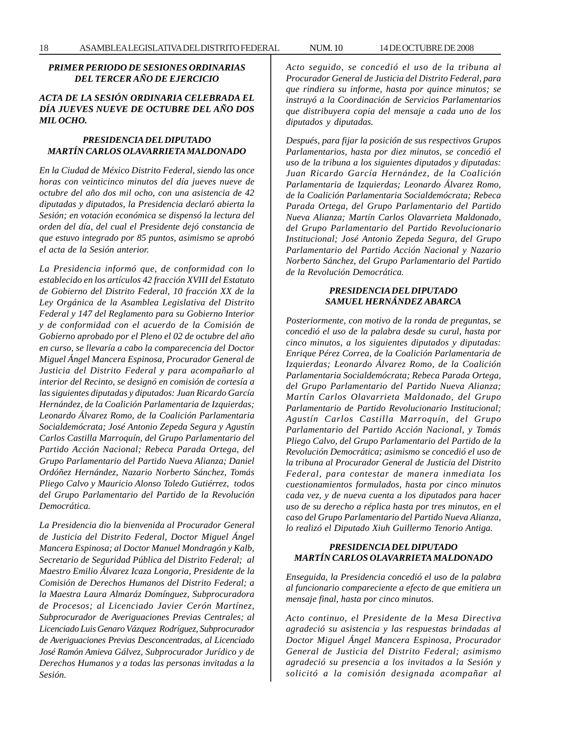# *PRIMER PERIODO DE SESIONES ORDINARIAS DEL TERCER AÑO DE EJERCICIO*

# *ACTA DE LA SESIÓN ORDINARIA CELEBRADA EL DÍA JUEVES NUEVE DE OCTUBRE DEL AÑO DOS MIL OCHO.*

# *PRESIDENCIA DEL DIPUTADO MARTÍN CARLOS OLAVARRIETA MALDONADO*

*En la Ciudad de México Distrito Federal, siendo las once horas con veinticinco minutos del día jueves nueve de octubre del año dos mil ocho, con una asistencia de 42 diputadas y diputados, la Presidencia declaró abierta la Sesión; en votación económica se dispensó la lectura del orden del día, del cual el Presidente dejó constancia de que estuvo integrado por 85 puntos, asimismo se aprobó el acta de la Sesión anterior.*

*La Presidencia informó que, de conformidad con lo establecido en los artículos 42 fracción XVIII del Estatuto de Gobierno del Distrito Federal, 10 fracción XX de la Ley Orgánica de la Asamblea Legislativa del Distrito Federal y 147 del Reglamento para su Gobierno Interior y de conformidad con el acuerdo de la Comisión de Gobierno aprobado por el Pleno el 02 de octubre del año en curso, se llevaría a cabo la comparecencia del Doctor Miguel Ángel Mancera Espinosa, Procurador General de Justicia del Distrito Federal y para acompañarlo al interior del Recinto, se designó en comisión de cortesía a las siguientes diputadas y diputados: Juan Ricardo García Hernández, de la Coalición Parlamentaria de Izquierdas; Leonardo Álvarez Romo, de la Coalición Parlamentaria Socialdemócrata; José Antonio Zepeda Segura y Agustín Carlos Castilla Marroquín, del Grupo Parlamentario del Partido Acción Nacional; Rebeca Parada Ortega, del Grupo Parlamentario del Partido Nueva Alianza; Daniel Ordóñez Hernández, Nazario Norberto Sánchez, Tomás Pliego Calvo y Mauricio Alonso Toledo Gutiérrez, todos del Grupo Parlamentario del Partido de la Revolución Democrática.*

*La Presidencia dio la bienvenida al Procurador General de Justicia del Distrito Federal, Doctor Miguel Ángel Mancera Espinosa; al Doctor Manuel Mondragón y Kalb, Secretario de Seguridad Pública del Distrito Federal; al Maestro Emilio Álvarez Icaza Longoria, Presidente de la Comisión de Derechos Humanos del Distrito Federal; a la Maestra Laura Almaráz Domínguez, Subprocuradora de Procesos; al Licenciado Javier Cerón Martínez, Subprocurador de Averiguaciones Previas Centrales; al Licenciado Luis Genaro Vázquez Rodríguez, Subprocurador de Averiguaciones Previas Desconcentradas, al Licenciado José Ramón Amieva Gálvez, Subprocurador Jurídico y de Derechos Humanos y a todas las personas invitadas a la Sesión.*

*Acto seguido, se concedió el uso de la tribuna al Procurador General de Justicia del Distrito Federal, para que rindiera su informe, hasta por quince minutos; se instruyó a la Coordinación de Servicios Parlamentarios que distribuyera copia del mensaje a cada uno de los diputados y diputadas.*

*Después, para fijar la posición de sus respectivos Grupos Parlamentarios, hasta por diez minutos, se concedió el uso de la tribuna a los siguientes diputados y diputadas: Juan Ricardo García Hernández, de la Coalición Parlamentaria de Izquierdas; Leonardo Álvarez Romo, de la Coalición Parlamentaria Socialdemócrata; Rebeca Parada Ortega, del Grupo Parlamentario del Partido Nueva Alianza; Martín Carlos Olavarrieta Maldonado, del Grupo Parlamentario del Partido Revolucionario Institucional; José Antonio Zepeda Segura, del Grupo Parlamentario del Partido Acción Nacional y Nazario Norberto Sánchez, del Grupo Parlamentario del Partido de la Revolución Democrática.*

# *PRESIDENCIA DEL DIPUTADO SAMUEL HERNÁNDEZ ABARCA*

*Posteriormente, con motivo de la ronda de preguntas, se concedió el uso de la palabra desde su curul, hasta por cinco minutos, a los siguientes diputados y diputadas: Enrique Pérez Correa, de la Coalición Parlamentaria de Izquierdas; Leonardo Álvarez Romo, de la Coalición Parlamentaria Socialdemócrata; Rebeca Parada Ortega, del Grupo Parlamentario del Partido Nueva Alianza; Martín Carlos Olavarrieta Maldonado, del Grupo Parlamentario de Partido Revolucionario Institucional; Agustín Carlos Castilla Marroquín, del Grupo Parlamentario del Partido Acción Nacional, y Tomás Pliego Calvo, del Grupo Parlamentario del Partido de la Revolución Democrática; asimismo se concedió el uso de la tribuna al Procurador General de Justicia del Distrito Federal, para contestar de manera inmediata los cuestionamientos formulados, hasta por cinco minutos cada vez, y de nueva cuenta a los diputados para hacer uso de su derecho a réplica hasta por tres minutos, en el caso del Grupo Parlamentario del Partido Nueva Alianza, lo realizó el Diputado Xiuh Guillermo Tenorio Antiga.*

# *PRESIDENCIA DEL DIPUTADO MARTÍN CARLOS OLAVARRIETA MALDONADO*

*Enseguida, la Presidencia concedió el uso de la palabra al funcionario compareciente a efecto de que emitiera un mensaje final, hasta por cinco minutos.*

*Acto continuo, el Presidente de la Mesa Directiva agradeció su asistencia y las respuestas brindadas al Doctor Miguel Ángel Mancera Espinosa, Procurador General de Justicia del Distrito Federal; asimismo agradeció su presencia a los invitados a la Sesión y solicitó a la comisión designada acompañar al*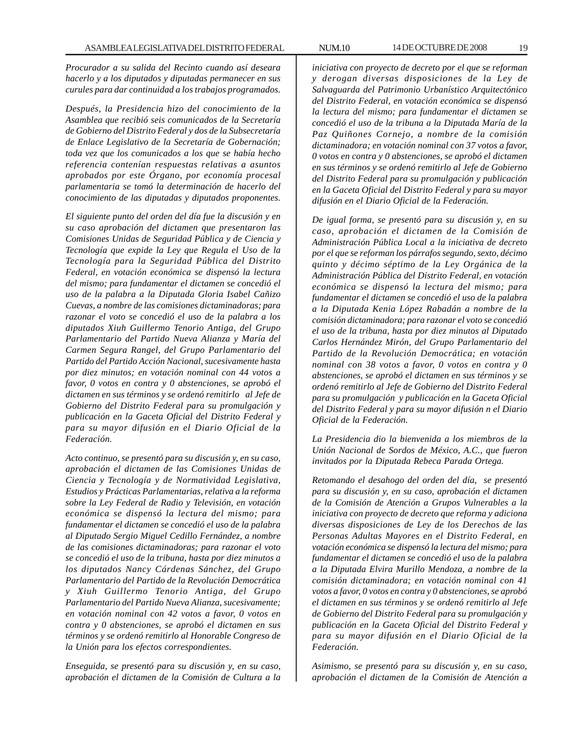*Procurador a su salida del Recinto cuando así deseara hacerlo y a los diputados y diputadas permanecer en sus curules para dar continuidad a los trabajos programados.*

*Después, la Presidencia hizo del conocimiento de la Asamblea que recibió seis comunicados de la Secretaría de Gobierno del Distrito Federal y dos de la Subsecretaría de Enlace Legislativo de la Secretaría de Gobernación; toda vez que los comunicados a los que se había hecho referencia contenían respuestas relativas a asuntos aprobados por este Órgano, por economía procesal parlamentaria se tomó la determinación de hacerlo del conocimiento de las diputadas y diputados proponentes.*

*El siguiente punto del orden del día fue la discusión y en su caso aprobación del dictamen que presentaron las Comisiones Unidas de Seguridad Pública y de Ciencia y Tecnología que expide la Ley que Regula el Uso de la Tecnología para la Seguridad Pública del Distrito Federal, en votación económica se dispensó la lectura del mismo; para fundamentar el dictamen se concedió el uso de la palabra a la Diputada Gloria Isabel Cañizo Cuevas, a nombre de las comisiones dictaminadoras; para razonar el voto se concedió el uso de la palabra a los diputados Xiuh Guillermo Tenorio Antiga, del Grupo Parlamentario del Partido Nueva Alianza y María del Carmen Segura Rangel, del Grupo Parlamentario del Partido del Partido Acción Nacional, sucesivamente hasta por diez minutos; en votación nominal con 44 votos a favor, 0 votos en contra y 0 abstenciones, se aprobó el dictamen en sus términos y se ordenó remitirlo al Jefe de Gobierno del Distrito Federal para su promulgación y publicación en la Gaceta Oficial del Distrito Federal y para su mayor difusión en el Diario Oficial de la Federación.*

*Acto continuo, se presentó para su discusión y, en su caso, aprobación el dictamen de las Comisiones Unidas de Ciencia y Tecnología y de Normatividad Legislativa, Estudios y Prácticas Parlamentarias, relativa a la reforma sobre la Ley Federal de Radio y Televisión, en votación económica se dispensó la lectura del mismo; para fundamentar el dictamen se concedió el uso de la palabra al Diputado Sergio Miguel Cedillo Fernández, a nombre de las comisiones dictaminadoras; para razonar el voto se concedió el uso de la tribuna, hasta por diez minutos a los diputados Nancy Cárdenas Sánchez, del Grupo Parlamentario del Partido de la Revolución Democrática y Xiuh Guillermo Tenorio Antiga, del Grupo Parlamentario del Partido Nueva Alianza, sucesivamente; en votación nominal con 42 votos a favor, 0 votos en contra y 0 abstenciones, se aprobó el dictamen en sus términos y se ordenó remitirlo al Honorable Congreso de la Unión para los efectos correspondientes.*

*Enseguida, se presentó para su discusión y, en su caso, aprobación el dictamen de la Comisión de Cultura a la* *iniciativa con proyecto de decreto por el que se reforman y derogan diversas disposiciones de la Ley de Salvaguarda del Patrimonio Urbanístico Arquitectónico del Distrito Federal, en votación económica se dispensó la lectura del mismo; para fundamentar el dictamen se concedió el uso de la tribuna a la Diputada María de la Paz Quiñones Cornejo, a nombre de la comisión dictaminadora; en votación nominal con 37 votos a favor, 0 votos en contra y 0 abstenciones, se aprobó el dictamen en sus términos y se ordenó remitirlo al Jefe de Gobierno del Distrito Federal para su promulgación y publicación en la Gaceta Oficial del Distrito Federal y para su mayor difusión en el Diario Oficial de la Federación.*

*De igual forma, se presentó para su discusión y, en su caso, aprobación el dictamen de la Comisión de Administración Pública Local a la iniciativa de decreto por el que se reforman los párrafos segundo, sexto, décimo quinto y décimo séptimo de la Ley Orgánica de la Administración Pública del Distrito Federal, en votación económica se dispensó la lectura del mismo; para fundamentar el dictamen se concedió el uso de la palabra a la Diputada Kenia López Rabadán a nombre de la comisión dictaminadora; para razonar el voto se concedió el uso de la tribuna, hasta por diez minutos al Diputado Carlos Hernández Mirón, del Grupo Parlamentario del Partido de la Revolución Democrática; en votación nominal con 38 votos a favor, 0 votos en contra y 0 abstenciones, se aprobó el dictamen en sus términos y se ordenó remitirlo al Jefe de Gobierno del Distrito Federal para su promulgación y publicación en la Gaceta Oficial del Distrito Federal y para su mayor difusión n el Diario Oficial de la Federación.*

*La Presidencia dio la bienvenida a los miembros de la Unión Nacional de Sordos de México, A.C., que fueron invitados por la Diputada Rebeca Parada Ortega.*

*Retomando el desahogo del orden del día, se presentó para su discusión y, en su caso, aprobación el dictamen de la Comisión de Atención a Grupos Vulnerables a la iniciativa con proyecto de decreto que reforma y adiciona diversas disposiciones de Ley de los Derechos de las Personas Adultas Mayores en el Distrito Federal, en votación económica se dispensó la lectura del mismo; para fundamentar el dictamen se concedió el uso de la palabra a la Diputada Elvira Murillo Mendoza, a nombre de la comisión dictaminadora; en votación nominal con 41 votos a favor, 0 votos en contra y 0 abstenciones, se aprobó el dictamen en sus términos y se ordenó remitirlo al Jefe de Gobierno del Distrito Federal para su promulgación y publicación en la Gaceta Oficial del Distrito Federal y para su mayor difusión en el Diario Oficial de la Federación.*

*Asimismo, se presentó para su discusión y, en su caso, aprobación el dictamen de la Comisión de Atención a*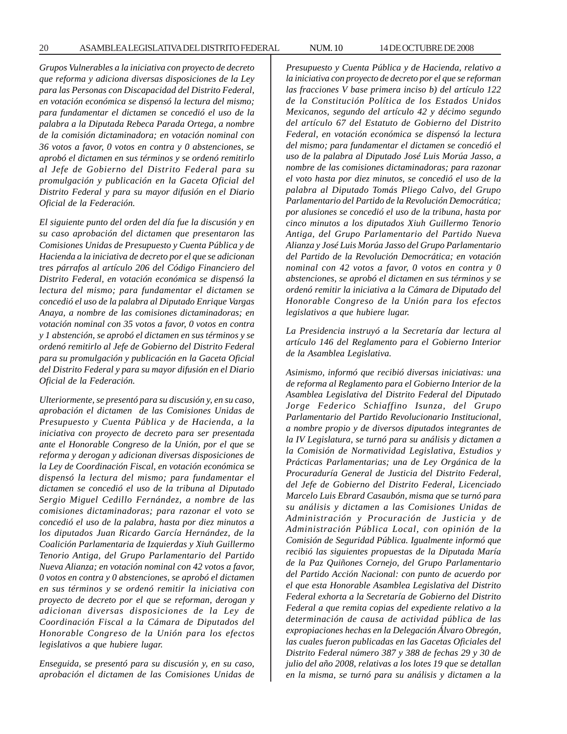*Grupos Vulnerables a la iniciativa con proyecto de decreto que reforma y adiciona diversas disposiciones de la Ley para las Personas con Discapacidad del Distrito Federal, en votación económica se dispensó la lectura del mismo; para fundamentar el dictamen se concedió el uso de la palabra a la Diputada Rebeca Parada Ortega, a nombre de la comisión dictaminadora; en votación nominal con 36 votos a favor, 0 votos en contra y 0 abstenciones, se aprobó el dictamen en sus términos y se ordenó remitirlo al Jefe de Gobierno del Distrito Federal para su promulgación y publicación en la Gaceta Oficial del Distrito Federal y para su mayor difusión en el Diario Oficial de la Federación.*

*El siguiente punto del orden del día fue la discusión y en su caso aprobación del dictamen que presentaron las Comisiones Unidas de Presupuesto y Cuenta Pública y de Hacienda a la iniciativa de decreto por el que se adicionan tres párrafos al artículo 206 del Código Financiero del Distrito Federal, en votación económica se dispensó la lectura del mismo; para fundamentar el dictamen se concedió el uso de la palabra al Diputado Enrique Vargas Anaya, a nombre de las comisiones dictaminadoras; en votación nominal con 35 votos a favor, 0 votos en contra y 1 abstención, se aprobó el dictamen en sus términos y se ordenó remitirlo al Jefe de Gobierno del Distrito Federal para su promulgación y publicación en la Gaceta Oficial del Distrito Federal y para su mayor difusión en el Diario Oficial de la Federación.*

*Ulteriormente, se presentó para su discusión y, en su caso, aprobación el dictamen de las Comisiones Unidas de Presupuesto y Cuenta Pública y de Hacienda, a la iniciativa con proyecto de decreto para ser presentada ante el Honorable Congreso de la Unión, por el que se reforma y derogan y adicionan diversas disposiciones de la Ley de Coordinación Fiscal, en votación económica se dispensó la lectura del mismo; para fundamentar el dictamen se concedió el uso de la tribuna al Diputado Sergio Miguel Cedillo Fernández, a nombre de las comisiones dictaminadoras; para razonar el voto se concedió el uso de la palabra, hasta por diez minutos a los diputados Juan Ricardo García Hernández, de la Coalición Parlamentaria de Izquierdas y Xiuh Guillermo Tenorio Antiga, del Grupo Parlamentario del Partido Nueva Alianza; en votación nominal con 42 votos a favor, 0 votos en contra y 0 abstenciones, se aprobó el dictamen en sus términos y se ordenó remitir la iniciativa con proyecto de decreto por el que se reforman, derogan y adicionan diversas disposiciones de la Ley de Coordinación Fiscal a la Cámara de Diputados del Honorable Congreso de la Unión para los efectos legislativos a que hubiere lugar.*

*Enseguida, se presentó para su discusión y, en su caso, aprobación el dictamen de las Comisiones Unidas de* *Presupuesto y Cuenta Pública y de Hacienda, relativo a la iniciativa con proyecto de decreto por el que se reforman las fracciones V base primera inciso b) del artículo 122 de la Constitución Política de los Estados Unidos Mexicanos, segundo del artículo 42 y décimo segundo del artículo 67 del Estatuto de Gobierno del Distrito Federal, en votación económica se dispensó la lectura del mismo; para fundamentar el dictamen se concedió el uso de la palabra al Diputado José Luis Morúa Jasso, a nombre de las comisiones dictaminadoras; para razonar el voto hasta por diez minutos, se concedió el uso de la palabra al Diputado Tomás Pliego Calvo, del Grupo Parlamentario del Partido de la Revolución Democrática; por alusiones se concedió el uso de la tribuna, hasta por cinco minutos a los diputados Xiuh Guillermo Tenorio Antiga, del Grupo Parlamentario del Partido Nueva Alianza y José Luis Morúa Jasso del Grupo Parlamentario del Partido de la Revolución Democrática; en votación nominal con 42 votos a favor, 0 votos en contra y 0 abstenciones, se aprobó el dictamen en sus términos y se ordenó remitir la iniciativa a la Cámara de Diputado del Honorable Congreso de la Unión para los efectos legislativos a que hubiere lugar.*

*La Presidencia instruyó a la Secretaría dar lectura al artículo 146 del Reglamento para el Gobierno Interior de la Asamblea Legislativa.*

*Asimismo, informó que recibió diversas iniciativas: una de reforma al Reglamento para el Gobierno Interior de la Asamblea Legislativa del Distrito Federal del Diputado Jorge Federico Schiaffino Isunza, del Grupo Parlamentario del Partido Revolucionario Institucional, a nombre propio y de diversos diputados integrantes de la IV Legislatura, se turnó para su análisis y dictamen a la Comisión de Normatividad Legislativa, Estudios y Prácticas Parlamentarias; una de Ley Orgánica de la Procuraduría General de Justicia del Distrito Federal, del Jefe de Gobierno del Distrito Federal, Licenciado Marcelo Luis Ebrard Casaubón, misma que se turnó para su análisis y dictamen a las Comisiones Unidas de Administración y Procuración de Justicia y de Administración Pública Local, con opinión de la Comisión de Seguridad Pública. Igualmente informó que recibió las siguientes propuestas de la Diputada María de la Paz Quiñones Cornejo, del Grupo Parlamentario del Partido Acción Nacional: con punto de acuerdo por el que esta Honorable Asamblea Legislativa del Distrito Federal exhorta a la Secretaría de Gobierno del Distrito Federal a que remita copias del expediente relativo a la determinación de causa de actividad pública de las expropiaciones hechas en la Delegación Álvaro Obregón, las cuales fueron publicadas en las Gacetas Oficiales del Distrito Federal número 387 y 388 de fechas 29 y 30 de julio del año 2008, relativas a los lotes 19 que se detallan en la misma, se turnó para su análisis y dictamen a la*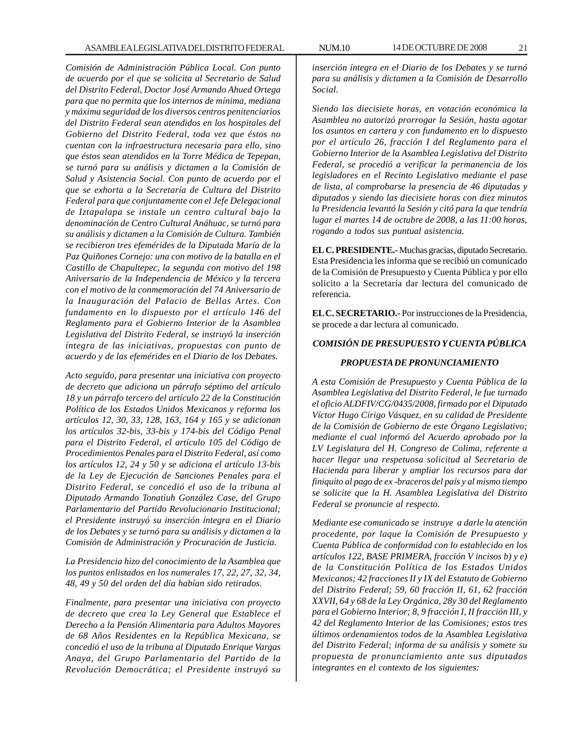*Comisión de Administración Pública Local. Con punto de acuerdo por el que se solicita al Secretario de Salud del Distrito Federal, Doctor José Armando Ahued Ortega para que no permita que los internos de mínima, mediana y máxima seguridad de los diversos centros penitenciarios del Distrito Federal sean atendidos en los hospitales del Gobierno del Distrito Federal, toda vez que éstos no cuentan con la infraestructura necesaria para ello, sino que éstos sean atendidos en la Torre Médica de Tepepan, se turnó para su análisis y dictamen a la Comisión de Salud y Asistencia Social. Con punto de acuerdo por el que se exhorta a la Secretaría de Cultura del Distrito Federal para que conjuntamente con el Jefe Delegacional de Iztapalapa se instale un centro cultural bajo la denominación de Centro Cultural Anáhuac, se turnó para su análisis y dictamen a la Comisión de Cultura. También se recibieron tres efemérides de la Diputada María de la Paz Quiñones Cornejo: una con motivo de la batalla en el Castillo de Chapultepec, la segunda con motivo del 198 Aniversario de la Independencia de México y la tercera con el motivo de la conmemoración del 74 Aniversario de la Inauguración del Palacio de Bellas Artes. Con fundamento en lo dispuesto por el artículo 146 del Reglamento para el Gobierno Interior de la Asamblea Legislativa del Distrito Federal, se instruyó la inserción íntegra de las iniciativas, propuestas con punto de acuerdo y de las efemérides en el Diario de los Debates.*

*Acto seguido, para presentar una iniciativa con proyecto de decreto que adiciona un párrafo séptimo del artículo 18 y un párrafo tercero del artículo 22 de la Constitución Política de los Estados Unidos Mexicanos y reforma los artículos 12, 30, 33, 128, 163, 164 y 165 y se adicionan los artículos 32-bis, 33-bis y 174-bis del Código Penal para el Distrito Federal, el artículo 105 del Código de Procedimientos Penales para el Distrito Federal, así como los artículos 12, 24 y 50 y se adiciona el artículo 13-bis de la Ley de Ejecución de Sanciones Penales para el Distrito Federal, se concedió el uso de la tribuna al Diputado Armando Tonatiuh González Case, del Grupo Parlamentario del Partido Revolucionario Institucional; el Presidente instruyó su inserción íntegra en el Diario de los Debates y se turnó para su análisis y dictamen a la Comisión de Administración y Procuración de Justicia.*

*La Presidencia hizo del conocimiento de la Asamblea que los puntos enlistados en los numerales 17, 22, 27, 32, 34, 48, 49 y 50 del orden del día habían sido retirados.*

*Finalmente, para presentar una iniciativa con proyecto de decreto que crea la Ley General que Establece el Derecho a la Pensión Alimentaria para Adultos Mayores de 68 Años Residentes en la República Mexicana, se concedió el uso de la tribuna al Diputado Enrique Vargas Anaya, del Grupo Parlamentario del Partido de la Revolución Democrática; el Presidente instruyó su*

*inserción íntegra en el Diario de los Debates y se turnó para su análisis y dictamen a la Comisión de Desarrollo Social.*

*Siendo las diecisiete horas, en votación económica la Asamblea no autorizó prorrogar la Sesión, hasta agotar los asuntos en cartera y con fundamento en lo dispuesto por el artículo 26, fracción I del Reglamento para el Gobierno Interior de la Asamblea Legislativa del Distrito Federal, se procedió a verificar la permanencia de los legisladores en el Recinto Legislativo mediante el pase de lista, al comprobarse la presencia de 46 diputadas y diputados y siendo las diecisiete horas con diez minutos la Presidencia levantó la Sesión y citó para la que tendría lugar el martes 14 de octubre de 2008, a las 11:00 horas, rogando a todos sus puntual asistencia.*

**EL C. PRESIDENTE.-** Muchas gracias, diputado Secretario. Esta Presidencia les informa que se recibió un comunicado de la Comisión de Presupuesto y Cuenta Pública y por ello solicito a la Secretaría dar lectura del comunicado de referencia.

**EL C. SECRETARIO.-** Por instrucciones de la Presidencia, se procede a dar lectura al comunicado.

# *COMISIÓN DE PRESUPUESTO Y CUENTA PÚBLICA*

# *PROPUESTA DE PRONUNCIAMIENTO*

*A esta Comisión de Presupuesto y Cuenta Pública de la Asamblea Legislativa del Distrito Federal, le fue turnado el oficio ALDFIV/CG/0435/2008, firmado por el Diputado Víctor Hugo Círigo Vásquez, en su calidad de Presidente de la Comisión de Gobierno de este Órgano Legislativo; mediante el cual informó del Acuerdo aprobado por la LV Legislatura del H. Congreso de Colima, referente a hacer llegar una respetuosa solicitud al Secretario de Hacienda para liberar y ampliar los recursos para dar finiquito al pago de ex -braceros del país y al mismo tiempo se solicite que la H. Asamblea Legislativa del Distrito Federal se pronuncie al respecto.*

*Mediante ese comunicado se instruye a darle la atención procedente, por laque la Comisión de Presupuesto y Cuenta Pública de conformidad con lo establecido en los artículos 122, BASE PRIMERA, fracción V incisos b) y e) de la Constitución Política de los Estados Unidos Mexicanos; 42 fracciones II y IX del Estatuto de Gobierno del Distrito Federal; 59, 60 fracción II, 61, 62 fracción XXVII, 64 y 68 de la Ley Orgánica, 28y 30 del Reglamento para el Gobierno Interior; 8, 9 fracción I, II fracción III, y 42 del Reglamento Interior de las Comisiones; estos tres últimos ordenamientos todos de la Asamblea Legislativa del Distrito Federal; informa de su análisis y somete su propuesta de pronunciamiento ante sus diputados integrantes en el contexto de los siguientes:*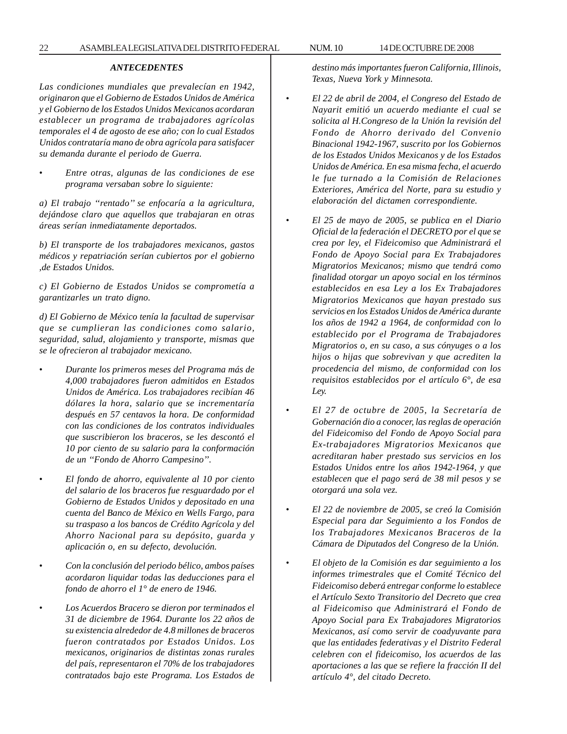# *ANTECEDENTES*

*Las condiciones mundiales que prevalecían en 1942, originaron que el Gobierno de Estados Unidos de América y el Gobierno de los Estados Unidos Mexicanos acordaran establecer un programa de trabajadores agrícolas temporales el 4 de agosto de ese año; con lo cual Estados Unidos contrataría mano de obra agrícola para satisfacer su demanda durante el periodo de Guerra.*

• *Entre otras, algunas de las condiciones de ese programa versaban sobre lo siguiente:*

*a) El trabajo ''rentado'' se enfocaría a la agricultura, dejándose claro que aquellos que trabajaran en otras áreas serían inmediatamente deportados.*

*b) El transporte de los trabajadores mexicanos, gastos médicos y repatriación serían cubiertos por el gobierno ,de Estados Unidos.*

*c) El Gobierno de Estados Unidos se comprometía a garantizarles un trato digno.*

*d) El Gobierno de México tenía la facultad de supervisar que se cumplieran las condiciones como salario, seguridad, salud, alojamiento y transporte, mismas que se le ofrecieron al trabajador mexicano.*

- *Durante los primeros meses del Programa más de 4,000 trabajadores fueron admitidos en Estados Unidos de América. Los trabajadores recibían 46 dólares la hora, salario que se incrementaría después en 57 centavos la hora. De conformidad con las condiciones de los contratos individuales que suscribieron los braceros, se les descontó el 10 por ciento de su salario para la conformación de un ''Fondo de Ahorro Campesino''.*
- *El fondo de ahorro, equivalente al 10 por ciento del salario de los braceros fue resguardado por el Gobierno de Estados Unidos y depositado en una cuenta del Banco de México en Wells Fargo, para su traspaso a los bancos de Crédito Agrícola y del Ahorro Nacional para su depósito, guarda y aplicación o, en su defecto, devolución.*
- *Con la conclusión del periodo bélico, ambos países acordaron liquidar todas las deducciones para el fondo de ahorro el 1° de enero de 1946.*
- *Los Acuerdos Bracero se dieron por terminados el 31 de diciembre de 1964. Durante los 22 años de su existencia alrededor de 4.8 millones de braceros fueron contratados por Estados Unidos. Los mexicanos, originarios de distintas zonas rurales del país, representaron el 70% de los trabajadores contratados bajo este Programa. Los Estados de*

*destino más importantes fueron California, Illinois, Texas, Nueva York y Minnesota.*

- *El 22 de abril de 2004, el Congreso del Estado de Nayarit emitió un acuerdo mediante el cual se solicita al H.Congreso de la Unión la revisión del Fondo de Ahorro derivado del Convenio Binacional 1942-1967, suscrito por los Gobiernos de los Estados Unidos Mexicanos y de los Estados Unidos de América. En esa misma fecha, el acuerdo le fue turnado a la Comisión de Relaciones Exteriores, América del Norte, para su estudio y elaboración del dictamen correspondiente.*
- *El 25 de mayo de 2005, se publica en el Diario Oficial de la federación el DECRETO por el que se crea por ley, el Fideicomiso que Administrará el Fondo de Apoyo Social para Ex Trabajadores Migratorios Mexicanos; mismo que tendrá como finalidad otorgar un apoyo social en los términos establecidos en esa Ley a los Ex Trabajadores Migratorios Mexicanos que hayan prestado sus servicios en los Estados Unidos de América durante los años de 1942 a 1964, de conformidad con lo establecido por el Programa de Trabajadores Migratorios o, en su caso, a sus cónyuges o a los hijos o hijas que sobrevivan y que acrediten la procedencia del mismo, de conformidad con los requisitos establecidos por el artículo 6°, de esa Ley.*
- *El 27 de octubre de 2005, la Secretaría de Gobernación dio a conocer, las reglas de operación del Fideicomiso del Fondo de Apoyo Social para Ex-trabajadores Migratorios Mexicanos que acreditaran haber prestado sus servicios en los Estados Unidos entre los años 1942-1964, y que establecen que el pago será de 38 mil pesos y se otorgará una sola vez.*
- *El 22 de noviembre de 2005, se creó la Comisión Especial para dar Seguimiento a los Fondos de los Trabajadores Mexicanos Braceros de la Cámara de Diputados del Congreso de la Unión.*
- *El objeto de la Comisión es dar seguimiento a los informes trimestrales que el Comité Técnico del Fideicomiso deberá entregar conforme lo establece el Artículo Sexto Transitorio del Decreto que crea al Fideicomiso que Administrará el Fondo de Apoyo Social para Ex Trabajadores Migratorios Mexicanos, así como servir de coadyuvante para que las entidades federativas y el Distrito Federal celebren con el fideicomiso, los acuerdos de las aportaciones a las que se refiere la fracción II del artículo 4°, del citado Decreto.*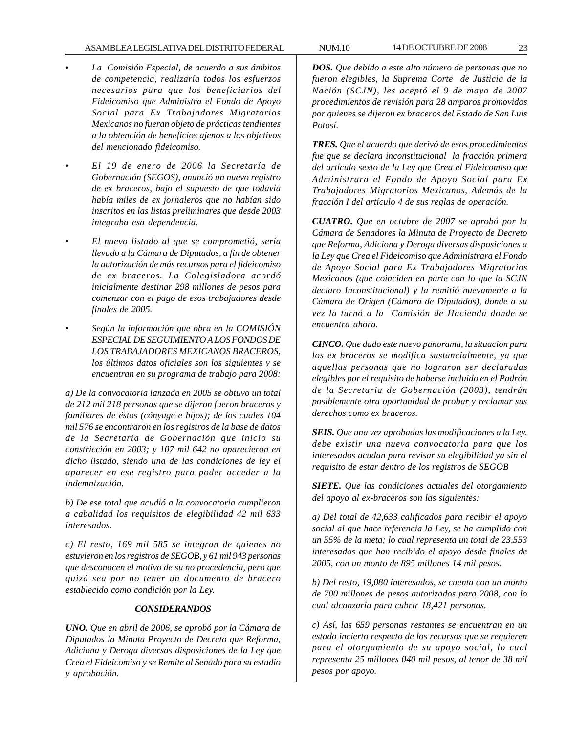- *La Comisión Especial, de acuerdo a sus ámbitos de competencia, realizaría todos los esfuerzos necesarios para que los beneficiarios del Fideicomiso que Administra el Fondo de Apoyo Social para Ex Trabajadores Migratorios Mexicanos no fueran objeto de prácticas tendientes a la obtención de beneficios ajenos a los objetivos del mencionado fideicomiso.*
- *El 19 de enero de 2006 la Secretaría de Gobernación (SEGOS), anunció un nuevo registro de ex braceros, bajo el supuesto de que todavía había miles de ex jornaleros que no habían sido inscritos en las listas preliminares que desde 2003 integraba esa dependencia.*
- *El nuevo listado al que se comprometió, sería llevado a la Cámara de Diputados, a fin de obtener la autorización de más recursos para el fideicomiso de ex braceros. La Colegisladora acordó inicialmente destinar 298 millones de pesos para comenzar con el pago de esos trabajadores desde finales de 2005.*
- *Según la información que obra en la COMISIÓN ESPECIAL DE SEGUIMIENTO A LOS FONDOS DE LOS TRABAJADORES MEXICANOS BRACEROS, los últimos datos oficiales son los siguientes y se encuentran en su programa de trabajo para 2008:*

*a) De la convocatoria lanzada en 2005 se obtuvo un total de 212 mil 218 personas que se dijeron fueron braceros y familiares de éstos (cónyuge e hijos); de los cuales 104 mil 576 se encontraron en los registros de la base de datos de la Secretaría de Gobernación que inicio su constricción en 2003; y 107 mil 642 no aparecieron en dicho listado, siendo una de las condiciones de ley el aparecer en ese registro para poder acceder a la indemnización.*

*b) De ese total que acudió a la convocatoria cumplieron a cabalidad los requisitos de elegibilidad 42 mil 633 interesados.*

*c) El resto, 169 mil 585 se integran de quienes no estuvieron en los registros de SEGOB, y 61 mil 943 personas que desconocen el motivo de su no procedencia, pero que quizá sea por no tener un documento de bracero establecido como condición por la Ley.*

# *CONSIDERANDOS*

*UNO. Que en abril de 2006, se aprobó por la Cámara de Diputados la Minuta Proyecto de Decreto que Reforma, Adiciona y Deroga diversas disposiciones de la Ley que Crea el Fideicomiso y se Remite al Senado para su estudio y aprobación.*

*DOS. Que debido a este alto número de personas que no fueron elegibles, la Suprema Corte de Justicia de la Nación (SCJN), les aceptó el 9 de mayo de 2007 procedimientos de revisión para 28 amparos promovidos por quienes se dijeron ex braceros del Estado de San Luis Potosí.*

*TRES. Que el acuerdo que derivó de esos procedimientos fue que se declara inconstitucional la fracción primera del artículo sexto de la Ley que Crea el Fideicomiso que Administrara el Fondo de Apoyo Social para Ex Trabajadores Migratorios Mexicanos, Además de la fracción I del artículo 4 de sus reglas de operación.*

*CUATRO. Que en octubre de 2007 se aprobó por la Cámara de Senadores la Minuta de Proyecto de Decreto que Reforma, Adiciona y Deroga diversas disposiciones a la Ley que Crea el Fideicomiso que Administrara el Fondo de Apoyo Social para Ex Trabajadores Migratorios Mexicanos (que coinciden en parte con lo que la SCJN declaro Inconstitucional) y la remitió nuevamente a la Cámara de Origen (Cámara de Diputados), donde a su vez la turnó a la Comisión de Hacienda donde se encuentra ahora.*

*CINCO. Que dado este nuevo panorama, la situación para los ex braceros se modifica sustancialmente, ya que aquellas personas que no lograron ser declaradas elegibles por el requisito de haberse incluido en el Padrón de la Secretaria de Gobernación (2003), tendrán posiblemente otra oportunidad de probar y reclamar sus derechos como ex braceros.*

*SEIS. Que una vez aprobadas las modificaciones a la Ley, debe existir una nueva convocatoria para que los interesados acudan para revisar su elegibilidad ya sin el requisito de estar dentro de los registros de SEGOB*

*SIETE. Que las condiciones actuales del otorgamiento del apoyo al ex-braceros son las siguientes:*

*a) Del total de 42,633 calificados para recibir el apoyo social al que hace referencia la Ley, se ha cumplido con un 55% de la meta; lo cual representa un total de 23,553 interesados que han recibido el apoyo desde finales de 2005, con un monto de 895 millones 14 mil pesos.*

*b) Del resto, 19,080 interesados, se cuenta con un monto de 700 millones de pesos autorizados para 2008, con lo cual alcanzaría para cubrir 18,421 personas.*

*c) Así, las 659 personas restantes se encuentran en un estado incierto respecto de los recursos que se requieren para el otorgamiento de su apoyo social, lo cual representa 25 millones 040 mil pesos, al tenor de 38 mil pesos por apoyo.*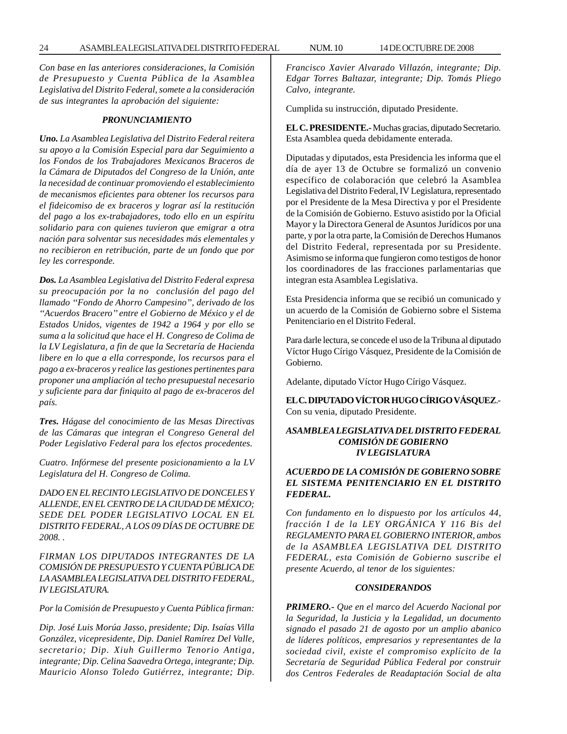*Con base en las anteriores consideraciones, la Comisión de Presupuesto y Cuenta Pública de la Asamblea Legislativa del Distrito Federal, somete a la consideración de sus integrantes la aprobación del siguiente:*

#### *PRONUNCIAMIENTO*

*Uno. La Asamblea Legislativa del Distrito Federal reitera su apoyo a la Comisión Especial para dar Seguimiento a los Fondos de los Trabajadores Mexicanos Braceros de la Cámara de Diputados del Congreso de la Unión, ante la necesidad de continuar promoviendo el establecimiento de mecanismos eficientes para obtener los recursos para el fideicomiso de ex braceros y lograr así la restitución del pago a los ex-trabajadores, todo ello en un espíritu solidario para con quienes tuvieron que emigrar a otra nación para solventar sus necesidades más elementales y no recibieron en retribución, parte de un fondo que por ley les corresponde.*

*Dos. La Asamblea Legislativa del Distrito Federal expresa su preocupación por la no conclusión del pago del llamado ''Fondo de Ahorro Campesino'', derivado de los ''Acuerdos Bracero'' entre el Gobierno de México y el de Estados Unidos, vigentes de 1942 a 1964 y por ello se suma a la solicitud que hace el H. Congreso de Colima de la LV Legislatura, a fin de que la Secretaría de Hacienda libere en lo que a ella corresponde, los recursos para el pago a ex-braceros y realice las gestiones pertinentes para proponer una ampliación al techo presupuestal necesario y suficiente para dar finiquito al pago de ex-braceros del país.*

*Tres. Hágase del conocimiento de las Mesas Directivas de las Cámaras que integran el Congreso General del Poder Legislativo Federal para los efectos procedentes.*

*Cuatro. Infórmese del presente posicionamiento a la LV Legislatura del H. Congreso de Colima.*

*DADO EN EL RECINTO LEGISLATIVO DE DONCELES Y ALLENDE, EN EL CENTRO DE LA CIUDAD DE MÉXICO; SEDE DEL PODER LEGISLATIVO LOCAL EN EL DISTRITO FEDERAL, A LOS 09 DÍAS DE OCTUBRE DE 2008. .*

*FIRMAN LOS DIPUTADOS INTEGRANTES DE LA COMISIÓN DE PRESUPUESTO Y CUENTA PÚBLICA DE LA ASAMBLEA LEGISLATIVA DEL DISTRITO FEDERAL, IV LEGISLATURA.*

*Por la Comisión de Presupuesto y Cuenta Pública firman:*

*Dip. José Luis Morúa Jasso, presidente; Dip. Isaías Villa González, vicepresidente, Dip. Daniel Ramírez Del Valle, secretario; Dip. Xiuh Guillermo Tenorio Antiga, integrante; Dip. Celina Saavedra Ortega, integrante; Dip. Mauricio Alonso Toledo Gutiérrez, integrante; Dip.*

*Francisco Xavier Alvarado Villazón, integrante; Dip. Edgar Torres Baltazar, integrante; Dip. Tomás Pliego Calvo, integrante.*

Cumplida su instrucción, diputado Presidente.

**EL C. PRESIDENTE.-** Muchas gracias, diputado Secretario. Esta Asamblea queda debidamente enterada.

Diputadas y diputados, esta Presidencia les informa que el día de ayer 13 de Octubre se formalizó un convenio específico de colaboración que celebró la Asamblea Legislativa del Distrito Federal, IV Legislatura, representado por el Presidente de la Mesa Directiva y por el Presidente de la Comisión de Gobierno. Estuvo asistido por la Oficial Mayor y la Directora General de Asuntos Jurídicos por una parte, y por la otra parte, la Comisión de Derechos Humanos del Distrito Federal, representada por su Presidente. Asimismo se informa que fungieron como testigos de honor los coordinadores de las fracciones parlamentarias que integran esta Asamblea Legislativa.

Esta Presidencia informa que se recibió un comunicado y un acuerdo de la Comisión de Gobierno sobre el Sistema Penitenciario en el Distrito Federal.

Para darle lectura, se concede el uso de la Tribuna al diputado Víctor Hugo Círigo Vásquez, Presidente de la Comisión de Gobierno.

Adelante, diputado Víctor Hugo Círigo Vásquez.

**EL C. DIPUTADO VÍCTOR HUGO CÍRIGO VÁSQUEZ**.- Con su venia, diputado Presidente.

# *ASAMBLEA LEGISLATIVA DEL DISTRITO FEDERAL COMISIÓN DE GOBIERNO IV LEGISLATURA*

# *ACUERDO DE LA COMISIÓN DE GOBIERNO SOBRE EL SISTEMA PENITENCIARIO EN EL DISTRITO FEDERAL.*

*Con fundamento en lo dispuesto por los artículos 44, fracción I de la LEY ORGÁNICA Y 116 Bis del REGLAMENTO PARA EL GOBIERNO INTERIOR, ambos de la ASAMBLEA LEGISLATIVA DEL DISTRITO FEDERAL, esta Comisión de Gobierno suscribe el presente Acuerdo, al tenor de los siguientes:*

## *CONSIDERANDOS*

*PRIMERO.- Que en el marco del Acuerdo Nacional por la Seguridad, la Justicia y la Legalidad, un documento signado el pasado 21 de agosto por un amplio abanico de líderes políticos, empresarios y representantes de la sociedad civil, existe el compromiso explícito de la Secretaría de Seguridad Pública Federal por construir dos Centros Federales de Readaptación Social de alta*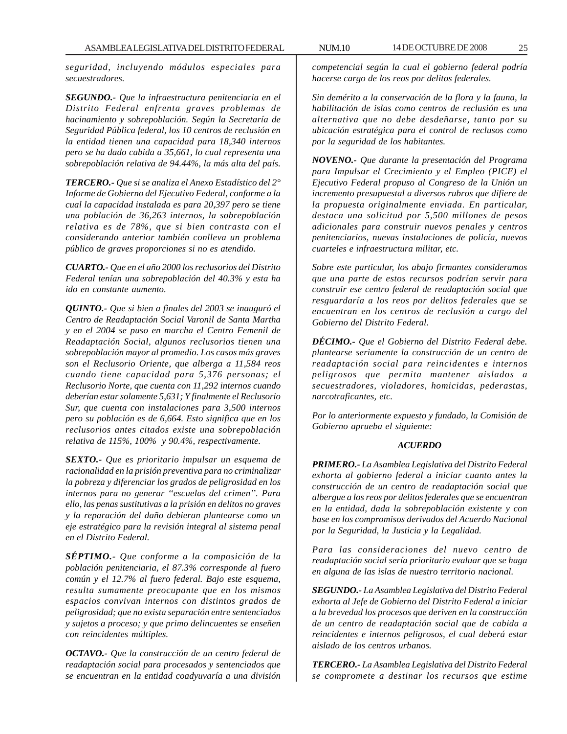*seguridad, incluyendo módulos especiales para secuestradores.*

*SEGUNDO.- Que la infraestructura penitenciaria en el Distrito Federal enfrenta graves problemas de hacinamiento y sobrepoblación. Según la Secretaría de Seguridad Pública federal, los 10 centros de reclusión en la entidad tienen una capacidad para 18,340 internos pero se ha dado cabida a 35,661, lo cual representa una sobrepoblación relativa de 94.44%, la más alta del país.*

*TERCERO.- Que si se analiza el Anexo Estadístico del 2° Informe de Gobierno del Ejecutivo Federal, conforme a la cual la capacidad instalada es para 20,397 pero se tiene una población de 36,263 internos, la sobrepoblación relativa es de 78%, que si bien contrasta con el considerando anterior también conlleva un problema público de graves proporciones si no es atendido.*

*CUARTO.- Que en el año 2000 los reclusorios del Distrito Federal tenían una sobrepoblación del 40.3% y esta ha ido en constante aumento.*

*QUINTO.- Que si bien a finales del 2003 se inauguró el Centro de Readaptación Social Varonil de Santa Martha y en el 2004 se puso en marcha el Centro Femenil de Readaptación Social, algunos reclusorios tienen una sobrepoblación mayor al promedio. Los casos más graves son el Reclusorio Oriente, que alberga a 11,584 reos cuando tiene capacidad para 5,376 personas; el Reclusorio Norte, que cuenta con 11,292 internos cuando deberían estar solamente 5,631; Y finalmente el Reclusorio Sur, que cuenta con instalaciones para 3,500 internos pero su población es de 6,664. Esto significa que en los reclusorios antes citados existe una sobrepoblación relativa de 115%, 100% y 90.4%, respectivamente.*

*SEXTO.- Que es prioritario impulsar un esquema de racionalidad en la prisión preventiva para no criminalizar la pobreza y diferenciar los grados de peligrosidad en los internos para no generar ''escuelas del crimen''. Para ello, las penas sustitutivas a la prisión en delitos no graves y la reparación del daño debieran plantearse como un eje estratégico para la revisión integral al sistema penal en el Distrito Federal.*

*SÉPTIMO.- Que conforme a la composición de la población penitenciaria, el 87.3% corresponde al fuero común y el 12.7% al fuero federal. Bajo este esquema, resulta sumamente preocupante que en los mismos espacios convivan internos con distintos grados de peligrosidad; que no exista separación entre sentenciados y sujetos a proceso; y que primo delincuentes se enseñen con reincidentes múltiples.*

*OCTAVO.- Que la construcción de un centro federal de readaptación social para procesados y sentenciados que se encuentran en la entidad coadyuvaría a una división* *competencial según la cual el gobierno federal podría hacerse cargo de los reos por delitos federales.*

*Sin demérito a la conservación de la flora y la fauna, la habilitación de islas como centros de reclusión es una alternativa que no debe desdeñarse, tanto por su ubicación estratégica para el control de reclusos como por la seguridad de los habitantes.*

*NOVENO.- Que durante la presentación del Programa para Impulsar el Crecimiento y el Empleo (PICE) el Ejecutivo Federal propuso al Congreso de la Unión un incremento presupuestal a diversos rubros que difiere de la propuesta originalmente enviada. En particular, destaca una solicitud por 5,500 millones de pesos adicionales para construir nuevos penales y centros penitenciarios, nuevas instalaciones de policía, nuevos cuarteles e infraestructura militar, etc.*

*Sobre este particular, los abajo firmantes consideramos que una parte de estos recursos podrían servir para construir ese centro federal de readaptación social que resguardaría a los reos por delitos federales que se encuentran en los centros de reclusión a cargo del Gobierno del Distrito Federal.*

*DÉCIMO.- Que el Gobierno del Distrito Federal debe. plantearse seriamente la construcción de un centro de readaptación social para reincidentes e internos peligrosos que permita mantener aislados a secuestradores, violadores, homicidas, pederastas, narcotraficantes, etc.*

*Por lo anteriormente expuesto y fundado, la Comisión de Gobierno aprueba el siguiente:*

# *ACUERDO*

*PRIMERO.- La Asamblea Legislativa del Distrito Federal exhorta al gobierno federal a iniciar cuanto antes la construcción de un centro de readaptación social que albergue a los reos por delitos federales que se encuentran en la entidad, dada la sobrepoblación existente y con base en los compromisos derivados del Acuerdo Nacional por la Seguridad, la Justicia y la Legalidad.*

*Para las consideraciones del nuevo centro de readaptación social sería prioritario evaluar que se haga en alguna de las islas de nuestro territorio nacional.*

*SEGUNDO.- La Asamblea Legislativa del Distrito Federal exhorta al Jefe de Gobierno del Distrito Federal a iniciar a la brevedad los procesos que deriven en la construcción de un centro de readaptación social que de cabida a reincidentes e internos peligrosos, el cual deberá estar aislado de los centros urbanos.*

*TERCERO.- La Asamblea Legislativa del Distrito Federal se compromete a destinar los recursos que estime*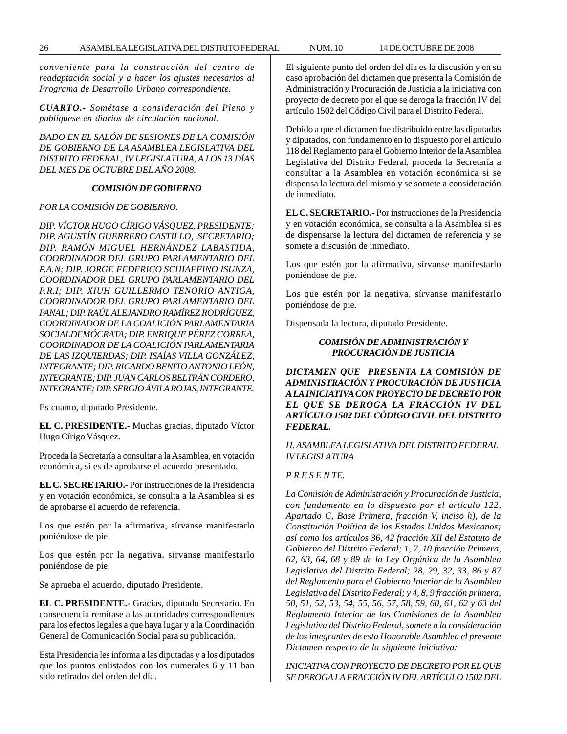*conveniente para la construcción del centro de readaptación social y a hacer los ajustes necesarios al Programa de Desarrollo Urbano correspondiente.*

*CUARTO.- Sométase a consideración del Pleno y publíquese en diarios de circulación nacional.*

*DADO EN EL SALÓN DE SESIONES DE LA COMISIÓN DE GOBIERNO DE LA ASAMBLEA LEGISLATIVA DEL DISTRITO FEDERAL, IV LEGISLATURA, A LOS 13 DÍAS DEL MES DE OCTUBRE DEL AÑO 2008.*

# *COMISIÓN DE GOBIERNO*

# *POR LA COMISIÓN DE GOBIERNO.*

*DIP. VÍCTOR HUGO CÍRIGO VÁSQUEZ, PRESIDENTE; DIP. AGUSTÍN GUERRERO CASTILLO, SECRETARIO; DIP. RAMÓN MIGUEL HERNÁNDEZ LABASTIDA, COORDINADOR DEL GRUPO PARLAMENTARIO DEL P.A.N; DIP. JORGE FEDERICO SCHIAFFINO ISUNZA, COORDINADOR DEL GRUPO PARLAMENTARIO DEL P.R.I; DIP. XIUH GUILLERMO TENORIO ANTIGA, COORDINADOR DEL GRUPO PARLAMENTARIO DEL PANAL; DIP. RAÚL ALEJANDRO RAMÍREZ RODRÍGUEZ, COORDINADOR DE LA COALICIÓN PARLAMENTARIA SOCIALDEMÓCRATA; DIP. ENRIQUE PÉREZ CORREA, COORDINADOR DE LA COALICIÓN PARLAMENTARIA DE LAS IZQUIERDAS; DIP. ISAÍAS VILLA GONZÁLEZ, INTEGRANTE; DIP. RICARDO BENITO ANTONIO LEÓN, INTEGRANTE; DIP. JUAN CARLOS BELTRÁN CORDERO, INTEGRANTE; DIP. SERGIO ÁVILA ROJAS, INTEGRANTE.*

Es cuanto, diputado Presidente.

**EL C. PRESIDENTE.-** Muchas gracias, diputado Víctor Hugo Círigo Vásquez.

Proceda la Secretaría a consultar a la Asamblea, en votación económica, si es de aprobarse el acuerdo presentado.

**EL C. SECRETARIO.-** Por instrucciones de la Presidencia y en votación económica, se consulta a la Asamblea si es de aprobarse el acuerdo de referencia.

Los que estén por la afirmativa, sírvanse manifestarlo poniéndose de pie.

Los que estén por la negativa, sírvanse manifestarlo poniéndose de pie.

Se aprueba el acuerdo, diputado Presidente.

**EL C. PRESIDENTE.-** Gracias, diputado Secretario. En consecuencia remítase a las autoridades correspondientes para los efectos legales a que haya lugar y a la Coordinación General de Comunicación Social para su publicación.

Esta Presidencia les informa a las diputadas y a los diputados que los puntos enlistados con los numerales 6 y 11 han sido retirados del orden del día.

El siguiente punto del orden del día es la discusión y en su caso aprobación del dictamen que presenta la Comisión de Administración y Procuración de Justicia a la iniciativa con proyecto de decreto por el que se deroga la fracción IV del artículo 1502 del Código Civil para el Distrito Federal.

Debido a que el dictamen fue distribuido entre las diputadas y diputados, con fundamento en lo dispuesto por el artículo 118 del Reglamento para el Gobierno Interior de la Asamblea Legislativa del Distrito Federal, proceda la Secretaría a consultar a la Asamblea en votación económica si se dispensa la lectura del mismo y se somete a consideración de inmediato.

**EL C. SECRETARIO.-** Por instrucciones de la Presidencia y en votación económica, se consulta a la Asamblea si es de dispensarse la lectura del dictamen de referencia y se somete a discusión de inmediato.

Los que estén por la afirmativa, sírvanse manifestarlo poniéndose de pie.

Los que estén por la negativa, sírvanse manifestarlo poniéndose de pie.

Dispensada la lectura, diputado Presidente.

# *COMISIÓN DE ADMINISTRACIÓN Y PROCURACIÓN DE JUSTICIA*

*DICTAMEN QUE PRESENTA LA COMISIÓN DE ADMINISTRACIÓN Y PROCURACIÓN DE JUSTICIA A LA INICIATIVA CON PROYECTO DE DECRETO POR EL QUE SE DEROGA LA FRACCIÓN IV DEL ARTÍCULO 1502 DEL CÓDIGO CIVIL DEL DISTRITO FEDERAL.*

*H. ASAMBLEA LEGISLATIVA DEL DISTRITO FEDERAL IV LEGISLATURA*

# *P R E S E N TE.*

*La Comisión de Administración y Procuración de Justicia, con fundamento en lo dispuesto por el artículo 122, Apartado C, Base Primera, fracción V, inciso h), de la Constitución Política de los Estados Unidos Mexicanos; así como los artículos 36, 42 fracción XII del Estatuto de Gobierno del Distrito Federal; 1, 7, 10 fracción Primera, 62, 63, 64, 68 y 89 de la Ley Orgánica de la Asamblea Legislativa del Distrito Federal; 28, 29, 32, 33, 86 y 87 del Reglamento para el Gobierno Interior de la Asamblea Legislativa del Distrito Federal; y 4, 8, 9 fracción primera, 50, 51, 52, 53, 54, 55, 56, 57, 58, 59, 60, 61, 62 y 63 del Reglamento Interior de las Comisiones de la Asamblea Legislativa del Distrito Federal, somete a la consideración de los integrantes de esta Honorable Asamblea el presente Dictamen respecto de la siguiente iniciativa:*

*INICIATIVA CON PROYECTO DE DECRETO POR EL QUE SE DEROGA LA FRACCIÓN IV DEL ARTÍCULO 1502 DEL*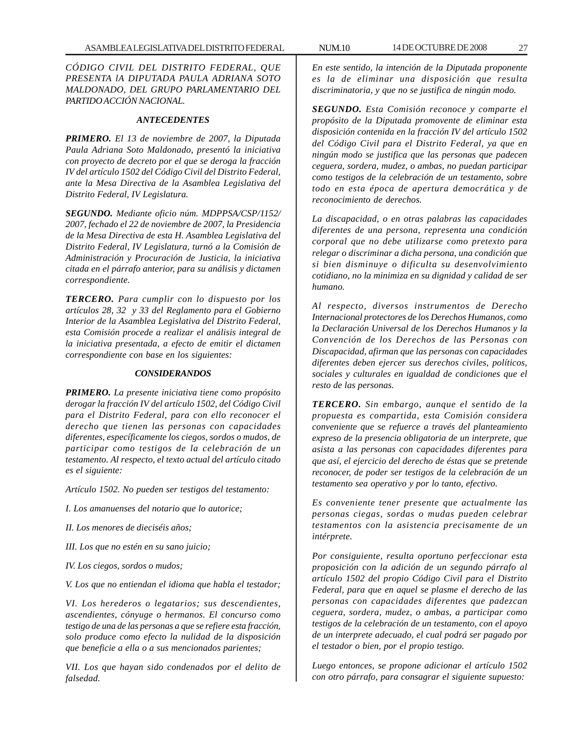*CÓDIGO CIVIL DEL DISTRITO FEDERAL, QUE PRESENTA lA DIPUTADA PAULA ADRIANA SOTO MALDONADO, DEL GRUPO PARLAMENTARIO DEL PARTIDO ACCIÓN NACIONAL.*

#### *ANTECEDENTES*

*PRIMERO. El 13 de noviembre de 2007, la Diputada Paula Adriana Soto Maldonado, presentó la iniciativa con proyecto de decreto por el que se deroga la fracción IV del artículo 1502 del Código Civil del Distrito Federal, ante la Mesa Directiva de la Asamblea Legislativa del Distrito Federal, IV Legislatura.*

*SEGUNDO. Mediante oficio núm. MDPPSA/CSP/1152/ 2007, fechado el 22 de noviembre de 2007, la Presidencia de la Mesa Directiva de esta H. Asamblea Legislativa del Distrito Federal, IV Legislatura, turnó a la Comisión de Administración y Procuración de Justicia, la iniciativa citada en el párrafo anterior, para su análisis y dictamen correspondiente.*

*TERCERO. Para cumplir con lo dispuesto por los artículos 28, 32 y 33 del Reglamento para el Gobierno Interior de la Asamblea Legislativa del Distrito Federal, esta Comisión procede a realizar el análisis integral de la iniciativa presentada, a efecto de emitir el dictamen correspondiente con base en los siguientes:*

#### *CONSIDERANDOS*

*PRIMERO. La presente iniciativa tiene como propósito derogar la fracción IV del artículo 1502, del Código Civil para el Distrito Federal, para con ello reconocer el derecho que tienen las personas con capacidades diferentes, específicamente los ciegos, sordos o mudos, de participar como testigos de la celebración de un testamento. Al respecto, el texto actual del artículo citado es el siguiente:*

*Artículo 1502. No pueden ser testigos del testamento:*

- *I. Los amanuenses del notario que lo autorice;*
- *II. Los menores de dieciséis años;*
- *III. Los que no estén en su sano juicio;*

*IV. Los ciegos, sordos o mudos;*

*V. Los que no entiendan el idioma que habla el testador;*

*VI. Los herederos o legatarios; sus descendientes, ascendientes, cónyuge o hermanos. El concurso como testigo de una de las personas a que se refiere esta fracción, solo produce como efecto la nulidad de la disposición que beneficie a ella o a sus mencionados parientes;*

*VII. Los que hayan sido condenados por el delito de falsedad.*

*En este sentido, la intención de la Diputada proponente es la de eliminar una disposición que resulta discriminatoria, y que no se justifica de ningún modo.*

*SEGUNDO. Esta Comisión reconoce y comparte el propósito de la Diputada promovente de eliminar esta disposición contenida en la fracción IV del artículo 1502 del Código Civil para el Distrito Federal, ya que en ningún modo se justifica que las personas que padecen ceguera, sordera, mudez, o ambas, no puedan participar como testigos de la celebración de un testamento, sobre todo en esta época de apertura democrática y de reconocimiento de derechos.*

*La discapacidad, o en otras palabras las capacidades diferentes de una persona, representa una condición corporal que no debe utilizarse como pretexto para relegar o discriminar a dicha persona, una condición que si bien disminuye o dificulta su desenvolvimiento cotidiano, no la minimiza en su dignidad y calidad de ser humano.*

*Al respecto, diversos instrumentos de Derecho Internacional protectores de los Derechos Humanos, como la Declaración Universal de los Derechos Humanos y la Convención de los Derechos de las Personas con Discapacidad, afirman que las personas con capacidades diferentes deben ejercer sus derechos civiles, políticos, sociales y culturales en igualdad de condiciones que el resto de las personas.*

*TERCERO. Sin embargo, aunque el sentido de la propuesta es compartida, esta Comisión considera conveniente que se refuerce a través del planteamiento expreso de la presencia obligatoria de un interprete, que asista a las personas con capacidades diferentes para que así, el ejercicio del derecho de éstas que se pretende reconocer, de poder ser testigos de la celebración de un testamento sea operativo y por lo tanto, efectivo.*

*Es conveniente tener presente que actualmente las personas ciegas, sordas o mudas pueden celebrar testamentos con la asistencia precisamente de un intérprete.*

*Por consiguiente, resulta oportuno perfeccionar esta proposición con la adición de un segundo párrafo al artículo 1502 del propio Código Civil para el Distrito Federal, para que en aquel se plasme el derecho de las personas con capacidades diferentes que padezcan ceguera, sordera, mudez, o ambas, a participar como testigos de la celebración de un testamento, con el apoyo de un interprete adecuado, el cual podrá ser pagado por el testador o bien, por el propio testigo.*

*Luego entonces, se propone adicionar el artículo 1502 con otro párrafo, para consagrar el siguiente supuesto:*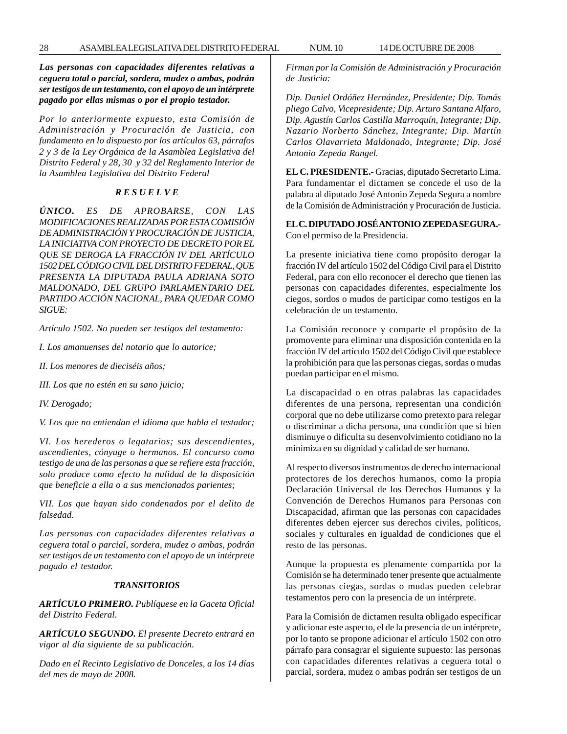*Las personas con capacidades diferentes relativas a ceguera total o parcial, sordera, mudez o ambas, podrán ser testigos de un testamento, con el apoyo de un intérprete pagado por ellas mismas o por el propio testador.*

*Por lo anteriormente expuesto, esta Comisión de Administración y Procuración de Justicia, con fundamento en lo dispuesto por los artículos 63, párrafos 2 y 3 de la Ley Orgánica de la Asamblea Legislativa del Distrito Federal y 28, 30 y 32 del Reglamento Interior de la Asamblea Legislativa del Distrito Federal*

#### *R E S U E L V E*

*ÚNICO. ES DE APROBARSE, CON LAS MODIFICACIONES REALIZADAS POR ESTA COMISIÓN DE ADMINISTRACIÓN Y PROCURACIÓN DE JUSTICIA, LA INICIATIVA CON PROYECTO DE DECRETO POR EL QUE SE DEROGA LA FRACCIÓN IV DEL ARTÍCULO 1502 DEL CÓDIGO CIVIL DEL DISTRITO FEDERAL, QUE PRESENTA LA DIPUTADA PAULA ADRIANA SOTO MALDONADO, DEL GRUPO PARLAMENTARIO DEL PARTIDO ACCIÓN NACIONAL, PARA QUEDAR COMO SIGUE:*

*Artículo 1502. No pueden ser testigos del testamento:*

*I. Los amanuenses del notario que lo autorice;*

*II. Los menores de dieciséis años;*

*III. Los que no estén en su sano juicio;*

*IV. Derogado;*

*V. Los que no entiendan el idioma que habla el testador;*

*VI. Los herederos o legatarios; sus descendientes, ascendientes, cónyuge o hermanos. El concurso como testigo de una de las personas a que se refiere esta fracción, solo produce como efecto la nulidad de la disposición que beneficie a ella o a sus mencionados parientes;*

*VII. Los que hayan sido condenados por el delito de falsedad.*

*Las personas con capacidades diferentes relativas a ceguera total o parcial, sordera, mudez o ambas, podrán ser testigos de un testamento con el apoyo de un intérprete pagado el testador.*

#### *TRANSITORIOS*

*ARTÍCULO PRIMERO. Publíquese en la Gaceta Oficial del Distrito Federal.*

*ARTÍCULO SEGUNDO. El presente Decreto entrará en vigor al día siguiente de su publicación.*

*Dado en el Recinto Legislativo de Donceles, a los 14 días del mes de mayo de 2008.*

*Firman por la Comisión de Administración y Procuración de Justicia:*

*Dip. Daniel Ordóñez Hernández, Presidente; Dip. Tomás pliego Calvo, Vicepresidente; Dip. Arturo Santana Alfaro, Dip. Agustín Carlos Castilla Marroquín, Integrante; Dip. Nazario Norberto Sánchez, Integrante; Dip. Martín Carlos Olavarrieta Maldonado, Integrante; Dip. José Antonio Zepeda Rangel.*

**EL C. PRESIDENTE.-** Gracias, diputado Secretario Lima. Para fundamentar el dictamen se concede el uso de la palabra al diputado José Antonio Zepeda Segura a nombre de la Comisión de Administración y Procuración de Justicia.

**EL C. DIPUTADO JOSÉ ANTONIO ZEPEDA SEGURA.-** Con el permiso de la Presidencia.

La presente iniciativa tiene como propósito derogar la fracción IV del artículo 1502 del Código Civil para el Distrito Federal, para con ello reconocer el derecho que tienen las personas con capacidades diferentes, especialmente los ciegos, sordos o mudos de participar como testigos en la celebración de un testamento.

La Comisión reconoce y comparte el propósito de la promovente para eliminar una disposición contenida en la fracción IV del artículo 1502 del Código Civil que establece la prohibición para que las personas ciegas, sordas o mudas puedan participar en el mismo.

La discapacidad o en otras palabras las capacidades diferentes de una persona, representan una condición corporal que no debe utilizarse como pretexto para relegar o discriminar a dicha persona, una condición que si bien disminuye o dificulta su desenvolvimiento cotidiano no la minimiza en su dignidad y calidad de ser humano.

Al respecto diversos instrumentos de derecho internacional protectores de los derechos humanos, como la propia Declaración Universal de los Derechos Humanos y la Convención de Derechos Humanos para Personas con Discapacidad, afirman que las personas con capacidades diferentes deben ejercer sus derechos civiles, políticos, sociales y culturales en igualdad de condiciones que el resto de las personas.

Aunque la propuesta es plenamente compartida por la Comisión se ha determinado tener presente que actualmente las personas ciegas, sordas o mudas pueden celebrar testamentos pero con la presencia de un intérprete.

Para la Comisión de dictamen resulta obligado especificar y adicionar este aspecto, el de la presencia de un intérprete, por lo tanto se propone adicionar el artículo 1502 con otro párrafo para consagrar el siguiente supuesto: las personas con capacidades diferentes relativas a ceguera total o parcial, sordera, mudez o ambas podrán ser testigos de un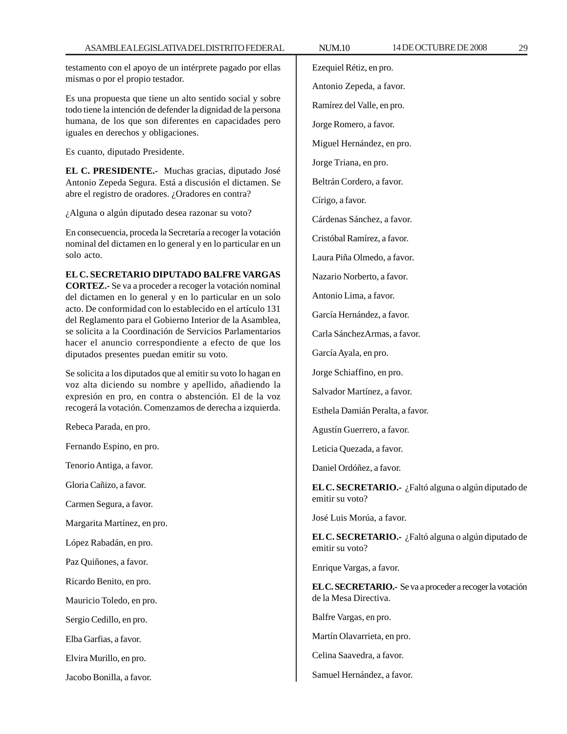testamento con el apoyo de un intérprete pagado por ellas mismas o por el propio testador.

Es una propuesta que tiene un alto sentido social y sobre todo tiene la intención de defender la dignidad de la persona humana, de los que son diferentes en capacidades pero iguales en derechos y obligaciones.

Es cuanto, diputado Presidente.

**EL C. PRESIDENTE.-** Muchas gracias, diputado José Antonio Zepeda Segura. Está a discusión el dictamen. Se abre el registro de oradores. ¿Oradores en contra?

¿Alguna o algún diputado desea razonar su voto?

En consecuencia, proceda la Secretaría a recoger la votación nominal del dictamen en lo general y en lo particular en un solo acto.

# **EL C. SECRETARIO DIPUTADO BALFRE VARGAS**

**CORTEZ.-** Se va a proceder a recoger la votación nominal del dictamen en lo general y en lo particular en un solo acto. De conformidad con lo establecido en el artículo 131 del Reglamento para el Gobierno Interior de la Asamblea, se solicita a la Coordinación de Servicios Parlamentarios hacer el anuncio correspondiente a efecto de que los diputados presentes puedan emitir su voto.

Se solicita a los diputados que al emitir su voto lo hagan en voz alta diciendo su nombre y apellido, añadiendo la expresión en pro, en contra o abstención. El de la voz recogerá la votación. Comenzamos de derecha a izquierda.

Rebeca Parada, en pro.

Fernando Espino, en pro.

Tenorio Antiga, a favor.

Gloria Cañizo, a favor.

Carmen Segura, a favor.

Margarita Martínez, en pro.

López Rabadán, en pro.

Paz Quiñones, a favor.

Ricardo Benito, en pro.

Mauricio Toledo, en pro.

Sergio Cedillo, en pro.

Elba Garfias, a favor.

Elvira Murillo, en pro.

Jacobo Bonilla, a favor.

Ezequiel Rétiz, en pro. Antonio Zepeda, a favor. Ramírez del Valle, en pro. Jorge Romero, a favor.

Miguel Hernández, en pro.

Jorge Triana, en pro.

Beltrán Cordero, a favor.

Círigo, a favor.

Cárdenas Sánchez, a favor.

Cristóbal Ramírez, a favor.

Laura Piña Olmedo, a favor.

Nazario Norberto, a favor.

Antonio Lima, a favor.

García Hernández, a favor.

Carla SánchezArmas, a favor.

García Ayala, en pro.

Jorge Schiaffino, en pro.

Salvador Martínez, a favor.

Esthela Damián Peralta, a favor.

Agustín Guerrero, a favor.

Leticia Quezada, a favor.

Daniel Ordóñez, a favor.

**EL C. SECRETARIO.-** ¿Faltó alguna o algún diputado de emitir su voto?

José Luis Morúa, a favor.

**EL C. SECRETARIO.-** ¿Faltó alguna o algún diputado de emitir su voto?

Enrique Vargas, a favor.

**EL C. SECRETARIO.-** Se va a proceder a recoger la votación de la Mesa Directiva.

Balfre Vargas, en pro.

Martín Olavarrieta, en pro.

Celina Saavedra, a favor.

Samuel Hernández, a favor.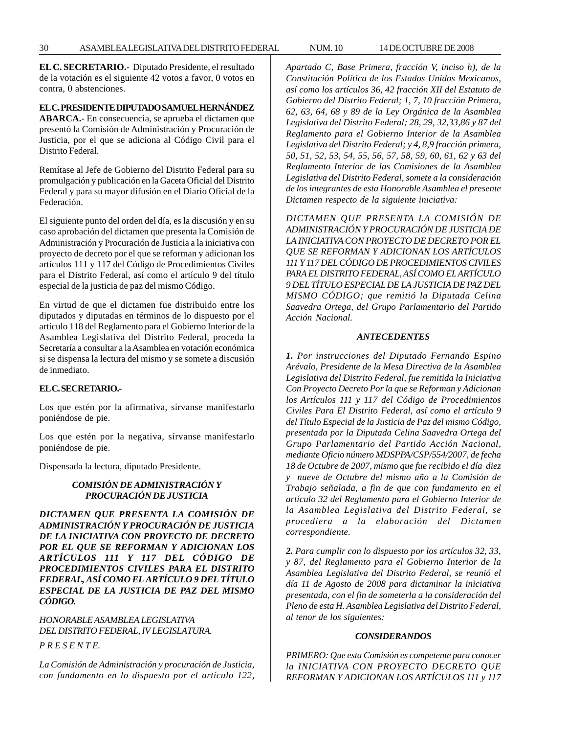**EL C. SECRETARIO.-** Diputado Presidente, el resultado de la votación es el siguiente 42 votos a favor, 0 votos en contra, 0 abstenciones.

#### **EL C. PRESIDENTE DIPUTADO SAMUEL HERNÁNDEZ**

**ABARCA.-** En consecuencia, se aprueba el dictamen que presentó la Comisión de Administración y Procuración de Justicia, por el que se adiciona al Código Civil para el Distrito Federal.

Remítase al Jefe de Gobierno del Distrito Federal para su promulgación y publicación en la Gaceta Oficial del Distrito Federal y para su mayor difusión en el Diario Oficial de la Federación.

El siguiente punto del orden del día, es la discusión y en su caso aprobación del dictamen que presenta la Comisión de Administración y Procuración de Justicia a la iniciativa con proyecto de decreto por el que se reforman y adicionan los artículos 111 y 117 del Código de Procedimientos Civiles para el Distrito Federal, así como el artículo 9 del título especial de la justicia de paz del mismo Código.

En virtud de que el dictamen fue distribuido entre los diputados y diputadas en términos de lo dispuesto por el artículo 118 del Reglamento para el Gobierno Interior de la Asamblea Legislativa del Distrito Federal, proceda la Secretaría a consultar a la Asamblea en votación económica si se dispensa la lectura del mismo y se somete a discusión de inmediato.

# **EL C. SECRETARIO.-**

Los que estén por la afirmativa, sírvanse manifestarlo poniéndose de pie.

Los que estén por la negativa, sírvanse manifestarlo poniéndose de pie.

Dispensada la lectura, diputado Presidente.

# *COMISIÓN DE ADMINISTRACIÓN Y PROCURACIÓN DE JUSTICIA*

*DICTAMEN QUE PRESENTA LA COMISIÓN DE ADMINISTRACIÓN Y PROCURACIÓN DE JUSTICIA DE LA INICIATIVA CON PROYECTO DE DECRETO POR EL QUE SE REFORMAN Y ADICIONAN LOS ARTÍCULOS 111 Y 117 DEL CÓDIGO DE PROCEDIMIENTOS CIVILES PARA EL DISTRITO FEDERAL, ASÍ COMO EL ARTÍCULO 9 DEL TÍTULO ESPECIAL DE LA JUSTICIA DE PAZ DEL MISMO CÓDIGO.*

*HONORABLE ASAMBLEA LEGISLATIVA DEL DISTRITO FEDERAL, IV LEGISLATURA.*

*P R E S E N T E.*

*La Comisión de Administración y procuración de Justicia, con fundamento en lo dispuesto por el artículo 122,* *Apartado C, Base Primera, fracción V, inciso h), de la Constitución Política de los Estados Unidos Mexicanos, así como los artículos 36, 42 fracción XII del Estatuto de Gobierno del Distrito Federal; 1, 7, 10 fracción Primera, 62, 63, 64, 68 y 89 de la Ley Orgánica de la Asamblea Legislativa del Distrito Federal; 28, 29, 32,33,86 y 87 del Reglamento para el Gobierno Interior de la Asamblea Legislativa del Distrito Federal; y 4, 8,9 fracción primera, 50, 51, 52, 53, 54, 55, 56, 57, 58, 59, 60, 61, 62 y 63 del Reglamento Interior de las Comisiones de la Asamblea Legislativa del Distrito Federal, somete a la consideración de los integrantes de esta Honorable Asamblea el presente Dictamen respecto de la siguiente iniciativa:*

*DICTAMEN QUE PRESENTA LA COMISIÓN DE ADMINISTRACIÓN Y PROCURACIÓN DE JUSTICIA DE LA INICIATIVA CON PROYECTO DE DECRETO POR EL QUE SE REFORMAN Y ADICIONAN LOS ARTÍCULOS 111 Y 117 DEL CÓDIGO DE PROCEDIMIENTOS CIVILES PARA EL DISTRITO FEDERAL, ASÍ COMO EL ARTÍCULO 9 DEL TÍTULO ESPECIAL DE LA JUSTICIA DE PAZ DEL MISMO CÓDIGO; que remitió la Diputada Celina Saavedra Ortega, del Grupo Parlamentario del Partido Acción Nacional.*

#### *ANTECEDENTES*

*1. Por instrucciones del Diputado Fernando Espino Arévalo, Presidente de la Mesa Directiva de la Asamblea Legislativa del Distrito Federal, fue remitida la Iniciativa Con Proyecto Decreto Por la que se Reforman y Adicionan los Artículos 111 y 117 del Código de Procedimientos Civiles Para El Distrito Federal, así como el artículo 9 del Título Especial de la Justicia de Paz del mismo Código, presentada por la Diputada Celina Saavedra Ortega del Grupo Parlamentario del Partido Acción Nacional, mediante Oficio número MDSPPA/CSP/554/2007, de fecha 18 de Octubre de 2007, mismo que fue recibido el día diez y nueve de Octubre del mismo año a la Comisión de Trabajo señalada, a fin de que con fundamento en el artículo 32 del Reglamento para el Gobierno Interior de la Asamblea Legislativa del Distrito Federal, se procediera a la elaboración del Dictamen correspondiente.*

*2. Para cumplir con lo dispuesto por los artículos 32, 33, y 87, del Reglamento para el Gobierno Interior de la Asamblea Legislativa del Distrito Federal, se reunió el día 11 de Agosto de 2008 para dictaminar la iniciativa presentada, con el fin de someterla a la consideración del Pleno de esta H. Asamblea Legislativa del Distrito Federal, al tenor de los siguientes:*

#### *CONSIDERANDOS*

*PRIMERO: Que esta Comisión es competente para conocer la INICIATIVA CON PROYECTO DECRETO QUE REFORMAN Y ADICIONAN LOS ARTÍCULOS 111 y 117*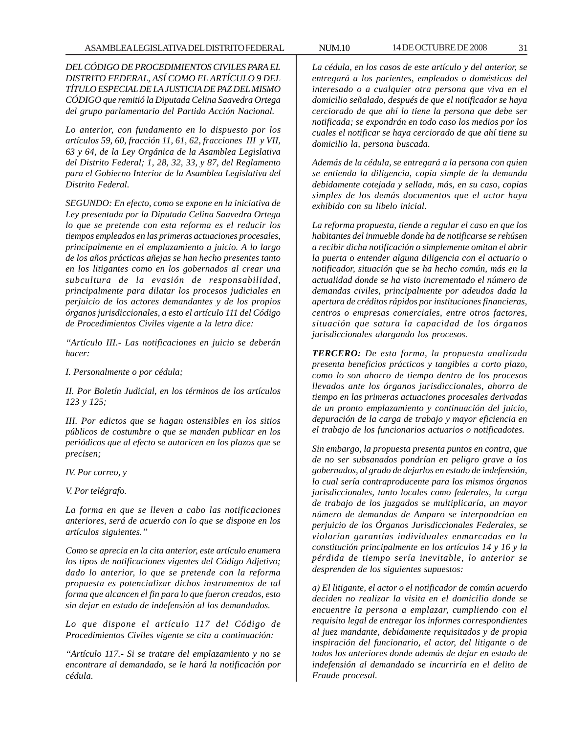*DEL CÓDIGO DE PROCEDIMIENTOS CIVILES PARA EL DISTRITO FEDERAL, ASÍ COMO EL ARTÍCULO 9 DEL TÍTULO ESPECIAL DE LA JUSTICIA DE PAZ DEL MISMO CÓDIGO que remitió la Diputada Celina Saavedra Ortega del grupo parlamentario del Partido Acción Nacional.*

*Lo anterior, con fundamento en lo dispuesto por los artículos 59, 60, fracción 11, 61, 62, fracciones III y VII, 63 y 64, de la Ley Orgánica de la Asamblea Legislativa del Distrito Federal; 1, 28, 32, 33, y 87, del Reglamento para el Gobierno Interior de la Asamblea Legislativa del Distrito Federal.*

*SEGUNDO: En efecto, como se expone en la iniciativa de Ley presentada por la Diputada Celina Saavedra Ortega lo que se pretende con esta reforma es el reducir los tiempos empleados en las primeras actuaciones procesales, principalmente en el emplazamiento a juicio. A lo largo de los años prácticas añejas se han hecho presentes tanto en los litigantes como en los gobernados al crear una subcultura de la evasión de responsabilidad, principalmente para dilatar los procesos judiciales en perjuicio de los actores demandantes y de los propios órganos jurisdiccionales, a esto el artículo 111 del Código de Procedimientos Civiles vigente a la letra dice:*

*''Artículo III.- Las notificaciones en juicio se deberán hacer:*

*I. Personalmente o por cédula;*

*II. Por Boletín Judicial, en los términos de los artículos 123 y 125;*

*III. Por edictos que se hagan ostensibles en los sitios públicos de costumbre o que se manden publicar en los periódicos que al efecto se autoricen en los plazos que se precisen;*

*IV. Por correo, y*

*V. Por telégrafo.*

*La forma en que se lleven a cabo las notificaciones anteriores, será de acuerdo con lo que se dispone en los artículos siguientes.''*

*Como se aprecia en la cita anterior, este artículo enumera los tipos de notificaciones vigentes del Código Adjetivo; dado lo anterior, lo que se pretende con la reforma propuesta es potencializar dichos instrumentos de tal forma que alcancen el fin para lo que fueron creados, esto sin dejar en estado de indefensión al los demandados.*

*Lo que dispone el artículo 117 del Código de Procedimientos Civiles vigente se cita a continuación:*

*''Artículo 117.- Si se tratare del emplazamiento y no se encontrare al demandado, se le hará la notificación por cédula.*

*La cédula, en los casos de este artículo y del anterior, se entregará a los parientes, empleados o domésticos del interesado o a cualquier otra persona que viva en el domicilio señalado, después de que el notificador se haya cerciorado de que ahí lo tiene la persona que debe ser notificada; se expondrán en todo caso los medios por los cuales el notificar se haya cerciorado de que ahí tiene su domicilio la, persona buscada.*

*Además de la cédula, se entregará a la persona con quien se entienda la diligencia, copia simple de la demanda debidamente cotejada y sellada, más, en su caso, copias simples de los demás documentos que el actor haya exhibido con su libelo inicial.*

*La reforma propuesta, tiende a regular el caso en que los habitantes del inmueble donde ha de notificarse se rehúsen a recibir dicha notificación o simplemente omitan el abrir la puerta o entender alguna diligencia con el actuario o notificador, situación que se ha hecho común, más en la actualidad donde se ha visto incrementado el número de demandas civiles, principalmente por adeudos dada la apertura de créditos rápidos por instituciones financieras, centros o empresas comerciales, entre otros factores, situación que satura la capacidad de los órganos jurisdiccionales alargando los procesos.*

*TERCERO: De esta forma, la propuesta analizada presenta beneficios prácticos y tangibles a corto plazo, como lo son ahorro de tiempo dentro de los procesos llevados ante los órganos jurisdiccionales, ahorro de tiempo en las primeras actuaciones procesales derivadas de un pronto emplazamiento y continuación del juicio, depuración de la carga de trabajo y mayor eficiencia en el trabajo de los funcionarios actuarios o notificadotes.*

*Sin embargo, la propuesta presenta puntos en contra, que de no ser subsanados pondrían en peligro grave a los gobernados, al grado de dejarlos en estado de indefensión, lo cual sería contraproducente para los mismos órganos jurisdiccionales, tanto locales como federales, la carga de trabajo de los juzgados se multiplicaría, un mayor número de demandas de Amparo se interpondrían en perjuicio de los Órganos Jurisdiccionales Federales, se violarían garantías individuales enmarcadas en la constitución principalmente en los artículos 14 y 16 y la pérdida de tiempo sería inevitable, lo anterior se desprenden de los siguientes supuestos:*

*a) El litigante, el actor o el notificador de común acuerdo deciden no realizar la visita en el domicilio donde se encuentre la persona a emplazar, cumpliendo con el requisito legal de entregar los informes correspondientes al juez mandante, debidamente requisitados y de propia inspiración del funcionario, el actor, del litigante o de todos los anteriores donde además de dejar en estado de indefensión al demandado se incurriría en el delito de Fraude procesal.*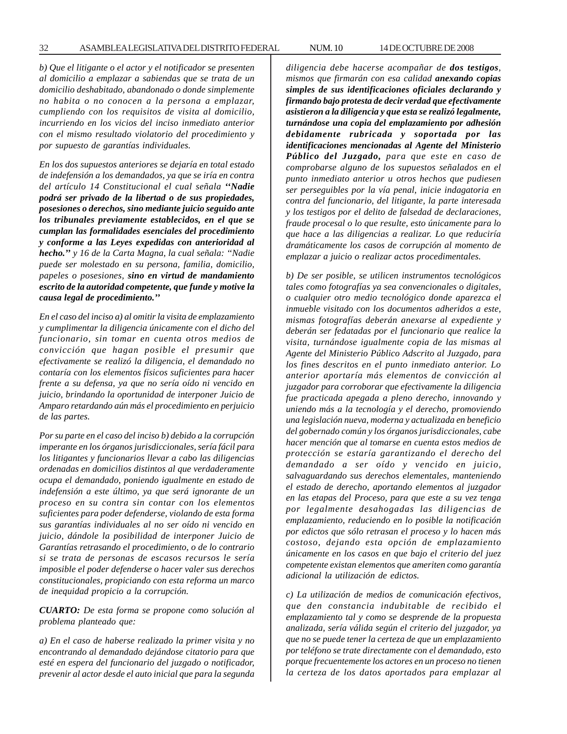*b) Que el litigante o el actor y el notificador se presenten al domicilio a emplazar a sabiendas que se trata de un domicilio deshabitado, abandonado o donde simplemente no habita o no conocen a la persona a emplazar, cumpliendo con los requisitos de visita al domicilio, incurriendo en los vicios del inciso inmediato anterior con el mismo resultado violatorio del procedimiento y por supuesto de garantías individuales.*

*En los dos supuestos anteriores se dejaría en total estado de indefensión a los demandados, ya que se iría en contra del artículo 14 Constitucional el cual señala ''Nadie podrá ser privado de la libertad o de sus propiedades, posesiones o derechos, sino mediante juicio seguido ante los tribunales previamente establecidos, en el que se cumplan las formalidades esenciales del procedimiento y conforme a las Leyes expedidas con anterioridad al hecho.'' y 16 de la Carta Magna, la cual señala: ''Nadie puede ser molestado en su persona, familia, domicilio, papeles o posesiones, sino en virtud de mandamiento escrito de la autoridad competente, que funde y motive la causa legal de procedimiento.''*

*En el caso del inciso a) al omitir la visita de emplazamiento y cumplimentar la diligencia únicamente con el dicho del funcionario, sin tomar en cuenta otros medios de convicción que hagan posible el presumir que efectivamente se realizó la diligencia, el demandado no contaría con los elementos físicos suficientes para hacer frente a su defensa, ya que no sería oído ni vencido en juicio, brindando la oportunidad de interponer Juicio de Amparo retardando aún más el procedimiento en perjuicio de las partes.*

*Por su parte en el caso del inciso b) debido a la corrupción imperante en los órganos jurisdiccionales, sería fácil para los litigantes y funcionarios llevar a cabo las diligencias ordenadas en domicilios distintos al que verdaderamente ocupa el demandado, poniendo igualmente en estado de indefensión a este último, ya que será ignorante de un proceso en su contra sin contar con los elementos suficientes para poder defenderse, violando de esta forma sus garantías individuales al no ser oído ni vencido en juicio, dándole la posibilidad de interponer Juicio de Garantías retrasando el procedimiento, o de lo contrario si se trata de personas de escasos recursos le sería imposible el poder defenderse o hacer valer sus derechos constitucionales, propiciando con esta reforma un marco de inequidad propicio a la corrupción.*

*CUARTO: De esta forma se propone como solución al problema planteado que:*

*a) En el caso de haberse realizado la primer visita y no encontrando al demandado dejándose citatorio para que esté en espera del funcionario del juzgado o notificador, prevenir al actor desde el auto inicial que para la segunda*

*diligencia debe hacerse acompañar de dos testigos, mismos que firmarán con esa calidad anexando copias simples de sus identificaciones oficiales declarando y firmando bajo protesta de decir verdad que efectivamente asistieron a la diligencia y que esta se realizó legalmente, turnándose una copia del emplazamiento por adhesión debidamente rubricada y soportada por las identificaciones mencionadas al Agente del Ministerio Público del Juzgado, para que este en caso de comprobarse alguno de los supuestos señalados en el punto inmediato anterior u otros hechos que pudiesen ser perseguibles por la vía penal, inicie indagatoria en contra del funcionario, del litigante, la parte interesada y los testigos por el delito de falsedad de declaraciones, fraude procesal o lo que resulte, esto únicamente para lo que hace a las diligencias a realizar. Lo que reduciría dramáticamente los casos de corrupción al momento de emplazar a juicio o realizar actos procedimentales.*

*b) De ser posible, se utilicen instrumentos tecnológicos tales como fotografías ya sea convencionales o digitales, o cualquier otro medio tecnológico donde aparezca el inmueble visitado con los documentos adheridos a este, mismas fotografías deberán anexarse al expediente y deberán ser fedatadas por el funcionario que realice la visita, turnándose igualmente copia de las mismas al Agente del Ministerio Público Adscrito al Juzgado, para los fines descritos en el punto inmediato anterior. Lo anterior aportaría más elementos de convicción al juzgador para corroborar que efectivamente la diligencia fue practicada apegada a pleno derecho, innovando y uniendo más a la tecnología y el derecho, promoviendo una legislación nueva, moderna y actualizada en beneficio del gobernado común y los órganos jurisdiccionales, cabe hacer mención que al tomarse en cuenta estos medios de protección se estaría garantizando el derecho del demandado a ser oído y vencido en juicio, salvaguardando sus derechos elementales, manteniendo el estado de derecho, aportando elementos al juzgador en las etapas del Proceso, para que este a su vez tenga por legalmente desahogadas las diligencias de emplazamiento, reduciendo en lo posible la notificación por edictos que sólo retrasan el proceso y lo hacen más costoso, dejando esta opción de emplazamiento únicamente en los casos en que bajo el criterio del juez competente existan elementos que ameriten como garantía adicional la utilización de edictos.*

*c) La utilización de medios de comunicación efectivos, que den constancia indubitable de recibido el emplazamiento tal y como se desprende de la propuesta analizada, sería válida según el criterio del juzgador, ya que no se puede tener la certeza de que un emplazamiento por teléfono se trate directamente con el demandado, esto porque frecuentemente los actores en un proceso no tienen la certeza de los datos aportados para emplazar al*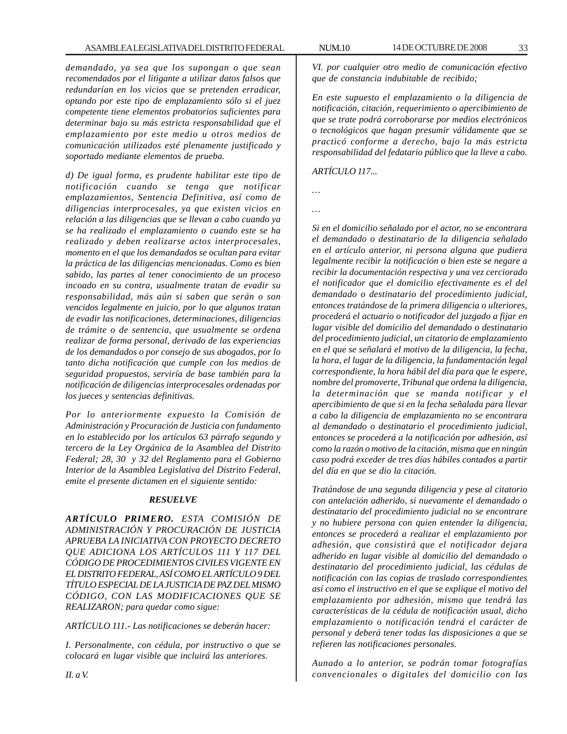*demandado, ya sea que los supongan o que sean recomendados por el litigante a utilizar datos falsos que redundarían en los vicios que se pretenden erradicar, optando por este tipo de emplazamiento sólo si el juez competente tiene elementos probatorios suficientes para determinar bajo su más estricta responsabilidad que el emplazamiento por este medio u otros medios de comunicación utilizados esté plenamente justificado y soportado mediante elementos de prueba.*

*d) De igual forma, es prudente habilitar este tipo de notificación cuando se tenga que notificar emplazamientos, Sentencia Definitiva, así como de diligencias interprocesales, ya que existen vicios en relación a las diligencias que se llevan a cabo cuando ya se ha realizado el emplazamiento o cuando este se ha realizado y deben realizarse actos interprocesales, momento en el que los demandados se ocultan para evitar la práctica de las diligencias mencionadas. Como es bien sabido, las partes al tener conocimiento de un proceso incoado en su contra, usualmente tratan de evadir su responsabilidad, más aún si saben que serán o son vencidos legalmente en juicio, por lo que algunos tratan de evadir las notificaciones, determinaciones, diligencias de trámite o de sentencia, que usualmente se ordena realizar de forma personal, derivado de las experiencias de los demandados o por consejo de sus abogados, por lo tanto dicha notificación que cumple con los medios de seguridad propuestos, serviría de base también para la notificación de diligencias interprocesales ordenadas por los jueces y sentencias definitivas.*

*Por lo anteriormente expuesto la Comisión de Administración y Procuración de Justicia con fundamento en lo establecido por los artículos 63 párrafo segundo y tercero de la Ley Orgánica de la Asamblea del Distrito Federal; 28, 30 y 32 del Reglamento para el Gobierno Interior de la Asamblea Legislativa del Distrito Federal, emite el presente dictamen en el siguiente sentido:*

# *RESUELVE*

*ARTÍCULO PRIMERO. ESTA COMISIÓN DE ADMINISTRACIÓN Y PROCURACIÓN DE JUSTICIA APRUEBA LA INICIATIVA CON PROYECTO DECRETO QUE ADICIONA LOS ARTÍCULOS 111 Y 117 DEL CÓDIGO DE PROCEDIMIENTOS CIVILES VIGENTE EN EL DISTRITO FEDERAL, ASÍ COMO EL ARTÍCULO 9 DEL TÍTULO ESPECIAL DE LA JUSTICIA DE PAZ DEL MISMO CÓDIGO, CON LAS MODIFICACIONES QUE SE REALIZARON; para quedar como sigue:*

*ARTÍCULO 111.- Las notificaciones se deberán hacer:*

*I. Personalmente, con cédula, por instructivo o que se colocará en lugar visible que incluirá las anteriores.*

*VI. por cualquier otro medio de comunicación efectivo que de constancia indubitable de recibido;*

*En este supuesto el emplazamiento o la diligencia de notificación, citación, requerimiento o apercibimiento de que se trate podrá corroborarse por medios electrónicos o tecnológicos que hagan presumir válidamente que se practicó conforme a derecho, bajo la más estricta responsabilidad del fedatario público que la lleve a cabo.*

*ARTÍCULO 117...*

*…*

*…*

*Si en el domicilio señalado por el actor, no se encontrara el demandado o destinatario de la diligencia señalado en el artículo anterior, ni persona alguna que pudiera legalmente recibir la notificación o bien este se negare a recibir la documentación respectiva y una vez cerciorado el notificador que el domicilio efectivamente es el del demandado o destinatario del procedimiento judicial, entonces tratándose de la primera diligencia o ulteriores, procederá el actuario o notificador del juzgado a fijar en lugar visible del domicilio del demandado o destinatario del procedimiento judicial, un citatorio de emplazamiento en el que se señalará el motivo de la diligencia, la fecha, la hora, el lugar de la diligencia, la fundamentación legal correspondiente, la hora hábil del día para que le espere, nombre del promoverte, Tribunal que ordena la diligencia, la determinación que se manda notificar y el apercibimiento de que si en la fecha señalada para llevar a cabo la diligencia de emplazamiento no se encontrara al demandado o destinatario el procedimiento judicial, entonces se procederá a la notificación por adhesión, así como la razón o motivo de la citación, misma que en ningún caso podrá exceder de tres días hábiles contados a partir del día en que se dio la citación.*

*Tratándose de una segunda diligencia y pese al citatorio con antelación adherido, si nuevamente el demandado o destinatario del procedimiento judicial no se encontrare y no hubiere persona con quien entender la diligencia, entonces se procederá a realizar el emplazamiento por adhesión, que consistirá que el notificador dejara adherido en lugar visible al domicilio del demandado o destinatario del procedimiento judicial, las cédulas de notificación con las copias de traslado correspondientes así como el instructivo en el que se explique el motivo del emplazamiento por adhesión, mismo que tendrá las características de la cédula de notificación usual, dicho emplazamiento o notificación tendrá el carácter de personal y deberá tener todas las disposiciones a que se refieren las notificaciones personales.*

*Aunado a lo anterior, se podrán tomar fotografías convencionales o digitales del domicilio con las*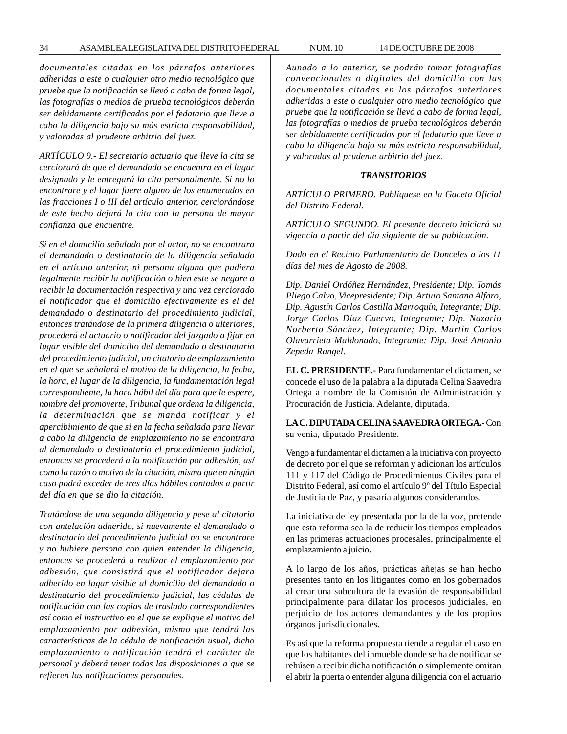*documentales citadas en los párrafos anteriores adheridas a este o cualquier otro medio tecnológico que pruebe que la notificación se llevó a cabo de forma legal, las fotografías o medios de prueba tecnológicos deberán ser debidamente certificados por el fedatario que lleve a cabo la diligencia bajo su más estricta responsabilidad, y valoradas al prudente arbitrio del juez.*

*ARTÍCULO 9.- El secretario actuario que lleve la cita se cerciorará de que el demandado se encuentra en el lugar designado y le entregará la cita personalmente. Si no lo encontrare y el lugar fuere alguno de los enumerados en las fracciones I o III del artículo anterior, cerciorándose de este hecho dejará la cita con la persona de mayor confianza que encuentre.*

*Si en el domicilio señalado por el actor, no se encontrara el demandado o destinatario de la diligencia señalado en el artículo anterior, ni persona alguna que pudiera legalmente recibir la notificación o bien este se negare a recibir la documentación respectiva y una vez cerciorado el notificador que el domicilio efectivamente es el del demandado o destinatario del procedimiento judicial, entonces tratándose de la primera diligencia o ulteriores, procederá el actuario o notificador del juzgado a fijar en lugar visible del domicilio del demandado o destinatario del procedimiento judicial, un citatorio de emplazamiento en el que se señalará el motivo de la diligencia, la fecha, la hora, el lugar de la diligencia, la fundamentación legal correspondiente, la hora hábil del día para que le espere, nombre del promoverte, Tribunal que ordena la diligencia, la determinación que se manda notificar y el apercibimiento de que si en la fecha señalada para llevar a cabo la diligencia de emplazamiento no se encontrara al demandado o destinatario el procedimiento judicial, entonces se procederá a la notificación por adhesión, así como la razón o motivo de la citación, misma que en ningún caso podrá exceder de tres días hábiles contados a partir del día en que se dio la citación.*

*Tratándose de una segunda diligencia y pese al citatorio con antelación adherido, si nuevamente el demandado o destinatario del procedimiento judicial no se encontrare y no hubiere persona con quien entender la diligencia, entonces se procederá a realizar el emplazamiento por adhesión, que consistirá que el notificador dejara adherido en lugar visible al domicilio del demandado o destinatario del procedimiento judicial, las cédulas de notificación con las copias de traslado correspondientes así como el instructivo en el que se explique el motivo del emplazamiento por adhesión, mismo que tendrá las características de la cédula de notificación usual, dicho emplazamiento o notificación tendrá el carácter de personal y deberá tener todas las disposiciones a que se refieren las notificaciones personales.*

*Aunado a lo anterior, se podrán tomar fotografías convencionales o digitales del domicilio con las documentales citadas en los párrafos anteriores adheridas a este o cualquier otro medio tecnológico que pruebe que la notificación se llevó a cabo de forma legal, las fotografías o medios de prueba tecnológicos deberán ser debidamente certificados por el fedatario que lleve a cabo la diligencia bajo su más estricta responsabilidad, y valoradas al prudente arbitrio del juez.*

#### *TRANSITORIOS*

*ARTÍCULO PRIMERO. Publíquese en la Gaceta Oficial del Distrito Federal.*

*ARTÍCULO SEGUNDO. El presente decreto iniciará su vigencia a partir del día siguiente de su publicación.*

*Dado en el Recinto Parlamentario de Donceles a los 11 días del mes de Agosto de 2008.*

*Dip. Daniel Ordóñez Hernández, Presidente; Dip. Tomás Pliego Calvo, Vicepresidente; Dip. Arturo Santana Alfaro, Dip. Agustín Carlos Castilla Marroquín, Integrante; Dip. Jorge Carlos Díaz Cuervo, Integrante; Dip. Nazario Norberto Sánchez, Integrante; Dip. Martín Carlos Olavarrieta Maldonado, Integrante; Dip. José Antonio Zepeda Rangel.*

**EL C. PRESIDENTE.-** Para fundamentar el dictamen, se concede el uso de la palabra a la diputada Celina Saavedra Ortega a nombre de la Comisión de Administración y Procuración de Justicia. Adelante, diputada.

**LA C. DIPUTADA CELINA SAAVEDRA ORTEGA.-** Con su venia, diputado Presidente.

Vengo a fundamentar el dictamen a la iniciativa con proyecto de decreto por el que se reforman y adicionan los artículos 111 y 117 del Código de Procedimientos Civiles para el Distrito Federal, así como el artículo 9º del Título Especial de Justicia de Paz, y pasaría algunos considerandos.

La iniciativa de ley presentada por la de la voz, pretende que esta reforma sea la de reducir los tiempos empleados en las primeras actuaciones procesales, principalmente el emplazamiento a juicio.

A lo largo de los años, prácticas añejas se han hecho presentes tanto en los litigantes como en los gobernados al crear una subcultura de la evasión de responsabilidad principalmente para dilatar los procesos judiciales, en perjuicio de los actores demandantes y de los propios órganos jurisdiccionales.

Es así que la reforma propuesta tiende a regular el caso en que los habitantes del inmueble donde se ha de notificar se rehúsen a recibir dicha notificación o simplemente omitan el abrir la puerta o entender alguna diligencia con el actuario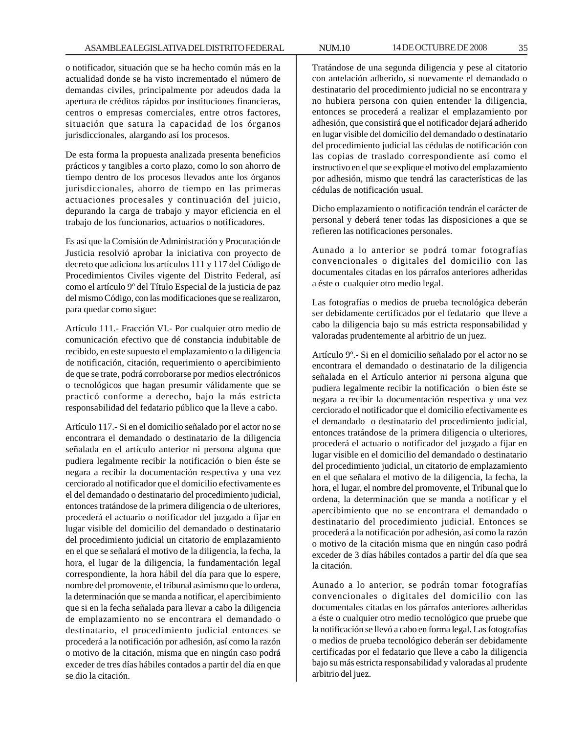o notificador, situación que se ha hecho común más en la actualidad donde se ha visto incrementado el número de demandas civiles, principalmente por adeudos dada la apertura de créditos rápidos por instituciones financieras, centros o empresas comerciales, entre otros factores, situación que satura la capacidad de los órganos jurisdiccionales, alargando así los procesos.

De esta forma la propuesta analizada presenta beneficios prácticos y tangibles a corto plazo, como lo son ahorro de tiempo dentro de los procesos llevados ante los órganos jurisdiccionales, ahorro de tiempo en las primeras actuaciones procesales y continuación del juicio, depurando la carga de trabajo y mayor eficiencia en el trabajo de los funcionarios, actuarios o notificadores.

Es así que la Comisión de Administración y Procuración de Justicia resolvió aprobar la iniciativa con proyecto de decreto que adiciona los artículos 111 y 117 del Código de Procedimientos Civiles vigente del Distrito Federal, así como el artículo 9º del Título Especial de la justicia de paz del mismo Código, con las modificaciones que se realizaron, para quedar como sigue:

Artículo 111.- Fracción VI.- Por cualquier otro medio de comunicación efectivo que dé constancia indubitable de recibido, en este supuesto el emplazamiento o la diligencia de notificación, citación, requerimiento o apercibimiento de que se trate, podrá corroborarse por medios electrónicos o tecnológicos que hagan presumir válidamente que se practicó conforme a derecho, bajo la más estricta responsabilidad del fedatario público que la lleve a cabo.

Artículo 117.- Si en el domicilio señalado por el actor no se encontrara el demandado o destinatario de la diligencia señalada en el artículo anterior ni persona alguna que pudiera legalmente recibir la notificación o bien éste se negara a recibir la documentación respectiva y una vez cerciorado al notificador que el domicilio efectivamente es el del demandado o destinatario del procedimiento judicial, entonces tratándose de la primera diligencia o de ulteriores, procederá el actuario o notificador del juzgado a fijar en lugar visible del domicilio del demandado o destinatario del procedimiento judicial un citatorio de emplazamiento en el que se señalará el motivo de la diligencia, la fecha, la hora, el lugar de la diligencia, la fundamentación legal correspondiente, la hora hábil del día para que lo espere, nombre del promovente, el tribunal asimismo que lo ordena, la determinación que se manda a notificar, el apercibimiento que si en la fecha señalada para llevar a cabo la diligencia de emplazamiento no se encontrara el demandado o destinatario, el procedimiento judicial entonces se procederá a la notificación por adhesión, así como la razón o motivo de la citación, misma que en ningún caso podrá exceder de tres días hábiles contados a partir del día en que se dio la citación.

Tratándose de una segunda diligencia y pese al citatorio con antelación adherido, si nuevamente el demandado o destinatario del procedimiento judicial no se encontrara y no hubiera persona con quien entender la diligencia, entonces se procederá a realizar el emplazamiento por adhesión, que consistirá que el notificador dejará adherido en lugar visible del domicilio del demandado o destinatario del procedimiento judicial las cédulas de notificación con las copias de traslado correspondiente así como el instructivo en el que se explique el motivo del emplazamiento por adhesión, mismo que tendrá las características de las cédulas de notificación usual.

Dicho emplazamiento o notificación tendrán el carácter de personal y deberá tener todas las disposiciones a que se refieren las notificaciones personales.

Aunado a lo anterior se podrá tomar fotografías convencionales o digitales del domicilio con las documentales citadas en los párrafos anteriores adheridas a éste o cualquier otro medio legal.

Las fotografías o medios de prueba tecnológica deberán ser debidamente certificados por el fedatario que lleve a cabo la diligencia bajo su más estricta responsabilidad y valoradas prudentemente al arbitrio de un juez.

Artículo 9º.- Si en el domicilio señalado por el actor no se encontrara el demandado o destinatario de la diligencia señalada en el Artículo anterior ni persona alguna que pudiera legalmente recibir la notificación o bien éste se negara a recibir la documentación respectiva y una vez cerciorado el notificador que el domicilio efectivamente es el demandado o destinatario del procedimiento judicial, entonces tratándose de la primera diligencia o ulteriores, procederá el actuario o notificador del juzgado a fijar en lugar visible en el domicilio del demandado o destinatario del procedimiento judicial, un citatorio de emplazamiento en el que señalara el motivo de la diligencia, la fecha, la hora, el lugar, el nombre del promovente, el Tribunal que lo ordena, la determinación que se manda a notificar y el apercibimiento que no se encontrara el demandado o destinatario del procedimiento judicial. Entonces se procederá a la notificación por adhesión, así como la razón o motivo de la citación misma que en ningún caso podrá exceder de 3 días hábiles contados a partir del día que sea la citación.

Aunado a lo anterior, se podrán tomar fotografías convencionales o digitales del domicilio con las documentales citadas en los párrafos anteriores adheridas a éste o cualquier otro medio tecnológico que pruebe que la notificación se llevó a cabo en forma legal. Las fotografías o medios de prueba tecnológico deberán ser debidamente certificadas por el fedatario que lleve a cabo la diligencia bajo su más estricta responsabilidad y valoradas al prudente arbitrio del juez.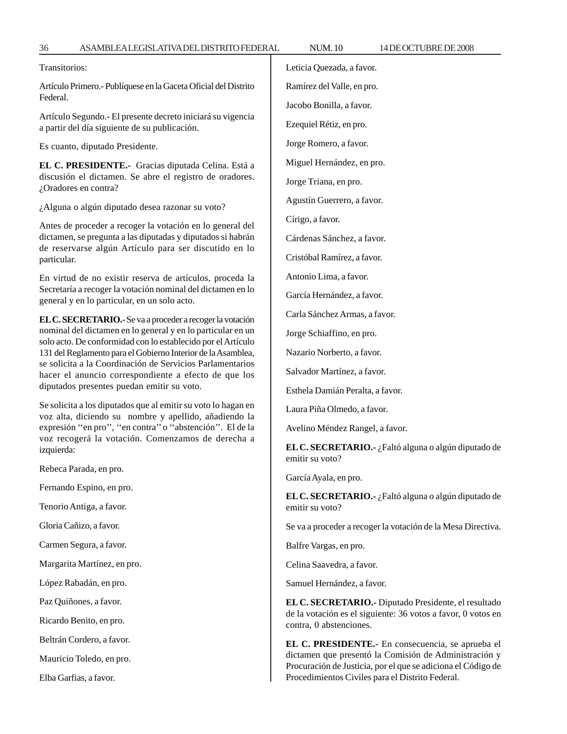Transitorios:

Artículo Primero.- Publíquese en la Gaceta Oficial del Distrito Federal.

Artículo Segundo.- El presente decreto iniciará su vigencia a partir del día siguiente de su publicación.

Es cuanto, diputado Presidente.

**EL C. PRESIDENTE.-** Gracias diputada Celina. Está a discusión el dictamen. Se abre el registro de oradores. ¿Oradores en contra?

¿Alguna o algún diputado desea razonar su voto?

Antes de proceder a recoger la votación en lo general del dictamen, se pregunta a las diputadas y diputados si habrán de reservarse algún Artículo para ser discutido en lo particular.

En virtud de no existir reserva de artículos, proceda la Secretaría a recoger la votación nominal del dictamen en lo general y en lo particular, en un solo acto.

**EL C. SECRETARIO.-** Se va a proceder a recoger la votación nominal del dictamen en lo general y en lo particular en un solo acto. De conformidad con lo establecido por el Artículo 131 del Reglamento para el Gobierno Interior de la Asamblea, se solicita a la Coordinación de Servicios Parlamentarios hacer el anuncio correspondiente a efecto de que los diputados presentes puedan emitir su voto.

Se solicita a los diputados que al emitir su voto lo hagan en voz alta, diciendo su nombre y apellido, añadiendo la expresión ''en pro'', ''en contra'' o ''abstención''. El de la voz recogerá la votación. Comenzamos de derecha a izquierda:

Rebeca Parada, en pro.

Fernando Espino, en pro.

Tenorio Antiga, a favor.

Gloria Cañizo, a favor.

Carmen Segura, a favor.

Margarita Martínez, en pro.

López Rabadán, en pro.

Paz Quiñones, a favor.

Ricardo Benito, en pro.

Beltrán Cordero, a favor.

Mauricio Toledo, en pro.

Elba Garfias, a favor.

Leticia Quezada, a favor.

Jacobo Bonilla, a favor.

Ezequiel Rétiz, en pro.

Miguel Hernández, en pro.

Jorge Triana, en pro.

Agustín Guerrero, a favor.

Círigo, a favor.

Cárdenas Sánchez, a favor.

Cristóbal Ramírez, a favor.

Antonio Lima, a favor.

García Hernández, a favor.

Carla Sánchez Armas, a favor.

Jorge Schiaffino, en pro.

Nazario Norberto, a favor.

Salvador Martínez, a favor.

Esthela Damián Peralta, a favor.

Laura Piña Olmedo, a favor.

Avelino Méndez Rangel, a favor.

**EL C. SECRETARIO.-** ¿Faltó alguna o algún diputado de emitir su voto?

García Ayala, en pro.

**EL C. SECRETARIO.-** ¿Faltó alguna o algún diputado de emitir su voto?

Se va a proceder a recoger la votación de la Mesa Directiva.

Balfre Vargas, en pro.

Celina Saavedra, a favor.

Samuel Hernández, a favor.

**EL C. SECRETARIO.-** Diputado Presidente, el resultado de la votación es el siguiente: 36 votos a favor, 0 votos en contra, 0 abstenciones.

**EL C. PRESIDENTE.-** En consecuencia, se aprueba el dictamen que presentó la Comisión de Administración y Procuración de Justicia, por el que se adiciona el Código de Procedimientos Civiles para el Distrito Federal.

Ramírez del Valle, en pro.

Jorge Romero, a favor.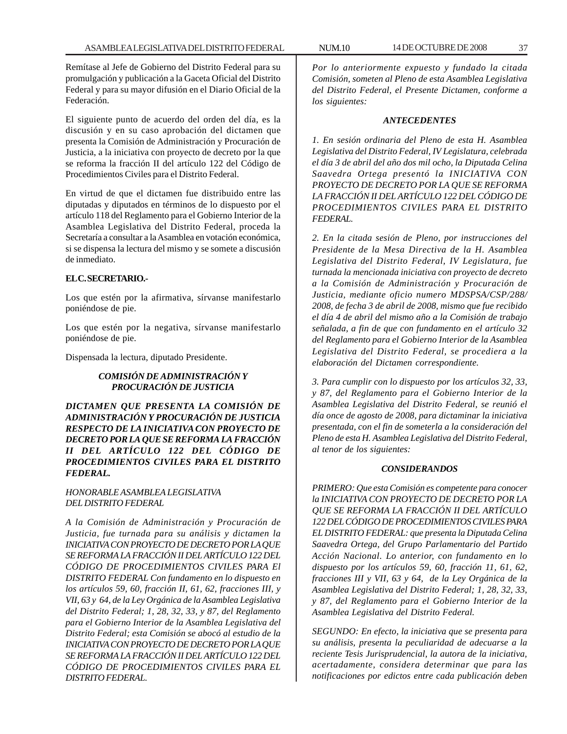Remítase al Jefe de Gobierno del Distrito Federal para su promulgación y publicación a la Gaceta Oficial del Distrito Federal y para su mayor difusión en el Diario Oficial de la Federación.

El siguiente punto de acuerdo del orden del día, es la discusión y en su caso aprobación del dictamen que presenta la Comisión de Administración y Procuración de Justicia, a la iniciativa con proyecto de decreto por la que se reforma la fracción II del artículo 122 del Código de Procedimientos Civiles para el Distrito Federal.

En virtud de que el dictamen fue distribuido entre las diputadas y diputados en términos de lo dispuesto por el artículo 118 del Reglamento para el Gobierno Interior de la Asamblea Legislativa del Distrito Federal, proceda la Secretaría a consultar a la Asamblea en votación económica, si se dispensa la lectura del mismo y se somete a discusión de inmediato.

## **EL C. SECRETARIO.-**

Los que estén por la afirmativa, sírvanse manifestarlo poniéndose de pie.

Los que estén por la negativa, sírvanse manifestarlo poniéndose de pie.

Dispensada la lectura, diputado Presidente.

# *COMISIÓN DE ADMINISTRACIÓN Y PROCURACIÓN DE JUSTICIA*

*DICTAMEN QUE PRESENTA LA COMISIÓN DE ADMINISTRACIÓN Y PROCURACIÓN DE JUSTICIA RESPECTO DE LA INICIATIVA CON PROYECTO DE DECRETO POR LA QUE SE REFORMA LA FRACCIÓN II DEL ARTÍCULO 122 DEL CÓDIGO DE PROCEDIMIENTOS CIVILES PARA EL DISTRITO FEDERAL.*

# *HONORABLE ASAMBLEA LEGISLATIVA DEL DISTRITO FEDERAL*

*A la Comisión de Administración y Procuración de Justicia, fue turnada para su análisis y dictamen la INICIATIVA CON PROYECTO DE DECRETO POR LA QUE SE REFORMA LA FRACCIÓN II DEL ARTÍCULO 122 DEL CÓDIGO DE PROCEDIMIENTOS CIVILES PARA El DISTRITO FEDERAL Con fundamento en lo dispuesto en los artículos 59, 60, fracción II, 61, 62, fracciones III, y VII, 63 y 64, de la Ley Orgánica de la Asamblea Legislativa del Distrito Federal; 1, 28, 32, 33, y 87, del Reglamento para el Gobierno Interior de la Asamblea Legislativa del Distrito Federal; esta Comisión se abocó al estudio de la INICIATIVA CON PROYECTO DE DECRETO POR LA QUE SE REFORMA LA FRACCIÓN II DEL ARTÍCULO 122 DEL CÓDIGO DE PROCEDIMIENTOS CIVILES PARA EL DISTRITO FEDERAL.*

*Por lo anteriormente expuesto y fundado la citada Comisión, someten al Pleno de esta Asamblea Legislativa del Distrito Federal, el Presente Dictamen, conforme a los siguientes:*

#### *ANTECEDENTES*

*1. En sesión ordinaria del Pleno de esta H. Asamblea Legislativa del Distrito Federal, IV Legislatura, celebrada el día 3 de abril del año dos mil ocho, la Diputada Celina Saavedra Ortega presentó la INICIATIVA CON PROYECTO DE DECRETO POR LA QUE SE REFORMA LA FRACCIÓN II DEL ARTÍCULO 122 DEL CÓDIGO DE PROCEDIMIENTOS CIVILES PARA EL DISTRITO FEDERAL.*

*2. En la citada sesión de Pleno, por instrucciones del Presidente de la Mesa Directiva de la H. Asamblea Legislativa del Distrito Federal, IV Legislatura, fue turnada la mencionada iniciativa con proyecto de decreto a la Comisión de Administración y Procuración de Justicia, mediante oficio numero MDSPSA/CSP/288/ 2008, de fecha 3 de abril de 2008, mismo que fue recibido el día 4 de abril del mismo año a la Comisión de trabajo señalada, a fin de que con fundamento en el artículo 32 del Reglamento para el Gobierno Interior de la Asamblea Legislativa del Distrito Federal, se procediera a la elaboración del Dictamen correspondiente.*

*3. Para cumplir con lo dispuesto por los artículos 32, 33, y 87, del Reglamento para el Gobierno Interior de la Asamblea Legislativa del Distrito Federal, se reunió el día once de agosto de 2008, para dictaminar la iniciativa presentada, con el fin de someterla a la consideración del Pleno de esta H. Asamblea Legislativa del Distrito Federal, al tenor de los siguientes:*

### *CONSIDERANDOS*

*PRIMERO: Que esta Comisión es competente para conocer la INICIATIVA CON PROYECTO DE DECRETO POR LA QUE SE REFORMA LA FRACCIÓN II DEL ARTÍCULO 122 DEL CÓDIGO DE PROCEDIMIENTOS CIVILES PARA EL DISTRITO FEDERAL: que presenta la Diputada Celina Saavedra Ortega, del Grupo Parlamentario del Partido Acción Nacional. Lo anterior, con fundamento en lo dispuesto por los artículos 59, 60, fracción 11, 61, 62, fracciones III y VII, 63 y 64, de la Ley Orgánica de la Asamblea Legislativa del Distrito Federal; 1, 28, 32, 33, y 87, del Reglamento para el Gobierno Interior de la Asamblea Legislativa del Distrito Federal.*

*SEGUNDO: En efecto, la iniciativa que se presenta para su análisis, presenta la peculiaridad de adecuarse a la reciente Tesis Jurisprudencial, la autora de la iniciativa, acertadamente, considera determinar que para las notificaciones por edictos entre cada publicación deben*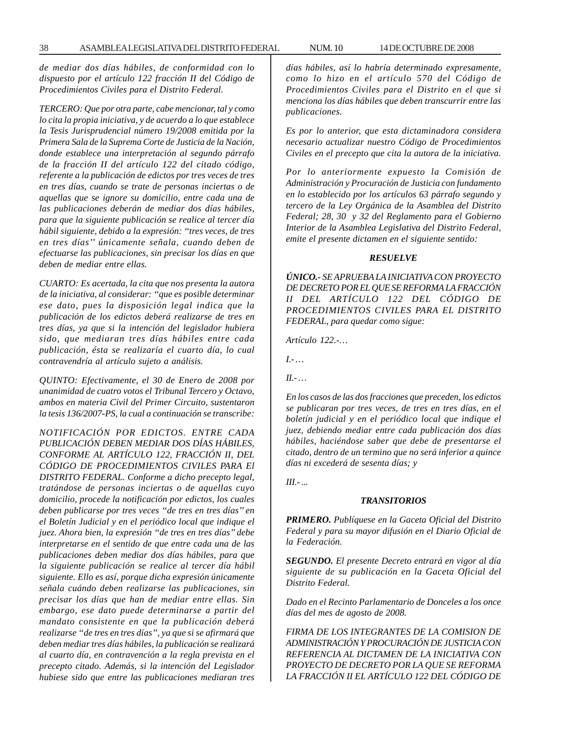*de mediar dos días hábiles, de conformidad con lo dispuesto por el artículo 122 fracción II del Código de Procedimientos Civiles para el Distrito Federal.*

*TERCERO: Que por otra parte, cabe mencionar, tal y como lo cita la propia iniciativa, y de acuerdo a lo que establece la Tesis Jurisprudencial número 19/2008 emitida por la Primera Sala de la Suprema Corte de Justicia de la Nación, donde establece una interpretación al segundo párrafo de la fracción II del artículo 122 del citado código, referente a la publicación de edictos por tres veces de tres en tres días, cuando se trate de personas inciertas o de aquellas que se ignore su domicilio, entre cada una de las publicaciones deberán de mediar dos días hábiles, para que la siguiente publicación se realice al tercer día hábil siguiente, debido a la expresión: ''tres veces, de tres en tres días'' únicamente señala, cuando deben de efectuarse las publicaciones, sin precisar los días en que deben de mediar entre ellas.*

*CUARTO: Es acertada, la cita que nos presenta la autora de la iniciativa, al considerar: ''que es posible determinar ese dato, pues la disposición legal indica que la publicación de los edictos deberá realizarse de tres en tres días, ya que si la intención del legislador hubiera sido, que mediaran tres días hábiles entre cada publicación, ésta se realizaría el cuarto día, lo cual contravendría al artículo sujeto a análisis.*

*QUINTO: Efectivamente, el 30 de Enero de 2008 por unanimidad de cuatro votos el Tribunal Tercero y Octavo, ambos en materia Civil del Primer Circuito, sustentaron la tesis 136/2007-PS, la cual a continuación se transcribe:*

*NOTIFICACIÓN POR EDICTOS. ENTRE CADA PUBLICACIÓN DEBEN MEDIAR DOS DÍAS HÁBILES, CONFORME AL ARTÍCULO 122, FRACCIÓN II, DEL CÓDIGO DE PROCEDIMIENTOS CIVILES PARA El DISTRITO FEDERAL. Conforme a dicho precepto legal, tratándose de personas inciertas o de aquellas cuyo domicilio, procede la notificación por edictos, los cuales deben publicarse por tres veces ''de tres en tres días'' en el Boletín Judicial y en el periódico local que indique el juez. Ahora bien, la expresión ''de tres en tres días'' debe interpretarse en el sentido de que entre cada una de las publicaciones deben mediar dos días hábiles, para que la siguiente publicación se realice al tercer día hábil siguiente. Ello es así, porque dicha expresión únicamente señala cuándo deben realizarse las publicaciones, sin precisar los días que han de mediar entre ellas. Sin embargo, ese dato puede determinarse a partir del mandato consistente en que la publicación deberá realizarse ''de tres en tres días'', ya que si se afirmará que deben mediar tres días hábiles, la publicación se realizará al cuarto día, en contravención a la regla prevista en el precepto citado. Además, si la intención del Legislador hubiese sido que entre las publicaciones mediaran tres*

*días hábiles, así lo habría determinado expresamente, como lo hizo en el artículo 570 del Código de Procedimientos Civiles para el Distrito en el que si menciona los días hábiles que deben transcurrir entre las publicaciones.*

*Es por lo anterior, que esta dictaminadora considera necesario actualizar nuestro Código de Procedimientos Civiles en el precepto que cita la autora de la iniciativa.*

*Por lo anteriormente expuesto la Comisión de Administración y Procuración de Justicia con fundamento en lo establecido por los artículos 63 párrafo segundo y tercero de la Ley Orgánica de la Asamblea del Distrito Federal; 28, 30 y 32 del Reglamento para el Gobierno Interior de la Asamblea Legislativa del Distrito Federal, emite el presente dictamen en el siguiente sentido:*

#### *RESUELVE*

*ÚNICO.- SE APRUEBA LA INICIATIVA CON PROYECTO DE DECRETO POR EL QUE SE REFORMA LA FRACCIÓN II DEL ARTÍCULO 122 DEL CÓDIGO DE PROCEDIMIENTOS CIVILES PARA EL DISTRITO FEDERAL, para quedar como sigue:*

*Artículo 122.-…*

*I.- …*

*II.- …*

*En los casos de las dos fracciones que preceden, los edictos se publicaran por tres veces, de tres en tres días, en el boletín judicial y en el periódico local que indique el juez, debiendo mediar entre cada publicación dos días hábiles, haciéndose saber que debe de presentarse el citado, dentro de un termino que no será inferior a quince días ni excederá de sesenta días; y*

*III.- ...*

#### *TRANSITORIOS*

*PRIMERO. Publíquese en la Gaceta Oficial del Distrito Federal y para su mayor difusión en el Diario Oficial de la Federación.*

*SEGUNDO. El presente Decreto entrará en vigor al día siguiente de su publicación en la Gaceta Oficial del Distrito Federal.*

*Dado en el Recinto Parlamentario de Donceles a los once días del mes de agosto de 2008.*

*FIRMA DE LOS INTEGRANTES DE LA COMISION DE ADMINISTRACIÓN Y PROCURACIÓN DE JUSTICIA CON REFERENCIA AL DICTAMEN DE LA INICIATIVA CON PROYECTO DE DECRETO POR LA QUE SE REFORMA LA FRACCIÓN II EL ARTÍCULO 122 DEL CÓDIGO DE*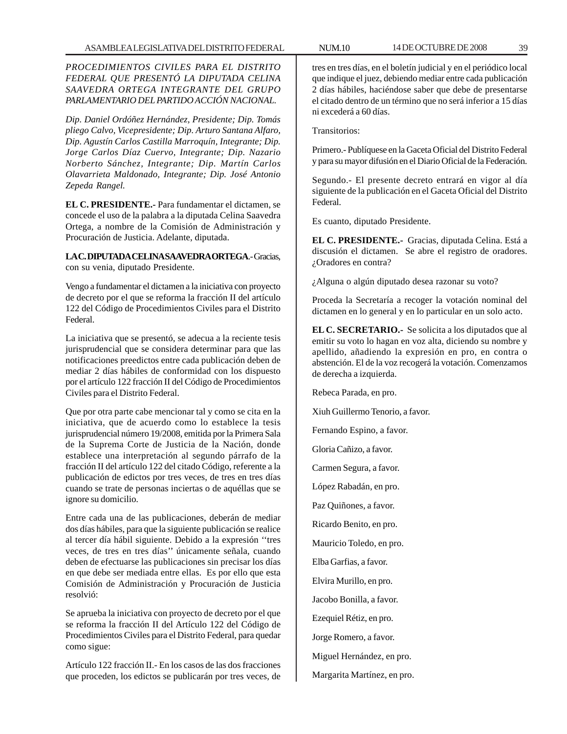*PROCEDIMIENTOS CIVILES PARA EL DISTRITO FEDERAL QUE PRESENTÓ LA DIPUTADA CELINA SAAVEDRA ORTEGA INTEGRANTE DEL GRUPO PARLAMENTARIO DEL PARTIDO ACCIÓN NACIONAL.*

*Dip. Daniel Ordóñez Hernández, Presidente; Dip. Tomás pliego Calvo, Vicepresidente; Dip. Arturo Santana Alfaro, Dip. Agustín Carlos Castilla Marroquín, Integrante; Dip. Jorge Carlos Díaz Cuervo, Integrante; Dip. Nazario Norberto Sánchez, Integrante; Dip. Martín Carlos Olavarrieta Maldonado, Integrante; Dip. José Antonio Zepeda Rangel.*

**EL C. PRESIDENTE.-** Para fundamentar el dictamen, se concede el uso de la palabra a la diputada Celina Saavedra Ortega, a nombre de la Comisión de Administración y Procuración de Justicia. Adelante, diputada.

**LA C. DIPUTADA CELINA SAAVEDRA ORTEGA**.- Gracias, con su venia, diputado Presidente.

Vengo a fundamentar el dictamen a la iniciativa con proyecto de decreto por el que se reforma la fracción II del artículo 122 del Código de Procedimientos Civiles para el Distrito Federal.

La iniciativa que se presentó, se adecua a la reciente tesis jurisprudencial que se considera determinar para que las notificaciones preedictos entre cada publicación deben de mediar 2 días hábiles de conformidad con los dispuesto por el artículo 122 fracción II del Código de Procedimientos Civiles para el Distrito Federal.

Que por otra parte cabe mencionar tal y como se cita en la iniciativa, que de acuerdo como lo establece la tesis jurisprudencial número 19/2008, emitida por la Primera Sala de la Suprema Corte de Justicia de la Nación, donde establece una interpretación al segundo párrafo de la fracción II del artículo 122 del citado Código, referente a la publicación de edictos por tres veces, de tres en tres días cuando se trate de personas inciertas o de aquéllas que se ignore su domicilio.

Entre cada una de las publicaciones, deberán de mediar dos días hábiles, para que la siguiente publicación se realice al tercer día hábil siguiente. Debido a la expresión ''tres veces, de tres en tres días'' únicamente señala, cuando deben de efectuarse las publicaciones sin precisar los días en que debe ser mediada entre ellas. Es por ello que esta Comisión de Administración y Procuración de Justicia resolvió:

Se aprueba la iniciativa con proyecto de decreto por el que se reforma la fracción II del Artículo 122 del Código de Procedimientos Civiles para el Distrito Federal, para quedar como sigue:

Artículo 122 fracción II.- En los casos de las dos fracciones que proceden, los edictos se publicarán por tres veces, de

tres en tres días, en el boletín judicial y en el periódico local que indique el juez, debiendo mediar entre cada publicación 2 días hábiles, haciéndose saber que debe de presentarse el citado dentro de un término que no será inferior a 15 días ni excederá a 60 días.

Transitorios:

Primero.- Publíquese en la Gaceta Oficial del Distrito Federal y para su mayor difusión en el Diario Oficial de la Federación.

Segundo.- El presente decreto entrará en vigor al día siguiente de la publicación en el Gaceta Oficial del Distrito Federal.

Es cuanto, diputado Presidente.

**EL C. PRESIDENTE.-** Gracias, diputada Celina. Está a discusión el dictamen. Se abre el registro de oradores. ¿Oradores en contra?

¿Alguna o algún diputado desea razonar su voto?

Proceda la Secretaría a recoger la votación nominal del dictamen en lo general y en lo particular en un solo acto.

**EL C. SECRETARIO.-** Se solicita a los diputados que al emitir su voto lo hagan en voz alta, diciendo su nombre y apellido, añadiendo la expresión en pro, en contra o abstención. El de la voz recogerá la votación. Comenzamos de derecha a izquierda.

Rebeca Parada, en pro.

Xiuh Guillermo Tenorio, a favor.

Fernando Espino, a favor.

Gloria Cañizo, a favor.

Carmen Segura, a favor.

López Rabadán, en pro.

Paz Quiñones, a favor.

Ricardo Benito, en pro.

Mauricio Toledo, en pro.

Elba Garfias, a favor.

Elvira Murillo, en pro.

Jacobo Bonilla, a favor.

Ezequiel Rétiz, en pro.

Jorge Romero, a favor.

Miguel Hernández, en pro.

Margarita Martínez, en pro.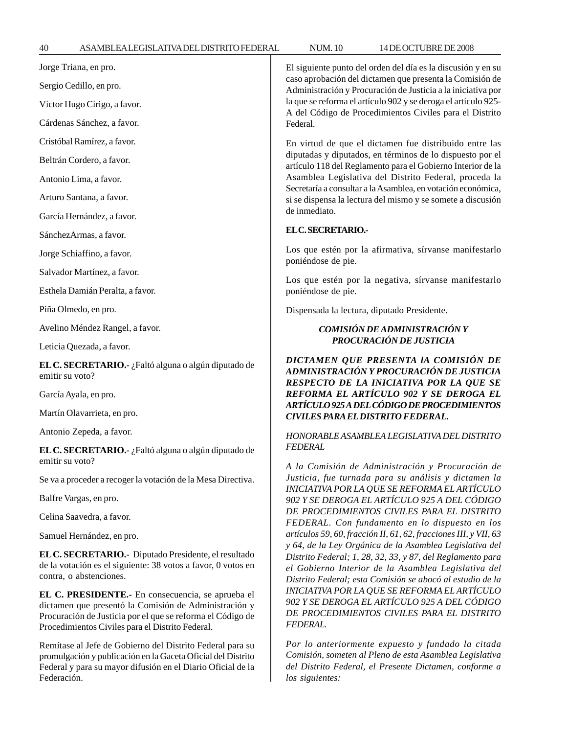| Jorge Triana, en pro.                                                                                                                                                                                                        | El siguiente punto del orden del día es la discusión y en su<br>caso aprobación del dictamen que presenta la Comisión de<br>Administración y Procuración de Justicia a la iniciativa por<br>la que se reforma el artículo 902 y se deroga el artículo 925-<br>A del Código de Procedimientos Civiles para el Distrito<br>Federal.                                                           |
|------------------------------------------------------------------------------------------------------------------------------------------------------------------------------------------------------------------------------|---------------------------------------------------------------------------------------------------------------------------------------------------------------------------------------------------------------------------------------------------------------------------------------------------------------------------------------------------------------------------------------------|
| Sergio Cedillo, en pro.                                                                                                                                                                                                      |                                                                                                                                                                                                                                                                                                                                                                                             |
| Víctor Hugo Círigo, a favor.                                                                                                                                                                                                 |                                                                                                                                                                                                                                                                                                                                                                                             |
| Cárdenas Sánchez, a favor.                                                                                                                                                                                                   |                                                                                                                                                                                                                                                                                                                                                                                             |
| Cristóbal Ramírez, a favor.                                                                                                                                                                                                  | En virtud de que el dictamen fue distribuido entre las<br>diputadas y diputados, en términos de lo dispuesto por el<br>artículo 118 del Reglamento para el Gobierno Interior de la<br>Asamblea Legislativa del Distrito Federal, proceda la<br>Secretaría a consultar a la Asamblea, en votación económica,<br>si se dispensa la lectura del mismo y se somete a discusión<br>de inmediato. |
| Beltrán Cordero, a favor.                                                                                                                                                                                                    |                                                                                                                                                                                                                                                                                                                                                                                             |
| Antonio Lima, a favor.                                                                                                                                                                                                       |                                                                                                                                                                                                                                                                                                                                                                                             |
| Arturo Santana, a favor.                                                                                                                                                                                                     |                                                                                                                                                                                                                                                                                                                                                                                             |
| García Hernández, a favor.                                                                                                                                                                                                   |                                                                                                                                                                                                                                                                                                                                                                                             |
| SánchezArmas, a favor.                                                                                                                                                                                                       | ELC.SECRETARIO.-                                                                                                                                                                                                                                                                                                                                                                            |
| Jorge Schiaffino, a favor.                                                                                                                                                                                                   | Los que estén por la afirmativa, sírvanse manifestarlo<br>poniéndose de pie.<br>Los que estén por la negativa, sírvanse manifestarlo<br>poniéndose de pie.                                                                                                                                                                                                                                  |
| Salvador Martínez, a favor.                                                                                                                                                                                                  |                                                                                                                                                                                                                                                                                                                                                                                             |
| Esthela Damián Peralta, a favor.                                                                                                                                                                                             |                                                                                                                                                                                                                                                                                                                                                                                             |
| Piña Olmedo, en pro.                                                                                                                                                                                                         | Dispensada la lectura, diputado Presidente.                                                                                                                                                                                                                                                                                                                                                 |
| Avelino Méndez Rangel, a favor.                                                                                                                                                                                              | COMISIÓN DE ADMINISTRACIÓN Y<br>PROCURACIÓN DE JUSTICIA                                                                                                                                                                                                                                                                                                                                     |
| Leticia Quezada, a favor.                                                                                                                                                                                                    |                                                                                                                                                                                                                                                                                                                                                                                             |
|                                                                                                                                                                                                                              |                                                                                                                                                                                                                                                                                                                                                                                             |
| EL C. SECRETARIO.- ¿Faltó alguna o algún diputado de<br>emitir su voto?                                                                                                                                                      | DICTAMEN QUE PRESENTA lA COMISIÓN DE<br>ADMINISTRACIÓN Y PROCURACIÓN DE JUSTICIA                                                                                                                                                                                                                                                                                                            |
| García Ayala, en pro.                                                                                                                                                                                                        | RESPECTO DE LA INICIATIVA POR LA QUE SE<br>REFORMA EL ARTÍCULO 902 Y SE DEROGA EL                                                                                                                                                                                                                                                                                                           |
| Martín Olavarrieta, en pro.                                                                                                                                                                                                  | ARTÍCULO 925 A DEL CÓDIGO DE PROCEDIMIENTOS<br><b>CIVILES PARA EL DISTRITO FEDERAL.</b>                                                                                                                                                                                                                                                                                                     |
| Antonio Zepeda, a favor.                                                                                                                                                                                                     | HONORABLE ASAMBLEA LEGISLATIVA DEL DISTRITO                                                                                                                                                                                                                                                                                                                                                 |
| EL C. SECRETARIO.- ¿Faltó alguna o algún diputado de                                                                                                                                                                         | <b>FEDERAL</b>                                                                                                                                                                                                                                                                                                                                                                              |
| emitir su voto?                                                                                                                                                                                                              | A la Comisión de Administración y Procuración de                                                                                                                                                                                                                                                                                                                                            |
| Se va a proceder a recoger la votación de la Mesa Directiva.                                                                                                                                                                 | Justicia, fue turnada para su análisis y dictamen la<br>INICIATIVA POR LA QUE SE REFORMA EL ARTÍCULO                                                                                                                                                                                                                                                                                        |
| Balfre Vargas, en pro.                                                                                                                                                                                                       | 902 Y SE DEROGA EL ARTÍCULO 925 A DEL CÓDIGO                                                                                                                                                                                                                                                                                                                                                |
| Celina Saavedra, a favor.                                                                                                                                                                                                    | DE PROCEDIMIENTOS CIVILES PARA EL DISTRITO<br>FEDERAL. Con fundamento en lo dispuesto en los                                                                                                                                                                                                                                                                                                |
| Samuel Hernández, en pro.                                                                                                                                                                                                    | artículos 59, 60, fracción II, 61, 62, fracciones III, y VII, 63                                                                                                                                                                                                                                                                                                                            |
| EL C. SECRETARIO.- Diputado Presidente, el resultado<br>de la votación es el siguiente: 38 votos a favor, 0 votos en<br>contra, o abstenciones.                                                                              | y 64, de la Ley Orgánica de la Asamblea Legislativa del<br>Distrito Federal; 1, 28, 32, 33, y 87, del Reglamento para<br>el Gobierno Interior de la Asamblea Legislativa del<br>Distrito Federal; esta Comisión se abocó al estudio de la                                                                                                                                                   |
| EL C. PRESIDENTE.- En consecuencia, se aprueba el<br>dictamen que presentó la Comisión de Administración y<br>Procuración de Justicia por el que se reforma el Código de<br>Procedimientos Civiles para el Distrito Federal. | INICIATIVA POR LA QUE SE REFORMA EL ARTÍCULO<br>902 Y SE DEROGA EL ARTÍCULO 925 A DEL CÓDIGO<br>DE PROCEDIMIENTOS CIVILES PARA EL DISTRITO<br><b>FEDERAL.</b>                                                                                                                                                                                                                               |

Remítase al Jefe de Gobierno del Distrito Federal para su promulgación y publicación en la Gaceta Oficial del Distrito Federal y para su mayor difusión en el Diario Oficial de la Federación.

# *Por lo anteriormente expuesto y fundado la citada Comisión, someten al Pleno de esta Asamblea Legislativa del Distrito Federal, el Presente Dictamen, conforme a los siguientes:*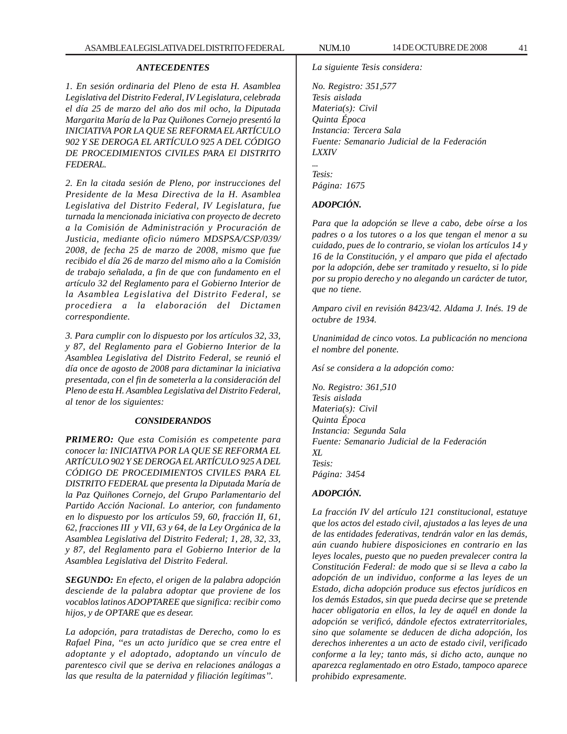## *ANTECEDENTES*

*1. En sesión ordinaria del Pleno de esta H. Asamblea Legislativa del Distrito Federal, IV Legislatura, celebrada el día 25 de marzo del año dos mil ocho, la Diputada Margarita María de la Paz Quiñones Cornejo presentó la INICIATIVA POR LA QUE SE REFORMA EL ARTÍCULO 902 Y SE DEROGA EL ARTÍCULO 925 A DEL CÓDIGO DE PROCEDIMIENTOS CIVILES PARA El DISTRITO FEDERAL.*

*2. En la citada sesión de Pleno, por instrucciones del Presidente de la Mesa Directiva de la H. Asamblea Legislativa del Distrito Federal, IV Legislatura, fue turnada la mencionada iniciativa con proyecto de decreto a la Comisión de Administración y Procuración de Justicia, mediante oficio número MDSPSA/CSP/039/ 2008, de fecha 25 de marzo de 2008, mismo que fue recibido el día 26 de marzo del mismo año a la Comisión de trabajo señalada, a fin de que con fundamento en el artículo 32 del Reglamento para el Gobierno Interior de la Asamblea Legislativa del Distrito Federal, se procediera a la elaboración del Dictamen correspondiente.*

*3. Para cumplir con lo dispuesto por los artículos 32, 33, y 87, del Reglamento para el Gobierno Interior de la Asamblea Legislativa del Distrito Federal, se reunió el día once de agosto de 2008 para dictaminar la iniciativa presentada, con el fin de someterla a la consideración del Pleno de esta H. Asamblea Legislativa del Distrito Federal, al tenor de los siguientes:*

### *CONSIDERANDOS*

*PRIMERO: Que esta Comisión es competente para conocer la: INICIATIVA POR LA QUE SE REFORMA EL ARTÍCULO 902 Y SE DEROGA EL ARTÍCULO 925 A DEL CÓDIGO DE PROCEDIMIENTOS CIVILES PARA EL DISTRITO FEDERAL que presenta la Diputada María de la Paz Quiñones Cornejo, del Grupo Parlamentario del Partido Acción Nacional. Lo anterior, con fundamento en lo dispuesto por los artículos 59, 60, fracción II, 61, 62, fracciones III y VII, 63 y 64, de la Ley Orgánica de la Asamblea Legislativa del Distrito Federal; 1, 28, 32, 33, y 87, del Reglamento para el Gobierno Interior de la Asamblea Legislativa del Distrito Federal.*

*SEGUNDO: En efecto, el origen de la palabra adopción desciende de la palabra adoptar que proviene de los vocablos latinos ADOPTAREE que significa: recibir como hijos, y de OPTARE que es desear.*

*La adopción, para tratadistas de Derecho, como lo es Rafael Pina, ''es un acto jurídico que se crea entre el adoptante y el adoptado, adoptando un vínculo de parentesco civil que se deriva en relaciones análogas a las que resulta de la paternidad y filiación legítimas''.*

*La siguiente Tesis considera:*

*No. Registro: 351,577 Tesis aislada Materia(s): Civil Quinta Época Instancia: Tercera Sala Fuente: Semanario Judicial de la Federación LXXIV*

*Tesis: Página: 1675*

*...*

# *ADOPCIÓN.*

*Para que la adopción se lleve a cabo, debe oírse a los padres o a los tutores o a los que tengan el menor a su cuidado, pues de lo contrario, se violan los artículos 14 y 16 de la Constitución, y el amparo que pida el afectado por la adopción, debe ser tramitado y resuelto, si lo pide por su propio derecho y no alegando un carácter de tutor, que no tiene.*

*Amparo civil en revisión 8423/42. Aldama J. Inés. 19 de octubre de 1934.*

*Unanimidad de cinco votos. La publicación no menciona el nombre del ponente.*

*Así se considera a la adopción como:*

*No. Registro: 361,510 Tesis aislada Materia(s): Civil Quinta Época Instancia: Segunda Sala Fuente: Semanario Judicial de la Federación XL Tesis: Página: 3454*

# *ADOPCIÓN.*

*La fracción IV del artículo 121 constitucional, estatuye que los actos del estado civil, ajustados a las leyes de una de las entidades federativas, tendrán valor en las demás, aún cuando hubiere disposiciones en contrario en las leyes locales, puesto que no pueden prevalecer contra la Constitución Federal: de modo que si se lleva a cabo la adopción de un individuo, conforme a las leyes de un Estado, dicha adopción produce sus efectos jurídicos en los demás Estados, sin que pueda decirse que se pretende hacer obligatoria en ellos, la ley de aquél en donde la adopción se verificó, dándole efectos extraterritoriales, sino que solamente se deducen de dicha adopción, los derechos inherentes a un acto de estado civil, verificado conforme a la ley; tanto más, si dicho acto, aunque no aparezca reglamentado en otro Estado, tampoco aparece prohibido expresamente.*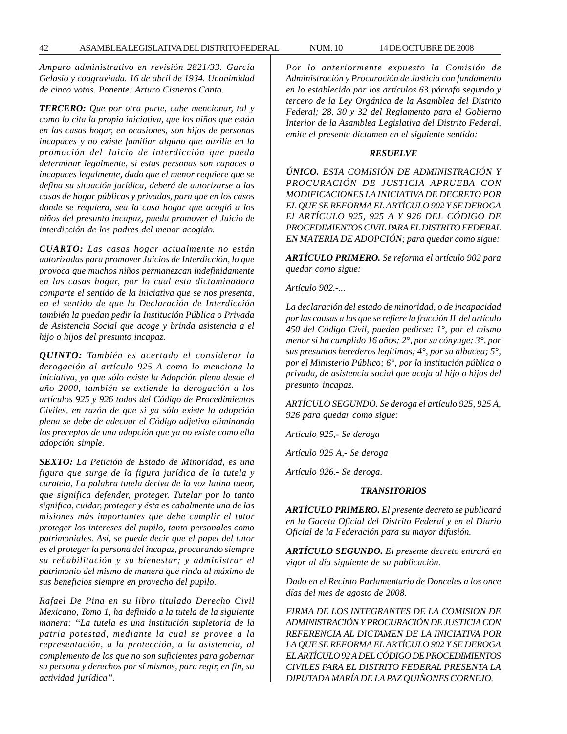*Amparo administrativo en revisión 2821/33. García Gelasio y coagraviada. 16 de abril de 1934. Unanimidad de cinco votos. Ponente: Arturo Cisneros Canto.*

*TERCERO: Que por otra parte, cabe mencionar, tal y como lo cita la propia iniciativa, que los niños que están en las casas hogar, en ocasiones, son hijos de personas incapaces y no existe familiar alguno que auxilie en la promoción del Juicio de interdicción que pueda determinar legalmente, si estas personas son capaces o incapaces legalmente, dado que el menor requiere que se defina su situación jurídica, deberá de autorizarse a las casas de hogar públicas y privadas, para que en los casos donde se requiera, sea la casa hogar que acogió a los niños del presunto incapaz, pueda promover el Juicio de interdicción de los padres del menor acogido.*

*CUARTO: Las casas hogar actualmente no están autorizadas para promover Juicios de Interdicción, lo que provoca que muchos niños permanezcan indefinidamente en las casas hogar, por lo cual esta dictaminadora comparte el sentido de la iniciativa que se nos presenta, en el sentido de que la Declaración de Interdicción también la puedan pedir la Institución Pública o Privada de Asistencia Social que acoge y brinda asistencia a el hijo o hijos del presunto incapaz.*

*QUINTO: También es acertado el considerar la derogación al artículo 925 A como lo menciona la iniciativa, ya que sólo existe la Adopción plena desde el año 2000, también se extiende la derogación a los artículos 925 y 926 todos del Código de Procedimientos Civiles, en razón de que si ya sólo existe la adopción plena se debe de adecuar el Código adjetivo eliminando los preceptos de una adopción que ya no existe como ella adopción simple.*

*SEXTO: La Petición de Estado de Minoridad, es una figura que surge de la figura jurídica de la tutela y curatela, La palabra tutela deriva de la voz latina tueor, que significa defender, proteger. Tutelar por lo tanto significa, cuidar, proteger y ésta es cabalmente una de las misiones más importantes que debe cumplir el tutor proteger los intereses del pupilo, tanto personales como patrimoniales. Así, se puede decir que el papel del tutor es el proteger la persona del incapaz, procurando siempre su rehabilitación y su bienestar; y administrar el patrimonio del mismo de manera que rinda al máximo de sus beneficios siempre en provecho del pupilo.*

*Rafael De Pina en su libro titulado Derecho Civil Mexicano, Tomo 1, ha definido a la tutela de la siguiente manera: ''La tutela es una institución supletoria de la patria potestad, mediante la cual se provee a la representación, a la protección, a la asistencia, al complemento de los que no son suficientes para gobernar su persona y derechos por sí mismos, para regir, en fin, su actividad jurídica''.*

*Por lo anteriormente expuesto la Comisión de Administración y Procuración de Justicia con fundamento en lo establecido por los artículos 63 párrafo segundo y tercero de la Ley Orgánica de la Asamblea del Distrito Federal; 28, 30 y 32 del Reglamento para el Gobierno Interior de la Asamblea Legislativa del Distrito Federal, emite el presente dictamen en el siguiente sentido:*

## *RESUELVE*

*ÚNICO. ESTA COMISIÓN DE ADMINISTRACIÓN Y PROCURACIÓN DE JUSTICIA APRUEBA CON MODIFICACIONES LA INICIATIVA DE DECRETO POR EL QUE SE REFORMA EL ARTÍCULO 902 Y SE DEROGA El ARTÍCULO 925, 925 A Y 926 DEL CÓDIGO DE PROCEDIMIENTOS CIVIL PARA EL DISTRITO FEDERAL EN MATERIA DE ADOPCIÓN; para quedar como sigue:*

*ARTÍCULO PRIMERO. Se reforma el artículo 902 para quedar como sigue:*

*Artículo 902.-...*

*La declaración del estado de minoridad, o de incapacidad por las causas a las que se refiere la fracción II del artículo 450 del Código Civil, pueden pedirse: 1°, por el mismo menor si ha cumplido 16 años; 2°, por su cónyuge; 3°, por sus presuntos herederos legítimos; 4°, por su albacea; 5°, por el Ministerio Público; 6°, por la institución pública o privada, de asistencia social que acoja al hijo o hijos del presunto incapaz.*

*ARTÍCULO SEGUNDO. Se deroga el artículo 925, 925 A, 926 para quedar como sigue:*

*Artículo 925,- Se deroga*

*Artículo 925 A,- Se deroga*

*Artículo 926.- Se deroga.*

### *TRANSITORIOS*

*ARTÍCULO PRIMERO. El presente decreto se publicará en la Gaceta Oficial del Distrito Federal y en el Diario Oficial de la Federación para su mayor difusión.*

*ARTÍCULO SEGUNDO. El presente decreto entrará en vigor al día siguiente de su publicación.*

*Dado en el Recinto Parlamentario de Donceles a los once días del mes de agosto de 2008.*

*FIRMA DE LOS INTEGRANTES DE LA COMISION DE ADMINISTRACIÓN Y PROCURACIÓN DE JUSTICIA CON REFERENCIA AL DICTAMEN DE LA INICIATIVA POR LA QUE SE REFORMA EL ARTÍCULO 902 Y SE DEROGA EL ARTÍCULO 92 A DEL CÓDIGO DE PROCEDIMIENTOS CIVILES PARA EL DISTRITO FEDERAL PRESENTA LA DIPUTADA MARÍA DE LA PAZ QUIÑONES CORNEJO.*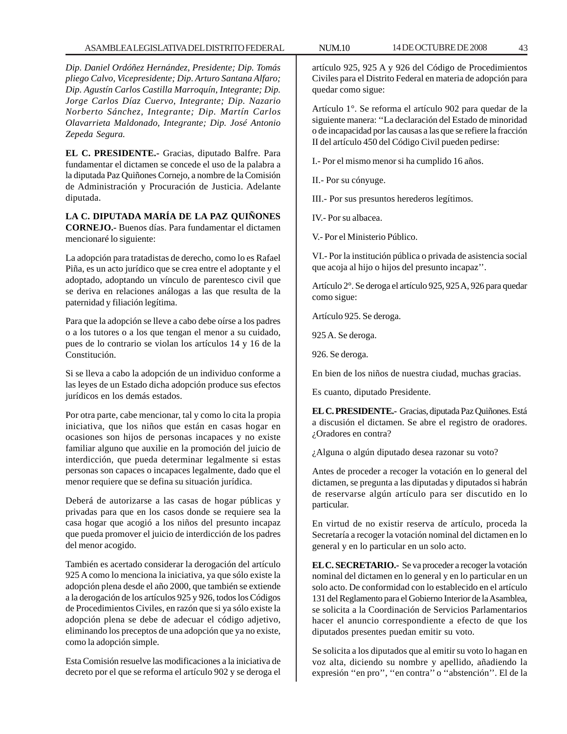*Dip. Daniel Ordóñez Hernández, Presidente; Dip. Tomás pliego Calvo, Vicepresidente; Dip. Arturo Santana Alfaro; Dip. Agustín Carlos Castilla Marroquín, Integrante; Dip. Jorge Carlos Díaz Cuervo, Integrante; Dip. Nazario Norberto Sánchez, Integrante; Dip. Martín Carlos Olavarrieta Maldonado, Integrante; Dip. José Antonio Zepeda Segura.*

**EL C. PRESIDENTE.-** Gracias, diputado Balfre. Para fundamentar el dictamen se concede el uso de la palabra a la diputada Paz Quiñones Cornejo, a nombre de la Comisión de Administración y Procuración de Justicia. Adelante diputada.

**LA C. DIPUTADA MARÍA DE LA PAZ QUIÑONES CORNEJO.-** Buenos días. Para fundamentar el dictamen mencionaré lo siguiente:

La adopción para tratadistas de derecho, como lo es Rafael Piña, es un acto jurídico que se crea entre el adoptante y el adoptado, adoptando un vínculo de parentesco civil que se deriva en relaciones análogas a las que resulta de la paternidad y filiación legítima.

Para que la adopción se lleve a cabo debe oírse a los padres o a los tutores o a los que tengan el menor a su cuidado, pues de lo contrario se violan los artículos 14 y 16 de la Constitución.

Si se lleva a cabo la adopción de un individuo conforme a las leyes de un Estado dicha adopción produce sus efectos jurídicos en los demás estados.

Por otra parte, cabe mencionar, tal y como lo cita la propia iniciativa, que los niños que están en casas hogar en ocasiones son hijos de personas incapaces y no existe familiar alguno que auxilie en la promoción del juicio de interdicción, que pueda determinar legalmente si estas personas son capaces o incapaces legalmente, dado que el menor requiere que se defina su situación jurídica.

Deberá de autorizarse a las casas de hogar públicas y privadas para que en los casos donde se requiere sea la casa hogar que acogió a los niños del presunto incapaz que pueda promover el juicio de interdicción de los padres del menor acogido.

También es acertado considerar la derogación del artículo 925 A como lo menciona la iniciativa, ya que sólo existe la adopción plena desde el año 2000, que también se extiende a la derogación de los artículos 925 y 926, todos los Códigos de Procedimientos Civiles, en razón que si ya sólo existe la adopción plena se debe de adecuar el código adjetivo, eliminando los preceptos de una adopción que ya no existe, como la adopción simple.

Esta Comisión resuelve las modificaciones a la iniciativa de decreto por el que se reforma el artículo 902 y se deroga el artículo 925, 925 A y 926 del Código de Procedimientos Civiles para el Distrito Federal en materia de adopción para quedar como sigue:

Artículo 1°. Se reforma el artículo 902 para quedar de la siguiente manera: ''La declaración del Estado de minoridad o de incapacidad por las causas a las que se refiere la fracción II del artículo 450 del Código Civil pueden pedirse:

I.- Por el mismo menor si ha cumplido 16 años.

II.- Por su cónyuge.

III.- Por sus presuntos herederos legítimos.

IV.- Por su albacea.

V.- Por el Ministerio Público.

VI.- Por la institución pública o privada de asistencia social que acoja al hijo o hijos del presunto incapaz''.

Artículo 2°. Se deroga el artículo 925, 925 A, 926 para quedar como sigue:

Artículo 925. Se deroga.

925 A. Se deroga.

926. Se deroga.

En bien de los niños de nuestra ciudad, muchas gracias.

Es cuanto, diputado Presidente.

**EL C. PRESIDENTE.-** Gracias, diputada Paz Quiñones. Está a discusión el dictamen. Se abre el registro de oradores. ¿Oradores en contra?

¿Alguna o algún diputado desea razonar su voto?

Antes de proceder a recoger la votación en lo general del dictamen, se pregunta a las diputadas y diputados si habrán de reservarse algún artículo para ser discutido en lo particular.

En virtud de no existir reserva de artículo, proceda la Secretaría a recoger la votación nominal del dictamen en lo general y en lo particular en un solo acto.

**EL C. SECRETARIO.-** Se va proceder a recoger la votación nominal del dictamen en lo general y en lo particular en un solo acto. De conformidad con lo establecido en el artículo 131 del Reglamento para el Gobierno Interior de la Asamblea, se solicita a la Coordinación de Servicios Parlamentarios hacer el anuncio correspondiente a efecto de que los diputados presentes puedan emitir su voto.

Se solicita a los diputados que al emitir su voto lo hagan en voz alta, diciendo su nombre y apellido, añadiendo la expresión ''en pro'', ''en contra'' o ''abstención''. El de la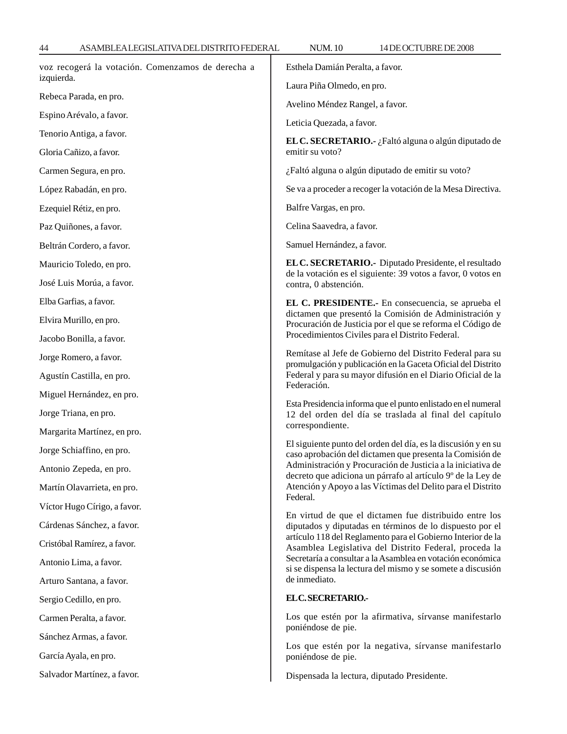| voz recogerá la votación. Comenzamos de derecha a<br>izquierda. | Esthela Damián Peralta, a favor.<br>Laura Piña Olmedo, en pro.                                                                                                                                                                                                                                                                                                                           |
|-----------------------------------------------------------------|------------------------------------------------------------------------------------------------------------------------------------------------------------------------------------------------------------------------------------------------------------------------------------------------------------------------------------------------------------------------------------------|
| Rebeca Parada, en pro.                                          | Avelino Méndez Rangel, a favor.                                                                                                                                                                                                                                                                                                                                                          |
| Espino Arévalo, a favor.                                        | Leticia Quezada, a favor.                                                                                                                                                                                                                                                                                                                                                                |
| Tenorio Antiga, a favor.                                        | EL C. SECRETARIO.- ¿Faltó alguna o algún diputado de                                                                                                                                                                                                                                                                                                                                     |
| Gloria Cañizo, a favor.                                         | emitir su voto?                                                                                                                                                                                                                                                                                                                                                                          |
| Carmen Segura, en pro.                                          | ¿Faltó alguna o algún diputado de emitir su voto?                                                                                                                                                                                                                                                                                                                                        |
| López Rabadán, en pro.                                          | Se va a proceder a recoger la votación de la Mesa Directiva.                                                                                                                                                                                                                                                                                                                             |
| Ezequiel Rétiz, en pro.                                         | Balfre Vargas, en pro.                                                                                                                                                                                                                                                                                                                                                                   |
| Paz Quiñones, a favor.                                          | Celina Saavedra, a favor.                                                                                                                                                                                                                                                                                                                                                                |
| Beltrán Cordero, a favor.                                       | Samuel Hernández, a favor.                                                                                                                                                                                                                                                                                                                                                               |
| Mauricio Toledo, en pro.                                        | EL C. SECRETARIO.- Diputado Presidente, el resultado<br>de la votación es el siguiente: 39 votos a favor, 0 votos en<br>contra, 0 abstención.                                                                                                                                                                                                                                            |
| José Luis Morúa, a favor.                                       |                                                                                                                                                                                                                                                                                                                                                                                          |
| Elba Garfias, a favor.                                          | EL C. PRESIDENTE.- En consecuencia, se aprueba el                                                                                                                                                                                                                                                                                                                                        |
| Elvira Murillo, en pro.                                         | dictamen que presentó la Comisión de Administración y<br>Procuración de Justicia por el que se reforma el Código de<br>Procedimientos Civiles para el Distrito Federal.                                                                                                                                                                                                                  |
| Jacobo Bonilla, a favor.                                        |                                                                                                                                                                                                                                                                                                                                                                                          |
| Jorge Romero, a favor.                                          | Remítase al Jefe de Gobierno del Distrito Federal para su<br>promulgación y publicación en la Gaceta Oficial del Distrito<br>Federal y para su mayor difusión en el Diario Oficial de la                                                                                                                                                                                                 |
| Agustín Castilla, en pro.                                       |                                                                                                                                                                                                                                                                                                                                                                                          |
| Miguel Hernández, en pro.                                       | Federación.                                                                                                                                                                                                                                                                                                                                                                              |
| Jorge Triana, en pro.                                           | Esta Presidencia informa que el punto enlistado en el numeral<br>12 del orden del día se traslada al final del capítulo                                                                                                                                                                                                                                                                  |
| Margarita Martínez, en pro.                                     | correspondiente.                                                                                                                                                                                                                                                                                                                                                                         |
| Jorge Schiaffino, en pro.                                       | El siguiente punto del orden del día, es la discusión y en su<br>caso aprobación del dictamen que presenta la Comisión de                                                                                                                                                                                                                                                                |
| Antonio Zepeda, en pro.                                         | Administración y Procuración de Justicia a la iniciativa de<br>decreto que adiciona un párrafo al artículo 9º de la Ley de<br>Atención y Apoyo a las Víctimas del Delito para el Distrito<br>Federal.                                                                                                                                                                                    |
| Martín Olavarrieta, en pro.                                     |                                                                                                                                                                                                                                                                                                                                                                                          |
| Víctor Hugo Círigo, a favor.                                    |                                                                                                                                                                                                                                                                                                                                                                                          |
| Cárdenas Sánchez, a favor.                                      | En virtud de que el dictamen fue distribuido entre los<br>diputados y diputadas en términos de lo dispuesto por el<br>artículo 118 del Reglamento para el Gobierno Interior de la<br>Asamblea Legislativa del Distrito Federal, proceda la<br>Secretaría a consultar a la Asamblea en votación económica<br>si se dispensa la lectura del mismo y se somete a discusión<br>de inmediato. |
| Cristóbal Ramírez, a favor.                                     |                                                                                                                                                                                                                                                                                                                                                                                          |
| Antonio Lima, a favor.                                          |                                                                                                                                                                                                                                                                                                                                                                                          |
| Arturo Santana, a favor.                                        |                                                                                                                                                                                                                                                                                                                                                                                          |
| Sergio Cedillo, en pro.                                         | ELC.SECRETARIO .-                                                                                                                                                                                                                                                                                                                                                                        |
| Carmen Peralta, a favor.                                        | Los que estén por la afirmativa, sírvanse manifestarlo<br>poniéndose de pie.                                                                                                                                                                                                                                                                                                             |
| Sánchez Armas, a favor.                                         | Los que estén por la negativa, sírvanse manifestarlo                                                                                                                                                                                                                                                                                                                                     |
| García Ayala, en pro.                                           | poniéndose de pie.                                                                                                                                                                                                                                                                                                                                                                       |
| Salvador Martínez, a favor.                                     | Dispensada la lectura, diputado Presidente.                                                                                                                                                                                                                                                                                                                                              |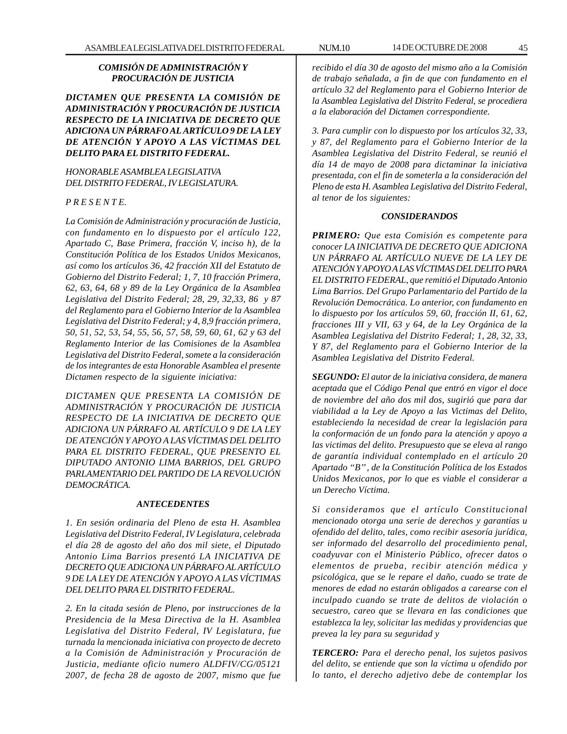# *COMISIÓN DE ADMINISTRACIÓN Y PROCURACIÓN DE JUSTICIA*

*DICTAMEN QUE PRESENTA LA COMISIÓN DE ADMINISTRACIÓN Y PROCURACIÓN DE JUSTICIA RESPECTO DE LA INICIATIVA DE DECRETO QUE ADICIONA UN PÁRRAFO AL ARTÍCULO 9 DE LA LEY DE ATENCIÓN Y APOYO A LAS VÍCTIMAS DEL DELITO PARA EL DISTRITO FEDERAL.*

## *HONORABLE ASAMBLEA LEGISLATIVA DEL DISTRITO FEDERAL, IV LEGISLATURA.*

# *P R E S E N T E.*

*La Comisión de Administración y procuración de Justicia, con fundamento en lo dispuesto por el artículo 122, Apartado C, Base Primera, fracción V, inciso h), de la Constitución Política de los Estados Unidos Mexicanos, así como los artículos 36, 42 fracción XII del Estatuto de Gobierno del Distrito Federal; 1, 7, 10 fracción Primera, 62, 63, 64, 68 y 89 de la Ley Orgánica de la Asamblea Legislativa del Distrito Federal; 28, 29, 32,33, 86 y 87 del Reglamento para el Gobierno Interior de la Asamblea Legislativa del Distrito Federal; y 4, 8,9 fracción primera, 50, 51, 52, 53, 54, 55, 56, 57, 58, 59, 60, 61, 62 y 63 del Reglamento Interior de las Comisiones de la Asamblea Legislativa del Distrito Federal, somete a la consideración de los integrantes de esta Honorable Asamblea el presente Dictamen respecto de la siguiente iniciativa:*

*DICTAMEN QUE PRESENTA LA COMISIÓN DE ADMINISTRACIÓN Y PROCURACIÓN DE JUSTICIA RESPECTO DE LA INICIATIVA DE DECRETO QUE ADICIONA UN PÁRRAFO AL ARTÍCULO 9 DE LA LEY DE ATENCIÓN Y APOYO A LAS VÍCTIMAS DEL DELITO PARA EL DISTRITO FEDERAL, QUE PRESENTO EL DIPUTADO ANTONIO LIMA BARRIOS, DEL GRUPO PARLAMENTARIO DEL PARTIDO DE LA REVOLUCIÓN DEMOCRÁTICA.*

### *ANTECEDENTES*

*1. En sesión ordinaria del Pleno de esta H. Asamblea Legislativa del Distrito Federal, IV Legislatura, celebrada el día 28 de agosto del año dos mil siete, el Diputado Antonio Lima Barrios presentó LA INICIATIVA DE DECRETO QUE ADICIONA UN PÁRRAFO AL ARTÍCULO 9 DE LA LEY DE ATENCIÓN Y APOYO A LAS VÍCTIMAS DEL DELITO PARA EL DISTRITO FEDERAL.*

*2. En la citada sesión de Pleno, por instrucciones de la Presidencia de la Mesa Directiva de la H. Asamblea Legislativa del Distrito Federal, IV Legislatura, fue turnada la mencionada iniciativa con proyecto de decreto a la Comisión de Administración y Procuración de Justicia, mediante oficio numero ALDFIV/CG/05121 2007, de fecha 28 de agosto de 2007, mismo que fue*

*recibido el día 30 de agosto del mismo año a la Comisión de trabajo señalada, a fin de que con fundamento en el artículo 32 del Reglamento para el Gobierno Interior de la Asamblea Legislativa del Distrito Federal, se procediera a la elaboración del Dictamen correspondiente.*

*3. Para cumplir con lo dispuesto por los artículos 32, 33, y 87, del Reglamento para el Gobierno Interior de la Asamblea Legislativa del Distrito Federal, se reunió el día 14 de mayo de 2008 para dictaminar la iniciativa presentada, con el fin de someterla a la consideración del Pleno de esta H. Asamblea Legislativa del Distrito Federal, al tenor de los siguientes:*

## *CONSIDERANDOS*

*PRIMERO: Que esta Comisión es competente para conocer LA INICIATIVA DE DECRETO QUE ADICIONA UN PÁRRAFO AL ARTÍCULO NUEVE DE LA LEY DE ATENCIÓN Y APOYO A LAS VÍCTIMAS DEL DELITO PARA EL DISTRITO FEDERAL, que remitió el Diputado Antonio Lima Barrios. Del Grupo Parlamentario del Partido de la Revolución Democrática. Lo anterior, con fundamento en lo dispuesto por los artículos 59, 60, fracción II, 61, 62, fracciones III y VII, 63 y 64, de la Ley Orgánica de la Asamblea Legislativa del Distrito Federal; 1, 28, 32, 33, Y 87, del Reglamento para el Gobierno Interior de la Asamblea Legislativa del Distrito Federal.*

*SEGUNDO: El autor de la iniciativa considera, de manera aceptada que el Código Penal que entró en vigor el doce de noviembre del año dos mil dos, sugirió que para dar viabilidad a la Ley de Apoyo a las Victimas del Delito, estableciendo la necesidad de crear la legislación para la conformación de un fondo para la atención y apoyo a las victimas del delito. Presupuesto que se eleva al rango de garantía individual contemplado en el artículo 20 Apartado ''B'' , de la Constitución Política de los Estados Unidos Mexicanos, por lo que es viable el considerar a un Derecho Víctima.*

*Si consideramos que el artículo Constitucional mencionado otorga una serie de derechos y garantías u ofendido del delito, tales, como recibir asesoría jurídica, ser informado del desarrollo del procedimiento penal, coadyuvar con el Ministerio Público, ofrecer datos o elementos de prueba, recibir atención médica y psicológica, que se le repare el daño, cuado se trate de menores de edad no estarán obligados a carearse con el inculpado cuando se trate de delitos de violación o secuestro, careo que se llevara en las condiciones que establezca la ley, solicitar las medidas y providencias que prevea la ley para su seguridad y*

*TERCERO: Para el derecho penal, los sujetos pasivos del delito, se entiende que son la víctima u ofendido por lo tanto, el derecho adjetivo debe de contemplar los*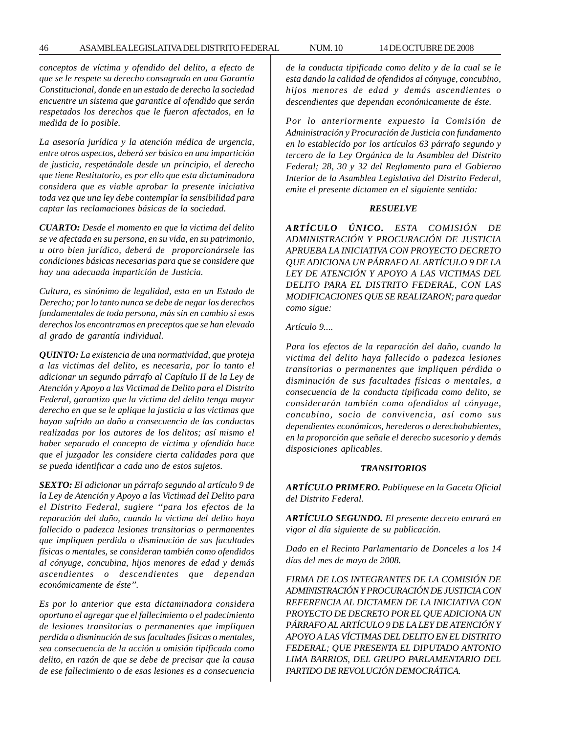*conceptos de víctima y ofendido del delito, a efecto de que se le respete su derecho consagrado en una Garantía Constitucional, donde en un estado de derecho la sociedad encuentre un sistema que garantice al ofendido que serán respetados los derechos que le fueron afectados, en la medida de lo posible.*

*La asesoría jurídica y la atención médica de urgencia, entre otros aspectos, deberá ser básico en una impartición de justicia, respetándole desde un principio, el derecho que tiene Restitutorio, es por ello que esta dictaminadora considera que es viable aprobar la presente iniciativa toda vez que una ley debe contemplar la sensibilidad para captar las reclamaciones básicas de la sociedad.*

*CUARTO: Desde el momento en que la victima del delito se ve afectada en su persona, en su vida, en su patrimonio, u otro bien jurídico, deberá de proporcionársele las condiciones básicas necesarias para que se considere que hay una adecuada impartición de Justicia.*

*Cultura, es sinónimo de legalidad, esto en un Estado de Derecho; por lo tanto nunca se debe de negar los derechos fundamentales de toda persona, más sin en cambio si esos derechos los encontramos en preceptos que se han elevado al grado de garantía individual.*

*QUINTO: La existencia de una normatividad, que proteja a las victimas del delito, es necesaria, por lo tanto el adicionar un segundo párrafo al Capítulo II de la Ley de Atención y Apoyo a las Victimad de Delito para el Distrito Federal, garantizo que la víctima del delito tenga mayor derecho en que se le aplique la justicia a las victimas que hayan sufrido un daño a consecuencia de las conductas realizadas por los autores de los delitos; así mismo el haber separado el concepto de victima y ofendido hace que el juzgador les considere cierta calidades para que se pueda identificar a cada uno de estos sujetos.*

*SEXTO: El adicionar un párrafo segundo al artículo 9 de la Ley de Atención y Apoyo a las Victimad del Delito para el Distrito Federal, sugiere ''para los efectos de la reparación del daño, cuando la victima del delito haya fallecido o padezca lesiones transitorias o permanentes que impliquen perdida o disminución de sus facultades físicas o mentales, se consideran también como ofendidos al cónyuge, concubina, hijos menores de edad y demás ascendientes o descendientes que dependan económicamente de éste''.*

*Es por lo anterior que esta dictaminadora considera oportuno el agregar que el fallecimiento o el padecimiento de lesiones transitorias o permanentes que impliquen perdida o disminución de sus facultades físicas o mentales, sea consecuencia de la acción u omisión tipificada como delito, en razón de que se debe de precisar que la causa de ese fallecimiento o de esas lesiones es a consecuencia* *de la conducta tipificada como delito y de la cual se le esta dando la calidad de ofendidos al cónyuge, concubino, hijos menores de edad y demás ascendientes o descendientes que dependan económicamente de éste.*

*Por lo anteriormente expuesto la Comisión de Administración y Procuración de Justicia con fundamento en lo establecido por los artículos 63 párrafo segundo y tercero de la Ley Orgánica de la Asamblea del Distrito Federal; 28, 30 y 32 del Reglamento para el Gobierno Interior de la Asamblea Legislativa del Distrito Federal, emite el presente dictamen en el siguiente sentido:*

## *RESUELVE*

*ARTÍCULO ÚNICO. ESTA COMISIÓN DE ADMINISTRACIÓN Y PROCURACIÓN DE JUSTICIA APRUEBA LA INICIATIVA CON PROYECTO DECRETO QUE ADICIONA UN PÁRRAFO AL ARTÍCULO 9 DE LA LEY DE ATENCIÓN Y APOYO A LAS VICTIMAS DEL DELITO PARA EL DISTRITO FEDERAL, CON LAS MODIFICACIONES QUE SE REALIZARON; para quedar como sigue:*

*Artículo 9....*

*Para los efectos de la reparación del daño, cuando la victima del delito haya fallecido o padezca lesiones transitorias o permanentes que impliquen pérdida o disminución de sus facultades físicas o mentales, a consecuencia de la conducta tipificada como delito, se considerarán también como ofendidos al cónyuge, concubino, socio de convivencia, así como sus dependientes económicos, herederos o derechohabientes, en la proporción que señale el derecho sucesorio y demás disposiciones aplicables.*

# *TRANSITORIOS*

*ARTÍCULO PRIMERO. Publíquese en la Gaceta Oficial del Distrito Federal.*

*ARTÍCULO SEGUNDO. El presente decreto entrará en vigor al día siguiente de su publicación.*

*Dado en el Recinto Parlamentario de Donceles a los 14 días del mes de mayo de 2008.*

*FIRMA DE LOS INTEGRANTES DE LA COMISIÓN DE ADMINISTRACIÓN Y PROCURACIÓN DE JUSTICIA CON REFERENCIA AL DICTAMEN DE LA INICIATIVA CON PROYECTO DE DECRETO POR EL QUE ADICIONA UN PÁRRAFO AL ARTÍCULO 9 DE LA LEY DE ATENCIÓN Y APOYO A LAS VÍCTIMAS DEL DELITO EN EL DISTRITO FEDERAL; QUE PRESENTA EL DIPUTADO ANTONIO LIMA BARRIOS, DEL GRUPO PARLAMENTARIO DEL PARTIDO DE REVOLUCIÓN DEMOCRÁTICA.*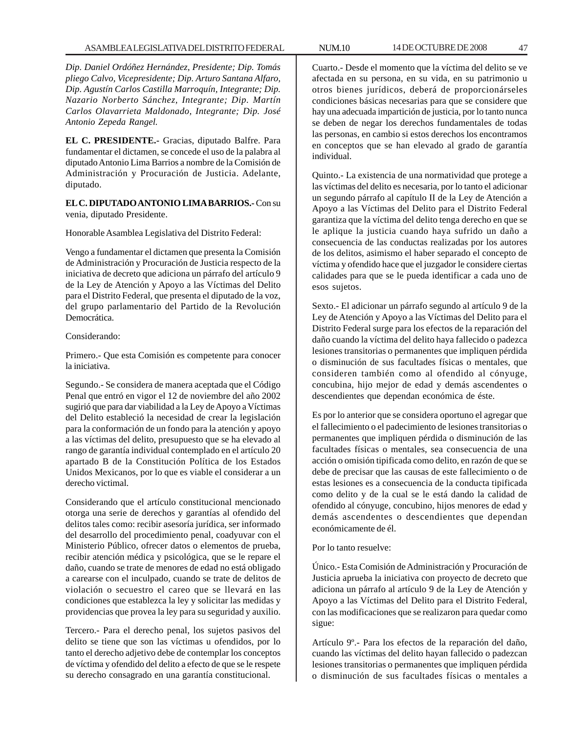*Dip. Daniel Ordóñez Hernández, Presidente; Dip. Tomás pliego Calvo, Vicepresidente; Dip. Arturo Santana Alfaro, Dip. Agustín Carlos Castilla Marroquín, Integrante; Dip. Nazario Norberto Sánchez, Integrante; Dip. Martín Carlos Olavarrieta Maldonado, Integrante; Dip. José Antonio Zepeda Rangel.*

**EL C. PRESIDENTE.-** Gracias, diputado Balfre. Para fundamentar el dictamen, se concede el uso de la palabra al diputado Antonio Lima Barrios a nombre de la Comisión de Administración y Procuración de Justicia. Adelante, diputado.

**EL C. DIPUTADO ANTONIO LIMA BARRIOS.-** Con su venia, diputado Presidente.

Honorable Asamblea Legislativa del Distrito Federal:

Vengo a fundamentar el dictamen que presenta la Comisión de Administración y Procuración de Justicia respecto de la iniciativa de decreto que adiciona un párrafo del artículo 9 de la Ley de Atención y Apoyo a las Víctimas del Delito para el Distrito Federal, que presenta el diputado de la voz, del grupo parlamentario del Partido de la Revolución Democrática.

## Considerando:

Primero.- Que esta Comisión es competente para conocer la iniciativa.

Segundo.- Se considera de manera aceptada que el Código Penal que entró en vigor el 12 de noviembre del año 2002 sugirió que para dar viabilidad a la Ley de Apoyo a Víctimas del Delito estableció la necesidad de crear la legislación para la conformación de un fondo para la atención y apoyo a las víctimas del delito, presupuesto que se ha elevado al rango de garantía individual contemplado en el artículo 20 apartado B de la Constitución Política de los Estados Unidos Mexicanos, por lo que es viable el considerar a un derecho victimal.

Considerando que el artículo constitucional mencionado otorga una serie de derechos y garantías al ofendido del delitos tales como: recibir asesoría jurídica, ser informado del desarrollo del procedimiento penal, coadyuvar con el Ministerio Público, ofrecer datos o elementos de prueba, recibir atención médica y psicológica, que se le repare el daño, cuando se trate de menores de edad no está obligado a carearse con el inculpado, cuando se trate de delitos de violación o secuestro el careo que se llevará en las condiciones que establezca la ley y solicitar las medidas y providencias que provea la ley para su seguridad y auxilio.

Tercero.- Para el derecho penal, los sujetos pasivos del delito se tiene que son las víctimas u ofendidos, por lo tanto el derecho adjetivo debe de contemplar los conceptos de víctima y ofendido del delito a efecto de que se le respete su derecho consagrado en una garantía constitucional.

Cuarto.- Desde el momento que la víctima del delito se ve afectada en su persona, en su vida, en su patrimonio u otros bienes jurídicos, deberá de proporcionárseles condiciones básicas necesarias para que se considere que hay una adecuada impartición de justicia, por lo tanto nunca se deben de negar los derechos fundamentales de todas las personas, en cambio si estos derechos los encontramos en conceptos que se han elevado al grado de garantía individual.

Quinto.- La existencia de una normatividad que protege a las víctimas del delito es necesaria, por lo tanto el adicionar un segundo párrafo al capítulo II de la Ley de Atención a Apoyo a las Víctimas del Delito para el Distrito Federal garantiza que la víctima del delito tenga derecho en que se le aplique la justicia cuando haya sufrido un daño a consecuencia de las conductas realizadas por los autores de los delitos, asimismo el haber separado el concepto de víctima y ofendido hace que el juzgador le considere ciertas calidades para que se le pueda identificar a cada uno de esos sujetos.

Sexto.- El adicionar un párrafo segundo al artículo 9 de la Ley de Atención y Apoyo a las Víctimas del Delito para el Distrito Federal surge para los efectos de la reparación del daño cuando la víctima del delito haya fallecido o padezca lesiones transitorias o permanentes que impliquen pérdida o disminución de sus facultades físicas o mentales, que consideren también como al ofendido al cónyuge, concubina, hijo mejor de edad y demás ascendentes o descendientes que dependan económica de éste.

Es por lo anterior que se considera oportuno el agregar que el fallecimiento o el padecimiento de lesiones transitorias o permanentes que impliquen pérdida o disminución de las facultades físicas o mentales, sea consecuencia de una acción o omisión tipificada como delito, en razón de que se debe de precisar que las causas de este fallecimiento o de estas lesiones es a consecuencia de la conducta tipificada como delito y de la cual se le está dando la calidad de ofendido al cónyuge, concubino, hijos menores de edad y demás ascendentes o descendientes que dependan económicamente de él.

Por lo tanto resuelve:

Único.- Esta Comisión de Administración y Procuración de Justicia aprueba la iniciativa con proyecto de decreto que adiciona un párrafo al artículo 9 de la Ley de Atención y Apoyo a las Víctimas del Delito para el Distrito Federal, con las modificaciones que se realizaron para quedar como sigue:

Artículo 9º.- Para los efectos de la reparación del daño, cuando las víctimas del delito hayan fallecido o padezcan lesiones transitorias o permanentes que impliquen pérdida o disminución de sus facultades físicas o mentales a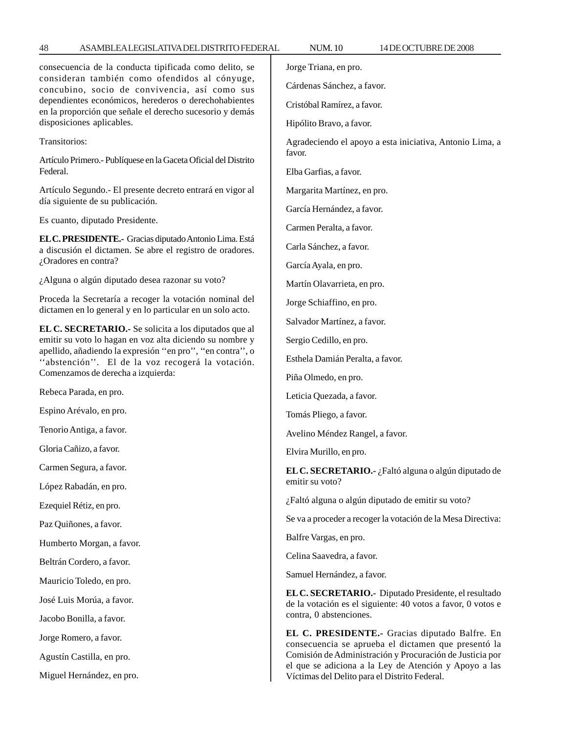| consecuencia de la conducta tipificada como delito, se<br>consideran también como ofendidos al cónyuge,<br>concubino, socio de convivencia, así como sus<br>dependientes económicos, herederos o derechohabientes<br>en la proporción que señale el derecho sucesorio y demás<br>disposiciones aplicables. | Jorge Triana, en pro.                                                                                                                          |
|------------------------------------------------------------------------------------------------------------------------------------------------------------------------------------------------------------------------------------------------------------------------------------------------------------|------------------------------------------------------------------------------------------------------------------------------------------------|
|                                                                                                                                                                                                                                                                                                            | Cárdenas Sánchez, a favor.                                                                                                                     |
|                                                                                                                                                                                                                                                                                                            | Cristóbal Ramírez, a favor.                                                                                                                    |
|                                                                                                                                                                                                                                                                                                            | Hipólito Bravo, a favor.                                                                                                                       |
| Transitorios:                                                                                                                                                                                                                                                                                              | Agradeciendo el apoyo a esta iniciativa, Antonio Lima, a<br>favor.                                                                             |
| Artículo Primero.- Publíquese en la Gaceta Oficial del Distrito<br>Federal.                                                                                                                                                                                                                                | Elba Garfias, a favor.                                                                                                                         |
| Artículo Segundo.- El presente decreto entrará en vigor al                                                                                                                                                                                                                                                 | Margarita Martínez, en pro.                                                                                                                    |
| día siguiente de su publicación.                                                                                                                                                                                                                                                                           | García Hernández, a favor.                                                                                                                     |
| Es cuanto, diputado Presidente.                                                                                                                                                                                                                                                                            | Carmen Peralta, a favor.                                                                                                                       |
| EL C. PRESIDENTE. - Gracias diputado Antonio Lima. Está<br>a discusión el dictamen. Se abre el registro de oradores.                                                                                                                                                                                       | Carla Sánchez, a favor.                                                                                                                        |
| ¿Oradores en contra?                                                                                                                                                                                                                                                                                       | García Ayala, en pro.                                                                                                                          |
| ¿Alguna o algún diputado desea razonar su voto?                                                                                                                                                                                                                                                            | Martín Olavarrieta, en pro.                                                                                                                    |
| Proceda la Secretaría a recoger la votación nominal del<br>dictamen en lo general y en lo particular en un solo acto.                                                                                                                                                                                      | Jorge Schiaffino, en pro.                                                                                                                      |
| EL C. SECRETARIO.- Se solicita a los diputados que al                                                                                                                                                                                                                                                      | Salvador Martínez, a favor.                                                                                                                    |
| emitir su voto lo hagan en voz alta diciendo su nombre y                                                                                                                                                                                                                                                   | Sergio Cedillo, en pro.                                                                                                                        |
| apellido, añadiendo la expresión "en pro", "en contra", o<br>"abstención". El de la voz recogerá la votación.                                                                                                                                                                                              | Esthela Damián Peralta, a favor.                                                                                                               |
| Comenzamos de derecha a izquierda:                                                                                                                                                                                                                                                                         | Piña Olmedo, en pro.                                                                                                                           |
| Rebeca Parada, en pro.                                                                                                                                                                                                                                                                                     | Leticia Quezada, a favor.                                                                                                                      |
| Espino Arévalo, en pro.                                                                                                                                                                                                                                                                                    | Tomás Pliego, a favor.                                                                                                                         |
| Tenorio Antiga, a favor.                                                                                                                                                                                                                                                                                   | Avelino Méndez Rangel, a favor.                                                                                                                |
| Gloria Cañizo, a favor.                                                                                                                                                                                                                                                                                    | Elvira Murillo, en pro.                                                                                                                        |
| Carmen Segura, a favor.                                                                                                                                                                                                                                                                                    | EL C. SECRETARIO.- ¿Faltó alguna o algún diputado de                                                                                           |
| López Rabadán, en pro.                                                                                                                                                                                                                                                                                     | emitir su voto?                                                                                                                                |
| Ezequiel Rétiz, en pro.                                                                                                                                                                                                                                                                                    | ¿Faltó alguna o algún diputado de emitir su voto?                                                                                              |
| Paz Quiñones, a favor.                                                                                                                                                                                                                                                                                     | Se va a proceder a recoger la votación de la Mesa Directiva:                                                                                   |
| Humberto Morgan, a favor.                                                                                                                                                                                                                                                                                  | Balfre Vargas, en pro.                                                                                                                         |
| Beltrán Cordero, a favor.                                                                                                                                                                                                                                                                                  | Celina Saavedra, a favor.                                                                                                                      |
| Mauricio Toledo, en pro.                                                                                                                                                                                                                                                                                   | Samuel Hernández, a favor.                                                                                                                     |
| José Luis Morúa, a favor.                                                                                                                                                                                                                                                                                  | EL C. SECRETARIO.- Diputado Presidente, el resultado<br>de la votación es el siguiente: 40 votos a favor, 0 votos e<br>contra, 0 abstenciones. |
| Jacobo Bonilla, a favor.                                                                                                                                                                                                                                                                                   |                                                                                                                                                |
| Jorge Romero, a favor.                                                                                                                                                                                                                                                                                     | EL C. PRESIDENTE.- Gracias diputado Balfre. En                                                                                                 |
| Agustín Castilla, en pro.                                                                                                                                                                                                                                                                                  | consecuencia se aprueba el dictamen que presentó la<br>Comisión de Administración y Procuración de Justicia por                                |
| Miguel Hernández, en pro.                                                                                                                                                                                                                                                                                  | el que se adiciona a la Ley de Atención y Apoyo a las<br>Víctimas del Delito para el Distrito Federal.                                         |

48 ASAMBLEA LEGISLATIVA DEL DISTRITO FEDERAL NUM. 10 14 DE OCTUBRE DE 2008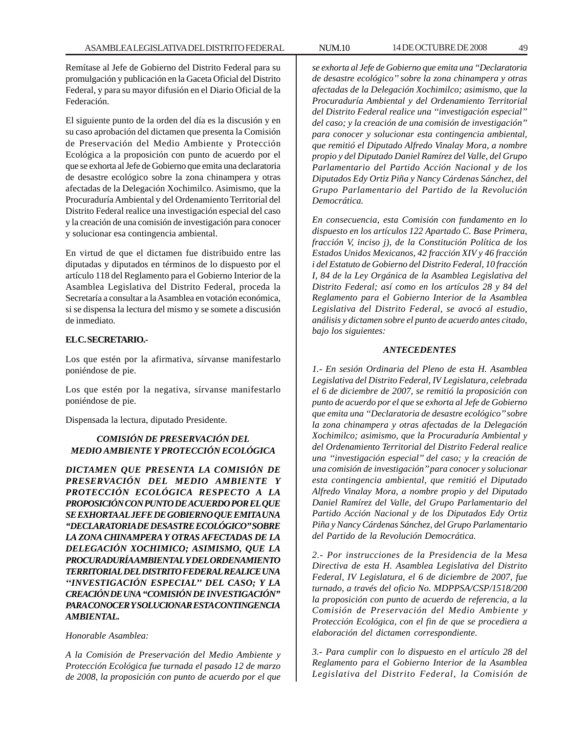Remítase al Jefe de Gobierno del Distrito Federal para su promulgación y publicación en la Gaceta Oficial del Distrito Federal, y para su mayor difusión en el Diario Oficial de la Federación.

El siguiente punto de la orden del día es la discusión y en su caso aprobación del dictamen que presenta la Comisión de Preservación del Medio Ambiente y Protección Ecológica a la proposición con punto de acuerdo por el que se exhorta al Jefe de Gobierno que emita una declaratoria de desastre ecológico sobre la zona chinampera y otras afectadas de la Delegación Xochimilco. Asimismo, que la Procuraduría Ambiental y del Ordenamiento Territorial del Distrito Federal realice una investigación especial del caso y la creación de una comisión de investigación para conocer y solucionar esa contingencia ambiental.

En virtud de que el dictamen fue distribuido entre las diputadas y diputados en términos de lo dispuesto por el artículo 118 del Reglamento para el Gobierno Interior de la Asamblea Legislativa del Distrito Federal, proceda la Secretaría a consultar a la Asamblea en votación económica, si se dispensa la lectura del mismo y se somete a discusión de inmediato.

## **EL C. SECRETARIO.-**

Los que estén por la afirmativa, sírvanse manifestarlo poniéndose de pie.

Los que estén por la negativa, sírvanse manifestarlo poniéndose de pie.

Dispensada la lectura, diputado Presidente.

# *COMISIÓN DE PRESERVACIÓN DEL MEDIO AMBIENTE Y PROTECCIÓN ECOLÓGICA*

*DICTAMEN QUE PRESENTA LA COMISIÓN DE PRESERVACIÓN DEL MEDIO AMBIENTE Y PROTECCIÓN ECOLÓGICA RESPECTO A LA PROPOSICIÓN CON PUNTO DE ACUERDO POR EL QUE SE EXHORTA AL JEFE DE GOBIERNO QUE EMITA UNA ''DECLARATORIA DE DESASTRE ECOLÓGICO'' SOBRE LA ZONA CHINAMPERA Y OTRAS AFECTADAS DE LA DELEGACIÓN XOCHIMICO; ASIMISMO, QUE LA PROCURADURÍA AMBIENTAL Y DEL ORDENAMIENTO TERRITORIAL DEL DISTRITO FEDERAL REALICE UNA ''INVESTIGACIÓN ESPECIAL'' DEL CASO; Y LA CREACIÓN DE UNA ''COMISIÓN DE INVESTIGACIÓN'' PARA CONOCER Y SOLUCIONAR ESTA CONTINGENCIA AMBIENTAL.*

*Honorable Asamblea:*

*A la Comisión de Preservación del Medio Ambiente y Protección Ecológica fue turnada el pasado 12 de marzo de 2008, la proposición con punto de acuerdo por el que* *se exhorta al Jefe de Gobierno que emita una ''Declaratoria de desastre ecológico'' sobre la zona chinampera y otras afectadas de la Delegación Xochimilco; asimismo, que la Procuraduría Ambiental y del Ordenamiento Territorial del Distrito Federal realice una ''investigación especial'' del caso; y la creación de una comisión de investigación'' para conocer y solucionar esta contingencia ambiental, que remitió el Diputado Alfredo Vinalay Mora, a nombre propio y del Diputado Daniel Ramírez del Valle, del Grupo Parlamentario del Partido Acción Nacional y de los Diputados Edy Ortiz Piña y Nancy Cárdenas Sánchez, del Grupo Parlamentario del Partido de la Revolución Democrática.*

*En consecuencia, esta Comisión con fundamento en lo dispuesto en los artículos 122 Apartado C. Base Primera, fracción V, inciso j), de la Constitución Política de los Estados Unidos Mexicanos, 42 fracción XIV y 46 fracción i del Estatuto de Gobierno del Distrito Federal, 10 fracción I, 84 de la Ley Orgánica de la Asamblea Legislativa del Distrito Federal; así como en los artículos 28 y 84 del Reglamento para el Gobierno Interior de la Asamblea Legislativa del Distrito Federal, se avocó al estudio, análisis y dictamen sobre el punto de acuerdo antes citado, bajo los siguientes:*

# *ANTECEDENTES*

*1.- En sesión Ordinaria del Pleno de esta H. Asamblea Legislativa del Distrito Federal, IV Legislatura, celebrada el 6 de diciembre de 2007, se remitió la proposición con punto de acuerdo por el que se exhorta al Jefe de Gobierno que emita una ''Declaratoria de desastre ecológico'' sobre la zona chinampera y otras afectadas de la Delegación Xochimilco; asimismo, que la Procuraduría Ambiental y del Ordenamiento Territorial del Distrito Federal realice una ''investigación especial'' del caso; y la creación de una comisión de investigación'' para conocer y solucionar esta contingencia ambiental, que remitió el Diputado Alfredo Vinalay Mora, a nombre propio y del Diputado Daniel Ramírez del Valle, del Grupo Parlamentario del Partido Acción Nacional y de los Diputados Edy Ortiz Piña y Nancy Cárdenas Sánchez, del Grupo Parlamentario del Partido de la Revolución Democrática.*

*2.- Por instrucciones de la Presidencia de la Mesa Directiva de esta H. Asamblea Legislativa del Distrito Federal, IV Legislatura, el 6 de diciembre de 2007, fue turnado, a través del oficio No. MDPPSA/CSP/1518/200 la proposición con punto de acuerdo de referencia, a la Comisión de Preservación del Medio Ambiente y Protección Ecológica, con el fin de que se procediera a elaboración del dictamen correspondiente.*

*3.- Para cumplir con lo dispuesto en el artículo 28 del Reglamento para el Gobierno Interior de la Asamblea Legislativa del Distrito Federal, la Comisión de*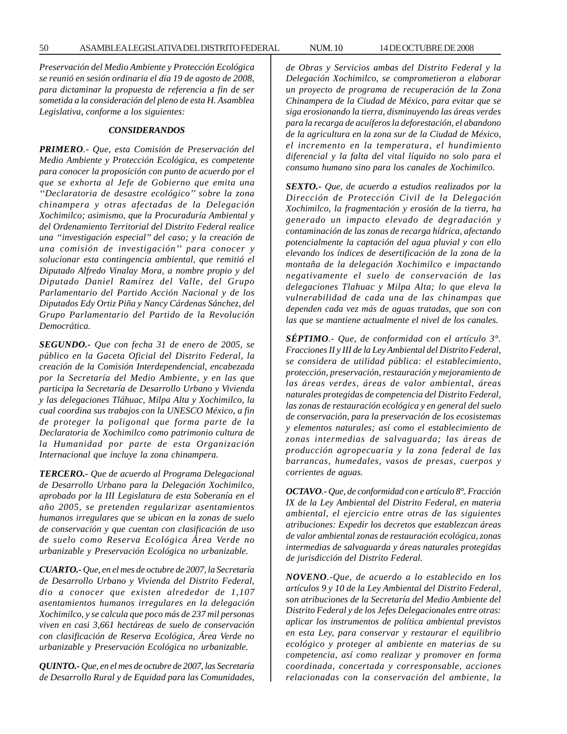*Preservación del Medio Ambiente y Protección Ecológica se reunió en sesión ordinaria el día 19 de agosto de 2008, para dictaminar la propuesta de referencia a fin de ser sometida a la consideración del pleno de esta H. Asamblea Legislativa, conforme a los siguientes:*

#### *CONSIDERANDOS*

*PRIMERO.- Que, esta Comisión de Preservación del Medio Ambiente y Protección Ecológica, es competente para conocer la proposición con punto de acuerdo por el que se exhorta al Jefe de Gobierno que emita una ''Declaratoria de desastre ecológico'' sobre la zona chinampera y otras afectadas de la Delegación Xochimilco; asimismo, que la Procuraduría Ambiental y del Ordenamiento Territorial del Distrito Federal realice una ''investigación especial'' del caso; y la creación de una comisión de investigación'' para conocer y solucionar esta contingencia ambiental, que remitió el Diputado Alfredo Vinalay Mora, a nombre propio y del Diputado Daniel Ramírez del Valle, del Grupo Parlamentario del Partido Acción Nacional y de los Diputados Edy Ortiz Piña y Nancy Cárdenas Sánchez, del Grupo Parlamentario del Partido de la Revolución Democrática.*

*SEGUNDO.- Que con fecha 31 de enero de 2005, se público en la Gaceta Oficial del Distrito Federal, la creación de la Comisión Interdependencial, encabezada por la Secretaría del Medio Ambiente, y en las que participa la Secretaría de Desarrollo Urbano y Vivienda y las delegaciones Tláhuac, Milpa Alta y Xochimilco, la cual coordina sus trabajos con la UNESCO México, a fin de proteger la poligonal que forma parte de la Declaratoria de Xochimilco como patrimonio cultura de la Humanidad por parte de esta Organización Internacional que incluye la zona chinampera.*

*TERCERO.- Que de acuerdo al Programa Delegacional de Desarrollo Urbano para la Delegación Xochimilco, aprobado por la III Legislatura de esta Soberanía en el año 2005, se pretenden regularizar asentamientos humanos irregulares que se ubican en la zonas de suelo de conservación y que cuentan con clasificación de uso de suelo como Reserva Ecológica Área Verde no urbanizable y Preservación Ecológica no urbanizable.*

*CUARTO.- Que, en el mes de octubre de 2007, la Secretaría de Desarrollo Urbano y Vivienda del Distrito Federal, dio a conocer que existen alrededor de 1,107 asentamientos humanos irregulares en la delegación Xochimilco, y se calcula que poco más de 237 mil personas viven en casi 3,661 hectáreas de suelo de conservación con clasificación de Reserva Ecológica, Área Verde no urbanizable y Preservación Ecológica no urbanizable.*

*QUINTO.- Que, en el mes de octubre de 2007, las Secretaría de Desarrollo Rural y de Equidad para las Comunidades,*

*de Obras y Servicios ambas del Distrito Federal y la Delegación Xochimilco, se comprometieron a elaborar un proyecto de programa de recuperación de la Zona Chinampera de la Ciudad de México, para evitar que se siga erosionando la tierra, disminuyendo las áreas verdes para la recarga de acuíferos la deforestación, el abandono de la agricultura en la zona sur de la Ciudad de México, el incremento en la temperatura, el hundimiento diferencial y la falta del vital líquido no solo para el consumo humano sino para los canales de Xochimilco.*

*SEXTO.- Que, de acuerdo a estudios realizados por la Dirección de Protección Civil de la Delegación Xochimilco, la fragmentación y erosión de la tierra, ha generado un impacto elevado de degradación y contaminación de las zonas de recarga hídrica, afectando potencialmente la captación del agua pluvial y con ello elevando los índices de desertificación de la zona de la montaña de la delegación Xochimilco e impactando negativamente el suelo de conservación de las delegaciones Tlahuac y Milpa Alta; lo que eleva la vulnerabilidad de cada una de las chinampas que dependen cada vez más de aguas tratadas, que son con las que se mantiene actualmente el nivel de los canales.*

*SÉPTIMO.- Que, de conformidad con el artículo 3°. Fracciones II y III de la Ley Ambiental del Distrito Federal, se considera de utilidad pública: el establecimiento, protección, preservación, restauración y mejoramiento de las áreas verdes, áreas de valor ambiental, áreas naturales protegidas de competencia del Distrito Federal, las zonas de restauración ecológica y en general del suelo de conservación, para la preservación de los ecosistemas y elementos naturales; así como el establecimiento de zonas intermedias de salvaguarda; las áreas de producción agropecuaria y la zona federal de las barrancas, humedales, vasos de presas, cuerpos y corrientes de aguas.*

*OCTAVO.- Que, de conformidad con e artículo 8°. Fracción IX de la Ley Ambiental del Distrito Federal, en materia ambiental, el ejercicio entre otras de las siguientes atribuciones: Expedir los decretos que establezcan áreas de valor ambiental zonas de restauración ecológica, zonas intermedias de salvaguarda y áreas naturales protegidas de jurisdicción del Distrito Federal.*

*NOVENO.-Que, de acuerdo a lo establecido en los artículos 9 y 10 de la Ley Ambiental del Distrito Federal, son atribuciones de la Secretaría del Medio Ambiente del Distrito Federal y de los Jefes Delegacionales entre otras: aplicar los instrumentos de política ambiental previstos en esta Ley, para conservar y restaurar el equilibrio ecológico y proteger al ambiente en materias de su competencia, así como realizar y promover en forma coordinada, concertada y corresponsable, acciones relacionadas con la conservación del ambiente, la*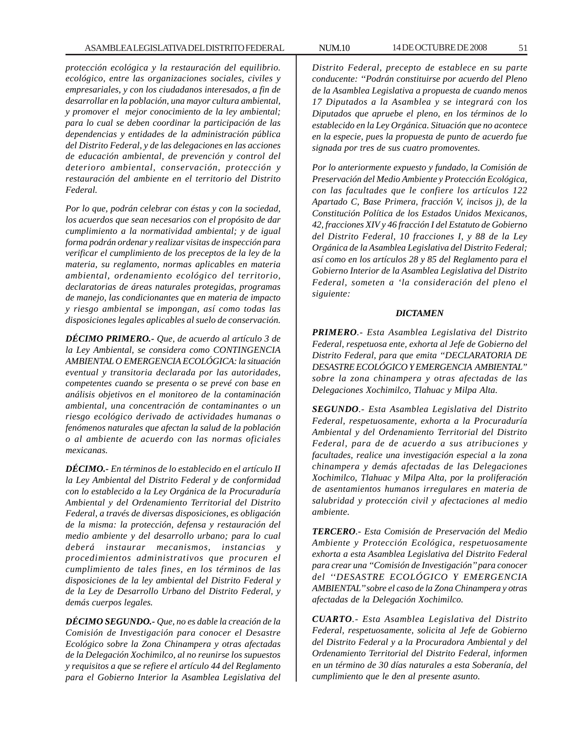*protección ecológica y la restauración del equilibrio. ecológico, entre las organizaciones sociales, civiles y empresariales, y con los ciudadanos interesados, a fin de desarrollar en la población, una mayor cultura ambiental, y promover el mejor conocimiento de la ley ambiental; para lo cual se deben coordinar la participación de las dependencias y entidades de la administración pública del Distrito Federal, y de las delegaciones en las acciones de educación ambiental, de prevención y control del deterioro ambiental, conservación, protección y restauración del ambiente en el territorio del Distrito Federal.*

*Por lo que, podrán celebrar con éstas y con la sociedad, los acuerdos que sean necesarios con el propósito de dar cumplimiento a la normatividad ambiental; y de igual forma podrán ordenar y realizar visitas de inspección para verificar el cumplimiento de los preceptos de la ley de la materia, su reglamento, normas aplicables en materia ambiental, ordenamiento ecológico del territorio, declaratorias de áreas naturales protegidas, programas de manejo, las condicionantes que en materia de impacto y riesgo ambiental se impongan, así como todas las disposiciones legales aplicables al suelo de conservación.*

*DÉCIMO PRIMERO.- Que, de acuerdo al artículo 3 de la Ley Ambiental, se considera como CONTINGENCIA AMBIENTAL O EMERGENCIA ECOLÓGICA: la situación eventual y transitoria declarada por las autoridades, competentes cuando se presenta o se prevé con base en análisis objetivos en el monitoreo de la contaminación ambiental, una concentración de contaminantes o un riesgo ecológico derivado de actividades humanas o fenómenos naturales que afectan la salud de la población o al ambiente de acuerdo con las normas oficiales mexicanas.*

*DÉCIMO.- En términos de lo establecido en el artículo II la Ley Ambiental del Distrito Federal y de conformidad con lo establecido a la Ley Orgánica de la Procuraduría Ambiental y del Ordenamiento Territorial del Distrito Federal, a través de diversas disposiciones, es obligación de la misma: la protección, defensa y restauración del medio ambiente y del desarrollo urbano; para lo cual deberá instaurar mecanismos, instancias y procedimientos administrativos que procuren el cumplimiento de tales fines, en los términos de las disposiciones de la ley ambiental del Distrito Federal y de la Ley de Desarrollo Urbano del Distrito Federal, y demás cuerpos legales.*

*DÉCIMO SEGUNDO.- Que, no es dable la creación de la Comisión de Investigación para conocer el Desastre Ecológico sobre la Zona Chinampera y otras afectadas de la Delegación Xochimilco, al no reunirse los supuestos y requisitos a que se refiere el artículo 44 del Reglamento para el Gobierno Interior la Asamblea Legislativa del* *Distrito Federal, precepto de establece en su parte conducente: ''Podrán constituirse por acuerdo del Pleno de la Asamblea Legislativa a propuesta de cuando menos 17 Diputados a la Asamblea y se integrará con los Diputados que apruebe el pleno, en los términos de lo establecido en la Ley Orgánica. Situación que no acontece en la especie, pues la propuesta de punto de acuerdo fue signada por tres de sus cuatro promoventes.*

*Por lo anteriormente expuesto y fundado, la Comisión de Preservación del Medio Ambiente y Protección Ecológica, con las facultades que le confiere los artículos 122 Apartado C, Base Primera, fracción V, incisos j), de la Constitución Política de los Estados Unidos Mexicanos, 42, fracciones XIV y 46 fracción I del Estatuto de Gobierno del Distrito Federal, 10 fracciones I, y 88 de la Ley Orgánica de la Asamblea Legislativa del Distrito Federal; así como en los artículos 28 y 85 del Reglamento para el Gobierno Interior de la Asamblea Legislativa del Distrito Federal, someten a 'la consideración del pleno el siguiente:*

## *DICTAMEN*

*PRIMERO.- Esta Asamblea Legislativa del Distrito Federal, respetuosa ente, exhorta al Jefe de Gobierno del Distrito Federal, para que emita ''DECLARATORIA DE DESASTRE ECOLÓGICO Y EMERGENCIA AMBIENTAL'' sobre la zona chinampera y otras afectadas de las Delegaciones Xochimilco, Tlahuac y Milpa Alta.*

*SEGUNDO.- Esta Asamblea Legislativa del Distrito Federal, respetuosamente, exhorta a la Procuraduría Ambiental y del Ordenamiento Territorial del Distrito Federal, para de de acuerdo a sus atribuciones y facultades, realice una investigación especial a la zona chinampera y demás afectadas de las Delegaciones Xochimilco, Tlahuac y Milpa Alta, por la proliferación de asentamientos humanos irregulares en materia de salubridad y protección civil y afectaciones al medio ambiente.*

*TERCERO.- Esta Comisión de Preservación del Medio Ambiente y Protección Ecológica, respetuosamente exhorta a esta Asamblea Legislativa del Distrito Federal para crear una ''Comisión de Investigación'' para conocer del ''DESASTRE ECOLÓGICO Y EMERGENCIA AMBIENTAL'' sobre el caso de la Zona Chinampera y otras afectadas de la Delegación Xochimilco.*

*CUARTO.- Esta Asamblea Legislativa del Distrito Federal, respetuosamente, solicita al Jefe de Gobierno del Distrito Federal y a la Procuradora Ambiental y del Ordenamiento Territorial del Distrito Federal, informen en un término de 30 días naturales a esta Soberanía, del cumplimiento que le den al presente asunto.*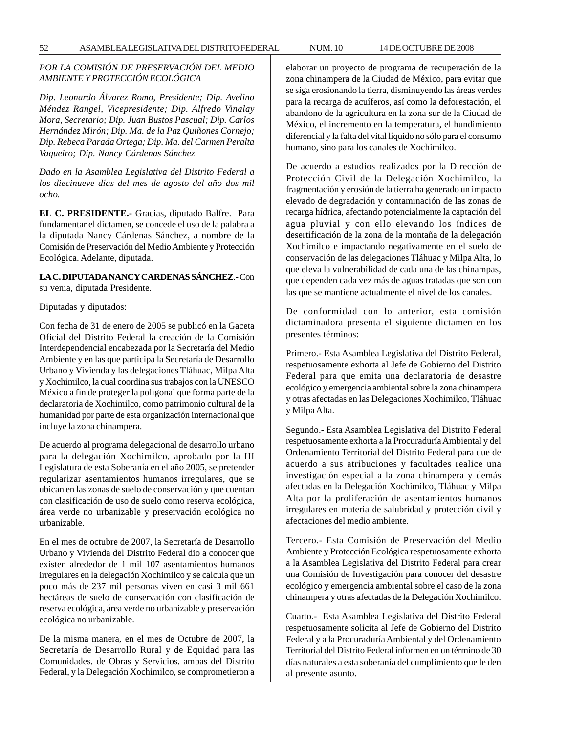# *POR LA COMISIÓN DE PRESERVACIÓN DEL MEDIO AMBIENTE Y PROTECCIÓN ECOLÓGICA*

*Dip. Leonardo Álvarez Romo, Presidente; Dip. Avelino Méndez Rangel, Vicepresidente; Dip. Alfredo Vinalay Mora, Secretario; Dip. Juan Bustos Pascual; Dip. Carlos Hernández Mirón; Dip. Ma. de la Paz Quiñones Cornejo; Dip. Rebeca Parada Ortega; Dip. Ma. del Carmen Peralta Vaqueiro; Dip. Nancy Cárdenas Sánchez*

*Dado en la Asamblea Legislativa del Distrito Federal a los diecinueve días del mes de agosto del año dos mil ocho.*

**EL C. PRESIDENTE.-** Gracias, diputado Balfre. Para fundamentar el dictamen, se concede el uso de la palabra a la diputada Nancy Cárdenas Sánchez, a nombre de la Comisión de Preservación del Medio Ambiente y Protección Ecológica. Adelante, diputada.

**LA C. DIPUTADA NANCY CARDENAS SÁNCHEZ**.- Con su venia, diputada Presidente.

Diputadas y diputados:

Con fecha de 31 de enero de 2005 se publicó en la Gaceta Oficial del Distrito Federal la creación de la Comisión Interdependencial encabezada por la Secretaría del Medio Ambiente y en las que participa la Secretaría de Desarrollo Urbano y Vivienda y las delegaciones Tláhuac, Milpa Alta y Xochimilco, la cual coordina sus trabajos con la UNESCO México a fin de proteger la poligonal que forma parte de la declaratoria de Xochimilco, como patrimonio cultural de la humanidad por parte de esta organización internacional que incluye la zona chinampera.

De acuerdo al programa delegacional de desarrollo urbano para la delegación Xochimilco, aprobado por la III Legislatura de esta Soberanía en el año 2005, se pretender regularizar asentamientos humanos irregulares, que se ubican en las zonas de suelo de conservación y que cuentan con clasificación de uso de suelo como reserva ecológica, área verde no urbanizable y preservación ecológica no urbanizable.

En el mes de octubre de 2007, la Secretaría de Desarrollo Urbano y Vivienda del Distrito Federal dio a conocer que existen alrededor de 1 mil 107 asentamientos humanos irregulares en la delegación Xochimilco y se calcula que un poco más de 237 mil personas viven en casi 3 mil 661 hectáreas de suelo de conservación con clasificación de reserva ecológica, área verde no urbanizable y preservación ecológica no urbanizable.

De la misma manera, en el mes de Octubre de 2007, la Secretaría de Desarrollo Rural y de Equidad para las Comunidades, de Obras y Servicios, ambas del Distrito Federal, y la Delegación Xochimilco, se comprometieron a elaborar un proyecto de programa de recuperación de la zona chinampera de la Ciudad de México, para evitar que se siga erosionando la tierra, disminuyendo las áreas verdes para la recarga de acuíferos, así como la deforestación, el abandono de la agricultura en la zona sur de la Ciudad de México, el incremento en la temperatura, el hundimiento diferencial y la falta del vital líquido no sólo para el consumo humano, sino para los canales de Xochimilco.

De acuerdo a estudios realizados por la Dirección de Protección Civil de la Delegación Xochimilco, la fragmentación y erosión de la tierra ha generado un impacto elevado de degradación y contaminación de las zonas de recarga hídrica, afectando potencialmente la captación del agua pluvial y con ello elevando los índices de desertificación de la zona de la montaña de la delegación Xochimilco e impactando negativamente en el suelo de conservación de las delegaciones Tláhuac y Milpa Alta, lo que eleva la vulnerabilidad de cada una de las chinampas, que dependen cada vez más de aguas tratadas que son con las que se mantiene actualmente el nivel de los canales.

De conformidad con lo anterior, esta comisión dictaminadora presenta el siguiente dictamen en los presentes términos:

Primero.- Esta Asamblea Legislativa del Distrito Federal, respetuosamente exhorta al Jefe de Gobierno del Distrito Federal para que emita una declaratoria de desastre ecológico y emergencia ambiental sobre la zona chinampera y otras afectadas en las Delegaciones Xochimilco, Tláhuac y Milpa Alta.

Segundo.- Esta Asamblea Legislativa del Distrito Federal respetuosamente exhorta a la Procuraduría Ambiental y del Ordenamiento Territorial del Distrito Federal para que de acuerdo a sus atribuciones y facultades realice una investigación especial a la zona chinampera y demás afectadas en la Delegación Xochimilco, Tláhuac y Milpa Alta por la proliferación de asentamientos humanos irregulares en materia de salubridad y protección civil y afectaciones del medio ambiente.

Tercero.- Esta Comisión de Preservación del Medio Ambiente y Protección Ecológica respetuosamente exhorta a la Asamblea Legislativa del Distrito Federal para crear una Comisión de Investigación para conocer del desastre ecológico y emergencia ambiental sobre el caso de la zona chinampera y otras afectadas de la Delegación Xochimilco.

Cuarto.- Esta Asamblea Legislativa del Distrito Federal respetuosamente solicita al Jefe de Gobierno del Distrito Federal y a la Procuraduría Ambiental y del Ordenamiento Territorial del Distrito Federal informen en un término de 30 días naturales a esta soberanía del cumplimiento que le den al presente asunto.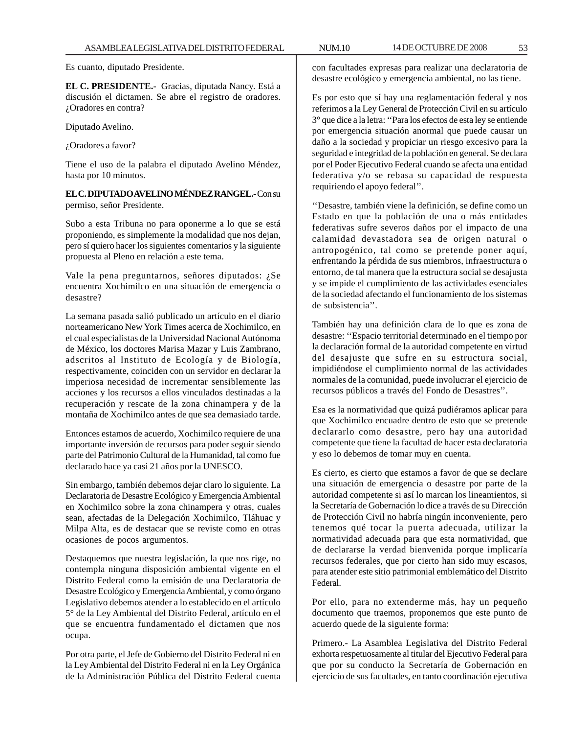Es cuanto, diputado Presidente.

**EL C. PRESIDENTE.-** Gracias, diputada Nancy. Está a discusión el dictamen. Se abre el registro de oradores. ¿Oradores en contra?

Diputado Avelino.

¿Oradores a favor?

Tiene el uso de la palabra el diputado Avelino Méndez, hasta por 10 minutos.

**EL C. DIPUTADO AVELINO MÉNDEZ RANGEL.-** Con su permiso, señor Presidente.

Subo a esta Tribuna no para oponerme a lo que se está proponiendo, es simplemente la modalidad que nos dejan, pero sí quiero hacer los siguientes comentarios y la siguiente propuesta al Pleno en relación a este tema.

Vale la pena preguntarnos, señores diputados: ¿Se encuentra Xochimilco en una situación de emergencia o desastre?

La semana pasada salió publicado un artículo en el diario norteamericano New York Times acerca de Xochimilco, en el cual especialistas de la Universidad Nacional Autónoma de México, los doctores Marisa Mazar y Luis Zambrano, adscritos al Instituto de Ecología y de Biología, respectivamente, coinciden con un servidor en declarar la imperiosa necesidad de incrementar sensiblemente las acciones y los recursos a ellos vinculados destinadas a la recuperación y rescate de la zona chinampera y de la montaña de Xochimilco antes de que sea demasiado tarde.

Entonces estamos de acuerdo, Xochimilco requiere de una importante inversión de recursos para poder seguir siendo parte del Patrimonio Cultural de la Humanidad, tal como fue declarado hace ya casi 21 años por la UNESCO.

Sin embargo, también debemos dejar claro lo siguiente. La Declaratoria de Desastre Ecológico y Emergencia Ambiental en Xochimilco sobre la zona chinampera y otras, cuales sean, afectadas de la Delegación Xochimilco, Tláhuac y Milpa Alta, es de destacar que se reviste como en otras ocasiones de pocos argumentos.

Destaquemos que nuestra legislación, la que nos rige, no contempla ninguna disposición ambiental vigente en el Distrito Federal como la emisión de una Declaratoria de Desastre Ecológico y Emergencia Ambiental, y como órgano Legislativo debemos atender a lo establecido en el artículo 5° de la Ley Ambiental del Distrito Federal, artículo en el que se encuentra fundamentado el dictamen que nos ocupa.

Por otra parte, el Jefe de Gobierno del Distrito Federal ni en la Ley Ambiental del Distrito Federal ni en la Ley Orgánica de la Administración Pública del Distrito Federal cuenta

con facultades expresas para realizar una declaratoria de desastre ecológico y emergencia ambiental, no las tiene.

Es por esto que sí hay una reglamentación federal y nos referimos a la Ley General de Protección Civil en su artículo 3° que dice a la letra: ''Para los efectos de esta ley se entiende por emergencia situación anormal que puede causar un daño a la sociedad y propiciar un riesgo excesivo para la seguridad e integridad de la población en general. Se declara por el Poder Ejecutivo Federal cuando se afecta una entidad federativa y/o se rebasa su capacidad de respuesta requiriendo el apoyo federal''.

''Desastre, también viene la definición, se define como un Estado en que la población de una o más entidades federativas sufre severos daños por el impacto de una calamidad devastadora sea de origen natural o antropogénico, tal como se pretende poner aquí, enfrentando la pérdida de sus miembros, infraestructura o entorno, de tal manera que la estructura social se desajusta y se impide el cumplimiento de las actividades esenciales de la sociedad afectando el funcionamiento de los sistemas de subsistencia''.

También hay una definición clara de lo que es zona de desastre: ''Espacio territorial determinado en el tiempo por la declaración formal de la autoridad competente en virtud del desajuste que sufre en su estructura social, impidiéndose el cumplimiento normal de las actividades normales de la comunidad, puede involucrar el ejercicio de recursos públicos a través del Fondo de Desastres''.

Esa es la normatividad que quizá pudiéramos aplicar para que Xochimilco encuadre dentro de esto que se pretende declararlo como desastre, pero hay una autoridad competente que tiene la facultad de hacer esta declaratoria y eso lo debemos de tomar muy en cuenta.

Es cierto, es cierto que estamos a favor de que se declare una situación de emergencia o desastre por parte de la autoridad competente si así lo marcan los lineamientos, si la Secretaría de Gobernación lo dice a través de su Dirección de Protección Civil no habría ningún inconveniente, pero tenemos qué tocar la puerta adecuada, utilizar la normatividad adecuada para que esta normatividad, que de declararse la verdad bienvenida porque implicaría recursos federales, que por cierto han sido muy escasos, para atender este sitio patrimonial emblemático del Distrito Federal.

Por ello, para no extenderme más, hay un pequeño documento que traemos, proponemos que este punto de acuerdo quede de la siguiente forma:

Primero.- La Asamblea Legislativa del Distrito Federal exhorta respetuosamente al titular del Ejecutivo Federal para que por su conducto la Secretaría de Gobernación en ejercicio de sus facultades, en tanto coordinación ejecutiva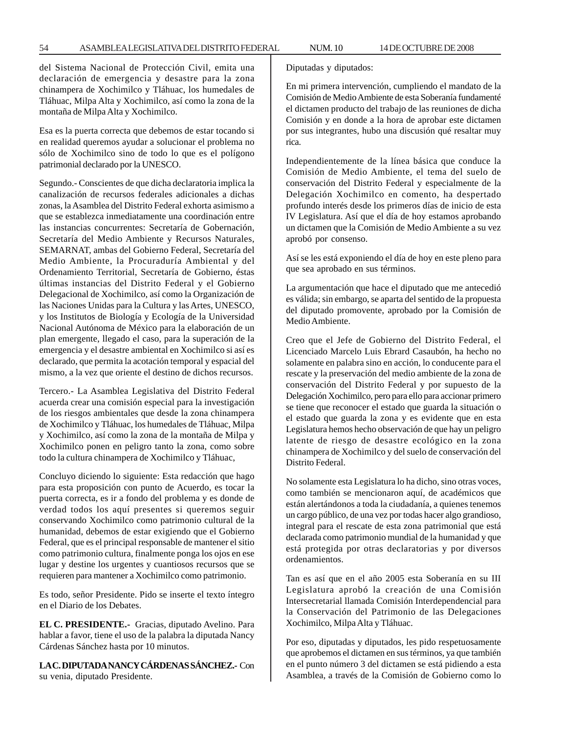del Sistema Nacional de Protección Civil, emita una declaración de emergencia y desastre para la zona chinampera de Xochimilco y Tláhuac, los humedales de Tláhuac, Milpa Alta y Xochimilco, así como la zona de la montaña de Milpa Alta y Xochimilco.

Esa es la puerta correcta que debemos de estar tocando si en realidad queremos ayudar a solucionar el problema no sólo de Xochimilco sino de todo lo que es el polígono patrimonial declarado por la UNESCO.

Segundo.- Conscientes de que dicha declaratoria implica la canalización de recursos federales adicionales a dichas zonas, la Asamblea del Distrito Federal exhorta asimismo a que se establezca inmediatamente una coordinación entre las instancias concurrentes: Secretaría de Gobernación, Secretaría del Medio Ambiente y Recursos Naturales, SEMARNAT, ambas del Gobierno Federal, Secretaría del Medio Ambiente, la Procuraduría Ambiental y del Ordenamiento Territorial, Secretaría de Gobierno, éstas últimas instancias del Distrito Federal y el Gobierno Delegacional de Xochimilco, así como la Organización de las Naciones Unidas para la Cultura y las Artes, UNESCO, y los Institutos de Biología y Ecología de la Universidad Nacional Autónoma de México para la elaboración de un plan emergente, llegado el caso, para la superación de la emergencia y el desastre ambiental en Xochimilco si así es declarado, que permita la acotación temporal y espacial del mismo, a la vez que oriente el destino de dichos recursos.

Tercero.- La Asamblea Legislativa del Distrito Federal acuerda crear una comisión especial para la investigación de los riesgos ambientales que desde la zona chinampera de Xochimilco y Tláhuac, los humedales de Tláhuac, Milpa y Xochimilco, así como la zona de la montaña de Milpa y Xochimilco ponen en peligro tanto la zona, como sobre todo la cultura chinampera de Xochimilco y Tláhuac,

Concluyo diciendo lo siguiente: Esta redacción que hago para esta proposición con punto de Acuerdo, es tocar la puerta correcta, es ir a fondo del problema y es donde de verdad todos los aquí presentes si queremos seguir conservando Xochimilco como patrimonio cultural de la humanidad, debemos de estar exigiendo que el Gobierno Federal, que es el principal responsable de mantener el sitio como patrimonio cultura, finalmente ponga los ojos en ese lugar y destine los urgentes y cuantiosos recursos que se requieren para mantener a Xochimilco como patrimonio.

Es todo, señor Presidente. Pido se inserte el texto íntegro en el Diario de los Debates.

**EL C. PRESIDENTE.-** Gracias, diputado Avelino. Para hablar a favor, tiene el uso de la palabra la diputada Nancy Cárdenas Sánchez hasta por 10 minutos.

**LA C. DIPUTADA NANCY CÁRDENAS SÁNCHEZ.-** Con su venia, diputado Presidente.

Diputadas y diputados:

En mi primera intervención, cumpliendo el mandato de la Comisión de Medio Ambiente de esta Soberanía fundamenté el dictamen producto del trabajo de las reuniones de dicha Comisión y en donde a la hora de aprobar este dictamen por sus integrantes, hubo una discusión qué resaltar muy rica.

Independientemente de la línea básica que conduce la Comisión de Medio Ambiente, el tema del suelo de conservación del Distrito Federal y especialmente de la Delegación Xochimilco en comento, ha despertado profundo interés desde los primeros días de inicio de esta IV Legislatura. Así que el día de hoy estamos aprobando un dictamen que la Comisión de Medio Ambiente a su vez aprobó por consenso.

Así se les está exponiendo el día de hoy en este pleno para que sea aprobado en sus términos.

La argumentación que hace el diputado que me antecedió es válida; sin embargo, se aparta del sentido de la propuesta del diputado promovente, aprobado por la Comisión de Medio Ambiente.

Creo que el Jefe de Gobierno del Distrito Federal, el Licenciado Marcelo Luis Ebrard Casaubón, ha hecho no solamente en palabra sino en acción, lo conducente para el rescate y la preservación del medio ambiente de la zona de conservación del Distrito Federal y por supuesto de la Delegación Xochimilco, pero para ello para accionar primero se tiene que reconocer el estado que guarda la situación o el estado que guarda la zona y es evidente que en esta Legislatura hemos hecho observación de que hay un peligro latente de riesgo de desastre ecológico en la zona chinampera de Xochimilco y del suelo de conservación del Distrito Federal.

No solamente esta Legislatura lo ha dicho, sino otras voces, como también se mencionaron aquí, de académicos que están alertándonos a toda la ciudadanía, a quienes tenemos un cargo público, de una vez por todas hacer algo grandioso, integral para el rescate de esta zona patrimonial que está declarada como patrimonio mundial de la humanidad y que está protegida por otras declaratorias y por diversos ordenamientos.

Tan es así que en el año 2005 esta Soberanía en su III Legislatura aprobó la creación de una Comisión Intersecretarial llamada Comisión Interdependencial para la Conservación del Patrimonio de las Delegaciones Xochimilco, Milpa Alta y Tláhuac.

Por eso, diputadas y diputados, les pido respetuosamente que aprobemos el dictamen en sus términos, ya que también en el punto número 3 del dictamen se está pidiendo a esta Asamblea, a través de la Comisión de Gobierno como lo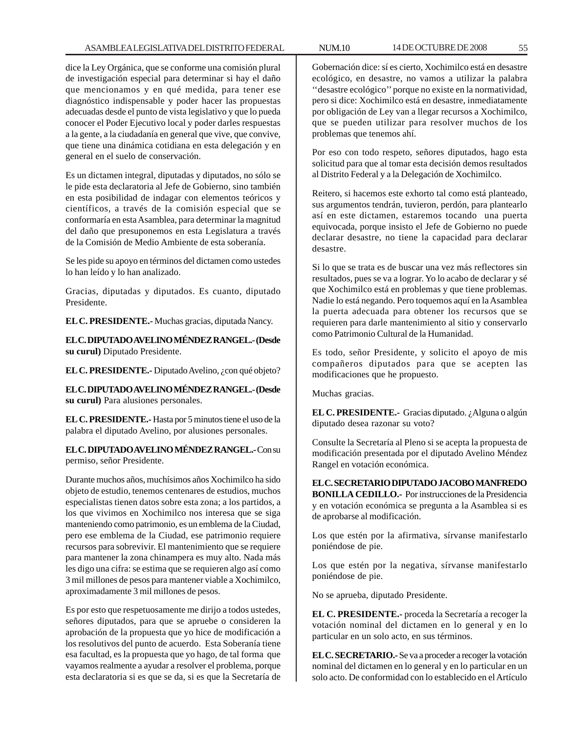dice la Ley Orgánica, que se conforme una comisión plural de investigación especial para determinar si hay el daño que mencionamos y en qué medida, para tener ese diagnóstico indispensable y poder hacer las propuestas adecuadas desde el punto de vista legislativo y que lo pueda conocer el Poder Ejecutivo local y poder darles respuestas a la gente, a la ciudadanía en general que vive, que convive, que tiene una dinámica cotidiana en esta delegación y en general en el suelo de conservación.

Es un dictamen integral, diputadas y diputados, no sólo se le pide esta declaratoria al Jefe de Gobierno, sino también en esta posibilidad de indagar con elementos teóricos y científicos, a través de la comisión especial que se conformaría en esta Asamblea, para determinar la magnitud del daño que presuponemos en esta Legislatura a través de la Comisión de Medio Ambiente de esta soberanía.

Se les pide su apoyo en términos del dictamen como ustedes lo han leído y lo han analizado.

Gracias, diputadas y diputados. Es cuanto, diputado Presidente.

**EL C. PRESIDENTE.-** Muchas gracias, diputada Nancy.

**EL C. DIPUTADO AVELINO MÉNDEZ RANGEL.- (Desde su curul)** Diputado Presidente.

**EL C. PRESIDENTE.-** Diputado Avelino, ¿con qué objeto?

**EL C. DIPUTADO AVELINO MÉNDEZ RANGEL.- (Desde su curul)** Para alusiones personales.

**EL C. PRESIDENTE.-** Hasta por 5 minutos tiene el uso de la palabra el diputado Avelino, por alusiones personales.

**EL C. DIPUTADO AVELINO MÉNDEZ RANGEL.-** Con su permiso, señor Presidente.

Durante muchos años, muchísimos años Xochimilco ha sido objeto de estudio, tenemos centenares de estudios, muchos especialistas tienen datos sobre esta zona; a los partidos, a los que vivimos en Xochimilco nos interesa que se siga manteniendo como patrimonio, es un emblema de la Ciudad, pero ese emblema de la Ciudad, ese patrimonio requiere recursos para sobrevivir. El mantenimiento que se requiere para mantener la zona chinampera es muy alto. Nada más les digo una cifra: se estima que se requieren algo así como 3 mil millones de pesos para mantener viable a Xochimilco, aproximadamente 3 mil millones de pesos.

Es por esto que respetuosamente me dirijo a todos ustedes, señores diputados, para que se apruebe o consideren la aprobación de la propuesta que yo hice de modificación a los resolutivos del punto de acuerdo. Esta Soberanía tiene esa facultad, es la propuesta que yo hago, de tal forma que vayamos realmente a ayudar a resolver el problema, porque esta declaratoria si es que se da, si es que la Secretaría de

Gobernación dice: sí es cierto, Xochimilco está en desastre ecológico, en desastre, no vamos a utilizar la palabra ''desastre ecológico'' porque no existe en la normatividad, pero si dice: Xochimilco está en desastre, inmediatamente por obligación de Ley van a llegar recursos a Xochimilco, que se pueden utilizar para resolver muchos de los problemas que tenemos ahí.

Por eso con todo respeto, señores diputados, hago esta solicitud para que al tomar esta decisión demos resultados al Distrito Federal y a la Delegación de Xochimilco.

Reitero, si hacemos este exhorto tal como está planteado, sus argumentos tendrán, tuvieron, perdón, para plantearlo así en este dictamen, estaremos tocando una puerta equivocada, porque insisto el Jefe de Gobierno no puede declarar desastre, no tiene la capacidad para declarar desastre.

Si lo que se trata es de buscar una vez más reflectores sin resultados, pues se va a lograr. Yo lo acabo de declarar y sé que Xochimilco está en problemas y que tiene problemas. Nadie lo está negando. Pero toquemos aquí en la Asamblea la puerta adecuada para obtener los recursos que se requieren para darle mantenimiento al sitio y conservarlo como Patrimonio Cultural de la Humanidad.

Es todo, señor Presidente, y solicito el apoyo de mis compañeros diputados para que se acepten las modificaciones que he propuesto.

Muchas gracias.

**EL C. PRESIDENTE.-** Gracias diputado. ¿Alguna o algún diputado desea razonar su voto?

Consulte la Secretaría al Pleno si se acepta la propuesta de modificación presentada por el diputado Avelino Méndez Rangel en votación económica.

**EL C. SECRETARIO DIPUTADO JACOBO MANFREDO BONILLA CEDILLO.-** Por instrucciones de la Presidencia y en votación económica se pregunta a la Asamblea si es de aprobarse al modificación.

Los que estén por la afirmativa, sírvanse manifestarlo poniéndose de pie.

Los que estén por la negativa, sírvanse manifestarlo poniéndose de pie.

No se aprueba, diputado Presidente.

**EL C. PRESIDENTE.-** proceda la Secretaría a recoger la votación nominal del dictamen en lo general y en lo particular en un solo acto, en sus términos.

**EL C. SECRETARIO.-** Se va a proceder a recoger la votación nominal del dictamen en lo general y en lo particular en un solo acto. De conformidad con lo establecido en el Artículo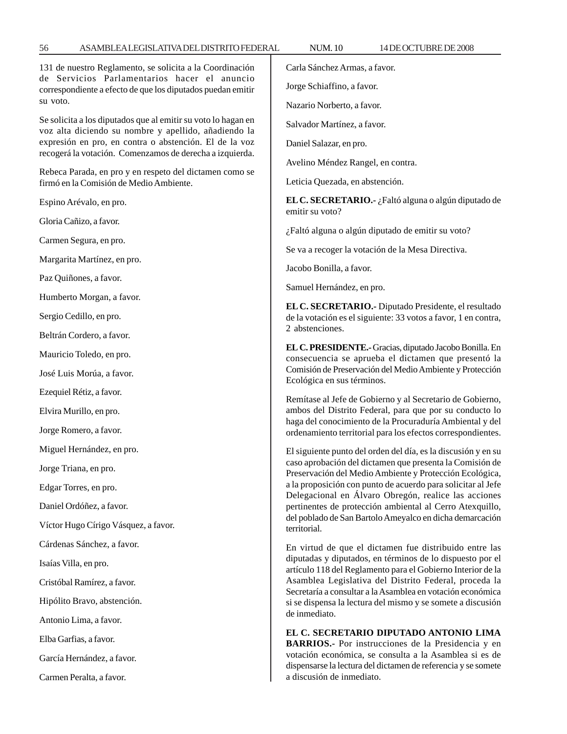131 de nuestro Reglamento, se solicita a la Coordinación de Servicios Parlamentarios hacer el anuncio correspondiente a efecto de que los diputados puedan emitir su voto.

Se solicita a los diputados que al emitir su voto lo hagan en voz alta diciendo su nombre y apellido, añadiendo la expresión en pro, en contra o abstención. El de la voz recogerá la votación. Comenzamos de derecha a izquierda.

Rebeca Parada, en pro y en respeto del dictamen como se firmó en la Comisión de Medio Ambiente.

Espino Arévalo, en pro.

Gloria Cañizo, a favor.

Carmen Segura, en pro.

Margarita Martínez, en pro.

Paz Quiñones, a favor.

Humberto Morgan, a favor.

Sergio Cedillo, en pro.

Beltrán Cordero, a favor.

Mauricio Toledo, en pro.

José Luis Morúa, a favor.

Ezequiel Rétiz, a favor.

Elvira Murillo, en pro.

Jorge Romero, a favor.

Miguel Hernández, en pro.

Jorge Triana, en pro.

Edgar Torres, en pro.

Daniel Ordóñez, a favor.

Víctor Hugo Círigo Vásquez, a favor.

Cárdenas Sánchez, a favor.

Isaías Villa, en pro.

Cristóbal Ramírez, a favor.

Hipólito Bravo, abstención.

Antonio Lima, a favor.

Elba Garfias, a favor.

García Hernández, a favor.

Carmen Peralta, a favor.

Carla Sánchez Armas, a favor.

Jorge Schiaffino, a favor.

Nazario Norberto, a favor.

Salvador Martínez, a favor.

Daniel Salazar, en pro.

Avelino Méndez Rangel, en contra.

Leticia Quezada, en abstención.

**EL C. SECRETARIO.-** ¿Faltó alguna o algún diputado de emitir su voto?

¿Faltó alguna o algún diputado de emitir su voto?

Se va a recoger la votación de la Mesa Directiva.

Jacobo Bonilla, a favor.

Samuel Hernández, en pro.

**EL C. SECRETARIO.-** Diputado Presidente, el resultado de la votación es el siguiente: 33 votos a favor, 1 en contra, 2 abstenciones.

**EL C. PRESIDENTE.-** Gracias, diputado Jacobo Bonilla. En consecuencia se aprueba el dictamen que presentó la Comisión de Preservación del Medio Ambiente y Protección Ecológica en sus términos.

Remítase al Jefe de Gobierno y al Secretario de Gobierno, ambos del Distrito Federal, para que por su conducto lo haga del conocimiento de la Procuraduría Ambiental y del ordenamiento territorial para los efectos correspondientes.

El siguiente punto del orden del día, es la discusión y en su caso aprobación del dictamen que presenta la Comisión de Preservación del Medio Ambiente y Protección Ecológica, a la proposición con punto de acuerdo para solicitar al Jefe Delegacional en Álvaro Obregón, realice las acciones pertinentes de protección ambiental al Cerro Atexquillo, del poblado de San Bartolo Ameyalco en dicha demarcación territorial.

En virtud de que el dictamen fue distribuido entre las diputadas y diputados, en términos de lo dispuesto por el artículo 118 del Reglamento para el Gobierno Interior de la Asamblea Legislativa del Distrito Federal, proceda la Secretaría a consultar a la Asamblea en votación económica si se dispensa la lectura del mismo y se somete a discusión de inmediato.

**EL C. SECRETARIO DIPUTADO ANTONIO LIMA BARRIOS.-** Por instrucciones de la Presidencia y en votación económica, se consulta a la Asamblea si es de dispensarse la lectura del dictamen de referencia y se somete a discusión de inmediato.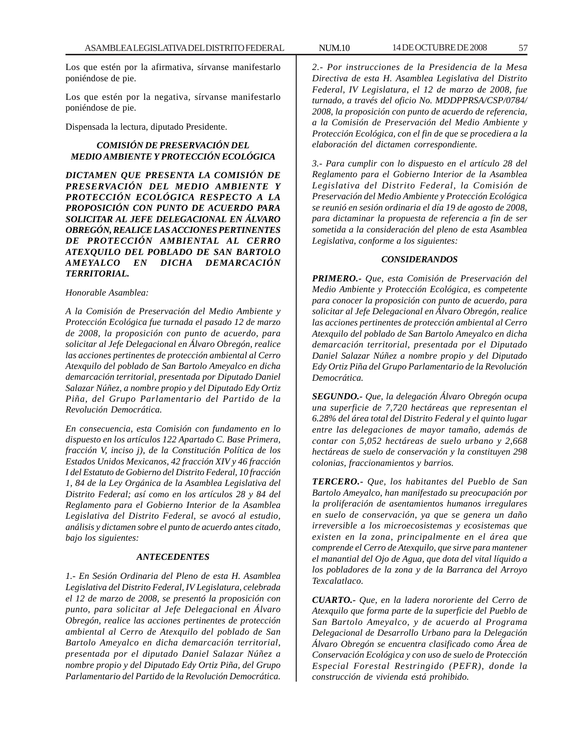Los que estén por la afirmativa, sírvanse manifestarlo poniéndose de pie.

Los que estén por la negativa, sírvanse manifestarlo poniéndose de pie.

Dispensada la lectura, diputado Presidente.

# *COMISIÓN DE PRESERVACIÓN DEL MEDIO AMBIENTE Y PROTECCIÓN ECOLÓGICA*

*DICTAMEN QUE PRESENTA LA COMISIÓN DE PRESERVACIÓN DEL MEDIO AMBIENTE Y PROTECCIÓN ECOLÓGICA RESPECTO A LA PROPOSICIÓN CON PUNTO DE ACUERDO PARA SOLICITAR AL JEFE DELEGACIONAL EN ÁLVARO OBREGÓN, REALICE LAS ACCIONES PERTINENTES DE PROTECCIÓN AMBIENTAL AL CERRO ATEXQUILO DEL POBLADO DE SAN BARTOLO AMEYALCO EN DICHA DEMARCACIÓN TERRITORIAL.*

## *Honorable Asamblea:*

*A la Comisión de Preservación del Medio Ambiente y Protección Ecológica fue turnada el pasado 12 de marzo de 2008, la proposición con punto de acuerdo, para solicitar al Jefe Delegacional en Álvaro Obregón, realice las acciones pertinentes de protección ambiental al Cerro Atexquilo del poblado de San Bartolo Ameyalco en dicha demarcación territorial, presentada por Diputado Daniel Salazar Núñez, a nombre propio y del Diputado Edy Ortiz Piña, del Grupo Parlamentario del Partido de la Revolución Democrática.*

*En consecuencia, esta Comisión con fundamento en lo dispuesto en los artículos 122 Apartado C. Base Primera, fracción V, inciso j), de la Constitución Política de los Estados Unidos Mexicanos, 42 fracción XIV y 46 fracción I del Estatuto de Gobierno del Distrito Federal, 10 fracción 1, 84 de la Ley Orgánica de la Asamblea Legislativa del Distrito Federal; así como en los artículos 28 y 84 del Reglamento para el Gobierno Interior de la Asamblea Legislativa del Distrito Federal, se avocó al estudio, análisis y dictamen sobre el punto de acuerdo antes citado, bajo los siguientes:*

#### *ANTECEDENTES*

*1.- En Sesión Ordinaria del Pleno de esta H. Asamblea Legislativa del Distrito Federal, IV Legislatura, celebrada el 12 de marzo de 2008, se presentó la proposición con punto, para solicitar al Jefe Delegacional en Álvaro Obregón, realice las acciones pertinentes de protección ambiental al Cerro de Atexquilo del poblado de San Bartolo Ameyalco en dicha demarcación territorial, presentada por el diputado Daniel Salazar Núñez a nombre propio y del Diputado Edy Ortiz Piña, del Grupo Parlamentario del Partido de la Revolución Democrática.*

*2.- Por instrucciones de la Presidencia de la Mesa Directiva de esta H. Asamblea Legislativa del Distrito Federal, IV Legislatura, el 12 de marzo de 2008, fue turnado, a través del oficio No. MDDPPRSA/CSP/0784/ 2008, la proposición con punto de acuerdo de referencia, a la Comisión de Preservación del Medio Ambiente y Protección Ecológica, con el fin de que se procediera a la elaboración del dictamen correspondiente.*

*3.- Para cumplir con lo dispuesto en el artículo 28 del Reglamento para el Gobierno Interior de la Asamblea Legislativa del Distrito Federal, la Comisión de Preservación del Medio Ambiente y Protección Ecológica se reunió en sesión ordinaria el día 19 de agosto de 2008, para dictaminar la propuesta de referencia a fin de ser sometida a la consideración del pleno de esta Asamblea Legislativa, conforme a los siguientes:*

# *CONSIDERANDOS*

*PRIMERO.- Que, esta Comisión de Preservación del Medio Ambiente y Protección Ecológica, es competente para conocer la proposición con punto de acuerdo, para solicitar al Jefe Delegacional en Álvaro Obregón, realice las acciones pertinentes de protección ambiental al Cerro Atexquilo del poblado de San Bartolo Ameyalco en dicha demarcación territorial, presentada por el Diputado Daniel Salazar Núñez a nombre propio y del Diputado Edy Ortiz Piña del Grupo Parlamentario de la Revolución Democrática.*

*SEGUNDO.- Que, la delegación Álvaro Obregón ocupa una superficie de 7,720 hectáreas que representan el 6.28% del área total del Distrito Federal y el quinto lugar entre las delegaciones de mayor tamaño, además de contar con 5,052 hectáreas de suelo urbano y 2,668 hectáreas de suelo de conservación y la constituyen 298 colonias, fraccionamientos y barrios.*

*TERCERO.- Que, los habitantes del Pueblo de San Bartolo Ameyalco, han manifestado su preocupación por la proliferación de asentamientos humanos irregulares en suelo de conservación, ya que se genera un daño irreversible a los microecosistemas y ecosistemas que existen en la zona, principalmente en el área que comprende el Cerro de Atexquilo, que sirve para mantener el manantial del Ojo de Agua, que dota del vital líquido a los pobladores de la zona y de la Barranca del Arroyo Texcalatlaco.*

*CUARTO.- Que, en la ladera nororiente del Cerro de Atexquilo que forma parte de la superficie del Pueblo de San Bartolo Ameyalco, y de acuerdo al Programa Delegacional de Desarrollo Urbano para la Delegación Álvaro Obregón se encuentra clasificado como Área de Conservación Ecológica y con uso de suelo de Protección Especial Forestal Restringido (PEFR), donde la construcción de vivienda está prohibido.*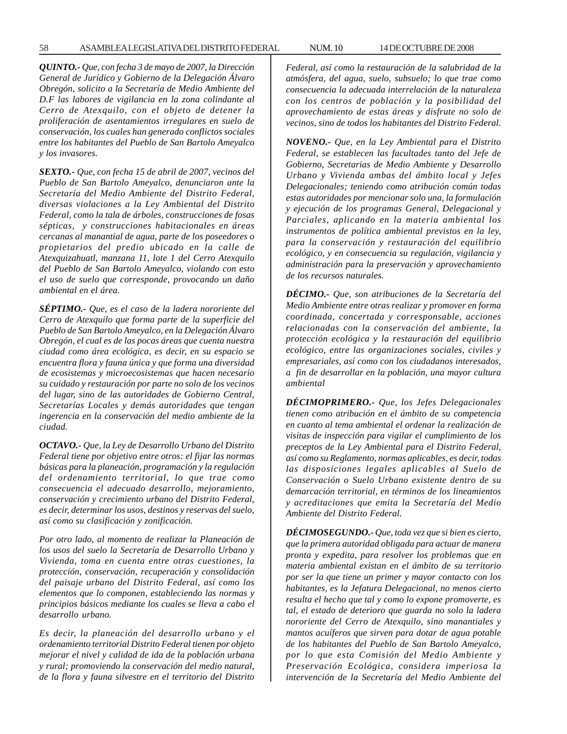*QUINTO.- Que, con fecha 3 de mayo de 2007, la Dirección General de Jurídico y Gobierno de la Delegación Álvaro Obregón, solicito a la Secretaría de Medio Ambiente del D.F las labores de vigilancia en la zona colindante al Cerro de Atexquilo, con el objeto de detener la proliferación de asentamientos irregulares en suelo de conservación, los cuales han generado conflictos sociales entre los habitantes del Pueblo de San Bartolo Ameyalco y los invasores.*

*SEXTO.- Que, con fecha 15 de abril de 2007, vecinos del Pueblo de San Bartolo Ameyalco, denunciaron ante la Secretaría del Medio Ambiente del Distrito Federal, diversas violaciones a la Ley Ambiental del Distrito Federal, como la tala de árboles, construcciones de fosas sépticas, y construcciones habitacionales en áreas cercanas al manantial de agua, parte de los poseedores o propietarios del predio ubicado en la calle de Atexquizahuatl, manzana 11, lote 1 del Cerro Atexquilo del Pueblo de San Bartolo Ameyalco, violando con esto el uso de suelo que corresponde, provocando un daño ambiental en el área.*

*SÉPTIMO.- Que, es el caso de la ladera nororiente del Cerro de Atexquilo que forma parte de la superficie del Pueblo de San Bartolo Ameyalco, en la Delegación Álvaro Obregón, el cual es de las pocas áreas que cuenta nuestra ciudad como área ecológica, es decir, en su espacio se encuentra flora y fauna única y que forma una diversidad de ecosistemas y microecosistemas que hacen necesario su cuidado y restauración por parte no solo de los vecinos del lugar, sino de las autoridades de Gobierno Central, Secretarías Locales y demás autoridades que tengan ingerencia en la conservación del medio ambiente de la ciudad.*

*OCTAVO.- Que, la Ley de Desarrollo Urbano del Distrito Federal tiene por objetivo entre otros: el fijar las normas básicas para la planeación, programación y la regulación del ordenamiento territorial, lo que trae como consecuencia el adecuado desarrollo, mejoramiento, conservación y crecimiento urbano del Distrito Federal, es decir, determinar los usos, destinos y reservas del suelo, así como su clasificación y zonificación.*

*Por otro lado, al momento de realizar la Planeación de los usos del suelo la Secretaría de Desarrollo Urbano y Vivienda, toma en cuenta entre otras cuestiones, la protección, conservación, recuperación y consolidación del paisaje urbano del Distrito Federal, así como los elementos que lo componen, estableciendo las normas y principios básicos mediante los cuales se lleva a cabo el desarrollo urbano.*

*Es decir, la planeación del desarrollo urbano y el ordenamiento territorial Distrito Federal tienen por objeto mejorar el nivel y calidad de ida de la población urbana y rural; promoviendo la conservación del medio natural, de la flora y fauna silvestre en el territorio del Distrito*

*Federal, así como la restauración de la salubridad de la atmósfera, del agua, suelo, subsuelo; lo que trae como consecuencia la adecuada interrelación de la naturaleza con los centros de población y la posibilidad del aprovechamiento de estas áreas y disfrute no solo de vecinos, sino de todos los habitantes del Distrito Federal.*

*NOVENO.- Que, en la Ley Ambiental para el Distrito Federal, se establecen las facultades tanto del Jefe de Gobierno, Secretarias de Medio Ambiente y Desarrollo Urbano y Vivienda ambas del ámbito local y Jefes Delegacionales; teniendo como atribución común todas estas autoridades por mencionar solo una, la formulación y ejecución de los programas General, Delegacional y Parciales, aplicando en la materia ambiental los instrumentos de política ambiental previstos en la ley, para la conservación y restauración del equilibrio ecológico, y en consecuencia su regulación, vigilancia y administración para la preservación y aprovechamiento de los recursos naturales.*

*DÉCIMO.- Que, son atribuciones de la Secretaría del Medio Ambiente entre otras realizar y promover en forma coordinada, concertada y corresponsable, acciones relacionadas con la conservación del ambiente, la protección ecológica y la restauración del equilibrio ecológico, entre las organizaciones sociales, civiles y empresariales, así como con los ciudadanos interesados, a fin de desarrollar en la población, una mayor cultura ambiental*

*DÉCIMOPRIMERO.- Que, los Jefes Delegacionales tienen como atribución en el ámbito de su competencia en cuanto al tema ambiental el ordenar la realización de visitas de inspección para vigilar el cumplimiento de los preceptos de la Ley Ambiental para el Distrito Federal, así como su Reglamento, normas aplicables, es decir, todas las disposiciones legales aplicables al Suelo de Conservación o Suelo Urbano existente dentro de su demarcación territorial, en términos de los lineamientos y acreditaciones que emita la Secretaría del Medio Ambiente del Distrito Federal.*

*DÉCIMOSEGUNDO.- Que, toda vez que si bien es cierto, que la primera autoridad obligada para actuar de manera pronta y expedita, para resolver los problemas que en materia ambiental existan en el ámbito de su territorio por ser la que tiene un primer y mayor contacto con los habitantes, es la Jefatura Delegacional, no menos cierto resulta el hecho que tal y como lo expone promoverte, es tal, el estado de deterioro que guarda no solo la ladera nororiente del Cerro de Atexquilo, sino manantiales y mantos acuíferos que sirven para dotar de agua potable de los habitantes del Pueblo de San Bartolo Ameyalco, por lo que esta Comisión del Medio Ambiente y Preservación Ecológica, considera imperiosa la intervención de la Secretaría del Medio Ambiente del*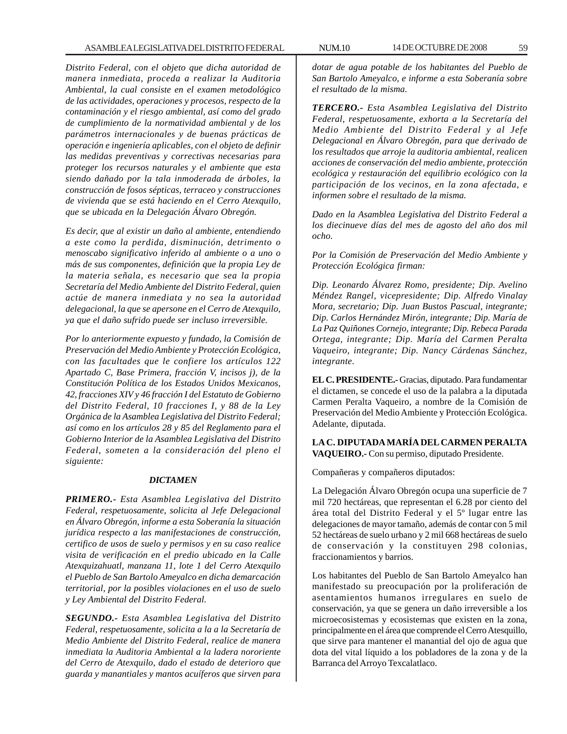*Distrito Federal, con el objeto que dicha autoridad de manera inmediata, proceda a realizar la Auditoria Ambiental, la cual consiste en el examen metodológico de las actividades, operaciones y procesos, respecto de la contaminación y el riesgo ambiental, así como del grado de cumplimiento de la normatividad ambiental y de los parámetros internacionales y de buenas prácticas de operación e ingeniería aplicables, con el objeto de definir las medidas preventivas y correctivas necesarias para proteger los recursos naturales y el ambiente que esta siendo dañado por la tala inmoderada de árboles, la construcción de fosos sépticas, terraceo y construcciones de vivienda que se está haciendo en el Cerro Atexquilo, que se ubicada en la Delegación Álvaro Obregón.*

*Es decir, que al existir un daño al ambiente, entendiendo a este como la perdida, disminución, detrimento o menoscabo significativo inferido al ambiente o a uno o más de sus componentes, definición que la propia Ley de la materia señala, es necesario que sea la propia Secretaría del Medio Ambiente del Distrito Federal, quien actúe de manera inmediata y no sea la autoridad delegacional, la que se apersone en el Cerro de Atexquilo, ya que el daño sufrido puede ser incluso irreversible.*

*Por lo anteriormente expuesto y fundado, la Comisión de Preservación del Medio Ambiente y Protección Ecológica, con las facultades que le confiere los artículos 122 Apartado C, Base Primera, fracción V, incisos j), de la Constitución Política de los Estados Unidos Mexicanos, 42, fracciones XIV y 46 fracción I del Estatuto de Gobierno del Distrito Federal, 10 fracciones I, y 88 de la Ley Orgánica de la Asamblea Legislativa del Distrito Federal; así como en los artículos 28 y 85 del Reglamento para el Gobierno Interior de la Asamblea Legislativa del Distrito Federal, someten a la consideración del pleno el siguiente:*

## *DICTAMEN*

*PRIMERO.- Esta Asamblea Legislativa del Distrito Federal, respetuosamente, solicita al Jefe Delegacional en Álvaro Obregón, informe a esta Soberanía la situación jurídica respecto a las manifestaciones de construcción, certifico de usos de suelo y permisos y en su caso realice visita de verificación en el predio ubicado en la Calle Atexquizahuatl, manzana 11, lote 1 del Cerro Atexquilo el Pueblo de San Bartolo Ameyalco en dicha demarcación territorial, por la posibles violaciones en el uso de suelo y Ley Ambiental del Distrito Federal.*

*SEGUNDO.- Esta Asamblea Legislativa del Distrito Federal, respetuosamente, solicita a la a la Secretaría de Medio Ambiente del Distrito Federal, realice de manera inmediata la Auditoria Ambiental a la ladera nororiente del Cerro de Atexquilo, dado el estado de deterioro que guarda y manantiales y mantos acuíferos que sirven para*

*dotar de agua potable de los habitantes del Pueblo de San Bartolo Ameyalco, e informe a esta Soberanía sobre el resultado de la misma.*

*TERCERO.- Esta Asamblea Legislativa del Distrito Federal, respetuosamente, exhorta a la Secretaría del Medio Ambiente del Distrito Federal y al Jefe Delegacional en Álvaro Obregón, para que derivado de los resultados que arroje la auditoria ambiental, realicen acciones de conservación del medio ambiente, protección ecológica y restauración del equilibrio ecológico con la participación de los vecinos, en la zona afectada, e informen sobre el resultado de la misma.*

*Dado en la Asamblea Legislativa del Distrito Federal a los diecinueve días del mes de agosto del año dos mil ocho.*

*Por la Comisión de Preservación del Medio Ambiente y Protección Ecológica firman:*

*Dip. Leonardo Álvarez Romo, presidente; Dip. Avelino Méndez Rangel, vicepresidente; Dip. Alfredo Vinalay Mora, secretario; Dip. Juan Bustos Pascual, integrante; Dip. Carlos Hernández Mirón, integrante; Dip. María de La Paz Quiñones Cornejo, integrante; Dip. Rebeca Parada Ortega, integrante; Dip. María del Carmen Peralta Vaqueiro, integrante; Dip. Nancy Cárdenas Sánchez, integrante.*

**EL C. PRESIDENTE.-** Gracias, diputado. Para fundamentar el dictamen, se concede el uso de la palabra a la diputada Carmen Peralta Vaqueiro, a nombre de la Comisión de Preservación del Medio Ambiente y Protección Ecológica. Adelante, diputada.

# **LA C. DIPUTADA MARÍA DEL CARMEN PERALTA VAQUEIRO.-** Con su permiso, diputado Presidente.

Compañeras y compañeros diputados:

La Delegación Álvaro Obregón ocupa una superficie de 7 mil 720 hectáreas, que representan el 6.28 por ciento del área total del Distrito Federal y el 5º lugar entre las delegaciones de mayor tamaño, además de contar con 5 mil 52 hectáreas de suelo urbano y 2 mil 668 hectáreas de suelo de conservación y la constituyen 298 colonias, fraccionamientos y barrios.

Los habitantes del Pueblo de San Bartolo Ameyalco han manifestado su preocupación por la proliferación de asentamientos humanos irregulares en suelo de conservación, ya que se genera un daño irreversible a los microecosistemas y ecosistemas que existen en la zona, principalmente en el área que comprende el Cerro Atesquillo, que sirve para mantener el manantial del ojo de agua que dota del vital líquido a los pobladores de la zona y de la Barranca del Arroyo Texcalatlaco.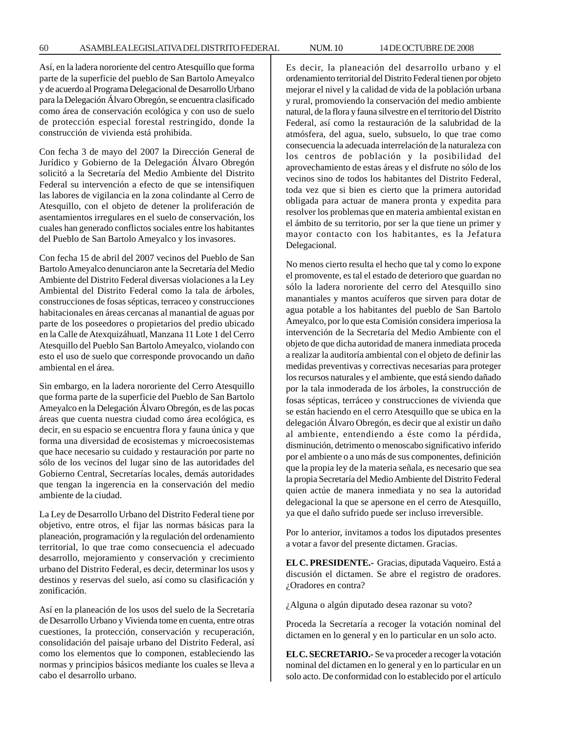Así, en la ladera nororiente del centro Atesquillo que forma parte de la superficie del pueblo de San Bartolo Ameyalco y de acuerdo al Programa Delegacional de Desarrollo Urbano para la Delegación Álvaro Obregón, se encuentra clasificado como área de conservación ecológica y con uso de suelo de protección especial forestal restringido, donde la construcción de vivienda está prohibida.

Con fecha 3 de mayo del 2007 la Dirección General de Jurídico y Gobierno de la Delegación Álvaro Obregón solicitó a la Secretaría del Medio Ambiente del Distrito Federal su intervención a efecto de que se intensifiquen las labores de vigilancia en la zona colindante al Cerro de Atesquillo, con el objeto de detener la proliferación de asentamientos irregulares en el suelo de conservación, los cuales han generado conflictos sociales entre los habitantes del Pueblo de San Bartolo Ameyalco y los invasores.

Con fecha 15 de abril del 2007 vecinos del Pueblo de San Bartolo Ameyalco denunciaron ante la Secretaría del Medio Ambiente del Distrito Federal diversas violaciones a la Ley Ambiental del Distrito Federal como la tala de árboles, construcciones de fosas sépticas, terraceo y construcciones habitacionales en áreas cercanas al manantial de aguas por parte de los poseedores o propietarios del predio ubicado en la Calle de Atexquizáhuatl, Manzana 11 Lote 1 del Cerro Atesquillo del Pueblo San Bartolo Ameyalco, violando con esto el uso de suelo que corresponde provocando un daño ambiental en el área.

Sin embargo, en la ladera nororiente del Cerro Atesquillo que forma parte de la superficie del Pueblo de San Bartolo Ameyalco en la Delegación Álvaro Obregón, es de las pocas áreas que cuenta nuestra ciudad como área ecológica, es decir, en su espacio se encuentra flora y fauna única y que forma una diversidad de ecosistemas y microecosistemas que hace necesario su cuidado y restauración por parte no sólo de los vecinos del lugar sino de las autoridades del Gobierno Central, Secretarías locales, demás autoridades que tengan la ingerencia en la conservación del medio ambiente de la ciudad.

La Ley de Desarrollo Urbano del Distrito Federal tiene por objetivo, entre otros, el fijar las normas básicas para la planeación, programación y la regulación del ordenamiento territorial, lo que trae como consecuencia el adecuado desarrollo, mejoramiento y conservación y crecimiento urbano del Distrito Federal, es decir, determinar los usos y destinos y reservas del suelo, así como su clasificación y zonificación.

Así en la planeación de los usos del suelo de la Secretaría de Desarrollo Urbano y Vivienda tome en cuenta, entre otras cuestiones, la protección, conservación y recuperación, consolidación del paisaje urbano del Distrito Federal, así como los elementos que lo componen, estableciendo las normas y principios básicos mediante los cuales se lleva a cabo el desarrollo urbano.

Es decir, la planeación del desarrollo urbano y el ordenamiento territorial del Distrito Federal tienen por objeto mejorar el nivel y la calidad de vida de la población urbana y rural, promoviendo la conservación del medio ambiente natural, de la flora y fauna silvestre en el territorio del Distrito Federal, así como la restauración de la salubridad de la atmósfera, del agua, suelo, subsuelo, lo que trae como consecuencia la adecuada interrelación de la naturaleza con los centros de población y la posibilidad del aprovechamiento de estas áreas y el disfrute no sólo de los vecinos sino de todos los habitantes del Distrito Federal, toda vez que si bien es cierto que la primera autoridad obligada para actuar de manera pronta y expedita para resolver los problemas que en materia ambiental existan en el ámbito de su territorio, por ser la que tiene un primer y mayor contacto con los habitantes, es la Jefatura Delegacional.

No menos cierto resulta el hecho que tal y como lo expone el promovente, es tal el estado de deterioro que guardan no sólo la ladera nororiente del cerro del Atesquillo sino manantiales y mantos acuíferos que sirven para dotar de agua potable a los habitantes del pueblo de San Bartolo Ameyalco, por lo que esta Comisión considera imperiosa la intervención de la Secretaría del Medio Ambiente con el objeto de que dicha autoridad de manera inmediata proceda a realizar la auditoría ambiental con el objeto de definir las medidas preventivas y correctivas necesarias para proteger los recursos naturales y el ambiente, que está siendo dañado por la tala inmoderada de los árboles, la construcción de fosas sépticas, terráceo y construcciones de vivienda que se están haciendo en el cerro Atesquillo que se ubica en la delegación Álvaro Obregón, es decir que al existir un daño al ambiente, entendiendo a éste como la pérdida, disminución, detrimento o menoscabo significativo inferido por el ambiente o a uno más de sus componentes, definición que la propia ley de la materia señala, es necesario que sea la propia Secretaría del Medio Ambiente del Distrito Federal quien actúe de manera inmediata y no sea la autoridad delegacional la que se apersone en el cerro de Atesquillo, ya que el daño sufrido puede ser incluso irreversible.

Por lo anterior, invitamos a todos los diputados presentes a votar a favor del presente dictamen. Gracias.

**EL C. PRESIDENTE.-** Gracias, diputada Vaqueiro. Está a discusión el dictamen. Se abre el registro de oradores. ¿Oradores en contra?

¿Alguna o algún diputado desea razonar su voto?

Proceda la Secretaría a recoger la votación nominal del dictamen en lo general y en lo particular en un solo acto.

**EL C. SECRETARIO.-** Se va proceder a recoger la votación nominal del dictamen en lo general y en lo particular en un solo acto. De conformidad con lo establecido por el artículo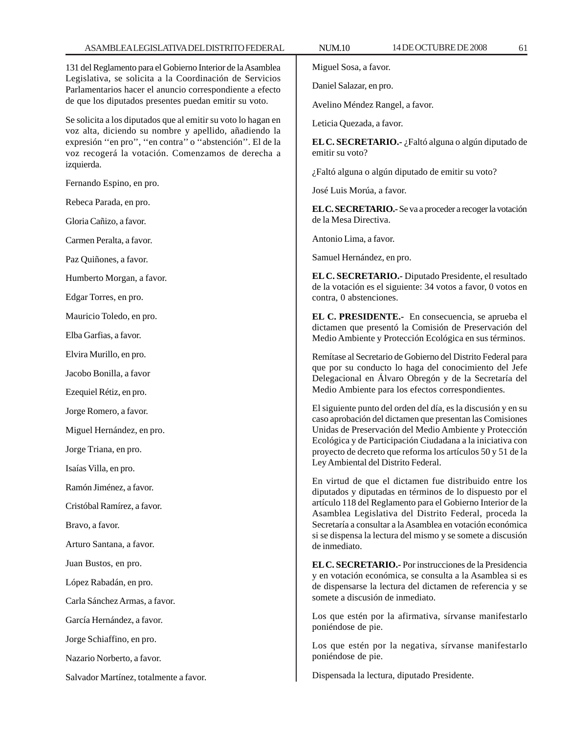131 del Reglamento para el Gobierno Interior de la Asamblea Legislativa, se solicita a la Coordinación de Servicios Parlamentarios hacer el anuncio correspondiente a efecto de que los diputados presentes puedan emitir su voto.

Se solicita a los diputados que al emitir su voto lo hagan en voz alta, diciendo su nombre y apellido, añadiendo la expresión ''en pro'', ''en contra'' o ''abstención''. El de la voz recogerá la votación. Comenzamos de derecha a izquierda.

Fernando Espino, en pro.

Rebeca Parada, en pro.

Gloria Cañizo, a favor.

Carmen Peralta, a favor.

Paz Quiñones, a favor.

Humberto Morgan, a favor.

Edgar Torres, en pro.

Mauricio Toledo, en pro.

Elba Garfias, a favor.

Elvira Murillo, en pro.

Jacobo Bonilla, a favor

Ezequiel Rétiz, en pro.

Jorge Romero, a favor.

Miguel Hernández, en pro.

Jorge Triana, en pro.

Isaías Villa, en pro.

Ramón Jiménez, a favor.

Cristóbal Ramírez, a favor.

Bravo, a favor.

Arturo Santana, a favor.

Juan Bustos, en pro.

López Rabadán, en pro.

Carla Sánchez Armas, a favor.

García Hernández, a favor.

Jorge Schiaffino, en pro.

Nazario Norberto, a favor.

Salvador Martínez, totalmente a favor.

Miguel Sosa, a favor.

Daniel Salazar, en pro.

Avelino Méndez Rangel, a favor.

Leticia Quezada, a favor.

**EL C. SECRETARIO.-** ¿Faltó alguna o algún diputado de emitir su voto?

¿Faltó alguna o algún diputado de emitir su voto?

José Luis Morúa, a favor.

**EL C. SECRETARIO.-** Se va a proceder a recoger la votación de la Mesa Directiva.

Antonio Lima, a favor.

Samuel Hernández, en pro.

**EL C. SECRETARIO.-** Diputado Presidente, el resultado de la votación es el siguiente: 34 votos a favor, 0 votos en contra, 0 abstenciones.

**EL C. PRESIDENTE.-** En consecuencia, se aprueba el dictamen que presentó la Comisión de Preservación del Medio Ambiente y Protección Ecológica en sus términos.

Remítase al Secretario de Gobierno del Distrito Federal para que por su conducto lo haga del conocimiento del Jefe Delegacional en Álvaro Obregón y de la Secretaría del Medio Ambiente para los efectos correspondientes.

El siguiente punto del orden del día, es la discusión y en su caso aprobación del dictamen que presentan las Comisiones Unidas de Preservación del Medio Ambiente y Protección Ecológica y de Participación Ciudadana a la iniciativa con proyecto de decreto que reforma los artículos 50 y 51 de la Ley Ambiental del Distrito Federal.

En virtud de que el dictamen fue distribuido entre los diputados y diputadas en términos de lo dispuesto por el artículo 118 del Reglamento para el Gobierno Interior de la Asamblea Legislativa del Distrito Federal, proceda la Secretaría a consultar a la Asamblea en votación económica si se dispensa la lectura del mismo y se somete a discusión de inmediato.

**EL C. SECRETARIO.-** Por instrucciones de la Presidencia y en votación económica, se consulta a la Asamblea si es de dispensarse la lectura del dictamen de referencia y se somete a discusión de inmediato.

Los que estén por la afirmativa, sírvanse manifestarlo poniéndose de pie.

Los que estén por la negativa, sírvanse manifestarlo poniéndose de pie.

Dispensada la lectura, diputado Presidente.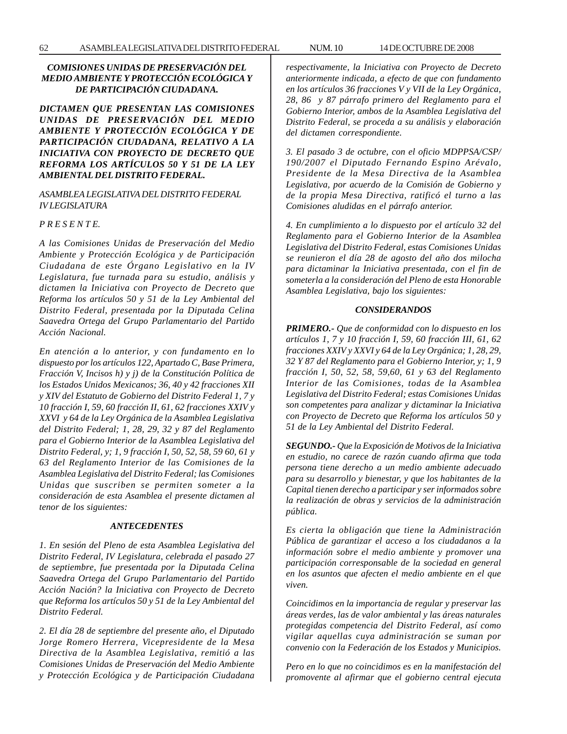# *COMISIONES UNIDAS DE PRESERVACIÓN DEL MEDIO AMBIENTE Y PROTECCIÓN ECOLÓGICA Y DE PARTICIPACIÓN CIUDADANA.*

*DICTAMEN QUE PRESENTAN LAS COMISIONES UNIDAS DE PRESERVACIÓN DEL MEDIO AMBIENTE Y PROTECCIÓN ECOLÓGICA Y DE PARTICIPACIÓN CIUDADANA, RELATIVO A LA INICIATIVA CON PROYECTO DE DECRETO QUE REFORMA LOS ARTÍCULOS 50 Y 51 DE LA LEY AMBIENTAL DEL DISTRITO FEDERAL.*

# *ASAMBLEA LEGISLATIVA DEL DISTRITO FEDERAL IV LEGISLATURA*

# *P R E S E N T E.*

*A las Comisiones Unidas de Preservación del Medio Ambiente y Protección Ecológica y de Participación Ciudadana de este Órgano Legislativo en la IV Legislatura, fue turnada para su estudio, análisis y dictamen la Iniciativa con Proyecto de Decreto que Reforma los artículos 50 y 51 de la Ley Ambiental del Distrito Federal, presentada por la Diputada Celina Saavedra Ortega del Grupo Parlamentario del Partido Acción Nacional.*

*En atención a lo anterior, y con fundamento en lo dispuesto por los artículos 122, Apartado C, Base Primera, Fracción V, Incisos h) y j) de la Constitución Política de los Estados Unidos Mexicanos; 36, 40 y 42 fracciones XII y XIV del Estatuto de Gobierno del Distrito Federal 1, 7 y 10 fracción I, 59, 60 fracción II, 61, 62 fracciones XXIV y XXVI y 64 de la Ley Orgánica de la Asamblea Legislativa del Distrito Federal; 1, 28, 29, 32 y 87 del Reglamento para el Gobierno Interior de la Asamblea Legislativa del Distrito Federal, y; 1, 9 fracción I, 50, 52, 58, 59 60, 61 y 63 del Reglamento Interior de las Comisiones de la Asamblea Legislativa del Distrito Federal; las Comisiones Unidas que suscriben se permiten someter a la consideración de esta Asamblea el presente dictamen al tenor de los siguientes:*

## *ANTECEDENTES*

*1. En sesión del Pleno de esta Asamblea Legislativa del Distrito Federal, IV Legislatura, celebrada el pasado 27 de septiembre, fue presentada por la Diputada Celina Saavedra Ortega del Grupo Parlamentario del Partido Acción Nación? la Iniciativa con Proyecto de Decreto que Reforma los artículos 50 y 51 de la Ley Ambiental del Distrito Federal.*

*2. El día 28 de septiembre del presente año, el Diputado Jorge Romero Herrera, Vicepresidente de la Mesa Directiva de la Asamblea Legislativa, remitió a las Comisiones Unidas de Preservación del Medio Ambiente y Protección Ecológica y de Participación Ciudadana* *respectivamente, la Iniciativa con Proyecto de Decreto anteriormente indicada, a efecto de que con fundamento en los artículos 36 fracciones V y VII de la Ley Orgánica, 28, 86 y 87 párrafo primero del Reglamento para el Gobierno Interior, ambos de la Asamblea Legislativa del Distrito Federal, se proceda a su análisis y elaboración del dictamen correspondiente.*

*3. El pasado 3 de octubre, con el oficio MDPPSA/CSP/ 190/2007 el Diputado Fernando Espino Arévalo, Presidente de la Mesa Directiva de la Asamblea Legislativa, por acuerdo de la Comisión de Gobierno y de la propia Mesa Directiva, ratificó el turno a las Comisiones aludidas en el párrafo anterior.*

*4. En cumplimiento a lo dispuesto por el artículo 32 del Reglamento para el Gobierno Interior de la Asamblea Legislativa del Distrito Federal, estas Comisiones Unidas se reunieron el día 28 de agosto del año dos milocha para dictaminar la Iniciativa presentada, con el fin de someterla a la consideración del Pleno de esta Honorable Asamblea Legislativa, bajo los siguientes:*

## *CONSIDERANDOS*

*PRIMERO.- Que de conformidad con lo dispuesto en los artículos 1, 7 y 10 fracción I, 59, 60 fracción III, 61, 62 fracciones XXIV y XXVI y 64 de la Ley Orgánica; 1, 28, 29, 32 Y 87 del Reglamento para el Gobierno Interior, y; 1, 9 fracción I, 50, 52, 58, 59,60, 61 y 63 del Reglamento Interior de las Comisiones, todas de la Asamblea Legislativa del Distrito Federal; estas Comisiones Unidas son competentes para analizar y dictaminar la Iniciativa con Proyecto de Decreto que Reforma los artículos 50 y 51 de la Ley Ambiental del Distrito Federal.*

*SEGUNDO.- Que la Exposición de Motivos de la Iniciativa en estudio, no carece de razón cuando afirma que toda persona tiene derecho a un medio ambiente adecuado para su desarrollo y bienestar, y que los habitantes de la Capital tienen derecho a participar y ser informados sobre la realización de obras y servicios de la administración pública.*

*Es cierta la obligación que tiene la Administración Pública de garantizar el acceso a los ciudadanos a la información sobre el medio ambiente y promover una participación corresponsable de la sociedad en general en los asuntos que afecten el medio ambiente en el que viven.*

*Coincidimos en la importancia de regular y preservar las áreas verdes, las de valor ambiental y las áreas naturales protegidas competencia del Distrito Federal, así como vigilar aquellas cuya administración se suman por convenio con la Federación de los Estados y Municipios.*

*Pero en lo que no coincidimos es en la manifestación del promovente al afirmar que el gobierno central ejecuta*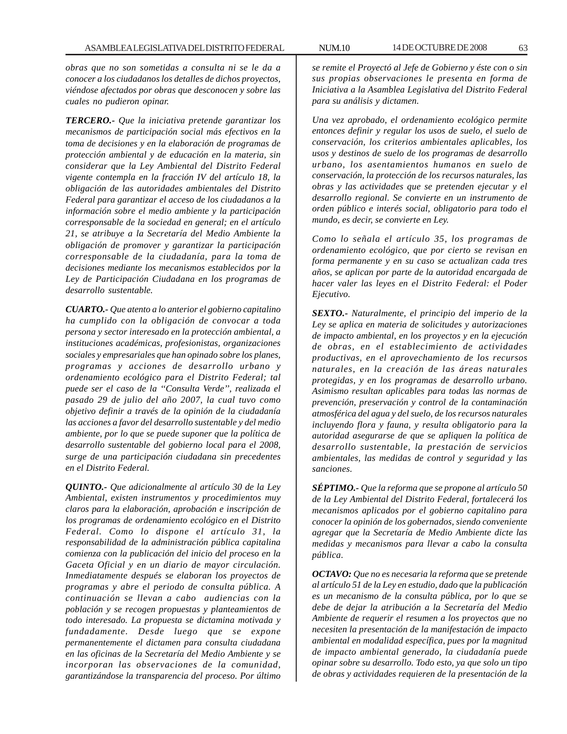*obras que no son sometidas a consulta ni se le da a conocer a los ciudadanos los detalles de dichos proyectos, viéndose afectados por obras que desconocen y sobre las cuales no pudieron opinar.*

*TERCERO.- Que la iniciativa pretende garantizar los mecanismos de participación social más efectivos en la toma de decisiones y en la elaboración de programas de protección ambiental y de educación en la materia, sin considerar que la Ley Ambiental del Distrito Federal vigente contempla en la fracción IV del artículo 18, la obligación de las autoridades ambientales del Distrito Federal para garantizar el acceso de los ciudadanos a la información sobre el medio ambiente y la participación corresponsable de la sociedad en general; en el artículo 21, se atribuye a la Secretaría del Medio Ambiente la obligación de promover y garantizar la participación corresponsable de la ciudadanía, para la toma de decisiones mediante los mecanismos establecidos por la Ley de Participación Ciudadana en los programas de desarrollo sustentable.*

*CUARTO.- Que atento a lo anterior el gobierno capitalino ha cumplido con la obligación de convocar a toda persona y sector interesado en la protección ambiental, a instituciones académicas, profesionistas, organizaciones sociales y empresariales que han opinado sobre los planes, programas y acciones de desarrollo urbano y ordenamiento ecológico para el Distrito Federal; tal puede ser el caso de la ''Consulta Verde'', realizada el pasado 29 de julio del año 2007, la cual tuvo como objetivo definir a través de la opinión de la ciudadanía las acciones a favor del desarrollo sustentable y del medio ambiente, por lo que se puede suponer que la política de desarrollo sustentable del gobierno local para el 2008, surge de una participación ciudadana sin precedentes en el Distrito Federal.*

*QUINTO.- Que adicionalmente al artículo 30 de la Ley Ambiental, existen instrumentos y procedimientos muy claros para la elaboración, aprobación e inscripción de los programas de ordenamiento ecológico en el Distrito Federal. Como lo dispone el artículo 31, la responsabilidad de la administración pública capitalina comienza con la publicación del inicio del proceso en la Gaceta Oficial y en un diario de mayor circulación. Inmediatamente después se elaboran los proyectos de programas y abre el periodo de consulta pública. A continuación se llevan a cabo audiencias con la población y se recogen propuestas y planteamientos de todo interesado. La propuesta se dictamina motivada y fundadamente. Desde luego que se expone permanentemente el dictamen para consulta ciudadana en las oficinas de la Secretaría del Medio Ambiente y se incorporan las observaciones de la comunidad, garantizándose la transparencia del proceso. Por último*

*se remite el Proyectó al Jefe de Gobierno y éste con o sin sus propias observaciones le presenta en forma de Iniciativa a la Asamblea Legislativa del Distrito Federal para su análisis y dictamen.*

*Una vez aprobado, el ordenamiento ecológico permite entonces definir y regular los usos de suelo, el suelo de conservación, los criterios ambientales aplicables, los usos y destinos de suelo de los programas de desarrollo urbano, los asentamientos humanos en suelo de conservación, la protección de los recursos naturales, las obras y las actividades que se pretenden ejecutar y el desarrollo regional. Se convierte en un instrumento de orden público e interés social, obligatorio para todo el mundo, es decir, se convierte en Ley.*

*Como lo señala el artículo 35, los programas de ordenamiento ecológico, que por cierto se revisan en forma permanente y en su caso se actualizan cada tres años, se aplican por parte de la autoridad encargada de hacer valer las leyes en el Distrito Federal: el Poder Ejecutivo.*

*SEXTO.- Naturalmente, el principio del imperio de la Ley se aplica en materia de solicitudes y autorizaciones de impacto ambiental, en los proyectos y en la ejecución de obras, en el establecimiento de actividades productivas, en el aprovechamiento de los recursos naturales, en la creación de las áreas naturales protegidas, y en los programas de desarrollo urbano. Asimismo resultan aplicables para todas las normas de prevención, preservación y control de la contaminación atmosférica del agua y del suelo, de los recursos naturales incluyendo flora y fauna, y resulta obligatorio para la autoridad asegurarse de que se apliquen la política de desarrollo sustentable, la prestación de servicios ambientales, las medidas de control y seguridad y las sanciones.*

*SÉPTIMO.- Que la reforma que se propone al artículo 50 de la Ley Ambiental del Distrito Federal, fortalecerá los mecanismos aplicados por el gobierno capitalino para conocer la opinión de los gobernados, siendo conveniente agregar que la Secretaría de Medio Ambiente dicte las medidas y mecanismos para llevar a cabo la consulta pública.*

*OCTAVO: Que no es necesaria la reforma que se pretende al artículo 51 de la Ley en estudio, dado que la publicación es un mecanismo de la consulta pública, por lo que se debe de dejar la atribución a la Secretaría del Medio Ambiente de requerir el resumen a los proyectos que no necesiten la presentación de la manifestación de impacto ambiental en modalidad específica, pues por la magnitud de impacto ambiental generado, la ciudadanía puede opinar sobre su desarrollo. Todo esto, ya que solo un tipo de obras y actividades requieren de la presentación de la*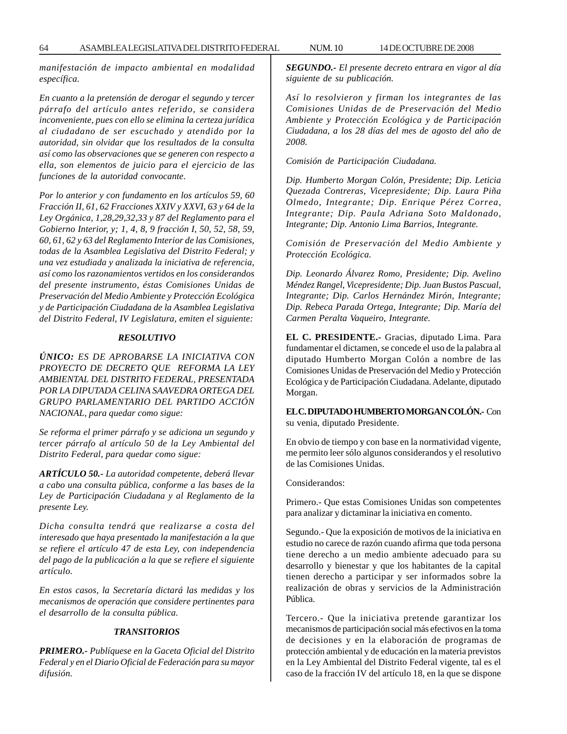*manifestación de impacto ambiental en modalidad específica.*

*En cuanto a la pretensión de derogar el segundo y tercer párrafo del artículo antes referido, se considera inconveniente, pues con ello se elimina la certeza jurídica al ciudadano de ser escuchado y atendido por la autoridad, sin olvidar que los resultados de la consulta así como las observaciones que se generen con respecto a ella, son elementos de juicio para el ejercicio de las funciones de la autoridad convocante.*

*Por lo anterior y con fundamento en los artículos 59, 60 Fracción II, 61, 62 Fracciones XXIV y XXVI, 63 y 64 de la Ley Orgánica, 1,28,29,32,33 y 87 del Reglamento para el Gobierno Interior, y; 1, 4, 8, 9 fracción I, 50, 52, 58, 59, 60, 61, 62 y 63 del Reglamento Interior de las Comisiones, todas de la Asamblea Legislativa del Distrito Federal; y una vez estudiada y analizada la iniciativa de referencia, así como los razonamientos vertidos en los considerandos del presente instrumento, éstas Comisiones Unidas de Preservación del Medio Ambiente y Protección Ecológica y de Participación Ciudadana de la Asamblea Legislativa del Distrito Federal, IV Legislatura, emiten el siguiente:*

## *RESOLUTIVO*

*ÚNICO: ES DE APROBARSE LA INICIATIVA CON PROYECTO DE DECRETO QUE REFORMA LA LEY AMBIENTAL DEL DISTRITO FEDERAL, PRESENTADA POR LA DIPUTADA CELINA SAAVEDRA ORTEGA DEL GRUPO PARLAMENTARIO DEL PARTIDO ACCIÓN NACIONAL, para quedar como sigue:*

*Se reforma el primer párrafo y se adiciona un segundo y tercer párrafo al artículo 50 de la Ley Ambiental del Distrito Federal, para quedar como sigue:*

*ARTÍCULO 50.- La autoridad competente, deberá llevar a cabo una consulta pública, conforme a las bases de la Ley de Participación Ciudadana y al Reglamento de la presente Ley.*

*Dicha consulta tendrá que realizarse a costa del interesado que haya presentado la manifestación a la que se refiere el artículo 47 de esta Ley, con independencia del pago de la publicación a la que se refiere el siguiente artículo.*

*En estos casos, la Secretaría dictará las medidas y los mecanismos de operación que considere pertinentes para el desarrollo de la consulta pública.*

# *TRANSITORIOS*

*PRIMERO.- Publíquese en la Gaceta Oficial del Distrito Federal y en el Diario Oficial de Federación para su mayor difusión.*

*SEGUNDO.- El presente decreto entrara en vigor al día siguiente de su publicación.*

*Así lo resolvieron y firman los integrantes de las Comisiones Unidas de de Preservación del Medio Ambiente y Protección Ecológica y de Participación Ciudadana, a los 28 días del mes de agosto del año de 2008.*

*Comisión de Participación Ciudadana.*

*Dip. Humberto Morgan Colón, Presidente; Dip. Leticia Quezada Contreras, Vicepresidente; Dip. Laura Piña Olmedo, Integrante; Dip. Enrique Pérez Correa, Integrante; Dip. Paula Adriana Soto Maldonado, Integrante; Dip. Antonio Lima Barrios, Integrante.*

*Comisión de Preservación del Medio Ambiente y Protección Ecológica.*

*Dip. Leonardo Álvarez Romo, Presidente; Dip. Avelino Méndez Rangel, Vicepresidente; Dip. Juan Bustos Pascual, Integrante; Dip. Carlos Hernández Mirón, Integrante; Dip. Rebeca Parada Ortega, Integrante; Dip. María del Carmen Peralta Vaqueiro, Integrante.*

**EL C. PRESIDENTE.-** Gracias, diputado Lima. Para fundamentar el dictamen, se concede el uso de la palabra al diputado Humberto Morgan Colón a nombre de las Comisiones Unidas de Preservación del Medio y Protección Ecológica y de Participación Ciudadana. Adelante, diputado Morgan.

**EL C. DIPUTADO HUMBERTO MORGAN COLÓN.-** Con su venia, diputado Presidente.

En obvio de tiempo y con base en la normatividad vigente, me permito leer sólo algunos considerandos y el resolutivo de las Comisiones Unidas.

Considerandos:

Primero.- Que estas Comisiones Unidas son competentes para analizar y dictaminar la iniciativa en comento.

Segundo.- Que la exposición de motivos de la iniciativa en estudio no carece de razón cuando afirma que toda persona tiene derecho a un medio ambiente adecuado para su desarrollo y bienestar y que los habitantes de la capital tienen derecho a participar y ser informados sobre la realización de obras y servicios de la Administración Pública.

Tercero.- Que la iniciativa pretende garantizar los mecanismos de participación social más efectivos en la toma de decisiones y en la elaboración de programas de protección ambiental y de educación en la materia previstos en la Ley Ambiental del Distrito Federal vigente, tal es el caso de la fracción IV del artículo 18, en la que se dispone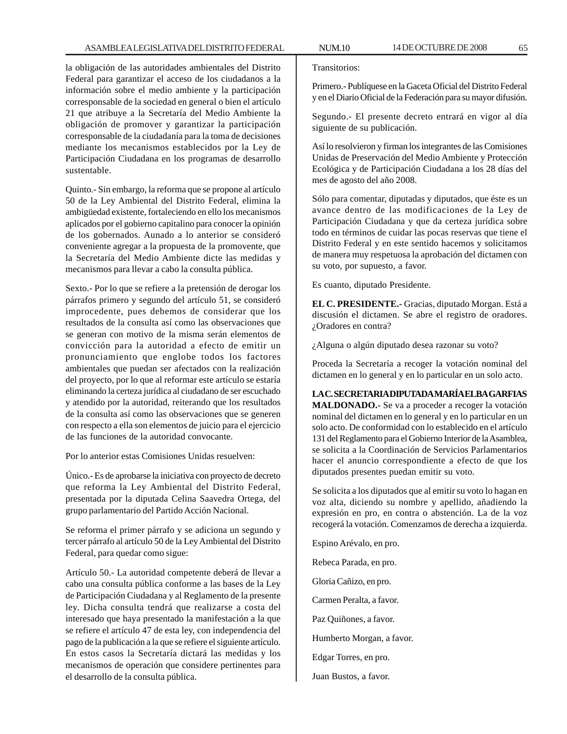la obligación de las autoridades ambientales del Distrito Federal para garantizar el acceso de los ciudadanos a la información sobre el medio ambiente y la participación corresponsable de la sociedad en general o bien el artículo 21 que atribuye a la Secretaría del Medio Ambiente la obligación de promover y garantizar la participación corresponsable de la ciudadanía para la toma de decisiones mediante los mecanismos establecidos por la Ley de Participación Ciudadana en los programas de desarrollo sustentable.

Quinto.- Sin embargo, la reforma que se propone al artículo 50 de la Ley Ambiental del Distrito Federal, elimina la ambigüedad existente, fortaleciendo en ello los mecanismos aplicados por el gobierno capitalino para conocer la opinión de los gobernados. Aunado a lo anterior se consideró conveniente agregar a la propuesta de la promovente, que la Secretaría del Medio Ambiente dicte las medidas y mecanismos para llevar a cabo la consulta pública.

Sexto.- Por lo que se refiere a la pretensión de derogar los párrafos primero y segundo del artículo 51, se consideró improcedente, pues debemos de considerar que los resultados de la consulta así como las observaciones que se generan con motivo de la misma serán elementos de convicción para la autoridad a efecto de emitir un pronunciamiento que englobe todos los factores ambientales que puedan ser afectados con la realización del proyecto, por lo que al reformar este artículo se estaría eliminando la certeza jurídica al ciudadano de ser escuchado y atendido por la autoridad, reiterando que los resultados de la consulta así como las observaciones que se generen con respecto a ella son elementos de juicio para el ejercicio de las funciones de la autoridad convocante.

Por lo anterior estas Comisiones Unidas resuelven:

Único.- Es de aprobarse la iniciativa con proyecto de decreto que reforma la Ley Ambiental del Distrito Federal, presentada por la diputada Celina Saavedra Ortega, del grupo parlamentario del Partido Acción Nacional.

Se reforma el primer párrafo y se adiciona un segundo y tercer párrafo al artículo 50 de la Ley Ambiental del Distrito Federal, para quedar como sigue:

Artículo 50.- La autoridad competente deberá de llevar a cabo una consulta pública conforme a las bases de la Ley de Participación Ciudadana y al Reglamento de la presente ley. Dicha consulta tendrá que realizarse a costa del interesado que haya presentado la manifestación a la que se refiere el artículo 47 de esta ley, con independencia del pago de la publicación a la que se refiere el siguiente artículo. En estos casos la Secretaría dictará las medidas y los mecanismos de operación que considere pertinentes para el desarrollo de la consulta pública.

Transitorios:

Primero.- Publíquese en la Gaceta Oficial del Distrito Federal y en el Diario Oficial de la Federación para su mayor difusión.

Segundo.- El presente decreto entrará en vigor al día siguiente de su publicación.

Así lo resolvieron y firman los integrantes de las Comisiones Unidas de Preservación del Medio Ambiente y Protección Ecológica y de Participación Ciudadana a los 28 días del mes de agosto del año 2008.

Sólo para comentar, diputadas y diputados, que éste es un avance dentro de las modificaciones de la Ley de Participación Ciudadana y que da certeza jurídica sobre todo en términos de cuidar las pocas reservas que tiene el Distrito Federal y en este sentido hacemos y solicitamos de manera muy respetuosa la aprobación del dictamen con su voto, por supuesto, a favor.

Es cuanto, diputado Presidente.

**EL C. PRESIDENTE.-** Gracias, diputado Morgan. Está a discusión el dictamen. Se abre el registro de oradores. ¿Oradores en contra?

¿Alguna o algún diputado desea razonar su voto?

Proceda la Secretaría a recoger la votación nominal del dictamen en lo general y en lo particular en un solo acto.

**LA C. SECRETARIA DIPUTADA MARÍA ELBA GARFIAS MALDONADO.-** Se va a proceder a recoger la votación nominal del dictamen en lo general y en lo particular en un solo acto. De conformidad con lo establecido en el artículo 131 del Reglamento para el Gobierno Interior de la Asamblea, se solicita a la Coordinación de Servicios Parlamentarios hacer el anuncio correspondiente a efecto de que los diputados presentes puedan emitir su voto.

Se solicita a los diputados que al emitir su voto lo hagan en voz alta, diciendo su nombre y apellido, añadiendo la expresión en pro, en contra o abstención. La de la voz recogerá la votación. Comenzamos de derecha a izquierda.

Espino Arévalo, en pro. Rebeca Parada, en pro. Gloria Cañizo, en pro. Carmen Peralta, a favor. Paz Quiñones, a favor. Humberto Morgan, a favor. Edgar Torres, en pro. Juan Bustos, a favor.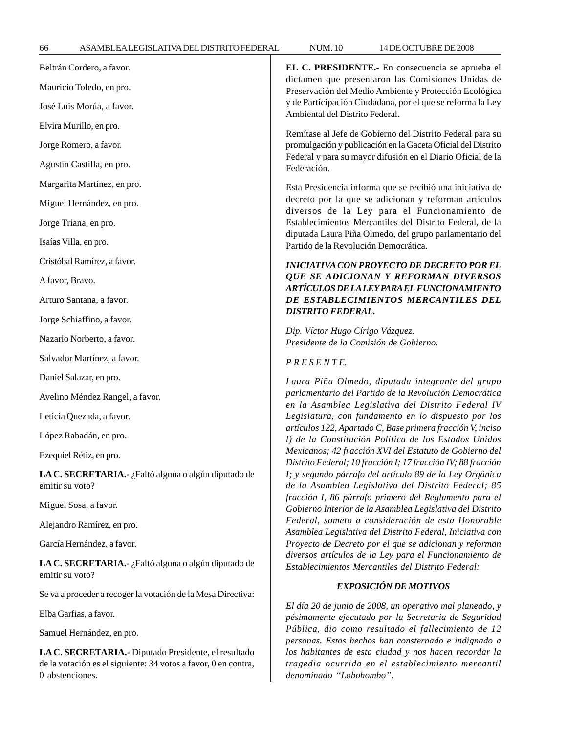| Beltrán Cordero, a favor.                                                                                                                 | EL C. PRESIDENTE.- En consecuencia se aprueba el<br>dictamen que presentaron las Comisiones Unidas de<br>Preservación del Medio Ambiente y Protección Ecológica<br>y de Participación Ciudadana, por el que se reforma la Ley<br>Ambiental del Distrito Federal.<br>Remítase al Jefe de Gobierno del Distrito Federal para su<br>promulgación y publicación en la Gaceta Oficial del Distrito<br>Federal y para su mayor difusión en el Diario Oficial de la<br>Federación.                                                                                                                                                                                                                                                                                                       |
|-------------------------------------------------------------------------------------------------------------------------------------------|-----------------------------------------------------------------------------------------------------------------------------------------------------------------------------------------------------------------------------------------------------------------------------------------------------------------------------------------------------------------------------------------------------------------------------------------------------------------------------------------------------------------------------------------------------------------------------------------------------------------------------------------------------------------------------------------------------------------------------------------------------------------------------------|
| Mauricio Toledo, en pro.                                                                                                                  |                                                                                                                                                                                                                                                                                                                                                                                                                                                                                                                                                                                                                                                                                                                                                                                   |
| José Luis Morúa, a favor.                                                                                                                 |                                                                                                                                                                                                                                                                                                                                                                                                                                                                                                                                                                                                                                                                                                                                                                                   |
| Elvira Murillo, en pro.                                                                                                                   |                                                                                                                                                                                                                                                                                                                                                                                                                                                                                                                                                                                                                                                                                                                                                                                   |
| Jorge Romero, a favor.                                                                                                                    |                                                                                                                                                                                                                                                                                                                                                                                                                                                                                                                                                                                                                                                                                                                                                                                   |
| Agustín Castilla, en pro.                                                                                                                 |                                                                                                                                                                                                                                                                                                                                                                                                                                                                                                                                                                                                                                                                                                                                                                                   |
| Margarita Martínez, en pro.                                                                                                               | Esta Presidencia informa que se recibió una iniciativa de<br>decreto por la que se adicionan y reforman artículos<br>diversos de la Ley para el Funcionamiento de<br>Establecimientos Mercantiles del Distrito Federal, de la<br>diputada Laura Piña Olmedo, del grupo parlamentario del<br>Partido de la Revolución Democrática.                                                                                                                                                                                                                                                                                                                                                                                                                                                 |
| Miguel Hernández, en pro.                                                                                                                 |                                                                                                                                                                                                                                                                                                                                                                                                                                                                                                                                                                                                                                                                                                                                                                                   |
| Jorge Triana, en pro.                                                                                                                     |                                                                                                                                                                                                                                                                                                                                                                                                                                                                                                                                                                                                                                                                                                                                                                                   |
| Isaías Villa, en pro.                                                                                                                     |                                                                                                                                                                                                                                                                                                                                                                                                                                                                                                                                                                                                                                                                                                                                                                                   |
| Cristóbal Ramírez, a favor.                                                                                                               | <b>INICIATIVA CON PROYECTO DE DECRETO POR EL</b><br><b>QUE SE ADICIONAN Y REFORMAN DIVERSOS</b><br>ARTÍCULOS DE LA LEY PARA EL FUNCIONAMIENTO                                                                                                                                                                                                                                                                                                                                                                                                                                                                                                                                                                                                                                     |
| A favor, Bravo.                                                                                                                           |                                                                                                                                                                                                                                                                                                                                                                                                                                                                                                                                                                                                                                                                                                                                                                                   |
| Arturo Santana, a favor.                                                                                                                  | DE ESTABLECIMIENTOS MERCANTILES DEL                                                                                                                                                                                                                                                                                                                                                                                                                                                                                                                                                                                                                                                                                                                                               |
| Jorge Schiaffino, a favor.                                                                                                                | <b>DISTRITO FEDERAL.</b><br>Dip. Víctor Hugo Círigo Vázquez.<br>Presidente de la Comisión de Gobierno.                                                                                                                                                                                                                                                                                                                                                                                                                                                                                                                                                                                                                                                                            |
| Nazario Norberto, a favor.                                                                                                                |                                                                                                                                                                                                                                                                                                                                                                                                                                                                                                                                                                                                                                                                                                                                                                                   |
| Salvador Martínez, a favor.                                                                                                               | PRESENTE.                                                                                                                                                                                                                                                                                                                                                                                                                                                                                                                                                                                                                                                                                                                                                                         |
| Daniel Salazar, en pro.                                                                                                                   | Laura Piña Olmedo, diputada integrante del grupo                                                                                                                                                                                                                                                                                                                                                                                                                                                                                                                                                                                                                                                                                                                                  |
| Avelino Méndez Rangel, a favor.                                                                                                           | parlamentario del Partido de la Revolución Democrática<br>en la Asamblea Legislativa del Distrito Federal IV                                                                                                                                                                                                                                                                                                                                                                                                                                                                                                                                                                                                                                                                      |
| Leticia Quezada, a favor.                                                                                                                 | Legislatura, con fundamento en lo dispuesto por los                                                                                                                                                                                                                                                                                                                                                                                                                                                                                                                                                                                                                                                                                                                               |
| López Rabadán, en pro.                                                                                                                    | artículos 122, Apartado C, Base primera fracción V, inciso<br>l) de la Constitución Política de los Estados Unidos<br>Mexicanos; 42 fracción XVI del Estatuto de Gobierno del<br>Distrito Federal; 10 fracción I; 17 fracción IV; 88 fracción<br>I; y segundo párrafo del artículo 89 de la Ley Orgánica<br>de la Asamblea Legislativa del Distrito Federal; 85<br>fracción I, 86 párrafo primero del Reglamento para el<br>Gobierno Interior de la Asamblea Legislativa del Distrito<br>Federal, someto a consideración de esta Honorable<br>Asamblea Legislativa del Distrito Federal, Iniciativa con<br>Proyecto de Decreto por el que se adicionan y reforman<br>diversos artículos de la Ley para el Funcionamiento de<br>Establecimientos Mercantiles del Distrito Federal: |
| Ezequiel Rétiz, en pro.                                                                                                                   |                                                                                                                                                                                                                                                                                                                                                                                                                                                                                                                                                                                                                                                                                                                                                                                   |
| LA C. SECRETARIA.- ¿Faltó alguna o algún diputado de<br>emitir su voto?                                                                   |                                                                                                                                                                                                                                                                                                                                                                                                                                                                                                                                                                                                                                                                                                                                                                                   |
| Miguel Sosa, a favor.                                                                                                                     |                                                                                                                                                                                                                                                                                                                                                                                                                                                                                                                                                                                                                                                                                                                                                                                   |
| Alejandro Ramírez, en pro.                                                                                                                |                                                                                                                                                                                                                                                                                                                                                                                                                                                                                                                                                                                                                                                                                                                                                                                   |
| García Hernández, a favor.                                                                                                                |                                                                                                                                                                                                                                                                                                                                                                                                                                                                                                                                                                                                                                                                                                                                                                                   |
| LA C. SECRETARIA.- ¿Faltó alguna o algún diputado de<br>emitir su voto?                                                                   |                                                                                                                                                                                                                                                                                                                                                                                                                                                                                                                                                                                                                                                                                                                                                                                   |
| Se va a proceder a recoger la votación de la Mesa Directiva:                                                                              | EXPOSICIÓN DE MOTIVOS                                                                                                                                                                                                                                                                                                                                                                                                                                                                                                                                                                                                                                                                                                                                                             |
| Elba Garfias, a favor.                                                                                                                    | El día 20 de junio de 2008, un operativo mal planeado, y<br>pésimamente ejecutado por la Secretaria de Seguridad<br>Pública, dio como resultado el fallecimiento de 12<br>personas. Estos hechos han consternado e indignado a<br>los habitantes de esta ciudad y nos hacen recordar la<br>tragedia ocurrida en el establecimiento mercantil<br>denominado "Lobohombo".                                                                                                                                                                                                                                                                                                                                                                                                           |
| Samuel Hernández, en pro.                                                                                                                 |                                                                                                                                                                                                                                                                                                                                                                                                                                                                                                                                                                                                                                                                                                                                                                                   |
| LA C. SECRETARIA.- Diputado Presidente, el resultado<br>de la votación es el siguiente: 34 votos a favor, 0 en contra,<br>0 abstenciones. |                                                                                                                                                                                                                                                                                                                                                                                                                                                                                                                                                                                                                                                                                                                                                                                   |
|                                                                                                                                           |                                                                                                                                                                                                                                                                                                                                                                                                                                                                                                                                                                                                                                                                                                                                                                                   |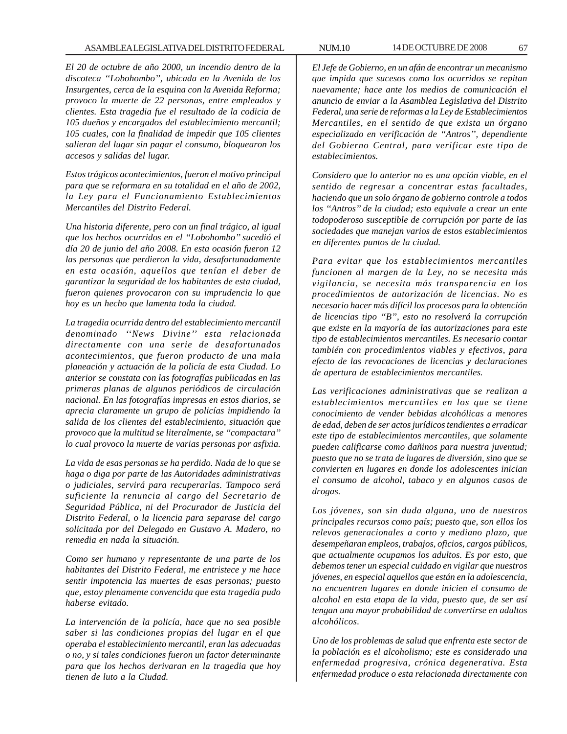# ASAMBLEA LEGISLATIVA DEL DISTRITO FEDERAL NUM.10 14 DE OCTUBRE DE 2008 67

*El 20 de octubre de año 2000, un incendio dentro de la discoteca ''Lobohombo'', ubicada en la Avenida de los Insurgentes, cerca de la esquina con la Avenida Reforma; provoco la muerte de 22 personas, entre empleados y clientes. Esta tragedia fue el resultado de la codicia de 105 dueños y encargados del establecimiento mercantil; 105 cuales, con la finalidad de impedir que 105 clientes salieran del lugar sin pagar el consumo, bloquearon los accesos y salidas del lugar.*

*Estos trágicos acontecimientos, fueron el motivo principal para que se reformara en su totalidad en el año de 2002, la Ley para el Funcionamiento Establecimientos Mercantiles del Distrito Federal.*

*Una historia diferente, pero con un final trágico, al igual que los hechos ocurridos en el ''Lobohombo'' sucedió el día 20 de junio del año 2008. En esta ocasión fueron 12 las personas que perdieron la vida, desafortunadamente en esta ocasión, aquellos que tenían el deber de garantizar la seguridad de los habitantes de esta ciudad, fueron quienes provocaron con su imprudencia lo que hoy es un hecho que lamenta toda la ciudad.*

*La tragedia ocurrida dentro del establecimiento mercantil denominado ''News Divine'' esta relacionada directamente con una serie de desafortunados acontecimientos, que fueron producto de una mala planeación y actuación de la policía de esta Ciudad. Lo anterior se constata con las fotografías publicadas en las primeras planas de algunos periódicos de circulación nacional. En las fotografías impresas en estos diarios, se aprecia claramente un grupo de policías impidiendo la salida de los clientes del establecimiento, situación que provoco que la multitud se literalmente, se ''compactara'' lo cual provoco la muerte de varias personas por asfixia.*

*La vida de esas personas se ha perdido. Nada de lo que se haga o diga por parte de las Autoridades administrativas o judiciales, servirá para recuperarlas. Tampoco será suficiente la renuncia al cargo del Secretario de Seguridad Pública, ni del Procurador de Justicia del Distrito Federal, o la licencia para separase del cargo solicitada por del Delegado en Gustavo A. Madero, no remedia en nada la situación.*

*Como ser humano y representante de una parte de los habitantes del Distrito Federal, me entristece y me hace sentir impotencia las muertes de esas personas; puesto que, estoy plenamente convencida que esta tragedia pudo haberse evitado.*

*La intervención de la policía, hace que no sea posible saber si las condiciones propias del lugar en el que operaba el establecimiento mercantil, eran las adecuadas o no, y si tales condiciones fueron un factor determinante para que los hechos derivaran en la tragedia que hoy tienen de luto a la Ciudad.*

*El Jefe de Gobierno, en un afán de encontrar un mecanismo que impida que sucesos como los ocurridos se repitan nuevamente; hace ante los medios de comunicación el anuncio de enviar a la Asamblea Legislativa del Distrito Federal, una serie de reformas a la Ley de Establecimientos Mercantiles, en el sentido de que exista un órgano especializado en verificación de ''Antros'', dependiente del Gobierno Central, para verificar este tipo de establecimientos.*

*Considero que lo anterior no es una opción viable, en el sentido de regresar a concentrar estas facultades, haciendo que un solo órgano de gobierno controle a todos los ''Antros'' de la ciudad; esto equivale a crear un ente todopoderoso susceptible de corrupción por parte de las sociedades que manejan varios de estos establecimientos en diferentes puntos de la ciudad.*

*Para evitar que los establecimientos mercantiles funcionen al margen de la Ley, no se necesita más vigilancia, se necesita más transparencia en los procedimientos de autorización de licencias. No es necesario hacer más difícil los procesos para la obtención de licencias tipo ''B'', esto no resolverá la corrupción que existe en la mayoría de las autorizaciones para este tipo de establecimientos mercantiles. Es necesario contar también con procedimientos viables y efectivos, para efecto de las revocaciones de licencias y declaraciones de apertura de establecimientos mercantiles.*

*Las verificaciones administrativas que se realizan a establecimientos mercantiles en los que se tiene conocimiento de vender bebidas alcohólicas a menores de edad, deben de ser actos jurídicos tendientes a erradicar este tipo de establecimientos mercantiles, que solamente pueden calificarse como dañinos para nuestra juventud; puesto que no se trata de lugares de diversión, sino que se convierten en lugares en donde los adolescentes inician el consumo de alcohol, tabaco y en algunos casos de drogas.*

*Los jóvenes, son sin duda alguna, uno de nuestros principales recursos como país; puesto que, son ellos los relevos generacionales a corto y mediano plazo, que desempeñaran empleos, trabajos, oficios, cargos públicos, que actualmente ocupamos los adultos. Es por esto, que debemos tener un especial cuidado en vigilar que nuestros jóvenes, en especial aquellos que están en la adolescencia, no encuentren lugares en donde inicien el consumo de alcohol en esta etapa de la vida, puesto que, de ser así tengan una mayor probabilidad de convertirse en adultos alcohólicos.*

*Uno de los problemas de salud que enfrenta este sector de la población es el alcoholismo; este es considerado una enfermedad progresiva, crónica degenerativa. Esta enfermedad produce o esta relacionada directamente con*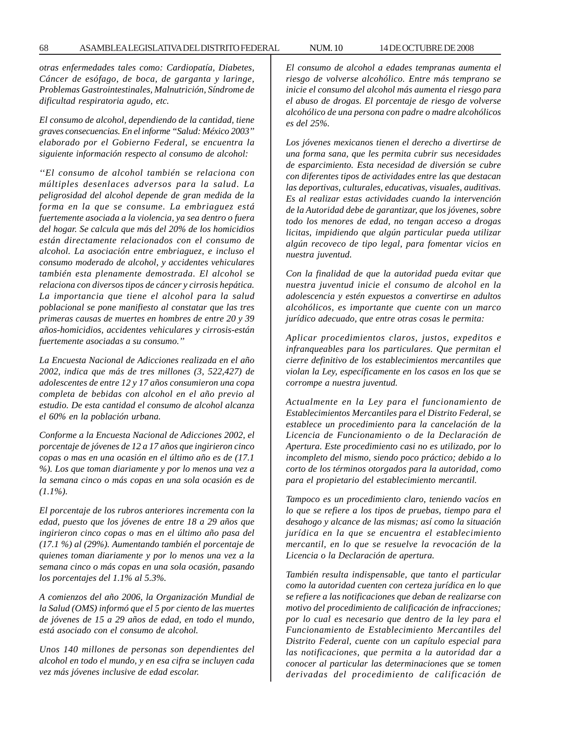*otras enfermedades tales como: Cardiopatía, Diabetes, Cáncer de esófago, de boca, de garganta y laringe, Problemas Gastrointestinales, Malnutrición, Síndrome de dificultad respiratoria agudo, etc.*

*El consumo de alcohol, dependiendo de la cantidad, tiene graves consecuencias. En el informe ''Salud: México 2003'' elaborado por el Gobierno Federal, se encuentra la siguiente información respecto al consumo de alcohol:*

*''El consumo de alcohol también se relaciona con múltiples desenlaces adversos para la salud. La peligrosidad del alcohol depende de gran medida de la forma en la que se consume. La embriaguez está fuertemente asociada a la violencia, ya sea dentro o fuera del hogar. Se calcula que más del 20% de los homicidios están directamente relacionados con el consumo de alcohol. La asociación entre embriaguez, e incluso el consumo moderado de alcohol, y accidentes vehiculares también esta plenamente demostrada. El alcohol se relaciona con diversos tipos de cáncer y cirrosis hepática. La importancia que tiene el alcohol para la salud poblacional se pone manifiesto al constatar que las tres primeras causas de muertes en hombres de entre 20 y 39 años-homicidios, accidentes vehiculares y cirrosis-están fuertemente asociadas a su consumo.''*

*La Encuesta Nacional de Adicciones realizada en el año 2002, indica que más de tres millones (3, 522,427) de adolescentes de entre 12 y 17 años consumieron una copa completa de bebidas con alcohol en el año previo al estudio. De esta cantidad el consumo de alcohol alcanza el 60% en la población urbana.*

*Conforme a la Encuesta Nacional de Adicciones 2002, el porcentaje de jóvenes de 12 a 17 años que ingirieron cinco copas o mas en una ocasión en el último año es de (17.1 %). Los que toman diariamente y por lo menos una vez a la semana cinco o más copas en una sola ocasión es de (1.1%).*

*El porcentaje de los rubros anteriores incrementa con la edad, puesto que los jóvenes de entre 18 a 29 años que ingirieron cinco copas o mas en el último año pasa del (17.1 %) al (29%). Aumentando también el porcentaje de quienes toman diariamente y por lo menos una vez a la semana cinco o más copas en una sola ocasión, pasando los porcentajes del 1.1% al 5.3%.*

*A comienzos del año 2006, la Organización Mundial de la Salud (OMS) informó que el 5 por ciento de las muertes de jóvenes de 15 a 29 años de edad, en todo el mundo, está asociado con el consumo de alcohol.*

*Unos 140 millones de personas son dependientes del alcohol en todo el mundo, y en esa cifra se incluyen cada vez más jóvenes inclusive de edad escolar.*

*El consumo de alcohol a edades tempranas aumenta el riesgo de volverse alcohólico. Entre más temprano se inicie el consumo del alcohol más aumenta el riesgo para el abuso de drogas. El porcentaje de riesgo de volverse alcohólico de una persona con padre o madre alcohólicos es del 25%.*

*Los jóvenes mexicanos tienen el derecho a divertirse de una forma sana, que les permita cubrir sus necesidades de esparcimiento. Esta necesidad de diversión se cubre con diferentes tipos de actividades entre las que destacan las deportivas, culturales, educativas, visuales, auditivas. Es al realizar estas actividades cuando la intervención de la Autoridad debe de garantizar, que los jóvenes, sobre todo los menores de edad, no tengan acceso a drogas licitas, impidiendo que algún particular pueda utilizar algún recoveco de tipo legal, para fomentar vicios en nuestra juventud.*

*Con la finalidad de que la autoridad pueda evitar que nuestra juventud inicie el consumo de alcohol en la adolescencia y estén expuestos a convertirse en adultos alcohólicos, es importante que cuente con un marco jurídico adecuado, que entre otras cosas le permita:*

*Aplicar procedimientos claros, justos, expeditos e infranqueables para los particulares. Que permitan el cierre definitivo de los establecimientos mercantiles que violan la Ley, específicamente en los casos en los que se corrompe a nuestra juventud.*

*Actualmente en la Ley para el funcionamiento de Establecimientos Mercantiles para el Distrito Federal, se establece un procedimiento para la cancelación de la Licencia de Funcionamiento o de la Declaración de Apertura. Este procedimiento casi no es utilizado, por lo incompleto del mismo, siendo poco práctico; debido a lo corto de los términos otorgados para la autoridad, como para el propietario del establecimiento mercantil.*

*Tampoco es un procedimiento claro, teniendo vacíos en lo que se refiere a los tipos de pruebas, tiempo para el desahogo y alcance de las mismas; así como la situación jurídica en la que se encuentra el establecimiento mercantil, en lo que se resuelve la revocación de la Licencia o la Declaración de apertura.*

*También resulta indispensable, que tanto el particular como la autoridad cuenten con certeza jurídica en lo que se refiere a las notificaciones que deban de realizarse con motivo del procedimiento de calificación de infracciones; por lo cual es necesario que dentro de la ley para el Funcionamiento de Establecimiento Mercantiles del Distrito Federal, cuente con un capítulo especial para las notificaciones, que permita a la autoridad dar a conocer al particular las determinaciones que se tomen derivadas del procedimiento de calificación de*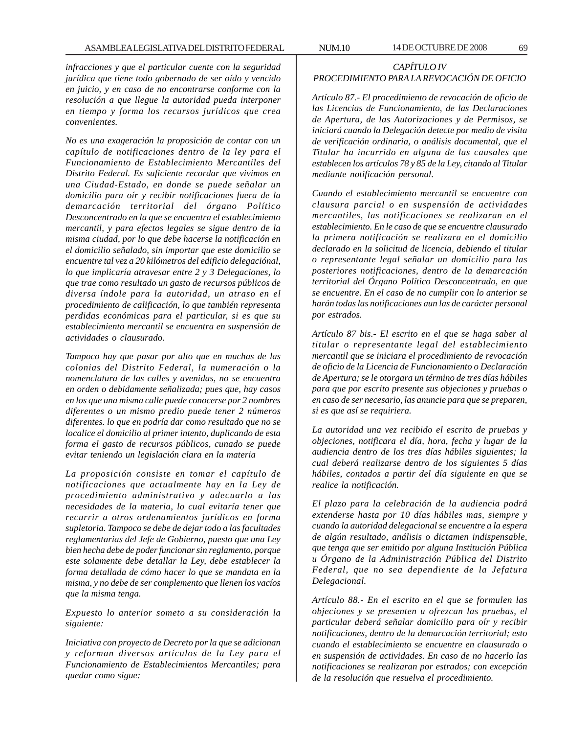*infracciones y que el particular cuente con la seguridad jurídica que tiene todo gobernado de ser oído y vencido en juicio, y en caso de no encontrarse conforme con la resolución a que llegue la autoridad pueda interponer en tiempo y forma los recursos jurídicos que crea convenientes.*

*No es una exageración la proposición de contar con un capítulo de notificaciones dentro de la ley para el Funcionamiento de Establecimiento Mercantiles del Distrito Federal. Es suficiente recordar que vivimos en una Ciudad-Estado, en donde se puede señalar un domicilio para oír y recibir notificaciones fuera de la demarcación territorial del órgano Político Desconcentrado en la que se encuentra el establecimiento mercantil, y para efectos legales se sigue dentro de la misma ciudad, por lo que debe hacerse la notificación en el domicilio señalado, sin importar que este domicilio se encuentre tal vez a 20 kilómetros del edificio delegaciónal, lo que implicaría atravesar entre 2 y 3 Delegaciones, lo que trae como resultado un gasto de recursos públicos de diversa índole para la autoridad, un atraso en el procedimiento de calificación, lo que también representa perdidas económicas para el particular, si es que su establecimiento mercantil se encuentra en suspensión de actividades o clausurado.*

*Tampoco hay que pasar por alto que en muchas de las colonias del Distrito Federal, la numeración o la nomenclatura de las calles y avenidas, no se encuentra en orden o debidamente señalizada; pues que, hay casos en los que una misma calle puede conocerse por 2 nombres diferentes o un mismo predio puede tener 2 números diferentes. lo que en podría dar como resultado que no se localice el domicilio al primer intento, duplicando de esta forma el gasto de recursos públicos, cunado se puede evitar teniendo un legislación clara en la materia*

*La proposición consiste en tomar el capítulo de notificaciones que actualmente hay en la Ley de procedimiento administrativo y adecuarlo a las necesidades de la materia, lo cual evitaría tener que recurrir a otros ordenamientos jurídicos en forma supletoria. Tampoco se debe de dejar todo a las facultades reglamentarias del Jefe de Gobierno, puesto que una Ley bien hecha debe de poder funcionar sin reglamento, porque este solamente debe detallar la Ley, debe establecer la forma detallada de cómo hacer lo que se mandata en la misma, y no debe de ser complemento que llenen los vacíos que la misma tenga.*

*Expuesto lo anterior someto a su consideración la siguiente:*

*Iniciativa con proyecto de Decreto por la que se adicionan y reforman diversos artículos de la Ley para el Funcionamiento de Establecimientos Mercantiles; para quedar como sigue:*

# *CAPÍTULO IV PROCEDIMIENTO PARA LA REVOCACIÓN DE OFICIO*

*Artículo 87.- El procedimiento de revocación de oficio de las Licencias de Funcionamiento, de las Declaraciones de Apertura, de las Autorizaciones y de Permisos, se iniciará cuando la Delegación detecte por medio de visita de verificación ordinaria, o análisis documental, que el Titular ha incurrido en alguna de las causales que establecen los artículos 78 y 85 de la Ley, citando al Titular mediante notificación personal.*

*Cuando el establecimiento mercantil se encuentre con clausura parcial o en suspensión de actividades mercantiles, las notificaciones se realizaran en el establecimiento. En le caso de que se encuentre clausurado la primera notificación se realizara en el domicilio declarado en la solicitud de licencia, debiendo el titular o representante legal señalar un domicilio para las posteriores notificaciones, dentro de la demarcación territorial del Órgano Político Desconcentrado, en que se encuentre. En el caso de no cumplir con lo anterior se harán todas las notificaciones aun las de carácter personal por estrados.*

*Artículo 87 bis.- El escrito en el que se haga saber al titular o representante legal del establecimiento mercantil que se iniciara el procedimiento de revocación de oficio de la Licencia de Funcionamiento o Declaración de Apertura; se le otorgara un término de tres días hábiles para que por escrito presente sus objeciones y pruebas o en caso de ser necesario, las anuncie para que se preparen, si es que así se requiriera.*

*La autoridad una vez recibido el escrito de pruebas y objeciones, notificara el día, hora, fecha y lugar de la audiencia dentro de los tres días hábiles siguientes; la cual deberá realizarse dentro de los siguientes 5 días hábiles, contados a partir del día siguiente en que se realice la notificación.*

*El plazo para la celebración de la audiencia podrá extenderse hasta por 10 días hábiles mas, siempre y cuando la autoridad delegacional se encuentre a la espera de algún resultado, análisis o dictamen indispensable, que tenga que ser emitido por alguna Institución Pública u Órgano de la Administración Pública del Distrito Federal, que no sea dependiente de la Jefatura Delegacional.*

*Artículo 88.- En el escrito en el que se formulen las objeciones y se presenten u ofrezcan las pruebas, el particular deberá señalar domicilio para oír y recibir notificaciones, dentro de la demarcación territorial; esto cuando el establecimiento se encuentre en clausurado o en suspensión de actividades. En caso de no hacerlo las notificaciones se realizaran por estrados; con excepción de la resolución que resuelva el procedimiento.*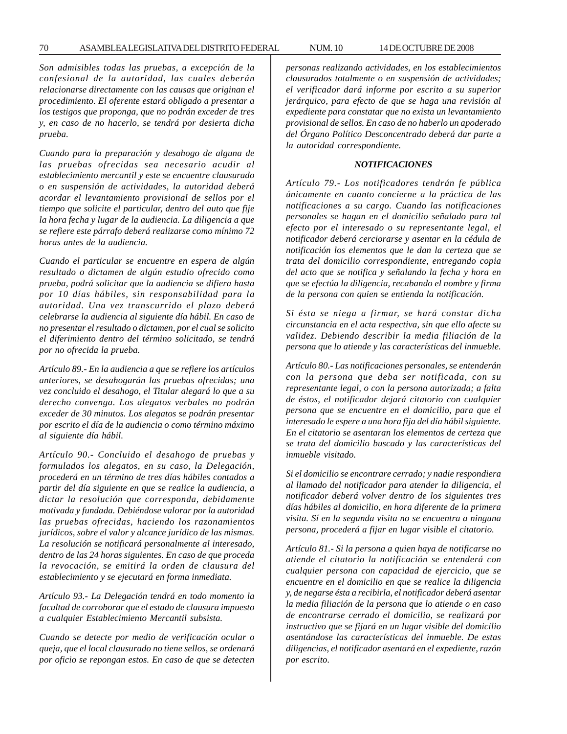*Son admisibles todas las pruebas, a excepción de la confesional de la autoridad, las cuales deberán relacionarse directamente con las causas que originan el procedimiento. El oferente estará obligado a presentar a los testigos que proponga, que no podrán exceder de tres y, en caso de no hacerlo, se tendrá por desierta dicha prueba.*

*Cuando para la preparación y desahogo de alguna de las pruebas ofrecidas sea necesario acudir al establecimiento mercantil y este se encuentre clausurado o en suspensión de actividades, la autoridad deberá acordar el levantamiento provisional de sellos por el tiempo que solicite el particular, dentro del auto que fije la hora fecha y lugar de la audiencia. La diligencia a que se refiere este párrafo deberá realizarse como mínimo 72 horas antes de la audiencia.*

*Cuando el particular se encuentre en espera de algún resultado o dictamen de algún estudio ofrecido como prueba, podrá solicitar que la audiencia se difiera hasta por 10 días hábiles, sin responsabilidad para la autoridad. Una vez transcurrido el plazo deberá celebrarse la audiencia al siguiente día hábil. En caso de no presentar el resultado o dictamen, por el cual se solicito el diferimiento dentro del término solicitado, se tendrá por no ofrecida la prueba.*

*Artículo 89.- En la audiencia a que se refiere los artículos anteriores, se desahogarán las pruebas ofrecidas; una vez concluido el desahogo, el Titular alegará lo que a su derecho convenga. Los alegatos verbales no podrán exceder de 30 minutos. Los alegatos se podrán presentar por escrito el día de la audiencia o como término máximo al siguiente día hábil.*

*Artículo 90.- Concluido el desahogo de pruebas y formulados los alegatos, en su caso, la Delegación, procederá en un término de tres días hábiles contados a partir del día siguiente en que se realice la audiencia, a dictar la resolución que corresponda, debidamente motivada y fundada. Debiéndose valorar por la autoridad las pruebas ofrecidas, haciendo los razonamientos jurídicos, sobre el valor y alcance jurídico de las mismas. La resolución se notificará personalmente al interesado, dentro de las 24 horas siguientes. En caso de que proceda la revocación, se emitirá la orden de clausura del establecimiento y se ejecutará en forma inmediata.*

*Artículo 93.- La Delegación tendrá en todo momento la facultad de corroborar que el estado de clausura impuesto a cualquier Establecimiento Mercantil subsista.*

*Cuando se detecte por medio de verificación ocular o queja, que el local clausurado no tiene sellos, se ordenará por oficio se repongan estos. En caso de que se detecten*

*personas realizando actividades, en los establecimientos clausurados totalmente o en suspensión de actividades; el verificador dará informe por escrito a su superior jerárquico, para efecto de que se haga una revisión al expediente para constatar que no exista un levantamiento provisional de sellos. En caso de no haberlo un apoderado del Órgano Político Desconcentrado deberá dar parte a la autoridad correspondiente.*

# *NOTIFICACIONES*

*Artículo 79.- Los notificadores tendrán fe pública únicamente en cuanto concierne a la práctica de las notificaciones a su cargo. Cuando las notificaciones personales se hagan en el domicilio señalado para tal efecto por el interesado o su representante legal, el notificador deberá cerciorarse y asentar en la cédula de notificación los elementos que le dan la certeza que se trata del domicilio correspondiente, entregando copia del acto que se notifica y señalando la fecha y hora en que se efectúa la diligencia, recabando el nombre y firma de la persona con quien se entienda la notificación.*

*Si ésta se niega a firmar, se hará constar dicha circunstancia en el acta respectiva, sin que ello afecte su validez. Debiendo describir la media filiación de la persona que lo atiende y las características del inmueble.*

*Artículo 80.- Las notificaciones personales, se entenderán con la persona que deba ser notificada, con su representante legal, o con la persona autorizada; a falta de éstos, el notificador dejará citatorio con cualquier persona que se encuentre en el domicilio, para que el interesado le espere a una hora fija del día hábil siguiente. En el citatorio se asentaran los elementos de certeza que se trata del domicilio buscado y las características del inmueble visitado.*

*Si el domicilio se encontrare cerrado; y nadie respondiera al llamado del notificador para atender la diligencia, el notificador deberá volver dentro de los siguientes tres días hábiles al domicilio, en hora diferente de la primera visita. Sí en la segunda visita no se encuentra a ninguna persona, procederá a fijar en lugar visible el citatorio.*

*Artículo 81.- Si la persona a quien haya de notificarse no atiende el citatorio la notificación se entenderá con cualquier persona con capacidad de ejercicio, que se encuentre en el domicilio en que se realice la diligencia y, de negarse ésta a recibirla, el notificador deberá asentar la media filiación de la persona que lo atiende o en caso de encontrarse cerrado el domicilio, se realizará por instructivo que se fijará en un lugar visible del domicilio asentándose las características del inmueble. De estas diligencias, el notificador asentará en el expediente, razón por escrito.*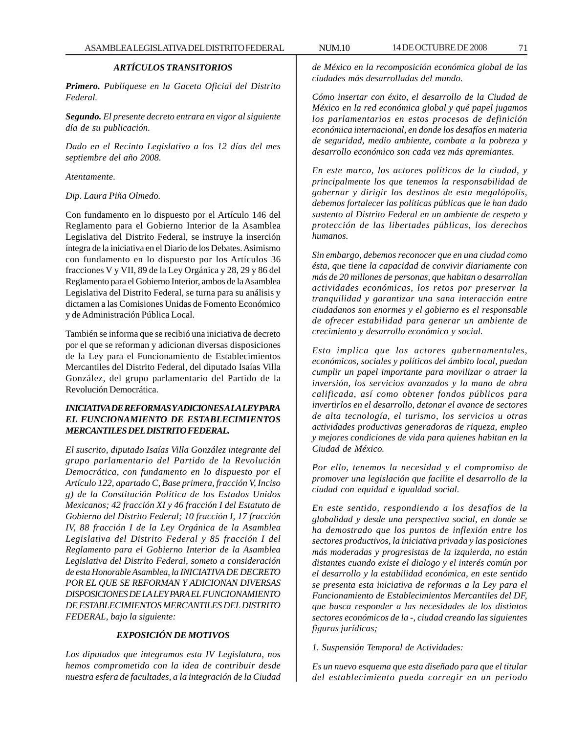# *ARTÍCULOS TRANSITORIOS*

*Primero. Publíquese en la Gaceta Oficial del Distrito Federal.*

*Segundo. El presente decreto entrara en vigor al siguiente día de su publicación.*

*Dado en el Recinto Legislativo a los 12 días del mes septiembre del año 2008.*

*Atentamente.*

## *Dip. Laura Piña Olmedo.*

Con fundamento en lo dispuesto por el Artículo 146 del Reglamento para el Gobierno Interior de la Asamblea Legislativa del Distrito Federal, se instruye la inserción íntegra de la iniciativa en el Diario de los Debates. Asimismo con fundamento en lo dispuesto por los Artículos 36 fracciones V y VII, 89 de la Ley Orgánica y 28, 29 y 86 del Reglamento para el Gobierno Interior, ambos de la Asamblea Legislativa del Distrito Federal, se turna para su análisis y dictamen a las Comisiones Unidas de Fomento Económico y de Administración Pública Local.

También se informa que se recibió una iniciativa de decreto por el que se reforman y adicionan diversas disposiciones de la Ley para el Funcionamiento de Establecimientos Mercantiles del Distrito Federal, del diputado Isaías Villa González, del grupo parlamentario del Partido de la Revolución Democrática.

# *INICIATIVA DE REFORMAS Y ADICIONES A LA LEY PARA EL FUNCIONAMIENTO DE ESTABLECIMIENTOS MERCANTILES DEL DISTRITO FEDERAL.*

*El suscrito, diputado Isaías Villa González integrante del grupo parlamentario del Partido de la Revolución Democrática, con fundamento en lo dispuesto por el Artículo 122, apartado C, Base primera, fracción V, Inciso g) de la Constitución Política de los Estados Unidos Mexicanos; 42 fracción XI y 46 fracción I del Estatuto de Gobierno del Distrito Federal; 10 fracción I, 17 fracción IV, 88 fracción I de la Ley Orgánica de la Asamblea Legislativa del Distrito Federal y 85 fracción I del Reglamento para el Gobierno Interior de la Asamblea Legislativa del Distrito Federal, someto a consideración de esta Honorable Asamblea, la INICIATIVA DE DECRETO POR EL QUE SE REFORMAN Y ADICIONAN DIVERSAS DISPOSICIONES DE LA LEY PARA EL FUNCIONAMIENTO DE ESTABLECIMIENTOS MERCANTILES DEL DISTRITO FEDERAL, bajo la siguiente:*

# *EXPOSICIÓN DE MOTIVOS*

*Los diputados que integramos esta IV Legislatura, nos hemos comprometido con la idea de contribuir desde nuestra esfera de facultades, a la integración de la Ciudad* *de México en la recomposición económica global de las ciudades más desarrolladas del mundo.*

*Cómo insertar con éxito, el desarrollo de la Ciudad de México en la red económica global y qué papel jugamos los parlamentarios en estos procesos de definición económica internacional, en donde los desafíos en materia de seguridad, medio ambiente, combate a la pobreza y desarrollo económico son cada vez más apremiantes.*

*En este marco, los actores políticos de la ciudad, y principalmente los que tenemos la responsabilidad de gobernar y dirigir los destinos de esta megalópolis, debemos fortalecer las políticas públicas que le han dado sustento al Distrito Federal en un ambiente de respeto y protección de las libertades públicas, los derechos humanos.*

*Sin embargo, debemos reconocer que en una ciudad como ésta, que tiene la capacidad de convivir diariamente con más de 20 millones de personas, que habitan o desarrollan actividades económicas, los retos por preservar la tranquilidad y garantizar una sana interacción entre ciudadanos son enormes y el gobierno es el responsable de ofrecer estabilidad para generar un ambiente de crecimiento y desarrollo económico y social.*

*Esto implica que los actores gubernamentales, económicos, sociales y políticos del ámbito local, puedan cumplir un papel importante para movilizar o atraer la inversión, los servicios avanzados y la mano de obra calificada, así como obtener fondos públicos para invertirlos en el desarrollo, detonar el avance de sectores de alta tecnología, el turismo, los servicios u otras actividades productivas generadoras de riqueza, empleo y mejores condiciones de vida para quienes habitan en la Ciudad de México.*

*Por ello, tenemos la necesidad y el compromiso de promover una legislación que facilite el desarrollo de la ciudad con equidad e igualdad social.*

*En este sentido, respondiendo a los desafíos de la globalidad y desde una perspectiva social, en donde se ha demostrado que los puntos de inflexión entre los sectores productivos, la iniciativa privada y las posiciones más moderadas y progresistas de la izquierda, no están distantes cuando existe el dialogo y el interés común por el desarrollo y la estabilidad económica, en este sentido se presenta esta iniciativa de reformas a la Ley para el Funcionamiento de Establecimientos Mercantiles del DF, que busca responder a las necesidades de los distintos sectores económicos de la -, ciudad creando las siguientes figuras jurídicas;*

*1. Suspensión Temporal de Actividades:*

*Es un nuevo esquema que esta diseñado para que el titular del establecimiento pueda corregir en un periodo*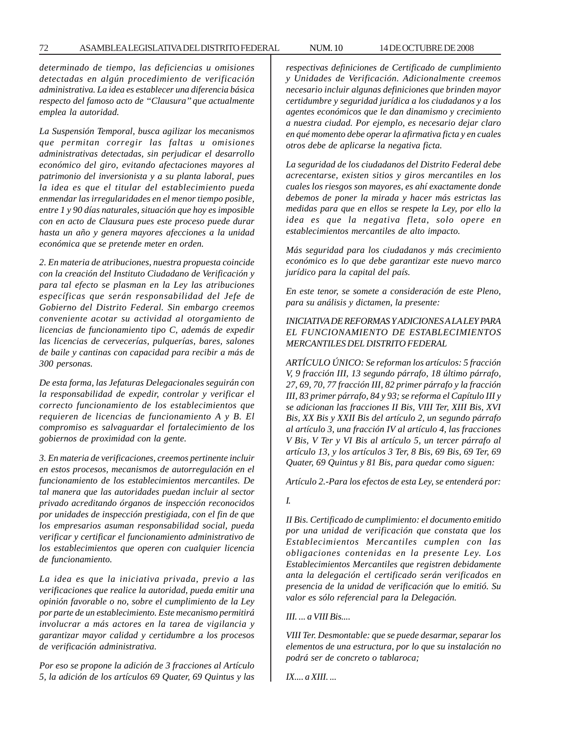*determinado de tiempo, las deficiencias u omisiones detectadas en algún procedimiento de verificación administrativa. La idea es establecer una diferencia básica respecto del famoso acto de ''Clausura'' que actualmente emplea la autoridad.*

*La Suspensión Temporal, busca agilizar los mecanismos que permitan corregir las faltas u omisiones administrativas detectadas, sin perjudicar el desarrollo económico del giro, evitando afectaciones mayores al patrimonio del inversionista y a su planta laboral, pues la idea es que el titular del establecimiento pueda enmendar las irregularidades en el menor tiempo posible, entre 1 y 90 días naturales, situación que hoy es imposible con en acto de Clausura pues este proceso puede durar hasta un año y genera mayores afecciones a la unidad económica que se pretende meter en orden.*

*2. En materia de atribuciones, nuestra propuesta coincide con la creación del Instituto Ciudadano de Verificación y para tal efecto se plasman en la Ley las atribuciones específicas que serán responsabilidad del Jefe de Gobierno del Distrito Federal. Sin embargo creemos conveniente acotar su actividad al otorgamiento de licencias de funcionamiento tipo C, además de expedir las licencias de cervecerías, pulquerías, bares, salones de baile y cantinas con capacidad para recibir a más de 300 personas.*

*De esta forma, las Jefaturas Delegacionales seguirán con la responsabilidad de expedir, controlar y verificar el correcto funcionamiento de los establecimientos que requieren de licencias de funcionamiento A y B. El compromiso es salvaguardar el fortalecimiento de los gobiernos de proximidad con la gente.*

*3. En materia de verificaciones, creemos pertinente incluir en estos procesos, mecanismos de autorregulación en el funcionamiento de los establecimientos mercantiles. De tal manera que las autoridades puedan incluir al sector privado acreditando órganos de inspección reconocidos por unidades de inspección prestigiada, con el fin de que los empresarios asuman responsabilidad social, pueda verificar y certificar el funcionamiento administrativo de los establecimientos que operen con cualquier licencia de funcionamiento.*

*La idea es que la iniciativa privada, previo a las verificaciones que realice la autoridad, pueda emitir una opinión favorable o no, sobre el cumplimiento de la Ley por parte de un establecimiento. Este mecanismo permitirá involucrar a más actores en la tarea de vigilancia y garantizar mayor calidad y certidumbre a los procesos de verificación administrativa.*

*Por eso se propone la adición de 3 fracciones al Artículo 5, la adición de los artículos 69 Quater, 69 Quintus y las* *respectivas definiciones de Certificado de cumplimiento y Unidades de Verificación. Adicionalmente creemos necesario incluir algunas definiciones que brinden mayor certidumbre y seguridad jurídica a los ciudadanos y a los agentes económicos que le dan dinamismo y crecimiento a nuestra ciudad. Por ejemplo, es necesario dejar claro en qué momento debe operar la afirmativa ficta y en cuales otros debe de aplicarse la negativa ficta.*

*La seguridad de los ciudadanos del Distrito Federal debe acrecentarse, existen sitios y giros mercantiles en los cuales los riesgos son mayores, es ahí exactamente donde debemos de poner la mirada y hacer más estrictas las medidas para que en ellos se respete la Ley, por ello la idea es que la negativa fleta, solo opere en establecimientos mercantiles de alto impacto.*

*Más seguridad para los ciudadanos y más crecimiento económico es lo que debe garantizar este nuevo marco jurídico para la capital del país.*

*En este tenor, se somete a consideración de este Pleno, para su análisis y dictamen, la presente:*

# *INICIATIVA DE REFORMAS Y ADICIONES A LA LEY PARA EL FUNCIONAMIENTO DE ESTABLECIMIENTOS MERCANTILES DEL DISTRITO FEDERAL*

*ARTÍCULO ÚNICO: Se reforman los artículos: 5 fracción V, 9 fracción III, 13 segundo párrafo, 18 último párrafo, 27, 69, 70, 77 fracción III, 82 primer párrafo y la fracción III, 83 primer párrafo, 84 y 93; se reforma el Capítulo III y se adicionan las fracciones II Bis, VIII Ter, XIII Bis, XVI Bis, XX Bis y XXII Bis del artículo 2, un segundo párrafo al artículo 3, una fracción IV al artículo 4, las fracciones V Bis, V Ter y VI Bis al artículo 5, un tercer párrafo al artículo 13, y los artículos 3 Ter, 8 Bis, 69 Bis, 69 Ter, 69 Quater, 69 Quintus y 81 Bis, para quedar como siguen:*

*Artículo 2.-Para los efectos de esta Ley, se entenderá por:*

#### *I.*

*II Bis. Certificado de cumplimiento: el documento emitido por una unidad de verificación que constata que los Establecimientos Mercantiles cumplen con las obligaciones contenidas en la presente Ley. Los Establecimientos Mercantiles que registren debidamente anta la delegación el certificado serán verificados en presencia de la unidad de verificación que lo emitió. Su valor es sólo referencial para la Delegación.*

### *III. ... a VIII Bis....*

*VIII Ter. Desmontable: que se puede desarmar, separar los elementos de una estructura, por lo que su instalación no podrá ser de concreto o tablaroca;*

*IX.... a XIII. ...*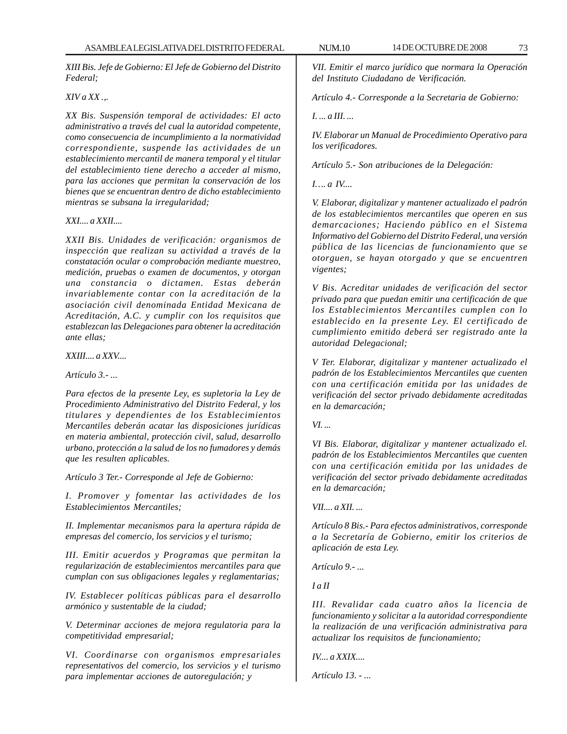*XIII Bis. Jefe de Gobierno: El Jefe de Gobierno del Distrito Federal;*

*XIV a XX .,.*

*XX Bis. Suspensión temporal de actividades: El acto administrativo a través del cual la autoridad competente, como consecuencia de incumplimiento a la normatividad correspondiente, suspende las actividades de un establecimiento mercantil de manera temporal y el titular del establecimiento tiene derecho a acceder al mismo, para las acciones que permitan la conservación de los bienes que se encuentran dentro de dicho establecimiento mientras se subsana la irregularidad;*

#### *XXI.... a XXII....*

*XXII Bis. Unidades de verificación: organismos de inspección que realizan su actividad a través de la constatación ocular o comprobación mediante muestreo, medición, pruebas o examen de documentos, y otorgan una constancia o dictamen. Estas deberán invariablemente contar con la acreditación de la asociación civil denominada Entidad Mexicana de Acreditación, A.C. y cumplir con los requisitos que establezcan las Delegaciones para obtener la acreditación ante ellas;*

*XXIII.... a XXV....*

*Artículo 3.- ...*

*Para efectos de la presente Ley, es supletoria la Ley de Procedimiento Administrativo del Distrito Federal, y los titulares y dependientes de los Establecimientos Mercantiles deberán acatar las disposiciones jurídicas en materia ambiental, protección civil, salud, desarrollo urbano, protección a la salud de los no fumadores y demás que les resulten aplicables.*

*Artículo 3 Ter.- Corresponde al Jefe de Gobierno:*

*I. Promover y fomentar las actividades de los Establecimientos Mercantiles;*

*II. Implementar mecanismos para la apertura rápida de empresas del comercio, los servicios y el turismo;*

*III. Emitir acuerdos y Programas que permitan la regularización de establecimientos mercantiles para que cumplan con sus obligaciones legales y reglamentarias;*

*IV. Establecer políticas públicas para el desarrollo armónico y sustentable de la ciudad;*

*V. Determinar acciones de mejora regulatoria para la competitividad empresarial;*

*VI. Coordinarse con organismos empresariales representativos del comercio, los servicios y el turismo para implementar acciones de autoregulación; y*

*VII. Emitir el marco jurídico que normara la Operación del Instituto Ciudadano de Verificación.*

*Artículo 4.- Corresponde a la Secretaria de Gobierno:*

*I. ... a III. ...*

*IV. Elaborar un Manual de Procedimiento Operativo para los verificadores.*

*Artículo 5.- Son atribuciones de la Delegación:*

*I…. a IV....*

*V. Elaborar, digitalizar y mantener actualizado el padrón de los establecimientos mercantiles que operen en sus demarcaciones; Haciendo público en el Sistema Informativo del Gobierno del Distrito Federal, una versión pública de las licencias de funcionamiento que se otorguen, se hayan otorgado y que se encuentren vigentes;*

*V Bis. Acreditar unidades de verificación del sector privado para que puedan emitir una certificación de que los Establecimientos Mercantiles cumplen con lo establecido en la presente Ley. El certificado de cumplimiento emitido deberá ser registrado ante la autoridad Delegacional;*

*V Ter. Elaborar, digitalizar y mantener actualizado el padrón de los Establecimientos Mercantiles que cuenten con una certificación emitida por las unidades de verificación del sector privado debidamente acreditadas en la demarcación;*

*VI. ...*

*VI Bis. Elaborar, digitalizar y mantener actualizado el. padrón de los Establecimientos Mercantiles que cuenten con una certificación emitida por las unidades de verificación del sector privado debidamente acreditadas en la demarcación;*

*VII.... a XII. ...*

*Artículo 8 Bis.- Para efectos administrativos, corresponde a la Secretaría de Gobierno, emitir los criterios de aplicación de esta Ley.*

*Artículo 9.- ...*

*I a II*

*III. Revalidar cada cuatro años la licencia de funcionamiento y solicitar a la autoridad correspondiente la realización de una verificación administrativa para actualizar los requisitos de funcionamiento;*

*IV.... a XXIX....*

*Artículo 13. - ...*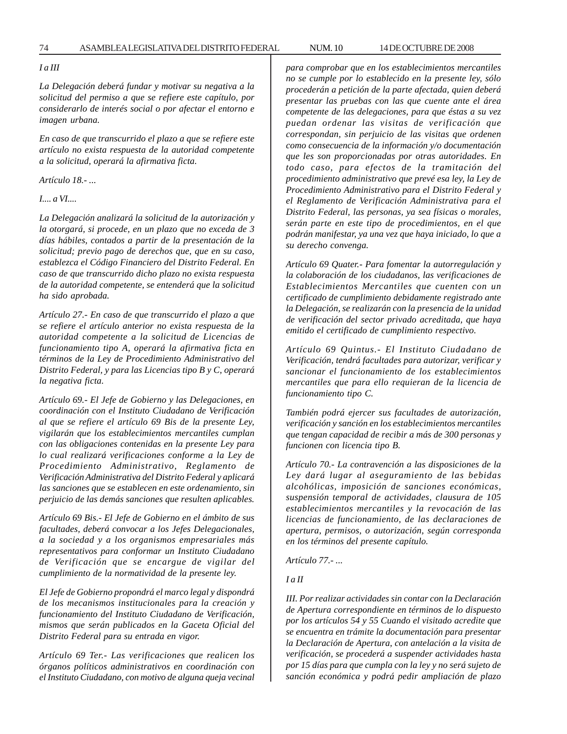74 ASAMBLEA LEGISLATIVA DEL DISTRITO FEDERAL 14 DE OCTUBRE DE 2008 NUM. 10

#### *I a III*

*La Delegación deberá fundar y motivar su negativa a la solicitud del permiso a que se refiere este capítulo, por considerarlo de interés social o por afectar el entorno e imagen urbana.*

*En caso de que transcurrido el plazo a que se refiere este artículo no exista respuesta de la autoridad competente a la solicitud, operará la afirmativa ficta.*

*Artículo 18.- ...*

*I.... a VI....*

*La Delegación analizará la solicitud de la autorización y la otorgará, si procede, en un plazo que no exceda de 3 días hábiles, contados a partir de la presentación de la solicitud; previo pago de derechos que, que en su caso, establezca el Código Financiero del Distrito Federal. En caso de que transcurrido dicho plazo no exista respuesta de la autoridad competente, se entenderá que la solicitud ha sido aprobada.*

*Artículo 27.- En caso de que transcurrido el plazo a que se refiere el artículo anterior no exista respuesta de la autoridad competente a la solicitud de Licencias de funcionamiento tipo A, operará la afirmativa ficta en términos de la Ley de Procedimiento Administrativo del Distrito Federal, y para las Licencias tipo B y C, operará la negativa ficta.*

*Artículo 69.- El Jefe de Gobierno y las Delegaciones, en coordinación con el Instituto Ciudadano de Verificación al que se refiere el artículo 69 Bis de la presente Ley, vigilarán que los establecimientos mercantiles cumplan con las obligaciones contenidas en la presente Ley para lo cual realizará verificaciones conforme a la Ley de Procedimiento Administrativo, Reglamento de Verificación Administrativa del Distrito Federal y aplicará las sanciones que se establecen en este ordenamiento, sin perjuicio de las demás sanciones que resulten aplicables.*

*Artículo 69 Bis.- El Jefe de Gobierno en el ámbito de sus facultades, deberá convocar a los Jefes Delegacionales, a la sociedad y a los organismos empresariales más representativos para conformar un Instituto Ciudadano de Verificación que se encargue de vigilar del cumplimiento de la normatividad de la presente ley.*

*El Jefe de Gobierno propondrá el marco legal y dispondrá de los mecanismos institucionales para la creación y funcionamiento del Instituto Ciudadano de Verificación, mismos que serán publicados en la Gaceta Oficial del Distrito Federal para su entrada en vigor.*

*Artículo 69 Ter.- Las verificaciones que realicen los órganos políticos administrativos en coordinación con el Instituto Ciudadano, con motivo de alguna queja vecinal* *para comprobar que en los establecimientos mercantiles no se cumple por lo establecido en la presente ley, sólo procederán a petición de la parte afectada, quien deberá presentar las pruebas con las que cuente ante el área competente de las delegaciones, para que éstas a su vez puedan ordenar las visitas de verificación que correspondan, sin perjuicio de las visitas que ordenen como consecuencia de la información y/o documentación que les son proporcionadas por otras autoridades. En todo caso, para efectos de la tramitación del procedimiento administrativo que prevé esa ley, la Ley de Procedimiento Administrativo para el Distrito Federal y el Reglamento de Verificación Administrativa para el Distrito Federal, las personas, ya sea físicas o morales, serán parte en este tipo de procedimientos, en el que podrán manifestar, ya una vez que haya iniciado, lo que a su derecho convenga.*

*Artículo 69 Quater.- Para fomentar la autorregulación y la colaboración de los ciudadanos, las verificaciones de Establecimientos Mercantiles que cuenten con un certificado de cumplimiento debidamente registrado ante la Delegación, se realizarán con la presencia de la unidad de verificación del sector privado acreditada, que haya emitido el certificado de cumplimiento respectivo.*

*Artículo 69 Quintus.- El Instituto Ciudadano de Verificación, tendrá facultades para autorizar, verificar y sancionar el funcionamiento de los establecimientos mercantiles que para ello requieran de la licencia de funcionamiento tipo C.*

*También podrá ejercer sus facultades de autorización, verificación y sanción en los establecimientos mercantiles que tengan capacidad de recibir a más de 300 personas y funcionen con licencia tipo B.*

*Artículo 70.- La contravención a las disposiciones de la Ley dará lugar al aseguramiento de las bebidas alcohólicas, imposición de sanciones económicas, suspensión temporal de actividades, clausura de 105 establecimientos mercantiles y la revocación de las licencias de funcionamiento, de las declaraciones de apertura, permisos, o autorización, según corresponda en los términos del presente capítulo.*

*Artículo 77.- ...*

*I a II*

*III. Por realizar actividades sin contar con la Declaración de Apertura correspondiente en términos de lo dispuesto por los artículos 54 y 55 Cuando el visitado acredite que se encuentra en trámite la documentación para presentar la Declaración de Apertura, con antelación a la visita de verificación, se procederá a suspender actividades hasta por 15 días para que cumpla con la ley y no será sujeto de sanción económica y podrá pedir ampliación de plazo*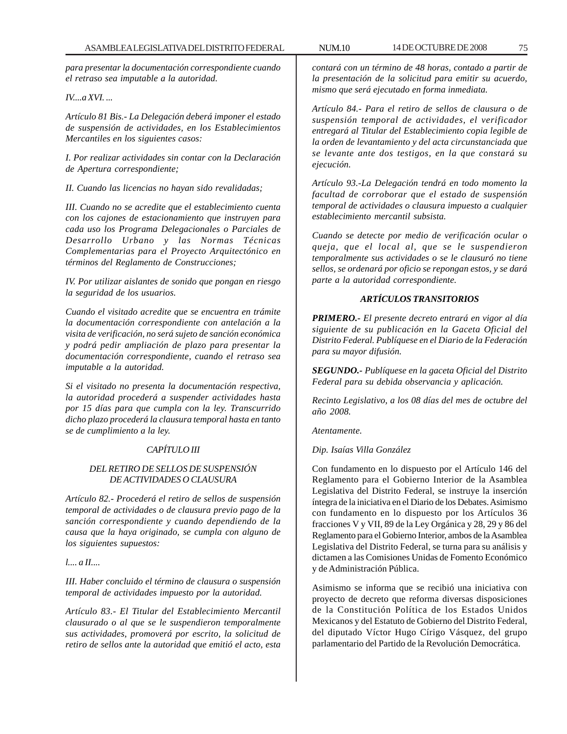*para presentar la documentación correspondiente cuando el retraso sea imputable a la autoridad.*

#### *IV....a XVI. ...*

*Artículo 81 Bis.- La Delegación deberá imponer el estado de suspensión de actividades, en los Establecimientos Mercantiles en los siguientes casos:*

*I. Por realizar actividades sin contar con la Declaración de Apertura correspondiente;*

*II. Cuando las licencias no hayan sido revalidadas;*

*III. Cuando no se acredite que el establecimiento cuenta con los cajones de estacionamiento que instruyen para cada uso los Programa Delegacionales o Parciales de Desarrollo Urbano y las Normas Técnicas Complementarias para el Proyecto Arquitectónico en términos del Reglamento de Construcciones;*

*IV. Por utilizar aislantes de sonido que pongan en riesgo la seguridad de los usuarios.*

*Cuando el visitado acredite que se encuentra en trámite la documentación correspondiente con antelación a la visita de verificación, no será sujeto de sanción económica y podrá pedir ampliación de plazo para presentar la documentación correspondiente, cuando el retraso sea imputable a la autoridad.*

*Si el visitado no presenta la documentación respectiva, la autoridad procederá a suspender actividades hasta por 15 días para que cumpla con la ley. Transcurrido dicho plazo procederá la clausura temporal hasta en tanto se de cumplimiento a la ley.*

## *CAPÍTULO III*

## *DEL RETIRO DE SELLOS DE SUSPENSIÓN DE ACTIVIDADES O CLAUSURA*

*Artículo 82.- Procederá el retiro de sellos de suspensión temporal de actividades o de clausura previo pago de la sanción correspondiente y cuando dependiendo de la causa que la haya originado, se cumpla con alguno de los siguientes supuestos:*

*l.... a II....*

*III. Haber concluido el término de clausura o suspensión temporal de actividades impuesto por la autoridad.*

*Artículo 83.- El Titular del Establecimiento Mercantil clausurado o al que se le suspendieron temporalmente sus actividades, promoverá por escrito, la solicitud de retiro de sellos ante la autoridad que emitió el acto, esta*

*contará con un término de 48 horas, contado a partir de la presentación de la solicitud para emitir su acuerdo, mismo que será ejecutado en forma inmediata.*

*Artículo 84.- Para el retiro de sellos de clausura o de suspensión temporal de actividades, el verificador entregará al Titular del Establecimiento copia legible de la orden de levantamiento y del acta circunstanciada que se levante ante dos testigos, en la que constará su ejecución.*

*Artículo 93.-La Delegación tendrá en todo momento la facultad de corroborar que el estado de suspensión temporal de actividades o clausura impuesto a cualquier establecimiento mercantil subsista.*

*Cuando se detecte por medio de verificación ocular o queja, que el local al, que se le suspendieron temporalmente sus actividades o se le clausuró no tiene sellos, se ordenará por oficio se repongan estos, y se dará parte a la autoridad correspondiente.*

## *ARTÍCULOS TRANSITORIOS*

*PRIMERO.- El presente decreto entrará en vigor al día siguiente de su publicación en la Gaceta Oficial del Distrito Federal. Publíquese en el Diario de la Federación para su mayor difusión.*

*SEGUNDO.- Publíquese en la gaceta Oficial del Distrito Federal para su debida observancia y aplicación.*

*Recinto Legislativo, a los 08 días del mes de octubre del año 2008.*

*Atentamente.*

*Dip. Isaías Villa González*

Con fundamento en lo dispuesto por el Artículo 146 del Reglamento para el Gobierno Interior de la Asamblea Legislativa del Distrito Federal, se instruye la inserción íntegra de la iniciativa en el Diario de los Debates. Asimismo con fundamento en lo dispuesto por los Artículos 36 fracciones V y VII, 89 de la Ley Orgánica y 28, 29 y 86 del Reglamento para el Gobierno Interior, ambos de la Asamblea Legislativa del Distrito Federal, se turna para su análisis y dictamen a las Comisiones Unidas de Fomento Económico y de Administración Pública.

Asimismo se informa que se recibió una iniciativa con proyecto de decreto que reforma diversas disposiciones de la Constitución Política de los Estados Unidos Mexicanos y del Estatuto de Gobierno del Distrito Federal, del diputado Víctor Hugo Círigo Vásquez, del grupo parlamentario del Partido de la Revolución Democrática.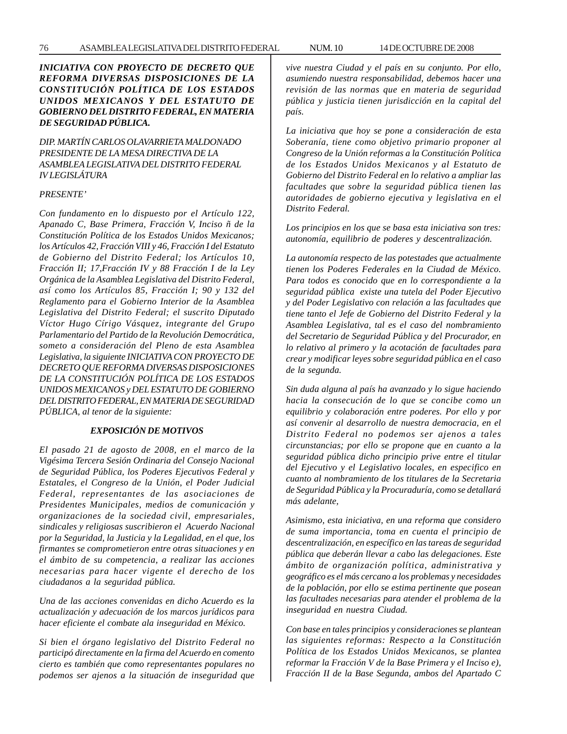*DIP. MARTÍN CARLOS OLAVARRIETA MALDONADO PRESIDENTE DE LA MESA DIRECTIVA DE LA ASAMBLEA LEGISLATIVA DEL DISTRITO FEDERAL IV LEGISLÁTURA*

#### *PRESENTE'*

*Con fundamento en lo dispuesto por el Artículo 122, Apanado C, Base Primera, Fracción V, Inciso ñ de la Constitución Política de los Estados Unidos Mexicanos; los Artículos 42, Fracción VIII y 46, Fracción I del Estatuto de Gobierno del Distrito Federal; los Artículos 10, Fracción II; 17,Fracción IV y 88 Fracción I de la Ley Orgánica de la Asamblea Legislativa del Distrito Federal, así como los Artículos 85, Fracción I; 90 y 132 del Reglamento para el Gobierno Interior de la Asamblea Legislativa del Distrito Federal; el suscrito Diputado Víctor Hugo Círigo Vásquez, integrante del Grupo Parlamentario del Partido de la Revolución Democrática, someto a consideración del Pleno de esta Asamblea Legislativa, la siguiente INICIATIVA CON PROYECTO DE DECRETO QUE REFORMA DIVERSAS DISPOSICIONES DE LA CONSTITUCIÓN POLÍTICA DE LOS ESTADOS UNIDOS MEXICANOS y DEL ESTATUTO DE GOBIERNO DEL DISTRITO FEDERAL, EN MATERIA DE SEGURIDAD PÚBLICA, al tenor de la siguiente:*

## *EXPOSICIÓN DE MOTIVOS*

*El pasado 21 de agosto de 2008, en el marco de la Vigésima Tercera Sesión Ordinaria del Consejo Nacional de Seguridad Pública, los Poderes Ejecutivos Federal y Estatales, el Congreso de la Unión, el Poder Judicial Federal, representantes de las asociaciones de Presidentes Municipales, medios de comunicación y organizaciones de la sociedad civil, empresariales, sindicales y religiosas suscribieron el Acuerdo Nacional por la Seguridad, la Justicia y la Legalidad, en el que, los firmantes se comprometieron entre otras situaciones y en el ámbito de su competencia, a realizar las acciones necesarias para hacer vigente el derecho de los ciudadanos a la seguridad pública.*

*Una de las acciones convenidas en dicho Acuerdo es la actualización y adecuación de los marcos jurídicos para hacer eficiente el combate ala inseguridad en México.*

*Si bien el órgano legislativo del Distrito Federal no participó directamente en la firma del Acuerdo en comento cierto es también que como representantes populares no podemos ser ajenos a la situación de inseguridad que* *vive nuestra Ciudad y el país en su conjunto. Por ello,*

*asumiendo nuestra responsabilidad, debemos hacer una revisión de las normas que en materia de seguridad pública y justicia tienen jurisdicción en la capital del país.*

*La iniciativa que hoy se pone a consideración de esta Soberanía, tiene como objetivo primario proponer al Congreso de la Unión reformas a la Constitución Política de los Estados Unidos Mexicanos y al Estatuto de Gobierno del Distrito Federal en lo relativo a ampliar las facultades que sobre la seguridad pública tienen las autoridades de gobierno ejecutiva y legislativa en el Distrito Federal.*

*Los principios en los que se basa esta iniciativa son tres: autonomía, equilibrio de poderes y descentralización.*

*La autonomía respecto de las potestades que actualmente tienen los Poderes Federales en la Ciudad de México. Para todos es conocido que en lo correspondiente a la seguridad pública existe una tutela del Poder Ejecutivo y del Poder Legislativo con relación a las facultades que tiene tanto el Jefe de Gobierno del Distrito Federal y la Asamblea Legislativa, tal es el caso del nombramiento del Secretario de Seguridad Pública y del Procurador, en lo relativo al primero y la acotación de facultades para crear y modificar leyes sobre seguridad pública en el caso de la segunda.*

*Sin duda alguna al país ha avanzado y lo sigue haciendo hacia la consecución de lo que se concibe como un equilibrio y colaboración entre poderes. Por ello y por así convenir al desarrollo de nuestra democracia, en el Distrito Federal no podemos ser ajenos a tales circunstancias; por ello se propone que en cuanto a la seguridad pública dicho principio prive entre el titular del Ejecutivo y el Legislativo locales, en especifico en cuanto al nombramiento de los titulares de la Secretaria de Seguridad Pública y la Procuraduría, como se detallará más adelante,*

*Asimismo, esta iniciativa, en una reforma que considero de suma importancia, toma en cuenta el principio de descentralización, en específico en las tareas de seguridad pública que deberán llevar a cabo las delegaciones. Este ámbito de organización política, administrativa y geográfico es el más cercano a los problemas y necesidades de la población, por ello se estima pertinente que posean las facultades necesarias para atender el problema de la inseguridad en nuestra Ciudad.*

*Con base en tales principios y consideraciones se plantean las siguientes reformas: Respecto a la Constitución Política de los Estados Unidos Mexicanos, se plantea reformar la Fracción V de la Base Primera y el Inciso e), Fracción II de la Base Segunda, ambos del Apartado C*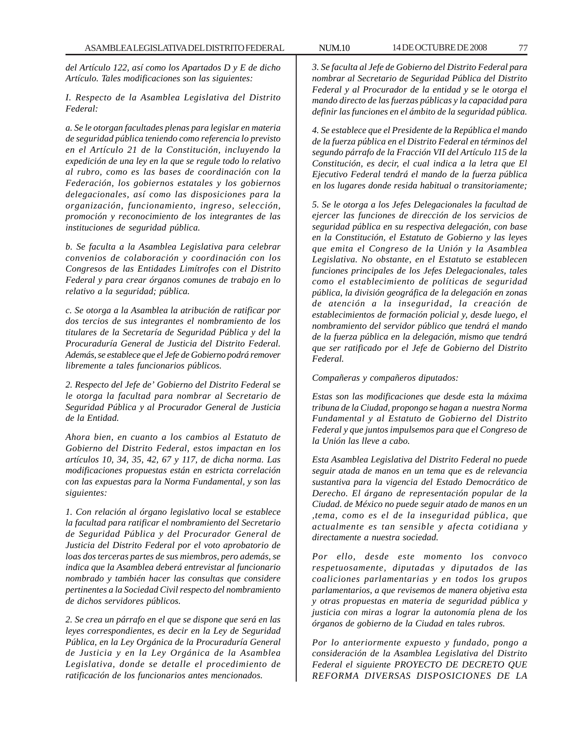*del Artículo 122, así como los Apartados D y E de dicho Artículo. Tales modificaciones son las siguientes:*

*I. Respecto de la Asamblea Legislativa del Distrito Federal:*

*a. Se le otorgan facultades plenas para legislar en materia de seguridad pública teniendo como referencia lo previsto en el Artículo 21 de la Constitución, incluyendo la expedición de una ley en la que se regule todo lo relativo al rubro, como es las bases de coordinación con la Federación, los gobiernos estatales y los gobiernos delegacionales, así como las disposiciones para la organización, funcionamiento, ingreso, selección, promoción y reconocimiento de los integrantes de las instituciones de seguridad pública.*

*b. Se faculta a la Asamblea Legislativa para celebrar convenios de colaboración y coordinación con los Congresos de las Entidades Limítrofes con el Distrito Federal y para crear órganos comunes de trabajo en lo relativo a la seguridad; pública.*

*c. Se otorga a la Asamblea la atribución de ratificar por dos tercios de sus integrantes el nombramiento de los titulares de la Secretaría de Seguridad Pública y del la Procuraduría General de Justicia del Distrito Federal. Además, se establece que el Jefe de Gobierno podrá remover libremente a tales funcionarios públicos.*

*2. Respecto del Jefe de' Gobierno del Distrito Federal se le otorga la facultad para nombrar al Secretario de Seguridad Pública y al Procurador General de Justicia de la Entidad.*

*Ahora bien, en cuanto a los cambios al Estatuto de Gobierno del Distrito Federal, estos impactan en los artículos 10, 34, 35, 42, 67 y 117, de dicha norma. Las modificaciones propuestas están en estricta correlación con las expuestas para la Norma Fundamental, y son las siguientes:*

*1. Con relación al órgano legislativo local se establece la facultad para ratificar el nombramiento del Secretario de Seguridad Pública y del Procurador General de Justicia del Distrito Federal por el voto aprobatorio de loas dos terceras partes de sus miembros, pero además, se indica que la Asamblea deberá entrevistar al funcionario nombrado y también hacer las consultas que considere pertinentes a la Sociedad Civil respecto del nombramiento de dichos servidores públicos.*

*2. Se crea un párrafo en el que se dispone que será en las leyes correspondientes, es decir en la Ley de Seguridad Pública, en la Ley Orgánica de la Procuraduría General de Justicia y en la Ley Orgánica de la Asamblea Legislativa, donde se detalle el procedimiento de ratificación de los funcionarios antes mencionados.*

*3. Se faculta al Jefe de Gobierno del Distrito Federal para nombrar al Secretario de Seguridad Pública del Distrito Federal y al Procurador de la entidad y se le otorga el mando directo de las fuerzas públicas y la capacidad para definir las funciones en el ámbito de la seguridad pública.*

*4. Se establece que el Presidente de la República el mando de la fuerza pública en el Distrito Federal en términos del segundo párrafo de la Fracción VII del Artículo 115 de la Constitución, es decir, el cual indica a la letra que El Ejecutivo Federal tendrá el mando de la fuerza pública en los lugares donde resida habitual o transitoriamente;*

*5. Se le otorga a los Jefes Delegacionales la facultad de ejercer las funciones de dirección de los servicios de seguridad pública en su respectiva delegación, con base en la Constitución, el Estatuto de Gobierno y las leyes que emita el Congreso de la Unión y la Asamblea Legislativa. No obstante, en el Estatuto se establecen funciones principales de los Jefes Delegacionales, tales como el establecimiento de políticas de seguridad pública, la división geográfica de la delegación en zonas de atención a la inseguridad, la creación de establecimientos de formación policial y, desde luego, el nombramiento del servidor público que tendrá el mando de la fuerza pública en la delegación, mismo que tendrá que ser ratificado por el Jefe de Gobierno del Distrito Federal.*

*Compañeras y compañeros diputados:*

*Estas son las modificaciones que desde esta la máxima tribuna de la Ciudad, propongo se hagan a nuestra Norma Fundamental y al Estatuto de Gobierno del Distrito Federal y que juntos impulsemos para que el Congreso de la Unión las lleve a cabo.*

*Esta Asamblea Legislativa del Distrito Federal no puede seguir atada de manos en un tema que es de relevancia sustantiva para la vigencia del Estado Democrático de Derecho. El árgano de representación popular de la Ciudad. de México no puede seguir atado de manos en un ,tema, como es el de la inseguridad pública, que actualmente es tan sensible y afecta cotidiana y directamente a nuestra sociedad.*

*Por ello, desde este momento los convoco respetuosamente, diputadas y diputados de las coaliciones parlamentarias y en todos los grupos parlamentarios, a que revisemos de manera objetiva esta y otras propuestas en materia de seguridad pública y justicia con miras a lograr la autonomía plena de los órganos de gobierno de la Ciudad en tales rubros.*

*Por lo anteriormente expuesto y fundado, pongo a consideración de la Asamblea Legislativa del Distrito Federal el siguiente PROYECTO DE DECRETO QUE REFORMA DIVERSAS DISPOSICIONES DE LA*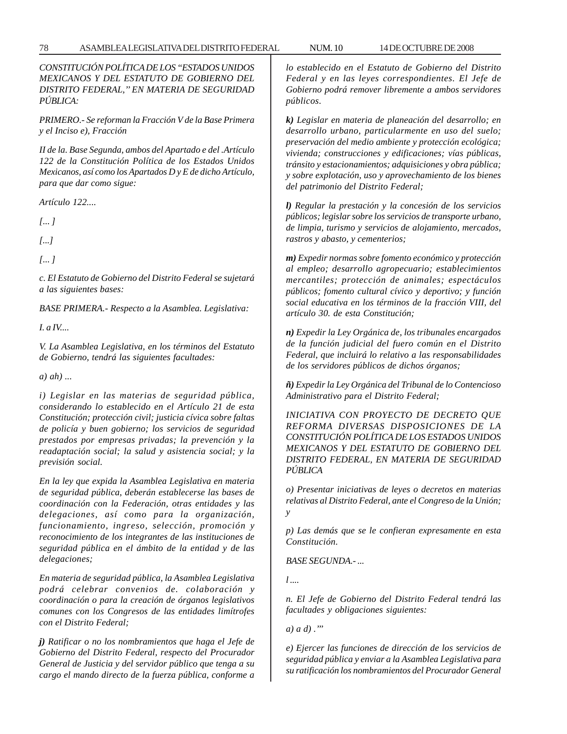*CONSTITUCIÓN POLÍTICA DE LOS ''ESTADOS UNIDOS MEXICANOS Y DEL ESTATUTO DE GOBIERNO DEL DISTRITO FEDERAL,'' EN MATERIA DE SEGURIDAD PÚBLICA:*

*PRIMERO.- Se reforman la Fracción V de la Base Primera y el Inciso e), Fracción*

*II de la. Base Segunda, ambos del Apartado e del .Artículo 122 de la Constitución Política de los Estados Unidos Mexicanos, así como los Apartados D y E de dicho Artículo, para que dar como sigue:*

*Artículo 122....*

*[... ]*

*[...]*

*[... ]*

*c. El Estatuto de Gobierno del Distrito Federal se sujetará a las siguientes bases:*

*BASE PRIMERA.- Respecto a la Asamblea. Legislativa:*

*I. a IV....*

*V. La Asamblea Legislativa, en los términos del Estatuto de Gobierno, tendrá las siguientes facultades:*

*a) ah) ...*

*i) Legislar en las materias de seguridad pública, considerando lo establecido en el Artículo 21 de esta Constitución; protección civil; justicia cívica sobre faltas de policía y buen gobierno; los servicios de seguridad prestados por empresas privadas; la prevención y la readaptación social; la salud y asistencia social; y la previsión social.*

*En la ley que expida la Asamblea Legislativa en materia de seguridad pública, deberán establecerse las bases de coordinación con la Federación, otras entidades y las delegaciones, así como para la organización, funcionamiento, ingreso, selección, promoción y reconocimiento de los integrantes de las instituciones de seguridad pública en el ámbito de la entidad y de las delegaciones;*

*En materia de seguridad pública, la Asamblea Legislativa podrá celebrar convenios de. colaboración y coordinación o para la creación de órganos legislativos comunes con los Congresos de las entidades limítrofes con el Distrito Federal;*

*j) Ratificar o no los nombramientos que haga el Jefe de Gobierno del Distrito Federal, respecto del Procurador General de Justicia y del servidor público que tenga a su cargo el mando directo de la fuerza pública, conforme a* *lo establecido en el Estatuto de Gobierno del Distrito Federal y en las leyes correspondientes. El Jefe de Gobierno podrá remover libremente a ambos servidores públicos.*

*k) Legislar en materia de planeación del desarrollo; en desarrollo urbano, particularmente en uso del suelo; preservación del medio ambiente y protección ecológica; vivienda; construcciones y edificaciones; vías públicas, tránsito y estacionamientos; adquisiciones y obra pública; y sobre explotación, uso y aprovechamiento de los bienes del patrimonio del Distrito Federal;*

*l) Regular la prestación y la concesión de los servicios públicos; legislar sobre los servicios de transporte urbano, de limpia, turismo y servicios de alojamiento, mercados, rastros y abasto, y cementerios;*

*m) Expedir normas sobre fomento económico y protección al empleo; desarrollo agropecuario; establecimientos mercantiles; protección de animales; espectáculos públicos; fomento cultural cívico y deportivo; y función social educativa en los términos de la fracción VIII, del artículo 30. de esta Constitución;*

*n) Expedir la Ley Orgánica de, los tribunales encargados de la función judicial del fuero común en el Distrito Federal, que incluirá lo relativo a las responsabilidades de los servidores públicos de dichos órganos;*

*ñ) Expedir la Ley Orgánica del Tribunal de lo Contencioso Administrativo para el Distrito Federal;*

*INICIATIVA CON PROYECTO DE DECRETO QUE REFORMA DIVERSAS DISPOSICIONES DE LA CONSTITUCIÓN POLÍTICA DE LOS ESTADOS UNIDOS MEXICANOS Y DEL ESTATUTO DE GOBIERNO DEL DISTRITO FEDERAL, EN MATERIA DE SEGURIDAD PÚBLICA*

*o) Presentar iniciativas de leyes o decretos en materias relativas al Distrito Federal, ante el Congreso de la Unión; y*

*p) Las demás que se le confieran expresamente en esta Constitución.*

*BASE SEGUNDA.- ...*

*l ....*

*n. El Jefe de Gobierno del Distrito Federal tendrá las facultades y obligaciones siguientes:*

*a) a d) .'''*

*e) Ejercer las funciones de dirección de los servicios de seguridad pública y enviar a la Asamblea Legislativa para su ratificación los nombramientos del Procurador General*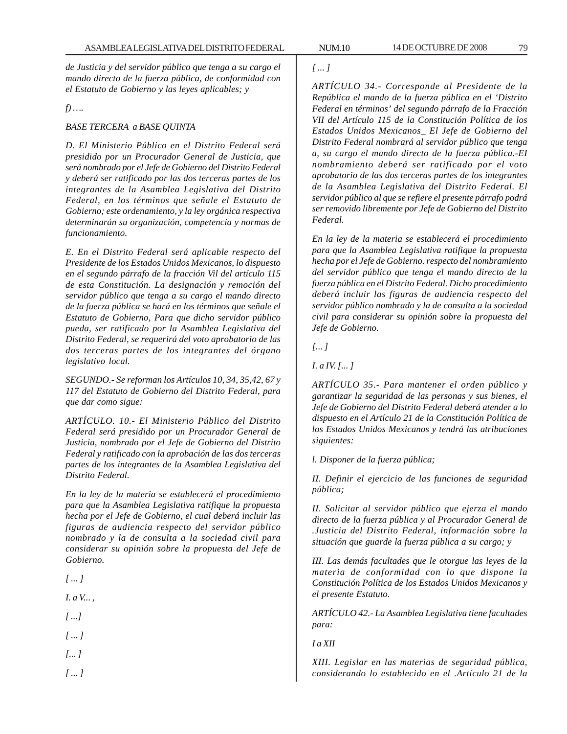*de Justicia y del servidor público que tenga a su cargo el mando directo de la fuerza pública, de conformidad con el Estatuto de Gobierno y las leyes aplicables; y*

# *f) ….*

## *BASE TERCERA a BASE QUINTA*

*D. El Ministerio Público en el Distrito Federal será presidido por un Procurador General de Justicia, que será nombrado por el Jefe de Gobierno del Distrito Federal y deberá ser ratificado por las dos terceras partes de los integrantes de la Asamblea Legislativa del Distrito Federal, en los términos que señale el Estatuto de Gobierno; este ordenamiento, y la ley orgánica respectiva determinarán su organización, competencia y normas de funcionamiento.*

*E. En el Distrito Federal será aplicable respecto del Presidente de los Estados Unidos Mexicanos, lo dispuesto en el segundo párrafo de la fracción Vil del artículo 115 de esta Constitución. La designación y remoción del servidor público que tenga a su cargo el mando directo de la fuerza pública se hará en los términos que señale el Estatuto de Gobierno, Para que dicho servidor público pueda, ser ratificado por la Asamblea Legislativa del Distrito Federal, se requerirá del voto aprobatorio de las dos terceras partes de los integrantes del órgano legislativo local.*

*SEGUNDO.- Se reforman los Artículos 10, 34, 35,42, 67 y 117 del Estatuto de Gobierno del Distrito Federal, para que dar como sigue:*

*ARTÍCULO. 10.- El Ministerio Público del Distrito Federal será presidido por un Procurador General de Justicia, nombrado por el Jefe de Gobierno del Distrito Federal y ratificado con la aprobación de las dos terceras partes de los integrantes de la Asamblea Legislativa del Distrito Federal.*

*En la ley de la materia se establecerá el procedimiento para que la Asamblea Legislativa ratifique la propuesta hecha por el Jefe de Gobierno, el cual deberá incluir las figuras de audiencia respecto del servidor público nombrado y la de consulta a la sociedad civil para considerar su opinión sobre la propuesta del Jefe de Gobierno.*

*[ ... ]*

*I. a V... ,*

*[ ...]*

*[ ... ]*

*[... ]*

*[ ... ]*

# *[ ... ]*

*ARTÍCULO 34.- Corresponde al Presidente de la República el mando de la fuerza pública en el 'Distrito Federal en términos' del segundo párrafo de la Fracción VII del Artículo 115 de la Constitución Política de los Estados Unidos Mexicanos\_ El Jefe de Gobierno del Distrito Federal nombrará al servidor público que tenga a, su cargo el mando directo de la fuerza pública.-EI nombramiento deberá ser ratificado por el voto aprobatorio de las dos terceras partes de los integrantes de la Asamblea Legislativa del Distrito Federal. El servidor público al que se refiere el presente párrafo podrá ser removido libremente por Jefe de Gobierno del Distrito Federal.*

*En la ley de la materia se establecerá el procedimiento para que la Asamblea Legislativa ratifique la propuesta hecha por el Jefe de Gobierno. respecto del nombramiento del servidor público que tenga el mando directo de la fuerza pública en el Distrito Federal. Dicho procedimiento deberá incluir las figuras de audiencia respecto del servidor público nombrado y la de consulta a la sociedad civil para considerar su opinión sobre la propuesta del Jefe de Gobierno.*

*[... ]*

*I. a IV. [... ]*

*ARTÍCULO 35.- Para mantener el orden público y garantizar la seguridad de las personas y sus bienes, el Jefe de Gobierno del Distrito Federal deberá atender a lo dispuesto en el Artículo 21 de la Constitución Política de los Estados Unidos Mexicanos y tendrá las atribuciones siguientes:*

*l. Disponer de la fuerza pública;*

*II. Definir el ejercicio de las funciones de seguridad pública;*

*II. Solicitar al servidor público que ejerza el mando directo de la fuerza pública y al Procurador General de .Justicia del Distrito Federal, información sobre la situación que guarde la fuerza pública a su cargo; y*

*III. Las demás facultades que le otorgue las leyes de la materia de conformidad con lo que dispone la Constitución Política de los Estados Unidos Mexicanos y el presente Estatuto.*

*ARTÍCULO 42.- La Asamblea Legislativa tiene facultades para:*

*I a XII*

*XIII. Legislar en las materias de seguridad pública, considerando lo establecido en el .Artículo 21 de la*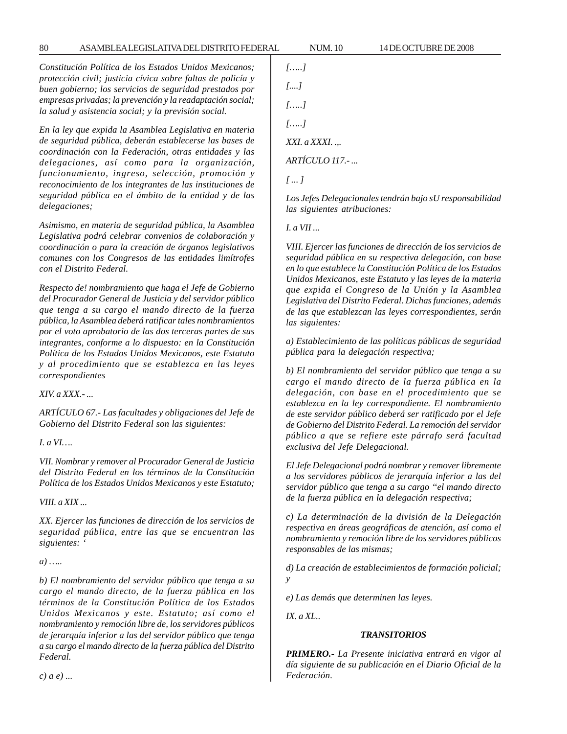*Constitución Política de los Estados Unidos Mexicanos; protección civil; justicia cívica sobre faltas de policía y buen gobierno; los servicios de seguridad prestados por empresas privadas; la prevención y la readaptación social; la salud y asistencia social; y la previsión social.*

*En la ley que expida la Asamblea Legislativa en materia de seguridad pública, deberán establecerse las bases de coordinación con la Federación, otras entidades y las delegaciones, así como para la organización, funcionamiento, ingreso, selección, promoción y reconocimiento de los integrantes de las instituciones de seguridad pública en el ámbito de la entidad y de las delegaciones;*

*Asimismo, en materia de seguridad pública, la Asamblea Legislativa podrá celebrar convenios de colaboración y coordinación o para la creación de órganos legislativos comunes con los Congresos de las entidades limítrofes con el Distrito Federal.*

*Respecto de! nombramiento que haga el Jefe de Gobierno del Procurador General de Justicia y del servidor público que tenga a su cargo el mando directo de la fuerza pública, la Asamblea deberá ratificar tales nombramientos por el voto aprobatorio de las dos terceras partes de sus integrantes, conforme a lo dispuesto: en la Constitución Política de los Estados Unidos Mexicanos, este Estatuto y al procedimiento que se establezca en las leyes correspondientes*

*XIV. a XXX.- ...*

*ARTÍCULO 67.- Las facultades y obligaciones del Jefe de Gobierno del Distrito Federal son las siguientes:*

*I. a VI….*

*VII. Nombrar y remover al Procurador General de Justicia del Distrito Federal en los términos de la Constitución Política de los Estados Unidos Mexicanos y este Estatuto;*

*VIII. a XIX ...*

*XX. Ejercer las funciones de dirección de los servicios de seguridad pública, entre las que se encuentran las siguientes: '*

*a) …..*

*b) El nombramiento del servidor público que tenga a su cargo el mando directo, de la fuerza pública en los términos de la Constitución Política de los Estados Unidos Mexicanos y este. Estatuto; así como el nombramiento y remoción libre de, los servidores públicos de jerarquía inferior a las del servidor público que tenga a su cargo el mando directo de la fuerza pública del Distrito Federal.*

*[…..] [....] […..] […..] XXI. a XXXI. .,. ARTÍCULO 117.- ... [ ... ]*

*Los Jefes Delegacionales tendrán bajo sU responsabilidad las siguientes atribuciones:*

*I. a VII ...*

*VIII. Ejercer las funciones de dirección de los servicios de seguridad pública en su respectiva delegación, con base en lo que establece la Constitución Política de los Estados Unidos Mexicanos, este Estatuto y las leyes de la materia que expida el Congreso de la Unión y la Asamblea Legislativa del Distrito Federal. Dichas funciones, además de las que establezcan las leyes correspondientes, serán las siguientes:*

*a) Establecimiento de las políticas públicas de seguridad pública para la delegación respectiva;*

*b) El nombramiento del servidor público que tenga a su cargo el mando directo de la fuerza pública en la delegación, con base en el procedimiento que se establezca en la ley correspondiente. El nombramiento de este servidor público deberá ser ratificado por el Jefe de Gobierno del Distrito Federal. La remoción del servidor público a que se refiere este párrafo será facultad exclusiva del Jefe Delegacional.*

*El Jefe Delegacional podrá nombrar y remover libremente a los servidores públicos de jerarquía inferior a las del servidor público que tenga a su cargo ''el mando directo de la fuerza pública en la delegación respectiva;*

*c) La determinación de la división de la Delegación respectiva en áreas geográficas de atención, así como el nombramiento y remoción libre de los servidores públicos responsables de las mismas;*

*d) La creación de establecimientos de formación policial; y*

*e) Las demás que determinen las leyes.*

*IX. a XL..*

## *TRANSITORIOS*

*PRIMERO.- La Presente iniciativa entrará en vigor al día siguiente de su publicación en el Diario Oficial de la Federación.*

*c) a e) ...*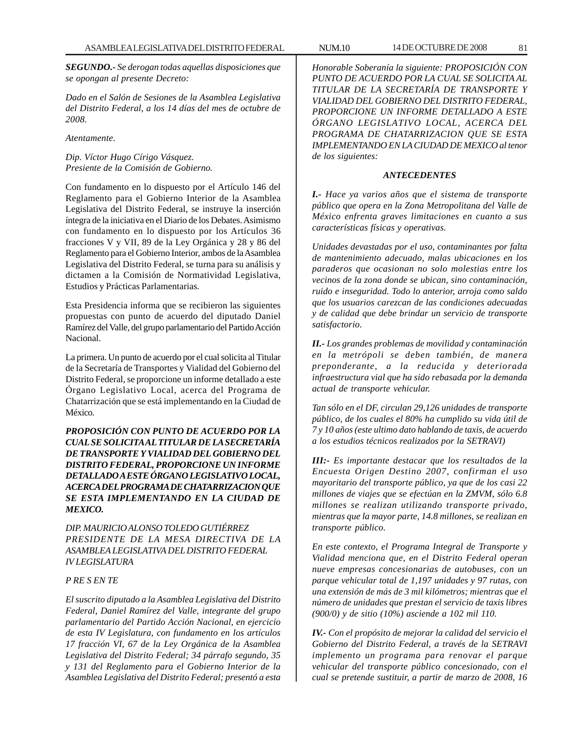*SEGUNDO.- Se derogan todas aquellas disposiciones que se opongan al presente Decreto:*

*Dado en el Salón de Sesiones de la Asamblea Legislativa del Distrito Federal, a los 14 días del mes de octubre de 2008.*

*Atentamente.*

*Dip. Víctor Hugo Círigo Vásquez. Presiente de la Comisión de Gobierno.*

Con fundamento en lo dispuesto por el Artículo 146 del Reglamento para el Gobierno Interior de la Asamblea Legislativa del Distrito Federal, se instruye la inserción íntegra de la iniciativa en el Diario de los Debates. Asimismo con fundamento en lo dispuesto por los Artículos 36 fracciones V y VII, 89 de la Ley Orgánica y 28 y 86 del Reglamento para el Gobierno Interior, ambos de la Asamblea Legislativa del Distrito Federal, se turna para su análisis y dictamen a la Comisión de Normatividad Legislativa, Estudios y Prácticas Parlamentarias.

Esta Presidencia informa que se recibieron las siguientes propuestas con punto de acuerdo del diputado Daniel Ramírez del Valle, del grupo parlamentario del Partido Acción Nacional.

La primera. Un punto de acuerdo por el cual solicita al Titular de la Secretaría de Transportes y Vialidad del Gobierno del Distrito Federal, se proporcione un informe detallado a este Órgano Legislativo Local, acerca del Programa de Chatarrización que se está implementando en la Ciudad de México.

*PROPOSICIÓN CON PUNTO DE ACUERDO POR LA CUAL SE SOLICITA AL TITULAR DE LA SECRETARÍA DE TRANSPORTE Y VIALIDAD DEL GOBIERNO DEL DISTRITO FEDERAL, PROPORCIONE UN INFORME DETALLADO A ESTE ÓRGANO LEGISLATIVO LOCAL, ACERCA DEL PROGRAMA DE CHATARRIZACION QUE SE ESTA IMPLEMENTANDO EN LA CIUDAD DE MEXICO.*

*DIP. MAURICIO ALONSO TOLEDO GUTIÉRREZ PRESIDENTE DE LA MESA DIRECTIVA DE LA ASAMBLEA LEGISLATIVA DEL DISTRITO FEDERAL IV LEGISLATURA*

# *P RE S EN TE*

*El suscrito diputado a la Asamblea Legislativa del Distrito Federal, Daniel Ramírez del Valle, integrante del grupo parlamentario del Partido Acción Nacional, en ejercicio de esta IV Legislatura, con fundamento en los artículos 17 fracción VI, 67 de la Ley Orgánica de la Asamblea Legislativa del Distrito Federal; 34 párrafo segundo, 35 y 131 del Reglamento para el Gobierno Interior de la Asamblea Legislativa del Distrito Federal; presentó a esta*

*Honorable Soberanía la siguiente: PROPOSICIÓN CON PUNTO DE ACUERDO POR LA CUAL SE SOLICITA AL TITULAR DE LA SECRETARÍA DE TRANSPORTE Y VIALIDAD DEL GOBIERNO DEL DISTRITO FEDERAL, PROPORCIONE UN INFORME DETALLADO A ESTE ÓRGANO LEGISLATIVO LOCAL, ACERCA DEL PROGRAMA DE CHATARRIZACION QUE SE ESTA IMPLEMENTANDO EN LA CIUDAD DE MEXICO al tenor de los siguientes:*

#### *ANTECEDENTES*

*I.- Hace ya varios años que el sistema de transporte público que opera en la Zona Metropolitana del Valle de México enfrenta graves limitaciones en cuanto a sus características físicas y operativas.*

*Unidades devastadas por el uso, contaminantes por falta de mantenimiento adecuado, malas ubicaciones en los paraderos que ocasionan no solo molestias entre los vecinos de la zona donde se ubican, sino contaminación, ruido e inseguridad. Todo lo anterior, arroja como saldo que los usuarios carezcan de las condiciones adecuadas y de calidad que debe brindar un servicio de transporte satisfactorio.*

*II.- Los grandes problemas de movilidad y contaminación en la metrópoli se deben también, de manera preponderante, a la reducida y deteriorada infraestructura vial que ha sido rebasada por la demanda actual de transporte vehicular.*

*Tan sólo en el DF, circulan 29,126 unidades de transporte público, de los cuales el 80% ha cumplido su vida útil de 7 y 10 años (este ultimo dato hablando de taxis, de acuerdo a los estudios técnicos realizados por la SETRAVI)*

*III:- Es importante destacar que los resultados de la Encuesta Origen Destino 2007, confirman el uso mayoritario del transporte público, ya que de los casi 22 millones de viajes que se efectúan en la ZMVM, sólo 6.8 millones se realizan utilizando transporte privado, mientras que la mayor parte, 14.8 millones, se realizan en transporte público.*

*En este contexto, el Programa Integral de Transporte y Vialidad menciona que, en el Distrito Federal operan nueve empresas concesionarias de autobuses, con un parque vehicular total de 1,197 unidades y 97 rutas, con una extensión de más de 3 mil kilómetros; mientras que el número de unidades que prestan el servicio de taxis libres (900/0) y de sitio (10%) asciende a 102 mil 110.*

*IV.- Con el propósito de mejorar la calidad del servicio el Gobierno del Distrito Federal, a través de la SETRAVI implemento un programa para renovar el parque vehicular del transporte público concesionado, con el cual se pretende sustituir, a partir de marzo de 2008, 16*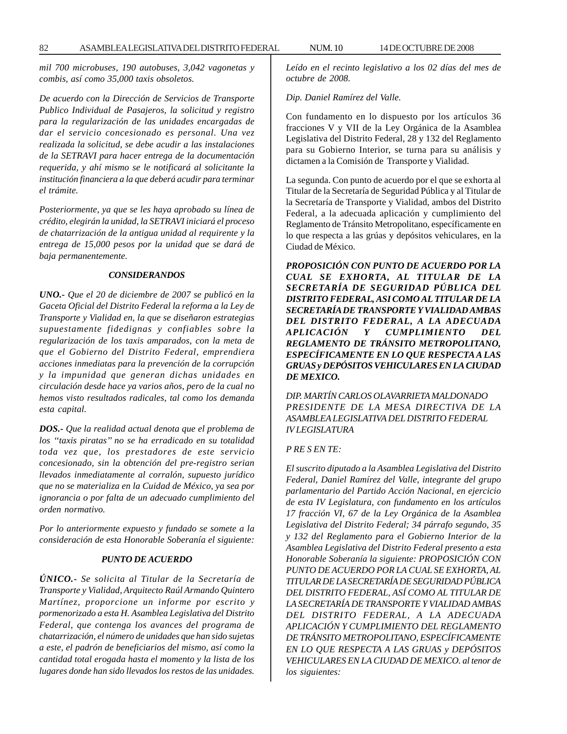*mil 700 microbuses, 190 autobuses, 3,042 vagonetas y combis, así como 35,000 taxis obsoletos.*

*De acuerdo con la Dirección de Servicios de Transporte Publico Individual de Pasajeros, la solicitud y registro para la regularización de las unidades encargadas de dar el servicio concesionado es personal. Una vez realizada la solicitud, se debe acudir a las instalaciones de la SETRAVI para hacer entrega de la documentación requerida, y ahí mismo se le notificará al solicitante la institución financiera a la que deberá acudir para terminar el trámite.*

*Posteriormente, ya que se les haya aprobado su línea de crédito, elegirán la unidad, la SETRAVI iniciará el proceso de chatarrización de la antigua unidad al requirente y la entrega de 15,000 pesos por la unidad que se dará de baja permanentemente.*

#### *CONSIDERANDOS*

*UNO.- Que el 20 de diciembre de 2007 se publicó en la Gaceta Oficial del Distrito Federal la reforma a la Ley de Transporte y Vialidad en, la que se diseñaron estrategias supuestamente fidedignas y confiables sobre la regularización de los taxis amparados, con la meta de que el Gobierno del Distrito Federal, emprendiera acciones inmediatas para la prevención de la corrupción y la impunidad que generan dichas unidades en circulación desde hace ya varios años, pero de la cual no hemos visto resultados radicales, tal como los demanda esta capital.*

*DOS.- Que la realidad actual denota que el problema de los ''taxis piratas'' no se ha erradicado en su totalidad toda vez que, los prestadores de este servicio concesionado, sin la obtención del pre-registro serian llevados inmediatamente al corralón, supuesto jurídico que no se materializa en la Cuidad de México, ya sea por ignorancia o por falta de un adecuado cumplimiento del orden normativo.*

*Por lo anteriormente expuesto y fundado se somete a la consideración de esta Honorable Soberanía el siguiente:*

#### *PUNTO DE ACUERDO*

*ÚNICO.- Se solicita al Titular de la Secretaría de Transporte y Vialidad, Arquitecto Raúl Armando Quintero Martínez, proporcione un informe por escrito y pormenorizado a esta H. Asamblea Legislativa del Distrito Federal, que contenga los avances del programa de chatarrización, el número de unidades que han sido sujetas a este, el padrón de beneficiarios del mismo, así como la cantidad total erogada hasta el momento y la lista de los lugares donde han sido llevados los restos de las unidades.*

*Leído en el recinto legislativo a los 02 días del mes de octubre de 2008.*

#### *Dip. Daniel Ramírez del Valle.*

Con fundamento en lo dispuesto por los artículos 36 fracciones V y VII de la Ley Orgánica de la Asamblea Legislativa del Distrito Federal, 28 y 132 del Reglamento para su Gobierno Interior, se turna para su análisis y dictamen a la Comisión de Transporte y Vialidad.

La segunda. Con punto de acuerdo por el que se exhorta al Titular de la Secretaría de Seguridad Pública y al Titular de la Secretaría de Transporte y Vialidad, ambos del Distrito Federal, a la adecuada aplicación y cumplimiento del Reglamento de Tránsito Metropolitano, específicamente en lo que respecta a las grúas y depósitos vehiculares, en la Ciudad de México.

*PROPOSICIÓN CON PUNTO DE ACUERDO POR LA CUAL SE EXHORTA, AL TITULAR DE LA SECRETARÍA DE SEGURIDAD PÚBLICA DEL DISTRITO FEDERAL, ASI COMO AL TITULAR DE LA SECRETARÍA DE TRANSPORTE Y VIALIDAD AMBAS DEL DISTRITO FEDERAL, A LA ADECUADA APLICACIÓN Y CUMPLIMIENTO DEL REGLAMENTO DE TRÁNSITO METROPOLITANO, ESPECÍFICAMENTE EN LO QUE RESPECTA A LAS GRUAS y DEPÓSITOS VEHICULARES EN LA CIUDAD DE MEXICO.*

*DIP. MARTÍN CARLOS OLAVARRIETA MALDONADO PRESIDENTE DE LA MESA DIRECTIVA DE LA ASAMBLEA LEGISLATIVA DEL DISTRITO FEDERAL IV LEGISLATURA*

#### *P RE S EN TE:*

*El suscrito diputado a la Asamblea Legislativa del Distrito Federal, Daniel Ramírez del Valle, integrante del grupo parlamentario del Partido Acción Nacional, en ejercicio de esta IV Legislatura, con fundamento en los artículos 17 fracción VI, 67 de la Ley Orgánica de la Asamblea Legislativa del Distrito Federal; 34 párrafo segundo, 35 y 132 del Reglamento para el Gobierno Interior de la Asamblea Legislativa del Distrito Federal presento a esta Honorable Soberanía la siguiente: PROPOSICIÓN CON PUNTO DE ACUERDO POR LA CUAL SE EXHORTA, AL TITULAR DE LA SECRETARÍA DE SEGURIDAD PÚBLICA DEL DISTRITO FEDERAL, ASÍ COMO AL TITULAR DE LA SECRETARÍA DE TRANSPORTE Y VIALIDAD AMBAS DEL DISTRITO FEDERAL, A LA ADECUADA APLICACIÓN Y CUMPLIMIENTO DEL REGLAMENTO DE TRÁNSITO METROPOLITANO, ESPECÍFICAMENTE EN LO QUE RESPECTA A LAS GRUAS y DEPÓSITOS VEHICULARES EN LA CIUDAD DE MEXICO. al tenor de los siguientes:*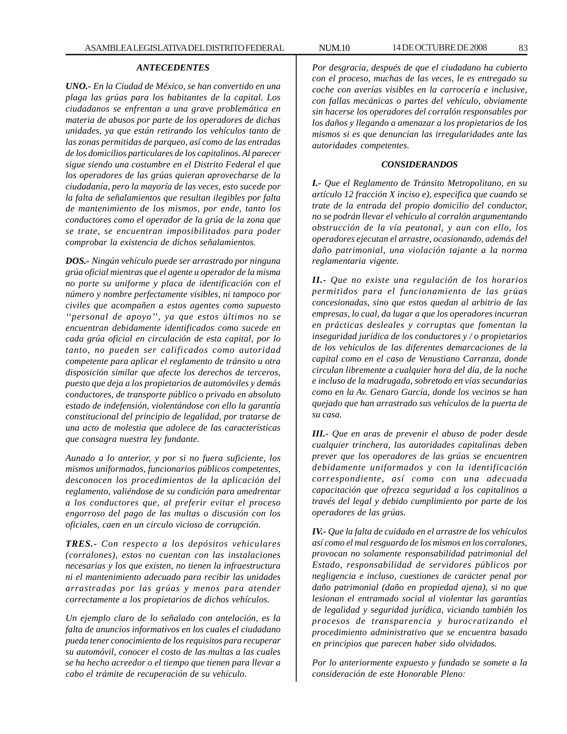## *ANTECEDENTES*

*UNO.- En la Ciudad de México, se han convertido en una plaga las grúas para los habitantes de la capital. Los ciudadanos se enfrentan a una grave problemática en materia de abusos por parte de los operadores de dichas unidades, ya que están retirando los vehículos tanto de las zonas permitidas de parqueo, así como de las entradas de los domicilios particulares de los capitalinos. Al parecer sigue siendo una costumbre en el Distrito Federal el que los operadores de las grúas quieran aprovecharse de la ciudadanía, pero la mayoría de las veces, esto sucede por la falta de señalamientos que resultan ilegibles por falta de mantenimiento de los mismos, por ende, tanto los conductores como el operador de la grúa de la zona que se trate, se encuentran imposibilitados para poder comprobar la existencia de dichos señalamientos.*

*DOS.- Ningún vehículo puede ser arrastrado por ninguna grúa oficial mientras que el agente u operador de la misma no porte su uniforme y placa de identificación con el número y nombre perfectamente visibles, ni tampoco por civiles que acompañen a estos agentes como supuesto ''personal de apoyo'', ya que estos últimos no se encuentran debidamente identificados como sucede en cada grúa oficial en circulación de esta capital, por lo tanto, no pueden ser calificados como autoridad competente para aplicar el reglamento de tránsito u otra disposición similar que afecte los derechos de terceros, puesto que deja a los propietarios de automóviles y demás conductores, de transporte público o privado en absoluto estado de indefensión, violentándose con ello la garantía constitucional del principio de legalidad, por tratarse de una acto de molestia que adolece de las características que consagra nuestra ley fundante.*

*Aunado a lo anterior, y por si no fuera suficiente, los mismos uniformados, funcionarios públicos competentes, desconocen los procedimientos de la aplicación del reglamento, valiéndose de su condición para amedrentar a los conductores que, al preferir evitar el proceso engorroso del pago de las multas o discusión con los oficiales, caen en un circulo vicioso de corrupción.*

*TRES.- Con respecto a los depósitos vehiculares (corralones), estos no cuentan con las instalaciones necesarias y los que existen, no tienen la infraestructura ni el mantenimiento adecuado para recibir las unidades arrastradas por las grúas y menos para atender correctamente a los propietarios de dichos vehículos.*

*Un ejemplo claro de lo señalado con antelación, es la falta de anuncios informativos en los cuales el ciudadano pueda tener conocimiento de los requisitos para recuperar su automóvil, conocer el costo de las multas a las cuales se ha hecho acreedor o el tiempo que tienen para llevar a cabo el trámite de recuperación de su vehículo.*

*Por desgracia, después de que el ciudadano ha cubierto con el proceso, muchas de las veces, le es entregado su coche con averías visibles en la carrocería e inclusive, con fallas mecánicas o partes del vehículo, obviamente sin hacerse los operadores del corralón responsables por los daños y llegando a amenazar a los propietarios de los mismos si es que denuncian las irregularidades ante las autoridades competentes.*

## *CONSIDERANDOS*

*I.- Que el Reglamento de Tránsito Metropolitano, en su artículo 12 fracción X inciso e), especifica que cuando se trate de la entrada del propio domicilio del conductor, no se podrán llevar el vehículo al corralón argumentando obstrucción de la vía peatonal, y aun con ello, los operadores ejecutan el arrastre, ocasionando, además del daño patrimonial, una violación tajante a la norma reglamentaria vigente.*

*II.- Que no existe una regulación de los horarios permitidos para el funcionamiento de las grúas concesionadas, sino que estos quedan al arbitrio de las empresas, lo cual, da lugar a que los operadores incurran en prácticas desleales y corruptas que fomentan la inseguridad jurídica de los conductores y / o propietarios de los vehículos de las diferentes demarcaciones de la capital como en el caso de Venustiano Carranza, donde circulan libremente a cualquier hora del día, de la noche e incluso de la madrugada, sobretodo en vías secundarias como en la Av. Genaro García, donde los vecinos se han quejado que han arrastrado sus vehículos de la puerta de su casa.*

*III.- Que en aras de prevenir el abuso de poder desde cualquier trinchera, las autoridades capitalinas deben prever que los operadores de las grúas se encuentren debidamente uniformados y con la identificación correspondiente, así como con una adecuada capacitación que ofrezca seguridad a los capitalinos a través del legal y debido cumplimiento por parte de los operadores de las grúas.*

*IV.- Que la falta de cuidado en el arrastre de los vehículos así como el mal resguardo de los mismos en los corralones, provocan no solamente responsabilidad patrimonial del Estado, responsabilidad de servidores públicos por negligencia e incluso, cuestiones de carácter penal por daño patrimonial (daño en propiedad ajena), si no que lesionan el entramado social al violentar las garantías de legalidad y seguridad jurídica, viciando también los procesos de transparencia y burocratizando el procedimiento administrativo que se encuentra basado en principios que parecen haber sido olvidados.*

*Por lo anteriormente expuesto y fundado se somete a la consideración de este Honorable Pleno:*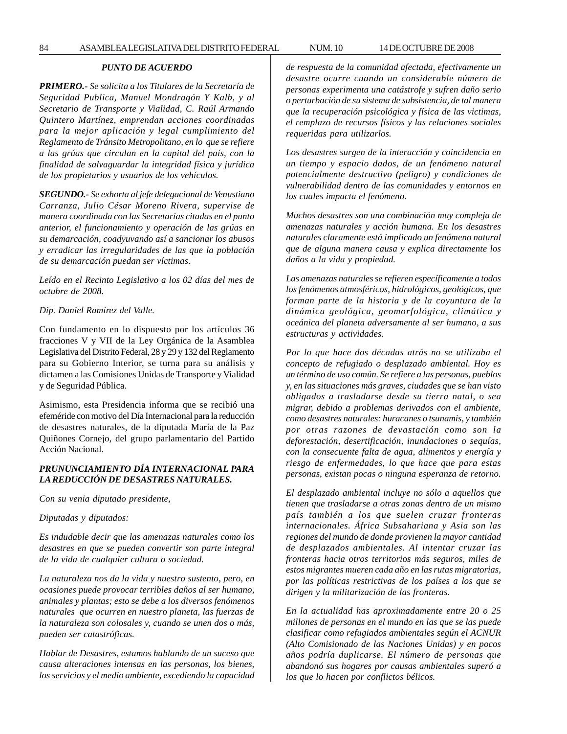# *PUNTO DE ACUERDO*

*PRIMERO.- Se solicita a los Titulares de la Secretaría de Seguridad Publica, Manuel Mondragón Y Kalb, y al Secretario de Transporte y Vialidad, C. Raúl Armando Quintero Martínez, emprendan acciones coordinadas para la mejor aplicación y legal cumplimiento del Reglamento de Tránsito Metropolitano, en lo que se refiere a las grúas que circulan en la capital del país, con la finalidad de salvaguardar la integridad física y jurídica de los propietarios y usuarios de los vehículos.*

*SEGUNDO.- Se exhorta al jefe delegacional de Venustiano Carranza, Julio César Moreno Rivera, supervise de manera coordinada con las Secretarías citadas en el punto anterior, el funcionamiento y operación de las grúas en su demarcación, coadyuvando así a sancionar los abusos y erradicar las irregularidades de las que la población de su demarcación puedan ser víctimas.*

*Leído en el Recinto Legislativo a los 02 días del mes de octubre de 2008.*

*Dip. Daniel Ramírez del Valle.*

Con fundamento en lo dispuesto por los artículos 36 fracciones V y VII de la Ley Orgánica de la Asamblea Legislativa del Distrito Federal, 28 y 29 y 132 del Reglamento para su Gobierno Interior, se turna para su análisis y dictamen a las Comisiones Unidas de Transporte y Vialidad y de Seguridad Pública.

Asimismo, esta Presidencia informa que se recibió una efeméride con motivo del Día Internacional para la reducción de desastres naturales, de la diputada María de la Paz Quiñones Cornejo, del grupo parlamentario del Partido Acción Nacional.

# *PRUNUNCIAMIENTO DÍA INTERNACIONAL PARA LA REDUCCIÓN DE DESASTRES NATURALES.*

*Con su venia diputado presidente,*

*Diputadas y diputados:*

*Es indudable decir que las amenazas naturales como los desastres en que se pueden convertir son parte integral de la vida de cualquier cultura o sociedad.*

*La naturaleza nos da la vida y nuestro sustento, pero, en ocasiones puede provocar terribles daños al ser humano, animales y plantas; esto se debe a los diversos fenómenos naturales que ocurren en nuestro planeta, las fuerzas de la naturaleza son colosales y, cuando se unen dos o más, pueden ser catastróficas.*

*Hablar de Desastres, estamos hablando de un suceso que causa alteraciones intensas en las personas, los bienes, los servicios y el medio ambiente, excediendo la capacidad* *de respuesta de la comunidad afectada, efectivamente un desastre ocurre cuando un considerable número de personas experimenta una catástrofe y sufren daño serio o perturbación de su sistema de subsistencia, de tal manera que la recuperación psicológica y física de las victimas, el remplazo de recursos físicos y las relaciones sociales requeridas para utilizarlos.*

*Los desastres surgen de la interacción y coincidencia en un tiempo y espacio dados, de un fenómeno natural potencialmente destructivo (peligro) y condiciones de vulnerabilidad dentro de las comunidades y entornos en los cuales impacta el fenómeno.*

*Muchos desastres son una combinación muy compleja de amenazas naturales y acción humana. En los desastres naturales claramente está implicado un fenómeno natural que de alguna manera causa y explica directamente los daños a la vida y propiedad.*

*Las amenazas naturales se refieren específicamente a todos los fenómenos atmosféricos, hidrológicos, geológicos, que forman parte de la historia y de la coyuntura de la dinámica geológica, geomorfológica, climática y oceánica del planeta adversamente al ser humano, a sus estructuras y actividades.*

*Por lo que hace dos décadas atrás no se utilizaba el concepto de refugiado o desplazado ambiental. Hoy es un término de uso común. Se refiere a las personas, pueblos y, en las situaciones más graves, ciudades que se han visto obligados a trasladarse desde su tierra natal, o sea migrar, debido a problemas derivados con el ambiente, como desastres naturales: huracanes o tsunamis, y también por otras razones de devastación como son la deforestación, desertificación, inundaciones o sequías, con la consecuente falta de agua, alimentos y energía y riesgo de enfermedades, lo que hace que para estas personas, existan pocas o ninguna esperanza de retorno.*

*El desplazado ambiental incluye no sólo a aquellos que tienen que trasladarse a otras zonas dentro de un mismo país también a los que suelen cruzar fronteras internacionales. África Subsahariana y Asia son las regiones del mundo de donde provienen la mayor cantidad de desplazados ambientales. Al intentar cruzar las fronteras hacia otros territorios más seguros, miles de estos migrantes mueren cada año en las rutas migratorias, por las políticas restrictivas de los países a los que se dirigen y la militarización de las fronteras.*

*En la actualidad has aproximadamente entre 20 o 25 millones de personas en el mundo en las que se las puede clasificar como refugiados ambientales según el ACNUR (Alto Comisionado de las Naciones Unidas) y en pocos años podría duplicarse. El número de personas que abandonó sus hogares por causas ambientales superó a los que lo hacen por conflictos bélicos.*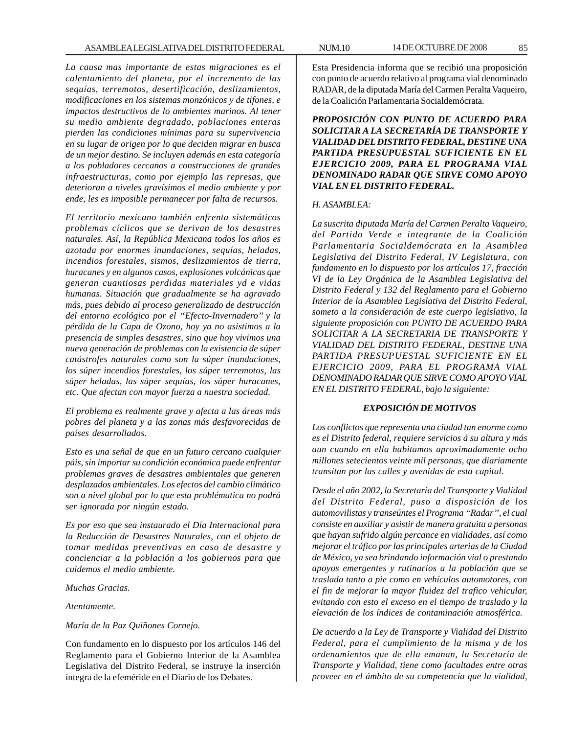*La causa mas importante de estas migraciones es el calentamiento del planeta, por el incremento de las sequías, terremotos, desertificación, deslizamientos, modificaciones en los sistemas monzónicos y de tifones, e impactos destructivos de lo ambientes marinos. Al tener su medio ambiente degradado, poblaciones enteras pierden las condiciones mínimas para su supervivencia en su lugar de origen por lo que deciden migrar en busca de un mejor destino. Se incluyen además en esta categoría a los pobladores cercanos a construcciones de grandes infraestructuras, como por ejemplo las represas, que deterioran a niveles gravísimos el medio ambiente y por ende, les es imposible permanecer por falta de recursos.*

*El territorio mexicano también enfrenta sistemáticos problemas cíclicos que se derivan de los desastres naturales. Así, la República Mexicana todos los años es azotada por enormes inundaciones, sequías, heladas, incendios forestales, sismos, deslizamientos de tierra, huracanes y en algunos casos, explosiones volcánicas que generan cuantiosas perdidas materiales yd e vidas humanas. Situación que gradualmente se ha agravado más, pues debido al proceso generalizado de destrucción del entorno ecológico por el ''Efecto-Invernadero'' y la pérdida de la Capa de Ozono, hoy ya no asistimos a la presencia de simples desastres, sino que hoy vivimos una nueva generación de problemas con la existencia de súper catástrofes naturales como son la súper inundaciones, los súper incendios forestales, los súper terremotos, las súper heladas, las súper sequías, los súper huracanes, etc. Que afectan con mayor fuerza a nuestra sociedad.*

*El problema es realmente grave y afecta a las áreas más pobres del planeta y a las zonas más desfavorecidas de países desarrollados.*

*Esto es una señal de que en un futuro cercano cualquier páis, sin importar su condición económica puede enfrentar problemas graves de desastres ambientales que generen desplazados ambientales. Los efectos del cambio climático son a nivel global por lo que esta problématica no podrá ser ignorada por ningún estado.*

*Es por eso que sea instaurado el Día Internacional para la Reducción de Desastres Naturales, con el objeto de tomar medidas preventivas en caso de desastre y concienciar a la población a los gobiernos para que cuidemos el medio ambiente.*

*Muchas Gracias.*

*Atentamente.*

*María de la Paz Quiñones Cornejo.*

Con fundamento en lo dispuesto por los artículos 146 del Reglamento para el Gobierno Interior de la Asamblea Legislativa del Distrito Federal, se instruye la inserción íntegra de la efeméride en el Diario de los Debates.

Esta Presidencia informa que se recibió una proposición con punto de acuerdo relativo al programa vial denominado RADAR, de la diputada María del Carmen Peralta Vaqueiro, de la Coalición Parlamentaria Socialdemócrata.

*PROPOSICIÓN CON PUNTO DE ACUERDO PARA SOLICITAR A LA SECRETARÍA DE TRANSPORTE Y VIALIDAD DEL DISTRITO FEDERAL, DESTINE UNA PARTIDA PRESUPUESTAL SUFICIENTE EN EL EJERCICIO 2009, PARA EL PROGRAMA VIAL DENOMINADO RADAR QUE SIRVE COMO APOYO VIAL EN EL DISTRITO FEDERAL.*

#### *H. ASAMBLEA:*

*La suscrita diputada María del Carmen Peralta Vaqueiro, del Partido Verde e integrante de la Coalición Parlamentaria Socialdemócrata en la Asamblea Legislativa del Distrito Federal, IV Legislatura, con fundamento en lo dispuesto por los artículos 17, fracción VI de la Ley Orgánica de la Asamblea Legislativa del Distrito Federal y 132 del Reglamento para el Gobierno Interior de la Asamblea Legislativa del Distrito Federal, someto a la consideración de este cuerpo legislativo, la siguiente proposición con PUNTO DE ACUERDO PARA SOLICITAR A LA SECRETARIA DE TRANSPORTE Y VIALIDAD DEL DISTRITO FEDERAL, DESTINE UNA PARTIDA PRESUPUESTAL SUFICIENTE EN EL EJERCICIO 2009, PARA EL PROGRAMA VIAL DENOMINADO RADAR QUE SIRVE COMO APOYO VIAL EN EL DISTRITO FEDERAL, bajo la siguiente:*

## *EXPOSICIÓN DE MOTIVOS*

*Los conflictos que representa una ciudad tan enorme como es el Distrito federal, requiere servicios á su altura y más aun cuando en ella habitamos aproximadamente ocho millones setecientos veinte mil personas, que diariamente transitan por las calles y avenidas de esta capital.*

*Desde el año 2002, la Secretaría del Transporte y Vialidad del Distrito Federal, puso a disposición de los automovilistas y transeúntes el Programa ''Radar'', el cual consiste en auxiliar y asistir de manera gratuita a personas que hayan sufrido algún percance en vialidades, así como mejorar el tráfico por las principales arterias de la Ciudad de México, ya sea brindando información vial o prestando apoyos emergentes y rutinarios a la población que se traslada tanto a pie como en vehículos automotores, con el fin de mejorar la mayor fluidez del trafico vehicular, evitando con esto el exceso en el tiempo de traslado y la elevación de los índices de contaminación atmosférica.*

*De acuerdo a la Ley de Transporte y Vialidad del Distrito Federal, para el cumplimiento de la misma y de los ordenamientos que de ella emanan, la Secretaría de Transporte y Vialidad, tiene como facultades entre otras proveer en el ámbito de su competencia que la vialidad,*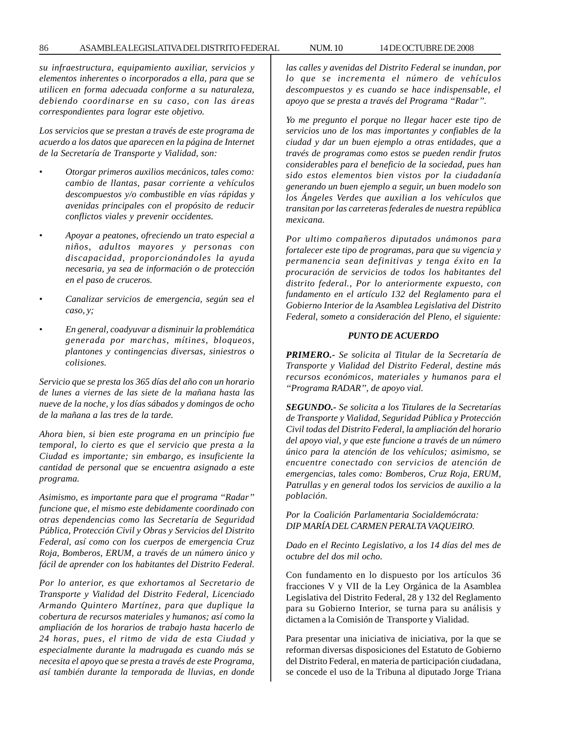*su infraestructura, equipamiento auxiliar, servicios y elementos inherentes o incorporados a ella, para que se utilicen en forma adecuada conforme a su naturaleza, debiendo coordinarse en su caso, con las áreas correspondientes para lograr este objetivo.*

*Los servicios que se prestan a través de este programa de acuerdo a los datos que aparecen en la página de Internet de la Secretaría de Transporte y Vialidad, son:*

- *Otorgar primeros auxilios mecánicos, tales como: cambio de llantas, pasar corriente a vehículos descompuestos y/o combustible en vías rápidas y avenidas principales con el propósito de reducir conflictos viales y prevenir occidentes.*
- *Apoyar a peatones, ofreciendo un trato especial a niños, adultos mayores y personas con discapacidad, proporcionándoles la ayuda necesaria, ya sea de información o de protección en el paso de cruceros.*
- *Canalizar servicios de emergencia, según sea el caso, y;*
- *En general, coadyuvar a disminuir la problemática generada por marchas, mítines, bloqueos, plantones y contingencias diversas, siniestros o colisiones.*

*Servicio que se presta los 365 días del año con un horario de lunes a viernes de las siete de la mañana hasta las nueve de la noche, y los días sábados y domingos de ocho de la mañana a las tres de la tarde.*

*Ahora bien, si bien este programa en un principio fue temporal, lo cierto es que el servicio que presta a la Ciudad es importante; sin embargo, es insuficiente la cantidad de personal que se encuentra asignado a este programa.*

*Asimismo, es importante para que el programa ''Radar'' funcione que, el mismo este debidamente coordinado con otras dependencias como las Secretaría de Seguridad Pública, Protección Civil y Obras y Servicios del Distrito Federal, así como con los cuerpos de emergencia Cruz Roja, Bomberos, ERUM, a través de un número único y fácil de aprender con los habitantes del Distrito Federal.*

*Por lo anterior, es que exhortamos al Secretario de Transporte y Vialidad del Distrito Federal, Licenciado Armando Quintero Martínez, para que duplique la cobertura de recursos materiales y humanos; así como la ampliación de los horarios de trabajo hasta hacerlo de 24 horas, pues, el ritmo de vida de esta Ciudad y especialmente durante la madrugada es cuando más se necesita el apoyo que se presta a través de este Programa, así también durante la temporada de lluvias, en donde* *las calles y avenidas del Distrito Federal se inundan, por lo que se incrementa el número de vehículos descompuestos y es cuando se hace indispensable, el apoyo que se presta a través del Programa ''Radar''.*

*Yo me pregunto el porque no llegar hacer este tipo de servicios uno de los mas importantes y confiables de la ciudad y dar un buen ejemplo a otras entidades, que a través de programas como estos se pueden rendir frutos considerables para el beneficio de la sociedad, pues han sido estos elementos bien vistos por la ciudadanía generando un buen ejemplo a seguir, un buen modelo son los Ángeles Verdes que auxilian a los vehículos que transitan por las carreteras federales de nuestra república mexicana.*

*Por ultimo compañeros diputados unámonos para fortalecer este tipo de programas, para que su vigencia y permanencia sean definitivas y tenga éxito en la procuración de servicios de todos los habitantes del distrito federal., Por lo anteriormente expuesto, con fundamento en el artículo 132 del Reglamento para el Gobierno Interior de la Asamblea Legislativa del Distrito Federal, someto a consideración del Pleno, el siguiente:*

## *PUNTO DE ACUERDO*

*PRIMERO.- Se solicita al Titular de la Secretaría de Transporte y Vialidad del Distrito Federal, destine más recursos económicos, materiales y humanos para el ''Programa RADAR'', de apoyo vial.*

*SEGUNDO.- Se solicita a los Titulares de la Secretarías de Transporte y Vialidad, Seguridad Pública y Protección Civil todas del Distrito Federal, la ampliación del horario del apoyo vial, y que este funcione a través de un número único para la atención de los vehículos; asimismo, se encuentre conectado con servicios de atención de emergencias, tales como: Bomberos, Cruz Roja, ERUM, Patrullas y en general todos los servicios de auxilio a la población.*

*Por la Coalición Parlamentaria Socialdemócrata: DIP MARÍA DEL CARMEN PERALTA VAQUEIRO.*

*Dado en el Recinto Legislativo, a los 14 días del mes de octubre del dos mil ocho.*

Con fundamento en lo dispuesto por los artículos 36 fracciones V y VII de la Ley Orgánica de la Asamblea Legislativa del Distrito Federal, 28 y 132 del Reglamento para su Gobierno Interior, se turna para su análisis y dictamen a la Comisión de Transporte y Vialidad.

Para presentar una iniciativa de iniciativa, por la que se reforman diversas disposiciones del Estatuto de Gobierno del Distrito Federal, en materia de participación ciudadana, se concede el uso de la Tribuna al diputado Jorge Triana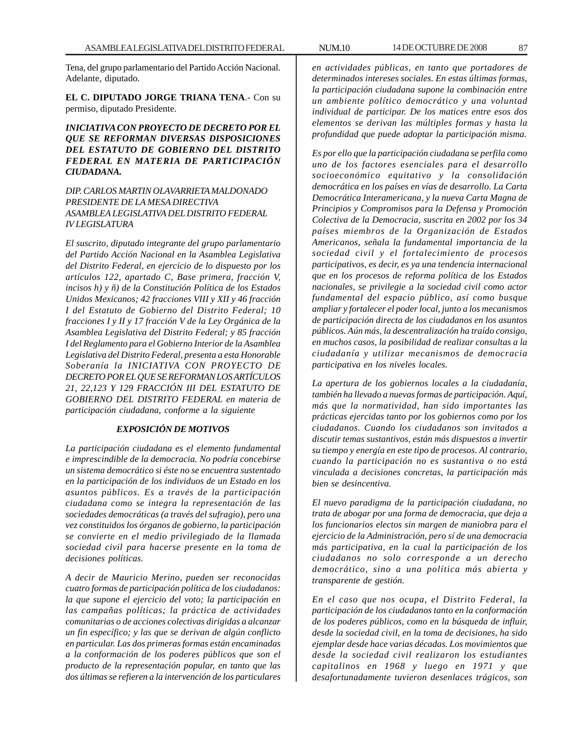Tena, del grupo parlamentario del Partido Acción Nacional. Adelante, diputado.

**EL C. DIPUTADO JORGE TRIANA TENA**.- Con su permiso, diputado Presidente.

# *INICIATIVA CON PROYECTO DE DECRETO POR EL QUE SE REFORMAN DIVERSAS DISPOSICIONES DEL ESTATUTO DE GOBIERNO DEL DISTRITO FEDERAL EN MATERIA DE PARTICIPACIÓN CIUDADANA.*

## *DIP. CARLOS MARTIN OLAVARRIETA MALDONADO PRESIDENTE DE LA MESA DIRECTIVA ASAMBLEA LEGISLATIVA DEL DISTRITO FEDERAL IV LEGISLATURA*

*El suscrito, diputado integrante del grupo parlamentario del Partido Acción Nacional en la Asamblea Legislativa del Distrito Federal, en ejercicio de lo dispuesto por los artículos 122, apartado C, Base primera, fracción V, incisos h) y ñ) de la Constitución Política de los Estados Unidos Mexicanos; 42 fracciones VIII y XII y 46 fracción I del Estatuto de Gobierno del Distrito Federal; 10 fracciones I y II y 17 fracción V de la Ley Orgánica de la Asamblea Legislativa del Distrito Federal; y 85 fracción I del Reglamento para el Gobierno Interior de la Asamblea Legislativa del Distrito Federal, presenta a esta Honorable Soberanía la INICIATIVA CON PROYECTO DE DECRETO POR EL QUE SE REFORMAN LOS ARTÍCULOS 21, 22,123 Y 129 FRACCIÓN III DEL ESTATUTO DE GOBIERNO DEL DISTRITO FEDERAL en materia de participación ciudadana, conforme a la siguiente*

# *EXPOSICIÓN DE MOTIVOS*

*La participación ciudadana es el elemento fundamental e imprescindible de la democracia. No podría concebirse un sistema democrático si éste no se encuentra sustentado en la participación de los individuos de un Estado en los asuntos públicos. Es a través de la participación ciudadana como se integra la representación de las sociedades democráticas (a través del sufragio), pero una vez constituidos los órganos de gobierno, la participación se convierte en el medio privilegiado de la llamada sociedad civil para hacerse presente en la toma de decisiones políticas.*

*A decir de Mauricio Merino, pueden ser reconocidas cuatro formas de participación política de los ciudadanos: la que supone el ejercicio del voto; la participación en las campañas políticas; la práctica de actividades comunitarias o de acciones colectivas dirigidas a alcanzar un fin específico; y las que se derivan de algún conflicto en particular. Las dos primeras formas están encaminadas a la conformación de los poderes públicos que son el producto de la representación popular, en tanto que las dos últimas se refieren a la intervención de los particulares*

*en actividades públicas, en tanto que portadores de determinados intereses sociales. En estas últimas formas, la participación ciudadana supone la combinación entre un ambiente político democrático y una voluntad individual de participar. De los matices entre esos dos elementos se derivan las múltiples formas y hasta la profundidad que puede adoptar la participación misma.*

*Es por ello que la participación ciudadana se perfila como uno de los factores esenciales para el desarrollo socioeconómico equitativo y la consolidación democrática en los países en vías de desarrollo. La Carta Democrática Interamericana, y la nueva Carta Magna de Principios y Compromisos para la Defensa y Promoción Colectiva de la Democracia, suscrita en 2002 por los 34 países miembros de la Organización de Estados Americanos, señala la fundamental importancia de la sociedad civil y el fortalecimiento de procesos participativos, es decir, es ya una tendencia internacional que en los procesos de reforma política de los Estados nacionales, se privilegie a la sociedad civil como actor fundamental del espacio público, así como busque ampliar y fortalecer el poder local, junto a los mecanismos de participación directa de los ciudadanos en los asuntos públicos. Aún más, la descentralización ha traído consigo, en muchos casos, la posibilidad de realizar consultas a la ciudadanía y utilizar mecanismos de democracia participativa en los niveles locales.*

*La apertura de los gobiernos locales a la ciudadanía, también ha llevado a nuevas formas de participación. Aquí, más que la normatividad, han sido importantes las prácticas ejercidas tanto por los gobiernos como por los ciudadanos. Cuando los ciudadanos son invitados a discutir temas sustantivos, están más dispuestos a invertir su tiempo y energía en este tipo de procesos. Al contrario, cuando la participación no es sustantiva o no está vinculada a decisiones concretas, la participación más bien se desincentiva.*

*El nuevo paradigma de la participación ciudadana, no trata de abogar por una forma de democracia, que deja a los funcionarios electos sin margen de maniobra para el ejercicio de la Administración, pero sí de una democracia más participativa, en la cual la participación de los ciudadanos no solo corresponde a un derecho democrático, sino a una política más abierta y transparente de gestión.*

*En el caso que nos ocupa, el Distrito Federal, la participación de los ciudadanos tanto en la conformación de los poderes públicos, como en la búsqueda de influir, desde la sociedad civil, en la toma de decisiones, ha sido ejemplar desde hace varias décadas. Los movimientos que desde la sociedad civil realizaron los estudiantes capitalinos en 1968 y luego en 1971 y que desafortunadamente tuvieron desenlaces trágicos, son*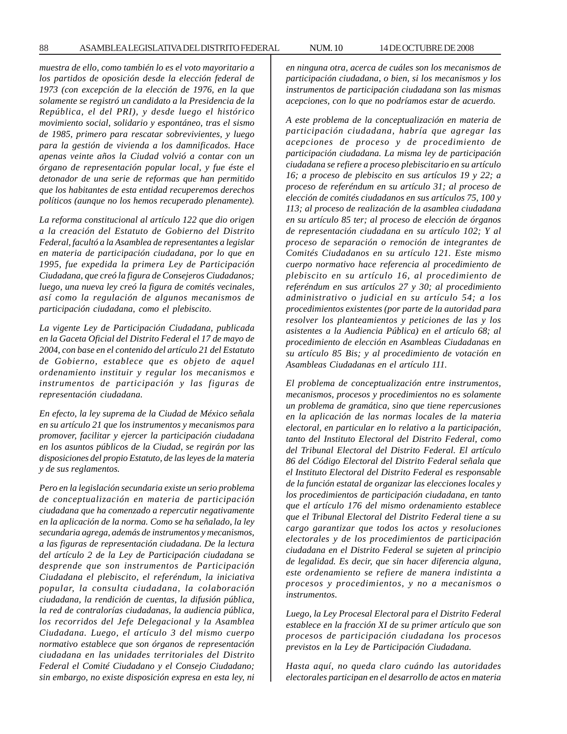*muestra de ello, como también lo es el voto mayoritario a los partidos de oposición desde la elección federal de 1973 (con excepción de la elección de 1976, en la que solamente se registró un candidato a la Presidencia de la República, el del PRI), y desde luego el histórico movimiento social, solidario y espontáneo, tras el sismo de 1985, primero para rescatar sobrevivientes, y luego para la gestión de vivienda a los damnificados. Hace apenas veinte años la Ciudad volvió a contar con un órgano de representación popular local, y fue éste el detonador de una serie de reformas que han permitido que los habitantes de esta entidad recuperemos derechos políticos (aunque no los hemos recuperado plenamente).*

*La reforma constitucional al artículo 122 que dio origen a la creación del Estatuto de Gobierno del Distrito Federal, facultó a la Asamblea de representantes a legislar en materia de participación ciudadana, por lo que en 1995, fue expedida la primera Ley de Participación Ciudadana, que creó la figura de Consejeros Ciudadanos; luego, una nueva ley creó la figura de comités vecinales, así como la regulación de algunos mecanismos de participación ciudadana, como el plebiscito.*

*La vigente Ley de Participación Ciudadana, publicada en la Gaceta Oficial del Distrito Federal el 17 de mayo de 2004, con base en el contenido del artículo 21 del Estatuto de Gobierno, establece que es objeto de aquel ordenamiento instituir y regular los mecanismos e instrumentos de participación y las figuras de representación ciudadana.*

*En efecto, la ley suprema de la Ciudad de México señala en su artículo 21 que los instrumentos y mecanismos para promover, facilitar y ejercer la participación ciudadana en los asuntos públicos de la Ciudad, se regirán por las disposiciones del propio Estatuto, de las leyes de la materia y de sus reglamentos.*

*Pero en la legislación secundaria existe un serio problema de conceptualización en materia de participación ciudadana que ha comenzado a repercutir negativamente en la aplicación de la norma. Como se ha señalado, la ley secundaria agrega, además de instrumentos y mecanismos, a las figuras de representación ciudadana. De la lectura del artículo 2 de la Ley de Participación ciudadana se desprende que son instrumentos de Participación Ciudadana el plebiscito, el referéndum, la iniciativa popular, la consulta ciudadana, la colaboración ciudadana, la rendición de cuentas, la difusión pública, la red de contralorías ciudadanas, la audiencia pública, los recorridos del Jefe Delegacional y la Asamblea Ciudadana. Luego, el artículo 3 del mismo cuerpo normativo establece que son órganos de representación ciudadana en las unidades territoriales del Distrito Federal el Comité Ciudadano y el Consejo Ciudadano; sin embargo, no existe disposición expresa en esta ley, ni* *en ninguna otra, acerca de cuáles son los mecanismos de participación ciudadana, o bien, si los mecanismos y los instrumentos de participación ciudadana son las mismas acepciones, con lo que no podríamos estar de acuerdo.*

*A este problema de la conceptualización en materia de participación ciudadana, habría que agregar las acepciones de proceso y de procedimiento de participación ciudadana. La misma ley de participación ciudadana se refiere a proceso plebiscitario en su artículo 16; a proceso de plebiscito en sus artículos 19 y 22; a proceso de referéndum en su artículo 31; al proceso de elección de comités ciudadanos en sus artículos 75, 100 y 113; al proceso de realización de la asamblea ciudadana en su artículo 85 ter; al proceso de elección de órganos de representación ciudadana en su artículo 102; Y al proceso de separación o remoción de integrantes de Comités Ciudadanos en su artículo 121. Este mismo cuerpo normativo hace referencia al procedimiento de plebiscito en su artículo 16, al procedimiento de referéndum en sus artículos 27 y 30; al procedimiento administrativo o judicial en su artículo 54; a los procedimientos existentes (por parte de la autoridad para resolver los planteamientos y peticiones de las y los asistentes a la Audiencia Pública) en el artículo 68; al procedimiento de elección en Asambleas Ciudadanas en su artículo 85 Bis; y al procedimiento de votación en Asambleas Ciudadanas en el artículo 111.*

*El problema de conceptualización entre instrumentos, mecanismos, procesos y procedimientos no es solamente un problema de gramática, sino que tiene repercusiones en la aplicación de las normas locales de la materia electoral, en particular en lo relativo a la participación, tanto del Instituto Electoral del Distrito Federal, como del Tribunal Electoral del Distrito Federal. El artículo 86 del Código Electoral del Distrito Federal señala que el Instituto Electoral del Distrito Federal es responsable de la función estatal de organizar las elecciones locales y los procedimientos de participación ciudadana, en tanto que el artículo 176 del mismo ordenamiento establece que el Tribunal Electoral del Distrito Federal tiene a su cargo garantizar que todos los actos y resoluciones electorales y de los procedimientos de participación ciudadana en el Distrito Federal se sujeten al principio de legalidad. Es decir, que sin hacer diferencia alguna, este ordenamiento se refiere de manera indistinta a procesos y procedimientos, y no a mecanismos o instrumentos.*

*Luego, la Ley Procesal Electoral para el Distrito Federal establece en la fracción XI de su primer artículo que son procesos de participación ciudadana los procesos previstos en la Ley de Participación Ciudadana.*

*Hasta aquí, no queda claro cuándo las autoridades electorales participan en el desarrollo de actos en materia*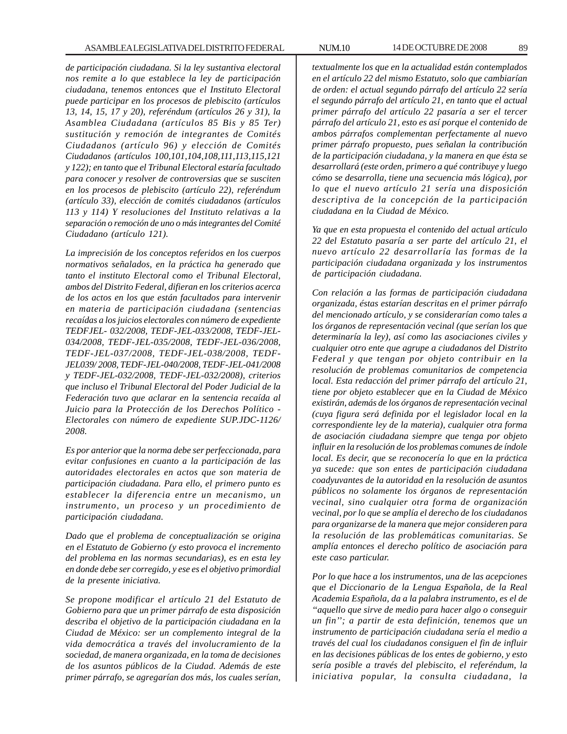*de participación ciudadana. Si la ley sustantiva electoral nos remite a lo que establece la ley de participación ciudadana, tenemos entonces que el Instituto Electoral puede participar en los procesos de plebiscito (artículos 13, 14, 15, 17 y 20), referéndum (artículos 26 y 31), la Asamblea Ciudadana (artículos 85 Bis y 85 Ter) sustitución y remoción de integrantes de Comités Ciudadanos (artículo 96) y elección de Comités Ciudadanos (artículos 100,101,104,108,111,113,115,121 y 122); en tanto que el Tribunal Electoral estaría facultado para conocer y resolver de controversias que se susciten en los procesos de plebiscito (artículo 22), referéndum (artículo 33), elección de comités ciudadanos (artículos 113 y 114) Y resoluciones del Instituto relativas a la separación o remoción de uno o más integrantes del Comité Ciudadano (artículo 121).*

*La imprecisión de los conceptos referidos en los cuerpos normativos señalados, en la práctica ha generado que tanto el instituto Electoral como el Tribunal Electoral, ambos del Distrito Federal, difieran en los criterios acerca de los actos en los que están facultados para intervenir en materia de participación ciudadana (sentencias recaídas a los juicios electorales con número de expediente TEDFJEL- 032/2008, TEDF-JEL-033/2008, TEDF-JEL-034/2008, TEDF-JEL-035/2008, TEDF-JEL-036/2008, TEDF-JEL-037/2008, TEDF-JEL-038/2008, TEDF-JEL039/ 2008, TEDF-JEL-040/2008, TEDF-JEL-041/2008 y TEDF-JEL-032/2008, TEDF-JEL-032/2008), criterios que incluso el Tribunal Electoral del Poder Judicial de la Federación tuvo que aclarar en la sentencia recaída al Juicio para la Protección de los Derechos Político - Electorales con número de expediente SUP.JDC-1126/ 2008.*

*Es por anterior que la norma debe ser perfeccionada, para evitar confusiones en cuanto a la participación de las autoridades electorales en actos que son materia de participación ciudadana. Para ello, el primero punto es establecer la diferencia entre un mecanismo, un instrumento, un proceso y un procedimiento de participación ciudadana.*

*Dado que el problema de conceptualización se origina en el Estatuto de Gobierno (y esto provoca el incremento del problema en las normas secundarias), es en esta ley en donde debe ser corregido, y ese es el objetivo primordial de la presente iniciativa.*

*Se propone modificar el artículo 21 del Estatuto de Gobierno para que un primer párrafo de esta disposición describa el objetivo de la participación ciudadana en la Ciudad de México: ser un complemento integral de la vida democrática a través del involucramiento de la sociedad, de manera organizada, en la toma de decisiones de los asuntos públicos de la Ciudad. Además de este primer párrafo, se agregarían dos más, los cuales serían,*

*textualmente los que en la actualidad están contemplados en el artículo 22 del mismo Estatuto, solo que cambiarían de orden: el actual segundo párrafo del artículo 22 sería el segundo párrafo del artículo 21, en tanto que el actual primer párrafo del artículo 22 pasaría a ser el tercer párrafo del artículo 21, esto es así porque el contenido de ambos párrafos complementan perfectamente al nuevo primer párrafo propuesto, pues señalan la contribución de la participación ciudadana, y la manera en que ésta se desarrollará (este orden, primero a qué contribuye y luego cómo se desarrolla, tiene una secuencia más lógica), por lo que el nuevo artículo 21 sería una disposición descriptiva de la concepción de la participación ciudadana en la Ciudad de México.*

*Ya que en esta propuesta el contenido del actual artículo 22 del Estatuto pasaría a ser parte del artículo 21, el nuevo artículo 22 desarrollaría las formas de la participación ciudadana organizada y los instrumentos de participación ciudadana.*

*Con relación a las formas de participación ciudadana organizada, éstas estarían descritas en el primer párrafo del mencionado artículo, y se considerarían como tales a los órganos de representación vecinal (que serían los que determinaría la ley), así como las asociaciones civiles y cualquier otro ente que agrupe a ciudadanos del Distrito Federal y que tengan por objeto contribuir en la resolución de problemas comunitarios de competencia local. Esta redacción del primer párrafo del artículo 21, tiene por objeto establecer que en la Ciudad de México existirán, además de los órganos de representación vecinal (cuya figura será definida por el legislador local en la correspondiente ley de la materia), cualquier otra forma de asociación ciudadana siempre que tenga por objeto influir en la resolución de los problemas comunes de índole local. Es decir, que se reconocería lo que en la práctica ya sucede: que son entes de participación ciudadana coadyuvantes de la autoridad en la resolución de asuntos públicos no solamente los órganos de representación vecinal, sino cualquier otra forma de organización vecinal, por lo que se amplía el derecho de los ciudadanos para organizarse de la manera que mejor consideren para la resolución de las problemáticas comunitarias. Se amplía entonces el derecho político de asociación para este caso particular.*

*Por lo que hace a los instrumentos, una de las acepciones que el Diccionario de la Lengua Española, de la Real Academia Española, da a la palabra instrumento, es el de ''aquello que sirve de medio para hacer algo o conseguir un fin''; a partir de esta definición, tenemos que un instrumento de participación ciudadana sería el medio a través del cual los ciudadanos consiguen el fin de influir en las decisiones públicas de los entes de gobierno, y esto sería posible a través del plebiscito, el referéndum, la iniciativa popular, la consulta ciudadana, la*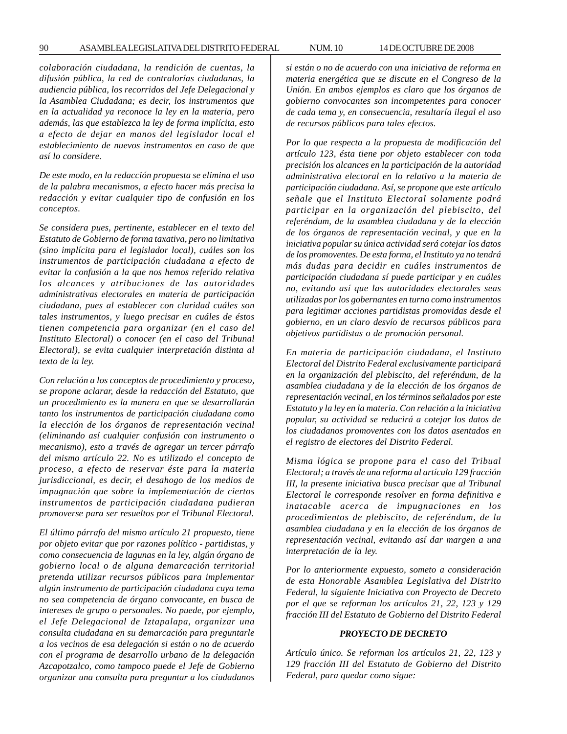*colaboración ciudadana, la rendición de cuentas, la difusión pública, la red de contralorías ciudadanas, la audiencia pública, los recorridos del Jefe Delegacional y la Asamblea Ciudadana; es decir, los instrumentos que en la actualidad ya reconoce la ley en la materia, pero además, las que establezca la ley de forma implícita, esto a efecto de dejar en manos del legislador local el establecimiento de nuevos instrumentos en caso de que así lo considere.*

*De este modo, en la redacción propuesta se elimina el uso de la palabra mecanismos, a efecto hacer más precisa la redacción y evitar cualquier tipo de confusión en los conceptos.*

*Se considera pues, pertinente, establecer en el texto del Estatuto de Gobierno de forma taxativa, pero no limitativa (sino implícita para el legislador local), cuáles son los instrumentos de participación ciudadana a efecto de evitar la confusión a la que nos hemos referido relativa los alcances y atribuciones de las autoridades administrativas electorales en materia de participación ciudadana, pues al establecer con claridad cuáles son tales instrumentos, y luego precisar en cuáles de éstos tienen competencia para organizar (en el caso del Instituto Electoral) o conocer (en el caso del Tribunal Electoral), se evita cualquier interpretación distinta al texto de la ley.*

*Con relación a los conceptos de procedimiento y proceso, se propone aclarar, desde la redacción del Estatuto, que un procedimiento es la manera en que se desarrollarán tanto los instrumentos de participación ciudadana como la elección de los órganos de representación vecinal (eliminando así cualquier confusión con instrumento o mecanismo), esto a través de agregar un tercer párrafo del mismo artículo 22. No es utilizado el concepto de proceso, a efecto de reservar éste para la materia jurisdiccional, es decir, el desahogo de los medios de impugnación que sobre la implementación de ciertos instrumentos de participación ciudadana pudieran promoverse para ser resueltos por el Tribunal Electoral.*

*El último párrafo del mismo artículo 21 propuesto, tiene por objeto evitar que por razones político - partidistas, y como consecuencia de lagunas en la ley, algún órgano de gobierno local o de alguna demarcación territorial pretenda utilizar recursos públicos para implementar algún instrumento de participación ciudadana cuya tema no sea competencia de órgano convocante, en busca de intereses de grupo o personales. No puede, por ejemplo, el Jefe Delegacional de Iztapalapa, organizar una consulta ciudadana en su demarcación para preguntarle a los vecinos de esa delegación si están o no de acuerdo con el programa de desarrollo urbano de la delegación Azcapotzalco, como tampoco puede el Jefe de Gobierno organizar una consulta para preguntar a los ciudadanos*

*si están o no de acuerdo con una iniciativa de reforma en materia energética que se discute en el Congreso de la Unión. En ambos ejemplos es claro que los órganos de gobierno convocantes son incompetentes para conocer de cada tema y, en consecuencia, resultaría ilegal el uso de recursos públicos para tales efectos.*

*Por lo que respecta a la propuesta de modificación del artículo 123, ésta tiene por objeto establecer con toda precisión los alcances en la participación de la autoridad administrativa electoral en lo relativo a la materia de participación ciudadana. Así, se propone que este artículo señale que el Instituto Electoral solamente podrá participar en la organización del plebiscito, del referéndum, de la asamblea ciudadana y de la elección de los órganos de representación vecinal, y que en la iniciativa popular su única actividad será cotejar los datos de los promoventes. De esta forma, el Instituto ya no tendrá más dudas para decidir en cuáles instrumentos de participación ciudadana sí puede participar y en cuáles no, evitando así que las autoridades electorales seas utilizadas por los gobernantes en turno como instrumentos para legitimar acciones partidistas promovidas desde el gobierno, en un claro desvío de recursos públicos para objetivos partidistas o de promoción personal.*

*En materia de participación ciudadana, el Instituto Electoral del Distrito Federal exclusivamente participará en la organización del plebiscito, del referéndum, de la asamblea ciudadana y de la elección de los órganos de representación vecinal, en los términos señalados por este Estatuto y la ley en la materia. Con relación a la iniciativa popular, su actividad se reducirá a cotejar los datos de los ciudadanos promoventes con los datos asentados en el registro de electores del Distrito Federal.*

*Misma lógica se propone para el caso del Tribual Electoral; a través de una reforma al artículo 129 fracción III, la presente iniciativa busca precisar que al Tribunal Electoral le corresponde resolver en forma definitiva e inatacable acerca de impugnaciones en los procedimientos de plebiscito, de referéndum, de la asamblea ciudadana y en la elección de los órganos de representación vecinal, evitando así dar margen a una interpretación de la ley.*

*Por lo anteriormente expuesto, someto a consideración de esta Honorable Asamblea Legislativa del Distrito Federal, la siguiente Iniciativa con Proyecto de Decreto por el que se reforman los artículos 21, 22, 123 y 129 fracción III del Estatuto de Gobierno del Distrito Federal*

#### *PROYECTO DE DECRETO*

*Artículo único. Se reforman los artículos 21, 22, 123 y 129 fracción III del Estatuto de Gobierno del Distrito Federal, para quedar como sigue:*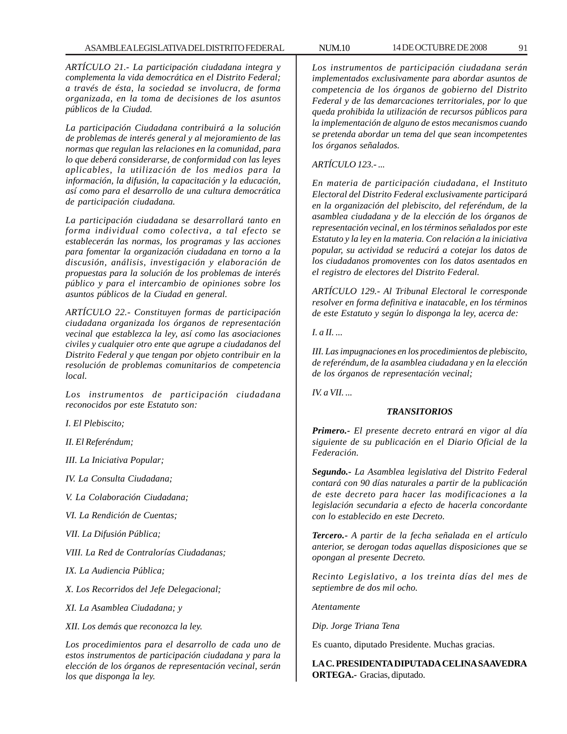*ARTÍCULO 21.- La participación ciudadana integra y complementa la vida democrática en el Distrito Federal; a través de ésta, la sociedad se involucra, de forma organizada, en la toma de decisiones de los asuntos públicos de la Ciudad.*

*La participación Ciudadana contribuirá a la solución de problemas de interés general y al mejoramiento de las normas que regulan las relaciones en la comunidad, para lo que deberá considerarse, de conformidad con las leyes aplicables, la utilización de los medios para la información, la difusión, la capacitación y la educación, así como para el desarrollo de una cultura democrática de participación ciudadana.*

*La participación ciudadana se desarrollará tanto en forma individual como colectiva, a tal efecto se establecerán las normas, los programas y las acciones para fomentar la organización ciudadana en torno a la discusión, análisis, investigación y elaboración de propuestas para la solución de los problemas de interés público y para el intercambio de opiniones sobre los asuntos públicos de la Ciudad en general.*

*ARTÍCULO 22.- Constituyen formas de participación ciudadana organizada los órganos de representación vecinal que establezca la ley, así como las asociaciones civiles y cualquier otro ente que agrupe a ciudadanos del Distrito Federal y que tengan por objeto contribuir en la resolución de problemas comunitarios de competencia local.*

*Los instrumentos de participación ciudadana reconocidos por este Estatuto son:*

*I. El Plebiscito;*

*II. El Referéndum;*

*III. La Iniciativa Popular;*

*IV. La Consulta Ciudadana;*

*V. La Colaboración Ciudadana;*

*VI. La Rendición de Cuentas;*

*VII. La Difusión Pública;*

*VIII. La Red de Contralorías Ciudadanas;*

*IX. La Audiencia Pública;*

*X. Los Recorridos del Jefe Delegacional;*

*XI. La Asamblea Ciudadana; y*

*XII. Los demás que reconozca la ley.*

*Los procedimientos para el desarrollo de cada uno de estos instrumentos de participación ciudadana y para la elección de los órganos de representación vecinal, serán los que disponga la ley.*

*Los instrumentos de participación ciudadana serán implementados exclusivamente para abordar asuntos de competencia de los órganos de gobierno del Distrito Federal y de las demarcaciones territoriales, por lo que queda prohibida la utilización de recursos públicos para la implementación de alguno de estos mecanismos cuando se pretenda abordar un tema del que sean incompetentes los órganos señalados.*

*ARTÍCULO 123.- ...*

*En materia de participación ciudadana, el Instituto Electoral del Distrito Federal exclusivamente participará en la organización del plebiscito, del referéndum, de la asamblea ciudadana y de la elección de los órganos de representación vecinal, en los términos señalados por este Estatuto y la ley en la materia. Con relación a la iniciativa popular, su actividad se reducirá a cotejar los datos de los ciudadanos promoventes con los datos asentados en el registro de electores del Distrito Federal.*

*ARTÍCULO 129.- Al Tribunal Electoral le corresponde resolver en forma definitiva e inatacable, en los términos de este Estatuto y según lo disponga la ley, acerca de:*

*I. a II. ...*

*III. Las impugnaciones en los procedimientos de plebiscito, de referéndum, de la asamblea ciudadana y en la elección de los órganos de representación vecinal;*

*IV. a VII. ...*

# *TRANSITORIOS*

*Primero.- El presente decreto entrará en vigor al día siguiente de su publicación en el Diario Oficial de la Federación.*

*Segundo.- La Asamblea legislativa del Distrito Federal contará con 90 días naturales a partir de la publicación de este decreto para hacer las modificaciones a la legislación secundaria a efecto de hacerla concordante con lo establecido en este Decreto.*

*Tercero.- A partir de la fecha señalada en el artículo anterior, se derogan todas aquellas disposiciones que se opongan al presente Decreto.*

*Recinto Legislativo, a los treinta días del mes de septiembre de dos mil ocho.*

*Atentamente*

*Dip. Jorge Triana Tena*

Es cuanto, diputado Presidente. Muchas gracias.

**LA C. PRESIDENTA DIPUTADA CELINA SAAVEDRA ORTEGA.-** Gracias, diputado.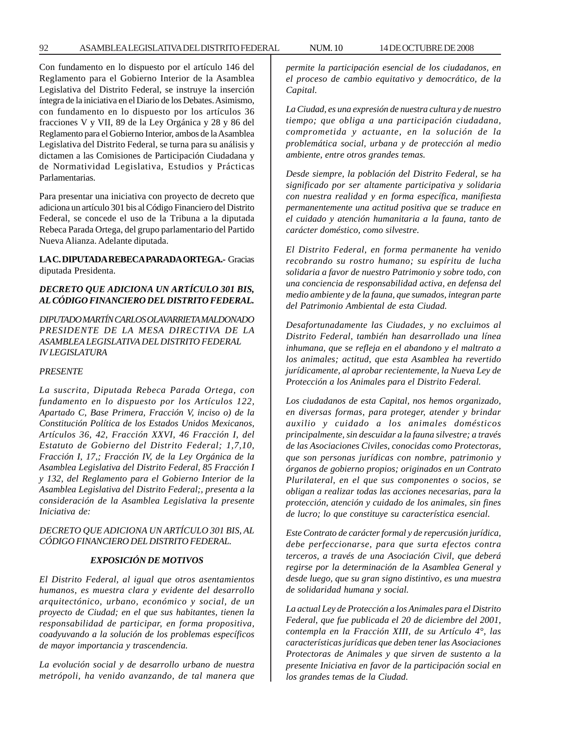Con fundamento en lo dispuesto por el artículo 146 del Reglamento para el Gobierno Interior de la Asamblea Legislativa del Distrito Federal, se instruye la inserción íntegra de la iniciativa en el Diario de los Debates. Asimismo, con fundamento en lo dispuesto por los artículos 36 fracciones V y VII, 89 de la Ley Orgánica y 28 y 86 del Reglamento para el Gobierno Interior, ambos de la Asamblea Legislativa del Distrito Federal, se turna para su análisis y dictamen a las Comisiones de Participación Ciudadana y de Normatividad Legislativa, Estudios y Prácticas Parlamentarias.

Para presentar una iniciativa con proyecto de decreto que adiciona un artículo 301 bis al Código Financiero del Distrito Federal, se concede el uso de la Tribuna a la diputada Rebeca Parada Ortega, del grupo parlamentario del Partido Nueva Alianza. Adelante diputada.

**LA C. DIPUTADA REBECA PARADA ORTEGA.-** Gracias diputada Presidenta.

# *DECRETO QUE ADICIONA UN ARTÍCULO 301 BIS, AL CÓDIGO FINANCIERO DEL DISTRITO FEDERAL.*

*DIPUTADO MARTÍN CARLOS OLAVARRIETA MALDONADO PRESIDENTE DE LA MESA DIRECTIVA DE LA ASAMBLEA LEGISLATIVA DEL DISTRITO FEDERAL IV LEGISLATURA*

#### *PRESENTE*

*La suscrita, Diputada Rebeca Parada Ortega, con fundamento en lo dispuesto por los Artículos 122, Apartado C, Base Primera, Fracción V, inciso o) de la Constitución Política de los Estados Unidos Mexicanos, Artículos 36, 42, Fracción XXVI, 46 Fracción I, del Estatuto de Gobierno del Distrito Federal; 1,7,10, Fracción I, 17,; Fracción IV, de la Ley Orgánica de la Asamblea Legislativa del Distrito Federal, 85 Fracción I y 132, del Reglamento para el Gobierno Interior de la Asamblea Legislativa del Distrito Federal;, presenta a la consideración de la Asamblea Legislativa la presente Iniciativa de:*

## *DECRETO QUE ADICIONA UN ARTÍCULO 301 BIS, AL CÓDIGO FINANCIERO DEL DISTRITO FEDERAL.*

## *EXPOSICIÓN DE MOTIVOS*

*El Distrito Federal, al igual que otros asentamientos humanos, es muestra clara y evidente del desarrollo arquitectónico, urbano, económico y social, de un proyecto de Ciudad; en el que sus habitantes, tienen la responsabilidad de participar, en forma propositiva, coadyuvando a la solución de los problemas específicos de mayor importancia y trascendencia.*

*La evolución social y de desarrollo urbano de nuestra metrópoli, ha venido avanzando, de tal manera que* *permite la participación esencial de los ciudadanos, en el proceso de cambio equitativo y democrático, de la Capital.*

*La Ciudad, es una expresión de nuestra cultura y de nuestro tiempo; que obliga a una participación ciudadana, comprometida y actuante, en la solución de la problemática social, urbana y de protección al medio ambiente, entre otros grandes temas.*

*Desde siempre, la población del Distrito Federal, se ha significado por ser altamente participativa y solidaria con nuestra realidad y en forma específica, manifiesta permanentemente una actitud positiva que se traduce en el cuidado y atención humanitaria a la fauna, tanto de carácter doméstico, como silvestre.*

*El Distrito Federal, en forma permanente ha venido recobrando su rostro humano; su espíritu de lucha solidaria a favor de nuestro Patrimonio y sobre todo, con una conciencia de responsabilidad activa, en defensa del medio ambiente y de la fauna, que sumados, integran parte del Patrimonio Ambiental de esta Ciudad.*

*Desafortunadamente las Ciudades, y no excluimos al Distrito Federal, también han desarrollado una línea inhumana, que se refleja en el abandono y el maltrato a los animales; actitud, que esta Asamblea ha revertido jurídicamente, al aprobar recientemente, la Nueva Ley de Protección a los Animales para el Distrito Federal.*

*Los ciudadanos de esta Capital, nos hemos organizado, en diversas formas, para proteger, atender y brindar auxilio y cuidado a los animales domésticos principalmente, sin descuidar a la fauna silvestre; a través de las Asociaciones Civiles, conocidas como Protectoras, que son personas jurídicas con nombre, patrimonio y órganos de gobierno propios; originados en un Contrato Plurilateral, en el que sus componentes o socios, se obligan a realizar todas las acciones necesarias, para la protección, atención y cuidado de los animales, sin fines de lucro; lo que constituye su característica esencial.*

*Este Contrato de carácter formal y de repercusión jurídica, debe perfeccionarse, para que surta efectos contra terceros, a través de una Asociación Civil, que deberá regirse por la determinación de la Asamblea General y desde luego, que su gran signo distintivo, es una muestra de solidaridad humana y social.*

*La actual Ley de Protección a los Animales para el Distrito Federal, que fue publicada el 20 de diciembre del 2001, contempla en la Fracción XIII, de su Artículo 4°, las características jurídicas que deben tener las Asociaciones Protectoras de Animales y que sirven de sustento a la presente Iniciativa en favor de la participación social en los grandes temas de la Ciudad.*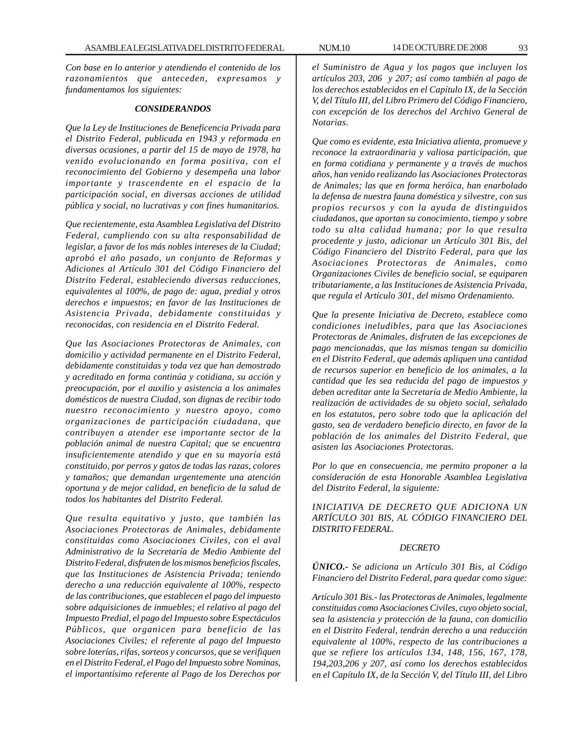*Con base en lo anterior y atendiendo el contenido de los razonamientos que anteceden, expresamos y fundamentamos los siguientes:*

#### *CONSIDERANDOS*

*Que la Ley de Instituciones de Beneficencia Privada para el Distrito Federal, publicada en 1943 y reformada en diversas ocasiones, a partir del 15 de mayo de 1978, ha venido evolucionando en forma positiva, con el reconocimiento del Gobierno y desempeña una labor importante y trascendente en el espacio de la participación social, en diversas acciones de utilidad pública y social, no lucrativas y con fines humanitarios.*

*Que recientemente, esta Asamblea Legislativa del Distrito Federal, cumpliendo con su alta responsabilidad de legislar, a favor de los más nobles intereses de la Ciudad; aprobó el año pasado, un conjunto de Reformas y Adiciones al Artículo 301 del Código Financiero del Distrito Federal, estableciendo diversas reducciones, equivalentes al 100%, de pago de: agua, predial y otros derechos e impuestos; en favor de las Instituciones de Asistencia Privada, debidamente constituidas y reconocidas, con residencia en el Distrito Federal.*

*Que las Asociaciones Protectoras de Animales, con domicilio y actividad permanente en el Distrito Federal, debidamente constituidas y toda vez que han demostrado y acreditado en forma continúa y cotidiana, su acción y preocupación, por el auxilio y asistencia a los animales domésticos de nuestra Ciudad, son dignas de recibir todo nuestro reconocimiento y nuestro apoyo, como organizaciones de participación ciudadana, que contribuyen a atender ese importante sector de la población animal de nuestra Capital; que se encuentra insuficientemente atendido y que en su mayoría está constituido, por perros y gatos de todas las razas, colores y tamaños; que demandan urgentemente una atención oportuna y de mejor calidad, en beneficio de la salud de todos los habitantes del Distrito Federal.*

*Que resulta equitativo y justo, que también las Asociaciones Protectoras de Animales, debidamente constituidas como Asociaciones Civiles, con el aval Administrativo de la Secretaría de Medio Ambiente del Distrito Federal, disfruten de los mismos beneficios fiscales, que las Instituciones de Asistencia Privada; teniendo derecho a una reducción equivalente al 100%, respecto de las contribuciones, que establecen el pago del impuesto sobre adquisiciones de inmuebles; el relativo al pago del Impuesto Predial, el pago del Impuesto sobre Espectáculos Públicos, que organicen para beneficio de las Asociaciones Civiles; el referente al pago del Impuesto sobre loterías, rifas, sorteos y concursos, que se verifiquen en el Distrito Federal, el Pago del Impuesto sobre Nominas, el importantísimo referente al Pago de los Derechos por*

*el Suministro de Agua y los pagos que incluyen los artículos 203, 206 y 207; así como también al pago de los derechos establecidos en el Capítulo IX, de la Sección V, del Título III, del Libro Primero del Código Financiero, con excepción de los derechos del Archivo General de Notarias.*

*Que como es evidente, esta Iniciativa alienta, promueve y reconoce la extraordinaria y valiosa participación, que en forma cotidiana y permanente y a través de muchos años, han venido realizando las Asociaciones Protectoras de Animales; las que en forma heróica, han enarbolado la defensa de nuestra fauna doméstica y silvestre, con sus propios recursos y con la ayuda de distinguidos ciudadanos, que aportan su conocimiento, tiempo y sobre todo su alta calidad humana; por lo que resulta procedente y justo, adicionar un Artículo 301 Bis, del Código Financiero del Distrito Federal, para que las Asociaciones Protectoras de Animales, como Organizaciones Civiles de beneficio social, se equiparen tributariamente, a las Instituciones de Asistencia Privada, que regula el Artículo 301, del mismo Ordenamiento.*

*Que la presente Iniciativa de Decreto, establece como condiciones ineludibles, para que las Asociaciones Protectoras de Animales, disfruten de las excepciones de pago mencionadas, que las mismas tengan su domicilio en el Distrito Federal, que además apliquen una cantidad de recursos superior en beneficio de los animales, a la cantidad que les sea reducida del pago de impuestos y deben acreditar ante la Secretaría de Medio Ambiente, la realización de actividades de su objeto social, señalado en los estatutos, pero sobre todo que la aplicación del gasto, sea de verdadero beneficio directo, en favor de la población de los animales del Distrito Federal, que asisten las Asociaciones Protectoras.*

*Por lo que en consecuencia, me permito proponer a la consideración de esta Honorable Asamblea Legislativa del Distrito Federal, la siguiente:*

*INICIATIVA DE DECRETO QUE ADICIONA UN ARTÍCULO 301 BIS, AL CÓDIGO FINANCIERO DEL DISTRITO FEDERAL.*

#### *DECRETO*

*ÚNICO.- Se adiciona un Artículo 301 Bis, al Código Financiero del Distrito Federal, para quedar como sigue:*

*Artículo 301 Bis.- las Protectoras de Animales, legalmente constituidas como Asociaciones Civiles, cuyo objeto social, sea la asistencia y protección de la fauna, con domicilio en el Distrito Federal, tendrán derecho a una reducción equivalente al 100%, respecto de las contribuciones a que se refiere los artículos 134, 148, 156, 167, 178, 194,203,206 y 207, así como los derechos establecidos en el Capítulo IX, de la Sección V, del Título III, del Libro*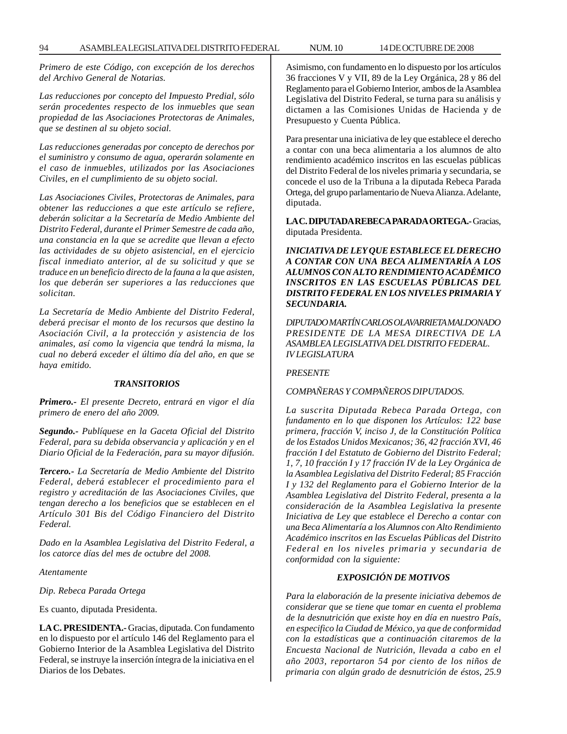*Primero de este Código, con excepción de los derechos del Archivo General de Notarias.*

*Las reducciones por concepto del Impuesto Predial, sólo serán procedentes respecto de los inmuebles que sean propiedad de las Asociaciones Protectoras de Animales, que se destinen al su objeto social.*

*Las reducciones generadas por concepto de derechos por el suministro y consumo de agua, operarán solamente en el caso de inmuebles, utilizados por las Asociaciones Civiles, en el cumplimiento de su objeto social.*

*Las Asociaciones Civiles, Protectoras de Animales, para obtener las reducciones a que este artículo se refiere, deberán solicitar a la Secretaría de Medio Ambiente del Distrito Federal, durante el Primer Semestre de cada año, una constancia en la que se acredite que llevan a efecto las actividades de su objeto asistencial, en el ejercicio fiscal inmediato anterior, al de su solicitud y que se traduce en un beneficio directo de la fauna a la que asisten, los que deberán ser superiores a las reducciones que solicitan.*

*La Secretaría de Medio Ambiente del Distrito Federal, deberá precisar el monto de los recursos que destino la Asociación Civil, a la protección y asistencia de los animales, así como la vigencia que tendrá la misma, la cual no deberá exceder el último día del año, en que se haya emitido.*

#### *TRANSITORIOS*

*Primero.- El presente Decreto, entrará en vigor el día primero de enero del año 2009.*

*Segundo.- Publíquese en la Gaceta Oficial del Distrito Federal, para su debida observancia y aplicación y en el Diario Oficial de la Federación, para su mayor difusión.*

*Tercero.- La Secretaría de Medio Ambiente del Distrito Federal, deberá establecer el procedimiento para el registro y acreditación de las Asociaciones Civiles, que tengan derecho a los beneficios que se establecen en el Artículo 301 Bis del Código Financiero del Distrito Federal.*

*Dado en la Asamblea Legislativa del Distrito Federal, a los catorce días del mes de octubre del 2008.*

*Atentamente*

*Dip. Rebeca Parada Ortega*

Es cuanto, diputada Presidenta.

**LA C. PRESIDENTA.-** Gracias, diputada. Con fundamento en lo dispuesto por el artículo 146 del Reglamento para el Gobierno Interior de la Asamblea Legislativa del Distrito Federal, se instruye la inserción íntegra de la iniciativa en el Diarios de los Debates.

Asimismo, con fundamento en lo dispuesto por los artículos 36 fracciones V y VII, 89 de la Ley Orgánica, 28 y 86 del Reglamento para el Gobierno Interior, ambos de la Asamblea Legislativa del Distrito Federal, se turna para su análisis y dictamen a las Comisiones Unidas de Hacienda y de Presupuesto y Cuenta Pública.

Para presentar una iniciativa de ley que establece el derecho a contar con una beca alimentaria a los alumnos de alto rendimiento académico inscritos en las escuelas públicas del Distrito Federal de los niveles primaria y secundaria, se concede el uso de la Tribuna a la diputada Rebeca Parada Ortega, del grupo parlamentario de Nueva Alianza. Adelante, diputada.

**LA C. DIPUTADA REBECA PARADA ORTEGA.-** Gracias, diputada Presidenta.

*INICIATIVA DE LEY QUE ESTABLECE EL DERECHO A CONTAR CON UNA BECA ALIMENTARÍA A LOS ALUMNOS CON ALTO RENDIMIENTO ACADÉMICO INSCRITOS EN LAS ESCUELAS PÚBLICAS DEL DISTRITO FEDERAL EN LOS NIVELES PRIMARIA Y SECUNDARIA.*

*DIPUTADO MARTÍN CARLOS OLAVARRIETA MALDONADO PRESIDENTE DE LA MESA DIRECTIVA DE LA ASAMBLEA LEGISLATIVA DEL DISTRITO FEDERAL. IV LEGISLATURA*

## *PRESENTE*

## *COMPAÑERAS Y COMPAÑEROS DIPUTADOS.*

*La suscrita Diputada Rebeca Parada Ortega, con fundamento en lo que disponen los Artículos: 122 base primera, fracción V, inciso J, de la Constitución Política de los Estados Unidos Mexicanos; 36, 42 fracción XVI, 46 fracción I del Estatuto de Gobierno del Distrito Federal; 1, 7, 10 fracción I y 17 fracción IV de la Ley Orgánica de la Asamblea Legislativa del Distrito Federal; 85 Fracción I y 132 del Reglamento para el Gobierno Interior de la Asamblea Legislativa del Distrito Federal, presenta a la consideración de la Asamblea Legislativa la presente Iniciativa de Ley que establece el Derecho a contar con una Beca Alimentaría a los Alumnos con Alto Rendimiento Académico inscritos en las Escuelas Públicas del Distrito Federal en los niveles primaria y secundaria de conformidad con la siguiente:*

## *EXPOSICIÓN DE MOTIVOS*

*Para la elaboración de la presente iniciativa debemos de considerar que se tiene que tomar en cuenta el problema de la desnutrición que existe hoy en día en nuestro País, en especifico la Ciudad de México, ya que de conformidad con la estadísticas que a continuación citaremos de la Encuesta Nacional de Nutrición, llevada a cabo en el año 2003, reportaron 54 por ciento de los niños de primaria con algún grado de desnutrición de éstos, 25.9*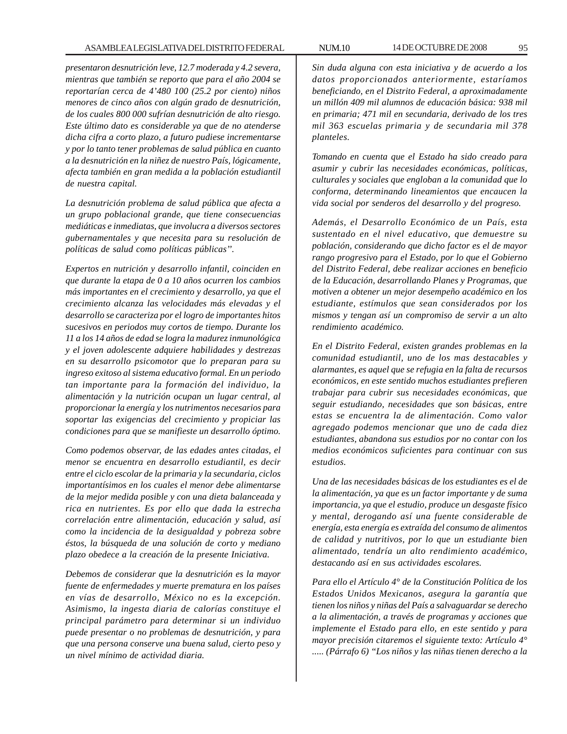*presentaron desnutrición leve, 12.7 moderada y 4.2 severa, mientras que también se reporto que para el año 2004 se reportarían cerca de 4'480 100 (25.2 por ciento) niños menores de cinco años con algún grado de desnutrición, de los cuales 800 000 sufrían desnutrición de alto riesgo. Este último dato es considerable ya que de no atenderse dicha cifra a corto plazo, a futuro pudiese incrementarse y por lo tanto tener problemas de salud pública en cuanto a la desnutrición en la niñez de nuestro País, lógicamente, afecta también en gran medida a la población estudiantil de nuestra capital.*

*La desnutrición problema de salud pública que afecta a un grupo poblacional grande, que tiene consecuencias mediáticas e inmediatas, que involucra a diversos sectores gubernamentales y que necesita para su resolución de políticas de salud como políticas públicas''.*

*Expertos en nutrición y desarrollo infantil, coinciden en que durante la etapa de 0 a 10 años ocurren los cambios más importantes en el crecimiento y desarrollo, ya que el crecimiento alcanza las velocidades más elevadas y el desarrollo se caracteriza por el logro de importantes hitos sucesivos en periodos muy cortos de tiempo. Durante los 11 a los 14 años de edad se logra la madurez inmunológica y el joven adolescente adquiere habilidades y destrezas en su desarrollo psicomotor que lo preparan para su ingreso exitoso al sistema educativo formal. En un periodo tan importante para la formación del individuo, la alimentación y la nutrición ocupan un lugar central, al proporcionar la energía y los nutrimentos necesarios para soportar las exigencias del crecimiento y propiciar las condiciones para que se manifieste un desarrollo óptimo.*

*Como podemos observar, de las edades antes citadas, el menor se encuentra en desarrollo estudiantil, es decir entre el ciclo escolar de la primaria y la secundaria, ciclos importantísimos en los cuales el menor debe alimentarse de la mejor medida posible y con una dieta balanceada y rica en nutrientes. Es por ello que dada la estrecha correlación entre alimentación, educación y salud, así como la incidencia de la desigualdad y pobreza sobre éstos, la búsqueda de una solución de corto y mediano plazo obedece a la creación de la presente Iniciativa.*

*Debemos de considerar que la desnutrición es la mayor fuente de enfermedades y muerte prematura en los países en vías de desarrollo, México no es la excepción. Asimismo, la ingesta diaria de calorías constituye el principal parámetro para determinar si un individuo puede presentar o no problemas de desnutrición, y para que una persona conserve una buena salud, cierto peso y un nivel mínimo de actividad diaria.*

*Sin duda alguna con esta iniciativa y de acuerdo a los datos proporcionados anteriormente, estaríamos beneficiando, en el Distrito Federal, a aproximadamente un millón 409 mil alumnos de educación básica: 938 mil en primaria; 471 mil en secundaria, derivado de los tres mil 363 escuelas primaria y de secundaria mil 378 planteles.*

*Tomando en cuenta que el Estado ha sido creado para asumir y cubrir las necesidades económicas, políticas, culturales y sociales que engloban a la comunidad que lo conforma, determinando lineamientos que encaucen la vida social por senderos del desarrollo y del progreso.*

*Además, el Desarrollo Económico de un País, esta sustentado en el nivel educativo, que demuestre su población, considerando que dicho factor es el de mayor rango progresivo para el Estado, por lo que el Gobierno del Distrito Federal, debe realizar acciones en beneficio de la Educación, desarrollando Planes y Programas, que motiven a obtener un mejor desempeño académico en los estudiante, estímulos que sean considerados por los mismos y tengan así un compromiso de servir a un alto rendimiento académico.*

*En el Distrito Federal, existen grandes problemas en la comunidad estudiantil, uno de los mas destacables y alarmantes, es aquel que se refugia en la falta de recursos económicos, en este sentido muchos estudiantes prefieren trabajar para cubrir sus necesidades económicas, que seguir estudiando, necesidades que son básicas, entre estas se encuentra la de alimentación. Como valor agregado podemos mencionar que uno de cada diez estudiantes, abandona sus estudios por no contar con los medios económicos suficientes para continuar con sus estudios.*

*Una de las necesidades básicas de los estudiantes es el de la alimentación, ya que es un factor importante y de suma importancia, ya que el estudio, produce un desgaste físico y mental, derogando así una fuente considerable de energía, esta energía es extraída del consumo de alimentos de calidad y nutritivos, por lo que un estudiante bien alimentado, tendría un alto rendimiento académico, destacando así en sus actividades escolares.*

*Para ello el Artículo 4° de la Constitución Política de los Estados Unidos Mexicanos, asegura la garantía que tienen los niños y niñas del País a salvaguardar se derecho a la alimentación, a través de programas y acciones que implemente el Estado para ello, en este sentido y para mayor precisión citaremos el siguiente texto: Artículo 4° ..... (Párrafo 6) ''Los niños y las niñas tienen derecho a la*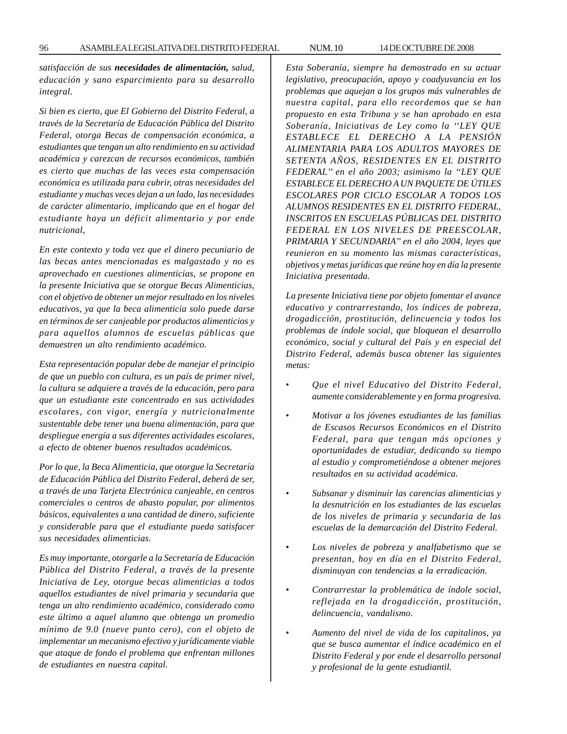*satisfacción de sus necesidades de alimentación, salud, educación y sano esparcimiento para su desarrollo integral.*

*Si bien es cierto, que El Gobierno del Distrito Federal, a través de la Secretaría de Educación Pública del Distrito Federal, otorga Becas de compensación económica, a estudiantes que tengan un alto rendimiento en su actividad académica y carezcan de recursos económicos, también es cierto que muchas de las veces esta compensación económica es utilizada para cubrir, otras necesidades del estudiante y muchas veces dejan a un lado, las necesidades de carácter alimentario, implicando que en el hogar del estudiante haya un déficit alimentario y por ende nutricional,*

*En este contexto y toda vez que el dinero pecuniario de las becas antes mencionadas es malgastado y no es aprovechado en cuestiones alimenticias, se propone en la presente Iniciativa que se otorgue Becas Alimenticias, con el objetivo de obtener un mejor resultado en los niveles educativos, ya que la beca alimenticia solo puede darse en términos de ser canjeable por productos alimenticios y para aquellos alumnos de escuelas públicas que demuestren un alto rendimiento académico.*

*Esta representación popular debe de manejar el principio de que un pueblo con cultura, es un país de primer nivel, la cultura se adquiere a través de la educación, pero para que un estudiante este concentrado en sus actividades escolares, con vigor, energía y nutricionalmente sustentable debe tener una buena alimentación, para que despliegue energía a sus diferentes actividades escolares, a efecto de obtener buenos resultados académicos.*

*Por lo que, la Beca Alimenticia, que otorgue la Secretaría de Educación Pública del Distrito Federal, deberá de ser, a través de una Tarjeta Electrónica canjeable, en centros comerciales o centros de abasto popular, por alimentos básicos, equivalentes a una cantidad de dinero, suficiente y considerable para que el estudiante pueda satisfacer sus necesidades alimenticias.*

*Es muy importante, otorgarle a la Secretaría de Educación Pública del Distrito Federal, a través de la presente Iniciativa de Ley, otorgue becas alimenticias a todos aquellos estudiantes de nivel primaria y secundaria que tenga un alto rendimiento académico, considerado como este último a aquel alumno que obtenga un promedio mínimo de 9.0 (nueve punto cero), con el objeto de implementar un mecanismo efectivo y jurídicamente viable que ataque de fondo el problema que enfrentan millones de estudiantes en nuestra capital.*

*Esta Soberanía, siempre ha demostrado en su actuar legislativo, preocupación, apoyo y coadyuvancia en los problemas que aquejan a los grupos más vulnerables de nuestra capital, para ello recordemos que se han propuesto en esta Tribuna y se han aprobado en esta Soberanía, Iniciativas de Ley como la ''LEY QUE ESTABLECE EL DERECHO A LA PENSIÓN ALIMENTARIA PARA LOS ADULTOS MAYORES DE SETENTA AÑOS, RESIDENTES EN EL DISTRITO FEDERAL'' en el año 2003; asimismo la ''LEY QUE ESTABLECE EL DERECHO A UN PAQUETE DE ÚTILES ESCOLARES POR CICLO ESCOLAR A TODOS LOS ALUMNOS RESIDENTES EN EL DISTRITO FEDERAL, INSCRITOS EN ESCUELAS PÚBLICAS DEL DISTRITO FEDERAL EN LOS NIVELES DE PREESCOLAR, PRIMARIA Y SECUNDARIA'' en el año 2004, leyes que reunieron en su momento las mismas características, objetivos y metas jurídicas que reúne hoy en día la presente Iniciativa presentada.*

*La presente Iniciativa tiene por objeto fomentar el avance educativo y contrarrestando, los índices de pobreza, drogadicción, prostitución, delincuencia y todos los problemas de índole social, que bloquean el desarrollo económico, social y cultural del País y en especial del Distrito Federal, además busca obtener las siguientes metas:*

- *Que el nivel Educativo del Distrito Federal, aumente considerablemente y en forma progresiva.*
- *Motivar a los jóvenes estudiantes de las familias de Escasos Recursos Económicos en el Distrito Federal, para que tengan más opciones y oportunidades de estudiar, dedicando su tiempo al estudio y comprometiéndose a obtener mejores resultados en su actividad académica.*
- *Subsanar y disminuir las carencias alimenticias y la desnutrición en los estudiantes de las escuelas de los niveles de primaria y secundaria de las escuelas de la demarcación del Distrito Federal.*
- *Los niveles de pobreza y analfabetismo que se presentan, hoy en día en el Distrito Federal, disminuyan con tendencias a la erradicación.*
- *Contrarrestar la problemática de índole social, reflejada en la drogadicción, prostitución, delincuencia, vandalismo.*
- *Aumento del nivel de vida de los capitalinos, ya que se busca aumentar el índice académico en el Distrito Federal y por ende el desarrollo personal y profesional de la gente estudiantil.*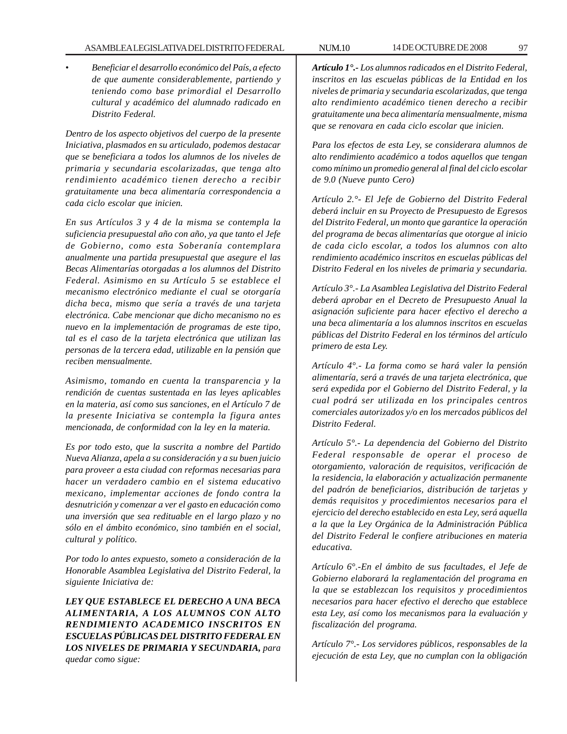• *Beneficiar el desarrollo económico del País, a efecto de que aumente considerablemente, partiendo y teniendo como base primordial el Desarrollo cultural y académico del alumnado radicado en Distrito Federal.*

*Dentro de los aspecto objetivos del cuerpo de la presente Iniciativa, plasmados en su articulado, podemos destacar que se beneficiara a todos los alumnos de los niveles de primaria y secundaria escolarizadas, que tenga alto rendimiento académico tienen derecho a recibir gratuitamente una beca alimentaría correspondencia a cada ciclo escolar que inicien.*

*En sus Artículos 3 y 4 de la misma se contempla la suficiencia presupuestal año con año, ya que tanto el Jefe de Gobierno, como esta Soberanía contemplara anualmente una partida presupuestal que asegure el las Becas Alimentarías otorgadas a los alumnos del Distrito Federal. Asimismo en su Artículo 5 se establece el mecanismo electrónico mediante el cual se otorgaría dicha beca, mismo que sería a través de una tarjeta electrónica. Cabe mencionar que dicho mecanismo no es nuevo en la implementación de programas de este tipo, tal es el caso de la tarjeta electrónica que utilizan las personas de la tercera edad, utilizable en la pensión que reciben mensualmente.*

*Asimismo, tomando en cuenta la transparencia y la rendición de cuentas sustentada en las leyes aplicables en la materia, así como sus sanciones, en el Artículo 7 de la presente Iniciativa se contempla la figura antes mencionada, de conformidad con la ley en la materia.*

*Es por todo esto, que la suscrita a nombre del Partido Nueva Alianza, apela a su consideración y a su buen juicio para proveer a esta ciudad con reformas necesarias para hacer un verdadero cambio en el sistema educativo mexicano, implementar acciones de fondo contra la desnutrición y comenzar a ver el gasto en educación como una inversión que sea redituable en el largo plazo y no sólo en el ámbito económico, sino también en el social, cultural y político.*

*Por todo lo antes expuesto, someto a consideración de la Honorable Asamblea Legislativa del Distrito Federal, la siguiente Iniciativa de:*

*LEY QUE ESTABLECE EL DERECHO A UNA BECA ALIMENTARIA, A LOS ALUMNOS CON ALTO RENDIMIENTO ACADEMICO INSCRITOS EN ESCUELAS PÚBLICAS DEL DISTRITO FEDERAL EN LOS NIVELES DE PRIMARIA Y SECUNDARIA, para quedar como sigue:*

*Artículo 1°.- Los alumnos radicados en el Distrito Federal, inscritos en las escuelas públicas de la Entidad en los niveles de primaria y secundaria escolarizadas, que tenga alto rendimiento académico tienen derecho a recibir gratuitamente una beca alimentaría mensualmente, misma que se renovara en cada ciclo escolar que inicien.*

*Para los efectos de esta Ley, se considerara alumnos de alto rendimiento académico a todos aquellos que tengan como mínimo un promedio general al final del ciclo escolar de 9.0 (Nueve punto Cero)*

*Artículo 2.°- El Jefe de Gobierno del Distrito Federal deberá incluir en su Proyecto de Presupuesto de Egresos del Distrito Federal, un monto que garantice la operación del programa de becas alimentarías que otorgue al inicio de cada ciclo escolar, a todos los alumnos con alto rendimiento académico inscritos en escuelas públicas del Distrito Federal en los niveles de primaria y secundaria.*

*Artículo 3°.- La Asamblea Legislativa del Distrito Federal deberá aprobar en el Decreto de Presupuesto Anual la asignación suficiente para hacer efectivo el derecho a una beca alimentaría a los alumnos inscritos en escuelas públicas del Distrito Federal en los términos del artículo primero de esta Ley.*

*Artículo 4°.- La forma como se hará valer la pensión alimentaría, será a través de una tarjeta electrónica, que será expedida por el Gobierno del Distrito Federal, y la cual podrá ser utilizada en los principales centros comerciales autorizados y/o en los mercados públicos del Distrito Federal.*

*Artículo 5°.- La dependencia del Gobierno del Distrito Federal responsable de operar el proceso de otorgamiento, valoración de requisitos, verificación de la residencia, la elaboración y actualización permanente del padrón de beneficiarios, distribución de tarjetas y demás requisitos y procedimientos necesarios para el ejercicio del derecho establecido en esta Ley, será aquella a la que la Ley Orgánica de la Administración Pública del Distrito Federal le confiere atribuciones en materia educativa.*

*Artículo 6°.-En el ámbito de sus facultades, el Jefe de Gobierno elaborará la reglamentación del programa en la que se establezcan los requisitos y procedimientos necesarios para hacer efectivo el derecho que establece esta Ley, así como los mecanismos para la evaluación y fiscalización del programa.*

*Artículo 7°.- Los servidores públicos, responsables de la ejecución de esta Ley, que no cumplan con la obligación*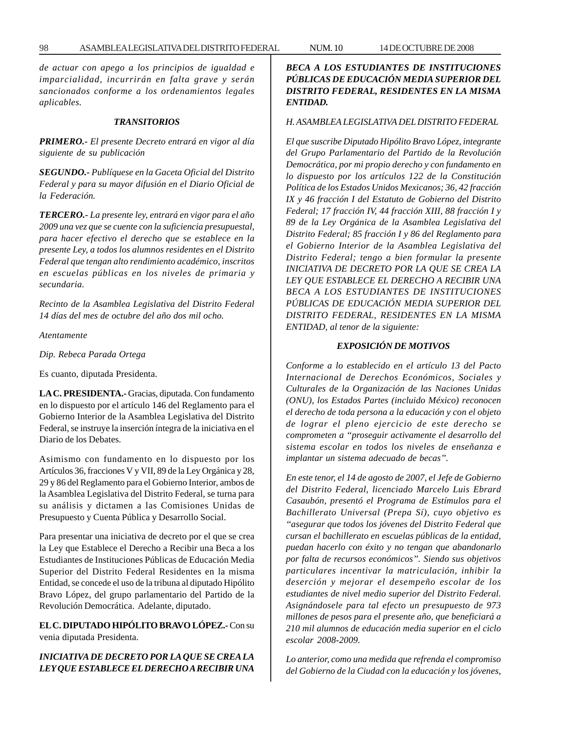*de actuar con apego a los principios de igualdad e imparcialidad, incurrirán en falta grave y serán sancionados conforme a los ordenamientos legales aplicables.*

#### *TRANSITORIOS*

*PRIMERO.- El presente Decreto entrará en vigor al día siguiente de su publicación*

*SEGUNDO.- Publíquese en la Gaceta Oficial del Distrito Federal y para su mayor difusión en el Diario Oficial de la Federación.*

*TERCERO.- La presente ley, entrará en vigor para el año 2009 una vez que se cuente con la suficiencia presupuestal, para hacer efectivo el derecho que se establece en la presente Ley, a todos los alumnos residentes en el Distrito Federal que tengan alto rendimiento académico, inscritos en escuelas públicas en los niveles de primaria y secundaria.*

*Recinto de la Asamblea Legislativa del Distrito Federal 14 días del mes de octubre del año dos mil ocho.*

*Atentamente*

*Dip. Rebeca Parada Ortega*

Es cuanto, diputada Presidenta.

**LA C. PRESIDENTA.-** Gracias, diputada. Con fundamento en lo dispuesto por el artículo 146 del Reglamento para el Gobierno Interior de la Asamblea Legislativa del Distrito Federal, se instruye la inserción íntegra de la iniciativa en el Diario de los Debates.

Asimismo con fundamento en lo dispuesto por los Artículos 36, fracciones V y VII, 89 de la Ley Orgánica y 28, 29 y 86 del Reglamento para el Gobierno Interior, ambos de la Asamblea Legislativa del Distrito Federal, se turna para su análisis y dictamen a las Comisiones Unidas de Presupuesto y Cuenta Pública y Desarrollo Social.

Para presentar una iniciativa de decreto por el que se crea la Ley que Establece el Derecho a Recibir una Beca a los Estudiantes de Instituciones Públicas de Educación Media Superior del Distrito Federal Residentes en la misma Entidad, se concede el uso de la tribuna al diputado Hipólito Bravo López, del grupo parlamentario del Partido de la Revolución Democrática. Adelante, diputado.

**EL C. DIPUTADO HIPÓLITO BRAVO LÓPEZ.-** Con su venia diputada Presidenta.

*INICIATIVA DE DECRETO POR LA QUE SE CREA LA LEY QUE ESTABLECE EL DERECHO A RECIBIR UNA*

# *BECA A LOS ESTUDIANTES DE INSTITUCIONES PÚBLICAS DE EDUCACIÓN MEDIA SUPERIOR DEL DISTRITO FEDERAL, RESIDENTES EN LA MISMA ENTIDAD.*

#### *H. ASAMBLEA LEGISLATIVA DEL DISTRITO FEDERAL*

*El que suscribe Diputado Hipólito Bravo López, integrante del Grupo Parlamentario del Partido de la Revolución Democrática, por mi propio derecho y con fundamento en lo dispuesto por los artículos 122 de la Constitución Política de los Estados Unidos Mexicanos; 36, 42 fracción IX y 46 fracción I del Estatuto de Gobierno del Distrito Federal; 17 fracción IV, 44 fracción XIII, 88 fracción I y 89 de la Ley Orgánica de la Asamblea Legislativa del Distrito Federal; 85 fracción I y 86 del Reglamento para el Gobierno Interior de la Asamblea Legislativa del Distrito Federal; tengo a bien formular la presente INICIATIVA DE DECRETO POR LA QUE SE CREA LA LEY QUE ESTABLECE EL DERECHO A RECIBIR UNA BECA A LOS ESTUDIANTES DE INSTITUCIONES PÚBLICAS DE EDUCACIÓN MEDIA SUPERIOR DEL DISTRITO FEDERAL, RESIDENTES EN LA MISMA ENTIDAD, al tenor de la siguiente:*

# *EXPOSICIÓN DE MOTIVOS*

*Conforme a lo establecido en el artículo 13 del Pacto Internacional de Derechos Económicos, Sociales y Culturales de la Organización de las Naciones Unidas (ONU), los Estados Partes (incluido México) reconocen el derecho de toda persona a la educación y con el objeto de lograr el pleno ejercicio de este derecho se comprometen a ''proseguir activamente el desarrollo del sistema escolar en todos los niveles de enseñanza e implantar un sistema adecuado de becas''.*

*En este tenor, el 14 de agosto de 2007, el Jefe de Gobierno del Distrito Federal, licenciado Marcelo Luis Ebrard Casaubón, presentó el Programa de Estímulos para el Bachillerato Universal (Prepa Sí), cuyo objetivo es ''asegurar que todos los jóvenes del Distrito Federal que cursan el bachillerato en escuelas públicas de la entidad, puedan hacerlo con éxito y no tengan que abandonarlo por falta de recursos económicos''. Siendo sus objetivos particulares incentivar la matriculación, inhibir la deserción y mejorar el desempeño escolar de los estudiantes de nivel medio superior del Distrito Federal. Asignándosele para tal efecto un presupuesto de 973 millones de pesos para el presente año, que beneficiará a 210 mil alumnos de educación media superior en el ciclo escolar 2008-2009.*

*Lo anterior, como una medida que refrenda el compromiso del Gobierno de la Ciudad con la educación y los jóvenes,*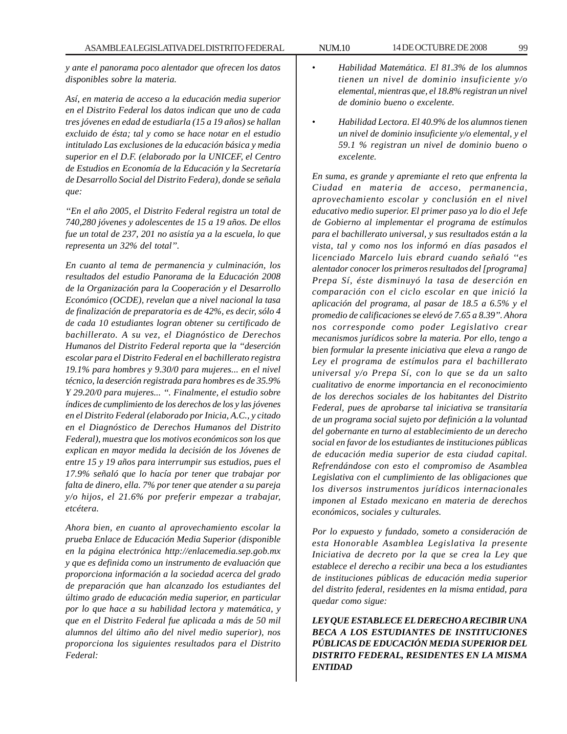*y ante el panorama poco alentador que ofrecen los datos disponibles sobre la materia.*

*Así, en materia de acceso a la educación media superior en el Distrito Federal los datos indican que uno de cada tres jóvenes en edad de estudiarla (15 a 19 años) se hallan excluido de ésta; tal y como se hace notar en el estudio intitulado Las exclusiones de la educación básica y media superior en el D.F. (elaborado por la UNICEF, el Centro de Estudios en Economía de la Educación y la Secretaría de Desarrollo Social del Distrito Federa), donde se señala que:*

*''En el año 2005, el Distrito Federal registra un total de 740,280 jóvenes y adolescentes de 15 a 19 años. De ellos fue un total de 237, 201 no asistía ya a la escuela, lo que representa un 32% del total''.*

*En cuanto al tema de permanencia y culminación, los resultados del estudio Panorama de la Educación 2008 de la Organización para la Cooperación y el Desarrollo Económico (OCDE), revelan que a nivel nacional la tasa de finalización de preparatoria es de 42%, es decir, sólo 4 de cada 10 estudiantes logran obtener su certificado de bachillerato. A su vez, el Diagnóstico de Derechos Humanos del Distrito Federal reporta que la ''deserción escolar para el Distrito Federal en el bachillerato registra 19.1% para hombres y 9.30/0 para mujeres... en el nivel técnico, la deserción registrada para hombres es de 35.9% Y 29.20/0 para mujeres... ''. Finalmente, el estudio sobre índices de cumplimiento de los derechos de los y las jóvenes en el Distrito Federal (elaborado por Inicia, A.C., y citado en el Diagnóstico de Derechos Humanos del Distrito Federal), muestra que los motivos económicos son los que explican en mayor medida la decisión de los Jóvenes de entre 15 y 19 años para interrumpir sus estudios, pues el 17.9% señaló que lo hacía por tener que trabajar por falta de dinero, ella. 7% por tener que atender a su pareja y/o hijos, el 21.6% por preferir empezar a trabajar, etcétera.*

*Ahora bien, en cuanto al aprovechamiento escolar la prueba Enlace de Educación Media Superior (disponible en la página electrónica http://enlacemedia.sep.gob.mx y que es definida como un instrumento de evaluación que proporciona información a la sociedad acerca del grado de preparación que han alcanzado los estudiantes del último grado de educación media superior, en particular por lo que hace a su habilidad lectora y matemática, y que en el Distrito Federal fue aplicada a más de 50 mil alumnos del último año del nivel medio superior), nos proporciona los siguientes resultados para el Distrito Federal:*

- *Habilidad Matemática. El 81.3% de los alumnos tienen un nivel de dominio insuficiente y/o elemental, mientras que, el 18.8% registran un nivel de dominio bueno o excelente.*
- *Habilidad Lectora. El 40.9% de los alumnos tienen un nivel de dominio insuficiente y/o elemental, y el 59.1 % registran un nivel de dominio bueno o excelente.*

*En suma, es grande y apremiante el reto que enfrenta la Ciudad en materia de acceso, permanencia, aprovechamiento escolar y conclusión en el nivel educativo medio superior. El primer paso ya lo dio el Jefe de Gobierno al implementar el programa de estímulos para el bachillerato universal, y sus resultados están a la vista, tal y como nos los informó en días pasados el licenciado Marcelo luis ebrard cuando señaló ''es alentador conocer los primeros resultados del [programa] Prepa Sí, éste disminuyó la tasa de deserción en comparación con el ciclo escolar en que inició la aplicación del programa, al pasar de 18.5 a 6.5% y el promedio de calificaciones se elevó de 7.65 a 8.39''. Ahora nos corresponde como poder Legislativo crear mecanismos jurídicos sobre la materia. Por ello, tengo a bien formular la presente iniciativa que eleva a rango de Ley el programa de estímulos para el bachillerato universal y/o Prepa Sí, con lo que se da un salto cualitativo de enorme importancia en el reconocimiento de los derechos sociales de los habitantes del Distrito Federal, pues de aprobarse tal iniciativa se transitaría de un programa social sujeto por definición a la voluntad del gobernante en turno al establecimiento de un derecho social en favor de los estudiantes de instituciones públicas de educación media superior de esta ciudad capital. Refrendándose con esto el compromiso de Asamblea Legislativa con el cumplimiento de las obligaciones que los diversos instrumentos jurídicos internacionales imponen al Estado mexicano en materia de derechos económicos, sociales y culturales.*

*Por lo expuesto y fundado, someto a consideración de esta Honorable Asamblea Legislativa la presente Iniciativa de decreto por la que se crea la Ley que establece el derecho a recibir una beca a los estudiantes de instituciones públicas de educación media superior del distrito federal, residentes en la misma entidad, para quedar como sigue:*

*LEY QUE ESTABLECE EL DERECHO A RECIBIR UNA BECA A LOS ESTUDIANTES DE INSTITUCIONES PÚBLICAS DE EDUCACIÓN MEDIA SUPERIOR DEL DISTRITO FEDERAL, RESIDENTES EN LA MISMA ENTIDAD*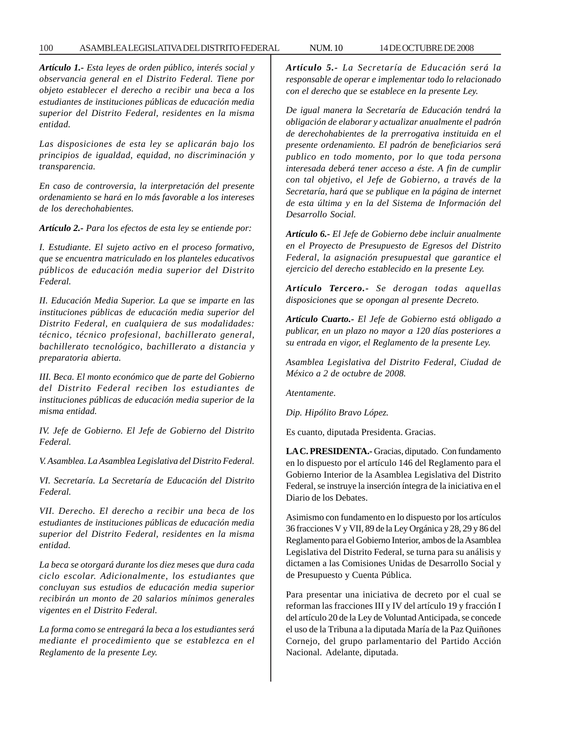## 100 ASAMBLEA LEGISLATIVA DEL DISTRITO FEDERAL NUM. 10 14 DE OCTUBRE DE 2008

*Artículo 1.- Esta leyes de orden público, interés social y observancia general en el Distrito Federal. Tiene por objeto establecer el derecho a recibir una beca a los estudiantes de instituciones públicas de educación media superior del Distrito Federal, residentes en la misma entidad.*

*Las disposiciones de esta ley se aplicarán bajo los principios de igualdad, equidad, no discriminación y transparencia.*

*En caso de controversia, la interpretación del presente ordenamiento se hará en lo más favorable a los intereses de los derechohabientes.*

*Artículo 2.- Para los efectos de esta ley se entiende por:*

*I. Estudiante. El sujeto activo en el proceso formativo, que se encuentra matriculado en los planteles educativos públicos de educación media superior del Distrito Federal.*

*II. Educación Media Superior. La que se imparte en las instituciones públicas de educación media superior del Distrito Federal, en cualquiera de sus modalidades: técnico, técnico profesional, bachillerato general, bachillerato tecnológico, bachillerato a distancia y preparatoria abierta.*

*III. Beca. El monto económico que de parte del Gobierno del Distrito Federal reciben los estudiantes de instituciones públicas de educación media superior de la misma entidad.*

*IV. Jefe de Gobierno. El Jefe de Gobierno del Distrito Federal.*

*V. Asamblea. La Asamblea Legislativa del Distrito Federal.*

*VI. Secretaría. La Secretaría de Educación del Distrito Federal.*

*VII. Derecho. El derecho a recibir una beca de los estudiantes de instituciones públicas de educación media superior del Distrito Federal, residentes en la misma entidad.*

*La beca se otorgará durante los diez meses que dura cada ciclo escolar. Adicionalmente, los estudiantes que concluyan sus estudios de educación media superior recibirán un monto de 20 salarios mínimos generales vigentes en el Distrito Federal.*

*La forma como se entregará la beca a los estudiantes será mediante el procedimiento que se establezca en el Reglamento de la presente Ley.*

*Artículo 5.- La Secretaría de Educación será la responsable de operar e implementar todo lo relacionado con el derecho que se establece en la presente Ley.*

*De igual manera la Secretaría de Educación tendrá la obligación de elaborar y actualizar anualmente el padrón de derechohabientes de la prerrogativa instituida en el presente ordenamiento. El padrón de beneficiarios será publico en todo momento, por lo que toda persona interesada deberá tener acceso a éste. A fin de cumplir con tal objetivo, el Jefe de Gobierno, a través de la Secretaría, hará que se publique en la página de internet de esta última y en la del Sistema de Información del Desarrollo Social.*

*Artículo 6.- El Jefe de Gobierno debe incluir anualmente en el Proyecto de Presupuesto de Egresos del Distrito Federal, la asignación presupuestal que garantice el ejercicio del derecho establecido en la presente Ley.*

*Artículo Tercero.- Se derogan todas aquellas disposiciones que se opongan al presente Decreto.*

*Artículo Cuarto.- El Jefe de Gobierno está obligado a publicar, en un plazo no mayor a 120 días posteriores a su entrada en vigor, el Reglamento de la presente Ley.*

*Asamblea Legislativa del Distrito Federal, Ciudad de México a 2 de octubre de 2008.*

*Atentamente.*

*Dip. Hipólito Bravo López.*

Es cuanto, diputada Presidenta. Gracias.

**LA C. PRESIDENTA.-** Gracias, diputado. Con fundamento en lo dispuesto por el artículo 146 del Reglamento para el Gobierno Interior de la Asamblea Legislativa del Distrito Federal, se instruye la inserción íntegra de la iniciativa en el Diario de los Debates.

Asimismo con fundamento en lo dispuesto por los artículos 36 fracciones V y VII, 89 de la Ley Orgánica y 28, 29 y 86 del Reglamento para el Gobierno Interior, ambos de la Asamblea Legislativa del Distrito Federal, se turna para su análisis y dictamen a las Comisiones Unidas de Desarrollo Social y de Presupuesto y Cuenta Pública.

Para presentar una iniciativa de decreto por el cual se reforman las fracciones III y IV del artículo 19 y fracción I del artículo 20 de la Ley de Voluntad Anticipada, se concede el uso de la Tribuna a la diputada María de la Paz Quiñones Cornejo, del grupo parlamentario del Partido Acción Nacional. Adelante, diputada.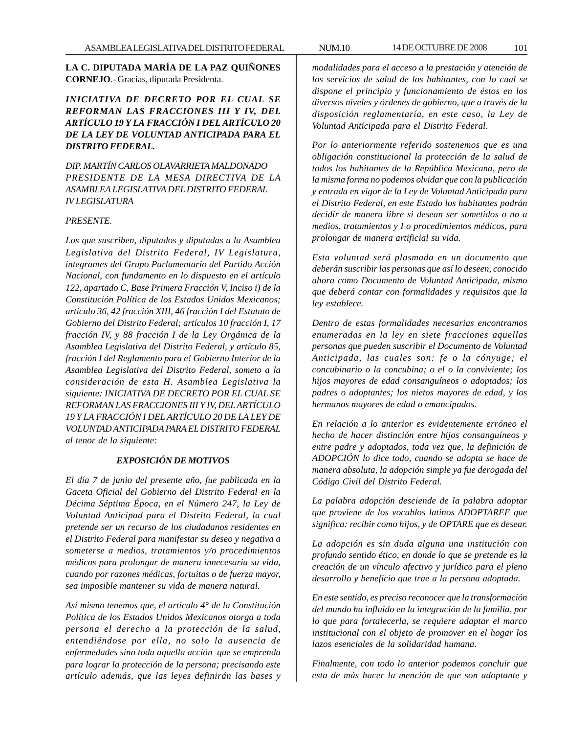**LA C. DIPUTADA MARÍA DE LA PAZ QUIÑONES CORNEJO**.- Gracias, diputada Presidenta.

# *INICIATIVA DE DECRETO POR EL CUAL SE REFORMAN LAS FRACCIONES III Y IV, DEL ARTÍCULO 19 Y LA FRACCIÓN I DEL ARTÍCULO 20 DE LA LEY DE VOLUNTAD ANTICIPADA PARA EL DISTRITO FEDERAL.*

*DIP. MARTÍN CARLOS OLAVARRIETA MALDONADO PRESIDENTE DE LA MESA DIRECTIVA DE LA ASAMBLEA LEGISLATIVA DEL DISTRITO FEDERAL IV LEGISLATURA*

## *PRESENTE.*

*Los que suscriben, diputados y diputadas a la Asamblea Legislativa del Distrito Federal, IV Legislatura, integrantes del Grupo Parlamentario del Partido Acción Nacional, con fundamento en lo dispuesto en el artículo 122, apartado C, Base Primera Fracción V, Inciso i) de la Constitución Política de los Estados Unidos Mexicanos; artículo 36, 42 fracción XIII, 46 fracción I del Estatuto de Gobierno del Distrito Federal; artículos 10 fracción I, 17 fracción IV, y 88 fracción I de la Ley Orgánica de la Asamblea Legislativa del Distrito Federal, y artículo 85, fracción I del Reglamento para e! Gobierno Interior de la Asamblea Legislativa del Distrito Federal, someto a la consideración de esta H. Asamblea Legislativa la siguiente: INICIATIVA DE DECRETO POR EL CUAL SE REFORMAN LAS FRACCIONES III Y IV, DEL ARTÍCULO 19 Y LA FRACCIÓN I DEL ARTÍCULO 20 DE LA LEY DE VOLUNTAD ANTICIPADA PARA EL DISTRITO FEDERAL al tenor de la siguiente:*

## *EXPOSICIÓN DE MOTIVOS*

*El día 7 de junio del presente año, fue publicada en la Gaceta Oficial del Gobierno del Distrito Federal en la Décima Séptima Época, en el Número 247, la Ley de Voluntad Anticipad para el Distrito Federal, la cual pretende ser un recurso de los ciudadanos residentes en el Distrito Federal para manifestar su deseo y negativa a someterse a medios, tratamientos y/o procedimientos médicos para prolongar de manera innecesaria su vida, cuando por razones médicas, fortuitas o de fuerza mayor, sea imposible mantener su vida de manera natural.*

*Así mismo tenemos que, el artículo 4° de la Constitución Política de los Estados Unidos Mexicanos otorga a toda persona el derecho a la protección de la salud, entendiéndose por ella, no solo la ausencia de enfermedades sino toda aquella acción que se emprenda para lograr la protección de la persona; precisando este artículo además, que las leyes definirán las bases y* *modalidades para el acceso a la prestación y atención de los servicios de salud de los habitantes, con lo cual se dispone el principio y funcionamiento de éstos en los diversos niveles y órdenes de gobierno, que a través de la disposición reglamentaría, en este caso, la Ley de Voluntad Anticipada para el Distrito Federal.*

*Por lo anteriormente referido sostenemos que es una obligación constitucional la protección de la salud de todos los habitantes de la República Mexicana, pero de la misma forma no podemos olvidar que con la publicación y entrada en vigor de la Ley de Voluntad Anticipada para el Distrito Federal, en este Estado los habitantes podrán decidir de manera libre si desean ser sometidos o no a medios, tratamientos y I o procedimientos médicos, para prolongar de manera artificial su vida.*

*Esta voluntad será plasmada en un documento que deberán suscribir las personas que así lo deseen, conocido ahora como Documento de Voluntad Anticipada, mismo que deberá contar con formalidades y requisitos que la ley establece.*

*Dentro de estas formalidades necesarias encontramos enumeradas en la ley en siete fracciones aquellas personas que pueden suscribir el Documento de Voluntad Anticipada, las cuales son: fe o la cónyuge; el concubinario o la concubina; o el o la conviviente; los hijos mayores de edad consanguíneos o adoptados; los padres o adoptantes; los nietos mayores de edad, y los hermanos mayores de edad o emancipados.*

*En relación a lo anterior es evidentemente erróneo el hecho de hacer distinción entre hijos consanguíneos y entre padre y adoptados, toda vez que, la definición de ADOPCIÓN lo dice todo, cuando se adopta se hace de manera absoluta, la adopción simple ya fue derogada del Código Civil del Distrito Federal.*

*La palabra adopción desciende de la palabra adoptar que proviene de los vocablos latinos ADOPTAREE que significa: recibir como hijos, y de OPTARE que es desear.*

*La adopción es sin duda alguna una institución con profundo sentido ético, en donde lo que se pretende es la creación de un vínculo afectivo y jurídico para el pleno desarrollo y beneficio que trae a la persona adoptada.*

*En este sentido, es preciso reconocer que la transformación del mundo ha influido en la integración de la familia, por lo que para fortalecerla, se requiere adaptar el marco institucional con el objeto de promover en el hogar los lazos esenciales de la solidaridad humana.*

*Finalmente, con todo lo anterior podemos concluir que esta de más hacer la mención de que son adoptante y*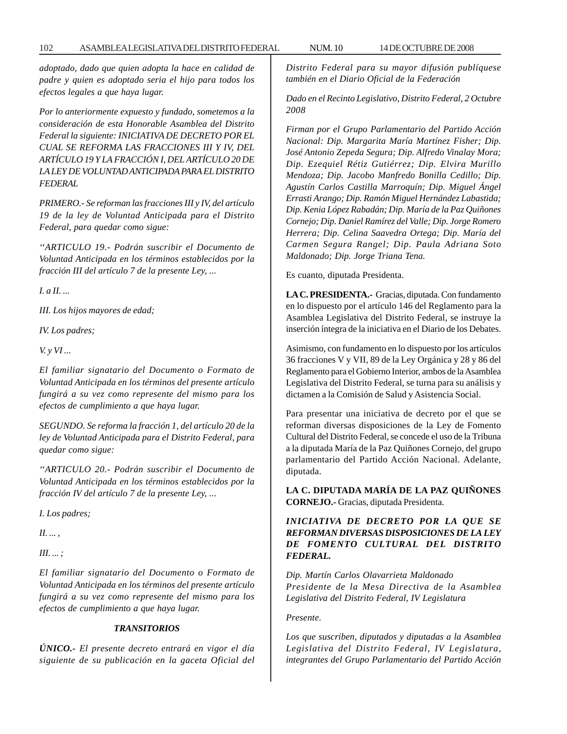*adoptado, dado que quien adopta la hace en calidad de padre y quien es adoptado seria el hijo para todos los efectos legales a que haya lugar.*

*Por lo anteriormente expuesto y fundado, sometemos a la consideración de esta Honorable Asamblea del Distrito Federal la siguiente: INICIATIVA DE DECRETO POR EL CUAL SE REFORMA LAS FRACCIONES III Y IV, DEL ARTÍCULO 19 Y LA FRACCIÓN I, DEL ARTÍCULO 20 DE LA LEY DE VOLUNTAD ANTICIPADA PARA EL DISTRITO FEDERAL*

*PRIMERO.- Se reforman las fracciones III y IV, del artículo 19 de la ley de Voluntad Anticipada para el Distrito Federal, para quedar como sigue:*

*''ARTICULO 19.- Podrán suscribir el Documento de Voluntad Anticipada en los términos establecidos por la fracción III del artículo 7 de la presente Ley, ...*

*I. a II. ...*

*III. Los hijos mayores de edad;*

*IV. Los padres;*

*V. y VI ...*

*El familiar signatario del Documento o Formato de Voluntad Anticipada en los términos del presente artículo fungirá a su vez como represente del mismo para los efectos de cumplimiento a que haya lugar.*

*SEGUNDO. Se reforma la fracción 1, del artículo 20 de la ley de Voluntad Anticipada para el Distrito Federal, para quedar como sigue:*

*''ARTICULO 20.- Podrán suscribir el Documento de Voluntad Anticipada en los términos establecidos por la fracción IV del artículo 7 de la presente Ley, ...*

*I. Los padres;*

*II. ... ,*

*III. ... ;*

*El familiar signatario del Documento o Formato de Voluntad Anticipada en los términos del presente artículo fungirá a su vez como represente del mismo para los efectos de cumplimiento a que haya lugar.*

#### *TRANSITORIOS*

*ÚNICO.- El presente decreto entrará en vigor el día siguiente de su publicación en la gaceta Oficial del* *Distrito Federal para su mayor difusión publíquese también en el Diario Oficial de la Federación*

*Dado en el Recinto Legislativo, Distrito Federal, 2 Octubre 2008*

*Firman por el Grupo Parlamentario del Partido Acción Nacional: Dip. Margarita María Martínez Fisher; Dip. José Antonio Zepeda Segura; Dip. Alfredo Vinalay Mora; Dip. Ezequiel Rétiz Gutiérrez; Dip. Elvira Murillo Mendoza; Dip. Jacobo Manfredo Bonilla Cedillo; Dip. Agustín Carlos Castilla Marroquín; Dip. Miguel Ángel Errasti Arango; Dip. Ramón Miguel Hernández Labastida; Dip. Kenia López Rabadán; Dip. María de la Paz Quiñones Cornejo; Dip. Daniel Ramírez del Valle; Dip. Jorge Romero Herrera; Dip. Celina Saavedra Ortega; Dip. María del Carmen Segura Rangel; Dip. Paula Adriana Soto Maldonado; Dip. Jorge Triana Tena.*

Es cuanto, diputada Presidenta.

**LA C. PRESIDENTA.-** Gracias, diputada. Con fundamento en lo dispuesto por el artículo 146 del Reglamento para la Asamblea Legislativa del Distrito Federal, se instruye la inserción íntegra de la iniciativa en el Diario de los Debates.

Asimismo, con fundamento en lo dispuesto por los artículos 36 fracciones V y VII, 89 de la Ley Orgánica y 28 y 86 del Reglamento para el Gobierno Interior, ambos de la Asamblea Legislativa del Distrito Federal, se turna para su análisis y dictamen a la Comisión de Salud y Asistencia Social.

Para presentar una iniciativa de decreto por el que se reforman diversas disposiciones de la Ley de Fomento Cultural del Distrito Federal, se concede el uso de la Tribuna a la diputada María de la Paz Quiñones Cornejo, del grupo parlamentario del Partido Acción Nacional. Adelante, diputada.

**LA C. DIPUTADA MARÍA DE LA PAZ QUIÑONES CORNEJO.-** Gracias, diputada Presidenta.

*INICIATIVA DE DECRETO POR LA QUE SE REFORMAN DIVERSAS DISPOSICIONES DE LA LEY DE FOMENTO CULTURAL DEL DISTRITO FEDERAL.*

*Dip. Martín Carlos Olavarrieta Maldonado Presidente de la Mesa Directiva de la Asamblea Legislativa del Distrito Federal, IV Legislatura*

*Presente.*

*Los que suscriben, diputados y diputadas a la Asamblea Legislativa del Distrito Federal, IV Legislatura, integrantes del Grupo Parlamentario del Partido Acción*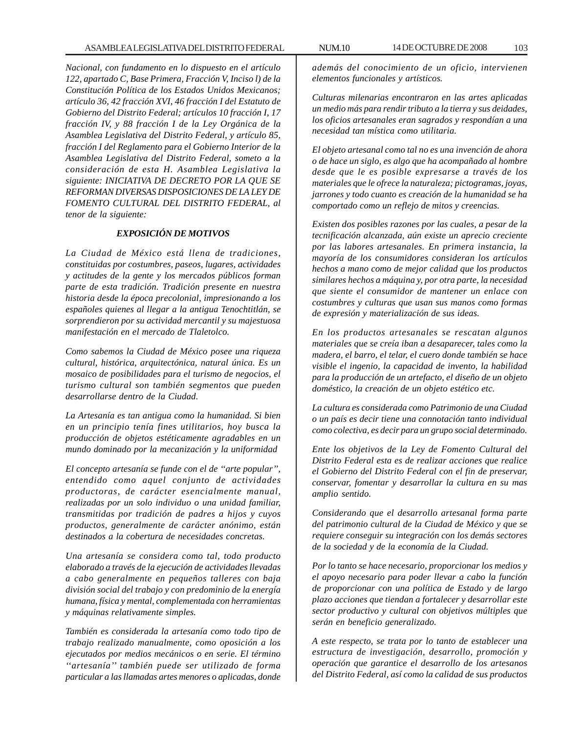*Nacional, con fundamento en lo dispuesto en el artículo 122, apartado C, Base Primera, Fracción V, Inciso l) de la Constitución Política de los Estados Unidos Mexicanos; artículo 36, 42 fracción XVI, 46 fracción I del Estatuto de Gobierno del Distrito Federal; artículos 10 fracción I, 17 fracción IV, y 88 fracción I de la Ley Orgánica de la Asamblea Legislativa del Distrito Federal, y artículo 85, fracción I del Reglamento para el Gobierno Interior de la Asamblea Legislativa del Distrito Federal, someto a la consideración de esta H. Asamblea Legislativa la siguiente: INICIATIVA DE DECRETO POR LA QUE SE REFORMAN DIVERSAS DISPOSICIONES DE LA LEY DE FOMENTO CULTURAL DEL DISTRITO FEDERAL, al tenor de la siguiente:*

#### *EXPOSICIÓN DE MOTIVOS*

*La Ciudad de México está llena de tradiciones, constituidas por costumbres, paseos, lugares, actividades y actitudes de la gente y los mercados públicos forman parte de esta tradición. Tradición presente en nuestra historia desde la época precolonial, impresionando a los españoles quienes al llegar a la antigua Tenochtitlán, se sorprendieron por su actividad mercantil y su majestuosa manifestación en el mercado de Tlaletolco.*

*Como sabemos la Ciudad de México posee una riqueza cultural, histórica, arquitectónica, natural única. Es un mosaico de posibilidades para el turismo de negocios, el turismo cultural son también segmentos que pueden desarrollarse dentro de la Ciudad.*

*La Artesanía es tan antigua como la humanidad. Si bien en un principio tenía fines utilitarios, hoy busca la producción de objetos estéticamente agradables en un mundo dominado por la mecanización y la uniformidad*

*El concepto artesanía se funde con el de ''arte popular'', entendido como aquel conjunto de actividades productoras, de carácter esencialmente manual, realizadas por un solo individuo o una unidad familiar, transmitidas por tradición de padres a hijos y cuyos productos, generalmente de carácter anónimo, están destinados a la cobertura de necesidades concretas.*

*Una artesanía se considera como tal, todo producto elaborado a través de la ejecución de actividades llevadas a cabo generalmente en pequeños talleres con baja división social del trabajo y con predominio de la energía humana, física y mental, complementada con herramientas y máquinas relativamente simples.*

*También es considerada la artesanía como todo tipo de trabajo realizado manualmente, como oposición a los ejecutados por medios mecánicos o en serie. El término ''artesanía'' también puede ser utilizado de forma particular a las llamadas artes menores o aplicadas, donde*

*además del conocimiento de un oficio, intervienen elementos funcionales y artísticos.*

*Culturas milenarias encontraron en las artes aplicadas un medio más para rendir tributo a la tierra y sus deidades, los oficios artesanales eran sagrados y respondían a una necesidad tan mística como utilitaria.*

*El objeto artesanal como tal no es una invención de ahora o de hace un siglo, es algo que ha acompañado al hombre desde que le es posible expresarse a través de los materiales que le ofrece la naturaleza; pictogramas, joyas, jarrones y todo cuanto es creación de la humanidad se ha comportado como un reflejo de mitos y creencias.*

*Existen dos posibles razones por las cuales, a pesar de la tecnificación alcanzada, aún existe un aprecio creciente por las labores artesanales. En primera instancia, la mayoría de los consumidores consideran los artículos hechos a mano como de mejor calidad que los productos similares hechos a máquina y, por otra parte, la necesidad que siente el consumidor de mantener un enlace con costumbres y culturas que usan sus manos como formas de expresión y materialización de sus ideas.*

*En los productos artesanales se rescatan algunos materiales que se creía iban a desaparecer, tales como la madera, el barro, el telar, el cuero donde también se hace visible el ingenio, la capacidad de invento, la habilidad para la producción de un artefacto, el diseño de un objeto doméstico, la creación de un objeto estético etc.*

*La cultura es considerada como Patrimonio de una Ciudad o un país es decir tiene una connotación tanto individual como colectiva, es decir para un grupo social determinado.*

*Ente los objetivos de la Ley de Fomento Cultural del Distrito Federal esta es de realizar acciones que realice el Gobierno del Distrito Federal con el fin de preservar, conservar, fomentar y desarrollar la cultura en su mas amplio sentido.*

*Considerando que el desarrollo artesanal forma parte del patrimonio cultural de la Ciudad de México y que se requiere conseguir su integración con los demás sectores de la sociedad y de la economía de la Ciudad.*

*Por lo tanto se hace necesario, proporcionar los medios y el apoyo necesario para poder llevar a cabo la función de proporcionar con una política de Estado y de largo plazo acciones que tiendan a fortalecer y desarrollar este sector productivo y cultural con objetivos múltiples que serán en beneficio generalizado.*

*A este respecto, se trata por lo tanto de establecer una estructura de investigación, desarrollo, promoción y operación que garantice el desarrollo de los artesanos del Distrito Federal, así como la calidad de sus productos*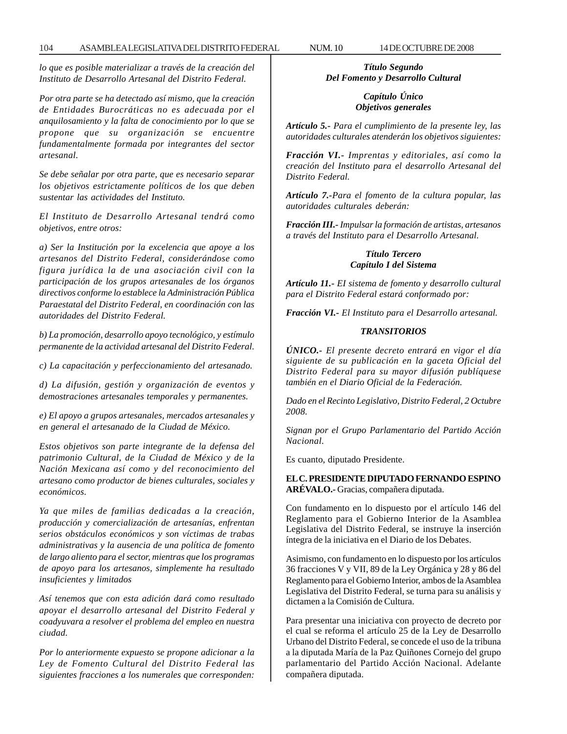*lo que es posible materializar a través de la creación del Instituto de Desarrollo Artesanal del Distrito Federal.*

*Por otra parte se ha detectado así mismo, que la creación de Entidades Burocráticas no es adecuada por el anquilosamiento y la falta de conocimiento por lo que se propone que su organización se encuentre fundamentalmente formada por integrantes del sector artesanal.*

*Se debe señalar por otra parte, que es necesario separar los objetivos estrictamente políticos de los que deben sustentar las actividades del Instituto.*

*El Instituto de Desarrollo Artesanal tendrá como objetivos, entre otros:*

*a) Ser la Institución por la excelencia que apoye a los artesanos del Distrito Federal, considerándose como figura jurídica la de una asociación civil con la participación de los grupos artesanales de los órganos directivos conforme lo establece la Administración Pública Paraestatal del Distrito Federal, en coordinación con las autoridades del Distrito Federal.*

*b) La promoción, desarrollo apoyo tecnológico, y estímulo permanente de la actividad artesanal del Distrito Federal.*

*c) La capacitación y perfeccionamiento del artesanado.*

*d) La difusión, gestión y organización de eventos y demostraciones artesanales temporales y permanentes.*

*e) El apoyo a grupos artesanales, mercados artesanales y en general el artesanado de la Ciudad de México.*

*Estos objetivos son parte integrante de la defensa del patrimonio Cultural, de la Ciudad de México y de la Nación Mexicana así como y del reconocimiento del artesano como productor de bienes culturales, sociales y económicos.*

*Ya que miles de familias dedicadas a la creación, producción y comercialización de artesanías, enfrentan serios obstáculos económicos y son víctimas de trabas administrativas y la ausencia de una política de fomento de largo aliento para el sector, mientras que los programas de apoyo para los artesanos, simplemente ha resultado insuficientes y limitados*

*Así tenemos que con esta adición dará como resultado apoyar el desarrollo artesanal del Distrito Federal y coadyuvara a resolver el problema del empleo en nuestra ciudad.*

*Por lo anteriormente expuesto se propone adicionar a la Ley de Fomento Cultural del Distrito Federal las siguientes fracciones a los numerales que corresponden:*

*Título Segundo Del Fomento y Desarrollo Cultural*

## *Capítulo Único Objetivos generales*

*Artículo 5.- Para el cumplimiento de la presente ley, las autoridades culturales atenderán los objetivos siguientes:*

*Fracción VI.- Imprentas y editoriales, así como la creación del Instituto para el desarrollo Artesanal del Distrito Federal.*

*Artículo 7.-Para el fomento de la cultura popular, las autoridades culturales deberán:*

*Fracción III.- Impulsar la formación de artistas, artesanos a través del Instituto para el Desarrollo Artesanal.*

# *Título Tercero Capítulo I del Sistema*

*Artículo 11.- EI sistema de fomento y desarrollo cultural para el Distrito Federal estará conformado por:*

*Fracción VI.- El Instituto para el Desarrollo artesanal.*

## *TRANSITORIOS*

*ÚNICO.- El presente decreto entrará en vigor el día siguiente de su publicación en la gaceta Oficial del Distrito Federal para su mayor difusión publíquese también en el Diario Oficial de la Federación.*

*Dado en el Recinto Legislativo, Distrito Federal, 2 Octubre 2008.*

*Signan por el Grupo Parlamentario del Partido Acción Nacional.*

Es cuanto, diputado Presidente.

**EL C. PRESIDENTE DIPUTADO FERNANDO ESPINO ARÉVALO.-** Gracias, compañera diputada.

Con fundamento en lo dispuesto por el artículo 146 del Reglamento para el Gobierno Interior de la Asamblea Legislativa del Distrito Federal, se instruye la inserción íntegra de la iniciativa en el Diario de los Debates.

Asimismo, con fundamento en lo dispuesto por los artículos 36 fracciones V y VII, 89 de la Ley Orgánica y 28 y 86 del Reglamento para el Gobierno Interior, ambos de la Asamblea Legislativa del Distrito Federal, se turna para su análisis y dictamen a la Comisión de Cultura.

Para presentar una iniciativa con proyecto de decreto por el cual se reforma el artículo 25 de la Ley de Desarrollo Urbano del Distrito Federal, se concede el uso de la tribuna a la diputada María de la Paz Quiñones Cornejo del grupo parlamentario del Partido Acción Nacional. Adelante compañera diputada.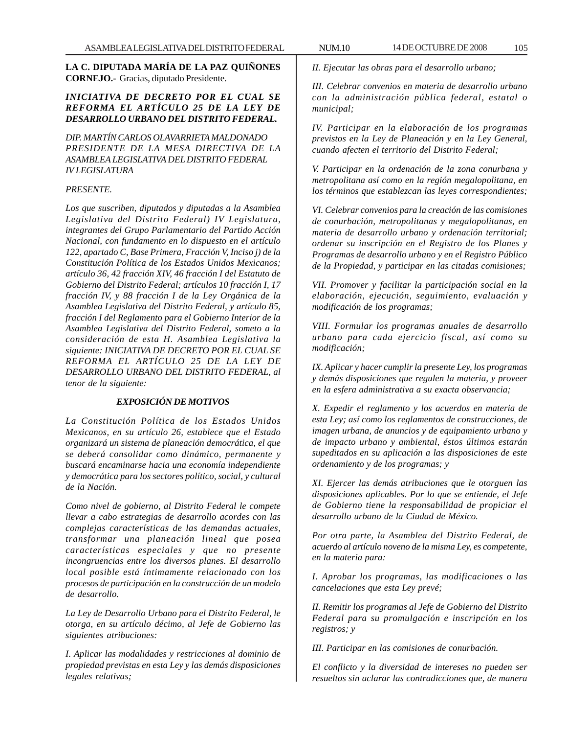**LA C. DIPUTADA MARÍA DE LA PAZ QUIÑONES CORNEJO.-** Gracias, diputado Presidente.

# *INICIATIVA DE DECRETO POR EL CUAL SE REFORMA EL ARTÍCULO 25 DE LA LEY DE DESARROLLO URBANO DEL DISTRITO FEDERAL.*

*DIP. MARTÍN CARLOS OLAVARRIETA MALDONADO PRESIDENTE DE LA MESA DIRECTIVA DE LA ASAMBLEA LEGISLATIVA DEL DISTRITO FEDERAL IV LEGISLATURA*

## *PRESENTE.*

*Los que suscriben, diputados y diputadas a la Asamblea Legislativa del Distrito Federal) IV Legislatura, integrantes del Grupo Parlamentario del Partido Acción Nacional, con fundamento en lo dispuesto en el artículo 122, apartado C, Base Primera, Fracción V, Inciso j) de la Constitución Política de los Estados Unidos Mexicanos; artículo 36, 42 fracción XIV, 46 fracción I del Estatuto de Gobierno del Distrito Federal; artículos 10 fracción I, 17 fracción IV, y 88 fracción I de la Ley Orgánica de la Asamblea Legislativa del Distrito Federal, y artículo 85, fracción I del Reglamento para el Gobierno Interior de la Asamblea Legislativa del Distrito Federal, someto a la consideración de esta H. Asamblea Legislativa la siguiente: INICIATIVA DE DECRETO POR EL CUAL SE REFORMA EL ARTÍCULO 25 DE LA LEY DE DESARROLLO URBANO DEL DISTRITO FEDERAL, al tenor de la siguiente:*

## *EXPOSICIÓN DE MOTIVOS*

*La Constitución Política de los Estados Unidos Mexicanos, en su artículo 26, establece que el Estado organizará un sistema de planeación democrática, el que se deberá consolidar como dinámico, permanente y buscará encaminarse hacia una economía independiente y democrática para los sectores político, social, y cultural de la Nación.*

*Como nivel de gobierno, al Distrito Federal le compete llevar a cabo estrategias de desarrollo acordes con las complejas características de las demandas actuales, transformar una planeación lineal que posea características especiales y que no presente incongruencias entre los diversos planes. El desarrollo local posible está íntimamente relacionado con los procesos de participación en la construcción de un modelo de desarrollo.*

*La Ley de Desarrollo Urbano para el Distrito Federal, le otorga, en su artículo décimo, al Jefe de Gobierno las siguientes atribuciones:*

*I. Aplicar las modalidades y restricciones al dominio de propiedad previstas en esta Ley y las demás disposiciones legales relativas;*

*II. Ejecutar las obras para el desarrollo urbano;*

*III. Celebrar convenios en materia de desarrollo urbano con la administración pública federal, estatal o municipal;*

*IV. Participar en la elaboración de los programas previstos en la Ley de Planeación y en la Ley General, cuando afecten el territorio del Distrito Federal;*

*V. Participar en la ordenación de la zona conurbana y metropolitana así como en la región megalopolitana, en los términos que establezcan las leyes correspondientes;*

*VI. Celebrar convenios para la creación de las comisiones de conurbación, metropolitanas y megalopolitanas, en materia de desarrollo urbano y ordenación territorial; ordenar su inscripción en el Registro de los Planes y Programas de desarrollo urbano y en el Registro Público de la Propiedad, y participar en las citadas comisiones;*

*VII. Promover y facilitar la participación social en la elaboración, ejecución, seguimiento, evaluación y modificación de los programas;*

*VIII. Formular los programas anuales de desarrollo urbano para cada ejercicio fiscal, así como su modificación;*

*IX. Aplicar y hacer cumplir la presente Ley, los programas y demás disposiciones que regulen la materia, y proveer en la esfera administrativa a su exacta observancia;*

*X. Expedir el reglamento y los acuerdos en materia de esta Ley; así como los reglamentos de construcciones, de imagen urbana, de anuncios y de equipamiento urbano y de impacto urbano y ambiental, éstos últimos estarán supeditados en su aplicación a las disposiciones de este ordenamiento y de los programas; y*

*XI. Ejercer las demás atribuciones que le otorguen las disposiciones aplicables. Por lo que se entiende, el Jefe de Gobierno tiene la responsabilidad de propiciar el desarrollo urbano de la Ciudad de México.*

*Por otra parte, la Asamblea del Distrito Federal, de acuerdo al artículo noveno de la misma Ley, es competente, en la materia para:*

*I. Aprobar los programas, las modificaciones o las cancelaciones que esta Ley prevé;*

*II. Remitir los programas al Jefe de Gobierno del Distrito Federal para su promulgación e inscripción en los registros; y*

*III. Participar en las comisiones de conurbación.*

*El conflicto y la diversidad de intereses no pueden ser resueltos sin aclarar las contradicciones que, de manera*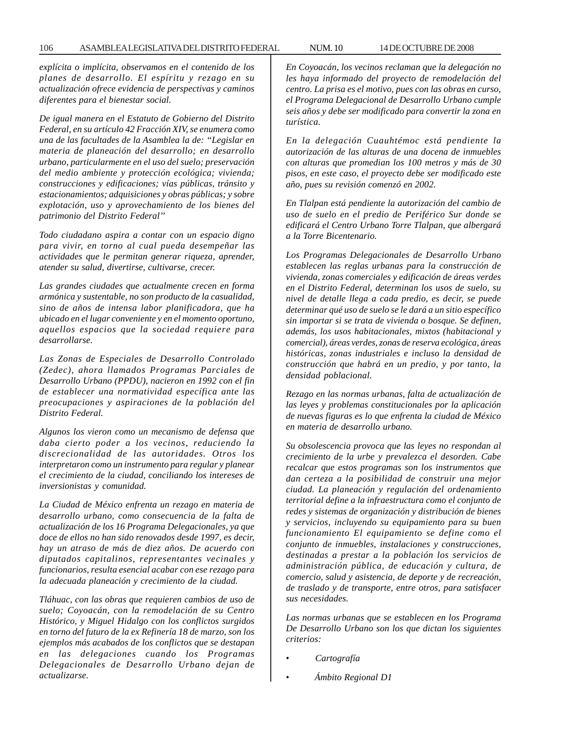*explícita o implícita, observamos en el contenido de los planes de desarrollo. El espíritu y rezago en su actualización ofrece evidencia de perspectivas y caminos diferentes para el bienestar social.*

*De igual manera en el Estatuto de Gobierno del Distrito Federal, en su artículo 42 Fracción XIV, se enumera como una de las facultades de la Asamblea la de: ''Legislar en materia de planeación del desarrollo; en desarrollo urbano, particularmente en el uso del suelo; preservación del medio ambiente y protección ecológica; vivienda; construcciones y edificaciones; vías públicas, tránsito y estacionamientos; adquisiciones y obras públicas; y sobre explotación, uso y aprovechamiento de los bienes del patrimonio del Distrito Federal''*

*Todo ciudadano aspira a contar con un espacio digno para vivir, en torno al cual pueda desempeñar las actividades que le permitan generar riqueza, aprender, atender su salud, divertirse, cultivarse, crecer.*

*Las grandes ciudades que actualmente crecen en forma armónica y sustentable, no son producto de la casualidad, sino de años de intensa labor planificadora, que ha ubicado en el lugar conveniente y en el momento oportuno, aquellos espacios que la sociedad requiere para desarrollarse.*

*Las Zonas de Especiales de Desarrollo Controlado (Zedec), ahora llamados Programas Parciales de Desarrollo Urbano (PPDU), nacieron en 1992 con el fin de establecer una normatividad específica ante las preocupaciones y aspiraciones de la población del Distrito Federal.*

*Algunos los vieron como un mecanismo de defensa que daba cierto poder a los vecinos, reduciendo la discrecionalidad de las autoridades. Otros los interpretaron como un instrumento para regular y planear el crecimiento de la ciudad, conciliando los intereses de inversionistas y comunidad.*

*La Ciudad de México enfrenta un rezago en materia de desarrollo urbano, como consecuencia de la falta de actualización de los 16 Programa Delegacionales, ya que doce de ellos no han sido renovados desde 1997, es decir, hay un atraso de más de diez años. De acuerdo con diputados capitalinos, representantes vecinales y funcionarios, resulta esencial acabar con ese rezago para la adecuada planeación y crecimiento de la ciudad.*

*Tláhuac, con las obras que requieren cambios de uso de suelo; Coyoacán, con la remodelación de su Centro Histórico, y Miguel Hidalgo con los conflictos surgidos en torno del futuro de la ex Refinería 18 de marzo, son los ejemplos más acabados de los conflictos que se destapan en las delegaciones cuando los Programas Delegacionales de Desarrollo Urbano dejan de actualizarse.*

*En Coyoacán, los vecinos reclaman que la delegación no les haya informado del proyecto de remodelación del centro. La prisa es el motivo, pues con las obras en curso, el Programa Delegacional de Desarrollo Urbano cumple seis años y debe ser modificado para convertir la zona en turística.*

*En la delegación Cuauhtémoc está pendiente la autorización de las alturas de una docena de inmuebles con alturas que promedian los 100 metros y más de 30 pisos, en este caso, el proyecto debe ser modificado este año, pues su revisión comenzó en 2002.*

*En Tlalpan está pendiente la autorización del cambio de uso de suelo en el predio de Periférico Sur donde se edificará el Centro Urbano Torre Tlalpan, que albergará a la Torre Bicentenario.*

*Los Programas Delegacionales de Desarrollo Urbano establecen las reglas urbanas para la construcción de vivienda, zonas comerciales y edificación de áreas verdes en el Distrito Federal, determinan los usos de suelo, su nivel de detalle llega a cada predio, es decir, se puede determinar qué uso de suelo se le dará a un sitio específico sin importar si se trata de vivienda o bosque. Se definen, además, los usos habitacionales, mixtos (habitacional y comercial), áreas verdes, zonas de reserva ecológica, áreas históricas, zonas industriales e incluso la densidad de construcción que habrá en un predio, y por tanto, la densidad poblacional.*

*Rezago en las normas urbanas, falta de actualización de las leyes y problemas constitucionales por la aplicación de nuevas figuras es lo que enfrenta la ciudad de México en materia de desarrollo urbano.*

*Su obsolescencia provoca que las leyes no respondan al crecimiento de la urbe y prevalezca el desorden. Cabe recalcar que estos programas son los instrumentos que dan certeza a la posibilidad de construir una mejor ciudad. La planeación y regulación del ordenamiento territorial define a la infraestructura como el conjunto de redes y sistemas de organización y distribución de bienes y servicios, incluyendo su equipamiento para su buen funcionamiento El equipamiento se define como el conjunto de inmuebles, instalaciones y construcciones, destinadas a prestar a la población los servicios de administración pública, de educación y cultura, de comercio, salud y asistencia, de deporte y de recreación, de traslado y de transporte, entre otros, para satisfacer sus necesidades.*

*Las normas urbanas que se establecen en los Programa De Desarrollo Urbano son los que dictan los siguientes criterios:*

- • *Cartografía*
- • *Ámbito Regional D1*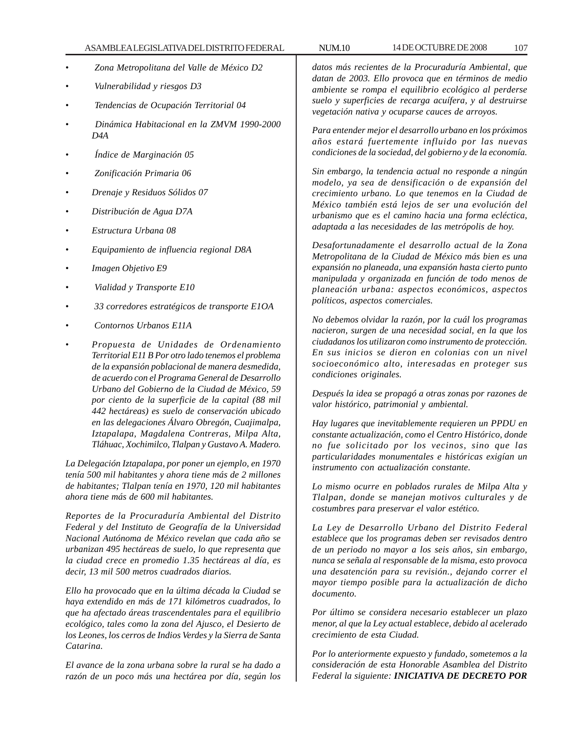## ASAMBLEA LEGISLATIVA DEL DISTRITO FEDERAL NUM.10 14 DE OCTUBRE DE 2008 107

- • *Zona Metropolitana del Valle de México D2*
- • *Vulnerabilidad y riesgos D3*
- • *Tendencias de Ocupación Territorial 04*
- • *Dinámica Habitacional en la ZMVM 1990-2000 D4A*
- • *Índice de Marginación 05*
- • *Zonificación Primaria 06*
- *Drenaje y Residuos Sólidos 07*
- *Distribución de Agua D7A*
- *Estructura Urbana 08*
- *Equipamiento de influencia regional D8A*
- *Imagen Objetivo E9*
- • *Vialidad y Transporte E10*
- • *33 corredores estratégicos de transporte E1OA*
- • *Contornos Urbanos E11A*
- *Propuesta de Unidades de Ordenamiento Territorial E11 B Por otro lado tenemos el problema de la expansión poblacional de manera desmedida, de acuerdo con el Programa General de Desarrollo Urbano del Gobierno de la Ciudad de México, 59 por ciento de la superficie de la capital (88 mil 442 hectáreas) es suelo de conservación ubicado en las delegaciones Álvaro Obregón, Cuajimalpa, Iztapalapa, Magdalena Contreras, Milpa Alta, Tláhuac, Xochimilco, Tlalpan y Gustavo A. Madero.*

*La Delegación Iztapalapa, por poner un ejemplo, en 1970 tenía 500 mil habitantes y ahora tiene más de 2 millones de habitantes; Tlalpan tenía en 1970, 120 mil habitantes ahora tiene más de 600 mil habitantes.*

*Reportes de la Procuraduría Ambiental del Distrito Federal y del Instituto de Geografía de la Universidad Nacional Autónoma de México revelan que cada año se urbanizan 495 hectáreas de suelo, lo que representa que la ciudad crece en promedio 1.35 hectáreas al día, es decir, 13 mil 500 metros cuadrados diarios.*

*Ello ha provocado que en la última década la Ciudad se haya extendido en más de 171 kilómetros cuadrados, lo que ha afectado áreas trascendentales para el equilibrio ecológico, tales como la zona del Ajusco, el Desierto de los Leones, los cerros de Indios Verdes y la Sierra de Santa Catarina.*

*El avance de la zona urbana sobre la rural se ha dado a razón de un poco más una hectárea por día, según los*

*datos más recientes de la Procuraduría Ambiental, que datan de 2003. Ello provoca que en términos de medio ambiente se rompa el equilibrio ecológico al perderse suelo y superficies de recarga acuífera, y al destruirse vegetación nativa y ocuparse cauces de arroyos.*

*Para entender mejor el desarrollo urbano en los próximos años estará fuertemente influido por las nuevas condiciones de la sociedad, del gobierno y de la economía.*

*Sin embargo, la tendencia actual no responde a ningún modelo, ya sea de densificación o de expansión del crecimiento urbano. Lo que tenemos en la Ciudad de México también está lejos de ser una evolución del urbanismo que es el camino hacia una forma ecléctica, adaptada a las necesidades de las metrópolis de hoy.*

*Desafortunadamente el desarrollo actual de la Zona Metropolitana de la Ciudad de México más bien es una expansión no planeada, una expansión hasta cierto punto manipulada y organizada en función de todo menos de planeación urbana: aspectos económicos, aspectos políticos, aspectos comerciales.*

*No debemos olvidar la razón, por la cuál los programas nacieron, surgen de una necesidad social, en la que los ciudadanos los utilizaron como instrumento de protección. En sus inicios se dieron en colonias con un nivel socioeconómico alto, interesadas en proteger sus condiciones originales.*

*Después la idea se propagó a otras zonas por razones de valor histórico, patrimonial y ambiental.*

*Hay lugares que inevitablemente requieren un PPDU en constante actualización, como el Centro Histórico, donde no fue solicitado por los vecinos, sino que las particularidades monumentales e históricas exigían un instrumento con actualización constante.*

*Lo mismo ocurre en poblados rurales de Milpa Alta y Tlalpan, donde se manejan motivos culturales y de costumbres para preservar el valor estético.*

*La Ley de Desarrollo Urbano del Distrito Federal establece que los programas deben ser revisados dentro de un periodo no mayor a los seis años, sin embargo, nunca se señala al responsable de la misma, esto provoca una desatención para su revisión., dejando correr el mayor tiempo posible para la actualización de dicho documento.*

*Por último se considera necesario establecer un plazo menor, al que la Ley actual establece, debido al acelerado crecimiento de esta Ciudad.*

*Por lo anteriormente expuesto y fundado, sometemos a la consideración de esta Honorable Asamblea del Distrito Federal la siguiente: INICIATIVA DE DECRETO POR*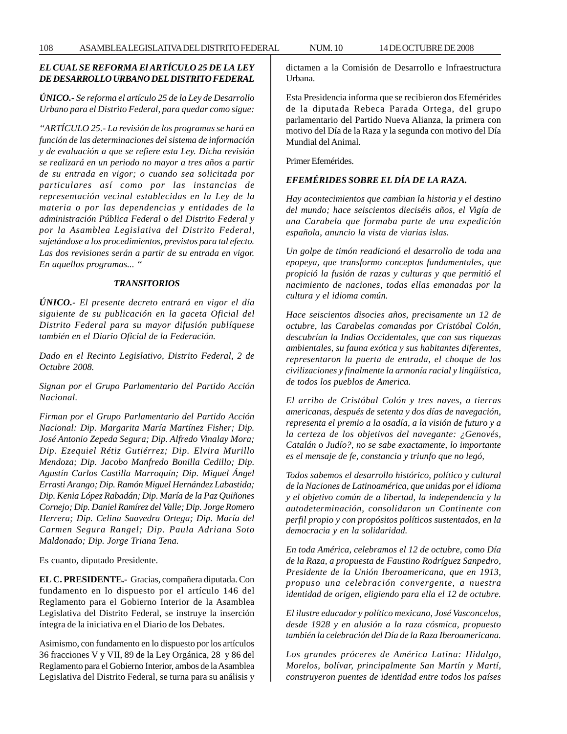# *EL CUAL SE REFORMA El ARTÍCULO 25 DE LA LEY DEDESARROLLO URBANO DEL DISTRITO FEDERAL*

*ÚNICO.- Se reforma el artículo 25 de la Ley de Desarrollo Urbano para el Distrito Federal, para quedar como sigue:*

*''ARTÍCULO 25.- La revisión de los programas se hará en función de las determinaciones del sistema de información y de evaluación a que se refiere esta Ley. Dicha revisión se realizará en un periodo no mayor a tres años a partir de su entrada en vigor; o cuando sea solicitada por particulares así como por las instancias de representación vecinal establecidas en la Ley de la materia o por las dependencias y entidades de la administración Pública Federal o del Distrito Federal y por la Asamblea Legislativa del Distrito Federal, sujetándose a los procedimientos, previstos para tal efecto. Las dos revisiones serán a partir de su entrada en vigor. En aquellos programas... ''*

#### *TRANSITORIOS*

*ÚNICO.- El presente decreto entrará en vigor el día siguiente de su publicación en la gaceta Oficial del Distrito Federal para su mayor difusión publíquese también en el Diario Oficial de la Federación.*

*Dado en el Recinto Legislativo, Distrito Federal, 2 de Octubre 2008.*

*Signan por el Grupo Parlamentario del Partido Acción Nacional.*

*Firman por el Grupo Parlamentario del Partido Acción Nacional: Dip. Margarita María Martínez Fisher; Dip. José Antonio Zepeda Segura; Dip. Alfredo Vinalay Mora; Dip. Ezequiel Rétiz Gutiérrez; Dip. Elvira Murillo Mendoza; Dip. Jacobo Manfredo Bonilla Cedillo; Dip. Agustín Carlos Castilla Marroquín; Dip. Miguel Ángel Errasti Arango; Dip. Ramón Miguel Hernández Labastida; Dip. Kenia López Rabadán; Dip. María de la Paz Quiñones Cornejo; Dip. Daniel Ramírez del Valle; Dip. Jorge Romero Herrera; Dip. Celina Saavedra Ortega; Dip. María del Carmen Segura Rangel; Dip. Paula Adriana Soto Maldonado; Dip. Jorge Triana Tena.*

Es cuanto, diputado Presidente.

**EL C. PRESIDENTE.-** Gracias, compañera diputada. Con fundamento en lo dispuesto por el artículo 146 del Reglamento para el Gobierno Interior de la Asamblea Legislativa del Distrito Federal, se instruye la inserción íntegra de la iniciativa en el Diario de los Debates.

Asimismo, con fundamento en lo dispuesto por los artículos 36 fracciones V y VII, 89 de la Ley Orgánica, 28 y 86 del Reglamento para el Gobierno Interior, ambos de la Asamblea Legislativa del Distrito Federal, se turna para su análisis y dictamen a la Comisión de Desarrollo e Infraestructura Urbana.

Esta Presidencia informa que se recibieron dos Efemérides de la diputada Rebeca Parada Ortega, del grupo parlamentario del Partido Nueva Alianza, la primera con motivo del Día de la Raza y la segunda con motivo del Día Mundial del Animal.

Primer Efemérides.

# *EFEMÉRIDES SOBRE EL DÍA DE LA RAZA.*

*Hay acontecimientos que cambian la historia y el destino del mundo; hace seiscientos dieciséis años, el Vigía de una Carabela que formaba parte de una expedición española, anuncio la vista de viarias islas.*

*Un golpe de timón readicionó el desarrollo de toda una epopeya, que transformo conceptos fundamentales, que propició la fusión de razas y culturas y que permitió el nacimiento de naciones, todas ellas emanadas por la cultura y el idioma común.*

*Hace seiscientos disocies años, precisamente un 12 de octubre, las Carabelas comandas por Cristóbal Colón, descubrían la Indias Occidentales, que con sus riquezas ambientales, su fauna exótica y sus habitantes diferentes, representaron la puerta de entrada, el choque de los civilizaciones y finalmente la armonía racial y lingüística, de todos los pueblos de America.*

*El arribo de Cristóbal Colón y tres naves, a tierras americanas, después de setenta y dos días de navegación, representa el premio a la osadía, a la visión de futuro y a la certeza de los objetivos del navegante: ¿Genovés, Catalán o Judío?, no se sabe exactamente, lo importante es el mensaje de fe, constancia y triunfo que no legó,*

*Todos sabemos el desarrollo histórico, político y cultural de la Naciones de Latinoamérica, que unidas por el idioma y el objetivo común de a libertad, la independencia y la autodeterminación, consolidaron un Continente con perfil propio y con propósitos políticos sustentados, en la democracia y en la solidaridad.*

*En toda América, celebramos el 12 de octubre, como Día de la Raza, a propuesta de Faustino Rodríguez Sanpedro, Presidente de la Unión Iberoamericana, que en 1913, propuso una celebración convergente, a nuestra identidad de origen, eligiendo para ella el 12 de octubre.*

*El ilustre educador y político mexicano, José Vasconcelos, desde 1928 y en alusión a la raza cósmica, propuesto también la celebración del Día de la Raza Iberoamericana.*

*Los grandes próceres de América Latina: Hidalgo, Morelos, bolívar, principalmente San Martín y Martí, construyeron puentes de identidad entre todos los países*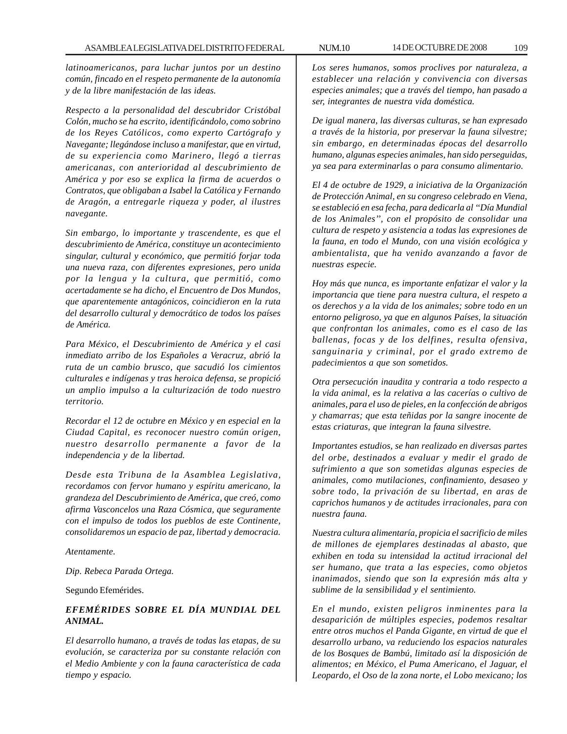*latinoamericanos, para luchar juntos por un destino común, fincado en el respeto permanente de la autonomía y de la libre manifestación de las ideas.*

*Respecto a la personalidad del descubridor Cristóbal Colón, mucho se ha escrito, identificándolo, como sobrino de los Reyes Católicos, como experto Cartógrafo y Navegante; llegándose incluso a manifestar, que en virtud, de su experiencia como Marinero, llegó a tierras americanas, con anterioridad al descubrimiento de América y por eso se explica la firma de acuerdos o Contratos, que obligaban a Isabel la Católica y Fernando de Aragón, a entregarle riqueza y poder, al ilustres navegante.*

*Sin embargo, lo importante y trascendente, es que el descubrimiento de América, constituye un acontecimiento singular, cultural y económico, que permitió forjar toda una nueva raza, con diferentes expresiones, pero unida por la lengua y la cultura, que permitió, como acertadamente se ha dicho, el Encuentro de Dos Mundos, que aparentemente antagónicos, coincidieron en la ruta del desarrollo cultural y democrático de todos los países de América.*

*Para México, el Descubrimiento de América y el casi inmediato arribo de los Españoles a Veracruz, abrió la ruta de un cambio brusco, que sacudió los cimientos culturales e indígenas y tras heroica defensa, se propició un amplio impulso a la culturización de todo nuestro territorio.*

*Recordar el 12 de octubre en México y en especial en la Ciudad Capital, es reconocer nuestro común origen, nuestro desarrollo permanente a favor de la independencia y de la libertad.*

*Desde esta Tribuna de la Asamblea Legislativa, recordamos con fervor humano y espíritu americano, la grandeza del Descubrimiento de América, que creó, como afirma Vasconcelos una Raza Cósmica, que seguramente con el impulso de todos los pueblos de este Continente, consolidaremos un espacio de paz, libertad y democracia.*

*Atentamente.*

*Dip. Rebeca Parada Ortega.*

Segundo Efemérides.

# *EFEMÉRIDES SOBRE EL DÍA MUNDIAL DEL ANIMAL.*

*El desarrollo humano, a través de todas las etapas, de su evolución, se caracteriza por su constante relación con el Medio Ambiente y con la fauna característica de cada tiempo y espacio.*

*Los seres humanos, somos proclives por naturaleza, a establecer una relación y convivencia con diversas especies animales; que a través del tiempo, han pasado a ser, integrantes de nuestra vida doméstica.*

*De igual manera, las diversas culturas, se han expresado a través de la historia, por preservar la fauna silvestre; sin embargo, en determinadas épocas del desarrollo humano, algunas especies animales, han sido perseguidas, ya sea para exterminarlas o para consumo alimentario.*

*El 4 de octubre de 1929, a iniciativa de la Organización de Protección Animal, en su congreso celebrado en Viena, se estableció en esa fecha, para dedicarla al ''Día Mundial de los Animales'', con el propósito de consolidar una cultura de respeto y asistencia a todas las expresiones de la fauna, en todo el Mundo, con una visión ecológica y ambientalista, que ha venido avanzando a favor de nuestras especie.*

*Hoy más que nunca, es importante enfatizar el valor y la importancia que tiene para nuestra cultura, el respeto a os derechos y a la vida de los animales; sobre todo en un entorno peligroso, ya que en algunos Países, la situación que confrontan los animales, como es el caso de las ballenas, focas y de los delfines, resulta ofensiva, sanguinaria y criminal, por el grado extremo de padecimientos a que son sometidos.*

*Otra persecución inaudita y contraria a todo respecto a la vida animal, es la relativa a las cacerías o cultivo de animales, para el uso de pieles, en la confección de abrigos y chamarras; que esta teñidas por la sangre inocente de estas criaturas, que integran la fauna silvestre.*

*Importantes estudios, se han realizado en diversas partes del orbe, destinados a evaluar y medir el grado de sufrimiento a que son sometidas algunas especies de animales, como mutilaciones, confinamiento, desaseo y sobre todo, la privación de su libertad, en aras de caprichos humanos y de actitudes irracionales, para con nuestra fauna.*

*Nuestra cultura alimentaría, propicia el sacrificio de miles de millones de ejemplares destinadas al abasto, que exhiben en toda su intensidad la actitud irracional del ser humano, que trata a las especies, como objetos inanimados, siendo que son la expresión más alta y sublime de la sensibilidad y el sentimiento.*

*En el mundo, existen peligros inminentes para la desaparición de múltiples especies, podemos resaltar entre otros muchos el Panda Gigante, en virtud de que el desarrollo urbano, va reduciendo los espacios naturales de los Bosques de Bambú, limitado así la disposición de alimentos; en México, el Puma Americano, el Jaguar, el Leopardo, el Oso de la zona norte, el Lobo mexicano; los*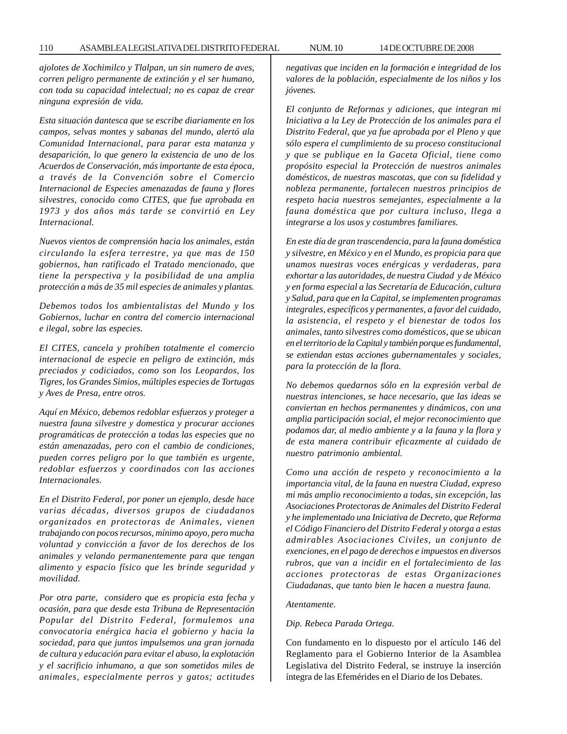*ajolotes de Xochimilco y Tlalpan, un sin numero de aves, corren peligro permanente de extinción y el ser humano, con toda su capacidad intelectual; no es capaz de crear ninguna expresión de vida.*

*Esta situación dantesca que se escribe diariamente en los campos, selvas montes y sabanas del mundo, alertó ala Comunidad Internacional, para parar esta matanza y desaparición, lo que genero la existencia de uno de los Acuerdos de Conservación, más importante de esta época, a través de la Convención sobre el Comercio Internacional de Especies amenazadas de fauna y flores silvestres, conocido como CITES, que fue aprobada en 1973 y dos años más tarde se convirtió en Ley Internacional.*

*Nuevos vientos de comprensión hacia los animales, están circulando la esfera terrestre, ya que mas de 150 gobiernos, han ratificado el Tratado mencionado, que tiene la perspectiva y la posibilidad de una amplia protección a más de 35 mil especies de animales y plantas.*

*Debemos todos los ambientalistas del Mundo y los Gobiernos, luchar en contra del comercio internacional e ilegal, sobre las especies.*

*El CITES, cancela y prohíben totalmente el comercio internacional de especie en peligro de extinción, más preciados y codiciados, como son los Leopardos, los Tigres, los Grandes Simios, múltiples especies de Tortugas y Aves de Presa, entre otros.*

*Aquí en México, debemos redoblar esfuerzos y proteger a nuestra fauna silvestre y domestica y procurar acciones programáticas de protección a todas las especies que no están amenazadas, pero con el cambio de condiciones, pueden corres peligro por lo que también es urgente, redoblar esfuerzos y coordinados con las acciones Internacionales.*

*En el Distrito Federal, por poner un ejemplo, desde hace varias décadas, diversos grupos de ciudadanos organizados en protectoras de Animales, vienen trabajando con pocos recursos, mínimo apoyo, pero mucha voluntad y convicción a favor de los derechos de los animales y velando permanentemente para que tengan alimento y espacio físico que les brinde seguridad y movilidad.*

*Por otra parte, considero que es propicia esta fecha y ocasión, para que desde esta Tribuna de Representación Popular del Distrito Federal, formulemos una convocatoria enérgica hacia el gobierno y hacia la sociedad, para que juntos impulsemos una gran jornada de cultura y educación para evitar el abuso, la explotación y el sacrificio inhumano, a que son sometidos miles de animales, especialmente perros y gatos; actitudes*

*negativas que inciden en la formación e integridad de los valores de la población, especialmente de los niños y los jóvenes.*

*El conjunto de Reformas y adiciones, que integran mi Iniciativa a la Ley de Protección de los animales para el Distrito Federal, que ya fue aprobada por el Pleno y que sólo espera el cumplimiento de su proceso constitucional y que se publique en la Gaceta Oficial, tiene como propósito especial la Protección de nuestros animales domésticos, de nuestras mascotas, que con su fidelidad y nobleza permanente, fortalecen nuestros principios de respeto hacia nuestros semejantes, especialmente a la fauna doméstica que por cultura incluso, llega a integrarse a los usos y costumbres familiares.*

*En este día de gran trascendencia, para la fauna doméstica y silvestre, en México y en el Mundo, es propicia para que unamos nuestras voces enérgicas y verdaderas, para exhortar a las autoridades, de nuestra Ciudad y de México y en forma especial a las Secretaría de Educación, cultura y Salud, para que en la Capital, se implementen programas integrales, específicos y permanentes, a favor del cuidado, la asistencia, el respeto y el bienestar de todos los animales, tanto silvestres como domésticos, que se ubican en el territorio de la Capital y también porque es fundamental, se extiendan estas acciones gubernamentales y sociales, para la protección de la flora.*

*No debemos quedarnos sólo en la expresión verbal de nuestras intenciones, se hace necesario, que las ideas se conviertan en hechos permanentes y dinámicos, con una amplia participación social, el mejor reconocimiento que podamos dar, al medio ambiente y a la fauna y la flora y de esta manera contribuir eficazmente al cuidado de nuestro patrimonio ambiental.*

*Como una acción de respeto y reconocimiento a la importancia vital, de la fauna en nuestra Ciudad, expreso mi más amplio reconocimiento a todas, sin excepción, las Asociaciones Protectoras de Animales del Distrito Federal y he implementado una Iniciativa de Decreto, que Reforma el Código Financiero del Distrito Federal y otorga a estas admirables Asociaciones Civiles, un conjunto de exenciones, en el pago de derechos e impuestos en diversos rubros, que van a incidir en el fortalecimiento de las acciones protectoras de estas Organizaciones Ciudadanas, que tanto bien le hacen a nuestra fauna.*

#### *Atentamente.*

### *Dip. Rebeca Parada Ortega.*

Con fundamento en lo dispuesto por el artículo 146 del Reglamento para el Gobierno Interior de la Asamblea Legislativa del Distrito Federal, se instruye la inserción íntegra de las Efemérides en el Diario de los Debates.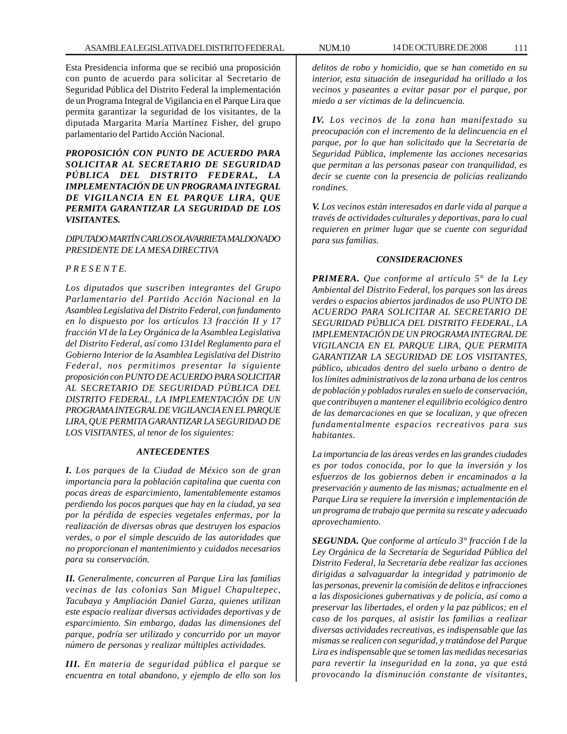Esta Presidencia informa que se recibió una proposición con punto de acuerdo para solicitar al Secretario de Seguridad Pública del Distrito Federal la implementación de un Programa Integral de Vigilancia en el Parque Lira que permita garantizar la seguridad de los visitantes, de la diputada Margarita María Martínez Fisher, del grupo parlamentario del Partido Acción Nacional.

*PROPOSICIÓN CON PUNTO DE ACUERDO PARA SOLICITAR AL SECRETARIO DE SEGURIDAD PÚBLICA DEL DISTRITO FEDERAL, LA IMPLEMENTACIÓN DE UN PROGRAMA INTEGRAL DE VIGILANCIA EN EL PARQUE LIRA, QUE PERMITA GARANTIZAR LA SEGURIDAD DE LOS VISITANTES.*

## *DIPUTADO MARTÍN CARLOS OLAVARRIETA MALDONADO PRESIDENTE DE LA MESA DIRECTIVA*

## *P R E S E N T E.*

*Los diputados que suscriben integrantes del Grupo Parlamentario del Partido Acción Nacional en la Asamblea Legislativa del Distrito Federal, con fundamento en lo dispuesto por los artículos 13 fracción II y 17 fracción VI de la Ley Orgánica de la Asamblea Legislativa del Distrito Federal, así como 131del Reglamento para el Gobierno Interior de la Asamblea Legislativa del Distrito Federal, nos permitimos presentar la siguiente proposición con PUNTO DE ACUERDO PARA SOLICITAR AL SECRETARIO DE SEGURIDAD PÚBLICA DEL DISTRITO FEDERAL, LA IMPLEMENTACIÓN DE UN PROGRAMA INTEGRAL DE VIGILANCIA EN EL PARQUE LIRA, QUE PERMITA GARANTIZAR LA SEGURIDAD DE LOS VISITANTES, al tenor de los siguientes:*

### *ANTECEDENTES*

*I. Los parques de la Ciudad de México son de gran importancia para la población capitalina que cuenta con pocas áreas de esparcimiento, lamentablemente estamos perdiendo los pocos parques que hay en la ciudad, ya sea por la pérdida de especies vegetales enfermas, por la realización de diversas obras que destruyen los espacios verdes, o por el simple descuido de las autoridades que no proporcionan el mantenimiento y cuidados necesarios para su conservación.*

*II. Generalmente, concurren al Parque Lira las familias vecinas de las colonias San Miguel Chapultepec, Tacubaya y Ampliación Daniel Garza, quienes utilizan este espacio realizar diversas actividades deportivas y de esparcimiento. Sin embargo, dadas las dimensiones del parque, podría ser utilizado y concurrido por un mayor número de personas y realizar múltiples actividades.*

*III. En materia de seguridad pública el parque se encuentra en total abandono, y ejemplo de ello son los* *delitos de robo y homicidio, que se han cometido en su interior, esta situación de inseguridad ha orillado a los vecinos y paseantes a evitar pasar por el parque, por miedo a ser víctimas de la delincuencia.*

*IV. Los vecinos de la zona han manifestado su preocupación con el incremento de la delincuencia en el parque, por lo que han solicitado que la Secretaría de Seguridad Pública, implemente las acciones necesarias que permitan a las personas pasear con tranquilidad, es decir se cuente con la presencia de policías realizando rondines.*

*V. Los vecinos están interesados en darle vida al parque a través de actividades culturales y deportivas, para lo cual requieren en primer lugar que se cuente con seguridad para sus familias.*

#### *CONSIDERACIONES*

*PRIMERA. Que conforme al artículo 5° de la Ley Ambiental del Distrito Federal, los parques son las áreas verdes o espacios abiertos jardinados de uso PUNTO DE ACUERDO PARA SOLICITAR AL SECRETARIO DE SEGURIDAD PÚBLICA DEL DISTRITO FEDERAL, LA IMPLEMENTACIÓN DE UN PROGRAMA INTEGRAL DE VIGILANCIA EN EL PARQUE LIRA, QUE PERMITA GARANTIZAR LA SEGURIDAD DE LOS VISITANTES, público, ubicados dentro del suelo urbano o dentro de los límites administrativos de la zona urbana de los centros de población y poblados rurales en suelo de conservación, que contribuyen a mantener el equilibrio ecológico dentro de las demarcaciones en que se localizan, y que ofrecen fundamentalmente espacios recreativos para sus habitantes.*

*La importancia de las áreas verdes en las grandes ciudades es por todos conocida, por lo que la inversión y los esfuerzos de los gobiernos deben ir encaminados a la preservación y aumento de las mismas; actualmente en el Parque Lira se requiere la inversión e implementación de un programa de trabajo que permita su rescate y adecuado aprovechamiento.*

*SEGUNDA. Que conforme al artículo 3° fracción I de la Ley Orgánica de la Secretaría de Seguridad Pública del Distrito Federal, la Secretaría debe realizar las acciones dirigidas a salvaguardar la integridad y patrimonio de las personas, prevenir la comisión de delitos e infracciones a las disposiciones gubernativas y de policía, así como a preservar las libertades, el orden y la paz públicos; en el caso de los parques, al asistir las familias a realizar diversas actividades recreativas, es indispensable que las mismas se realicen con seguridad, y tratándose del Parque Lira es indispensable que se tomen las medidas necesarias para revertir la inseguridad en la zona, ya que está provocando la disminución constante de visitantes,*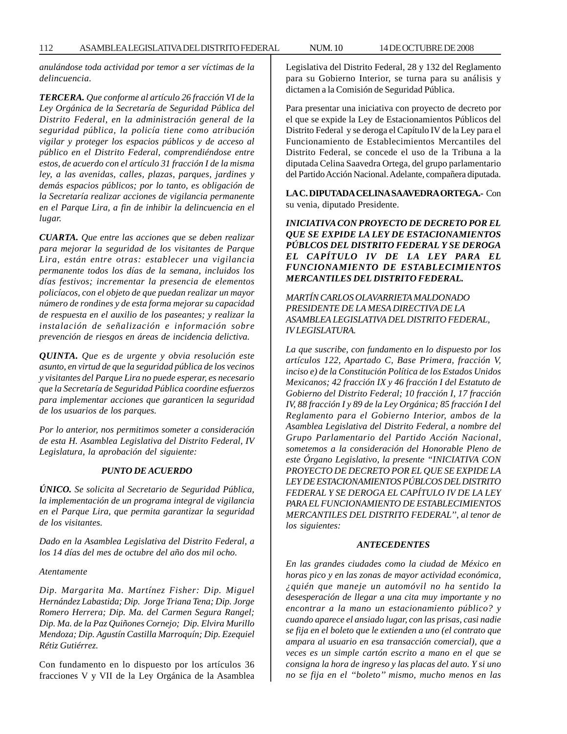*anulándose toda actividad por temor a ser víctimas de la delincuencia.*

*TERCERA. Que conforme al artículo 26 fracción VI de la Ley Orgánica de la Secretaría de Seguridad Pública del Distrito Federal, en la administración general de la seguridad pública, la policía tiene como atribución vigilar y proteger los espacios públicos y de acceso al público en el Distrito Federal, comprendiéndose entre estos, de acuerdo con el artículo 31 fracción I de la misma ley, a las avenidas, calles, plazas, parques, jardines y demás espacios públicos; por lo tanto, es obligación de la Secretaría realizar acciones de vigilancia permanente en el Parque Lira, a fin de inhibir la delincuencia en el lugar.*

*CUARTA. Que entre las acciones que se deben realizar para mejorar la seguridad de los visitantes de Parque Lira, están entre otras: establecer una vigilancia permanente todos los días de la semana, incluidos los días festivos; incrementar la presencia de elementos policíacos, con el objeto de que puedan realizar un mayor número de rondines y de esta forma mejorar su capacidad de respuesta en el auxilio de los paseantes; y realizar la instalación de señalización e información sobre prevención de riesgos en áreas de incidencia delictiva.*

*QUINTA. Que es de urgente y obvia resolución este asunto, en virtud de que la seguridad pública de los vecinos y visitantes del Parque Lira no puede esperar, es necesario que la Secretaría de Seguridad Pública coordine esfuerzos para implementar acciones que garanticen la seguridad de los usuarios de los parques.*

*Por lo anterior, nos permitimos someter a consideración de esta H. Asamblea Legislativa del Distrito Federal, IV Legislatura, la aprobación del siguiente:*

#### *PUNTO DE ACUERDO*

*ÚNICO. Se solicita al Secretario de Seguridad Pública, la implementación de un programa integral de vigilancia en el Parque Lira, que permita garantizar la seguridad de los visitantes.*

*Dado en la Asamblea Legislativa del Distrito Federal, a los 14 días del mes de octubre del año dos mil ocho.*

*Atentamente*

*Dip. Margarita Ma. Martínez Fisher: Dip. Miguel Hernández Labastida; Dip. Jorge Triana Tena; Dip. Jorge Romero Herrera; Dip. Ma. del Carmen Segura Rangel; Dip. Ma. de la Paz Quiñones Cornejo; Dip. Elvira Murillo Mendoza; Dip. Agustín Castilla Marroquín; Dip. Ezequiel Rétiz Gutiérrez.*

Con fundamento en lo dispuesto por los artículos 36 fracciones V y VII de la Ley Orgánica de la Asamblea Legislativa del Distrito Federal, 28 y 132 del Reglamento para su Gobierno Interior, se turna para su análisis y dictamen a la Comisión de Seguridad Pública.

Para presentar una iniciativa con proyecto de decreto por el que se expide la Ley de Estacionamientos Públicos del Distrito Federal y se deroga el Capítulo IV de la Ley para el Funcionamiento de Establecimientos Mercantiles del Distrito Federal, se concede el uso de la Tribuna a la diputada Celina Saavedra Ortega, del grupo parlamentario del Partido Acción Nacional. Adelante, compañera diputada.

**LA C. DIPUTADA CELINA SAAVEDRA ORTEGA.-** Con su venia, diputado Presidente.

*INICIATIVA CON PROYECTO DE DECRETO POR EL QUE SE EXPIDE LA LEY DE ESTACIONAMIENTOS PÚBLCOS DEL DISTRITO FEDERAL Y SE DEROGA EL CAPÍTULO IV DE LA LEY PARA EL FUNCIONAMIENTO DE ESTABLECIMIENTOS MERCANTILES DEL DISTRITO FEDERAL.*

*MARTÍN CARLOS OLAVARRIETA MALDONADO PRESIDENTE DE LA MESA DIRECTIVA DE LA ASAMBLEA LEGISLATIVA DEL DISTRITO FEDERAL, IV LEGISLATURA.*

*La que suscribe, con fundamento en lo dispuesto por los artículos 122, Apartado C, Base Primera, fracción V, inciso e) de la Constitución Política de los Estados Unidos Mexicanos; 42 fracción IX y 46 fracción I del Estatuto de Gobierno del Distrito Federal; 10 fracción I, 17 fracción IV, 88 fracción I y 89 de la Ley Orgánica; 85 fracción I del Reglamento para el Gobierno Interior, ambos de la Asamblea Legislativa del Distrito Federal, a nombre del Grupo Parlamentario del Partido Acción Nacional, sometemos a la consideración del Honorable Pleno de este Órgano Legislativo, la presente ''INICIATIVA CON PROYECTO DE DECRETO POR EL QUE SE EXPIDE LA LEY DE ESTACIONAMIENTOS PÚBLCOS DEL DISTRITO FEDERAL Y SE DEROGA EL CAPÍTULO IV DE LA LEY PARA EL FUNCIONAMIENTO DE ESTABLECIMIENTOS MERCANTILES DEL DISTRITO FEDERAL'', al tenor de los siguientes:*

#### *ANTECEDENTES*

*En las grandes ciudades como la ciudad de México en horas pico y en las zonas de mayor actividad económica, ¿quién que maneje un automóvil no ha sentido la desesperación de llegar a una cita muy importante y no encontrar a la mano un estacionamiento público? y cuando aparece el ansiado lugar, con las prisas, casi nadie se fija en el boleto que le extienden a uno (el contrato que ampara al usuario en esa transacción comercial), que a veces es un simple cartón escrito a mano en el que se consigna la hora de ingreso y las placas del auto. Y si uno no se fija en el ''boleto'' mismo, mucho menos en las*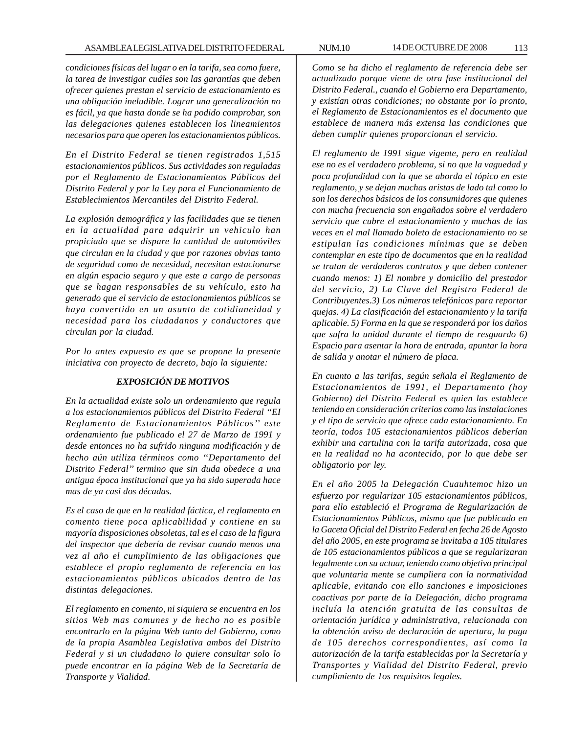*condiciones físicas del lugar o en la tarifa, sea como fuere, la tarea de investigar cuáles son las garantías que deben ofrecer quienes prestan el servicio de estacionamiento es una obligación ineludible. Lograr una generalización no es fácil, ya que hasta donde se ha podido comprobar, son las delegaciones quienes establecen los lineamientos necesarios para que operen los estacionamientos públicos.*

*En el Distrito Federal se tienen registrados 1,515 estacionamientos públicos. Sus actividades son reguladas por el Reglamento de Estacionamientos Públicos del Distrito Federal y por la Ley para el Funcionamiento de Establecimientos Mercantiles del Distrito Federal.*

*La explosión demográfica y las facilidades que se tienen en la actualidad para adquirir un vehiculo han propiciado que se dispare la cantidad de automóviles que circulan en la ciudad y que por razones obvias tanto de seguridad como de necesidad, necesitan estacionarse en algún espacio seguro y que este a cargo de personas que se hagan responsables de su vehículo, esto ha generado que el servicio de estacionamientos públicos se haya convertido en un asunto de cotidianeidad y necesidad para los ciudadanos y conductores que circulan por la ciudad.*

*Por lo antes expuesto es que se propone la presente iniciativa con proyecto de decreto, bajo la siguiente:*

## *EXPOSICIÓN DE MOTIVOS*

*En la actualidad existe solo un ordenamiento que regula a los estacionamientos públicos del Distrito Federal ''EI Reglamento de Estacionamientos Públicos'' este ordenamiento fue publicado el 27 de Marzo de 1991 y desde entonces no ha sufrido ninguna modificación y de hecho aún utiliza términos como ''Departamento del Distrito Federal'' termino que sin duda obedece a una antigua época institucional que ya ha sido superada hace mas de ya casi dos décadas.*

*Es el caso de que en la realidad fáctica, el reglamento en comento tiene poca aplicabilidad y contiene en su mayoría disposiciones obsoletas, tal es el caso de la figura del inspector que debería de revisar cuando menos una vez al año el cumplimiento de las obligaciones que establece el propio reglamento de referencia en los estacionamientos públicos ubicados dentro de las distintas delegaciones.*

*El reglamento en comento, ni siquiera se encuentra en los sitios Web mas comunes y de hecho no es posible encontrarlo en la página Web tanto del Gobierno, como de la propia Asamblea Legislativa ambos del Distrito Federal y si un ciudadano lo quiere consultar solo lo puede encontrar en la página Web de la Secretaría de Transporte y Vialidad.*

*Como se ha dicho el reglamento de referencia debe ser actualizado porque viene de otra fase institucional del Distrito Federal., cuando el Gobierno era Departamento, y existían otras condiciones; no obstante por lo pronto, el Reglamento de Estacionamientos es el documento que establece de manera más extensa las condiciones que deben cumplir quienes proporcionan el servicio.*

*El reglamento de 1991 sigue vigente, pero en realidad ese no es el verdadero problema, si no que la vaguedad y poca profundidad con la que se aborda el tópico en este reglamento, y se dejan muchas aristas de lado tal como lo son los derechos básicos de los consumidores que quienes con mucha frecuencia son engañados sobre el verdadero servicio que cubre el estacionamiento y muchas de las veces en el mal llamado boleto de estacionamiento no se estipulan las condiciones mínimas que se deben contemplar en este tipo de documentos que en la realidad se tratan de verdaderos contratos y que deben contener cuando menos: 1) El nombre y domicilio del prestador del servicio, 2) La Clave del Registro Federal de Contribuyentes.3) Los números telefónicos para reportar quejas. 4) La clasificación del estacionamiento y la tarifa aplicable. 5) Forma en la que se responderá por los daños que sufra la unidad durante el tiempo de resguardo 6) Espacio para asentar la hora de entrada, apuntar la hora de salida y anotar el número de placa.*

*En cuanto a las tarifas, según señala el Reglamento de Estacionamientos de 1991, el Departamento (hoy Gobierno) del Distrito Federal es quien las establece teniendo en consideración criterios como las instalaciones y el tipo de servicio que ofrece cada estacionamiento. En teoría, todos 105 estacionamientos públicos deberían exhibir una cartulina con la tarifa autorizada, cosa que en la realidad no ha acontecido, por lo que debe ser obligatorio por ley.*

*En el año 2005 la Delegación Cuauhtemoc hizo un esfuerzo por regularizar 105 estacionamientos públicos, para ello estableció el Programa de Regularización de Estacionamientos Públicos, mismo que fue publicado en la Gaceta Oficial del Distrito Federal en fecha 26 de Agosto del año 2005, en este programa se invitaba a 105 titulares de 105 estacionamientos públicos a que se regularizaran legalmente con su actuar, teniendo como objetivo principal que voluntaria mente se cumpliera con la normatividad aplicable, evitando con ello sanciones e imposiciones coactivas por parte de la Delegación, dicho programa incluía la atención gratuita de las consultas de orientación jurídica y administrativa, relacionada con la obtención aviso de declaración de apertura, la paga de 105 derechos correspondientes, así como la autorización de la tarifa establecidas por la Secretaría y Transportes y Vialidad del Distrito Federal, previo cumplimiento de 1os requisitos legales.*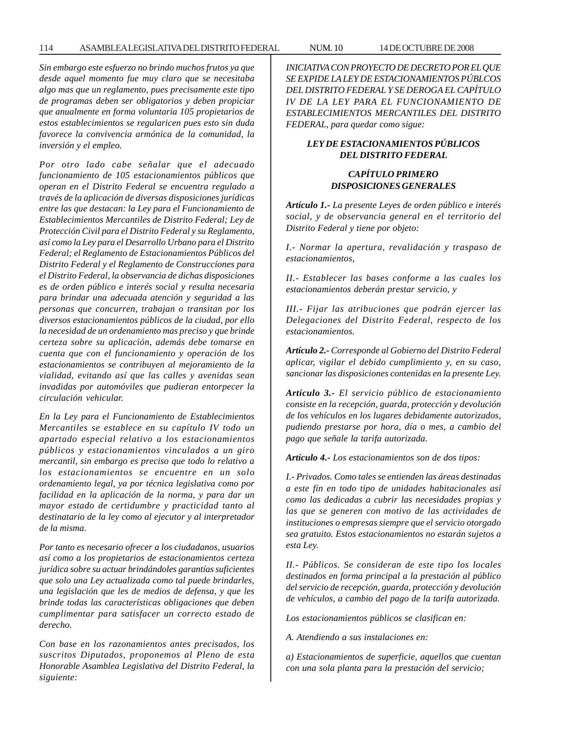*Sin embargo este esfuerzo no brindo muchos frutos ya que desde aquel momento fue muy claro que se necesitaba algo mas que un reglamento, pues precisamente este tipo de programas deben ser obligatorios y deben propiciar que anualmente en forma voluntaria 105 propietarios de estos establecimientos se regularicen pues esto sin duda favorece la convivencia armónica de la comunidad, la inversión y el empleo.*

*Por otro lado cabe señalar que el adecuado funcionamiento de 105 estacionamientos públicos que operan en el Distrito Federal se encuentra regulado a través de la aplicación de diversas disposiciones jurídicas entre las que destacan: la Ley para el Funcionamiento de Establecimientos Mercantiles de Distrito Federal; Ley de Protección Civil para el Distrito Federal y su Reglamento, así como la Ley para el Desarrollo Urbano para el Distrito Federal; el Reglamento de Estacionamientos Públicos del Distrito Federal y el Reglamento de Construcciones para el Distrito Federal, la observancia de dichas disposiciones es de orden público e interés social y resulta necesaria para brindar una adecuada atención y seguridad a las personas que concurren, trabajan o transitan por los diversos estacionamientos públicos de la ciudad, por ello la necesidad de un ordenamiento mas preciso y que brinde certeza sobre su aplicación, además debe tomarse en cuenta que con el funcionamiento y operación de los estacionamientos se contribuyen al mejoramiento de la vialidad, evitando así que las calles y avenidas sean invadidas por automóviles que pudieran entorpecer la circulación vehicular.*

*En la Ley para el Funcionamiento de Establecimientos Mercantiles se establece en su capítulo IV todo un apartado especial relativo a los estacionamientos públicos y estacionamientos vinculados a un giro mercantil, sin embargo es preciso que todo lo relativo a los estacionamientos se encuentre en un solo ordenamiento legal, ya por técnica legislativa como por facilidad en la aplicación de la norma, y para dar un mayor estado de certidumbre y practicidad tanto al destinatario de la ley como al ejecutor y al interpretador de la misma.*

*Por tanto es necesario ofrecer a los ciudadanos, usuarios así como a los propietarios de estacionamientos certeza jurídica sobre su actuar brindándoles garantías suficientes que solo una Ley actualizada como tal puede brindarles, una legislación que les de medios de defensa, y que les brinde todas las características obligaciones que deben cumplimentar para satisfacer un correcto estado de derecho.*

*Con base en los razonamientos antes precisados, los suscritos Diputados, proponemos al Pleno de esta Honorable Asamblea Legislativa del Distrito Federal, la siguiente:*

*INICIATIVA CON PROYECTO DE DECRETO POR EL QUE SE EXPIDE LA LEY DE ESTACIONAMIENTOS PÚBLCOS DEL DISTRITO FEDERAL Y SE DEROGA EL CAPÍTULO IV DE LA LEY PARA EL FUNCIONAMIENTO DE ESTABLECIMIENTOS MERCANTILES DEL DISTRITO FEDERAL, para quedar como sigue:*

# *LEY DE ESTACIONAMIENTOS PÚBLICOS DEL DISTRITO FEDERAL*

## *CAPÍTULO PRIMERO DISPOSICIONES GENERALES*

*Artículo 1.- La presente Leyes de orden público e interés social, y de observancia general en el territorio del Distrito Federal y tiene por objeto:*

*I.- Normar la apertura, revalidación y traspaso de estacionamientos,*

*II.- Establecer las bases conforme a las cuales los estacionamientos deberán prestar servicio, y*

*III.- Fijar las atribuciones que podrán ejercer las Delegaciones del Distrito Federal, respecto de los estacionamientos.*

*Artículo 2.- Corresponde al Gobierno del Distrito Federal aplicar, vigilar el debido cumplimiento y, en su caso, sancionar las disposiciones contenidas en la presente Ley.*

*Artículo 3.- El servicio público de estacionamiento consiste en la recepción, guarda, protección y devolución de los vehículos en los lugares debidamente autorizados, pudiendo prestarse por hora, día o mes, a cambio del pago que señale la tarifa autorizada.*

*Artículo 4.- Los estacionamientos son de dos tipos:*

*I.- Privados. Como tales se entienden las áreas destinadas a este fin en todo tipo de unidades habitacionales así como las dedicadas a cubrir las necesidades propias y las que se generen con motivo de las actividades de instituciones o empresas siempre que el servicio otorgado sea gratuito. Estos estacionamientos no estarán sujetos a esta Ley.*

*II.- Públicos. Se consideran de este tipo los locales destinados en forma principal a la prestación al público del servicio de recepción, guarda, protección y devolución de vehículos, a cambio del pago de la tarifa autorizada.*

*Los estacionamientos públicos se clasifican en:*

*A. Atendiendo a sus instalaciones en:*

*a) Estacionamientos de superficie, aquellos que cuentan con una sola planta para la prestación del servicio;*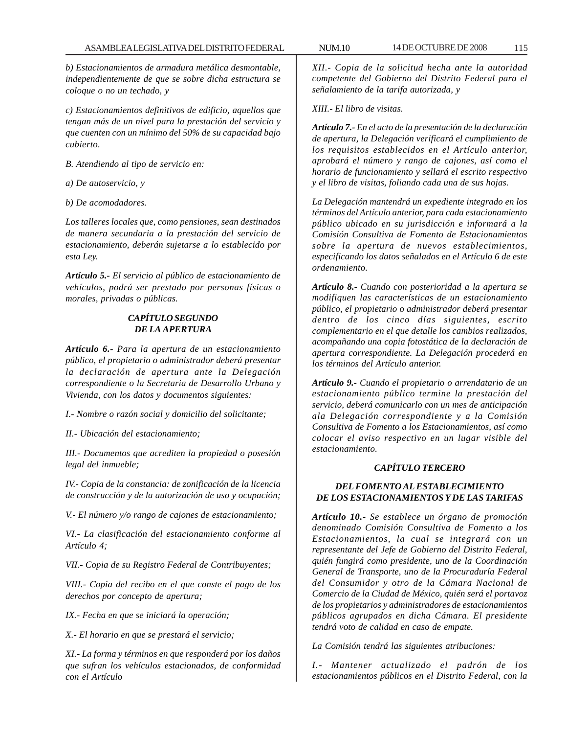*b) Estacionamientos de armadura metálica desmontable, independientemente de que se sobre dicha estructura se coloque o no un techado, y*

*c) Estacionamientos definitivos de edificio, aquellos que tengan más de un nivel para la prestación del servicio y que cuenten con un mínimo del 50% de su capacidad bajo cubierto.*

*B. Atendiendo al tipo de servicio en:*

*a) De autoservicio, y*

*b) De acomodadores.*

*Los talleres locales que, como pensiones, sean destinados de manera secundaria a la prestación del servicio de estacionamiento, deberán sujetarse a lo establecido por esta Ley.*

*Artículo 5.- El servicio al público de estacionamiento de vehículos, podrá ser prestado por personas físicas o morales, privadas o públicas.*

# *CAPÍTULO SEGUNDO DE LA APERTURA*

*Artículo 6.- Para la apertura de un estacionamiento público, el propietario o administrador deberá presentar la declaración de apertura ante la Delegación correspondiente o la Secretaria de Desarrollo Urbano y Vivienda, con los datos y documentos siguientes:*

*I.- Nombre o razón social y domicilio del solicitante;*

*II.- Ubicación del estacionamiento;*

*III.- Documentos que acrediten la propiedad o posesión legal del inmueble;*

*IV.- Copia de la constancia: de zonificación de la licencia de construcción y de la autorización de uso y ocupación;*

*V.- El número y/o rango de cajones de estacionamiento;*

*VI.- La clasificación del estacionamiento conforme al Artículo 4;*

*VII.- Copia de su Registro Federal de Contribuyentes;*

*VIII.- Copia del recibo en el que conste el pago de los derechos por concepto de apertura;*

*IX.- Fecha en que se iniciará la operación;*

*X.- El horario en que se prestará el servicio;*

*XI.- La forma y términos en que responderá por los daños que sufran los vehículos estacionados, de conformidad con el Artículo*

*XII.- Copia de la solicitud hecha ante la autoridad competente del Gobierno del Distrito Federal para el señalamiento de la tarifa autorizada, y*

*XIII.- El libro de visitas.*

*Artículo 7.- En el acto de la presentación de la declaración de apertura, la Delegación verificará el cumplimiento de los requisitos establecidos en el Artículo anterior, aprobará el número y rango de cajones, así como el horario de funcionamiento y sellará el escrito respectivo y el libro de visitas, foliando cada una de sus hojas.*

*La Delegación mantendrá un expediente integrado en los términos del Artículo anterior, para cada estacionamiento público ubicado en su jurisdicción e informará a la Comisión Consultiva de Fomento de Estacionamientos sobre la apertura de nuevos establecimientos, especificando los datos señalados en el Artículo 6 de este ordenamiento.*

*Artículo 8.- Cuando con posterioridad a la apertura se modifiquen las características de un estacionamiento público, el propietario o administrador deberá presentar dentro de los cinco días siguientes, escrito complementario en el que detalle los cambios realizados, acompañando una copia fotostática de la declaración de apertura correspondiente. La Delegación procederá en los términos del Artículo anterior.*

*Artículo 9.- Cuando el propietario o arrendatario de un estacionamiento público termine la prestación del servicio, deberá comunicarlo con un mes de anticipación ala Delegación correspondiente y a la Comisión Consultiva de Fomento a los Estacionamientos, así como colocar el aviso respectivo en un lugar visible del estacionamiento.*

### *CAPÍTULO TERCERO*

## *DEL FOMENTO AL ESTABLECIMIENTO DE LOS ESTACIONAMIENTOS Y DE LAS TARIFAS*

*Artículo 10.- Se establece un órgano de promoción denominado Comisión Consultiva de Fomento a los Estacionamientos, la cual se integrará con un representante del Jefe de Gobierno del Distrito Federal, quién fungirá como presidente, uno de la Coordinación General de Transporte, uno de la Procuraduría Federal del Consumidor y otro de la Cámara Nacional de Comercio de la Ciudad de México, quién será el portavoz de los propietarios y administradores de estacionamientos públicos agrupados en dicha Cámara. El presidente tendrá voto de calidad en caso de empate.*

*La Comisión tendrá las siguientes atribuciones:*

*I.- Mantener actualizado el padrón de los estacionamientos públicos en el Distrito Federal, con la*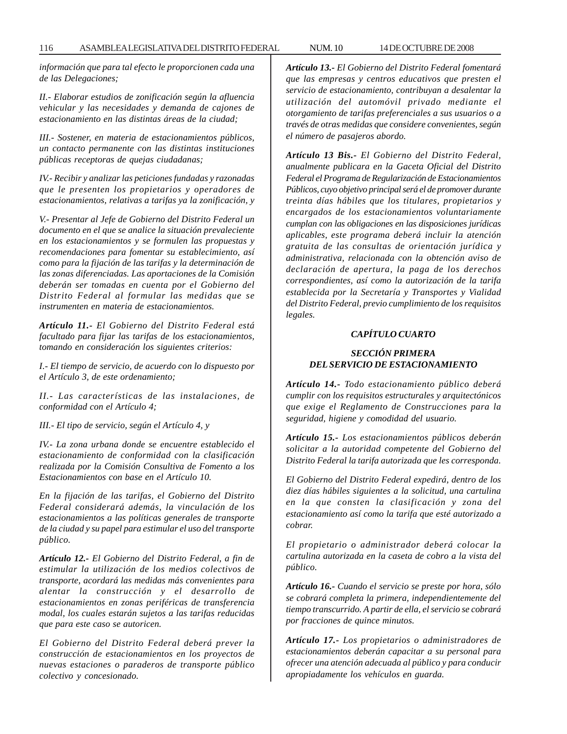*información que para tal efecto le proporcionen cada una de las Delegaciones;*

*II.- Elaborar estudios de zonificación según la afluencia vehicular y las necesidades y demanda de cajones de estacionamiento en las distintas áreas de la ciudad;*

*III.- Sostener, en materia de estacionamientos públicos, un contacto permanente con las distintas instituciones públicas receptoras de quejas ciudadanas;*

*IV.- Recibir y analizar las peticiones fundadas y razonadas que le presenten los propietarios y operadores de estacionamientos, relativas a tarifas ya la zonificación, y*

*V.- Presentar al Jefe de Gobierno del Distrito Federal un documento en el que se analice la situación prevaleciente en los estacionamientos y se formulen las propuestas y recomendaciones para fomentar su establecimiento, así como para la fijación de las tarifas y la determinación de las zonas diferenciadas. Las aportaciones de la Comisión deberán ser tomadas en cuenta por el Gobierno del Distrito Federal al formular las medidas que se instrumenten en materia de estacionamientos.*

*Artículo 11.- El Gobierno del Distrito Federal está facultado para fijar las tarifas de los estacionamientos, tomando en consideración los siguientes criterios:*

*I.- El tiempo de servicio, de acuerdo con lo dispuesto por el Artículo 3, de este ordenamiento;*

*II.- Las características de las instalaciones, de conformidad con el Artículo 4;*

*III.- El tipo de servicio, según el Artículo 4, y*

*IV.- La zona urbana donde se encuentre establecido el estacionamiento de conformidad con la clasificación realizada por la Comisión Consultiva de Fomento a los Estacionamientos con base en el Artículo 10.*

*En la fijación de las tarifas, el Gobierno del Distrito Federal considerará además, la vinculación de los estacionamientos a las políticas generales de transporte de la ciudad y su papel para estimular el uso del transporte público.*

*Artículo 12.- El Gobierno del Distrito Federal, a fin de estimular la utilización de los medios colectivos de transporte, acordará las medidas más convenientes para alentar la construcción y el desarrollo de estacionamientos en zonas periféricas de transferencia modal, los cuales estarán sujetos a las tarifas reducidas que para este caso se autoricen.*

*El Gobierno del Distrito Federal deberá prever la construcción de estacionamientos en los proyectos de nuevas estaciones o paraderos de transporte público colectivo y concesionado.*

*Artículo 13.- El Gobierno del Distrito Federal fomentará que las empresas y centros educativos que presten el servicio de estacionamiento, contribuyan a desalentar la utilización del automóvil privado mediante el otorgamiento de tarifas preferenciales a sus usuarios o a través de otras medidas que considere convenientes, según el número de pasajeros abordo.*

*Artículo 13 Bis.- El Gobierno del Distrito Federal, anualmente publicara en la Gaceta Oficial del Distrito Federal el Programa de Regularización de Estacionamientos Públicos, cuyo objetivo principal será el de promover durante treinta días hábiles que los titulares, propietarios y encargados de los estacionamientos voluntariamente cumplan con las obligaciones en las disposiciones jurídicas aplicables, este programa deberá incluir la atención gratuita de las consultas de orientación jurídica y administrativa, relacionada con la obtención aviso de declaración de apertura, la paga de los derechos correspondientes, así como la autorización de la tarifa establecida por la Secretaría y Transportes y Vialidad del Distrito Federal, previo cumplimiento de los requisitos legales.*

#### *CAPÍTULO CUARTO*

## *SECCIÓN PRIMERA DEL SERVICIO DE ESTACIONAMIENTO*

*Artículo 14.- Todo estacionamiento público deberá cumplir con los requisitos estructurales y arquitectónicos que exige el Reglamento de Construcciones para la seguridad, higiene y comodidad del usuario.*

*Artículo 15.- Los estacionamientos públicos deberán solicitar a la autoridad competente del Gobierno del Distrito Federal la tarifa autorizada que les corresponda.*

*El Gobierno del Distrito Federal expedirá, dentro de los diez días hábiles siguientes a la solicitud, una cartulina en la que consten la clasificación y zona del estacionamiento así como la tarifa que esté autorizado a cobrar.*

*El propietario o administrador deberá colocar la cartulina autorizada en la caseta de cobro a la vista del público.*

*Artículo 16.- Cuando el servicio se preste por hora, sólo se cobrará completa la primera, independientemente del tiempo transcurrido. A partir de ella, el servicio se cobrará por fracciones de quince minutos.*

*Artículo 17.- Los propietarios o administradores de estacionamientos deberán capacitar a su personal para ofrecer una atención adecuada al público y para conducir apropiadamente los vehículos en guarda.*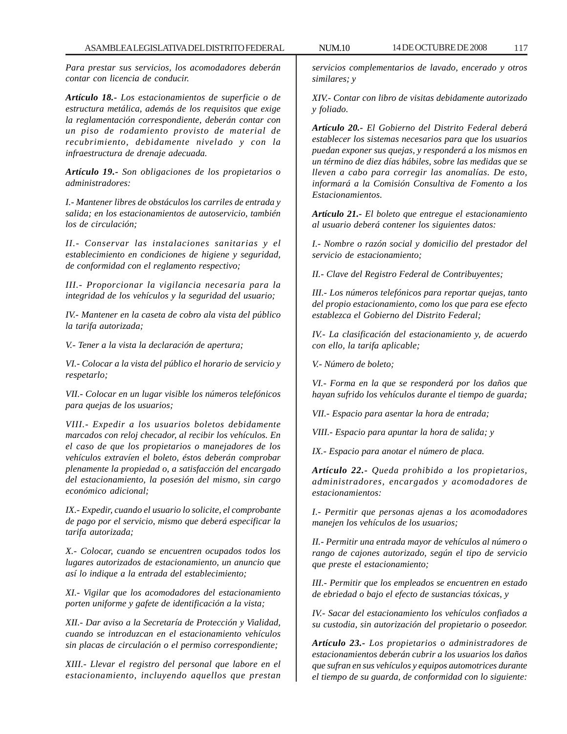*Para prestar sus servicios, los acomodadores deberán contar con licencia de conducir.*

*Artículo 18.- Los estacionamientos de superficie o de estructura metálica, además de los requisitos que exige la reglamentación correspondiente, deberán contar con un piso de rodamiento provisto de material de recubrimiento, debidamente nivelado y con la infraestructura de drenaje adecuada.*

*Artículo 19.- Son obligaciones de los propietarios o administradores:*

*I.- Mantener libres de obstáculos los carriles de entrada y salida; en los estacionamientos de autoservicio, también los de circulación;*

*II.- Conservar las instalaciones sanitarias y el establecimiento en condiciones de higiene y seguridad, de conformidad con el reglamento respectivo;*

*III.- Proporcionar la vigilancia necesaria para la integridad de los vehículos y la seguridad del usuario;*

*IV.- Mantener en la caseta de cobro ala vista del público la tarifa autorizada;*

*V.- Tener a la vista la declaración de apertura;*

*VI.- Colocar a la vista del público el horario de servicio y respetarlo;*

*VII.- Colocar en un lugar visible los números telefónicos para quejas de los usuarios;*

*VIII.- Expedir a los usuarios boletos debidamente marcados con reloj checador, al recibir los vehículos. En el caso de que los propietarios o manejadores de los vehículos extravíen el boleto, éstos deberán comprobar plenamente la propiedad o, a satisfacción del encargado del estacionamiento, la posesión del mismo, sin cargo económico adicional;*

*IX.- Expedir, cuando el usuario lo solicite, el comprobante de pago por el servicio, mismo que deberá especificar la tarifa autorizada;*

*X.- Colocar, cuando se encuentren ocupados todos los lugares autorizados de estacionamiento, un anuncio que así lo indique a la entrada del establecimiento;*

*XI.- Vigilar que los acomodadores del estacionamiento porten uniforme y gafete de identificación a la vista;*

*XII.- Dar aviso a la Secretaría de Protección y Vialidad, cuando se introduzcan en el estacionamiento vehículos sin placas de circulación o el permiso correspondiente;*

*XIII.- Llevar el registro del personal que labore en el estacionamiento, incluyendo aquellos que prestan*

*servicios complementarios de lavado, encerado y otros similares; y*

*XIV.- Contar con libro de visitas debidamente autorizado y foliado.*

*Artículo 20.- El Gobierno del Distrito Federal deberá establecer los sistemas necesarios para que los usuarios puedan exponer sus quejas, y responderá a los mismos en un término de diez días hábiles, sobre las medidas que se lleven a cabo para corregir las anomalías. De esto, informará a la Comisión Consultiva de Fomento a los Estacionamientos.*

*Artículo 21.- El boleto que entregue el estacionamiento al usuario deberá contener los siguientes datos:*

*I.- Nombre o razón social y domicilio del prestador del servicio de estacionamiento;*

*II.- Clave del Registro Federal de Contribuyentes;*

*III.- Los números telefónicos para reportar quejas, tanto del propio estacionamiento, como los que para ese efecto establezca el Gobierno del Distrito Federal;*

*IV.- La clasificación del estacionamiento y, de acuerdo con ello, la tarifa aplicable;*

*V.- Número de boleto;*

*VI.- Forma en la que se responderá por los daños que hayan sufrido los vehículos durante el tiempo de guarda;*

*VII.- Espacio para asentar la hora de entrada;*

*VIII.- Espacio para apuntar la hora de salida; y*

*IX.- Espacio para anotar el número de placa.*

*Artículo 22.- Queda prohibido a los propietarios, administradores, encargados y acomodadores de estacionamientos:*

*I.- Permitir que personas ajenas a los acomodadores manejen los vehículos de los usuarios;*

*II.- Permitir una entrada mayor de vehículos al número o rango de cajones autorizado, según el tipo de servicio que preste el estacionamiento;*

*III.- Permitir que los empleados se encuentren en estado de ebriedad o bajo el efecto de sustancias tóxicas, y*

*IV.- Sacar del estacionamiento los vehículos confiados a su custodia, sin autorización del propietario o poseedor.*

*Artículo 23.- Los propietarios o administradores de estacionamientos deberán cubrir a los usuarios los daños que sufran en sus vehículos y equipos automotrices durante el tiempo de su guarda, de conformidad con lo siguiente:*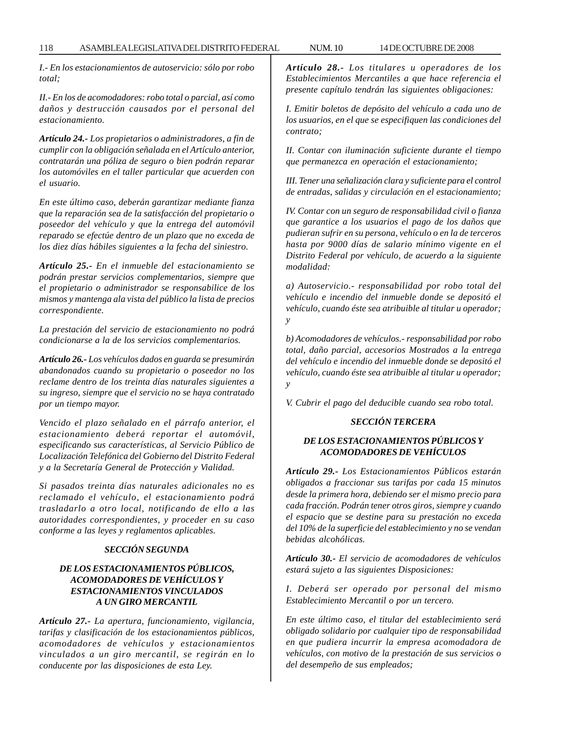*I.- En los estacionamientos de autoservicio: sólo por robo total;*

*II.- En los de acomodadores: robo total o parcial, así como daños y destrucción causados por el personal del estacionamiento.*

*Artículo 24.- Los propietarios o administradores, a fin de cumplir con la obligación señalada en el Artículo anterior, contratarán una póliza de seguro o bien podrán reparar los automóviles en el taller particular que acuerden con el usuario.*

*En este último caso, deberán garantizar mediante fianza que la reparación sea de la satisfacción del propietario o poseedor del vehículo y que la entrega del automóvil reparado se efectúe dentro de un plazo que no exceda de los diez días hábiles siguientes a la fecha del siniestro.*

*Artículo 25.- En el inmueble del estacionamiento se podrán prestar servicios complementarios, siempre que el propietario o administrador se responsabilice de los mismos y mantenga ala vista del público la lista de precios correspondiente.*

*La prestación del servicio de estacionamiento no podrá condicionarse a la de los servicios complementarios.*

*Artículo 26.- Los vehículos dados en guarda se presumirán abandonados cuando su propietario o poseedor no los reclame dentro de los treinta días naturales siguientes a su ingreso, siempre que el servicio no se haya contratado por un tiempo mayor.*

*Vencido el plazo señalado en el párrafo anterior, el estacionamiento deberá reportar el automóvil, especificando sus características, al Servicio Público de Localización Telefónica del Gobierno del Distrito Federal y a la Secretaría General de Protección y Vialidad.*

*Si pasados treinta días naturales adicionales no es reclamado el vehículo, el estacionamiento podrá trasladarlo a otro local, notificando de ello a las autoridades correspondientes, y proceder en su caso conforme a las leyes y reglamentos aplicables.*

## *SECCIÓN SEGUNDA*

# *DE LOS ESTACIONAMIENTOS PÚBLICOS, ACOMODADORES DE VEHÍCULOS Y ESTACIONAMIENTOS VINCULADOS A UN GIRO MERCANTIL*

*Artículo 27.- La apertura, funcionamiento, vigilancia, tarifas y clasificación de los estacionamientos públicos, acomodadores de vehículos y estacionamientos vinculados a un giro mercantil, se regirán en lo conducente por las disposiciones de esta Ley.*

*Artículo 28.- Los titulares u operadores de los Establecimientos Mercantiles a que hace referencia el presente capítulo tendrán las siguientes obligaciones:*

*I. Emitir boletos de depósito del vehículo a cada uno de los usuarios, en el que se especifiquen las condiciones del contrato;*

*II. Contar con iluminación suficiente durante el tiempo que permanezca en operación el estacionamiento;*

*III. Tener una señalización clara y suficiente para el control de entradas, salidas y circulación en el estacionamiento;*

*IV. Contar con un seguro de responsabilidad civil o fianza que garantice a los usuarios el pago de los daños que pudieran sufrir en su persona, vehículo o en la de terceros hasta por 9000 días de salario mínimo vigente en el Distrito Federal por vehículo, de acuerdo a la siguiente modalidad:*

*a) Autoservicio.- responsabilidad por robo total del vehículo e incendio del inmueble donde se depositó el vehículo, cuando éste sea atribuible al titular u operador; y*

*b) Acomodadores de vehículos.- responsabilidad por robo total, daño parcial, accesorios Mostrados a la entrega del vehículo e incendio del inmueble donde se depositó el vehículo, cuando éste sea atribuible al titular u operador; y*

*V. Cubrir el pago del deducible cuando sea robo total.*

## *SECCIÓN TERCERA*

## *DE LOS ESTACIONAMIENTOS PÚBLICOS Y ACOMODADORES DE VEHÍCULOS*

*Artículo 29.- Los Estacionamientos Públicos estarán obligados a fraccionar sus tarifas por cada 15 minutos desde la primera hora, debiendo ser el mismo precio para cada fracción. Podrán tener otros giros, siempre y cuando el espacio que se destine para su prestación no exceda del 10% de la superficie del establecimiento y no se vendan bebidas alcohólicas.*

*Artículo 30.- El servicio de acomodadores de vehículos estará sujeto a las siguientes Disposiciones:*

*I. Deberá ser operado por personal del mismo Establecimiento Mercantil o por un tercero.*

*En este último caso, el titular del establecimiento será obligado solidario por cualquier tipo de responsabilidad en que pudiera incurrir la empresa acomodadora de vehículos, con motivo de la prestación de sus servicios o del desempeño de sus empleados;*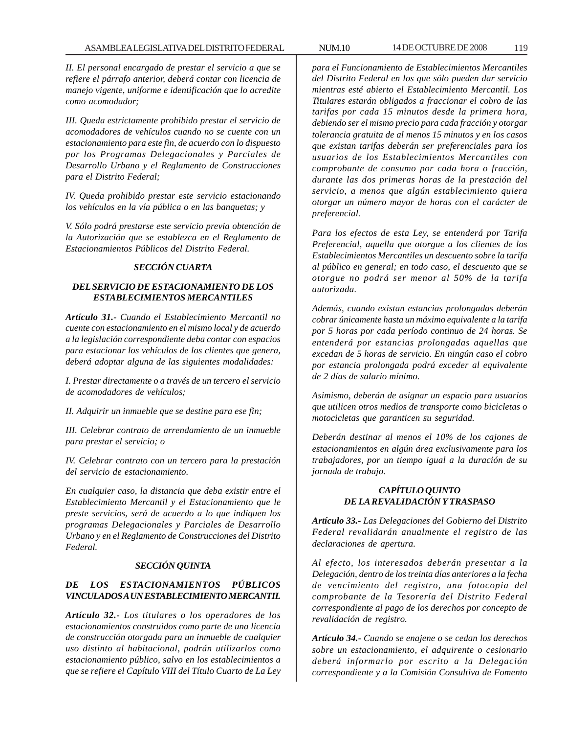*II. El personal encargado de prestar el servicio a que se refiere el párrafo anterior, deberá contar con licencia de manejo vigente, uniforme e identificación que lo acredite como acomodador;*

*III. Queda estrictamente prohibido prestar el servicio de acomodadores de vehículos cuando no se cuente con un estacionamiento para este fin, de acuerdo con lo dispuesto por los Programas Delegacionales y Parciales de Desarrollo Urbano y el Reglamento de Construcciones para el Distrito Federal;*

*IV. Queda prohibido prestar este servicio estacionando los vehículos en la vía pública o en las banquetas; y*

*V. Sólo podrá prestarse este servicio previa obtención de la Autorización que se establezca en el Reglamento de Estacionamientos Públicos del Distrito Federal.*

# *SECCIÓN CUARTA*

## *DEL SERVICIO DE ESTACIONAMIENTO DE LOS ESTABLECIMIENTOS MERCANTILES*

*Artículo 31.- Cuando el Establecimiento Mercantil no cuente con estacionamiento en el mismo local y de acuerdo a la legislación correspondiente deba contar con espacios para estacionar los vehículos de los clientes que genera, deberá adoptar alguna de las siguientes modalidades:*

*I. Prestar directamente o a través de un tercero el servicio de acomodadores de vehículos;*

*II. Adquirir un inmueble que se destine para ese fin;*

*III. Celebrar contrato de arrendamiento de un inmueble para prestar el servicio; o*

*IV. Celebrar contrato con un tercero para la prestación del servicio de estacionamiento.*

*En cualquier caso, la distancia que deba existir entre el Establecimiento Mercantil y el Estacionamiento que le preste servicios, será de acuerdo a lo que indiquen los programas Delegacionales y Parciales de Desarrollo Urbano y en el Reglamento de Construcciones del Distrito Federal.*

## *SECCIÓN QUINTA*

# *DE LOS ESTACIONAMIENTOS PÚBLICOS VINCULADOS A UN ESTABLECIMIENTO MERCANTIL*

*Artículo 32.- Los titulares o los operadores de los estacionamientos construidos como parte de una licencia de construcción otorgada para un inmueble de cualquier uso distinto al habitacional, podrán utilizarlos como estacionamiento público, salvo en los establecimientos a que se refiere el Capítulo VIII del Título Cuarto de La Ley*

*para el Funcionamiento de Establecimientos Mercantiles del Distrito Federal en los que sólo pueden dar servicio mientras esté abierto el Establecimiento Mercantil. Los Titulares estarán obligados a fraccionar el cobro de las tarifas por cada 15 minutos desde la primera hora, debiendo ser el mismo precio para cada fracción y otorgar tolerancia gratuita de al menos 15 minutos y en los casos que existan tarifas deberán ser preferenciales para los usuarios de los Establecimientos Mercantiles con comprobante de consumo por cada hora o fracción, durante las dos primeras horas de la prestación del servicio, a menos que algún establecimiento quiera otorgar un número mayor de horas con el carácter de preferencial.*

*Para los efectos de esta Ley, se entenderá por Tarifa Preferencial, aquella que otorgue a los clientes de los Establecimientos Mercantiles un descuento sobre la tarifa al público en general; en todo caso, el descuento que se otorgue no podrá ser menor al 50% de la tarifa autorizada.*

*Además, cuando existan estancias prolongadas deberán cobrar únicamente hasta un máximo equivalente a la tarifa por 5 horas por cada período continuo de 24 horas. Se entenderá por estancias prolongadas aquellas que excedan de 5 horas de servicio. En ningún caso el cobro por estancia prolongada podrá exceder al equivalente de 2 días de salario mínimo.*

*Asimismo, deberán de asignar un espacio para usuarios que utilicen otros medios de transporte como bicicletas o motocicletas que garanticen su seguridad.*

*Deberán destinar al menos el 10% de los cajones de estacionamientos en algún área exclusivamente para los trabajadores, por un tiempo igual a la duración de su jornada de trabajo.*

## *CAPÍTULO QUINTO DE LA REVALIDACIÓN Y TRASPASO*

*Artículo 33.- Las Delegaciones del Gobierno del Distrito Federal revalidarán anualmente el registro de las declaraciones de apertura.*

*Al efecto, los interesados deberán presentar a la Delegación, dentro de los treinta días anteriores a la fecha de vencimiento del registro, una fotocopia del comprobante de la Tesorería del Distrito Federal correspondiente al pago de los derechos por concepto de revalidación de registro.*

*Artículo 34.- Cuando se enajene o se cedan los derechos sobre un estacionamiento, el adquirente o cesionario deberá informarlo por escrito a la Delegación correspondiente y a la Comisión Consultiva de Fomento*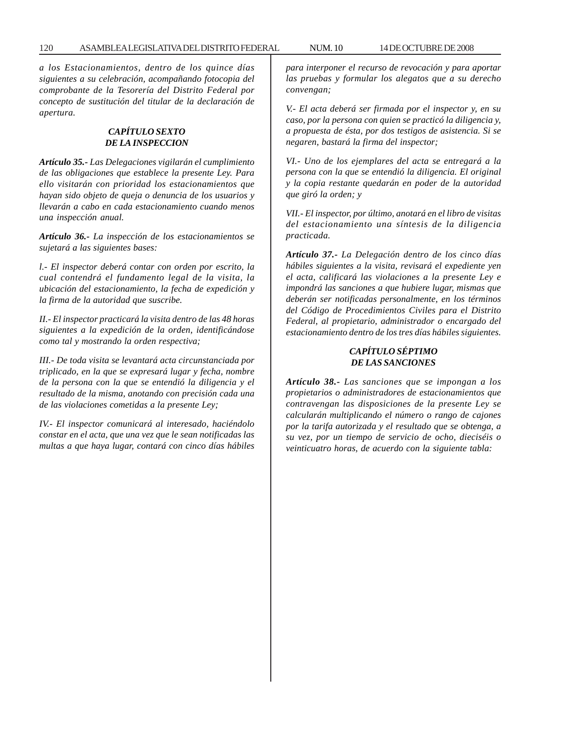*a los Estacionamientos, dentro de los quince días siguientes a su celebración, acompañando fotocopia del comprobante de la Tesorería del Distrito Federal por concepto de sustitución del titular de la declaración de apertura.*

### *CAPÍTULO SEXTO DE LA INSPECCION*

*Artículo 35.- Las Delegaciones vigilarán el cumplimiento de las obligaciones que establece la presente Ley. Para ello visitarán con prioridad los estacionamientos que hayan sido objeto de queja o denuncia de los usuarios y llevarán a cabo en cada estacionamiento cuando menos una inspección anual.*

*Artículo 36.- La inspección de los estacionamientos se sujetará a las siguientes bases:*

*l.- El inspector deberá contar con orden por escrito, la cual contendrá el fundamento legal de la visita, la ubicación del estacionamiento, la fecha de expedición y la firma de la autoridad que suscribe.*

*II.- El inspector practicará la visita dentro de las 48 horas siguientes a la expedición de la orden, identificándose como tal y mostrando la orden respectiva;*

*III.- De toda visita se levantará acta circunstanciada por triplicado, en la que se expresará lugar y fecha, nombre de la persona con la que se entendió la diligencia y el resultado de la misma, anotando con precisión cada una de las violaciones cometidas a la presente Ley;*

*IV.- El inspector comunicará al interesado, haciéndolo constar en el acta, que una vez que le sean notificadas las multas a que haya lugar, contará con cinco días hábiles* *para interponer el recurso de revocación y para aportar las pruebas y formular los alegatos que a su derecho convengan;*

*V.- El acta deberá ser firmada por el inspector y, en su caso, por la persona con quien se practicó la diligencia y, a propuesta de ésta, por dos testigos de asistencia. Si se negaren, bastará la firma del inspector;*

*VI.- Uno de los ejemplares del acta se entregará a la persona con la que se entendió la diligencia. El original y la copia restante quedarán en poder de la autoridad que giró la orden; y*

*VII.- El inspector, por último, anotará en el libro de visitas del estacionamiento una síntesis de la diligencia practicada.*

*Artículo 37.- La Delegación dentro de los cinco días hábiles siguientes a la visita, revisará el expediente yen el acta, calificará las violaciones a la presente Ley e impondrá las sanciones a que hubiere lugar, mismas que deberán ser notificadas personalmente, en los términos del Código de Procedimientos Civiles para el Distrito Federal, al propietario, administrador o encargado del estacionamiento dentro de los tres días hábiles siguientes.*

# *CAPÍTULO SÉPTIMO DE LAS SANCIONES*

*Artículo 38.- Las sanciones que se impongan a los propietarios o administradores de estacionamientos que contravengan las disposiciones de la presente Ley se calcularán multiplicando el número o rango de cajones por la tarifa autorizada y el resultado que se obtenga, a su vez, por un tiempo de servicio de ocho, dieciséis o veinticuatro horas, de acuerdo con la siguiente tabla:*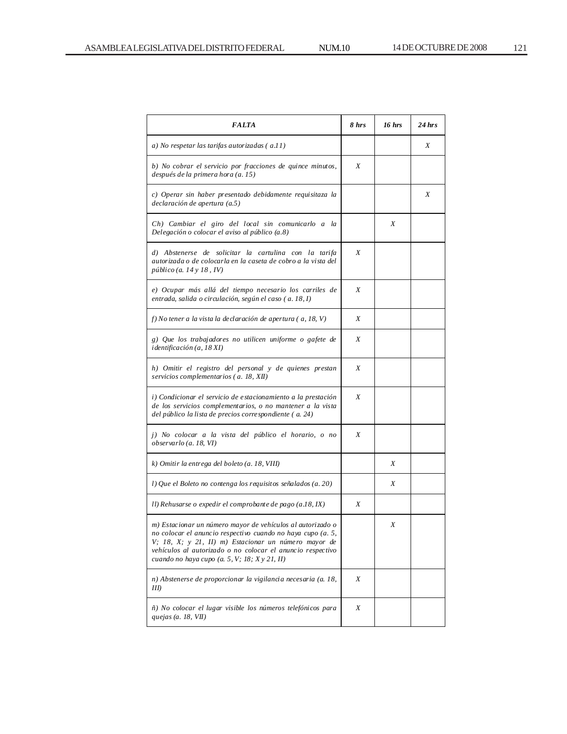| <i><b>FALTA</b></i>                                                                                                                                                                                                                                                                              | 8 hrs | 16 hrs | $24$ hrs |
|--------------------------------------------------------------------------------------------------------------------------------------------------------------------------------------------------------------------------------------------------------------------------------------------------|-------|--------|----------|
| a) No respetar las tarifas autorizadas (a.11)                                                                                                                                                                                                                                                    |       |        | Χ        |
| b) No cobrar el servicio por fracciones de quince minutos,<br>después de la primera hora (a. 15)                                                                                                                                                                                                 | X     |        |          |
| c) Operar sin haber presentado debidamente requisitaza la<br>declaración de apertura (a.5)                                                                                                                                                                                                       |       |        | Χ        |
| Ch) Cambiar el giro del local sin comunicarlo a la<br>Delegación o colocar el aviso al público (a.8)                                                                                                                                                                                             |       | Χ      |          |
| d) Abstenerse de solicitar la cartulina con la tarifa<br>autorizada o de colocarla en la caseta de cobro a la vista del<br>público (a. 14 y 18, IV)                                                                                                                                              | X     |        |          |
| e) Ocupar más allá del tiempo necesario los carriles de<br>entrada, salida o circulación, según el caso (a. 18, I)                                                                                                                                                                               | Χ     |        |          |
| f) No tener a la vista la de claración de apertura ( $a, 18, V$ )                                                                                                                                                                                                                                | X     |        |          |
| g) Que los trabajadores no utilicen uniforme o gafete de<br>identificación (a, 18 XI)                                                                                                                                                                                                            | Χ     |        |          |
| h) Omitir el registro del personal y de quienes prestan<br>servicios complementarios (a. 18, XII)                                                                                                                                                                                                | Χ     |        |          |
| i) Condicionar el servicio de estacionamiento a la prestación<br>de los servicios complementarios, o no mantener a la vista<br>del público la lista de precios corre spondiente (a. 24)                                                                                                          | Χ     |        |          |
| j) No colocar a la vista del público el horario, o no<br>observarlo (a. 18, VI)                                                                                                                                                                                                                  | Χ     |        |          |
| k) Omitir la entrega del boleto (a. 18, VIII)                                                                                                                                                                                                                                                    |       | Χ      |          |
| l) Que el Boleto no contenga los requisitos señalados (a. 20)                                                                                                                                                                                                                                    |       | Χ      |          |
| Il) Rehusarse o expedir el comprobante de pago (a.18, IX)                                                                                                                                                                                                                                        | Χ     |        |          |
| m) Estacionar un número mayor de vehículos al autorizado o<br>no colocar el anuncio respectivo cuando no haya cupo (a. 5,<br>V; 18, X; y 21, II) m) Estacionar un número mayor de<br>vehículos al autorizado o no colocar el anuncio respectivo<br>cuando no haya cupo (a. 5, V; 18; X y 21, II) |       | Χ      |          |
| n) Abstenerse de proporcionar la vigilancia necesaria (a. 18,<br>III)                                                                                                                                                                                                                            | Χ     |        |          |
| ñ) No colocar el lugar visible los números telefónicos para<br>quejas (a. 18, VII)                                                                                                                                                                                                               | Χ     |        |          |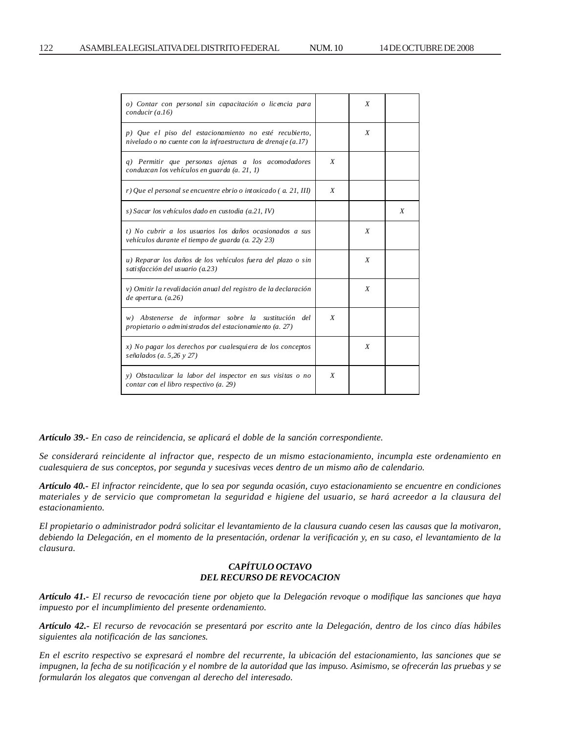| o) Contar con personal sin capacitación o licencia para<br>conducir (a.16)                                              |                  | X |   |
|-------------------------------------------------------------------------------------------------------------------------|------------------|---|---|
| p) Que el piso del estacionamiento no esté recubierto,<br>nivelado o no cuente con la infraestructura de drenaje (a.17) |                  | X |   |
| q) Permitir que personas ajenas a los acomodadores<br>conduzcan los vehículos en guarda (a. 21, 1)                      | X                |   |   |
| r) Que el personal se encuentre ebrio o intoxicado ( a. 21, III)                                                        | X                |   |   |
| s) Sacar los vehículos dado en custodia (a.21, IV)                                                                      |                  |   | X |
| t) No cubrir a los usuarios los daños ocasionados a sus<br>vehículos durante el tiempo de guarda (a. 22y 23)            |                  | X |   |
| u) Reparar los daños de los vehículos fuera del plazo o sin<br>satisfacción del usuario (a.23)                          |                  | X |   |
| v) Omitir la revalidación anual del registro de la declaración<br>$de$ apertura. $(a.26)$                               |                  | X |   |
| w) Abstenerse de informar sobre la sustitución del<br>propietario o administrados del estacionamiento (a. 27)           | X                |   |   |
| x) No pagar los derechos por cualesquiera de los conceptos<br>señalados (a. 5,26 y 27)                                  |                  | X |   |
| y) Obstaculizar la labor del inspector en sus visitas o no<br>contar con el libro respectivo (a. 29)                    | $\boldsymbol{X}$ |   |   |

*Artículo 39.- En caso de reincidencia, se aplicará el doble de la sanción correspondiente.*

*Se considerará reincidente al infractor que, respecto de un mismo estacionamiento, incumpla este ordenamiento en cualesquiera de sus conceptos, por segunda y sucesivas veces dentro de un mismo año de calendario.*

*Artículo 40.- El infractor reincidente, que lo sea por segunda ocasión, cuyo estacionamiento se encuentre en condiciones materiales y de servicio que comprometan la seguridad e higiene del usuario, se hará acreedor a la clausura del estacionamiento.*

*El propietario o administrador podrá solicitar el levantamiento de la clausura cuando cesen las causas que la motivaron, debiendo la Delegación, en el momento de la presentación, ordenar la verificación y, en su caso, el levantamiento de la clausura.*

## *CAPÍTULO OCTAVO DEL RECURSO DE REVOCACION*

*Artículo 41.- El recurso de revocación tiene por objeto que la Delegación revoque o modifique las sanciones que haya impuesto por el incumplimiento del presente ordenamiento.*

*Artículo 42.- El recurso de revocación se presentará por escrito ante la Delegación, dentro de los cinco días hábiles siguientes ala notificación de las sanciones.*

*En el escrito respectivo se expresará el nombre del recurrente, la ubicación del estacionamiento, las sanciones que se impugnen, la fecha de su notificación y el nombre de la autoridad que las impuso. Asimismo, se ofrecerán las pruebas y se formularán los alegatos que convengan al derecho del interesado.*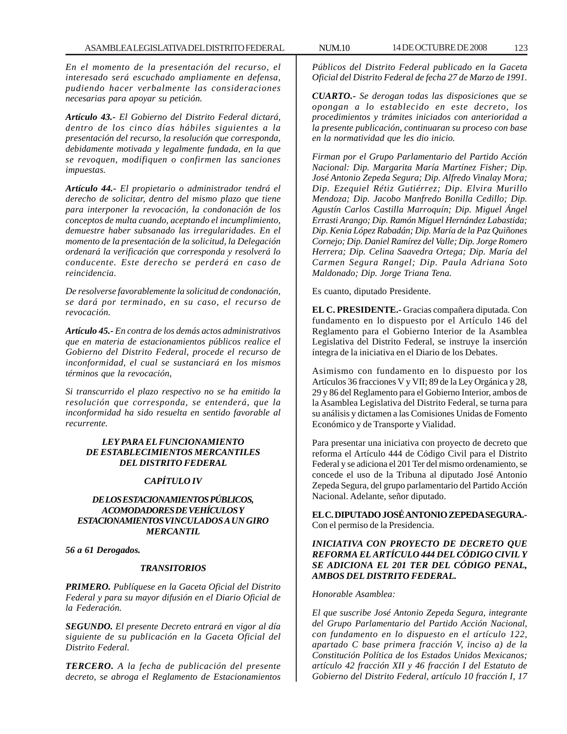*En el momento de la presentación del recurso, el interesado será escuchado ampliamente en defensa, pudiendo hacer verbalmente las consideraciones necesarias para apoyar su petición.*

*Artículo 43.- El Gobierno del Distrito Federal dictará, dentro de los cinco días hábiles siguientes a la presentación del recurso, la resolución que corresponda, debidamente motivada y legalmente fundada, en la que se revoquen, modifiquen o confirmen las sanciones impuestas.*

*Artículo 44.- El propietario o administrador tendrá el derecho de solicitar, dentro del mismo plazo que tiene para interponer la revocación, la condonación de los conceptos de multa cuando, aceptando el incumplimiento, demuestre haber subsanado las irregularidades. En el momento de la presentación de la solicitud, la Delegación ordenará la verificación que corresponda y resolverá lo conducente. Este derecho se perderá en caso de reincidencia.*

*De resolverse favorablemente la solicitud de condonación, se dará por terminado, en su caso, el recurso de revocación.*

*Artículo 45.- En contra de los demás actos administrativos que en materia de estacionamientos públicos realice el Gobierno del Distrito Federal, procede el recurso de inconformidad, el cual se sustanciará en los mismos términos que la revocación,*

*Si transcurrido el plazo respectivo no se ha emitido la resolución que corresponda, se entenderá, que la inconformidad ha sido resuelta en sentido favorable al recurrente.*

### *LEY PARA EL FUNCIONAMIENTO DE ESTABLECIMIENTOS MERCANTILES DEL DISTRITO FEDERAL*

### *CAPÍTULO IV*

### *DE LOS ESTACIONAMIENTOS PÚBLICOS, ACOMODADORES DE VEHÍCULOS Y ESTACIONAMIENTOS VINCULADOS A UN GIRO MERCANTIL*

*56 a 61 Derogados.*

### *TRANSITORIOS*

*PRIMERO. Publíquese en la Gaceta Oficial del Distrito Federal y para su mayor difusión en el Diario Oficial de la Federación.*

*SEGUNDO. El presente Decreto entrará en vigor al día siguiente de su publicación en la Gaceta Oficial del Distrito Federal.*

*TERCERO. A la fecha de publicación del presente decreto, se abroga el Reglamento de Estacionamientos*

*Públicos del Distrito Federal publicado en la Gaceta Oficial del Distrito Federal de fecha 27 de Marzo de 1991.*

*CUARTO.- Se derogan todas las disposiciones que se opongan a lo establecido en este decreto, los procedimientos y trámites iniciados con anterioridad a la presente publicación, continuaran su proceso con base en la normatividad que les dio inicio.*

*Firman por el Grupo Parlamentario del Partido Acción Nacional: Dip. Margarita María Martínez Fisher; Dip. José Antonio Zepeda Segura; Dip. Alfredo Vinalay Mora; Dip. Ezequiel Rétiz Gutiérrez; Dip. Elvira Murillo Mendoza; Dip. Jacobo Manfredo Bonilla Cedillo; Dip. Agustín Carlos Castilla Marroquín; Dip. Miguel Ángel Errasti Arango; Dip. Ramón Miguel Hernández Labastida; Dip. Kenia López Rabadán; Dip. María de la Paz Quiñones Cornejo; Dip. Daniel Ramírez del Valle; Dip. Jorge Romero Herrera; Dip. Celina Saavedra Ortega; Dip. María del Carmen Segura Rangel; Dip. Paula Adriana Soto Maldonado; Dip. Jorge Triana Tena.*

Es cuanto, diputado Presidente.

**EL C. PRESIDENTE.-** Gracias compañera diputada. Con fundamento en lo dispuesto por el Artículo 146 del Reglamento para el Gobierno Interior de la Asamblea Legislativa del Distrito Federal, se instruye la inserción íntegra de la iniciativa en el Diario de los Debates.

Asimismo con fundamento en lo dispuesto por los Artículos 36 fracciones V y VII; 89 de la Ley Orgánica y 28, 29 y 86 del Reglamento para el Gobierno Interior, ambos de la Asamblea Legislativa del Distrito Federal, se turna para su análisis y dictamen a las Comisiones Unidas de Fomento Económico y de Transporte y Vialidad.

Para presentar una iniciativa con proyecto de decreto que reforma el Artículo 444 de Código Civil para el Distrito Federal y se adiciona el 201 Ter del mismo ordenamiento, se concede el uso de la Tribuna al diputado José Antonio Zepeda Segura, del grupo parlamentario del Partido Acción Nacional. Adelante, señor diputado.

**EL C. DIPUTADO JOSÉ ANTONIO ZEPEDA SEGURA.-** Con el permiso de la Presidencia.

## *INICIATIVA CON PROYECTO DE DECRETO QUE REFORMA EL ARTÍCULO 444 DEL CÓDIGO CIVIL Y SE ADICIONA EL 201 TER DEL CÓDIGO PENAL, AMBOS DEL DISTRITO FEDERAL.*

#### *Honorable Asamblea:*

*El que suscribe José Antonio Zepeda Segura, integrante del Grupo Parlamentario del Partido Acción Nacional, con fundamento en lo dispuesto en el artículo 122, apartado C base primera fracción V, inciso a) de la Constitución Política de los Estados Unidos Mexicanos; artículo 42 fracción XII y 46 fracción I del Estatuto de Gobierno del Distrito Federal, artículo 10 fracción I, 17*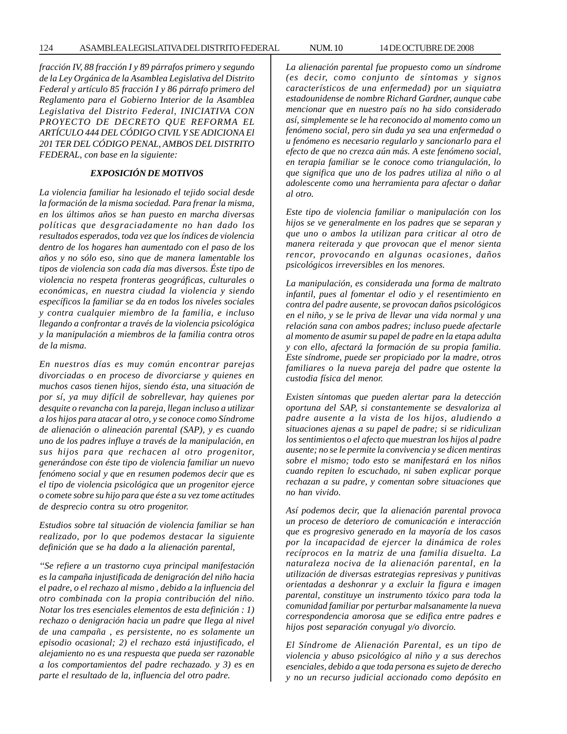*fracción IV, 88 fracción I y 89 párrafos primero y segundo de la Ley Orgánica de la Asamblea Legislativa del Distrito Federal y artículo 85 fracción I y 86 párrafo primero del Reglamento para el Gobierno Interior de la Asamblea Legislativa del Distrito Federal, INICIATIVA CON PROYECTO DE DECRETO QUE REFORMA EL ARTÍCULO 444 DEL CÓDIGO CIVIL Y SE ADICIONA El 201 TER DEL CÓDIGO PENAL, AMBOS DEL DISTRITO FEDERAL, con base en la siguiente:*

# *EXPOSICIÓN DE MOTIVOS*

*La violencia familiar ha lesionado el tejido social desde la formación de la misma sociedad. Para frenar la misma, en los últimos años se han puesto en marcha diversas políticas que desgraciadamente no han dado los resultados esperados, toda vez que los índices de violencia dentro de los hogares han aumentado con el paso de los años y no sólo eso, sino que de manera lamentable los tipos de violencia son cada día mas diversos. Éste tipo de violencia no respeta fronteras geográficas, culturales o económicas, en nuestra ciudad la violencia y siendo específicos la familiar se da en todos los niveles sociales y contra cualquier miembro de la familia, e incluso llegando a confrontar a través de la violencia psicológica y la manipulación a miembros de la familia contra otros de la misma.*

*En nuestros días es muy común encontrar parejas divorciadas o en proceso de divorciarse y quienes en muchos casos tienen hijos, siendo ésta, una situación de por sí, ya muy difícil de sobrellevar, hay quienes por desquite o revancha con la pareja, llegan incluso a utilizar a los hijos para atacar al otro, y se conoce como Síndrome de alienación o alineación parental (SAP), y es cuando uno de los padres influye a través de la manipulación, en sus hijos para que rechacen al otro progenitor, generándose con éste tipo de violencia familiar un nuevo fenómeno social y que en resumen podemos decir que es el tipo de violencia psicológica que un progenitor ejerce o comete sobre su hijo para que éste a su vez tome actitudes de desprecio contra su otro progenitor.*

*Estudios sobre tal situación de violencia familiar se han realizado, por lo que podemos destacar la siguiente definición que se ha dado a la alienación parental,*

*''Se refiere a un trastorno cuya principal manifestación es la campaña injustificada de denigración del niño hacia el padre, o el rechazo al mismo , debido a la influencia del otro combinada con la propia contribución del niño. Notar los tres esenciales elementos de esta definición : 1) rechazo o denigración hacia un padre que llega al nivel de una campaña , es persistente, no es solamente un episodio ocasional; 2) el rechazo está injustificado, el alejamiento no es una respuesta que pueda ser razonable a los comportamientos del padre rechazado. y 3) es en parte el resultado de la, influencia del otro padre.*

*La alienación parental fue propuesto como un síndrome (es decir, como conjunto de síntomas y signos característicos de una enfermedad) por un siquiatra estadounidense de nombre Richard Gardner, aunque cabe mencionar que en nuestro país no ha sido considerado así, simplemente se le ha reconocido al momento como un fenómeno social, pero sin duda ya sea una enfermedad o u fenómeno es necesario regularlo y sancionarlo para el efecto de que no crezca aún más. A este fenómeno social, en terapia familiar se le conoce como triangulación, lo que significa que uno de los padres utiliza al niño o al adolescente como una herramienta para afectar o dañar al otro.*

*Este tipo de violencia familiar o manipulación con los hijos se ve generalmente en los padres que se separan y que uno o ambos la utilizan para criticar al otro de manera reiterada y que provocan que el menor sienta rencor, provocando en algunas ocasiones, daños psicológicos irreversibles en los menores.*

*La manipulación, es considerada una forma de maltrato infantil, pues al fomentar el odio y el resentimiento en contra del padre ausente, se provocan daños psicológicos en el niño, y se le priva de llevar una vida normal y una relación sana con ambos padres; incluso puede afectarle al momento de asumir su papel de padre en la etapa adulta y con ello, afectará la formación de su propia familia. Este síndrome, puede ser propiciado por la madre, otros familiares o la nueva pareja del padre que ostente la custodia física del menor.*

*Existen síntomas que pueden alertar para la detección oportuna del SAP, si constantemente se desvaloriza al padre ausente a la vista de los hijos, aludiendo a situaciones ajenas a su papel de padre; si se ridiculizan los sentimientos o el afecto que muestran los hijos al padre ausente; no se le permite la convivencia y se dicen mentiras sobre el mismo; todo esto se manifestará en los niños cuando repiten lo escuchado, ni saben explicar porque rechazan a su padre, y comentan sobre situaciones que no han vivido.*

*Así podemos decir, que la alienación parental provoca un proceso de deterioro de comunicación e interacción que es progresivo generado en la mayoría de los casos por la incapacidad de ejercer la dinámica de roles recíprocos en la matriz de una familia disuelta. La naturaleza nociva de la alienación parental, en la utilización de diversas estrategias represivas y punitivas orientadas a deshonrar y a excluir la figura e imagen parental, constituye un instrumento tóxico para toda la comunidad familiar por perturbar malsanamente la nueva correspondencia amorosa que se edifica entre padres e hijos post separación conyugal y/o divorcio.*

*El Síndrome de Alienación Parental, es un tipo de violencia y abuso psicológico al niño y a sus derechos esenciales, debido a que toda persona es sujeto de derecho y no un recurso judicial accionado como depósito en*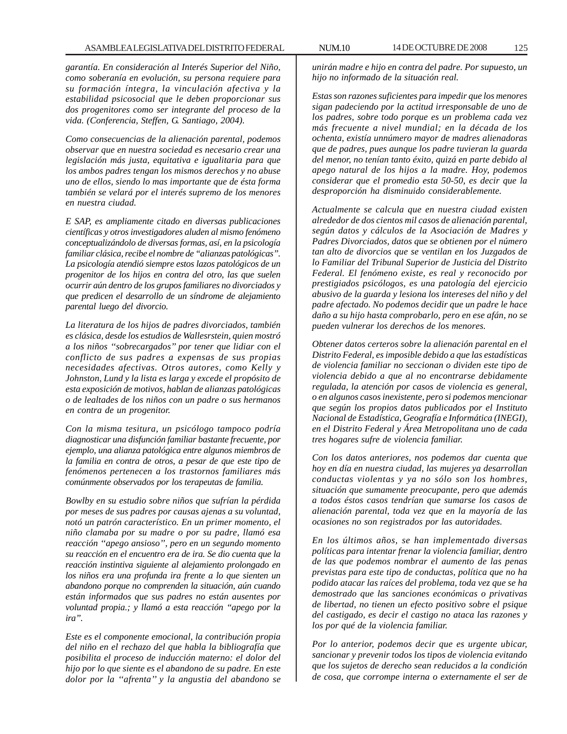*garantía. En consideración al Interés Superior del Niño, como soberanía en evolución, su persona requiere para su formación íntegra, la vinculación afectiva y la estabilidad psicosocial que le deben proporcionar sus dos progenitores como ser integrante del proceso de la vida. (Conferencia, Steffen, G. Santiago, 2004).*

*Como consecuencias de la alienación parental, podemos observar que en nuestra sociedad es necesario crear una legislación más justa, equitativa e igualitaria para que los ambos padres tengan los mismos derechos y no abuse uno de ellos, siendo lo mas importante que de ésta forma también se velará por el interés supremo de los menores en nuestra ciudad.*

*E SAP, es ampliamente citado en diversas publicaciones científicas y otros investigadores aluden al mismo fenómeno conceptualizándolo de diversas formas, así, en la psicología familiar clásica, recibe el nombre de ''alianzas patológicas''. La psicología atendió siempre estos lazos patológicos de un progenitor de los hijos en contra del otro, las que suelen ocurrir aún dentro de los grupos familiares no divorciados y que predicen el desarrollo de un síndrome de alejamiento parental luego del divorcio.*

*La literatura de los hijos de padres divorciados, también es clásica, desde los estudios de Wallesrstein, quien mostró a los niños ''sobrecargados'' por tener que lidiar con el conflicto de sus padres a expensas de sus propias necesidades afectivas. Otros autores, como Kelly y Johnston, Lund y la lista es larga y excede el propósito de esta exposición de motivos, hablan de alianzas patológicas o de lealtades de los niños con un padre o sus hermanos en contra de un progenitor.*

*Con la misma tesitura, un psicólogo tampoco podría diagnosticar una disfunción familiar bastante frecuente, por ejemplo, una alianza patológica entre algunos miembros de la familia en contra de otros, a pesar de que este tipo de fenómenos pertenecen a los trastornos familiares más comúnmente observados por los terapeutas de familia.*

*Bowlby en su estudio sobre niños que sufrían la pérdida por meses de sus padres por causas ajenas a su voluntad, notó un patrón característico. En un primer momento, el niño clamaba por su madre o por su padre, llamó esa reacción ''apego ansioso'', pero en un segundo momento su reacción en el encuentro era de ira. Se dio cuenta que la reacción instintiva siguiente al alejamiento prolongado en los niños era una profunda ira frente a lo que sienten un abandono porque no comprenden la situación, aún cuando están informados que sus padres no están ausentes por voluntad propia.; y llamó a esta reacción ''apego por la ira''.*

*Este es el componente emocional, la contribución propia del niño en el rechazo del que habla la bibliografía que posibilita el proceso de inducción materno: el dolor del hijo por lo que siente es el abandono de su padre. En este dolor por la ''afrenta'' y la angustia del abandono se*

*unirán madre e hijo en contra del padre. Por supuesto, un hijo no informado de la situación real.*

*Estas son razones suficientes para impedir que los menores sigan padeciendo por la actitud irresponsable de uno de los padres, sobre todo porque es un problema cada vez más frecuente a nivel mundial; en la década de los ochenta, existía unnúmero mayor de madres alienadoras que de padres, pues aunque los padre tuvieran la guarda del menor, no tenían tanto éxito, quizá en parte debido al apego natural de los hijos a la madre. Hoy, podemos considerar que el promedio esta 50-50, es decir que la desproporción ha disminuido considerablemente.*

*Actualmente se calcula que en nuestra ciudad existen alrededor de dos cientos mil casos de alienación parental, según datos y cálculos de la Asociación de Madres y Padres Divorciados, datos que se obtienen por el número tan alto de divorcios que se ventilan en los Juzgados de lo Familiar del Tribunal Superior de Justicia del Distrito Federal. El fenómeno existe, es real y reconocido por prestigiados psicólogos, es una patología del ejercicio abusivo de la guarda y lesiona los intereses del niño y del padre afectado. No podemos decidir que un padre le hace daño a su hijo hasta comprobarlo, pero en ese afán, no se pueden vulnerar los derechos de los menores.*

*Obtener datos certeros sobre la alienación parental en el Distrito Federal, es imposible debido a que las estadísticas de violencia familiar no seccionan o dividen este tipo de violencia debido a que al no encontrarse debidamente regulada, la atención por casos de violencia es general, o en algunos casos inexistente, pero si podemos mencionar que según los propios datos publicados por el Instituto Nacional de Estadística, Geografía e Informática (INEGI), en el Distrito Federal y Área Metropolitana uno de cada tres hogares sufre de violencia familiar.*

*Con los datos anteriores, nos podemos dar cuenta que hoy en día en nuestra ciudad, las mujeres ya desarrollan conductas violentas y ya no sólo son los hombres, situación que sumamente preocupante, pero que además a todos éstos casos tendrían que sumarse los casos de alienación parental, toda vez que en la mayoría de las ocasiones no son registrados por las autoridades.*

*En los últimos años, se han implementado diversas políticas para intentar frenar la violencia familiar, dentro de las que podemos nombrar el aumento de las penas previstas para este tipo de conductas, política que no ha podido atacar las raíces del problema, toda vez que se ha demostrado que las sanciones económicas o privativas de libertad, no tienen un efecto positivo sobre el psique del castigado, es decir el castigo no ataca las razones y los por qué de la violencia familiar.*

*Por lo anterior, podemos decir que es urgente ubicar, sancionar y prevenir todos los tipos de violencia evitando que los sujetos de derecho sean reducidos a la condición de cosa, que corrompe interna o externamente el ser de*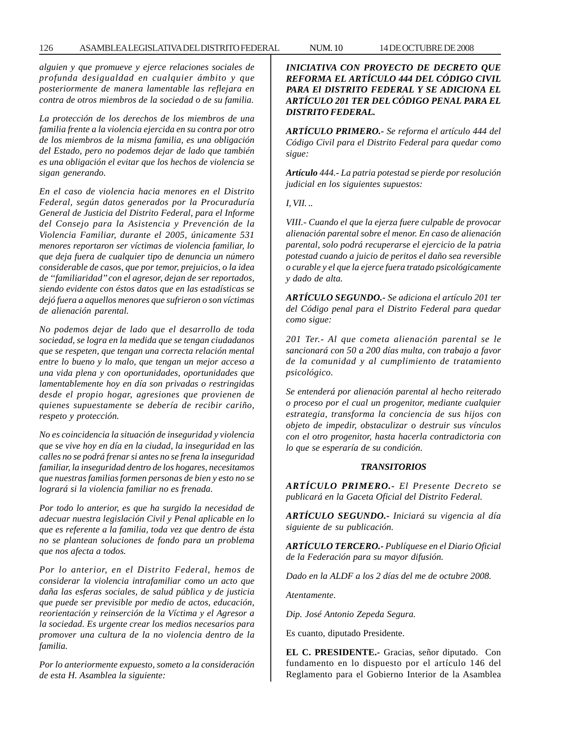*alguien y que promueve y ejerce relaciones sociales de profunda desigualdad en cualquier ámbito y que posteriormente de manera lamentable las reflejara en contra de otros miembros de la sociedad o de su familia.*

*La protección de los derechos de los miembros de una familia frente a la violencia ejercida en su contra por otro de los miembros de la misma familia, es una obligación del Estado, pero no podemos dejar de lado que también es una obligación el evitar que los hechos de violencia se sigan generando.*

*En el caso de violencia hacia menores en el Distrito Federal, según datos generados por la Procuraduría General de Justicia del Distrito Federal, para el Informe del Consejo para la Asistencia y Prevención de la Violencia Familiar, durante el 2005, únicamente 531 menores reportaron ser víctimas de violencia familiar, lo que deja fuera de cualquier tipo de denuncia un número considerable de casos, que por temor, prejuicios, o la idea de ''familiaridad'' con el agresor, dejan de ser reportados, siendo evidente con éstos datos que en las estadísticas se dejó fuera a aquellos menores que sufrieron o son víctimas de alienación parental.*

*No podemos dejar de lado que el desarrollo de toda sociedad, se logra en la medida que se tengan ciudadanos que se respeten, que tengan una correcta relación mental entre lo bueno y lo malo, que tengan un mejor acceso a una vida plena y con oportunidades, oportunidades que lamentablemente hoy en día son privadas o restringidas desde el propio hogar, agresiones que provienen de quienes supuestamente se debería de recibir cariño, respeto y protección.*

*No es coincidencia la situación de inseguridad y violencia que se vive hoy en día en la ciudad, la inseguridad en las calles no se podrá frenar si antes no se frena la inseguridad familiar, la inseguridad dentro de los hogares, necesitamos que nuestras familias formen personas de bien y esto no se logrará si la violencia familiar no es frenada.*

*Por todo lo anterior, es que ha surgido la necesidad de adecuar nuestra legislación Civil y Penal aplicable en lo que es referente a la familia, toda vez que dentro de ésta no se plantean soluciones de fondo para un problema que nos afecta a todos.*

*Por lo anterior, en el Distrito Federal, hemos de considerar la violencia intrafamiliar como un acto que daña las esferas sociales, de salud pública y de justicia que puede ser previsible por medio de actos, educación, reorientación y reinserción de la Víctima y el Agresor a la sociedad. Es urgente crear los medios necesarios para promover una cultura de la no violencia dentro de la familia.*

*Por lo anteriormente expuesto, someto a la consideración de esta H. Asamblea la siguiente:*

*INICIATIVA CON PROYECTO DE DECRETO QUE REFORMA EL ARTÍCULO 444 DEL CÓDIGO CIVIL PARA El DISTRITO FEDERAL Y SE ADICIONA EL ARTÍCULO 201 TER DEL CÓDIGO PENAL PARA EL DISTRITO FEDERAL.*

*ARTÍCULO PRIMERO.- Se reforma el artículo 444 del Código Civil para el Distrito Federal para quedar como sigue:*

*Artículo 444.- La patria potestad se pierde por resolución judicial en los siguientes supuestos:*

*I, VII. ..*

*VIII.- Cuando el que la ejerza fuere culpable de provocar alienación parental sobre el menor. En caso de alienación parental, solo podrá recuperarse el ejercicio de la patria potestad cuando a juicio de peritos el daño sea reversible o curable y el que la ejerce fuera tratado psicológicamente y dado de alta.*

*ARTÍCULO SEGUNDO.- Se adiciona el artículo 201 ter del Código penal para el Distrito Federal para quedar como sigue:*

*201 Ter.- Al que cometa alienación parental se le sancionará con 50 a 200 días multa, con trabajo a favor de la comunidad y al cumplimiento de tratamiento psicológico.*

*Se entenderá por alienación parental al hecho reiterado o proceso por el cual un progenitor, mediante cualquier estrategia, transforma la conciencia de sus hijos con objeto de impedir, obstaculizar o destruir sus vínculos con el otro progenitor, hasta hacerla contradictoria con lo que se esperaría de su condición.*

#### *TRANSITORIOS*

*ARTÍCULO PRIMERO.- El Presente Decreto se publicará en la Gaceta Oficial del Distrito Federal.*

*ARTÍCULO SEGUNDO.- Iniciará su vigencia al día siguiente de su publicación.*

*ARTÍCULO TERCERO.- Publíquese en el Diario Oficial de la Federación para su mayor difusión.*

*Dado en la ALDF a los 2 días del me de octubre 2008.*

*Atentamente.*

*Dip. José Antonio Zepeda Segura.*

Es cuanto, diputado Presidente.

**EL C. PRESIDENTE.-** Gracias, señor diputado. Con fundamento en lo dispuesto por el artículo 146 del Reglamento para el Gobierno Interior de la Asamblea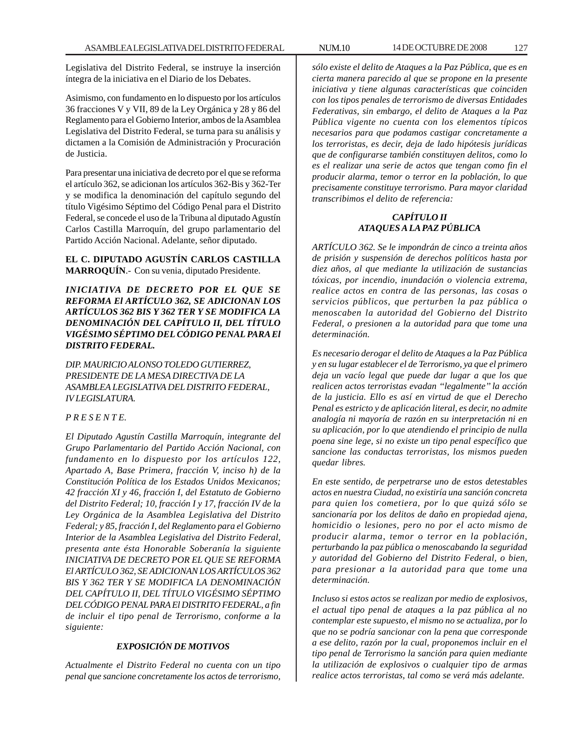Legislativa del Distrito Federal, se instruye la inserción íntegra de la iniciativa en el Diario de los Debates.

Asimismo, con fundamento en lo dispuesto por los artículos 36 fracciones V y VII, 89 de la Ley Orgánica y 28 y 86 del Reglamento para el Gobierno Interior, ambos de la Asamblea Legislativa del Distrito Federal, se turna para su análisis y dictamen a la Comisión de Administración y Procuración de Justicia.

Para presentar una iniciativa de decreto por el que se reforma el artículo 362, se adicionan los artículos 362-Bis y 362-Ter y se modifica la denominación del capítulo segundo del título Vigésimo Séptimo del Código Penal para el Distrito Federal, se concede el uso de la Tribuna al diputado Agustín Carlos Castilla Marroquín, del grupo parlamentario del Partido Acción Nacional. Adelante, señor diputado.

**EL C. DIPUTADO AGUSTÍN CARLOS CASTILLA MARROQUÍN**.- Con su venia, diputado Presidente.

*INICIATIVA DE DECRETO POR EL QUE SE REFORMA El ARTÍCULO 362, SE ADICIONAN LOS ARTÍCULOS 362 BIS Y 362 TER Y SE MODIFICA LA DENOMINACIÓN DEL CAPÍTULO II, DEL TÍTULO VIGÉSIMO SÉPTIMO DEL CÓDIGO PENAL PARA El DISTRITO FEDERAL.*

*DIP. MAURICIO ALONSO TOLEDO GUTIERREZ, PRESIDENTE DE LA MESA DIRECTIVA DE LA ASAMBLEA LEGISLATIVA DEL DISTRITO FEDERAL, IV LEGISLATURA.*

## *P R E S E N T E.*

*El Diputado Agustín Castilla Marroquín, integrante del Grupo Parlamentario del Partido Acción Nacional, con fundamento en lo dispuesto por los artículos 122, Apartado A, Base Primera, fracción V, inciso h) de la Constitución Política de los Estados Unidos Mexicanos; 42 fracción XI y 46, fracción I, del Estatuto de Gobierno del Distrito Federal; 10, fracción I y 17, fracción IV de la Ley Orgánica de la Asamblea Legislativa del Distrito Federal; y 85, fracción I, del Reglamento para el Gobierno Interior de la Asamblea Legislativa del Distrito Federal, presenta ante ésta Honorable Soberanía la siguiente INICIATIVA DE DECRETO POR EL QUE SE REFORMA El ARTÍCULO 362, SE ADICIONAN LOS ARTÍCULOS 362 BIS Y 362 TER Y SE MODIFICA LA DENOMINACIÓN DEL CAPÍTULO II, DEL TÍTULO VIGÉSIMO SÉPTIMO DEL CÓDIGO PENAL PARA El DISTRITO FEDERAL, a fin de incluir el tipo penal de Terrorismo, conforme a la siguiente:*

### *EXPOSICIÓN DE MOTIVOS*

*Actualmente el Distrito Federal no cuenta con un tipo penal que sancione concretamente los actos de terrorismo,*

*sólo existe el delito de Ataques a la Paz Pública, que es en cierta manera parecido al que se propone en la presente iniciativa y tiene algunas características que coinciden con los tipos penales de terrorismo de diversas Entidades Federativas, sin embargo, el delito de Ataques a la Paz Pública vigente no cuenta con los elementos típicos necesarios para que podamos castigar concretamente a los terroristas, es decir, deja de lado hipótesis jurídicas que de configurarse también constituyen delitos, como lo es el realizar una serie de actos que tengan como fin el producir alarma, temor o terror en la población, lo que precisamente constituye terrorismo. Para mayor claridad transcribimos el delito de referencia:*

# *CAPÍTULO II ATAQUES A LA PAZ PÚBLICA*

*ARTÍCULO 362. Se le impondrán de cinco a treinta años de prisión y suspensión de derechos políticos hasta por diez años, al que mediante la utilización de sustancias tóxicas, por incendio, inundación o violencia extrema, realice actos en contra de las personas, las cosas o servicios públicos, que perturben la paz pública o menoscaben la autoridad del Gobierno del Distrito Federal, o presionen a la autoridad para que tome una determinación.*

*Es necesario derogar el delito de Ataques a la Paz Pública y en su lugar establecer el de Terrorismo, ya que el primero deja un vacío legal que puede dar lugar a que los que realicen actos terroristas evadan ''legalmente'' la acción de la justicia. Ello es así en virtud de que el Derecho Penal es estricto y de aplicación literal, es decir, no admite analogía ni mayoría de razón en su interpretación ni en su aplicación, por lo que atendiendo el principio de nulla poena sine lege, si no existe un tipo penal específico que sancione las conductas terroristas, los mismos pueden quedar libres.*

*En este sentido, de perpetrarse uno de estos detestables actos en nuestra Ciudad, no existiría una sanción concreta para quien los cometiera, por lo que quizá sólo se sancionaría por los delitos de daño en propiedad ajena, homicidio o lesiones, pero no por el acto mismo de producir alarma, temor o terror en la población, perturbando la paz pública o menoscabando la seguridad y autoridad del Gobierno del Distrito Federal, o bien, para presionar a la autoridad para que tome una determinación.*

*Incluso si estos actos se realizan por medio de explosivos, el actual tipo penal de ataques a la paz pública al no contemplar este supuesto, el mismo no se actualiza, por lo que no se podría sancionar con la pena que corresponde a ese delito, razón por la cual, proponemos incluir en el tipo penal de Terrorismo la sanción para quien mediante la utilización de explosivos o cualquier tipo de armas realice actos terroristas, tal como se verá más adelante.*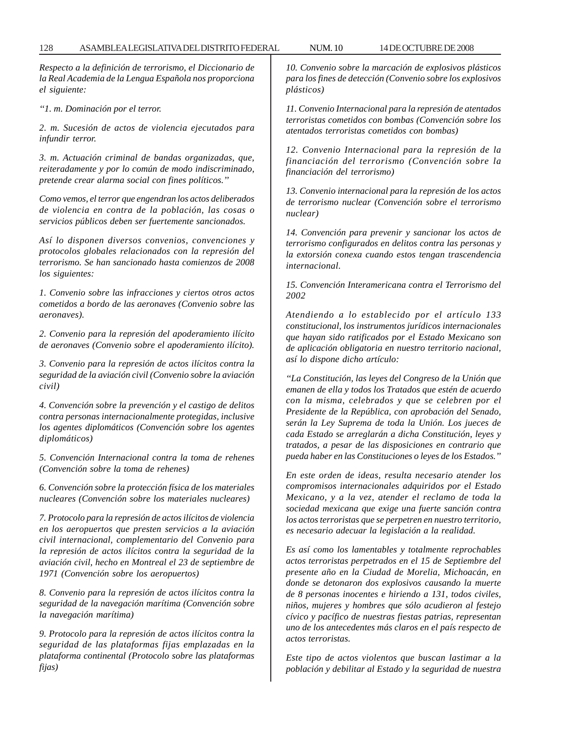*Respecto a la definición de terrorismo, el Diccionario de la Real Academia de la Lengua Española nos proporciona el siguiente:*

*''1. m. Dominación por el terror.*

*2. m. Sucesión de actos de violencia ejecutados para infundir terror.*

*3. m. Actuación criminal de bandas organizadas, que, reiteradamente y por lo común de modo indiscriminado, pretende crear alarma social con fines políticos.''*

*Como vemos, el terror que engendran los actos deliberados de violencia en contra de la población, las cosas o servicios públicos deben ser fuertemente sancionados.*

*Así lo disponen diversos convenios, convenciones y protocolos globales relacionados con la represión del terrorismo. Se han sancionado hasta comienzos de 2008 los siguientes:*

*1. Convenio sobre las infracciones y ciertos otros actos cometidos a bordo de las aeronaves (Convenio sobre las aeronaves).*

*2. Convenio para la represión del apoderamiento ilícito de aeronaves (Convenio sobre el apoderamiento ilícito).*

*3. Convenio para la represión de actos ilícitos contra la seguridad de la aviación civil (Convenio sobre la aviación civil)*

*4. Convención sobre la prevención y el castigo de delitos contra personas internacionalmente protegidas, inclusive los agentes diplomáticos (Convención sobre los agentes diplomáticos)*

*5. Convención Internacional contra la toma de rehenes (Convención sobre la toma de rehenes)*

*6. Convención sobre la protección física de los materiales nucleares (Convención sobre los materiales nucleares)*

*7. Protocolo para la represión de actos ilícitos de violencia en los aeropuertos que presten servicios a la aviación civil internacional, complementario del Convenio para la represión de actos ilícitos contra la seguridad de la aviación civil, hecho en Montreal el 23 de septiembre de 1971 (Convención sobre los aeropuertos)*

*8. Convenio para la represión de actos ilícitos contra la seguridad de la navegación marítima (Convención sobre la navegación marítima)*

*9. Protocolo para la represión de actos ilícitos contra la seguridad de las plataformas fijas emplazadas en la plataforma continental (Protocolo sobre las plataformas fijas)*

*10. Convenio sobre la marcación de explosivos plásticos para los fines de detección (Convenio sobre los explosivos plásticos)*

*11. Convenio Internacional para la represión de atentados terroristas cometidos con bombas (Convención sobre los atentados terroristas cometidos con bombas)*

*12. Convenio Internacional para la represión de la financiación del terrorismo (Convención sobre la financiación del terrorismo)*

*13. Convenio internacional para la represión de los actos de terrorismo nuclear (Convención sobre el terrorismo nuclear)*

*14. Convención para prevenir y sancionar los actos de terrorismo configurados en delitos contra las personas y la extorsión conexa cuando estos tengan trascendencia internacional.*

*15. Convención Interamericana contra el Terrorismo del 2002*

*Atendiendo a lo establecido por el artículo 133 constitucional, los instrumentos jurídicos internacionales que hayan sido ratificados por el Estado Mexicano son de aplicación obligatoria en nuestro territorio nacional, así lo dispone dicho artículo:*

*''La Constitución, las leyes del Congreso de la Unión que emanen de ella y todos los Tratados que estén de acuerdo con la misma, celebrados y que se celebren por el Presidente de la República, con aprobación del Senado, serán la Ley Suprema de toda la Unión. Los jueces de cada Estado se arreglarán a dicha Constitución, leyes y tratados, a pesar de las disposiciones en contrario que pueda haber en las Constituciones o leyes de los Estados.''*

*En este orden de ideas, resulta necesario atender los compromisos internacionales adquiridos por el Estado Mexicano, y a la vez, atender el reclamo de toda la sociedad mexicana que exige una fuerte sanción contra los actos terroristas que se perpetren en nuestro territorio, es necesario adecuar la legislación a la realidad.*

*Es así como los lamentables y totalmente reprochables actos terroristas perpetrados en el 15 de Septiembre del presente año en la Ciudad de Morelia, Michoacán, en donde se detonaron dos explosivos causando la muerte de 8 personas inocentes e hiriendo a 131, todos civiles, niños, mujeres y hombres que sólo acudieron al festejo cívico y pacífico de nuestras fiestas patrias, representan uno de los antecedentes más claros en el país respecto de actos terroristas.*

*Este tipo de actos violentos que buscan lastimar a la población y debilitar al Estado y la seguridad de nuestra*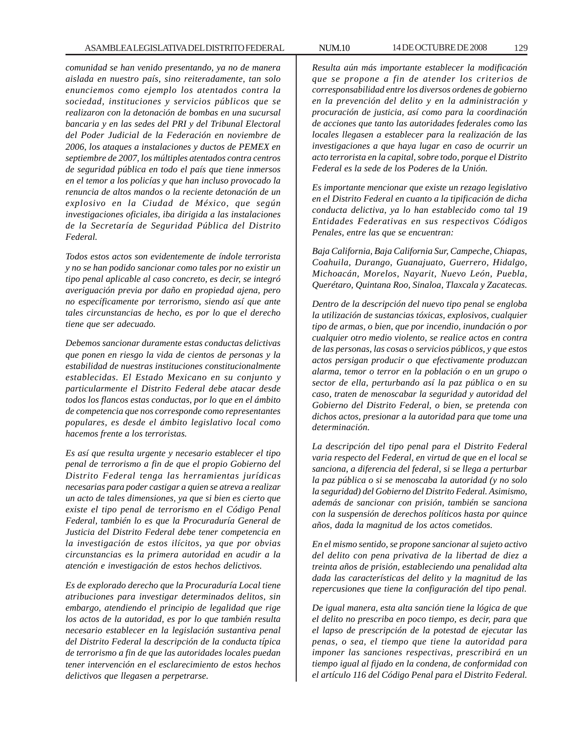*comunidad se han venido presentando, ya no de manera aislada en nuestro país, sino reiteradamente, tan solo enunciemos como ejemplo los atentados contra la sociedad, instituciones y servicios públicos que se realizaron con la detonación de bombas en una sucursal bancaria y en las sedes del PRI y del Tribunal Electoral del Poder Judicial de la Federación en noviembre de 2006, los ataques a instalaciones y ductos de PEMEX en septiembre de 2007, los múltiples atentados contra centros de seguridad pública en todo el país que tiene inmersos en el temor a los policías y que han incluso provocado la renuncia de altos mandos o la reciente detonación de un explosivo en la Ciudad de México, que según investigaciones oficiales, iba dirigida a las instalaciones de la Secretaría de Seguridad Pública del Distrito Federal.*

*Todos estos actos son evidentemente de índole terrorista y no se han podido sancionar como tales por no existir un tipo penal aplicable al caso concreto, es decir, se integró averiguación previa por daño en propiedad ajena, pero no específicamente por terrorismo, siendo así que ante tales circunstancias de hecho, es por lo que el derecho tiene que ser adecuado.*

*Debemos sancionar duramente estas conductas delictivas que ponen en riesgo la vida de cientos de personas y la estabilidad de nuestras instituciones constitucionalmente establecidas. El Estado Mexicano en su conjunto y particularmente el Distrito Federal debe atacar desde todos los flancos estas conductas, por lo que en el ámbito de competencia que nos corresponde como representantes populares, es desde el ámbito legislativo local como hacemos frente a los terroristas.*

*Es así que resulta urgente y necesario establecer el tipo penal de terrorismo a fin de que el propio Gobierno del Distrito Federal tenga las herramientas jurídicas necesarias para poder castigar a quien se atreva a realizar un acto de tales dimensiones, ya que si bien es cierto que existe el tipo penal de terrorismo en el Código Penal Federal, también lo es que la Procuraduría General de Justicia del Distrito Federal debe tener competencia en la investigación de estos ilícitos, ya que por obvias circunstancias es la primera autoridad en acudir a la atención e investigación de estos hechos delictivos.*

*Es de explorado derecho que la Procuraduría Local tiene atribuciones para investigar determinados delitos, sin embargo, atendiendo el principio de legalidad que rige los actos de la autoridad, es por lo que también resulta necesario establecer en la legislación sustantiva penal del Distrito Federal la descripción de la conducta típica de terrorismo a fin de que las autoridades locales puedan tener intervención en el esclarecimiento de estos hechos delictivos que llegasen a perpetrarse.*

*Resulta aún más importante establecer la modificación que se propone a fin de atender los criterios de corresponsabilidad entre los diversos ordenes de gobierno en la prevención del delito y en la administración y procuración de justicia, así como para la coordinación de acciones que tanto las autoridades federales como las locales llegasen a establecer para la realización de las investigaciones a que haya lugar en caso de ocurrir un acto terrorista en la capital, sobre todo, porque el Distrito Federal es la sede de los Poderes de la Unión.*

*Es importante mencionar que existe un rezago legislativo en el Distrito Federal en cuanto a la tipificación de dicha conducta delictiva, ya lo han establecido como tal 19 Entidades Federativas en sus respectivos Códigos Penales, entre las que se encuentran:*

*Baja California, Baja California Sur, Campeche, Chiapas, Coahuila, Durango, Guanajuato, Guerrero, Hidalgo, Michoacán, Morelos, Nayarit, Nuevo León, Puebla, Querétaro, Quintana Roo, Sinaloa, Tlaxcala y Zacatecas.*

*Dentro de la descripción del nuevo tipo penal se engloba la utilización de sustancias tóxicas, explosivos, cualquier tipo de armas, o bien, que por incendio, inundación o por cualquier otro medio violento, se realice actos en contra de las personas, las cosas o servicios públicos, y que estos actos persigan producir o que efectivamente produzcan alarma, temor o terror en la población o en un grupo o sector de ella, perturbando así la paz pública o en su caso, traten de menoscabar la seguridad y autoridad del Gobierno del Distrito Federal, o bien, se pretenda con dichos actos, presionar a la autoridad para que tome una determinación.*

*La descripción del tipo penal para el Distrito Federal varia respecto del Federal, en virtud de que en el local se sanciona, a diferencia del federal, si se llega a perturbar la paz pública o si se menoscaba la autoridad (y no solo la seguridad) del Gobierno del Distrito Federal. Asimismo, además de sancionar con prisión, también se sanciona con la suspensión de derechos políticos hasta por quince años, dada la magnitud de los actos cometidos.*

*En el mismo sentido, se propone sancionar al sujeto activo del delito con pena privativa de la libertad de diez a treinta años de prisión, estableciendo una penalidad alta dada las características del delito y la magnitud de las repercusiones que tiene la configuración del tipo penal.*

*De igual manera, esta alta sanción tiene la lógica de que el delito no prescriba en poco tiempo, es decir, para que el lapso de prescripción de la potestad de ejecutar las penas, o sea, el tiempo que tiene la autoridad para imponer las sanciones respectivas, prescribirá en un tiempo igual al fijado en la condena, de conformidad con el artículo 116 del Código Penal para el Distrito Federal.*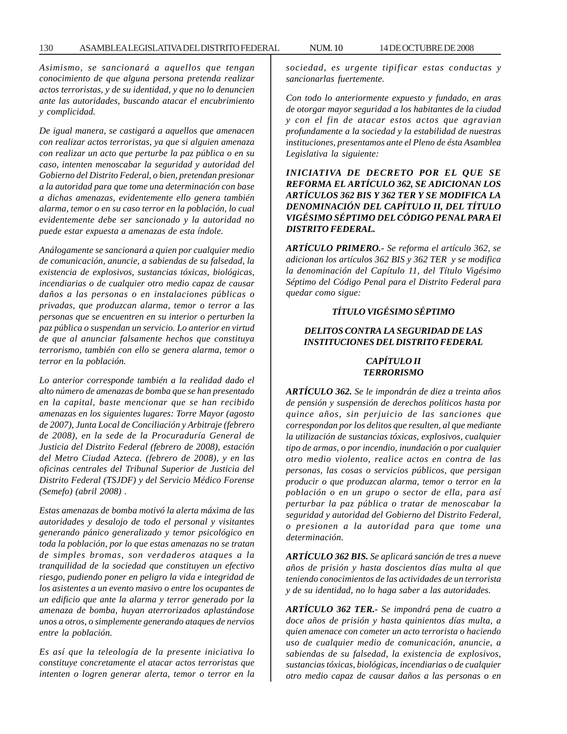*Asimismo, se sancionará a aquellos que tengan conocimiento de que alguna persona pretenda realizar actos terroristas, y de su identidad, y que no lo denuncien ante las autoridades, buscando atacar el encubrimiento y complicidad.*

*De igual manera, se castigará a aquellos que amenacen con realizar actos terroristas, ya que si alguien amenaza con realizar un acto que perturbe la paz pública o en su caso, intenten menoscabar la seguridad y autoridad del Gobierno del Distrito Federal, o bien, pretendan presionar a la autoridad para que tome una determinación con base a dichas amenazas, evidentemente ello genera también alarma, temor o en su caso terror en la población, lo cual evidentemente debe ser sancionado y la autoridad no puede estar expuesta a amenazas de esta índole.*

*Análogamente se sancionará a quien por cualquier medio de comunicación, anuncie, a sabiendas de su falsedad, la existencia de explosivos, sustancias tóxicas, biológicas, incendiarias o de cualquier otro medio capaz de causar daños a las personas o en instalaciones públicas o privadas, que produzcan alarma, temor o terror a las personas que se encuentren en su interior o perturben la paz pública o suspendan un servicio. Lo anterior en virtud de que al anunciar falsamente hechos que constituya terrorismo, también con ello se genera alarma, temor o terror en la población.*

*Lo anterior corresponde también a la realidad dado el alto número de amenazas de bomba que se han presentado en la capital, baste mencionar que se han recibido amenazas en los siguientes lugares: Torre Mayor (agosto de 2007), Junta Local de Conciliación y Arbitraje (febrero de 2008), en la sede de la Procuraduría General de Justicia del Distrito Federal (febrero de 2008), estación del Metro Ciudad Azteca. (febrero de 2008), y en las oficinas centrales del Tribunal Superior de Justicia del Distrito Federal (TSJDF) y del Servicio Médico Forense (Semefo) (abril 2008) .*

*Estas amenazas de bomba motivó la alerta máxima de las autoridades y desalojo de todo el personal y visitantes generando pánico generalizado y temor psicológico en toda la población, por lo que estas amenazas no se tratan de simples bromas, son verdaderos ataques a la tranquilidad de la sociedad que constituyen un efectivo riesgo, pudiendo poner en peligro la vida e integridad de los asistentes a un evento masivo o entre los ocupantes de un edificio que ante la alarma y terror generado por la amenaza de bomba, huyan aterrorizados aplastándose unos a otros, o simplemente generando ataques de nervios entre la población.*

*Es así que la teleología de la presente iniciativa lo constituye concretamente el atacar actos terroristas que intenten o logren generar alerta, temor o terror en la* *sociedad, es urgente tipificar estas conductas y sancionarlas fuertemente.*

*Con todo lo anteriormente expuesto y fundado, en aras de otorgar mayor seguridad a los habitantes de la ciudad y con el fin de atacar estos actos que agravian profundamente a la sociedad y la estabilidad de nuestras instituciones, presentamos ante el Pleno de ésta Asamblea Legislativa la siguiente:*

*INICIATIVA DE DECRETO POR EL QUE SE REFORMA EL ARTÍCULO 362, SE ADICIONAN LOS ARTÍCULOS 362 BIS Y 362 TER Y SE MODIFICA LA DENOMINACIÓN DEL CAPÍTULO II, DEL TÍTULO VIGÉSIMO SÉPTIMO DEL CÓDIGO PENAL PARA El DISTRITO FEDERAL.*

*ARTÍCULO PRIMERO.- Se reforma el artículo 362, se adicionan los artículos 362 BIS y 362 TER y se modifica la denominación del Capítulo 11, del Título Vigésimo Séptimo del Código Penal para el Distrito Federal para quedar como sigue:*

# *TÍTULO VIGÉSIMO SÉPTIMO*

### *DELITOS CONTRA LA SEGURIDAD DE LAS INSTITUCIONES DEL DISTRITO FEDERAL*

## *CAPÍTULO II TERRORISMO*

*ARTÍCULO 362. Se le impondrán de diez a treinta años de pensión y suspensión de derechos políticos hasta por quince años, sin perjuicio de las sanciones que correspondan por los delitos que resulten, al que mediante la utilización de sustancias tóxicas, explosivos, cualquier tipo de armas, o por incendio, inundación o por cualquier otro medio violento, realice actos en contra de las personas, las cosas o servicios públicos, que persigan producir o que produzcan alarma, temor o terror en la población o en un grupo o sector de ella, para así perturbar la paz pública o tratar de menoscabar la seguridad y autoridad del Gobierno del Distrito Federal, o presionen a la autoridad para que tome una determinación.*

*ARTÍCULO 362 BIS. Se aplicará sanción de tres a nueve años de prisión y hasta doscientos días multa al que teniendo conocimientos de las actividades de un terrorista y de su identidad, no lo haga saber a las autoridades.*

*ARTÍCULO 362 TER.- Se impondrá pena de cuatro a doce años de prisión y hasta quinientos días multa, a quien amenace con cometer un acto terrorista o haciendo uso de cualquier medio de comunicación, anuncie, a sabiendas de su falsedad, la existencia de explosivos, sustancias tóxicas, biológicas, incendiarias o de cualquier otro medio capaz de causar daños a las personas o en*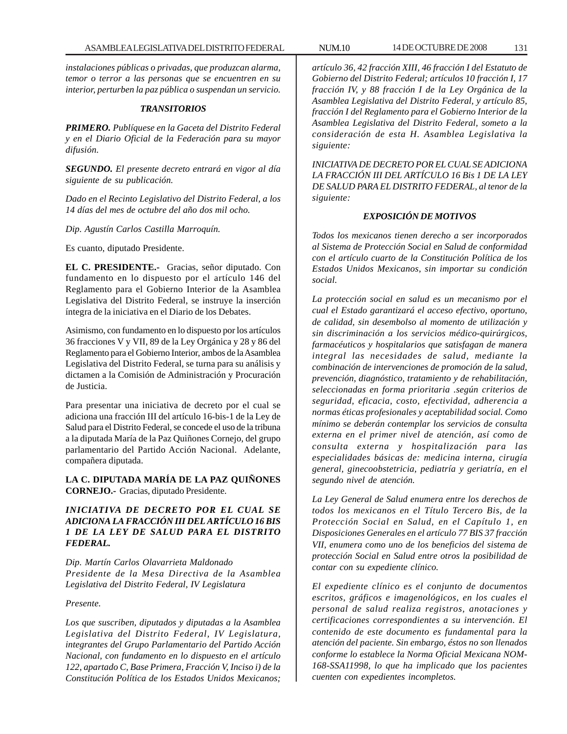*instalaciones públicas o privadas, que produzcan alarma, temor o terror a las personas que se encuentren en su interior, perturben la paz pública o suspendan un servicio.*

#### *TRANSITORIOS*

*PRIMERO. Publíquese en la Gaceta del Distrito Federal y en el Diario Oficial de la Federación para su mayor difusión.*

*SEGUNDO. El presente decreto entrará en vigor al día siguiente de su publicación.*

*Dado en el Recinto Legislativo del Distrito Federal, a los 14 días del mes de octubre del año dos mil ocho.*

*Dip. Agustín Carlos Castilla Marroquín.*

Es cuanto, diputado Presidente.

**EL C. PRESIDENTE.-** Gracias, señor diputado. Con fundamento en lo dispuesto por el artículo 146 del Reglamento para el Gobierno Interior de la Asamblea Legislativa del Distrito Federal, se instruye la inserción íntegra de la iniciativa en el Diario de los Debates.

Asimismo, con fundamento en lo dispuesto por los artículos 36 fracciones V y VII, 89 de la Ley Orgánica y 28 y 86 del Reglamento para el Gobierno Interior, ambos de la Asamblea Legislativa del Distrito Federal, se turna para su análisis y dictamen a la Comisión de Administración y Procuración de Justicia.

Para presentar una iniciativa de decreto por el cual se adiciona una fracción III del artículo 16-bis-1 de la Ley de Salud para el Distrito Federal, se concede el uso de la tribuna a la diputada María de la Paz Quiñones Cornejo, del grupo parlamentario del Partido Acción Nacional. Adelante, compañera diputada.

**LA C. DIPUTADA MARÍA DE LA PAZ QUIÑONES CORNEJO.-** Gracias, diputado Presidente.

# *INICIATIVA DE DECRETO POR EL CUAL SE ADICIONA LA FRACCIÓN III DEL ARTÍCULO 16 BIS 1 DE LA LEY DE SALUD PARA EL DISTRITO FEDERAL.*

*Dip. Martín Carlos Olavarrieta Maldonado Presidente de la Mesa Directiva de la Asamblea Legislativa del Distrito Federal, IV Legislatura*

#### *Presente.*

*Los que suscriben, diputados y diputadas a la Asamblea Legislativa del Distrito Federal, IV Legislatura, integrantes del Grupo Parlamentario del Partido Acción Nacional, con fundamento en lo dispuesto en el artículo 122, apartado C, Base Primera, Fracción V, Inciso i) de la Constitución Política de los Estados Unidos Mexicanos;*

*artículo 36, 42 fracción XIII, 46 fracción I del Estatuto de Gobierno del Distrito Federal; artículos 10 fracción I, 17 fracción IV, y 88 fracción I de la Ley Orgánica de la Asamblea Legislativa del Distrito Federal, y artículo 85, fracción I del Reglamento para el Gobierno Interior de la Asamblea Legislativa del Distrito Federal, someto a la consideración de esta H. Asamblea Legislativa la siguiente:*

*INICIATIVA DE DECRETO POR EL CUAL SE ADICIONA LA FRACCIÓN III DEL ARTÍCULO 16 Bis 1 DE LA LEY DE SALUD PARA EL DISTRITO FEDERAL, al tenor de la siguiente:*

## *EXPOSICIÓN DE MOTIVOS*

*Todos los mexicanos tienen derecho a ser incorporados al Sistema de Protección Social en Salud de conformidad con el artículo cuarto de la Constitución Política de los Estados Unidos Mexicanos, sin importar su condición social.*

*La protección social en salud es un mecanismo por el cual el Estado garantizará el acceso efectivo, oportuno, de calidad, sin desembolso al momento de utilización y sin discriminación a los servicios médico-quirúrgicos, farmacéuticos y hospitalarios que satisfagan de manera integral las necesidades de salud, mediante la combinación de intervenciones de promoción de la salud, prevención, diagnóstico, tratamiento y de rehabilitación, seleccionadas en forma prioritaria .según criterios de seguridad, eficacia, costo, efectividad, adherencia a normas éticas profesionales y aceptabilidad social. Como mínimo se deberán contemplar los servicios de consulta externa en el primer nivel de atención, así como de consulta externa y hospitalización para las especialidades básicas de: medicina interna, cirugía general, ginecoobstetricia, pediatría y geriatría, en el segundo nivel de atención.*

*La Ley General de Salud enumera entre los derechos de todos los mexicanos en el Título Tercero Bis, de la Protección Social en Salud, en el Capítulo 1, en Disposiciones Generales en el artículo 77 BIS 37 fracción VII, enumera como uno de los beneficios del sistema de protección Social en Salud entre otros la posibilidad de contar con su expediente clínico.*

*El expediente clínico es el conjunto de documentos escritos, gráficos e imagenológicos, en los cuales el personal de salud realiza registros, anotaciones y certificaciones correspondientes a su intervención. El contenido de este documento es fundamental para la atención del paciente. Sin embargo, éstos no son llenados conforme lo establece la Norma Oficial Mexicana NOM-168-SSA11998, lo que ha implicado que los pacientes cuenten con expedientes incompletos.*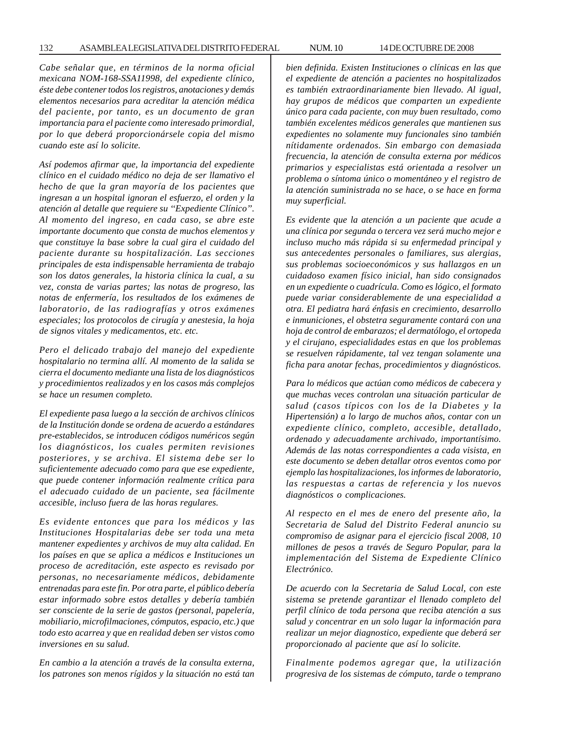*Cabe señalar que, en términos de la norma oficial mexicana NOM-168-SSA11998, del expediente clínico, éste debe contener todos los registros, anotaciones y demás elementos necesarios para acreditar la atención médica del paciente, por tanto, es un documento de gran importancia para el paciente como interesado primordial, por lo que deberá proporcionársele copia del mismo cuando este así lo solicite.*

*Así podemos afirmar que, la importancia del expediente clínico en el cuidado médico no deja de ser llamativo el hecho de que la gran mayoría de los pacientes que ingresan a un hospital ignoran el esfuerzo, el orden y la atención al detalle que requiere su ''Expediente Clínico''. Al momento del ingreso, en cada caso, se abre este importante documento que consta de muchos elementos y que constituye la base sobre la cual gira el cuidado del paciente durante su hospitalización. Las secciones principales de esta indispensable herramienta de trabajo son los datos generales, la historia clínica la cual, a su vez, consta de varias partes; las notas de progreso, las notas de enfermería, los resultados de los exámenes de laboratorio, de las radiografías y otros exámenes especiales; los protocolos de cirugía y anestesia, la hoja de signos vitales y medicamentos, etc. etc.*

*Pero el delicado trabajo del manejo del expediente hospitalario no termina allí. Al momento de la salida se cierra el documento mediante una lista de los diagnósticos y procedimientos realizados y en los casos más complejos se hace un resumen completo.*

*El expediente pasa luego a la sección de archivos clínicos de la Institución donde se ordena de acuerdo a estándares pre-establecidos, se introducen códigos numéricos según los diagnósticos, los cuales permiten revisiones posteriores, y se archiva. El sistema debe ser lo suficientemente adecuado como para que ese expediente, que puede contener información realmente crítica para el adecuado cuidado de un paciente, sea fácilmente accesible, incluso fuera de las horas regulares.*

*Es evidente entonces que para los médicos y las Instituciones Hospitalarias debe ser toda una meta mantener expedientes y archivos de muy alta calidad. En los países en que se aplica a médicos e Instituciones un proceso de acreditación, este aspecto es revisado por personas, no necesariamente médicos, debidamente entrenadas para este fin. Por otra parte, el público debería estar informado sobre estos detalles y debería también ser consciente de la serie de gastos (personal, papelería, mobiliario, microfilmaciones, cómputos, espacio, etc.) que todo esto acarrea y que en realidad deben ser vistos como inversiones en su salud.*

*En cambio a la atención a través de la consulta externa, los patrones son menos rígidos y la situación no está tan* *bien definida. Existen Instituciones o clínicas en las que el expediente de atención a pacientes no hospitalizados es también extraordinariamente bien llevado. Al igual, hay grupos de médicos que comparten un expediente único para cada paciente, con muy buen resultado, como también excelentes médicos generales que mantienen sus expedientes no solamente muy funcionales sino también nítidamente ordenados. Sin embargo con demasiada frecuencia, la atención de consulta externa por médicos primarios y especialistas está orientada a resolver un problema o síntoma único o momentáneo y el registro de la atención suministrada no se hace, o se hace en forma muy superficial.*

*Es evidente que la atención a un paciente que acude a una clínica por segunda o tercera vez será mucho mejor e incluso mucho más rápida si su enfermedad principal y sus antecedentes personales o familiares, sus alergias, sus problemas socioeconómicos y sus hallazgos en un cuidadoso examen físico inicial, han sido consignados en un expediente o cuadrícula. Como es lógico, el formato puede variar considerablemente de una especialidad a otra. El pediatra hará énfasis en crecimiento, desarrollo e inmuniciones, el obstetra seguramente contará con una hoja de control de embarazos; el dermatólogo, el ortopeda y el cirujano, especialidades estas en que los problemas se resuelven rápidamente, tal vez tengan solamente una ficha para anotar fechas, procedimientos y diagnósticos.*

*Para lo médicos que actúan como médicos de cabecera y que muchas veces controlan una situación particular de salud (casos típicos con los de la Diabetes y la Hipertensión) a lo largo de muchos años, contar con un expediente clínico, completo, accesible, detallado, ordenado y adecuadamente archivado, importantísimo. Además de las notas correspondientes a cada visista, en este documento se deben detallar otros eventos como por ejemplo las hospitalizaciones, los informes de laboratorio, las respuestas a cartas de referencia y los nuevos diagnósticos o complicaciones.*

*Al respecto en el mes de enero del presente año, la Secretaria de Salud del Distrito Federal anuncio su compromiso de asignar para el ejercicio fiscal 2008, 10 millones de pesos a través de Seguro Popular, para la implementación del Sistema de Expediente Clínico Electrónico.*

*De acuerdo con la Secretaria de Salud Local, con este sistema se pretende garantizar el llenado completo del perfil clínico de toda persona que reciba atención a sus salud y concentrar en un solo lugar la información para realizar un mejor diagnostico, expediente que deberá ser proporcionado al paciente que así lo solicite.*

*Finalmente podemos agregar que, la utilización progresiva de los sistemas de cómputo, tarde o temprano*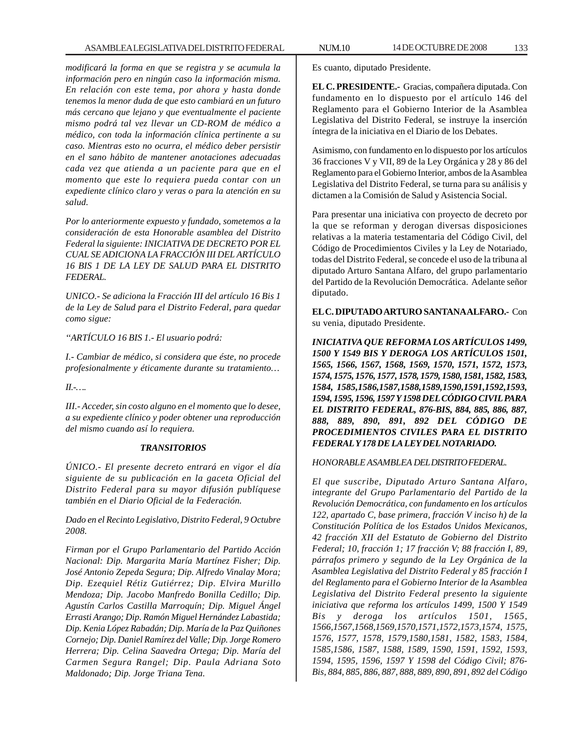*modificará la forma en que se registra y se acumula la información pero en ningún caso la información misma. En relación con este tema, por ahora y hasta donde tenemos la menor duda de que esto cambiará en un futuro más cercano que lejano y que eventualmente el paciente mismo podrá tal vez llevar un CD-ROM de médico a médico, con toda la información clínica pertinente a su caso. Mientras esto no ocurra, el médico deber persistir en el sano hábito de mantener anotaciones adecuadas cada vez que atienda a un paciente para que en el momento que este lo requiera pueda contar con un expediente clínico claro y veras o para la atención en su salud.*

*Por lo anteriormente expuesto y fundado, sometemos a la consideración de esta Honorable asamblea del Distrito Federal la siguiente: INICIATIVA DE DECRETO POR EL CUAL SE ADICIONA LA FRACCIÓN III DEL ARTÍCULO 16 BIS 1 DE LA LEY DE SALUD PARA EL DISTRITO FEDERAL.*

*UNICO.- Se adiciona la Fracción III del artículo 16 Bis 1 de la Ley de Salud para el Distrito Federal, para quedar como sigue:*

*''ARTÍCULO 16 BIS 1.- El usuario podrá:*

*I.- Cambiar de médico, si considera que éste, no procede profesionalmente y éticamente durante su tratamiento…*

*II.-….*

*III.- Acceder, sin costo alguno en el momento que lo desee, a su expediente clínico y poder obtener una reproducción del mismo cuando así lo requiera.*

### *TRANSITORIOS*

*ÚNICO.- El presente decreto entrará en vigor el día siguiente de su publicación en la gaceta Oficial del Distrito Federal para su mayor difusión publíquese también en el Diario Oficial de la Federación.*

*Dado en el Recinto Legislativo, Distrito Federal, 9 Octubre 2008.*

*Firman por el Grupo Parlamentario del Partido Acción Nacional: Dip. Margarita María Martínez Fisher; Dip. José Antonio Zepeda Segura; Dip. Alfredo Vinalay Mora; Dip. Ezequiel Rétiz Gutiérrez; Dip. Elvira Murillo Mendoza; Dip. Jacobo Manfredo Bonilla Cedillo; Dip. Agustín Carlos Castilla Marroquín; Dip. Miguel Ángel Errasti Arango; Dip. Ramón Miguel Hernández Labastida; Dip. Kenia López Rabadán; Dip. María de la Paz Quiñones Cornejo; Dip. Daniel Ramírez del Valle; Dip. Jorge Romero Herrera; Dip. Celina Saavedra Ortega; Dip. María del Carmen Segura Rangel; Dip. Paula Adriana Soto Maldonado; Dip. Jorge Triana Tena.*

Es cuanto, diputado Presidente.

**EL C. PRESIDENTE.-** Gracias, compañera diputada. Con fundamento en lo dispuesto por el artículo 146 del Reglamento para el Gobierno Interior de la Asamblea Legislativa del Distrito Federal, se instruye la inserción íntegra de la iniciativa en el Diario de los Debates.

Asimismo, con fundamento en lo dispuesto por los artículos 36 fracciones V y VII, 89 de la Ley Orgánica y 28 y 86 del Reglamento para el Gobierno Interior, ambos de la Asamblea Legislativa del Distrito Federal, se turna para su análisis y dictamen a la Comisión de Salud y Asistencia Social.

Para presentar una iniciativa con proyecto de decreto por la que se reforman y derogan diversas disposiciones relativas a la materia testamentaria del Código Civil, del Código de Procedimientos Civiles y la Ley de Notariado, todas del Distrito Federal, se concede el uso de la tribuna al diputado Arturo Santana Alfaro, del grupo parlamentario del Partido de la Revolución Democrática. Adelante señor diputado.

**EL C. DIPUTADO ARTURO SANTANA ALFARO.-** Con su venia, diputado Presidente.

*INICIATIVA QUE REFORMA LOS ARTÍCULOS 1499, 1500 Y 1549 BIS Y DEROGA LOS ARTÍCULOS 1501, 1565, 1566, 1567, 1568, 1569, 1570, 1571, 1572, 1573, 1574, 1575, 1576, 1577, 1578, 1579, 1580, 1581, 1582, 1583, 1584, 1585,1586,1587,1588,1589,1590,1591,1592,1593, 1594, 1595, 1596, 1597 Y 1598 DEL CÓDIGO CIVIL PARA EL DISTRITO FEDERAL, 876-BIS, 884, 885, 886, 887, 888, 889, 890, 891, 892 DEL CÓDIGO DE PROCEDIMIENTOS CIVILES PARA EL DISTRITO FEDERAL Y 178 DE LA LEY DEL NOTARIADO.*

## *HONORABLE ASAMBLEA DEL DISTRITO FEDERAL.*

*El que suscribe, Diputado Arturo Santana Alfaro, integrante del Grupo Parlamentario del Partido de la Revolución Democrática, con fundamento en los artículos 122, apartado C, base primera, fracción V inciso h) de la Constitución Política de los Estados Unidos Mexicanos, 42 fracción XII del Estatuto de Gobierno del Distrito Federal; 10, fracción 1; 17 fracción V; 88 fracción I, 89, párrafos primero y segundo de la Ley Orgánica de la Asamblea Legislativa del Distrito Federal y 85 fracción I del Reglamento para el Gobierno Interior de la Asamblea Legislativa del Distrito Federal presento la siguiente iniciativa que reforma los artículos 1499, 1500 Y 1549 Bis y deroga los artículos 1501, 1565, 1566,1567,1568,1569,1570,1571,1572,1573,1574, 1575, 1576, 1577, 1578, 1579,1580,1581, 1582, 1583, 1584, 1585,1586, 1587, 1588, 1589, 1590, 1591, 1592, 1593, 1594, 1595, 1596, 1597 Y 1598 del Código Civil; 876- Bis, 884, 885, 886, 887, 888, 889, 890, 891, 892 del Código*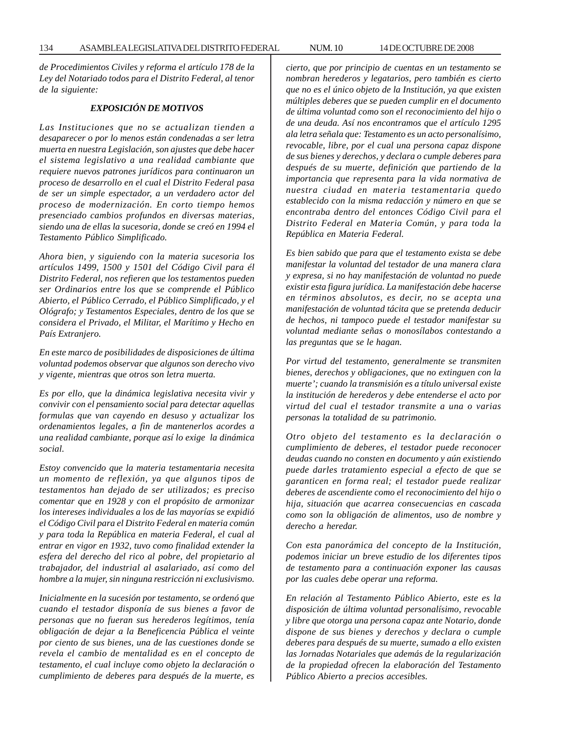*de Procedimientos Civiles y reforma el artículo 178 de la Ley del Notariado todos para el Distrito Federal, al tenor de la siguiente:*

### *EXPOSICIÓN DE MOTIVOS*

*Las Instituciones que no se actualizan tienden a desaparecer o por lo menos están condenadas a ser letra muerta en nuestra Legislación, son ajustes que debe hacer el sistema legislativo a una realidad cambiante que requiere nuevos patrones jurídicos para continuaron un proceso de desarrollo en el cual el Distrito Federal pasa de ser un simple espectador, a un verdadero actor del proceso de modernización. En corto tiempo hemos presenciado cambios profundos en diversas materias, siendo una de ellas la sucesoria, donde se creó en 1994 el Testamento Público Simplificado.*

*Ahora bien, y siguiendo con la materia sucesoria los artículos 1499, 1500 y 1501 del Código Civil para él Distrito Federal, nos refieren que los testamentos pueden ser Ordinarios entre los que se comprende el Público Abierto, el Público Cerrado, el Público Simplificado, y el Ológrafo; y Testamentos Especiales, dentro de los que se considera el Privado, el Militar, el Marítimo y Hecho en País Extranjero.*

*En este marco de posibilidades de disposiciones de última voluntad podemos observar que algunos son derecho vivo y vigente, mientras que otros son letra muerta.*

*Es por ello, que la dinámica legislativa necesita vivir y convivir con el pensamiento social para detectar aquellas formulas que van cayendo en desuso y actualizar los ordenamientos legales, a fin de mantenerlos acordes a una realidad cambiante, porque así lo exige la dinámica social.*

*Estoy convencido que la materia testamentaria necesita un momento de reflexión, ya que algunos tipos de testamentos han dejado de ser utilizados; es preciso comentar que en 1928 y con el propósito de armonizar los intereses individuales a los de las mayorías se expidió el Código Civil para el Distrito Federal en materia común y para toda la República en materia Federal, el cual al entrar en vigor en 1932, tuvo como finalidad extender la esfera del derecho del rico al pobre, del propietario al trabajador, del industrial al asalariado, así como del hombre a la mujer, sin ninguna restricción ni exclusivismo.*

*Inicialmente en la sucesión por testamento, se ordenó que cuando el testador disponía de sus bienes a favor de personas que no fueran sus herederos legítimos, tenía obligación de dejar a la Beneficencia Pública el veinte por ciento de sus bienes, una de las cuestiones donde se revela el cambio de mentalidad es en el concepto de testamento, el cual incluye como objeto la declaración o cumplimiento de deberes para después de la muerte, es* *cierto, que por principio de cuentas en un testamento se nombran herederos y legatarios, pero también es cierto que no es el único objeto de la Institución, ya que existen múltiples deberes que se pueden cumplir en el documento de última voluntad como son el reconocimiento del hijo o de una deuda. Así nos encontramos que el artículo 1295 ala letra señala que: Testamento es un acto personalísimo, revocable, libre, por el cual una persona capaz dispone de sus bienes y derechos, y declara o cumple deberes para después de su muerte, definición que partiendo de la importancia que representa para la vida normativa de nuestra ciudad en materia testamentaria quedo establecido con la misma redacción y número en que se encontraba dentro del entonces Código Civil para el Distrito Federal en Materia Común, y para toda la República en Materia Federal.*

*Es bien sabido que para que el testamento exista se debe manifestar la voluntad del testador de una manera clara y expresa, si no hay manifestación de voluntad no puede existir esta figura jurídica. La manifestación debe hacerse en términos absolutos, es decir, no se acepta una manifestación de voluntad tácita que se pretenda deducir de hechos, ni tampoco puede el testador manifestar su voluntad mediante señas o monosílabos contestando a las preguntas que se le hagan.*

*Por virtud del testamento, generalmente se transmiten bienes, derechos y obligaciones, que no extinguen con la muerte'; cuando la transmisión es a título universal existe la institución de herederos y debe entenderse el acto por virtud del cual el testador transmite a una o varias personas la totalidad de su patrimonio.*

*Otro objeto del testamento es la declaración o cumplimiento de deberes, el testador puede reconocer deudas cuando no consten en documento y aún existiendo puede darles tratamiento especial a efecto de que se garanticen en forma real; el testador puede realizar deberes de ascendiente como el reconocimiento del hijo o hija, situación que acarrea consecuencias en cascada como son la obligación de alimentos, uso de nombre y derecho a heredar.*

*Con esta panorámica del concepto de la Institución, podemos iniciar un breve estudio de los diferentes tipos de testamento para a continuación exponer las causas por las cuales debe operar una reforma.*

*En relación al Testamento Público Abierto, este es la disposición de última voluntad personalísimo, revocable y libre que otorga una persona capaz ante Notario, donde dispone de sus bienes y derechos y declara o cumple deberes para después de su muerte, sumado a ello existen las Jornadas Notariales que además de la regularización de la propiedad ofrecen la elaboración del Testamento Público Abierto a precios accesibles.*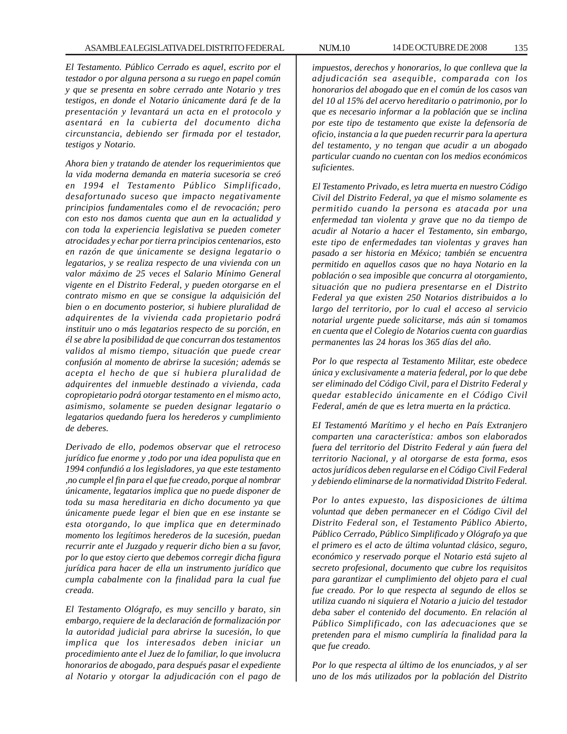*El Testamento. Público Cerrado es aquel, escrito por el testador o por alguna persona a su ruego en papel común y que se presenta en sobre cerrado ante Notario y tres testigos, en donde el Notario únicamente dará fe de la presentación y levantará un acta en el protocolo y asentará en la cubierta del documento dicha circunstancia, debiendo ser firmada por el testador, testigos y Notario.*

*Ahora bien y tratando de atender los requerimientos que la vida moderna demanda en materia sucesoria se creó en 1994 el Testamento Público Simplificado, desafortunado suceso que impacto negativamente principios fundamentales como el de revocación; pero con esto nos damos cuenta que aun en la actualidad y con toda la experiencia legislativa se pueden cometer atrocidades y echar por tierra principios centenarios, esto en razón de que únicamente se designa legatario o legatarios, y se realiza respecto de una vivienda con un valor máximo de 25 veces el Salario Mínimo General vigente en el Distrito Federal, y pueden otorgarse en el contrato mismo en que se consigue la adquisición del bien o en documento posterior, si hubiere pluralidad de adquirentes de la vivienda cada propietario podrá instituir uno o más legatarios respecto de su porción, en él se abre la posibilidad de que concurran dos testamentos validos al mismo tiempo, situación que puede crear confusión al momento de abrirse la sucesión; además se acepta el hecho de que si hubiera pluralidad de adquirentes del inmueble destinado a vivienda, cada copropietario podrá otorgar testamento en el mismo acto, asimismo, solamente se pueden designar legatario o legatarios quedando fuera los herederos y cumplimiento de deberes.*

*Derivado de ello, podemos observar que el retroceso jurídico fue enorme y ,todo por una idea populista que en 1994 confundió a los legisladores, ya que este testamento ,no cumple el fin para el que fue creado, porque al nombrar únicamente, legatarios implica que no puede disponer de toda su masa hereditaria en dicho documento ya que únicamente puede legar el bien que en ese instante se esta otorgando, lo que implica que en determinado momento los legítimos herederos de la sucesión, puedan recurrir ante el Juzgado y requerir dicho bien a su favor, por lo que estoy cierto que debemos corregir dicha figura jurídica para hacer de ella un instrumento jurídico que cumpla cabalmente con la finalidad para la cual fue creada.*

*El Testamento Ológrafo, es muy sencillo y barato, sin embargo, requiere de la declaración de formalización por la autoridad judicial para abrirse la sucesión, lo que implica que los interesados deben iniciar un procedimiento ante el Juez de lo familiar, lo que involucra honorarios de abogado, para después pasar el expediente al Notario y otorgar la adjudicación con el pago de*

*impuestos, derechos y honorarios, lo que conlleva que la adjudicación sea asequible, comparada con los honorarios del abogado que en el común de los casos van del 10 al 15% del acervo hereditario o patrimonio, por lo que es necesario informar a la población que se inclina por este tipo de testamento que existe la defensoría de oficio, instancia a la que pueden recurrir para la apertura del testamento, y no tengan que acudir a un abogado particular cuando no cuentan con los medios económicos suficientes.*

*El Testamento Privado, es letra muerta en nuestro Código Civil del Distrito Federal, ya que el mismo solamente es permitido cuando la persona es atacada por una enfermedad tan violenta y grave que no da tiempo de acudir al Notario a hacer el Testamento, sin embargo, este tipo de enfermedades tan violentas y graves han pasado a ser historia en México; también se encuentra permitido en aquellos casos que no haya Notario en la población o sea imposible que concurra al otorgamiento, situación que no pudiera presentarse en el Distrito Federal ya que existen 250 Notarios distribuidos a lo largo del territorio, por lo cual el acceso al servicio notarial urgente puede solicitarse, más aún si tomamos en cuenta que el Colegio de Notarios cuenta con guardias permanentes las 24 horas los 365 días del año.*

*Por lo que respecta al Testamento Militar, este obedece única y exclusivamente a materia federal, por lo que debe ser eliminado del Código Civil, para el Distrito Federal y quedar establecido únicamente en el Código Civil Federal, amén de que es letra muerta en la práctica.*

*EI Testamentó Marítimo y el hecho en País Extranjero comparten una característica: ambos son elaborados fuera del territorio del Distrito Federal y aún fuera del territorio Nacional, y al otorgarse de esta forma, esos actos jurídicos deben regularse en el Código Civil Federal y debiendo eliminarse de la normatividad Distrito Federal.*

*Por lo antes expuesto, las disposiciones de última voluntad que deben permanecer en el Código Civil del Distrito Federal son, el Testamento Público Abierto, Público Cerrado, Público Simplificado y Ológrafo ya que el primero es el acto de última voluntad clásico, seguro, económico y reservado porque el Notario está sujeto al secreto profesional, documento que cubre los requisitos para garantizar el cumplimiento del objeto para el cual fue creado. Por lo que respecta al segundo de ellos se utiliza cuando ni siquiera el Notario a juicio del testador deba saber el contenido del documento. En relación al Público Simplificado, con las adecuaciones que se pretenden para el mismo cumpliría la finalidad para la que fue creado.*

*Por lo que respecta al último de los enunciados, y al ser uno de los más utilizados por la población del Distrito*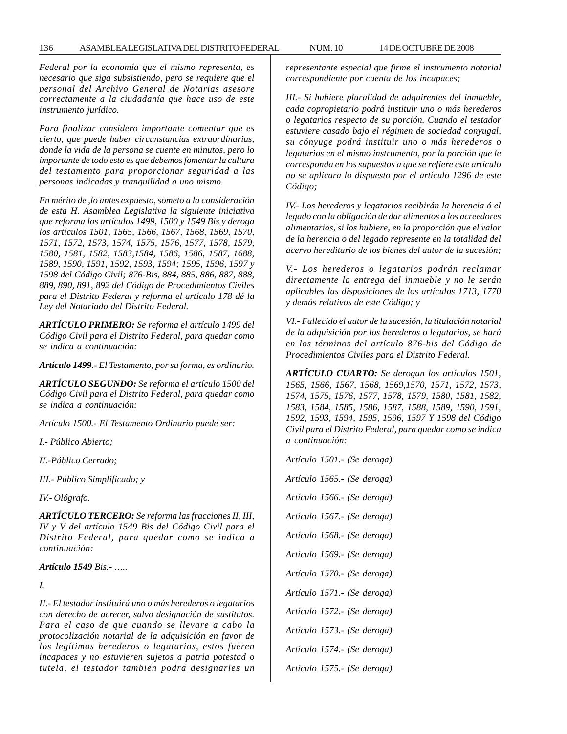*Federal por la economía que el mismo representa, es necesario que siga subsistiendo, pero se requiere que el personal del Archivo General de Notarias asesore correctamente a la ciudadanía que hace uso de este instrumento jurídico.*

*Para finalizar considero importante comentar que es cierto, que puede haber circunstancias extraordinarias, donde la vida de la persona se cuente en minutos, pero lo importante de todo esto es que debemos fomentar la cultura del testamento para proporcionar seguridad a las personas indicadas y tranquilidad a uno mismo.*

*En mérito de ,lo antes expuesto, someto a la consideración de esta H. Asamblea Legislativa la siguiente iniciativa que reforma los artículos 1499, 1500 y 1549 Bis y deroga los artículos 1501, 1565, 1566, 1567, 1568, 1569, 1570, 1571, 1572, 1573, 1574, 1575, 1576, 1577, 1578, 1579, 1580, 1581, 1582, 1583,1584, 1586, 1586, 1587, 1688, 1589, 1590, 1591, 1592, 1593, 1594; 1595, 1596, 1597 y 1598 del Código Civil; 876-Bis, 884, 885, 886, 887, 888, 889, 890, 891, 892 del Código de Procedimientos Civiles para el Distrito Federal y reforma el artículo 178 dé la Ley del Notariado del Distrito Federal.*

*ARTÍCULO PRIMERO: Se reforma el artículo 1499 del Código Civil para el Distrito Federal, para quedar como se indica a continuación:*

*Artículo 1499.- El Testamento, por su forma, es ordinario.*

*ARTÍCULO SEGUNDO: Se reforma el artículo 1500 del Código Civil para el Distrito Federal, para quedar como se indica a continuación:*

*Artículo 1500.- El Testamento Ordinario puede ser:*

*I.- Público Abierto;*

*II.-Público Cerrado;*

*III.- Público Simplificado; y*

*IV.- Ológrafo.*

*ARTÍCULO TERCERO: Se reforma las fracciones II, III, IV y V del artículo 1549 Bis del Código Civil para el Distrito Federal, para quedar como se indica a continuación:*

*Artículo 1549 Bis.- …..*

*I.*

*II.- El testador instituirá uno o más herederos o legatarios con derecho de acrecer, salvo designación de sustitutos. Para el caso de que cuando se llevare a cabo la protocolización notarial de la adquisición en favor de los legítimos herederos o legatarios, estos fueren incapaces y no estuvieren sujetos a patria potestad o tutela, el testador también podrá designarles un* *representante especial que firme el instrumento notarial correspondiente por cuenta de los incapaces;*

*III.- Si hubiere pluralidad de adquirentes del inmueble, cada copropietario podrá instituir uno o más herederos o legatarios respecto de su porción. Cuando el testador estuviere casado bajo el régimen de sociedad conyugal, su cónyuge podrá instituir uno o más herederos o legatarios en el mismo instrumento, por la porción que le corresponda en los supuestos a que se refiere este artículo no se aplicara lo dispuesto por el artículo 1296 de este Código;*

*IV.- Los herederos y legatarios recibirán la herencia ó el legado con la obligación de dar alimentos a los acreedores alimentarios, si los hubiere, en la proporción que el valor de la herencia o del legado represente en la totalidad del acervo hereditario de los bienes del autor de la sucesión;*

*V.- Los herederos o legatarios podrán reclamar directamente la entrega del inmueble y no le serán aplicables las disposiciones de los artículos 1713, 1770 y demás relativos de este Código; y*

*VI.- Fallecido el autor de la sucesión, la titulación notarial de la adquisición por los herederos o legatarios, se hará en los términos del artículo 876-bis del Código de Procedimientos Civiles para el Distrito Federal.*

*ARTÍCULO CUARTO: Se derogan los artículos 1501, 1565, 1566, 1567, 1568, 1569,1570, 1571, 1572, 1573, 1574, 1575, 1576, 1577, 1578, 1579, 1580, 1581, 1582, 1583, 1584, 1585, 1586, 1587, 1588, 1589, 1590, 1591, 1592, 1593, 1594, 1595, 1596, 1597 Y 1598 del Código Civil para el Distrito Federal, para quedar como se indica a continuación:*

*Artículo 1501.- (Se deroga) Artículo 1565.- (Se deroga) Artículo 1566.- (Se deroga) Artículo 1567.- (Se deroga) Artículo 1568.- (Se deroga) Artículo 1569.- (Se deroga) Artículo 1570.- (Se deroga) Artículo 1571.- (Se deroga) Artículo 1572.- (Se deroga) Artículo 1573.- (Se deroga) Artículo 1574.- (Se deroga)*

*Artículo 1575.- (Se deroga)*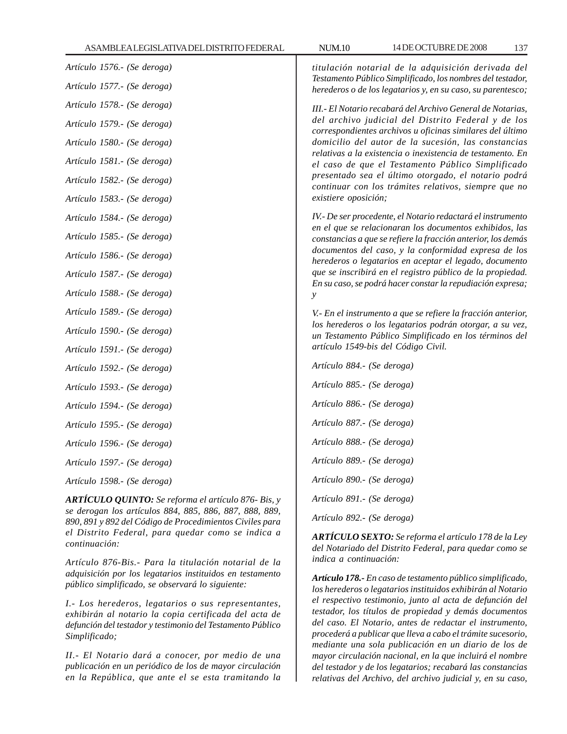| Artículo 1576.- (Se deroga)<br>Artículo 1577.- (Se deroga)                                                         | titulación notarial de la adquisición derivada del<br>Testamento Público Simplificado, los nombres del testador,<br>herederos o de los legatarios y, en su caso, su parentesco; |  |  |
|--------------------------------------------------------------------------------------------------------------------|---------------------------------------------------------------------------------------------------------------------------------------------------------------------------------|--|--|
| Artículo 1578.- (Se deroga)                                                                                        | III.- El Notario recabará del Archivo General de Notarias,<br>del archivo judicial del Distrito Federal y de los                                                                |  |  |
| Artículo 1579.- (Se deroga)                                                                                        | correspondientes archivos u oficinas similares del último                                                                                                                       |  |  |
| Artículo 1580.- (Se deroga)                                                                                        | domicilio del autor de la sucesión, las constancias<br>relativas a la existencia o inexistencia de testamento. En                                                               |  |  |
| Artículo 1581.- (Se deroga)                                                                                        | el caso de que el Testamento Público Simplificado<br>presentado sea el último otorgado, el notario podrá                                                                        |  |  |
| Artículo 1582.- (Se deroga)                                                                                        | continuar con los trámites relativos, siempre que no                                                                                                                            |  |  |
| Artículo 1583.- (Se deroga)                                                                                        | existiere oposición;                                                                                                                                                            |  |  |
| Artículo 1584.- (Se deroga)                                                                                        | IV.- De ser procedente, el Notario redactará el instrumento<br>en el que se relacionaran los documentos exhibidos, las                                                          |  |  |
| Artículo 1585.- (Se deroga)                                                                                        | constancias a que se refiere la fracción anterior, los demás                                                                                                                    |  |  |
| Artículo 1586.- (Se deroga)                                                                                        | documentos del caso, y la conformidad expresa de los<br>herederos o legatarios en aceptar el legado, documento                                                                  |  |  |
| Artículo 1587.- (Se deroga)                                                                                        | que se inscribirá en el registro público de la propiedad.<br>En su caso, se podrá hacer constar la repudiación expresa;                                                         |  |  |
| Artículo 1588.- (Se deroga)                                                                                        | у                                                                                                                                                                               |  |  |
| Artículo 1589.- (Se deroga)                                                                                        | V.- En el instrumento a que se refiere la fracción anterior,                                                                                                                    |  |  |
| Artículo 1590.- (Se deroga)                                                                                        | los herederos o los legatarios podrán otorgar, a su vez,<br>un Testamento Público Simplificado en los términos del                                                              |  |  |
| Artículo 1591.- (Se deroga)                                                                                        | artículo 1549-bis del Código Civil.                                                                                                                                             |  |  |
| Artículo 1592.- (Se deroga)                                                                                        | Artículo 884.- (Se deroga)                                                                                                                                                      |  |  |
| Artículo 1593.- (Se deroga)                                                                                        | Artículo 885.- (Se deroga)                                                                                                                                                      |  |  |
| Artículo 1594.- (Se deroga)                                                                                        | Artículo 886.- (Se deroga)                                                                                                                                                      |  |  |
| Artículo 1595.- (Se deroga)                                                                                        | Artículo 887.- (Se deroga)                                                                                                                                                      |  |  |
| Artículo 1596.- (Se deroga)                                                                                        | Artículo 888.- (Se deroga)                                                                                                                                                      |  |  |
| Artículo 1597.- (Se deroga)                                                                                        | Artículo 889.- (Se deroga)                                                                                                                                                      |  |  |
| Artículo 1598.- (Se deroga)                                                                                        | Artículo 890.- (Se deroga)                                                                                                                                                      |  |  |
| <b>ARTÍCULO QUINTO:</b> Se reforma el artículo 876- Bis, y                                                         | Artículo 891.- (Se deroga)                                                                                                                                                      |  |  |
| se derogan los artículos 884, 885, 886, 887, 888, 889,<br>890, 891 y 892 del Código de Procedimientos Civiles para | Artículo 892.- (Se deroga)                                                                                                                                                      |  |  |
| el Distrito Federal, para quedar como se indica a                                                                  | A <b>DTÍCULO SEVTO</b> : Se referma el grículo 179 de la Lav                                                                                                                    |  |  |

*Artículo 876-Bis.- Para la titulación notarial de la adquisición por los legatarios instituidos en testamento público simplificado, se observará lo siguiente:*

*continuación:*

*I.- Los herederos, legatarios o sus representantes, exhibirán al notario la copia certificada del acta de defunción del testador y testimonio del Testamento Público Simplificado;*

*II.- El Notario dará a conocer, por medio de una publicación en un periódico de los de mayor circulación en la República, que ante el se esta tramitando la* *ARTÍCULO SEXTO: Se reforma el artículo 178 de la Ley del Notariado del Distrito Federal, para quedar como se indica a continuación:*

*Artículo 178.- En caso de testamento público simplificado, los herederos o legatarios instituidos exhibirán al Notario el respectivo testimonio, junto al acta de defunción del testador, los títulos de propiedad y demás documentos del caso. El Notario, antes de redactar el instrumento, procederá a publicar que lleva a cabo el trámite sucesorio, mediante una sola publicación en un diario de los de mayor circulación nacional, en la que incluirá el nombre del testador y de los legatarios; recabará las constancias relativas del Archivo, del archivo judicial y, en su caso,*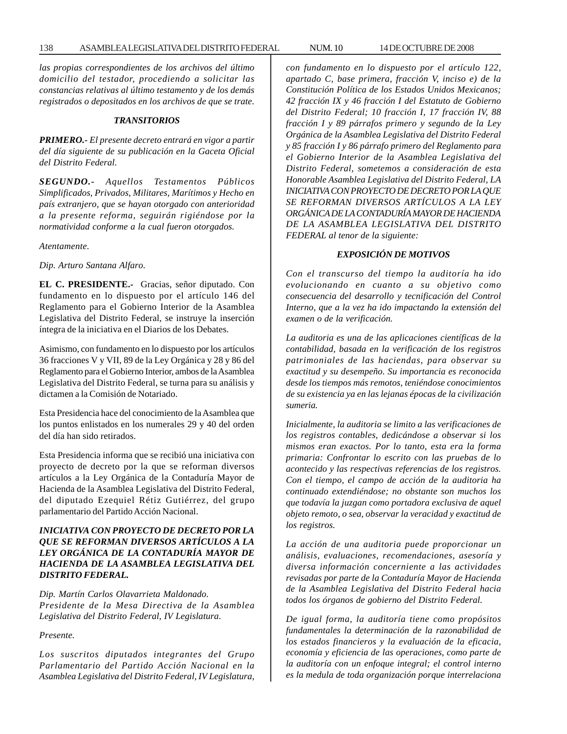*las propias correspondientes de los archivos del último domicilio del testador, procediendo a solicitar las constancias relativas al último testamento y de los demás registrados o depositados en los archivos de que se trate.*

#### *TRANSITORIOS*

*PRIMERO.- El presente decreto entrará en vigor a partir del día siguiente de su publicación en la Gaceta Oficial del Distrito Federal.*

*SEGUNDO.- Aquellos Testamentos Públicos Simplificados, Privados, Militares, Marítimos y Hecho en país extranjero, que se hayan otorgado con anterioridad a la presente reforma, seguirán rigiéndose por la normatividad conforme a la cual fueron otorgados.*

*Atentamente.*

*Dip. Arturo Santana Alfaro.*

**EL C. PRESIDENTE.-** Gracias, señor diputado. Con fundamento en lo dispuesto por el artículo 146 del Reglamento para el Gobierno Interior de la Asamblea Legislativa del Distrito Federal, se instruye la inserción íntegra de la iniciativa en el Diarios de los Debates.

Asimismo, con fundamento en lo dispuesto por los artículos 36 fracciones V y VII, 89 de la Ley Orgánica y 28 y 86 del Reglamento para el Gobierno Interior, ambos de la Asamblea Legislativa del Distrito Federal, se turna para su análisis y dictamen a la Comisión de Notariado.

Esta Presidencia hace del conocimiento de la Asamblea que los puntos enlistados en los numerales 29 y 40 del orden del día han sido retirados.

Esta Presidencia informa que se recibió una iniciativa con proyecto de decreto por la que se reforman diversos artículos a la Ley Orgánica de la Contaduría Mayor de Hacienda de la Asamblea Legislativa del Distrito Federal, del diputado Ezequiel Rétiz Gutiérrez, del grupo parlamentario del Partido Acción Nacional.

## *INICIATIVA CON PROYECTO DE DECRETO POR LA QUE SE REFORMAN DIVERSOS ARTÍCULOS A LA LEY ORGÁNICA DE LA CONTADURÍA MAYOR DE HACIENDA DE LA ASAMBLEA LEGISLATIVA DEL DISTRITO FEDERAL.*

*Dip. Martín Carlos Olavarrieta Maldonado. Presidente de la Mesa Directiva de la Asamblea Legislativa del Distrito Federal, IV Legislatura.*

*Presente.*

*Los suscritos diputados integrantes del Grupo Parlamentario del Partido Acción Nacional en la Asamblea Legislativa del Distrito Federal, IV Legislatura,*

*con fundamento en lo dispuesto por el artículo 122, apartado C, base primera, fracción V, inciso e) de la Constitución Política de los Estados Unidos Mexicanos; 42 fracción IX y 46 fracción I del Estatuto de Gobierno del Distrito Federal; 10 fracción I, 17 fracción IV, 88 fracción I y 89 párrafos primero y segundo de la Ley Orgánica de la Asamblea Legislativa del Distrito Federal y 85 fracción I y 86 párrafo primero del Reglamento para el Gobierno Interior de la Asamblea Legislativa del Distrito Federal, sometemos a consideración de esta Honorable Asamblea Legislativa del Distrito Federal, LA INICIATIVA CON PROYECTO DE DECRETO POR LA QUE SE REFORMAN DIVERSOS ARTÍCULOS A LA LEY ORGÁNICA DE LA CONTADURÍA MAYOR DE HACIENDA DE LA ASAMBLEA LEGISLATIVA DEL DISTRITO FEDERAL al tenor de la siguiente:*

### *EXPOSICIÓN DE MOTIVOS*

*Con el transcurso del tiempo la auditoría ha ido evolucionando en cuanto a su objetivo como consecuencia del desarrollo y tecnificación del Control Interno, que a la vez ha ido impactando la extensión del examen o de la verificación.*

*La auditoria es una de las aplicaciones científicas de la contabilidad, basada en la verificación de los registros patrimoniales de las haciendas, para observar su exactitud y su desempeño. Su importancia es reconocida desde los tiempos más remotos, teniéndose conocimientos de su existencia ya en las lejanas épocas de la civilización sumeria.*

*Inicialmente, la auditoria se limito a las verificaciones de los registros contables, dedicándose a observar si los mismos eran exactos. Por lo tanto, esta era la forma primaria: Confrontar lo escrito con las pruebas de lo acontecido y las respectivas referencias de los registros. Con el tiempo, el campo de acción de la auditoria ha continuado extendiéndose; no obstante son muchos los que todavía la juzgan como portadora exclusiva de aquel objeto remoto, o sea, observar la veracidad y exactitud de los registros.*

*La acción de una auditoria puede proporcionar un análisis, evaluaciones, recomendaciones, asesoría y diversa información concerniente a las actividades revisadas por parte de la Contaduría Mayor de Hacienda de la Asamblea Legislativa del Distrito Federal hacia todos los órganos de gobierno del Distrito Federal.*

*De igual forma, la auditoría tiene como propósitos fundamentales la determinación de la razonabilidad de los estados financieros y la evaluación de la eficacia, economía y eficiencia de las operaciones, como parte de la auditoría con un enfoque integral; el control interno es la medula de toda organización porque interrelaciona*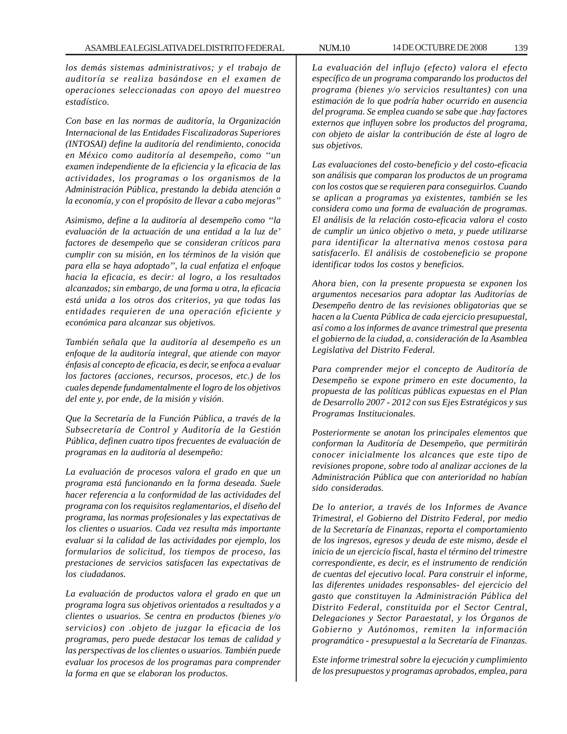*los demás sistemas administrativos; y el trabajo de auditoría se realiza basándose en el examen de operaciones seleccionadas con apoyo del muestreo estadístico.*

*Con base en las normas de auditoría, la Organización Internacional de las Entidades Fiscalizadoras Superiores (INTOSAI) define la auditoría del rendimiento, conocida en México como auditoría al desempeño, como ''un examen independiente de la eficiencia y la eficacia de las actividades, los programas o los organismos de la Administración Pública, prestando la debida atención a la economía, y con el propósito de llevar a cabo mejoras''*

*Asimismo, define a la auditoría al desempeño como ''la evaluación de la actuación de una entidad a la luz de' factores de desempeño que se consideran críticos para cumplir con su misión, en los términos de la visión que para ella se haya adoptado'', la cual enfatiza el enfoque hacia la eficacia, es decir: al logro, a los resultados alcanzados; sin embargo, de una forma u otra, la eficacia está unida a los otros dos criterios, ya que todas las entidades requieren de una operación eficiente y económica para alcanzar sus objetivos.*

*También señala que la auditoría al desempeño es un enfoque de la auditoría integral, que atiende con mayor énfasis al concepto de eficacia, es decir, se enfoca a evaluar los factores (acciones, recursos, procesos, etc.) de los cuales depende fundamentalmente el logro de los objetivos del ente y, por ende, de la misión y visión.*

*Que la Secretaría de la Función Pública, a través de la Subsecretaría de Control y Auditoría de la Gestión Pública, definen cuatro tipos frecuentes de evaluación de programas en la auditoría al desempeño:*

*La evaluación de procesos valora el grado en que un programa está funcionando en la forma deseada. Suele hacer referencia a la conformidad de las actividades del programa con los requisitos reglamentarios, el diseño del programa, las normas profesionales y las expectativas de los clientes o usuarios. Cada vez resulta más importante evaluar si la calidad de las actividades por ejemplo, los formularios de solicitud, los tiempos de proceso, las prestaciones de servicios satisfacen las expectativas de los ciudadanos.*

*La evaluación de productos valora el grado en que un programa logra sus objetivos orientados a resultados y a clientes o usuarios. Se centra en productos (bienes y/o servicios) con .objeto de juzgar la eficacia de los programas, pero puede destacar los temas de calidad y las perspectivas de los clientes o usuarios. También puede evaluar los procesos de los programas para comprender la forma en que se elaboran los productos.*

*La evaluación del influjo (efecto) valora el efecto específico de un programa comparando los productos del programa (bienes y/o servicios resultantes) con una estimación de lo que podría haber ocurrido en ausencia del programa. Se emplea cuando se sabe que .hay factores externos que influyen sobre los productos del programa, con objeto de aislar la contribución de éste al logro de sus objetivos.*

*Las evaluaciones del costo-beneficio y del costo-eficacia son análisis que comparan los productos de un programa con los costos que se requieren para conseguirlos. Cuando se aplican a programas ya existentes, también se les considera como una forma de evaluación de programas. El análisis de la relación costo-eficacia valora el costo de cumplir un único objetivo o meta, y puede utilizarse para identificar la alternativa menos costosa para satisfacerlo. El análisis de costobeneficio se propone identificar todos los costos y beneficios.*

*Ahora bien, con la presente propuesta se exponen los argumentos necesarios para adoptar las Auditorías de Desempeño dentro de las revisiones obligatorias que se hacen a la Cuenta Pública de cada ejercicio presupuestal, así como a los informes de avance trimestral que presenta el gobierno de la ciudad, a. consideración de la Asamblea Legislativa del Distrito Federal.*

*Para comprender mejor el concepto de Auditoría de Desempeño se expone primero en este documento, la propuesta de las políticas públicas expuestas en el Plan de Desarrollo 2007 - 2012 con sus Ejes Estratégicos y sus Programas Institucionales.*

*Posteriormente se anotan los principales elementos que conforman la Auditoría de Desempeño, que permitirán conocer inicialmente los alcances que este tipo de revisiones propone, sobre todo al analizar acciones de la Administración Pública que con anterioridad no habían sido consideradas.*

*De lo anterior, a través de los Informes de Avance Trimestral, el Gobierno del Distrito Federal, por medio de la Secretaría de Finanzas, reporta el comportamiento de los ingresos, egresos y deuda de este mismo, desde el inicio de un ejercicio fiscal, hasta el término del trimestre correspondiente, es decir, es el instrumento de rendición de cuentas del ejecutivo local. Para construir el informe, las diferentes unidades responsables- del ejercicio del gasto que constituyen la Administración Pública del Distrito Federal, constituida por el Sector Central, Delegaciones y Sector Paraestatal, y los Órganos de Gobierno y Autónomos, remiten la información programático - presupuestal a la Secretaría de Finanzas.*

*Este informe trimestral sobre la ejecución y cumplimiento de los presupuestos y programas aprobados, emplea, para*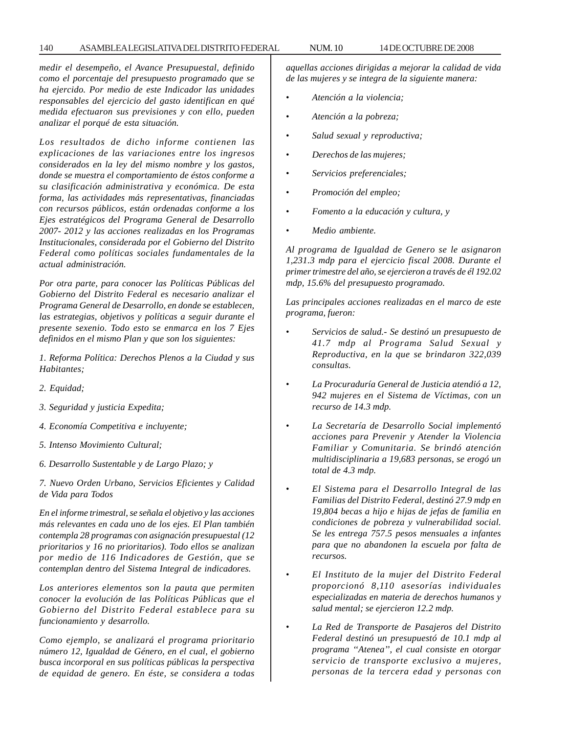### 140 ASAMBLEA LEGISLATIVA DEL DISTRITO FEDERAL NUM. 10 14 DE OCTUBRE DE 2008

*medir el desempeño, el Avance Presupuestal, definido como el porcentaje del presupuesto programado que se ha ejercido. Por medio de este Indicador las unidades responsables del ejercicio del gasto identifican en qué medida efectuaron sus previsiones y con ello, pueden analizar el porqué de esta situación.*

*Los resultados de dicho informe contienen las explicaciones de las variaciones entre los ingresos considerados en la ley del mismo nombre y los gastos, donde se muestra el comportamiento de éstos conforme a su clasificación administrativa y económica. De esta forma, las actividades más representativas, financiadas con recursos públicos, están ordenadas conforme a los Ejes estratégicos del Programa General de Desarrollo 2007- 2012 y las acciones realizadas en los Programas Institucionales, considerada por el Gobierno del Distrito Federal como políticas sociales fundamentales de la actual administración.*

*Por otra parte, para conocer las Políticas Públicas del Gobierno del Distrito Federal es necesario analizar el Programa General de Desarrollo, en donde se establecen, las estrategias, objetivos y políticas a seguir durante el presente sexenio. Todo esto se enmarca en los 7 Ejes definidos en el mismo Plan y que son los siguientes:*

*1. Reforma Política: Derechos Plenos a la Ciudad y sus Habitantes;*

- *2. Equidad;*
- *3. Seguridad y justicia Expedita;*
- *4. Economía Competitiva e incluyente;*
- *5. Intenso Movimiento Cultural;*
- *6. Desarrollo Sustentable y de Largo Plazo; y*

*7. Nuevo Orden Urbano, Servicios Eficientes y Calidad de Vida para Todos*

*En el informe trimestral, se señala el objetivo y las acciones más relevantes en cada uno de los ejes. El Plan también contempla 28 programas con asignación presupuestal (12 prioritarios y 16 no prioritarios). Todo ellos se analizan por medio de 116 Indicadores de Gestión, que se contemplan dentro del Sistema Integral de indicadores.*

*Los anteriores elementos son la pauta que permiten conocer la evolución de las Políticas Públicas que el Gobierno del Distrito Federal establece para su funcionamiento y desarrollo.*

*Como ejemplo, se analizará el programa prioritario número 12, Igualdad de Género, en el cual, el gobierno busca incorporal en sus políticas públicas la perspectiva de equidad de genero. En éste, se considera a todas*

*aquellas acciones dirigidas a mejorar la calidad de vida de las mujeres y se integra de la siguiente manera:*

- *Atención a la violencia;*
- *Atención a la pobreza;*
- *Salud sexual y reproductiva;*
- *Derechos de las mujeres;*
- *Servicios preferenciales;*
- *Promoción del empleo;*
- *Fomento a la educación y cultura, y*
- *Medio ambiente.*

*Al programa de Igualdad de Genero se le asignaron 1,231.3 mdp para el ejercicio fiscal 2008. Durante el primer trimestre del año, se ejercieron a través de él 192.02 mdp, 15.6% del presupuesto programado.*

*Las principales acciones realizadas en el marco de este programa, fueron:*

- *Servicios de salud.- Se destinó un presupuesto de 41.7 mdp al Programa Salud Sexual y Reproductiva, en la que se brindaron 322,039 consultas.*
- *La Procuraduría General de Justicia atendió a 12, 942 mujeres en el Sistema de Víctimas, con un recurso de 14.3 mdp.*
- *La Secretaría de Desarrollo Social implementó acciones para Prevenir y Atender la Violencia Familiar y Comunitaria. Se brindó atención multidisciplinaria a 19,683 personas, se erogó un total de 4.3 mdp.*
- *El Sistema para el Desarrollo Integral de las Familias del Distrito Federal, destinó 27.9 mdp en 19,804 becas a hijo e hijas de jefas de familia en condiciones de pobreza y vulnerabilidad social. Se les entrega 757.5 pesos mensuales a infantes para que no abandonen la escuela por falta de recursos.*
- *El Instituto de la mujer del Distrito Federal proporcionó 8,110 asesorías individuales especializadas en materia de derechos humanos y salud mental; se ejercieron 12.2 mdp.*
- *La Red de Transporte de Pasajeros del Distrito Federal destinó un presupuestó de 10.1 mdp al programa ''Atenea'', el cual consiste en otorgar servicio de transporte exclusivo a mujeres, personas de la tercera edad y personas con*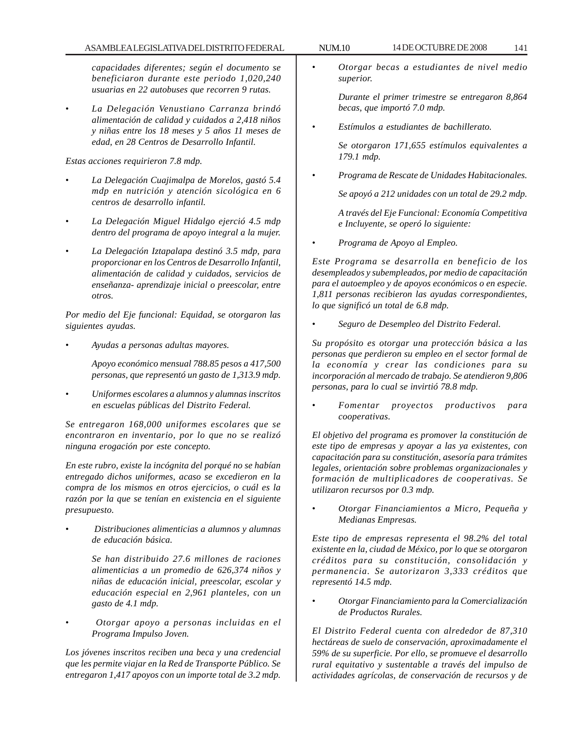## ASAMBLEA LEGISLATIVA DEL DISTRITO FEDERAL NUM.10 14 DE OCTUBRE DE 2008 141

*capacidades diferentes; según el documento se beneficiaron durante este periodo 1,020,240 usuarias en 22 autobuses que recorren 9 rutas.*

• *La Delegación Venustiano Carranza brindó alimentación de calidad y cuidados a 2,418 niños y niñas entre los 18 meses y 5 años 11 meses de edad, en 28 Centros de Desarrollo Infantil.*

*Estas acciones requirieron 7.8 mdp.*

- *La Delegación Cuajimalpa de Morelos, gastó 5.4 mdp en nutrición y atención sicológica en 6 centros de desarrollo infantil.*
- *La Delegación Miguel Hidalgo ejerció 4.5 mdp dentro del programa de apoyo integral a la mujer.*
- *La Delegación Iztapalapa destinó 3.5 mdp, para proporcionar en los Centros de Desarrollo Infantil, alimentación de calidad y cuidados, servicios de enseñanza- aprendizaje inicial o preescolar, entre otros.*

*Por medio del Eje funcional: Equidad, se otorgaron las siguientes ayudas.*

• *Ayudas a personas adultas mayores.*

*Apoyo económico mensual 788.85 pesos a 417,500 personas, que representó un gasto de 1,313.9 mdp.*

• *Uniformes escolares a alumnos y alumnas inscritos en escuelas públicas del Distrito Federal.*

*Se entregaron 168,000 uniformes escolares que se encontraron en inventario, por lo que no se realizó ninguna erogación por este concepto.*

*En este rubro, existe la incógnita del porqué no se habían entregado dichos uniformes, acaso se excedieron en la compra de los mismos en otros ejercicios, o cuál es la razón por la que se tenían en existencia en el siguiente presupuesto.*

• *Distribuciones alimenticias a alumnos y alumnas de educación básica.*

> *Se han distribuido 27.6 millones de raciones alimenticias a un promedio de 626,374 niños y niñas de educación inicial, preescolar, escolar y educación especial en 2,961 planteles, con un gasto de 4.1 mdp.*

• *Otorgar apoyo a personas incluidas en el Programa Impulso Joven.*

*Los jóvenes inscritos reciben una beca y una credencial que les permite viajar en la Red de Transporte Público. Se entregaron 1,417 apoyos con un importe total de 3.2 mdp.*

• *Otorgar becas a estudiantes de nivel medio superior.*

> *Durante el primer trimestre se entregaron 8,864 becas, que importó 7.0 mdp.*

• *Estímulos a estudiantes de bachillerato.*

*Se otorgaron 171,655 estímulos equivalentes a 179.1 mdp.*

• *Programa de Rescate de Unidades Habitacionales.*

*Se apoyó a 212 unidades con un total de 29.2 mdp.*

*A través del Eje Funcional: Economía Competitiva e Incluyente, se operó lo siguiente:*

• *Programa de Apoyo al Empleo.*

*Este Programa se desarrolla en beneficio de los desempleados y subempleados, por medio de capacitación para el autoempleo y de apoyos económicos o en especie. 1,811 personas recibieron las ayudas correspondientes, lo que significó un total de 6.8 mdp.*

• *Seguro de Desempleo del Distrito Federal.*

*Su propósito es otorgar una protección básica a las personas que perdieron su empleo en el sector formal de la economía y crear las condiciones para su incorporación al mercado de trabajo. Se atendieron 9,806 personas, para lo cual se invirtió 78.8 mdp.*

• *Fomentar proyectos productivos para cooperativas.*

*El objetivo del programa es promover la constitución de este tipo de empresas y apoyar a las ya existentes, con capacitación para su constitución, asesoría para trámites legales, orientación sobre problemas organizacionales y formación de multiplicadores de cooperativas. Se utilizaron recursos por 0.3 mdp.*

• *Otorgar Financiamientos a Micro, Pequeña y Medianas Empresas.*

*Este tipo de empresas representa el 98.2% del total existente en la, ciudad de México, por lo que se otorgaron créditos para su constitución, consolidación y permanencia. Se autorizaron 3,333 créditos que representó 14.5 mdp.*

• *Otorgar Financiamiento para la Comercialización de Productos Rurales.*

*El Distrito Federal cuenta con alrededor de 87,310 hectáreas de suelo de conservación, aproximadamente el 59% de su superficie. Por ello, se promueve el desarrollo rural equitativo y sustentable a través del impulso de actividades agrícolas, de conservación de recursos y de*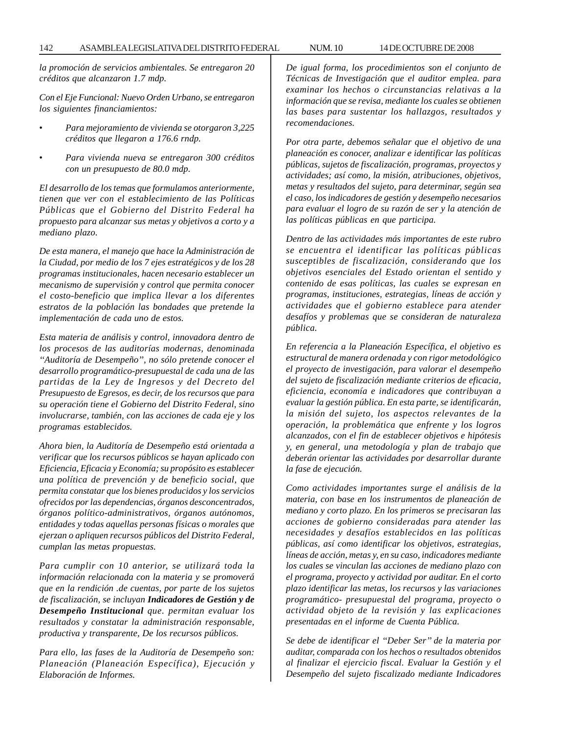142 ASAMBLEA LEGISLATIVA DEL DISTRITO FEDERAL NUM. 10 14 DE OCTUBRE DE 2008

*la promoción de servicios ambientales. Se entregaron 20 créditos que alcanzaron 1.7 mdp.*

*Con el Eje Funcional: Nuevo Orden Urbano, se entregaron los siguientes financiamientos:*

- *Para mejoramiento de vivienda se otorgaron 3,225 créditos que llegaron a 176.6 rndp.*
- *Para vivienda nueva se entregaron 300 créditos con un presupuesto de 80.0 mdp.*

*El desarrollo de los temas que formulamos anteriormente, tienen que ver con el establecimiento de las Políticas Públicas que el Gobierno del Distrito Federal ha propuesto para alcanzar sus metas y objetivos a corto y a mediano plazo.*

*De esta manera, el manejo que hace la Administración de la Ciudad, por medio de los 7 ejes estratégicos y de los 28 programas institucionales, hacen necesario establecer un mecanismo de supervisión y control que permita conocer el costo-beneficio que implica llevar a los diferentes estratos de la población las bondades que pretende la implementación de cada uno de estos.*

*Esta materia de análisis y control, innovadora dentro de los procesos de las auditorías modernas, denominada ''Auditoría de Desempeño'', no sólo pretende conocer el desarrollo programático-presupuestal de cada una de las partidas de la Ley de Ingresos y del Decreto del Presupuesto de Egresos, es decir, de los recursos que para su operación tiene el Gobierno del Distrito Federal, sino involucrarse, también, con las acciones de cada eje y los programas establecidos.*

*Ahora bien, la Auditoría de Desempeño está orientada a verificar que los recursos públicos se hayan aplicado con Eficiencia, Eficacia y Economía; su propósito es establecer una política de prevención y de beneficio social, que permita constatar que los bienes producidos y los servicios ofrecidos por las dependencias, órganos desconcentrados, órganos político-administrativos, órganos autónomos, entidades y todas aquellas personas físicas o morales que ejerzan o apliquen recursos públicos del Distrito Federal, cumplan las metas propuestas.*

*Para cumplir con 10 anterior, se utilizará toda la información relacionada con la materia y se promoverá que en la rendición .de cuentas, por parte de los sujetos de fiscalización, se incluyan Indicadores de Gestión y de Desempeño Institucional que. permitan evaluar los resultados y constatar la administración responsable, productiva y transparente, De los recursos públicos.*

*Para ello, las fases de la Auditoría de Desempeño son: Planeación (Planeación Específica), Ejecución y Elaboración de Informes.*

*De igual forma, los procedimientos son el conjunto de Técnicas de Investigación que el auditor emplea. para examinar los hechos o circunstancias relativas a la información que se revisa, mediante los cuales se obtienen las bases para sustentar los hallazgos, resultados y recomendaciones.*

*Por otra parte, debemos señalar que el objetivo de una planeación es conocer, analizar e identificar las políticas públicas, sujetos de fiscalización, programas, proyectos y actividades; así como, la misión, atribuciones, objetivos, metas y resultados del sujeto, para determinar, según sea el caso, los indicadores de gestión y desempeño necesarios para evaluar el logro de su razón de ser y la atención de las políticas públicas en que participa.*

*Dentro de las actividades más importantes de este rubro se encuentra el identificar las políticas públicas susceptibles de fiscalización, considerando que los objetivos esenciales del Estado orientan el sentido y contenido de esas políticas, las cuales se expresan en programas, instituciones, estrategias, líneas de acción y actividades que el gobierno establece para atender desafíos y problemas que se consideran de naturaleza pública.*

*En referencia a la Planeación Específica, el objetivo es estructural de manera ordenada y con rigor metodológico el proyecto de investigación, para valorar el desempeño del sujeto de fiscalización mediante criterios de eficacia, eficiencia, economía e indicadores que contribuyan a evaluar la gestión pública. En esta parte, se identificarán, la misión del sujeto, los aspectos relevantes de la operación, la problemática que enfrente y los logros alcanzados, con el fin de establecer objetivos e hipótesis y, en general, una metodología y plan de trabajo que deberán orientar las actividades por desarrollar durante la fase de ejecución.*

*Como actividades importantes surge el análisis de la materia, con base en los instrumentos de planeación de mediano y corto plazo. En los primeros se precisaran las acciones de gobierno consideradas para atender las necesidades y desafíos establecidos en las políticas públicas, así como identificar los objetivos, estrategias, líneas de acción, metas y, en su caso, indicadores mediante los cuales se vinculan las acciones de mediano plazo con el programa, proyecto y actividad por auditar. En el corto plazo identificar las metas, los recursos y las variaciones programático- presupuestal del programa, proyecto o actividad objeto de la revisión y las explicaciones presentadas en el informe de Cuenta Pública.*

*Se debe de identificar el ''Deber Ser'' de la materia por auditar, comparada con los hechos o resultados obtenidos al finalizar el ejercicio fiscal. Evaluar la Gestión y el Desempeño del sujeto fiscalizado mediante Indicadores*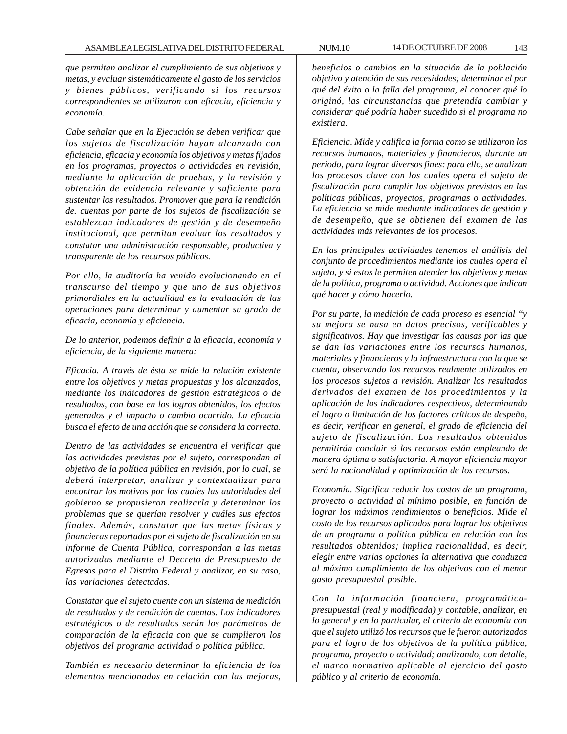*que permitan analizar el cumplimiento de sus objetivos y metas, y evaluar sistemáticamente el gasto de los servicios y bienes públicos, verificando si los recursos correspondientes se utilizaron con eficacia, eficiencia y economía.*

*Cabe señalar que en la Ejecución se deben verificar que los sujetos de fiscalización hayan alcanzado con eficiencia, eficacia y economía los objetivos y metas fijados en los programas, proyectos o actividades en revisión, mediante la aplicación de pruebas, y la revisión y obtención de evidencia relevante y suficiente para sustentar los resultados. Promover que para la rendición de. cuentas por parte de los sujetos de fiscalización se establezcan indicadores de gestión y de desempeño institucional, que permitan evaluar los resultados y constatar una administración responsable, productiva y transparente de los recursos públicos.*

*Por ello, la auditoría ha venido evolucionando en el transcurso del tiempo y que uno de sus objetivos primordiales en la actualidad es la evaluación de las operaciones para determinar y aumentar su grado de eficacia, economía y eficiencia.*

*De lo anterior, podemos definir a la eficacia, economía y eficiencia, de la siguiente manera:*

*Eficacia. A través de ésta se mide la relación existente entre los objetivos y metas propuestas y los alcanzados, mediante los indicadores de gestión estratégicos o de resultados, con base en los logros obtenidos, los efectos generados y el impacto o cambio ocurrido. La eficacia busca el efecto de una acción que se considera la correcta.*

*Dentro de las actividades se encuentra el verificar que las actividades previstas por el sujeto, correspondan al objetivo de la política pública en revisión, por lo cual, se deberá interpretar, analizar y contextualizar para encontrar los motivos por los cuales las autoridades del gobierno se propusieron realizarla y determinar los problemas que se querían resolver y cuáles sus efectos finales. Además, constatar que las metas físicas y financieras reportadas por el sujeto de fiscalización en su informe de Cuenta Pública, correspondan a las metas autorizadas mediante el Decreto de Presupuesto de Egresos para el Distrito Federal y analizar, en su caso, las variaciones detectadas.*

*Constatar que el sujeto cuente con un sistema de medición de resultados y de rendición de cuentas. Los indicadores estratégicos o de resultados serán los parámetros de comparación de la eficacia con que se cumplieron los objetivos del programa actividad o política pública.*

*También es necesario determinar la eficiencia de los elementos mencionados en relación con las mejoras,*

*beneficios o cambios en la situación de la población objetivo y atención de sus necesidades; determinar el por qué del éxito o la falla del programa, el conocer qué lo originó, las circunstancias que pretendía cambiar y considerar qué podría haber sucedido si el programa no existiera.*

*Eficiencia. Mide y califica la forma como se utilizaron los recursos humanos, materiales y financieros, durante un período, para lograr diversos fines: para ello, se analizan los procesos clave con los cuales opera el sujeto de fiscalización para cumplir los objetivos previstos en las políticas públicas, proyectos, programas o actividades. La eficiencia se mide mediante indicadores de gestión y de desempeño, que se obtienen del examen de las actividades más relevantes de los procesos.*

*En las principales actividades tenemos el análisis del conjunto de procedimientos mediante los cuales opera el sujeto, y si estos le permiten atender los objetivos y metas de la política, programa o actividad. Acciones que indican qué hacer y cómo hacerlo.*

*Por su parte, la medición de cada proceso es esencial ''y su mejora se basa en datos precisos, verificables y significativos. Hay que investigar las causas por las que se dan las variaciones entre los recursos humanos, materiales y financieros y la infraestructura con la que se cuenta, observando los recursos realmente utilizados en los procesos sujetos a revisión. Analizar los resultados derivados del examen de los procedimientos y la aplicación de los indicadores respectivos, determinando el logro o limitación de los factores críticos de despeño, es decir, verificar en general, el grado de eficiencia del sujeto de fiscalización. Los resultados obtenidos permitirán concluir si los recursos están empleando de manera óptima o satisfactoria. A mayor eficiencia mayor será la racionalidad y optimización de los recursos.*

*Economía. Significa reducir los costos de un programa, proyecto o actividad al mínimo posible, en función de lograr los máximos rendimientos o beneficios. Mide el costo de los recursos aplicados para lograr los objetivos de un programa o política pública en relación con los resultados obtenidos; implica racionalidad, es decir, elegir entre varias opciones la alternativa que conduzca al máximo cumplimiento de los objetivos con el menor gasto presupuestal posible.*

*Con la información financiera, programáticapresupuestal (real y modificada) y contable, analizar, en lo general y en lo particular, el criterio de economía con que el sujeto utilizó los recursos que le fueron autorizados para el logro de los objetivos de la política pública, programa, proyecto o actividad; analizando, con detalle, el marco normativo aplicable al ejercicio del gasto público y al criterio de economía.*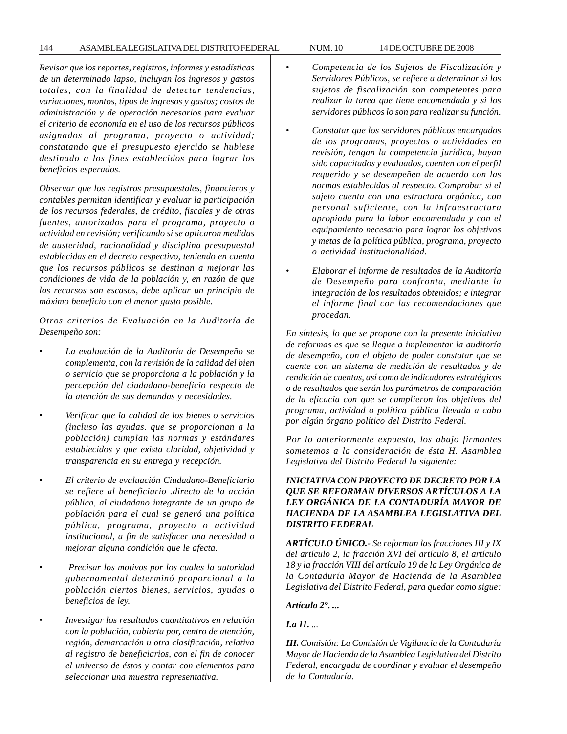*Revisar que los reportes, registros, informes y estadísticas de un determinado lapso, incluyan los ingresos y gastos totales, con la finalidad de detectar tendencias, variaciones, montos, tipos de ingresos y gastos; costos de administración y de operación necesarios para evaluar el criterio de economía en el uso de los recursos públicos asignados al programa, proyecto o actividad; constatando que el presupuesto ejercido se hubiese destinado a los fines establecidos para lograr los beneficios esperados.*

*Observar que los registros presupuestales, financieros y contables permitan identificar y evaluar la participación de los recursos federales, de crédito, fiscales y de otras fuentes, autorizados para el programa, proyecto o actividad en revisión; verificando si se aplicaron medidas de austeridad, racionalidad y disciplina presupuestal establecidas en el decreto respectivo, teniendo en cuenta que los recursos públicos se destinan a mejorar las condiciones de vida de la población y, en razón de que los recursos son escasos, debe aplicar un principio de máximo beneficio con el menor gasto posible.*

*Otros criterios de Evaluación en la Auditoría de Desempeño son:*

- *La evaluación de la Auditoría de Desempeño se complementa, con la revisión de la calidad del bien o servicio que se proporciona a la población y la percepción del ciudadano-beneficio respecto de la atención de sus demandas y necesidades.*
- *Verificar que la calidad de los bienes o servicios (incluso las ayudas. que se proporcionan a la población) cumplan las normas y estándares establecidos y que exista claridad, objetividad y transparencia en su entrega y recepción.*
- *El criterio de evaluación Ciudadano-Beneficiario se refiere al beneficiario .directo de la acción pública, al ciudadano integrante de un grupo de población para el cual se generó una política pública, programa, proyecto o actividad institucional, a fin de satisfacer una necesidad o mejorar alguna condición que le afecta.*
- • *Precisar los motivos por los cuales la autoridad gubernamental determinó proporcional a la población ciertos bienes, servicios, ayudas o beneficios de ley.*
- *Investigar los resultados cuantitativos en relación con la población, cubierta por, centro de atención, región, demarcación u otra clasificación, relativa al registro de beneficiarios, con el fin de conocer el universo de éstos y contar con elementos para seleccionar una muestra representativa.*
- *Competencia de los Sujetos de Fiscalización y Servidores Públicos, se refiere a determinar si los sujetos de fiscalización son competentes para realizar la tarea que tiene encomendada y si los servidores públicos lo son para realizar su función.*
- *Constatar que los servidores públicos encargados de los programas, proyectos o actividades en revisión, tengan la competencia jurídica, hayan sido capacitados y evaluados, cuenten con el perfil requerido y se desempeñen de acuerdo con las normas establecidas al respecto. Comprobar si el sujeto cuenta con una estructura orgánica, con personal suficiente, con la infraestructura apropiada para la labor encomendada y con el equipamiento necesario para lograr los objetivos y metas de la política pública, programa, proyecto o actividad institucionalidad.*
- *Elaborar el informe de resultados de la Auditoría de Desempeño para confronta, mediante la integración de los resultados obtenidos; e integrar el informe final con las recomendaciones que procedan.*

*En síntesis, lo que se propone con la presente iniciativa de reformas es que se llegue a implementar la auditoría de desempeño, con el objeto de poder constatar que se cuente con un sistema de medición de resultados y de rendición de cuentas, así como de indicadores estratégicos o de resultados que serán los parámetros de comparación de la eficacia con que se cumplieron los objetivos del programa, actividad o política pública llevada a cabo por algún órgano político del Distrito Federal.*

*Por lo anteriormente expuesto, los abajo firmantes sometemos a la consideración de ésta H. Asamblea Legislativa del Distrito Federal la siguiente:*

# *INICIATIVA CON PROYECTO DE DECRETO POR LA QUE SE REFORMAN DIVERSOS ARTÍCULOS A LA LEY ORGÁNICA DE LA CONTADURÍA MAYOR DE HACIENDA DE LA ASAMBLEA LEGISLATIVA DEL DISTRITO FEDERAL*

*ARTÍCULO ÚNICO.- Se reforman las fracciones III y IX del artículo 2, la fracción XVI del artículo 8, el artículo 18 y la fracción VIII del artículo 19 de la Ley Orgánica de la Contaduría Mayor de Hacienda de la Asamblea Legislativa del Distrito Federal, para quedar como sigue:*

### *Artículo 2°. ...*

*I.a 11. ...*

*III. Comisión: La Comisión de Vigilancia de la Contaduría Mayor de Hacienda de la Asamblea Legislativa del Distrito Federal, encargada de coordinar y evaluar el desempeño de la Contaduría.*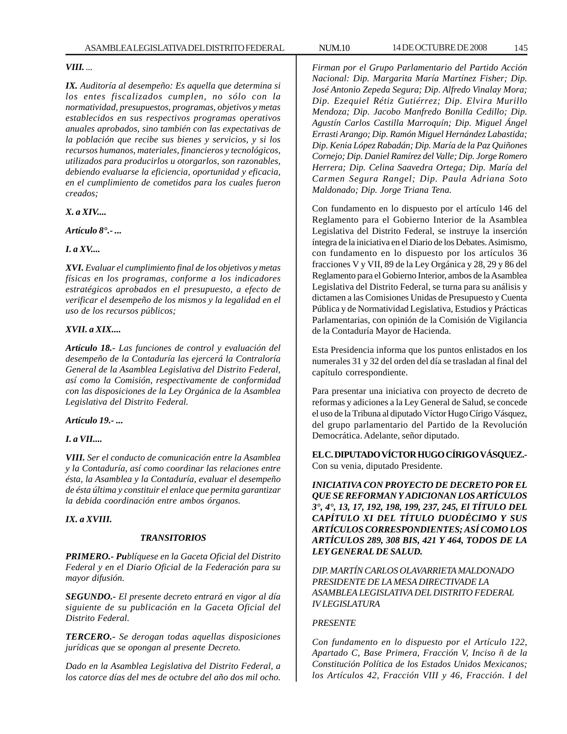# *VIII. ...*

*IX. Auditoría al desempeño: Es aquella que determina si los entes fiscalizados cumplen, no sólo con la normatividad, presupuestos, programas, objetivos y metas establecidos en sus respectivos programas operativos anuales aprobados, sino también con las expectativas de la población que recibe sus bienes y servicios, y si los recursos humanos, materiales, financieros y tecnológicos, utilizados para producirlos u otorgarlos, son razonables, debiendo evaluarse la eficiencia, oportunidad y eficacia, en el cumplimiento de cometidos para los cuales fueron creados;*

*X. a XIV....*

*Artículo 8°.- ...*

#### *I. a XV....*

*XVI. Evaluar el cumplimiento final de los objetivos y metas físicas en los programas, conforme a los indicadores estratégicos aprobados en el presupuesto, a efecto de verificar el desempeño de los mismos y la legalidad en el uso de los recursos públicos;*

### *XVII. a XIX....*

*Artículo 18.- Las funciones de control y evaluación del desempeño de la Contaduría las ejercerá la Contraloría General de la Asamblea Legislativa del Distrito Federal, así como la Comisión, respectivamente de conformidad con las disposiciones de la Ley Orgánica de la Asamblea Legislativa del Distrito Federal.*

#### *Artículo 19.- ...*

# *I. a VII....*

*VIII. Ser el conducto de comunicación entre la Asamblea y la Contaduría, así como coordinar las relaciones entre ésta, la Asamblea y la Contaduría, evaluar el desempeño de ésta última y constituir el enlace que permita garantizar la debida coordinación entre ambos órganos.*

# *IX. a XVIII.*

#### *TRANSITORIOS*

*PRIMERO.- Publíquese en la Gaceta Oficial del Distrito Federal y en el Diario Oficial de la Federación para su mayor difusión.*

*SEGUNDO.- El presente decreto entrará en vigor al día siguiente de su publicación en la Gaceta Oficial del Distrito Federal.*

*TERCERO.- Se derogan todas aquellas disposiciones jurídicas que se opongan al presente Decreto.*

*Dado en la Asamblea Legislativa del Distrito Federal, a los catorce días del mes de octubre del año dos mil ocho.*

*Firman por el Grupo Parlamentario del Partido Acción Nacional: Dip. Margarita María Martínez Fisher; Dip. José Antonio Zepeda Segura; Dip. Alfredo Vinalay Mora; Dip. Ezequiel Rétiz Gutiérrez; Dip. Elvira Murillo Mendoza; Dip. Jacobo Manfredo Bonilla Cedillo; Dip. Agustín Carlos Castilla Marroquín; Dip. Miguel Ángel Errasti Arango; Dip. Ramón Miguel Hernández Labastida; Dip. Kenia López Rabadán; Dip. María de la Paz Quiñones Cornejo; Dip. Daniel Ramírez del Valle; Dip. Jorge Romero Herrera; Dip. Celina Saavedra Ortega; Dip. María del Carmen Segura Rangel; Dip. Paula Adriana Soto Maldonado; Dip. Jorge Triana Tena.*

Con fundamento en lo dispuesto por el artículo 146 del Reglamento para el Gobierno Interior de la Asamblea Legislativa del Distrito Federal, se instruye la inserción íntegra de la iniciativa en el Diario de los Debates. Asimismo, con fundamento en lo dispuesto por los artículos 36 fracciones V y VII, 89 de la Ley Orgánica y 28, 29 y 86 del Reglamento para el Gobierno Interior, ambos de la Asamblea Legislativa del Distrito Federal, se turna para su análisis y dictamen a las Comisiones Unidas de Presupuesto y Cuenta Pública y de Normatividad Legislativa, Estudios y Prácticas Parlamentarias, con opinión de la Comisión de Vigilancia de la Contaduría Mayor de Hacienda.

Esta Presidencia informa que los puntos enlistados en los numerales 31 y 32 del orden del día se trasladan al final del capítulo correspondiente.

Para presentar una iniciativa con proyecto de decreto de reformas y adiciones a la Ley General de Salud, se concede el uso de la Tribuna al diputado Víctor Hugo Círigo Vásquez, del grupo parlamentario del Partido de la Revolución Democrática. Adelante, señor diputado.

**EL C. DIPUTADO VÍCTOR HUGO CÍRIGO VÁSQUEZ.-** Con su venia, diputado Presidente.

*INICIATIVA CON PROYECTO DE DECRETO POR EL QUE SE REFORMAN Y ADICIONAN LOS ARTÍCULOS 3°, 4°, 13, 17, 192, 198, 199, 237, 245, El TÍTULO DEL CAPÍTULO XI DEL TÍTULO DUODÉCIMO Y SUS ARTÍCULOS CORRESPONDIENTES; ASÍ COMO LOS ARTÍCULOS 289, 308 BIS, 421 Y 464, TODOS DE LA LEY GENERAL DE SALUD.*

*DIP. MARTÍN CARLOS OLAVARRIETA MALDONADO PRESIDENTE DE LA MESA DIRECTIVADE LA ASAMBLEA LEGISLATIVA DEL DISTRITO FEDERAL IV LEGISLATURA*

#### *PRESENTE*

*Con fundamento en lo dispuesto por el Artículo 122, Apartado C, Base Primera, Fracción V, Inciso ñ de la Constitución Política de los Estados Unidos Mexicanos; los Artículos 42, Fracción VIII y 46, Fracción. I del*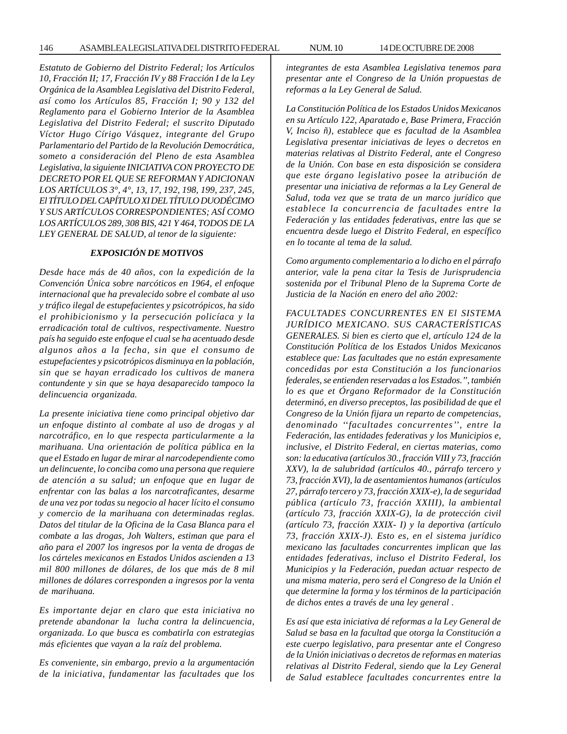*Estatuto de Gobierno del Distrito Federal; los Artículos 10, Fracción II; 17, Fracción IV y 88 Fracción I de la Ley Orgánica de la Asamblea Legislativa del Distrito Federal, así como los Artículos 85, Fracción I; 90 y 132 del Reglamento para el Gobierno Interior de la Asamblea Legislativa del Distrito Federal; el suscrito Diputado Víctor Hugo Círigo Vásquez, integrante del Grupo Parlamentario del Partido de la Revolución Democrática, someto a consideración del Pleno de esta Asamblea Legislativa, la siguiente INICIATIVA CON PROYECTO DE DECRETO POR EL QUE SE REFORMAN Y ADICIONAN LOS ARTÍCULOS 3°, 4°, 13, 17, 192, 198, 199, 237, 245, El TÍTULO DEL CAPÍTULO XI DEL TÍTULO DUODÉCIMO Y SUS ARTÍCULOS CORRESPONDIENTES; ASÍ COMO LOS ARTÍCULOS 289, 308 BIS, 421 Y 464, TODOS DE LA LEY GENERAL DE SALUD, al tenor de la siguiente:*

#### *EXPOSICIÓN DE MOTIVOS*

*Desde hace más de 40 años, con la expedición de la Convención Única sobre narcóticos en 1964, el enfoque internacional que ha prevalecido sobre el combate al uso y tráfico ilegal de estupefacientes y psicotrópicos, ha sido el prohibicionismo y la persecución policíaca y la erradicación total de cultivos, respectivamente. Nuestro país ha seguido este enfoque el cual se ha acentuado desde algunos años a la fecha, sin que el consumo de estupefacientes y psicotrópicos disminuya en la población, sin que se hayan erradicado los cultivos de manera contundente y sin que se haya desaparecido tampoco la delincuencia organizada.*

*La presente iniciativa tiene como principal objetivo dar un enfoque distinto al combate al uso de drogas y al narcotráfico, en lo que respecta particularmente a la marihuana. Una orientación de política pública en la que el Estado en lugar de mirar al narcodependiente como un delincuente, lo conciba como una persona que requiere de atención a su salud; un enfoque que en lugar de enfrentar con las balas a los narcotraficantes, desarme de una vez por todas su negocio al hacer lícito el consumo y comercio de la marihuana con determinadas reglas. Datos del titular de la Oficina de la Casa Blanca para el combate a las drogas, Joh Walters, estiman que para el año para el 2007 los ingresos por la venta de drogas de los cárteles mexicanos en Estados Unidos ascienden a 13 mil 800 millones de dólares, de los que más de 8 mil millones de dólares corresponden a ingresos por la venta de marihuana.*

*Es importante dejar en claro que esta iniciativa no pretende abandonar la lucha contra la delincuencia, organizada. Lo que busca es combatirla con estrategias más eficientes que vayan a la raíz del problema.*

*Es conveniente, sin embargo, previo a la argumentación de la iniciativa, fundamentar las facultades que los* *integrantes de esta Asamblea Legislativa tenemos para presentar ante el Congreso de la Unión propuestas de reformas a la Ley General de Salud.*

*La Constitución Política de los Estados Unidos Mexicanos en su Artículo 122, Aparatado e, Base Primera, Fracción V, Inciso ñ), establece que es facultad de la Asamblea Legislativa presentar iniciativas de leyes o decretos en materias relativas al Distrito Federal, ante el Congreso de la Unión. Con base en esta disposición se considera que este órgano legislativo posee la atribución de presentar una iniciativa de reformas a la Ley General de Salud, toda vez que se trata de un marco jurídico que establece la concurrencia de facultades entre la Federación y las entidades federativas, entre las que se encuentra desde luego el Distrito Federal, en específico en lo tocante al tema de la salud.*

*Como argumento complementario a lo dicho en el párrafo anterior, vale la pena citar la Tesis de Jurisprudencia sostenida por el Tribunal Pleno de la Suprema Corte de Justicia de la Nación en enero del año 2002:*

*FACULTADES CONCURRENTES EN El SISTEMA JURÍDICO MEXICANO. SUS CARACTERÍSTICAS GENERALES. Si bien es cierto que el, artículo 124 de la Constitución Política de los Estados Unidos Mexicanos establece que: Las facultades que no están expresamente concedidas por esta Constitución a los funcionarios federales, se entienden reservadas a los Estados.'', también lo es que et Órgano Reformador de la Constitución determinó, en diverso preceptos, las posibilidad de que el Congreso de la Unión fijara un reparto de competencias, denominado ''facultades concurrentes'', entre la Federación, las entidades federativas y los Municipios e, inclusive, el Distrito Federal, en ciertas materias, como son: la educativa (artículos 30., fracción VIII y 73, fracción XXV), la de salubridad (artículos 40., párrafo tercero y 73, fracción XVI), la de asentamientos humanos (artículos 27, párrafo tercero y 73, fracción XXIX-e), la de seguridad pública (artículo 73, fracción XXIII), la ambiental (artículo 73, fracción XXIX-G), la de protección civil (artículo 73, fracción XXIX- I) y la deportiva (artículo 73, fracción XXIX-J). Esto es, en el sistema jurídico mexicano las facultades concurrentes implican que las entidades federativas, incluso el Distrito Federal, los Municipios y la Federación, puedan actuar respecto de una misma materia, pero será el Congreso de la Unión el que determine la forma y los términos de la participación de dichos entes a través de una ley general .*

*Es así que esta iniciativa dé reformas a la Ley General de Salud se basa en la facultad que otorga la Constitución a este cuerpo legislativo, para presentar ante el Congreso de la Unión iniciativas o decretos de reformas en materias relativas al Distrito Federal, siendo que la Ley General de Salud establece facultades concurrentes entre la*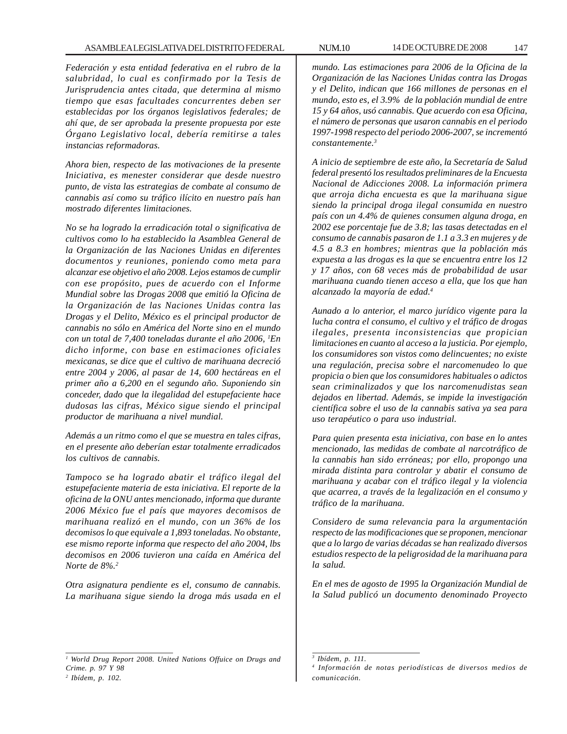*Federación y esta entidad federativa en el rubro de la salubridad, lo cual es confirmado por la Tesis de Jurisprudencia antes citada, que determina al mismo tiempo que esas facultades concurrentes deben ser establecidas por los órganos legislativos federales; de ahí que, de ser aprobada la presente propuesta por este Órgano Legislativo local, debería remitirse a tales instancias reformadoras.*

*Ahora bien, respecto de las motivaciones de la presente Iniciativa, es menester considerar que desde nuestro punto, de vista las estrategias de combate al consumo de cannabis así como su tráfico ilícito en nuestro país han mostrado diferentes limitaciones.*

*No se ha logrado la erradicación total o significativa de cultivos como lo ha establecido la Asamblea General de la Organización de las Naciones Unidas en diferentes documentos y reuniones, poniendo como meta para alcanzar ese objetivo el año 2008. Lejos estamos de cumplir con ese propósito, pues de acuerdo con el Informe Mundial sobre las Drogas 2008 que emitió la Oficina de la Organización de las Naciones Unidas contra las Drogas y el Delito, México es el principal productor de cannabis no sólo en América del Norte sino en el mundo con un total de 7,400 toneladas durante el año 2006, 1 En dicho informe, con base en estimaciones oficiales mexicanas, se dice que el cultivo de marihuana decreció entre 2004 y 2006, al pasar de 14, 600 hectáreas en el primer año a 6,200 en el segundo año. Suponiendo sin conceder, dado que la ilegalidad del estupefaciente hace dudosas las cifras, México sigue siendo el principal productor de marihuana a nivel mundial.*

*Además a un ritmo como el que se muestra en tales cifras, en el presente año deberían estar totalmente erradicados los cultivos de cannabis.*

*Tampoco se ha logrado abatir el tráfico ilegal del estupefaciente materia de esta iniciativa. El reporte de la oficina de la ONU antes mencionado, informa que durante 2006 México fue el país que mayores decomisos de marihuana realizó en el mundo, con un 36% de los decomisos lo que equivale a 1,893 toneladas. No obstante, ese mismo reporte informa que respecto del año 2004, lbs decomisos en 2006 tuvieron una caída en América del Norte de 8%.2*

*Otra asignatura pendiente es el, consumo de cannabis. La marihuana sigue siendo la droga más usada en el* *mundo. Las estimaciones para 2006 de la Oficina de la Organización de las Naciones Unidas contra las Drogas y el Delito, indican que 166 millones de personas en el mundo, esto es, el 3.9% de la población mundial de entre 15 y 64 años, usó cannabis. Que acuerdo con esa Oficina, el número de personas que usaron cannabis en el periodo 1997-1998 respecto del periodo 2006-2007, se incrementó constantemente.3*

*A inicio de septiembre de este año, la Secretaría de Salud federal presentó los resultados preliminares de la Encuesta Nacional de Adicciones 2008. La información primera que arroja dicha encuesta es que la marihuana sigue siendo la principal droga ilegal consumida en nuestro país con un 4.4% de quienes consumen alguna droga, en 2002 ese porcentaje fue de 3.8; las tasas detectadas en el consumo de cannabis pasaron de 1.1 a 3.3 en mujeres y de 4.5 a 8.3 en hombres; mientras que la población más expuesta a las drogas es la que se encuentra entre los 12 y 17 años, con 68 veces más de probabilidad de usar marihuana cuando tienen acceso a ella, que los que han alcanzado la mayoría de edad.4*

*Aunado a lo anterior, el marco jurídico vigente para la lucha contra el consumo, el cultivo y el tráfico de drogas ilegales, presenta inconsistencias que propician limitaciones en cuanto al acceso a la justicia. Por ejemplo, los consumidores son vistos como delincuentes; no existe una regulación, precisa sobre el narcomenudeo lo que propicia o bien que los consumidores habituales o adictos sean criminalizados y que los narcomenudistas sean dejados en libertad. Además, se impide la investigación científica sobre el uso de la cannabis sativa ya sea para uso terapéutico o para uso industrial.*

*Para quien presenta esta iniciativa, con base en lo antes mencionado, las medidas de combate al narcotráfico de la cannabis han sido erróneas; por ello, propongo una mirada distinta para controlar y abatir el consumo de marihuana y acabar con el tráfico ilegal y la violencia que acarrea, a través de la legalización en el consumo y tráfico de la marihuana.*

*Considero de suma relevancia para la argumentación respecto de las modificaciones que se proponen, mencionar que a lo largo de varias décadas se han realizado diversos estudios respecto de la peligrosidad de la marihuana para la salud.*

*En el mes de agosto de 1995 la Organización Mundial de la Salud publicó un documento denominado Proyecto*

*<sup>1</sup> World Drug Report 2008. United Nations Offuice on Drugs and Crime. p. 97 Y 98*

*<sup>2</sup> Ibídem, p. 102.*

*<sup>3</sup> Ibídem, p. 111.*

*<sup>4</sup> Información de notas periodísticas de diversos medios de comunicación.*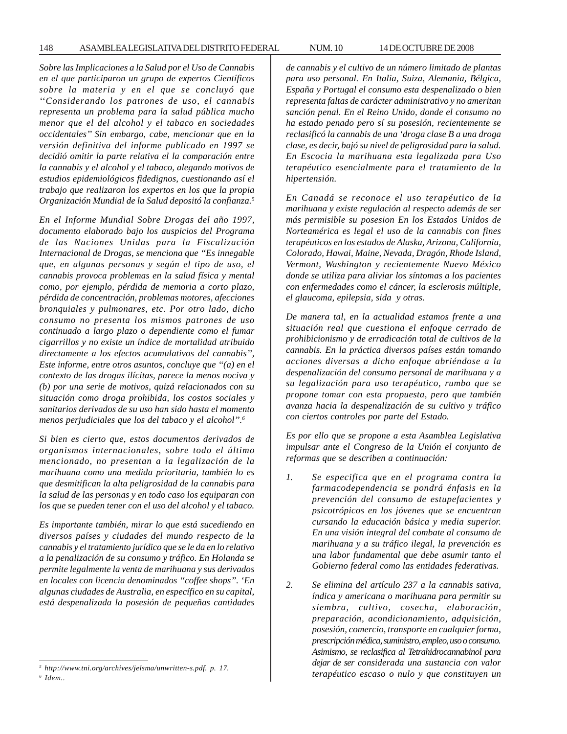*Sobre las Implicaciones a la Salud por el Uso de Cannabis en el que participaron un grupo de expertos Científicos sobre la materia y en el que se concluyó que ''Considerando los patrones de uso, el cannabis representa un problema para la salud pública mucho menor que el del alcohol y el tabaco en sociedades occidentales'' Sin embargo, cabe, mencionar que en la versión definitiva del informe publicado en 1997 se decidió omitir la parte relativa el la comparación entre la cannabis y el alcohol y el tabaco, alegando motivos de estudios epidemiológicos fidedignos, cuestionando así el trabajo que realizaron los expertos en los que la propia Organización Mundial de la Salud depositó la confianza.5*

*En el Informe Mundial Sobre Drogas del año 1997, documento elaborado bajo los auspicios del Programa de las Naciones Unidas para la Fiscalización Internacional de Drogas, se menciona que ''Es innegable que, en algunas personas y según el tipo de uso, el cannabis provoca problemas en la salud física y mental como, por ejemplo, pérdida de memoria a corto plazo, pérdida de concentración, problemas motores, afecciones bronquiales y pulmonares, etc. Por otro lado, dicho consumo no presenta los mismos patrones de uso continuado a largo plazo o dependiente como el fumar cigarrillos y no existe un índice de mortalidad atribuido directamente a los efectos acumulativos del cannabis'', Este informe, entre otros asuntos, concluye que ''(a) en el contexto de las drogas ilícitas, parece la menos nociva y (b) por una serie de motivos, quizá relacionados con su situación como droga prohibida, los costos sociales y sanitarios derivados de su uso han sido hasta el momento menos perjudiciales que los del tabaco y el alcohol''.6*

*Si bien es cierto que, estos documentos derivados de organismos internacionales, sobre todo el último mencionado, no presentan a la legalización de la marihuana como una medida prioritaria, también lo es que desmitifican la alta peligrosidad de la cannabis para la salud de las personas y en todo caso los equiparan con los que se pueden tener con el uso del alcohol y el tabaco.*

*Es importante también, mirar lo que está sucediendo en diversos países y ciudades del mundo respecto de la cannabis y el tratamiento jurídico que se le da en lo relativo a la penalización de su consumo y tráfico. En Holanda se permite legalmente la venta de marihuana y sus derivados en locales con licencia denominados ''coffee shops''. 'En algunas ciudades de Australia, en específico en su capital, está despenalizada la posesión de pequeñas cantidades* *de cannabis y el cultivo de un número limitado de plantas para uso personal. En Italia, Suiza, Alemania, Bélgica, España y Portugal el consumo esta despenalizado o bien representa faltas de carácter administrativo y no ameritan sanción penal. En el Reino Unido, donde el consumo no*

*ha estado penado pero sí su posesión, recientemente se reclasificó la cannabis de una 'droga clase B a una droga clase, es decir, bajó su nivel de peligrosidad para la salud. En Escocia la marihuana esta legalizada para Uso terapéutico esencialmente para el tratamiento de la hipertensión.*

*En Canadá se reconoce el uso terapéutico de la marihuana y existe regulación al respecto además de ser más permisible su posesion En los Estados Unidos de Norteamérica es legal el uso de la cannabis con fines terapéuticos en los estados de Alaska, Arizona, California, Colorado, Hawai, Maine, Nevada, Dragón, Rhode Island, Vermont, Washington y recientemente Nuevo México donde se utiliza para aliviar los síntomas a los pacientes con enfermedades como el cáncer, la esclerosis múltiple, el glaucoma, epilepsia, sida y otras.*

*De manera tal, en la actualidad estamos frente a una situación real que cuestiona el enfoque cerrado de prohibicionismo y de erradicación total de cultivos de la cannabis. En la práctica diversos países están tomando acciones diversas a dicho enfoque abriéndose a la despenalización del consumo personal de marihuana y a su legalización para uso terapéutico, rumbo que se propone tomar con esta propuesta, pero que también avanza hacia la despenalización de su cultivo y tráfico con ciertos controles por parte del Estado.*

*Es por ello que se propone a esta Asamblea Legislativa impulsar ante el Congreso de la Unión el conjunto de reformas que se describen a continuación:*

- *1. Se especifica que en el programa contra la farmacodependencia se pondrá énfasis en la prevención del consumo de estupefacientes y psicotrópicos en los jóvenes que se encuentran cursando la educación básica y media superior. En una visión integral del combate al consumo de marihuana y a su tráfico ilegal, la prevención es una labor fundamental que debe asumir tanto el Gobierno federal como las entidades federativas.*
- *2. Se elimina del artículo 237 a la cannabis sativa, índica y americana o marihuana para permitir su siembra, cultivo, cosecha, elaboración, preparación, acondicionamiento, adquisición, posesión, comercio, transporte en cualquier forma, prescripción médica, suministro, empleo, uso o consumo. Asimismo, se reclasifica al Tetrahidrocannabinol para dejar de ser considerada una sustancia con valor terapéutico escaso o nulo y que constituyen un <sup>5</sup>*

*http://www.tni.org/archives/jelsma/unwritten-s.pdf. p. 17.*

*<sup>6</sup> Idem..*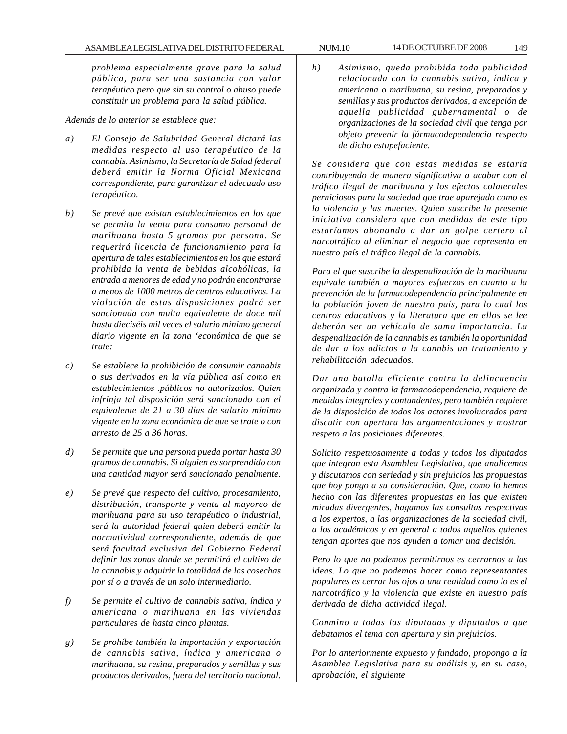*problema especialmente grave para la salud pública, para ser una sustancia con valor terapéutico pero que sin su control o abuso puede constituir un problema para la salud pública.*

#### *Además de lo anterior se establece que:*

- *a) El Consejo de Salubridad General dictará las medidas respecto al uso terapéutico de la cannabis. Asimismo, la Secretaría de Salud federal deberá emitir la Norma Oficial Mexicana correspondiente, para garantizar el adecuado uso terapéutico.*
- *b) Se prevé que existan establecimientos en los que se permita la venta para consumo personal de marihuana hasta 5 gramos por persona. Se requerirá licencia de funcionamiento para la apertura de tales establecimientos en los que estará prohibida la venta de bebidas alcohólicas, la entrada a menores de edad y no podrán encontrarse a menos de 1000 metros de centros educativos. La violación de estas disposiciones podrá ser sancionada con multa equivalente de doce mil hasta dieciséis mil veces el salario mínimo general diario vigente en la zona 'económica de que se trate:*
- *c) Se establece la prohibición de consumir cannabis o sus derivados en la vía pública así como en establecimientos .públicos no autorizados. Quien infrinja tal disposición será sancionado con el equivalente de 21 a 30 días de salario mínimo vigente en la zona económica de que se trate o con arresto de 25 a 36 horas.*
- *d) Se permite que una persona pueda portar hasta 30 gramos de cannabis. Si alguien es sorprendido con una cantidad mayor será sancionado penalmente.*
- *e) Se prevé que respecto del cultivo, procesamiento, distribución, transporte y venta al mayoreo de marihuana para su uso terapéutico o industrial, será la autoridad federal quien deberá emitir la normatividad correspondiente, además de que será facultad exclusiva del Gobierno Federal definir las zonas donde se permitirá el cultivo de la cannabis y adquirir la totalidad de las cosechas por sí o a través de un solo intermediario.*
- *f) Se permite el cultivo de cannabis sativa, índica y americana o marihuana en las viviendas particulares de hasta cinco plantas.*
- *g) Se prohíbe también la importación y exportación de cannabis sativa, índica y americana o marihuana, su resina, preparados y semillas y sus productos derivados, fuera del territorio nacional.*

*h) Asimismo, queda prohibida toda publicidad relacionada con la cannabis sativa, índica y americana o marihuana, su resina, preparados y semillas y sus productos derivados, a excepción de aquella publicidad gubernamental o de organizaciones de la sociedad civil que tenga por objeto prevenir la fármacodependencia respecto de dicho estupefaciente.*

*Se considera que con estas medidas se estaría contribuyendo de manera significativa a acabar con el tráfico ilegal de marihuana y los efectos colaterales perniciosos para la sociedad que trae aparejado como es la violencia y las muertes. Quien suscribe la presente iniciativa considera que con medidas de este tipo estaríamos abonando a dar un golpe certero al narcotráfico al eliminar el negocio que representa en nuestro país el tráfico ilegal de la cannabis.*

*Para el que suscribe la despenalización de la marihuana equivale también a mayores esfuerzos en cuanto a la prevención de la farmacodependencía principalmente en la población joven de nuestro país, para lo cual los centros educativos y la literatura que en ellos se lee deberán ser un vehículo de suma importancia. La despenalización de la cannabis es también la oportunidad de dar a los adictos a la cannbis un tratamiento y rehabilitación adecuados.*

*Dar una batalla eficiente contra la delincuencia organizada y contra la farmacodependencia, requiere de medidas integrales y contundentes, pero también requiere de la disposición de todos los actores involucrados para discutir con apertura las argumentaciones y mostrar respeto a las posiciones diferentes.*

*Solicito respetuosamente a todas y todos los diputados que integran esta Asamblea Legislativa, que analicemos y discutamos con seriedad y sin prejuicios las propuestas que hoy pongo a su consideración. Que, como lo hemos hecho con las diferentes propuestas en las que existen miradas divergentes, hagamos las consultas respectivas a los expertos, a las organizaciones de la sociedad civil, a los académicos y en general a todos aquellos quienes tengan aportes que nos ayuden a tomar una decisión.*

*Pero lo que no podemos permitirnos es cerrarnos a las ideas. Lo que no podemos hacer como representantes populares es cerrar los ojos a una realidad como lo es el narcotráfico y la violencia que existe en nuestro país derivada de dicha actividad ilegal.*

*Conmino a todas las diputadas y diputados a que debatamos el tema con apertura y sin prejuicios.*

*Por lo anteriormente expuesto y fundado, propongo a la Asamblea Legislativa para su análisis y, en su caso, aprobación, el siguiente*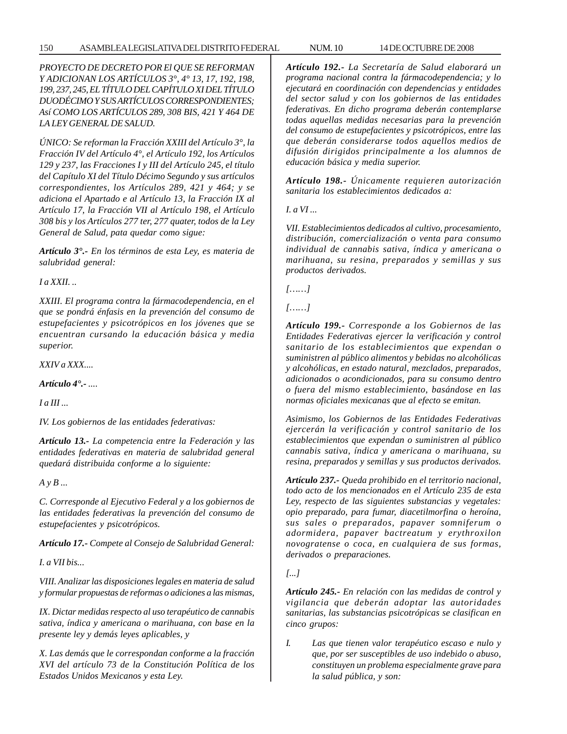# 150 ASAMBLEA LEGISLATIVA DEL DISTRITO FEDERAL NUM. 10 14 DE OCTUBRE DE 2008

*PROYECTO DE DECRETO POR El QUE SE REFORMAN Y ADICIONAN LOS ARTÍCULOS 3°, 4° 13, 17, 192, 198, 199, 237, 245, EL TÍTULO DEL CAPÍTULO XI DEL TÍTULO DUODÉCIMO Y SUS ARTÍCULOS CORRESPONDIENTES; Así COMO LOS ARTÍCULOS 289, 308 BIS, 421 Y 464 DE LA LEY GENERAL DE SALUD.*

*ÚNICO: Se reforman la Fracción XXIII del Artículo 3°, la Fracción IV del Artículo 4°, el Artículo 192, los Artículos 129 y 237, las Fracciones I y III del Artículo 245, el título del Capítulo XI del Título Décimo Segundo y sus artículos correspondientes, los Artículos 289, 421 y 464; y se adiciona el Apartado e al Artículo 13, la Fracción IX al Artículo 17, la Fracción VII al Artículo 198, el Artículo 308 bis y los Artículos 277 ter, 277 quater, todos de la Ley General de Salud, pata quedar como sigue:*

*Artículo 3°.- En los términos de esta Ley, es materia de salubridad general:*

*I a XXII. ..*

*XXIII. El programa contra la fármacodependencia, en el que se pondrá énfasis en la prevención del consumo de estupefacientes y psicotrópicos en los jóvenes que se encuentran cursando la educación básica y media superior.*

*XXIV a XXX....*

*Artículo 4°.- ....*

*I a III ...*

*IV. Los gobiernos de las entidades federativas:*

*Artículo 13.- La competencia entre la Federación y las entidades federativas en materia de salubridad general quedará distribuida conforme a lo siguiente:*

*A y B ...*

*C. Corresponde al Ejecutivo Federal y a los gobiernos de las entidades federativas la prevención del consumo de estupefacientes y psicotrópicos.*

*Artículo 17.- Compete al Consejo de Salubridad General:*

*I. a VII bis...*

*VIII. Analizar las disposiciones legales en materia de salud y formular propuestas de reformas o adiciones a las mismas,*

*IX. Dictar medidas respecto al uso terapéutico de cannabis sativa, índica y americana o marihuana, con base en la presente ley y demás leyes aplicables, y*

*X. Las demás que le correspondan conforme a la fracción XVI del artículo 73 de la Constitución Política de los Estados Unidos Mexicanos y esta Ley.*

*Artículo 192.- La Secretaría de Salud elaborará un programa nacional contra la fármacodependencia; y lo ejecutará en coordinación con dependencias y entidades del sector salud y con los gobiernos de las entidades federativas. En dicho programa deberán contemplarse todas aquellas medidas necesarias para la prevención del consumo de estupefacientes y psicotrópicos, entre las que deberán considerarse todos aquellos medios de difusión dirigidos principalmente a los alumnos de educación básica y media superior.*

*Artículo 198.- Únicamente requieren autorización sanitaria los establecimientos dedicados a:*

*I. a VI ...*

*VII. Establecimientos dedicados al cultivo, procesamiento, distribución, comercialización o venta para consumo individual de cannabis sativa, índica y americana o marihuana, su resina, preparados y semillas y sus productos derivados.*

*[……]*

*[……]*

*Artículo 199.- Corresponde a los Gobiernos de las Entidades Federativas ejercer la verificación y control sanitario de los establecimientos que expendan o suministren al público alimentos y bebidas no alcohólicas y alcohólicas, en estado natural, mezclados, preparados, adicionados o acondicionados, para su consumo dentro o fuera del mismo establecimiento, basándose en las normas oficiales mexicanas que al efecto se emitan.*

*Asimismo, los Gobiernos de las Entidades Federativas ejercerán la verificación y control sanitario de los establecimientos que expendan o suministren al público cannabis sativa, índica y americana o marihuana, su resina, preparados y semillas y sus productos derivados.*

*Artículo 237.- Queda prohibido en el territorio nacional, todo acto de los mencionados en el Artículo 235 de esta Ley, respecto de las siguientes substancias y vegetales: opio preparado, para fumar, diacetilmorfina o heroína, sus sales o preparados, papaver somniferum o adormidera, papaver bactreatum y erythroxilon novogratense o coca, en cualquiera de sus formas, derivados o preparaciones.*

*[...]*

*Artículo 245.- En relación con las medidas de control y vigilancia que deberán adoptar las autoridades sanitarias, las substancias psicotrópicas se clasifican en cinco grupos:*

*I. Las que tienen valor terapéutico escaso e nulo y que, por ser susceptibles de uso indebido o abuso, constituyen un problema especialmente grave para la salud pública, y son:*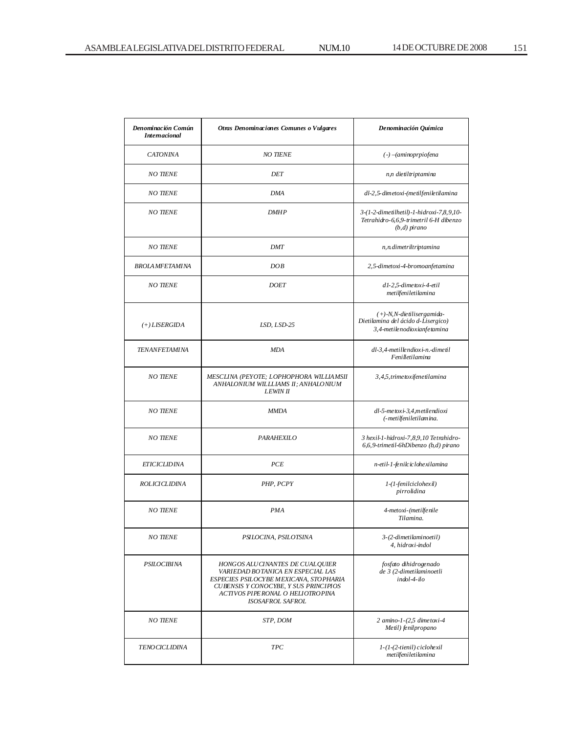| Denominación Común<br><b>Internacional</b> | <b>Otras Denominaciones Comunes o Vulgares</b>                                                                                                                                                                           | De nominación Química                                                                                |
|--------------------------------------------|--------------------------------------------------------------------------------------------------------------------------------------------------------------------------------------------------------------------------|------------------------------------------------------------------------------------------------------|
| <b>CATONINA</b>                            | <b>NO TIENE</b>                                                                                                                                                                                                          | $(-)$ -(aminoprpiofena                                                                               |
| <b>NO TIENE</b>                            | <b>DET</b>                                                                                                                                                                                                               | n,n dietiltriptamina                                                                                 |
| <b>NO TIENE</b>                            | <b>DMA</b>                                                                                                                                                                                                               | dl-2,5-dimetoxi-(metilfeniletilamina                                                                 |
| <b>NO TIENE</b>                            | <b>DMHP</b>                                                                                                                                                                                                              | 3-(1-2-dimetilhetil)-1-hidroxi-7,8,9,10-<br>Tetrahidro-6,6,9-trimetril 6-H dibenzo<br>$(b,d)$ pirano |
| <b>NO TIENE</b>                            | <b>DMT</b>                                                                                                                                                                                                               | n, n. dimetriltriptamina                                                                             |
| <b>BROLA MFETAMINA</b>                     | DOB                                                                                                                                                                                                                      | 2,5-dimetoxi-4-bromoanfetamina                                                                       |
| <b>NO TIENE</b>                            | <b>DOET</b>                                                                                                                                                                                                              | d1-2,5-dimetoxi-4-etil<br>metilfeniletilamina                                                        |
| $(+) LISERGIDA$                            | LSD, LSD-25                                                                                                                                                                                                              | $(+)$ -N, N-die tilisergamida-<br>Dietilamina del ácido d-Lisergico)<br>3,4-metilenodioxianfetamina  |
| <b>TENANFETAMINA</b>                       | <b>MDA</b>                                                                                                                                                                                                               | dl-3,4-metillendioxi-n.-dimetil<br>Fenilletilamina                                                   |
| <b>NO TIENE</b>                            | MESCLINA (PEYOTE; LOPHOPHORA WILLIAMSII<br>ANHALONIUM WILLLIAMS II; ANHALONIUM<br><b>LEWIN II</b>                                                                                                                        | 3,4,5, trime toxifene tilamina                                                                       |
| <b>NO TIENE</b>                            | <b>MMDA</b>                                                                                                                                                                                                              | dl-5-metoxi-3,4,metilendioxi<br>(-metilfeniletilamina.                                               |
| <b>NO TIENE</b>                            | <b>PARAHEXILO</b>                                                                                                                                                                                                        | 3 hexil-1-hidroxi-7,8,9,10 Tetrahidro-<br>6,6,9-trimetil-6hDibenzo (b,d) pirano                      |
| <b>ETICICLIDINA</b>                        | <b>PCE</b>                                                                                                                                                                                                               | n-etil-1-fenilciclohexilamina                                                                        |
| <b>ROLICICLIDINA</b>                       | PHP, PCPY                                                                                                                                                                                                                | 1-(1-fenilciclohexil)<br>pirrolidina                                                                 |
| <b>NO TIENE</b>                            | <b>PMA</b>                                                                                                                                                                                                               | 4-metoxi-(metilfenile<br>Tilamina.                                                                   |
| <b>NO TIENE</b>                            | PSILOCINA, PSILOTSINA                                                                                                                                                                                                    | 3-(2-dimetilaminoetil)<br>4, hidroxi-indol                                                           |
| PSILOCIBINA                                | HONG OS ALU CINANTES DE CUALQUIER<br>VARIEDAD BOTANICA EN ESPECIAL LAS<br>ESPECIES PSILOCYBE MEXICANA, STOPHARIA<br>CUBENSIS Y CONOCYBE, Y SUS PRINCIPIOS<br>ACTIVOS PIPERONAL O HELIOTROPINA<br><b>ISOSAFROL SAFROL</b> | fosfato dihidrogenado<br>de 3 (2-dimetilaminoetli<br>$indol-4-ilo$                                   |
| <b>NO TIENE</b>                            | STP, DOM                                                                                                                                                                                                                 | $2$ amino-1- $(2,5$ dimetoxi-4<br>Metil) fenilpropano                                                |
| <b>TENO CICLIDINA</b>                      | <b>TPC</b>                                                                                                                                                                                                               | $1-(1-(2-tienil)$ ciclohexil<br>$metiffeniletilamina$                                                |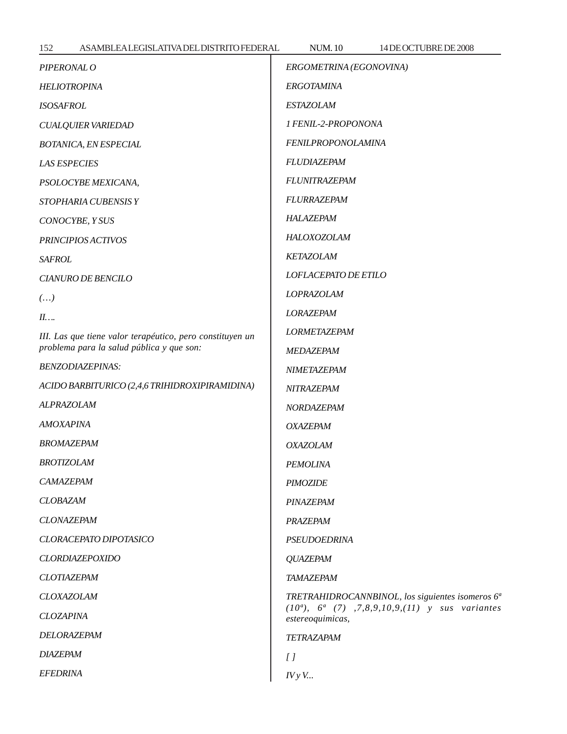| 152<br>ASAMBLEALEGISLATIVADELDISTRITO FEDERAL             | <b>NUM.10</b><br>14 DE OCTUBRE DE 2008                                                                                                    |
|-----------------------------------------------------------|-------------------------------------------------------------------------------------------------------------------------------------------|
| PIPERONAL O                                               | ERGOMETRINA (EGONOVINA)                                                                                                                   |
| <b>HELIOTROPINA</b>                                       | <b>ERGOTAMINA</b>                                                                                                                         |
| <b>ISOSAFROL</b>                                          | <b>ESTAZOLAM</b>                                                                                                                          |
| <b>CUALQUIER VARIEDAD</b>                                 | 1 FENIL-2-PROPONONA                                                                                                                       |
| <b>BOTANICA, EN ESPECIAL</b>                              | <b>FENILPROPONOLAMINA</b>                                                                                                                 |
| <b>LAS ESPECIES</b>                                       | FLUDIAZEPAM                                                                                                                               |
| PSOLOCYBE MEXICANA,                                       | <b>FLUNITRAZEPAM</b>                                                                                                                      |
| STOPHARIA CUBENSISY                                       | <b>FLURRAZEPAM</b>                                                                                                                        |
| CONOCYBE, Y SUS                                           | HALAZEPAM                                                                                                                                 |
| PRINCIPIOS ACTIVOS                                        | HALOXOZOLAM                                                                                                                               |
| <b>SAFROL</b>                                             | <b>KETAZOLAM</b>                                                                                                                          |
| <b>CIANURO DE BENCILO</b>                                 | LOFLACEPATO DE ETILO                                                                                                                      |
| $(\dots)$                                                 | <b>LOPRAZOLAM</b>                                                                                                                         |
| II                                                        | <b>LORAZEPAM</b>                                                                                                                          |
| III. Las que tiene valor terapéutico, pero constituyen un | <b>LORMETAZEPAM</b>                                                                                                                       |
| problema para la salud pública y que son:                 | MEDAZEPAM                                                                                                                                 |
| <b>BENZODIAZEPINAS:</b>                                   | <b>NIMETAZEPAM</b>                                                                                                                        |
| ACIDO BARBITURICO (2,4,6 TRIHIDROXIPIRAMIDINA)            | NITRAZEPAM                                                                                                                                |
| ALPRAZOLAM                                                | NORDAZEPAM                                                                                                                                |
| <b>AMOXAPINA</b>                                          | <b>OXAZEPAM</b>                                                                                                                           |
| <b>BROMAZEPAM</b>                                         | <b>OXAZOLAM</b>                                                                                                                           |
| <b>BROTIZOLAM</b>                                         | <b>PEMOLINA</b>                                                                                                                           |
| CAMAZEPAM                                                 | <b>PIMOZIDE</b>                                                                                                                           |
| <b>CLOBAZAM</b>                                           | PINAZEPAM                                                                                                                                 |
| <b>CLONAZEPAM</b>                                         | PRAZEPAM                                                                                                                                  |
| <b>CLORACEPATO DIPOTASICO</b>                             | <b>PSEUDOEDRINA</b>                                                                                                                       |
| <b>CLORDIAZEPOXIDO</b>                                    | <b>QUAZEPAM</b>                                                                                                                           |
| <b>CLOTIAZEPAM</b>                                        | TAMAZEPAM                                                                                                                                 |
| <b>CLOXAZOLAM</b><br><b>CLOZAPINA</b>                     | TRETRAHIDROCANNBINOL, los siguientes isomeros 6 <sup>ª</sup><br>$(10a), 6a (7), 7, 8, 9, 10, 9, (11)$ y sus variantes<br>estereoquimicas, |
| DELORAZEPAM                                               | TETRAZAPAM                                                                                                                                |
| <b>DIAZEPAM</b>                                           | $\iota$                                                                                                                                   |
| <b>EFEDRINA</b>                                           | $I V y V$                                                                                                                                 |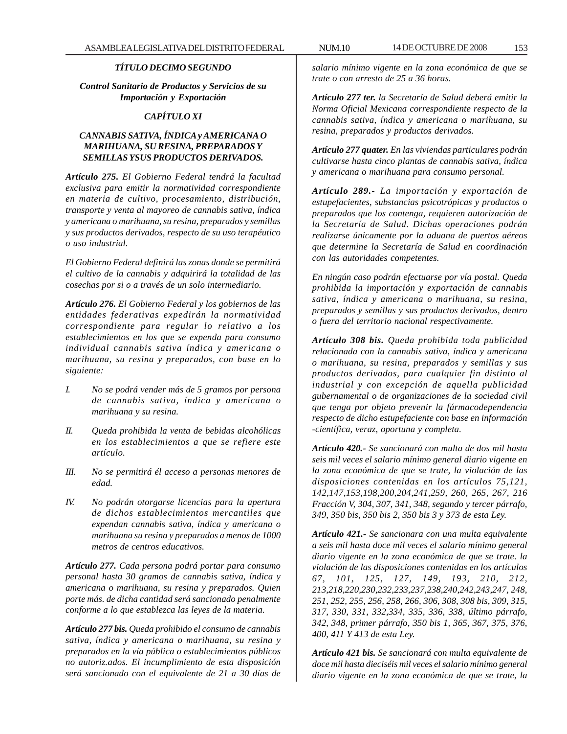# *TÍTULO DECIMO SEGUNDO*

*Control Sanitario de Productos y Servicios de su Importación y Exportación*

# *CAPÍTULO XI*

# *CANNABIS SATIVA, ÍNDICA y AMERICANA O MARIHUANA, SU RESINA, PREPARADOS Y SEMILLAS YSUS PRODUCTOS DERIVADOS.*

*Artículo 275. El Gobierno Federal tendrá la facultad exclusiva para emitir la normatividad correspondiente en materia de cultivo, procesamiento, distribución, transporte y venta al mayoreo de cannabis sativa, índica y americana o marihuana, su resina, preparados y semillas y sus productos derivados, respecto de su uso terapéutico o uso industrial.*

*El Gobierno Federal definirá las zonas donde se permitirá el cultivo de la cannabis y adquirirá la totalidad de las cosechas por si o a través de un solo intermediario.*

*Artículo 276. El Gobierno Federal y los gobiernos de las entidades federativas expedirán la normatividad correspondiente para regular lo relativo a los establecimientos en los que se expenda para consumo individual cannabis sativa índica y americana o marihuana, su resina y preparados, con base en lo siguiente:*

- *I. No se podrá vender más de 5 gramos por persona de cannabis sativa, índica y americana o marihuana y su resina.*
- *II. Queda prohibida la venta de bebidas alcohólicas en los establecimientos a que se refiere este artículo.*
- *III. No se permitirá él acceso a personas menores de edad.*
- *IV. No podrán otorgarse licencias para la apertura de dichos establecimientos mercantiles que expendan cannabis sativa, índica y americana o marihuana su resina y preparados a menos de 1000 metros de centros educativos.*

*Artículo 277. Cada persona podrá portar para consumo personal hasta 30 gramos de cannabis sativa, índica y americana o marihuana, su resina y preparados. Quien porte más. de dicha cantidad será sancionado penalmente conforme a lo que establezca las leyes de la materia.*

*Artículo 277 bis. Queda prohibido el consumo de cannabis sativa, índica y americana o marihuana, su resina y preparados en la vía pública o establecimientos públicos no autoriz.ados. El incumplimiento de esta disposición será sancionado con el equivalente de 21 a 30 días de*

*salario mínimo vigente en la zona económica de que se trate o con arresto de 25 a 36 horas.*

*Artículo 277 ter. la Secretaría de Salud deberá emitir la Norma Oficial Mexicana correspondiente respecto de la cannabis sativa, índica y americana o marihuana, su resina, preparados y productos derivados.*

*Artículo 277 quater. En las viviendas particulares podrán cultivarse hasta cinco plantas de cannabis sativa, índica y americana o marihuana para consumo personal.*

*Artículo 289.- La importación y exportación de estupefacientes, substancias psicotrópicas y productos o preparados que los contenga, requieren autorización de la Secretaría de Salud. Dichas operaciones podrán realizarse únicamente por la aduana de puertos aéreos que determine la Secretaría de Salud en coordinación con las autoridades competentes.*

*En ningún caso podrán efectuarse por vía postal. Queda prohibida la importación y exportación de cannabis sativa, índica y americana o marihuana, su resina, preparados y semillas y sus productos derivados, dentro o fuera del territorio nacional respectivamente.*

*Artículo 308 bis. Queda prohibida toda publicidad relacionada con la cannabis sativa, índica y americana o marihuana, su resina, preparados y semillas y sus productos derivados, para cualquier fin distinto al industrial y con excepción de aquella publicidad gubernamental o de organizaciones de la sociedad civil que tenga por objeto prevenir la fármacodependencia respecto de dicho estupefaciente con base en información -científica, veraz, oportuna y completa.*

*Artículo 420.- Se sancionará con multa de dos mil hasta seis mil veces el salario mínimo general diario vigente en la zona económica de que se trate, la violación de las disposiciones contenidas en los artículos 75,121, 142,147,153,198,200,204,241,259, 260, 265, 267, 216 Fracción V, 304, 307, 341, 348, segundo y tercer párrafo, 349, 350 bis, 350 bis 2, 350 bis 3 y 373 de esta Ley.*

*Artículo 421.- Se sancionara con una multa equivalente a seis mil hasta doce mil veces el salario mínimo general diario vigente en la zona económica de que se trate. la violación de las disposiciones contenidas en los artículos 67, 101, 125, 127, 149, 193, 210, 212, 213,218,220,230,232,233,237,238,240,242,243,247, 248, 251, 252, 255, 256, 258, 266, 306, 308, 308 bis, 309, 315, 317, 330, 331, 332,334, 335, 336, 338, último párrafo, 342, 348, primer párrafo, 350 bis 1, 365, 367, 375, 376, 400, 411 Y 413 de esta Ley.*

*Artículo 421 bis. Se sancionará con multa equivalente de doce mil hasta dieciséis mil veces el salario mínimo general diario vigente en la zona económica de que se trate, la*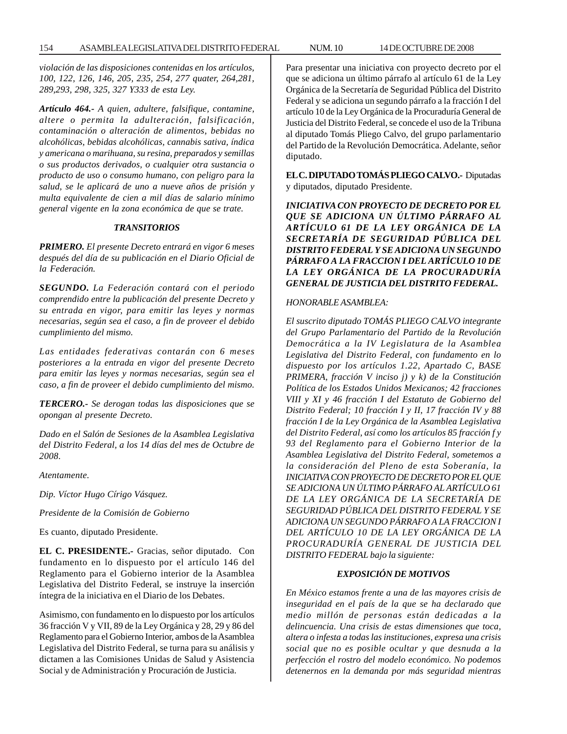154 ASAMBLEA LEGISLATIVA DEL DISTRITO FEDERAL NUM. 10 14 DE OCTUBRE DE 2008

*violación de las disposiciones contenidas en los artículos, 100, 122, 126, 146, 205, 235, 254, 277 quater, 264,281, 289,293, 298, 325, 327 Y333 de esta Ley.*

*Artículo 464.- A quien, adultere, falsifique, contamine, altere o permita la adulteración, falsificación, contaminación o alteración de alimentos, bebidas no alcohólicas, bebidas alcohólicas, cannabis sativa, índica y americana o marihuana, su resina, preparados y semillas o sus productos derivados, o cualquier otra sustancia o producto de uso o consumo humano, con peligro para la salud, se le aplicará de uno a nueve años de prisión y multa equivalente de cien a mil días de salario mínimo general vigente en la zona económica de que se trate.*

#### *TRANSITORIOS*

*PRIMERO. El presente Decreto entrará en vigor 6 meses después del día de su publicación en el Diario Oficial de la Federación.*

*SEGUNDO. La Federación contará con el periodo comprendido entre la publicación del presente Decreto y su entrada en vigor, para emitir las leyes y normas necesarias, según sea el caso, a fin de proveer el debido cumplimiento del mismo.*

*Las entidades federativas contarán con 6 meses posteriores a la entrada en vigor del presente Decreto para emitir las leyes y normas necesarias, según sea el caso, a fin de proveer el debido cumplimiento del mismo.*

*TERCERO.- Se derogan todas las disposiciones que se opongan al presente Decreto.*

*Dado en el Salón de Sesiones de la Asamblea Legislativa del Distrito Federal, a los 14 días del mes de Octubre de 2008.*

*Atentamente.*

*Dip. Víctor Hugo Círigo Vásquez.*

*Presidente de la Comisión de Gobierno*

Es cuanto, diputado Presidente.

**EL C. PRESIDENTE.-** Gracias, señor diputado. Con fundamento en lo dispuesto por el artículo 146 del Reglamento para el Gobierno interior de la Asamblea Legislativa del Distrito Federal, se instruye la inserción íntegra de la iniciativa en el Diario de los Debates.

Asimismo, con fundamento en lo dispuesto por los artículos 36 fracción V y VII, 89 de la Ley Orgánica y 28, 29 y 86 del Reglamento para el Gobierno Interior, ambos de la Asamblea Legislativa del Distrito Federal, se turna para su análisis y dictamen a las Comisiones Unidas de Salud y Asistencia Social y de Administración y Procuración de Justicia.

Para presentar una iniciativa con proyecto decreto por el que se adiciona un último párrafo al artículo 61 de la Ley Orgánica de la Secretaría de Seguridad Pública del Distrito Federal y se adiciona un segundo párrafo a la fracción I del artículo 10 de la Ley Orgánica de la Procuraduría General de Justicia del Distrito Federal, se concede el uso de la Tribuna al diputado Tomás Pliego Calvo, del grupo parlamentario del Partido de la Revolución Democrática. Adelante, señor diputado.

**EL C. DIPUTADO TOMÁS PLIEGO CALVO.-** Diputadas y diputados, diputado Presidente.

*INICIATIVA CON PROYECTO DE DECRETO POR EL QUE SE ADICIONA UN ÚLTIMO PÁRRAFO AL ARTÍCULO 61 DE LA LEY ORGÁNICA DE LA SECRETARÍA DE SEGURIDAD PÚBLICA DEL DISTRITO FEDERAL Y SE ADICIONA UN SEGUNDO PÁRRAFO A LA FRACCION I DEL ARTÍCULO 10 DE LA LEY ORGÁNICA DE LA PROCURADURÍA GENERAL DE JUSTICIA DEL DISTRITO FEDERAL.*

#### *HONORABLE ASAMBLEA:*

*El suscrito diputado TOMÁS PLIEGO CALVO integrante del Grupo Parlamentario del Partido de la Revolución Democrática a la IV Legislatura de la Asamblea Legislativa del Distrito Federal, con fundamento en lo dispuesto por los artículos 1.22, Apartado C, BASE PRIMERA, fracción V inciso j) y k) de la Constitución Política de los Estados Unidos Mexicanos; 42 fracciones VIII y XI y 46 fracción I del Estatuto de Gobierno del Distrito Federal; 10 fracción I y II, 17 fracción IV y 88 fracción I de la Ley Orgánica de la Asamblea Legislativa del Distrito Federal, así como los artículos 85 fracción f y 93 del Reglamento para el Gobierno Interior de la Asamblea Legislativa del Distrito Federal, sometemos a la consideración del Pleno de esta Soberanía, la INICIATIVA CON PROYECTO DE DECRETO POR EL QUE SE ADICIONA UN ÚLTIMO PÁRRAFO AL ARTÍCULO 61 DE LA LEY ORGÁNICA DE LA SECRETARÍA DE SEGURIDAD PÚBLICA DEL DISTRITO FEDERAL Y SE ADICIONA UN SEGUNDO PÁRRAFO A LA FRACCION I DEL ARTÍCULO 10 DE LA LEY ORGÁNICA DE LA PROCURADURÍA GENERAL DE JUSTICIA DEL DISTRITO FEDERAL bajo la siguiente:*

#### *EXPOSICIÓN DE MOTIVOS*

*En México estamos frente a una de las mayores crisis de inseguridad en el país de la que se ha declarado que medio millón de personas están dedicadas a la delincuencia. Una crisis de estas dimensiones que toca, altera o infesta a todas las instituciones, expresa una crisis social que no es posible ocultar y que desnuda a la perfección el rostro del modelo económico. No podemos detenernos en la demanda por más seguridad mientras*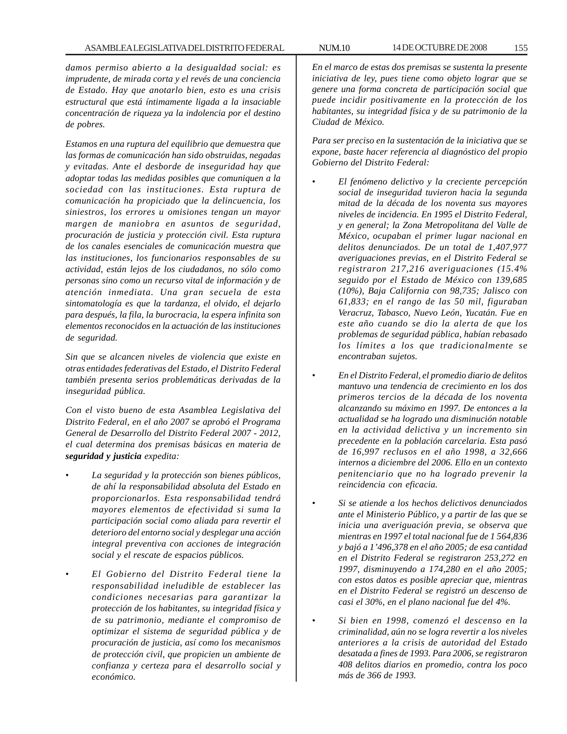*damos permiso abierto a la desigualdad social: es imprudente, de mirada corta y el revés de una conciencia de Estado. Hay que anotarlo bien, esto es una crisis estructural que está íntimamente ligada a la insaciable concentración de riqueza ya la indolencia por el destino de pobres.*

*Estamos en una ruptura del equilibrio que demuestra que las formas de comunicación han sido obstruidas, negadas y evitadas. Ante el desborde de inseguridad hay que adoptar todas las medidas posibles que comuniquen a la sociedad con las instituciones. Esta ruptura de comunicación ha propiciado que la delincuencia, los siniestros, los errores u omisiones tengan un mayor margen de maniobra en asuntos de seguridad, procuración de justicia y protección civil. Esta ruptura de los canales esenciales de comunicación muestra que las instituciones, los funcionarios responsables de su actividad, están lejos de los ciudadanos, no sólo como personas sino como un recurso vital de información y de atención inmediata. Una gran secuela de esta sintomatología es que la tardanza, el olvido, el dejarlo para después, la fila, la burocracia, la espera infinita son elementos reconocidos en la actuación de las instituciones de seguridad.*

*Sin que se alcancen niveles de violencia que existe en otras entidades federativas del Estado, el Distrito Federal también presenta serios problemáticas derivadas de la inseguridad pública.*

*Con el visto bueno de esta Asamblea Legislativa del Distrito Federal, en el año 2007 se aprobó el Programa General de Desarrollo del Distrito Federal 2007 - 2012, el cual determina dos premisas básicas en materia de seguridad y justicia expedita:*

- *La seguridad y la protección son bienes públicos, de ahí la responsabilidad absoluta del Estado en proporcionarlos. Esta responsabilidad tendrá mayores elementos de efectividad si suma la participación social como aliada para revertir el deterioro del entorno social y desplegar una acción integral preventiva con acciones de integración social y el rescate de espacios públicos.*
- *El Gobierno del Distrito Federal tiene la responsabilidad ineludible de establecer las condiciones necesarias para garantizar la protección de los habitantes, su integridad física y de su patrimonio, mediante el compromiso de optimizar el sistema de seguridad pública y de procuración de justicia, así como los mecanismos de protección civil, que propicien un ambiente de confianza y certeza para el desarrollo social y económico.*

*En el marco de estas dos premisas se sustenta la presente iniciativa de ley, pues tiene como objeto lograr que se genere una forma concreta de participación social que puede incidir positivamente en la protección de los habitantes, su integridad física y de su patrimonio de la Ciudad de México.*

*Para ser preciso en la sustentación de la iniciativa que se expone, baste hacer referencia al diagnóstico del propio Gobierno del Distrito Federal:*

- *El fenómeno delictivo y la creciente percepción social de inseguridad tuvieron hacia la segunda mitad de la década de los noventa sus mayores niveles de incidencia. En 1995 el Distrito Federal, y en general; la Zona Metropolitana del Valle de México, ocupaban el primer lugar nacional en delitos denunciados. De un total de 1,407,977 averiguaciones previas, en el Distrito Federal se registraron 217,216 averiguaciones (15.4% seguido por el Estado de México con 139,685 (10%), Baja California con 98,735; Jalisco con 61,833; en el rango de las 50 mil, figuraban Veracruz, Tabasco, Nuevo León, Yucatán. Fue en este año cuando se dio la alerta de que los problemas de seguridad pública, habían rebasado los límites a los que tradicionalmente se encontraban sujetos.*
- *En el Distrito Federal, el promedio diario de delitos mantuvo una tendencia de crecimiento en los dos primeros tercios de la década de los noventa alcanzando su máximo en 1997. De entonces a la actualidad se ha logrado una disminución notable en la actividad delictiva y un incremento sin precedente en la población carcelaria. Esta pasó de 16,997 reclusos en el año 1998, a 32,666 internos a diciembre del 2006. Ello en un contexto penitenciario que no ha logrado prevenir la reincidencia con eficacia.*
	- *Si se atiende a los hechos delictivos denunciados ante el Ministerio Público, y a partir de las que se inicia una averiguación previa, se observa que mientras en 1997 el total nacional fue de 1 564,836 y bajó a 1'496,378 en el año 2005; de esa cantidad en el Distrito Federal se registraron 253,272 en 1997, disminuyendo a 174,280 en el año 2005; con estos datos es posible apreciar que, mientras en el Distrito Federal se registró un descenso de casi el 30%, en el plano nacional fue del 4%.*
	- *Si bien en 1998, comenzó el descenso en la criminalidad, aún no se logra revertir a los niveles anteriores a la crisis de autoridad del Estado desatada a fines de 1993. Para 2006, se registraron 408 delitos diarios en promedio, contra los poco más de 366 de 1993.*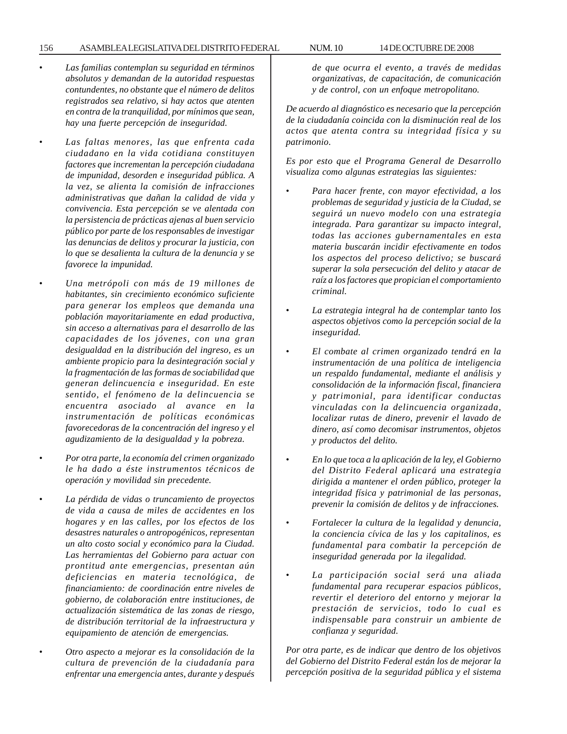#### 156 ASAMBLEA LEGISLATIVA DEL DISTRITO FEDERAL NUM. 10 14 DE OCTUBRE DE 2008

- *Las familias contemplan su seguridad en términos absolutos y demandan de la autoridad respuestas contundentes, no obstante que el número de delitos registrados sea relativo, si hay actos que atenten en contra de la tranquilidad, por mínimos que sean, hay una fuerte percepción de inseguridad.*
- *Las faltas menores, las que enfrenta cada ciudadano en la vida cotidiana constituyen factores que incrementan la percepción ciudadana de impunidad, desorden e inseguridad pública. A la vez, se alienta la comisión de infracciones administrativas que dañan la calidad de vida y convivencia. Esta percepción se ve alentada con la persistencia de prácticas ajenas al buen servicio público por parte de los responsables de investigar las denuncias de delitos y procurar la justicia, con lo que se desalienta la cultura de la denuncia y se favorece la impunidad.*
- *Una metrópoli con más de 19 millones de habitantes, sin crecimiento económico suficiente para generar los empleos que demanda una población mayoritariamente en edad productiva, sin acceso a alternativas para el desarrollo de las capacidades de los jóvenes, con una gran desigualdad en la distribución del ingreso, es un ambiente propicio para la desintegración social y la fragmentación de las formas de sociabilidad que generan delincuencia e inseguridad. En este sentido, el fenómeno de la delincuencia se encuentra asociado al avance en la instrumentación de políticas económicas favorecedoras de la concentración del ingreso y el agudizamiento de la desigualdad y la pobreza.*
- *Por otra parte, la economía del crimen organizado le ha dado a éste instrumentos técnicos de operación y movilidad sin precedente.*
- *La pérdida de vidas o truncamiento de proyectos de vida a causa de miles de accidentes en los hogares y en las calles, por los efectos de los desastres naturales o antropogénicos, representan un alto costo social y económico para la Ciudad. Las herramientas del Gobierno para actuar con prontitud ante emergencias, presentan aún deficiencias en materia tecnológica, de financiamiento: de coordinación entre niveles de gobierno, de colaboración entre instituciones, de actualización sistemática de las zonas de riesgo, de distribución territorial de la infraestructura y equipamiento de atención de emergencias.*
- *Otro aspecto a mejorar es la consolidación de la cultura de prevención de la ciudadanía para enfrentar una emergencia antes, durante y después*

*de que ocurra el evento, a través de medidas organizativas, de capacitación, de comunicación y de control, con un enfoque metropolitano.*

*De acuerdo al diagnóstico es necesario que la percepción de la ciudadanía coincida con la disminución real de los actos que atenta contra su integridad física y su patrimonio.*

*Es por esto que el Programa General de Desarrollo visualiza como algunas estrategias las siguientes:*

- *Para hacer frente, con mayor efectividad, a los problemas de seguridad y justicia de la Ciudad, se seguirá un nuevo modelo con una estrategia integrada. Para garantizar su impacto integral, todas las acciones gubernamentales en esta materia buscarán incidir efectivamente en todos los aspectos del proceso delictivo; se buscará superar la sola persecución del delito y atacar de raíz a los factores que propician el comportamiento criminal.*
- *La estrategia integral ha de contemplar tanto los aspectos objetivos como la percepción social de la inseguridad.*
- *El combate al crimen organizado tendrá en la instrumentación de una política de inteligencia un respaldo fundamental, mediante el análisis y consolidación de la información fiscal, financiera y patrimonial, para identificar conductas vinculadas con la delincuencia organizada, localizar rutas de dinero, prevenir el lavado de dinero, así como decomisar instrumentos, objetos y productos del delito.*
- *En lo que toca a la aplicación de la ley, el Gobierno del Distrito Federal aplicará una estrategia dirigida a mantener el orden público, proteger la integridad física y patrimonial de las personas, prevenir la comisión de delitos y de infracciones.*
- *Fortalecer la cultura de la legalidad y denuncia, la conciencia cívica de las y los capitalinos, es fundamental para combatir la percepción de inseguridad generada por la ilegalidad.*
- *La participación social será una aliada fundamental para recuperar espacios públicos, revertir el deterioro del entorno y mejorar la prestación de servicios, todo lo cual es indispensable para construir un ambiente de confianza y seguridad.*

*Por otra parte, es de indicar que dentro de los objetivos del Gobierno del Distrito Federal están los de mejorar la percepción positiva de la seguridad pública y el sistema*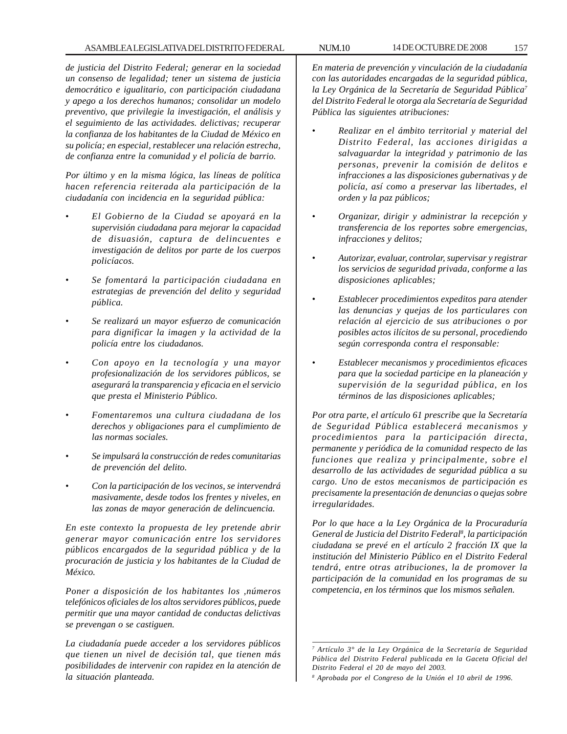# ASAMBLEA LEGISLATIVA DEL DISTRITO FEDERAL NUM.10 14 DE OCTUBRE DE 2008 157

*de justicia del Distrito Federal; generar en la sociedad un consenso de legalidad; tener un sistema de justicia democrático e igualitario, con participación ciudadana y apego a los derechos humanos; consolidar un modelo preventivo, que privilegie la investigación, el análisis y el seguimiento de las actividades. delictivas; recuperar la confianza de los habitantes de la Ciudad de México en su policía; en especial, restablecer una relación estrecha, de confianza entre la comunidad y el policía de barrio.*

*Por último y en la misma lógica, las líneas de política hacen referencia reiterada ala participación de la ciudadanía con incidencia en la seguridad pública:*

- *El Gobierno de la Ciudad se apoyará en la supervisión ciudadana para mejorar la capacidad de disuasión, captura de delincuentes e investigación de delitos por parte de los cuerpos policíacos.*
- *Se fomentará la participación ciudadana en estrategias de prevención del delito y seguridad pública.*
- *Se realizará un mayor esfuerzo de comunicación para dignificar la imagen y la actividad de la policía entre los ciudadanos.*
- *Con apoyo en la tecnología y una mayor profesionalización de los servidores públicos, se asegurará la transparencia y eficacia en el servicio que presta el Ministerio Público.*
- *Fomentaremos una cultura ciudadana de los derechos y obligaciones para el cumplimiento de las normas sociales.*
- *Se impulsará la construcción de redes comunitarias de prevención del delito.*
- *Con la participación de los vecinos, se intervendrá masivamente, desde todos los frentes y niveles, en las zonas de mayor generación de delincuencia.*

*En este contexto la propuesta de ley pretende abrir generar mayor comunicación entre los servidores públicos encargados de la seguridad pública y de la procuración de justicia y los habitantes de la Ciudad de México.*

*Poner a disposición de los habitantes los ,números telefónicos oficiales de los altos servidores públicos, puede permitir que una mayor cantidad de conductas delictivas se prevengan o se castiguen.*

*La ciudadanía puede acceder a los servidores públicos que tienen un nivel de decisión tal, que tienen más posibilidades de intervenir con rapidez en la atención de la situación planteada.*

*En materia de prevención y vinculación de la ciudadanía con las autoridades encargadas de la seguridad pública, la Ley Orgánica de la Secretaría de Seguridad Pública7 del Distrito Federal le otorga ala Secretaría de Seguridad Pública las siguientes atribuciones:*

- *Realizar en el ámbito territorial y material del Distrito Federal, las acciones dirigidas a salvaguardar la integridad y patrimonio de las personas, prevenir la comisión de delitos e infracciones a las disposiciones gubernativas y de policía, así como a preservar las libertades, el orden y la paz públicos;*
- *Organizar, dirigir y administrar la recepción y transferencia de los reportes sobre emergencias, infracciones y delitos;*
- *Autorizar, evaluar, controlar, supervisar y registrar los servicios de seguridad privada, conforme a las disposiciones aplicables;*
- *Establecer procedimientos expeditos para atender las denuncias y quejas de los particulares con relación al ejercicio de sus atribuciones o por posibles actos ilícitos de su personal, procediendo según corresponda contra el responsable:*
- *Establecer mecanismos y procedimientos eficaces para que la sociedad participe en la planeación y supervisión de la seguridad pública, en los términos de las disposiciones aplicables;*

*Por otra parte, el artículo 61 prescribe que la Secretaría de Seguridad Pública establecerá mecanismos y procedimientos para la participación directa, permanente y periódica de la comunidad respecto de las funciones que realiza y principalmente, sobre el desarrollo de las actividades de seguridad pública a su cargo. Uno de estos mecanismos de participación es precisamente la presentación de denuncias o quejas sobre irregularidades.*

*Por lo que hace a la Ley Orgánica de la Procuraduría General de Justicia del Distrito Federal8 , la participación ciudadana se prevé en el artículo 2 fracción IX que la institución del Ministerio Público en el Distrito Federal tendrá, entre otras atribuciones, la de promover la participación de la comunidad en los programas de su competencia, en los términos que los mismos señalen.*

*<sup>7</sup> Artículo 3° de la Ley Orgánica de la Secretaría de Seguridad Pública del Distrito Federal publicada en la Gaceta Oficial del Distrito Federal el 20 de mayo del 2003.*

*<sup>8</sup> Aprobada por el Congreso de la Unión el 10 abril de 1996.*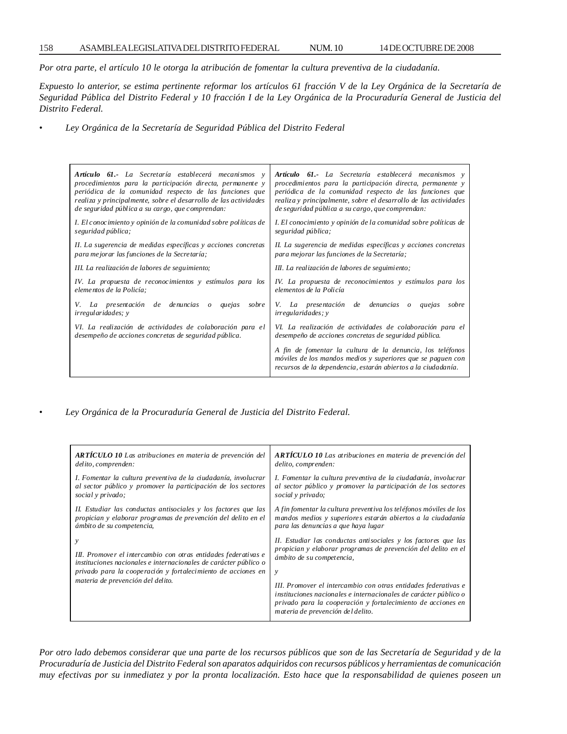*Por otra parte, el artículo 10 le otorga la atribución de fomentar la cultura preventiva de la ciudadanía.*

*Expuesto lo anterior, se estima pertinente reformar los artículos 61 fracción V de la Ley Orgánica de la Secretaría de Seguridad Pública del Distrito Federal y 10 fracción I de la Ley Orgánica de la Procuraduría General de Justicia del Distrito Federal.*

• *Ley Orgánica de la Secretaría de Seguridad Pública del Distrito Federal*

| <b>Artículo 61.-</b> La Secretaría establecerá mecanismos y      | <b>Artículo 61.-</b> La Secretaría establecerá mecanismos y                                                                                                                                |
|------------------------------------------------------------------|--------------------------------------------------------------------------------------------------------------------------------------------------------------------------------------------|
| procedimientos para la participación directa, permanente y       | procedimientos para la participación directa, permanente y                                                                                                                                 |
| periódica de la comunidad respecto de las funciones que          | periódica de la comunidad respecto de las funciones que                                                                                                                                    |
| realiza y principalmente, sobre el desarrollo de las actividades | realiza y principalmente, sobre el desarrollo de las actividades                                                                                                                           |
| de seguridad pública a su cargo, que comprendan:                 | de seguridad pública a su cargo, que comprendan:                                                                                                                                           |
| I. El conocimiento y opinión de la comunidad sobre políticas de  | I. El conocimiento y opinión de la comunidad sobre políticas de                                                                                                                            |
| seguridad pública;                                               | seguridad pública;                                                                                                                                                                         |
| II. La sugerencia de medidas específicas y acciones concretas    | II. La sugerencia de medidas específicas y acciones concretas                                                                                                                              |
| para me jorar las funciones de la Secretaría;                    | para mejorar las funciones de la Secretaría;                                                                                                                                               |
| III. La realización de labores de seguimiento;                   | III. La realización de labores de seguimiento;                                                                                                                                             |
| IV. La propuesta de reconocimientos y estímulos para los         | IV. La propuesta de reconocimientos y estímulos para los                                                                                                                                   |
| elementos de la Policía;                                         | elementos de la Policía                                                                                                                                                                    |
| V. La presentación de denuncias                                  | V. La presentación de denuncias o                                                                                                                                                          |
| quejas sobre                                                     | quejas                                                                                                                                                                                     |
| $\mathcal{O}$                                                    | sobre                                                                                                                                                                                      |
| <i>irregularidades</i> ; y                                       | <i>irregularidades</i> ; y                                                                                                                                                                 |
| VI. La realización de actividades de colaboración para el        | VI. La realización de actividades de colaboración para el                                                                                                                                  |
| desempeño de acciones concretas de seguridad pública.            | desempeño de acciones concretas de seguridad pública.                                                                                                                                      |
|                                                                  | A fin de fomentar la cultura de la denuncia, los teléfonos<br>móviles de los mandos medios y superiores que se paguen con<br>recursos de la dependencia, estarán abiertos a la ciudadanía. |

• *Ley Orgánica de la Procuraduría General de Justicia del Distrito Federal.*

| <b>ARTÍCULO 10</b> Las atribuciones en materia de prevención del                                                                                                                                                                        | ARTÍCULO 10 Las atribuciones en materia de prevención del                                                                                                                                                                                                                                                                                                                                                    |
|-----------------------------------------------------------------------------------------------------------------------------------------------------------------------------------------------------------------------------------------|--------------------------------------------------------------------------------------------------------------------------------------------------------------------------------------------------------------------------------------------------------------------------------------------------------------------------------------------------------------------------------------------------------------|
| delito, comprenden:                                                                                                                                                                                                                     | delito, comprenden:                                                                                                                                                                                                                                                                                                                                                                                          |
| I. Fomentar la cultura preventiva de la ciudadanía, involucrar                                                                                                                                                                          | I. Fomentar la cultura preventiva de la ciudadanía, involucrar                                                                                                                                                                                                                                                                                                                                               |
| al sector público y promover la participación de los sectores                                                                                                                                                                           | al sector público y promover la participación de los sectores                                                                                                                                                                                                                                                                                                                                                |
| social y privado;                                                                                                                                                                                                                       | social y privado;                                                                                                                                                                                                                                                                                                                                                                                            |
| II. Estudiar las conductas antisociales y los factores que las                                                                                                                                                                          | A fin fomentar la cultura preventiva los teléfonos móviles de los                                                                                                                                                                                                                                                                                                                                            |
| propician y elaborar programas de prevención del delito en el                                                                                                                                                                           | mandos medios y superiores estarán abiertos a la ciudadanía                                                                                                                                                                                                                                                                                                                                                  |
| ámbito de su competencia,                                                                                                                                                                                                               | para las denuncias a que haya lugar                                                                                                                                                                                                                                                                                                                                                                          |
| III. Promover el intercambio con otras entidades federativas e<br>instituciones nacionales e internacionales de carácter público o<br>privado para la cooperación y fortalecimiento de acciones en<br>materia de prevención del delito. | II. Estudiar las conductas antisociales y los factores que las<br>propician y elaborar programas de prevención del delito en el<br>ámbito de su competencia,<br>y<br>III. Promover el intercambio con otras entidades federativas e<br>instituciones nacionales e internacionales de carácter público o<br>privado para la cooperación y fortalecimiento de acciones en<br>materia de prevención del delito. |

*Por otro lado debemos considerar que una parte de los recursos públicos que son de las Secretaría de Seguridad y de la Procuraduría de Justicia del Distrito Federal son aparatos adquiridos con recursos públicos y herramientas de comunicación muy efectivas por su inmediatez y por la pronta localización. Esto hace que la responsabilidad de quienes poseen un*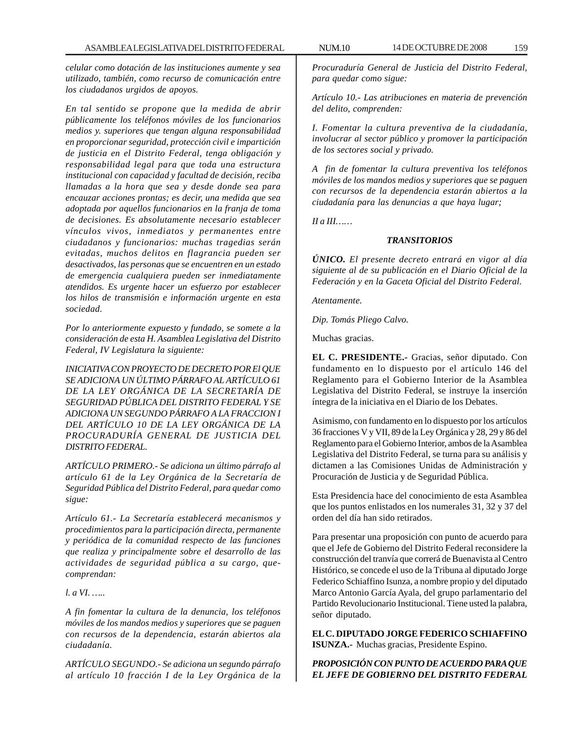*celular como dotación de las instituciones aumente y sea utilizado, también, como recurso de comunicación entre los ciudadanos urgidos de apoyos.*

*En tal sentido se propone que la medida de abrir públicamente los teléfonos móviles de los funcionarios medios y. superiores que tengan alguna responsabilidad en proporcionar seguridad, protección civil e impartición de justicia en el Distrito Federal, tenga obligación y responsabilidad legal para que toda una estructura institucional con capacidad y facultad de decisión, reciba llamadas a la hora que sea y desde donde sea para encauzar acciones prontas; es decir, una medida que sea adoptada por aquellos funcionarios en la franja de toma de decisiones. Es absolutamente necesario establecer vínculos vivos, inmediatos y permanentes entre ciudadanos y funcionarios: muchas tragedias serán evitadas, muchos delitos en flagrancia pueden ser desactivados, las personas que se encuentren en un estado de emergencia cualquiera pueden ser inmediatamente atendidos. Es urgente hacer un esfuerzo por establecer los hilos de transmisión e información urgente en esta sociedad.*

*Por lo anteriormente expuesto y fundado, se somete a la consideración de esta H. Asamblea Legislativa del Distrito Federal, IV Legislatura la siguiente:*

*INICIATIVA CON PROYECTO DE DECRETO POR El QUE SE ADICIONA UN ÚLTIMO PÁRRAFO AL ARTÍCULO 61 DE LA LEY ORGÁNICA DE LA SECRETARÍA DE SEGURIDAD PÚBLICA DEL DISTRITO FEDERAL Y SE ADICIONA UN SEGUNDO PÁRRAFO A LA FRACCION I DEL ARTÍCULO 10 DE LA LEY ORGÁNICA DE LA PROCURADURÍA GENERAL DE JUSTICIA DEL DISTRITO FEDERAL.*

*ARTÍCULO PRIMERO.- Se adiciona un último párrafo al artículo 61 de la Ley Orgánica de la Secretaría de Seguridad Pública del Distrito Federal, para quedar como sigue:*

*Artículo 61.- La Secretaría establecerá mecanismos y procedimientos para la participación directa, permanente y periódica de la comunidad respecto de las funciones que realiza y principalmente sobre el desarrollo de las actividades de seguridad pública a su cargo, quecomprendan:*

*l. a VI. …..*

*A fin fomentar la cultura de la denuncia, los teléfonos móviles de los mandos medios y superiores que se paguen con recursos de la dependencia, estarán abiertos ala ciudadanía.*

*ARTÍCULO SEGUNDO.- Se adiciona un segundo párrafo al artículo 10 fracción I de la Ley Orgánica de la* *Procuraduría General de Justicia del Distrito Federal, para quedar como sigue:*

*Artículo 10.- Las atribuciones en materia de prevención del delito, comprenden:*

*I. Fomentar la cultura preventiva de la ciudadanía, involucrar al sector público y promover la participación de los sectores social y privado.*

*A fin de fomentar la cultura preventiva los teléfonos móviles de los mandos medios y superiores que se paguen con recursos de la dependencia estarán abiertos a la ciudadanía para las denuncias a que haya lugar;*

*II a III……*

# *TRANSITORIOS*

*ÚNICO. El presente decreto entrará en vigor al día siguiente al de su publicación en el Diario Oficial de la Federación y en la Gaceta Oficial del Distrito Federal.*

*Atentamente.*

*Dip. Tomás Pliego Calvo.*

Muchas gracias.

**EL C. PRESIDENTE.-** Gracias, señor diputado. Con fundamento en lo dispuesto por el artículo 146 del Reglamento para el Gobierno Interior de la Asamblea Legislativa del Distrito Federal, se instruye la inserción íntegra de la iniciativa en el Diario de los Debates.

Asimismo, con fundamento en lo dispuesto por los artículos 36 fracciones V y VII, 89 de la Ley Orgánica y 28, 29 y 86 del Reglamento para el Gobierno Interior, ambos de la Asamblea Legislativa del Distrito Federal, se turna para su análisis y dictamen a las Comisiones Unidas de Administración y Procuración de Justicia y de Seguridad Pública.

Esta Presidencia hace del conocimiento de esta Asamblea que los puntos enlistados en los numerales 31, 32 y 37 del orden del día han sido retirados.

Para presentar una proposición con punto de acuerdo para que el Jefe de Gobierno del Distrito Federal reconsidere la construcción del tranvía que correrá de Buenavista al Centro Histórico, se concede el uso de la Tribuna al diputado Jorge Federico Schiaffino Isunza, a nombre propio y del diputado Marco Antonio García Ayala, del grupo parlamentario del Partido Revolucionario Institucional. Tiene usted la palabra, señor diputado.

**EL C. DIPUTADO JORGE FEDERICO SCHIAFFINO ISUNZA.-** Muchas gracias, Presidente Espino.

# *PROPOSICIÓN CON PUNTO DE ACUERDO PARA QUE EL JEFE DE GOBIERNO DEL DISTRITO FEDERAL*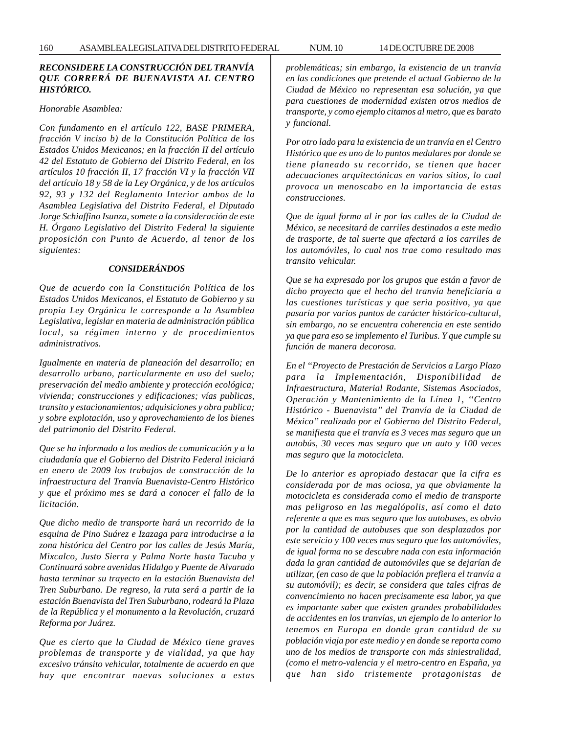# *RECONSIDERE LA CONSTRUCCIÓN DEL TRANVÍA QUE CORRERÁ DE BUENAVISTA AL CENTRO HISTÓRICO.*

#### *Honorable Asamblea:*

*Con fundamento en el artículo 122, BASE PRIMERA, fracción V inciso b) de la Constitución Política de los Estados Unidos Mexicanos; en la fracción II del artículo 42 del Estatuto de Gobierno del Distrito Federal, en los artículos 10 fracción II, 17 fracción VI y la fracción VII del artículo 18 y 58 de la Ley Orgánica, y de los artículos 92, 93 y 132 del Reglamento Interior ambos de la Asamblea Legislativa del Distrito Federal, el Diputado Jorge Schiaffino Isunza, somete a la consideración de este H. Órgano Legislativo del Distrito Federal la siguiente proposición con Punto de Acuerdo, al tenor de los siguientes:*

#### *CONSIDERÁNDOS*

*Que de acuerdo con la Constitución Política de los Estados Unidos Mexicanos, el Estatuto de Gobierno y su propia Ley Orgánica le corresponde a la Asamblea Legislativa, legislar en materia de administración pública local, su régimen interno y de procedimientos administrativos.*

*Igualmente en materia de planeación del desarrollo; en desarrollo urbano, particularmente en uso del suelo; preservación del medio ambiente y protección ecológica; vivienda; construcciones y edificaciones; vías publicas, transito y estacionamientos; adquisiciones y obra publica; y sobre explotación, uso y aprovechamiento de los bienes del patrimonio del Distrito Federal.*

*Que se ha informado a los medios de comunicación y a la ciudadanía que el Gobierno del Distrito Federal iniciará en enero de 2009 los trabajos de construcción de la infraestructura del Tranvía Buenavista-Centro Histórico y que el próximo mes se dará a conocer el fallo de la licitación.*

*Que dicho medio de transporte hará un recorrido de la esquina de Pino Suárez e Izazaga para introducirse a la zona histórica del Centro por las calles de Jesús María, Mixcalco, Justo Sierra y Palma Norte hasta Tacuba y Continuará sobre avenidas Hidalgo y Puente de Alvarado hasta terminar su trayecto en la estación Buenavista del Tren Suburbano. De regreso, la ruta será a partir de la estación Buenavista del Tren Suburbano, rodeará la Plaza de la República y el monumento a la Revolución, cruzará Reforma por Juárez.*

*Que es cierto que la Ciudad de México tiene graves problemas de transporte y de vialidad, ya que hay excesivo tránsito vehicular, totalmente de acuerdo en que hay que encontrar nuevas soluciones a estas* *problemáticas; sin embargo, la existencia de un tranvía en las condiciones que pretende el actual Gobierno de la Ciudad de México no representan esa solución, ya que para cuestiones de modernidad existen otros medios de transporte, y como ejemplo citamos al metro, que es barato y funcional.*

*Por otro lado para la existencia de un tranvía en el Centro Histórico que es uno de lo puntos medulares por donde se tiene planeado su recorrido, se tienen que hacer adecuaciones arquitectónicas en varios sitios, lo cual provoca un menoscabo en la importancia de estas construcciones.*

*Que de igual forma al ir por las calles de la Ciudad de México, se necesitará de carriles destinados a este medio de trasporte, de tal suerte que afectará a los carriles de los automóviles, lo cual nos trae como resultado mas transito vehicular.*

*Que se ha expresado por los grupos que están a favor de dicho proyecto que el hecho del tranvía beneficiaría a las cuestiones turísticas y que seria positivo, ya que pasaría por varios puntos de carácter histórico-cultural, sin embargo, no se encuentra coherencia en este sentido ya que para eso se implemento el Turibus. Y que cumple su función de manera decorosa.*

*En el ''Proyecto de Prestación de Servicios a Largo Plazo para la Implementación, Disponibilidad de Infraestructura, Material Rodante, Sistemas Asociados, Operación y Mantenimiento de la Línea 1, ''Centro Histórico - Buenavista'' del Tranvía de la Ciudad de México'' realizado por el Gobierno del Distrito Federal, se manifiesta que el tranvía es 3 veces mas seguro que un autobús, 30 veces mas seguro que un auto y 100 veces mas seguro que la motocicleta.*

*De lo anterior es apropiado destacar que la cifra es considerada por de mas ociosa, ya que obviamente la motocicleta es considerada como el medio de transporte mas peligroso en las megalópolis, así como el dato referente a que es mas seguro que los autobuses, es obvio por la cantidad de autobuses que son desplazados por este servicio y 100 veces mas seguro que los automóviles, de igual forma no se descubre nada con esta información dada la gran cantidad de automóviles que se dejarían de utilizar, (en caso de que la población prefiera el tranvía a su automóvil); es decir, se considera que tales cifras de convencimiento no hacen precisamente esa labor, ya que es importante saber que existen grandes probabilidades de accidentes en los tranvías, un ejemplo de lo anterior lo tenemos en Europa en donde gran cantidad de su población viaja por este medio y en donde se reporta como uno de los medios de transporte con más siniestralidad, (como el metro-valencia y el metro-centro en España, ya que han sido tristemente protagonistas de*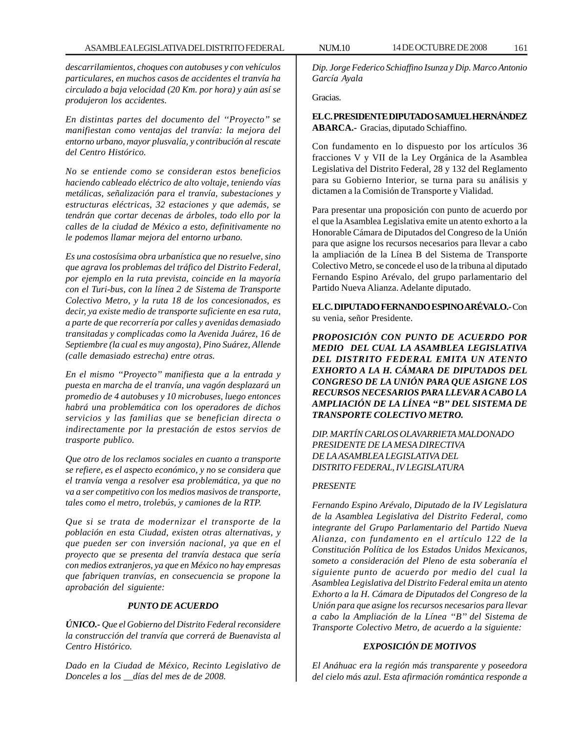*descarrilamientos, choques con autobuses y con vehículos particulares, en muchos casos de accidentes el tranvía ha circulado a baja velocidad (20 Km. por hora) y aún así se produjeron los accidentes.*

*En distintas partes del documento del ''Proyecto'' se manifiestan como ventajas del tranvía: la mejora del entorno urbano, mayor plusvalía, y contribución al rescate del Centro Histórico.*

*No se entiende como se consideran estos beneficios haciendo cableado eléctrico de alto voltaje, teniendo vías metálicas, señalización para el tranvía, subestaciones y estructuras eléctricas, 32 estaciones y que además, se tendrán que cortar decenas de árboles, todo ello por la calles de la ciudad de México a esto, definitivamente no le podemos llamar mejora del entorno urbano.*

*Es una costosísima obra urbanística que no resuelve, sino que agrava los problemas del tráfico del Distrito Federal, por ejemplo en la ruta prevista, coincide en la mayoría con el Turi-bus, con la línea 2 de Sistema de Transporte Colectivo Metro, y la ruta 18 de los concesionados, es decir, ya existe medio de transporte suficiente en esa ruta, a parte de que recorrería por calles y avenidas demasiado transitadas y complicadas como la Avenida Juárez, 16 de Septiembre (la cual es muy angosta), Pino Suárez, Allende (calle demasiado estrecha) entre otras.*

*En el mismo ''Proyecto'' manifiesta que a la entrada y puesta en marcha de el tranvía, una vagón desplazará un promedio de 4 autobuses y 10 microbuses, luego entonces habrá una problemática con los operadores de dichos servicios y las familias que se benefician directa o indirectamente por la prestación de estos servios de trasporte publico.*

*Que otro de los reclamos sociales en cuanto a transporte se refiere, es el aspecto económico, y no se considera que el tranvía venga a resolver esa problemática, ya que no va a ser competitivo con los medios masivos de transporte, tales como el metro, trolebús, y camiones de la RTP.*

*Que si se trata de modernizar el transporte de la población en esta Ciudad, existen otras alternativas, y que pueden ser con inversión nacional, ya que en el proyecto que se presenta del tranvía destaca que sería con medios extranjeros, ya que en México no hay empresas que fabriquen tranvías, en consecuencia se propone la aprobación del siguiente:*

# *PUNTO DE ACUERDO*

*ÚNICO.- Que el Gobierno del Distrito Federal reconsidere la construcción del tranvía que correrá de Buenavista al Centro Histórico.*

*Dado en la Ciudad de México, Recinto Legislativo de Donceles a los \_\_días del mes de de 2008.*

*Dip. Jorge Federico Schiaffino Isunza y Dip. Marco Antonio García Ayala*

Gracias.

**EL C. PRESIDENTE DIPUTADO SAMUEL HERNÁNDEZ ABARCA.-** Gracias, diputado Schiaffino.

Con fundamento en lo dispuesto por los artículos 36 fracciones V y VII de la Ley Orgánica de la Asamblea Legislativa del Distrito Federal, 28 y 132 del Reglamento para su Gobierno Interior, se turna para su análisis y dictamen a la Comisión de Transporte y Vialidad.

Para presentar una proposición con punto de acuerdo por el que la Asamblea Legislativa emite un atento exhorto a la Honorable Cámara de Diputados del Congreso de la Unión para que asigne los recursos necesarios para llevar a cabo la ampliación de la Línea B del Sistema de Transporte Colectivo Metro, se concede el uso de la tribuna al diputado Fernando Espino Arévalo, del grupo parlamentario del Partido Nueva Alianza. Adelante diputado.

**EL C. DIPUTADO FERNANDO ESPINO ARÉVALO.-** Con su venia, señor Presidente.

*PROPOSICIÓN CON PUNTO DE ACUERDO POR MEDIO DEL CUAL LA ASAMBLEA LEGISLATIVA DEL DISTRITO FEDERAL EMITA UN ATENTO EXHORTO A LA H. CÁMARA DE DIPUTADOS DEL CONGRESO DE LA UNIÓN PARA QUE ASIGNE LOS RECURSOS NECESARIOS PARA LLEVAR A CABO LA AMPLIACIÓN DE LA LÍNEA ''B'' DEL SISTEMA DE TRANSPORTE COLECTIVO METRO.*

*DIP. MARTÍN CARLOS OLAVARRIETA MALDONADO PRESIDENTE DE LA MESA DIRECTIVA DE LA ASAMBLEA LEGISLATIVA DEL DISTRITO FEDERAL, IV LEGISLATURA*

# *PRESENTE*

*Fernando Espino Arévalo, Diputado de la IV Legislatura de la Asamblea Legislativa del Distrito Federal, como integrante del Grupo Parlamentario del Partido Nueva Alianza, con fundamento en el artículo 122 de la Constitución Política de los Estados Unidos Mexicanos, someto a consideración del Pleno de esta soberanía el siguiente punto de acuerdo por medio del cual la Asamblea Legislativa del Distrito Federal emita un atento Exhorto a la H. Cámara de Diputados del Congreso de la Unión para que asigne los recursos necesarios para llevar a cabo la Ampliación de la Línea ''B'' del Sistema de Transporte Colectivo Metro, de acuerdo a la siguiente:*

# *EXPOSICIÓN DE MOTIVOS*

*El Anáhuac era la región más transparente y poseedora del cielo más azul. Esta afirmación romántica responde a*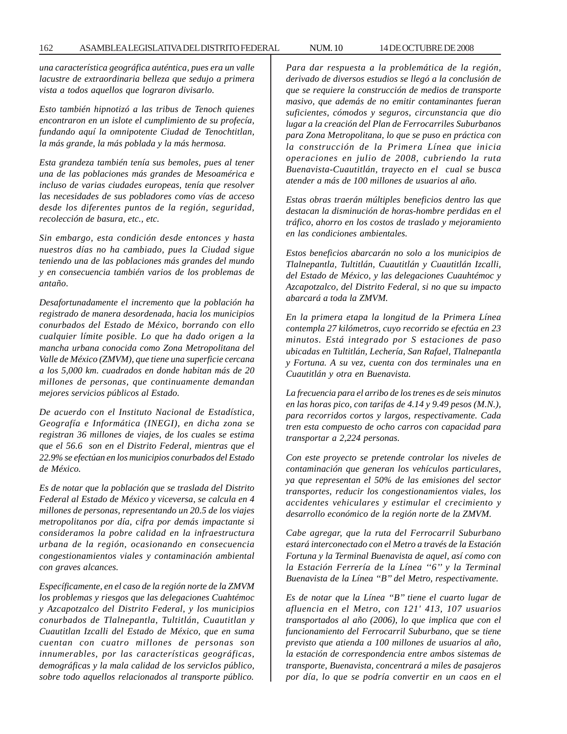*una característica geográfica auténtica, pues era un valle lacustre de extraordinaria belleza que sedujo a primera vista a todos aquellos que lograron divisarlo.*

*Esto también hipnotizó a las tribus de Tenoch quienes encontraron en un islote el cumplimiento de su profecía, fundando aquí la omnipotente Ciudad de Tenochtitlan, la más grande, la más poblada y la más hermosa.*

*Esta grandeza también tenía sus bemoles, pues al tener una de las poblaciones más grandes de Mesoamérica e incluso de varias ciudades europeas, tenía que resolver las necesidades de sus pobladores como vías de acceso desde los diferentes puntos de la región, seguridad, recolección de basura, etc., etc.*

*Sin embargo, esta condición desde entonces y hasta nuestros días no ha cambiado, pues la Ciudad sigue teniendo una de las poblaciones más grandes del mundo y en consecuencia también varios de los problemas de antaño.*

*Desafortunadamente el incremento que la población ha registrado de manera desordenada, hacia los municipios conurbados del Estado de México, borrando con ello cualquier límite posible. Lo que ha dado origen a la mancha urbana conocida como Zona Metropolitana del Valle de México (ZMVM), que tiene una superficie cercana a los 5,000 km. cuadrados en donde habitan más de 20 millones de personas, que continuamente demandan mejores servicios públicos al Estado.*

*De acuerdo con el Instituto Nacional de Estadística, Geografía e Informática (INEGI), en dicha zona se registran 36 millones de viajes, de los cuales se estima que el 56.6 son en el Distrito Federal, mientras que el 22.9% se efectúan en los municipios conurbados del Estado de México.*

*Es de notar que la población que se traslada del Distrito Federal al Estado de México y viceversa, se calcula en 4 millones de personas, representando un 20.5 de los viajes metropolitanos por día, cifra por demás impactante si consideramos la pobre calidad en la infraestructura urbana de la región, ocasionando en consecuencia congestionamientos viales y contaminación ambiental con graves alcances.*

*Específicamente, en el caso de la región norte de la ZMVM los problemas y riesgos que las delegaciones Cuahtémoc y Azcapotzalco del Distrito Federal, y los municipios conurbados de Tlalnepantla, Tultitlán, Cuautitlan y Cuautitlan Izcalli del Estado de México, que en suma cuentan con cuatro millones de personas son innumerables, por las características geográficas, demográficas y la mala calidad de los servicIos público, sobre todo aquellos relacionados al transporte público.*

*Para dar respuesta a la problemática de la región, derivado de diversos estudios se llegó a la conclusión de que se requiere la construcción de medios de transporte masivo, que además de no emitir contaminantes fueran suficientes, cómodos y seguros, circunstancia que dio lugar a la creación del Plan de Ferrocarriles Suburbanos para Zona Metropolitana, lo que se puso en práctica con la construcción de la Primera Línea que inicia operaciones en julio de 2008, cubriendo la ruta Buenavista-Cuautitlán, trayecto en el cual se busca atender a más de 100 millones de usuarios al año.*

*Estas obras traerán múltiples beneficios dentro las que destacan la disminución de horas-hombre perdidas en el tráfico, ahorro en los costos de traslado y mejoramiento en las condiciones ambientales.*

*Estos beneficios abarcarán no solo a los municipios de Tlalnepantla, Tultitlán, Cuautitlán y Cuautitlán Izcalli, del Estado de México, y las delegaciones Cuauhtémoc y Azcapotzalco, del Distrito Federal, si no que su impacto abarcará a toda la ZMVM.*

*En la primera etapa la longitud de la Primera Línea contempla 27 kilómetros, cuyo recorrido se efectúa en 23 minutos. Está integrado por S estaciones de paso ubicadas en Tultitlán, Lechería, San Rafael, Tlalnepantla y Fortuna. A su vez, cuenta con dos terminales una en Cuautitlán y otra en Buenavista.*

*La frecuencia para el arribo de los trenes es de seis minutos en las horas pico, con tarifas de 4.14 y 9.49 pesos (M.N.), para recorridos cortos y largos, respectivamente. Cada tren esta compuesto de ocho carros con capacidad para transportar a 2,224 personas.*

*Con este proyecto se pretende controlar los niveles de contaminación que generan los vehículos particulares, ya que representan el 50% de las emisiones del sector transportes, reducir los congestionamientos viales, los accidentes vehiculares y estimular el crecimiento y desarrollo económico de la región norte de la ZMVM.*

*Cabe agregar, que la ruta del Ferrocarril Suburbano estará interconectado con el Metro a través de la Estación Fortuna y la Terminal Buenavista de aquel, así como con la Estación Ferrería de la Línea ''6'' y la Terminal Buenavista de la Línea ''B'' del Metro, respectivamente.*

*Es de notar que la Línea ''B'' tiene el cuarto lugar de afluencia en el Metro, con 121' 413, 107 usuarios transportados al año (2006), lo que implica que con el funcionamiento del Ferrocarril Suburbano, que se tiene previsto que atienda a 100 millones de usuarios al año, la estación de correspondencia entre ambos sistemas de transporte, Buenavista, concentrará a miles de pasajeros por día, lo que se podría convertir en un caos en el*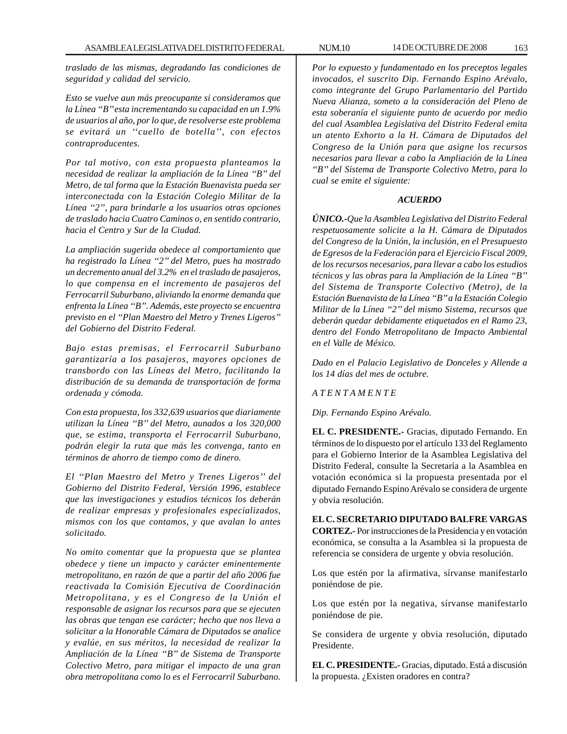*traslado de las mismas, degradando las condiciones de seguridad y calidad del servicio.*

*Esto se vuelve aun más preocupante si consideramos que la Línea ''B'' esta incrementando su capacidad en un 1.9% de usuarios al año, por lo que, de resolverse este problema se evitará un ''cuello de botella'', con efectos contraproducentes.*

*Por tal motivo, con esta propuesta planteamos la necesidad de realizar la ampliación de la Línea ''B'' del Metro, de tal forma que la Estación Buenavista pueda ser interconectada con la Estación Colegio Militar de la Línea ''2'', para brindarle a los usuarios otras opciones de traslado hacia Cuatro Caminos o, en sentido contrario, hacia el Centro y Sur de la Ciudad.*

*La ampliación sugerida obedece al comportamiento que ha registrado la Línea ''2'' del Metro, pues ha mostrado un decremento anual del 3.2% en el traslado de pasajeros, lo que compensa en el incremento de pasajeros del Ferrocarril Suburbano, aliviando la enorme demanda que enfrenta la Línea ''B''. Además, este proyecto se encuentra previsto en el ''Plan Maestro del Metro y Trenes Ligeros'' del Gobierno del Distrito Federal.*

*Bajo estas premisas, el Ferrocarril Suburbano garantizaría a los pasajeros, mayores opciones de transbordo con las Líneas del Metro, facilitando la distribución de su demanda de transportación de forma ordenada y cómoda.*

*Con esta propuesta, los 332,639 usuarios que diariamente utilizan la Línea ''B'' del Metro, aunados a los 320,000 que, se estima, transporta el Ferrocarril Suburbano, podrán elegir la ruta que más les convenga, tanto en términos de ahorro de tiempo como de dinero.*

*El ''Plan Maestro del Metro y Trenes Ligeros'' del Gobierno del Distrito Federal, Versión 1996, establece que las investigaciones y estudios técnicos los deberán de realizar empresas y profesionales especializados, mismos con los que contamos, y que avalan lo antes solicitado.*

*No omito comentar que la propuesta que se plantea obedece y tiene un impacto y carácter eminentemente metropolitano, en razón de que a partir del año 2006 fue reactivada la Comisión Ejecutiva de Coordinación Metropolitana, y es el Congreso de la Unión el responsable de asignar los recursos para que se ejecuten las obras que tengan ese carácter; hecho que nos lleva a solicitar a la Honorable Cámara de Diputados se analice y evalúe, en sus méritos, la necesidad de realizar la Ampliación de la Línea ''B'' de Sistema de Transporte Colectivo Metro, para mitigar el impacto de una gran obra metropolitana como lo es el Ferrocarril Suburbano.*

*Por lo expuesto y fundamentado en los preceptos legales invocados, el suscrito Dip. Fernando Espino Arévalo, como integrante del Grupo Parlamentario del Partido Nueva Alianza, someto a la consideración del Pleno de esta soberanía el siguiente punto de acuerdo por medio del cual Asamblea Legislativa del Distrito Federal emita un atento Exhorto a la H. Cámara de Diputados del Congreso de la Unión para que asigne los recursos necesarios para llevar a cabo la Ampliación de la Línea ''B'' del Sistema de Transporte Colectivo Metro, para lo cual se emite el siguiente:*

# *ACUERDO*

*ÚNICO.-Que la Asamblea Legislativa del Distrito Federal respetuosamente solicite a la H. Cámara de Diputados del Congreso de la Unión, la inclusión, en el Presupuesto de Egresos de la Federación para el Ejercicio Fiscal 2009, de los recursos necesarios, para llevar a cabo los estudios técnicos y las obras para la Ampliación de la Línea ''B'' del Sistema de Transporte Colectivo (Metro), de la Estación Buenavista de la Línea ''B'' a la Estación Colegio Militar de la Línea ''2'' del mismo Sistema, recursos que deberán quedar debidamente etiquetados en el Ramo 23, dentro del Fondo Metropolitano de Impacto Ambiental en el Valle de México.*

*Dado en el Palacio Legislativo de Donceles y Allende a los 14 días del mes de octubre.*

*A T E N T A M E N T E*

*Dip. Fernando Espino Arévalo.*

**EL C. PRESIDENTE.-** Gracias, diputado Fernando. En términos de lo dispuesto por el artículo 133 del Reglamento para el Gobierno Interior de la Asamblea Legislativa del Distrito Federal, consulte la Secretaría a la Asamblea en votación económica si la propuesta presentada por el diputado Fernando Espino Arévalo se considera de urgente y obvia resolución.

**EL C. SECRETARIO DIPUTADO BALFRE VARGAS CORTEZ.-** Por instrucciones de la Presidencia y en votación económica, se consulta a la Asamblea si la propuesta de referencia se considera de urgente y obvia resolución.

Los que estén por la afirmativa, sírvanse manifestarlo poniéndose de pie.

Los que estén por la negativa, sírvanse manifestarlo poniéndose de pie.

Se considera de urgente y obvia resolución, diputado Presidente.

**EL C. PRESIDENTE.-** Gracias, diputado. Está a discusión la propuesta. ¿Existen oradores en contra?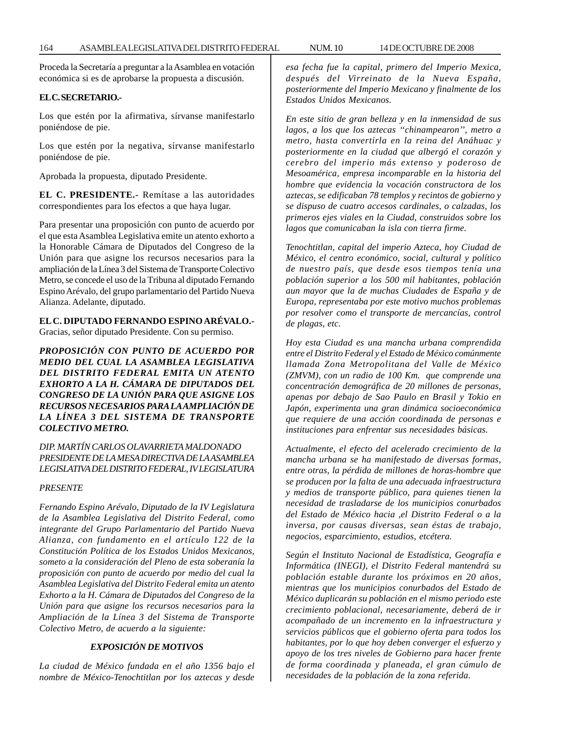Proceda la Secretaría a preguntar a la Asamblea en votación económica si es de aprobarse la propuesta a discusión.

# **EL C. SECRETARIO.-**

Los que estén por la afirmativa, sírvanse manifestarlo poniéndose de pie.

Los que estén por la negativa, sírvanse manifestarlo poniéndose de pie.

Aprobada la propuesta, diputado Presidente.

**EL C. PRESIDENTE.-** Remítase a las autoridades correspondientes para los efectos a que haya lugar.

Para presentar una proposición con punto de acuerdo por el que esta Asamblea Legislativa emite un atento exhorto a la Honorable Cámara de Diputados del Congreso de la Unión para que asigne los recursos necesarios para la ampliación de la Línea 3 del Sistema de Transporte Colectivo Metro, se concede el uso de la Tribuna al diputado Fernando Espino Arévalo, del grupo parlamentario del Partido Nueva Alianza. Adelante, diputado.

# **EL C. DIPUTADO FERNANDO ESPINO ARÉVALO.-**

Gracias, señor diputado Presidente. Con su permiso.

*PROPOSICIÓN CON PUNTO DE ACUERDO POR MEDIO DEL CUAL LA ASAMBLEA LEGISLATIVA DEL DISTRITO FEDERAL EMITA UN ATENTO EXHORTO A LA H. CÁMARA DE DIPUTADOS DEL CONGRESO DE LA UNIÓN PARA QUE ASIGNE LOS RECURSOS NECESARIOS PARA LA AMPLIACIÓN DE LA LÍNEA 3 DEL SISTEMA DE TRANSPORTE COLECTIVO METRO.*

*DIP. MARTÍN CARLOS OLAVARRIETA MALDONADO PRESIDENTE DE LA MESA DIRECTIVA DE LA ASAMBLEA LEGISLATIVA DEL DISTRITO FEDERAL, IV LEGISLATURA*

### *PRESENTE*

*Fernando Espino Arévalo, Diputado de la IV Legislatura de la Asamblea Legislativa del Distrito Federal, como integrante del Grupo Parlamentario del Partido Nueva Alianza, con fundamento en el artículo 122 de la Constitución Política de los Estados Unidos Mexicanos, someto a la consideración del Pleno de esta soberanía la proposición con punto de acuerdo por medio del cual la Asamblea Legislativa del Distrito Federal emita un atento Exhorto a la H. Cámara de Diputados del Congreso de la Unión para que asigne los recursos necesarios para la Ampliación de la Línea 3 del Sistema de Transporte Colectivo Metro, de acuerdo a la siguiente:*

# *EXPOSICIÓN DE MOTIVOS*

*La ciudad de México fundada en el año 1356 bajo el nombre de México-Tenochtitlan por los aztecas y desde* *esa fecha fue la capital, primero del Imperio Mexica, después del Virreinato de la Nueva España, posteriormente del Imperio Mexicano y finalmente de los Estados Unidos Mexicanos.*

*En este sitio de gran belleza y en la inmensidad de sus lagos, a los que los aztecas ''chinampearon'', metro a metro, hasta convertirla en la reina del Anáhuac y posteriormente en la ciudad que albergó el corazón y cerebro del imperio más extenso y poderoso de Mesoamérica, empresa incomparable en la historia del hombre que evidencia la vocación constructora de los aztecas, se edificaban 78 templos y recintos de gobierno y se dispuso de cuatro accesos cardinales, o calzadas, los primeros ejes viales en la Ciudad, construidos sobre los lagos que comunicaban la isla con tierra firme.*

*Tenochtitlan, capital del imperio Azteca, hoy Ciudad de México, el centro económico, social, cultural y político de nuestro país, que desde esos tiempos tenía una población superior a los 500 mil habitantes, población aun mayor que la de muchas Ciudades de España y de Europa, representaba por este motivo muchos problemas por resolver como el transporte de mercancías, control de plagas, etc.*

*Hoy esta Ciudad es una mancha urbana comprendida entre el Distrito Federal y el Estado de México comúnmente llamada Zona Metropolitana del Valle de México (ZMVM), con un radio de 100 Km. que comprende una concentración demográfica de 20 millones de personas, apenas por debajo de Sao Paulo en Brasil y Tokio en Japón, experimenta una gran dinámica socioeconómica que requiere de una acción coordinada de personas e instituciones para enfrentar sus necesidades básicas.*

*Actualmente, el efecto del acelerado crecimiento de la mancha urbana se ha manifestado de diversas formas, entre otras, la pérdida de millones de horas-hombre que se producen por la falta de una adecuada infraestructura y medios de transporte público, para quienes tienen la necesidad de trasladarse de los municipios conurbados del Estado de México hacia ,el Distrito Federal o a la inversa, por causas diversas, sean éstas de trabajo, negocios, esparcimiento, estudios, etcétera.*

*Según el Instituto Nacional de Estadística, Geografía e Informática (INEGI), el Distrito Federal mantendrá su población estable durante los próximos en 20 años, mientras que los municipios conurbados del Estado de México duplicarán su población en el mismo periodo este crecimiento poblacional, necesariamente, deberá de ir acompañado de un incremento en la infraestructura y servicios públicos que el gobierno oferta para todos los habitantes, por lo que hoy deben converger el esfuerzo y apoyo de los tres niveles de Gobierno para hacer frente de forma coordinada y planeada, el gran cúmulo de necesidades de la población de la zona referida.*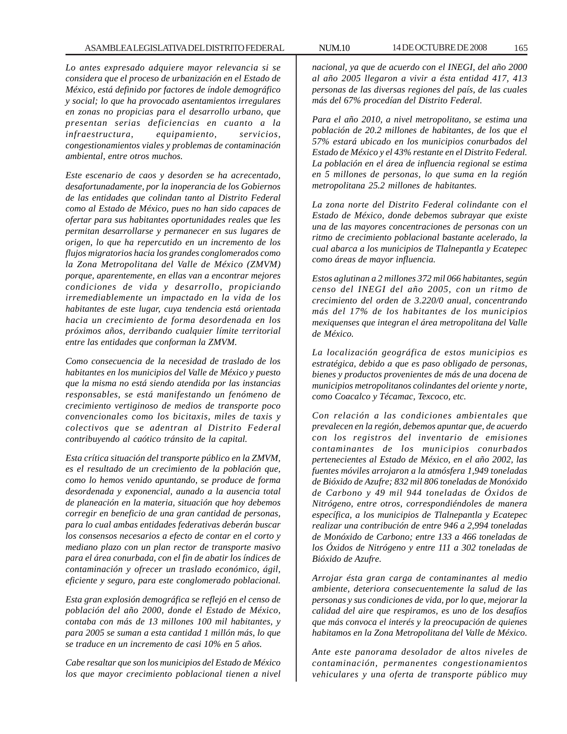*Lo antes expresado adquiere mayor relevancia si se considera que el proceso de urbanización en el Estado de México, está definido por factores de índole demográfico y social; lo que ha provocado asentamientos irregulares en zonas no propicias para el desarrollo urbano, que presentan serias deficiencias en cuanto a la infraestructura, equipamiento, servicios, congestionamientos viales y problemas de contaminación ambiental, entre otros muchos.*

*Este escenario de caos y desorden se ha acrecentado, desafortunadamente, por la inoperancia de los Gobiernos de las entidades que colindan tanto al Distrito Federal como al Estado de México, pues no han sido capaces de ofertar para sus habitantes oportunidades reales que les permitan desarrollarse y permanecer en sus lugares de origen, lo que ha repercutido en un incremento de los flujos migratorios hacia los grandes conglomerados como la Zona Metropolitana del Valle de México (ZMVM) porque, aparentemente, en ellas van a encontrar mejores condiciones de vida y desarrollo, propiciando irremediablemente un impactado en la vida de los habitantes de este lugar, cuya tendencia está orientada hacia un crecimiento de forma desordenada en los próximos años, derribando cualquier límite territorial entre las entidades que conforman la ZMVM.*

*Como consecuencia de la necesidad de traslado de los habitantes en los municipios del Valle de México y puesto que la misma no está siendo atendida por las instancias responsables, se está manifestando un fenómeno de crecimiento vertiginoso de medios de transporte poco convencionales como los bicitaxis, miles de taxis y colectivos que se adentran al Distrito Federal contribuyendo al caótico tránsito de la capital.*

*Esta crítica situación del transporte público en la ZMVM, es el resultado de un crecimiento de la población que, como lo hemos venido apuntando, se produce de forma desordenada y exponencial, aunado a la ausencia total de planeación en la materia, situación que hoy debemos corregir en beneficio de una gran cantidad de personas, para lo cual ambas entidades federativas deberán buscar los consensos necesarios a efecto de contar en el corto y mediano plazo con un plan rector de transporte masivo para el área conurbada, con el fin de abatir los índices de contaminación y ofrecer un traslado económico, ágil, eficiente y seguro, para este conglomerado poblacional.*

*Esta gran explosión demográfica se reflejó en el censo de población del año 2000, donde el Estado de México, contaba con más de 13 millones 100 mil habitantes, y para 2005 se suman a esta cantidad 1 millón más, lo que se traduce en un incremento de casi 10% en 5 años.*

*Cabe resaltar que son los municipios del Estado de México los que mayor crecimiento poblacional tienen a nivel* *nacional, ya que de acuerdo con el INEGI, del año 2000 al año 2005 llegaron a vivir a ésta entidad 417, 413 personas de las diversas regiones del país, de las cuales más del 67% procedían del Distrito Federal.*

*Para el año 2010, a nivel metropolitano, se estima una población de 20.2 millones de habitantes, de los que el 57% estará ubicado en los municipios conurbados del Estado de México y el 43% restante en el Distrito Federal. La población en el área de influencia regional se estima en 5 millones de personas, lo que suma en la región metropolitana 25.2 millones de habitantes.*

*La zona norte del Distrito Federal colindante con el Estado de México, donde debemos subrayar que existe una de las mayores concentraciones de personas con un ritmo de crecimiento poblacional bastante acelerado, la cual abarca a los municipios de Tlalnepantla y Ecatepec como áreas de mayor influencia.*

*Estos aglutinan a 2 millones 372 mil 066 habitantes, según censo del INEGI del año 2005, con un ritmo de crecimiento del orden de 3.220/0 anual, concentrando más del 17% de los habitantes de los municipios mexiquenses que integran el área metropolitana del Valle de México.*

*La localización geográfica de estos municipios es estratégica, debido a que es paso obligado de personas, bienes y productos provenientes de más de una docena de municipios metropolitanos colindantes del oriente y norte, como Coacalco y Técamac, Texcoco, etc.*

*Con relación a las condiciones ambientales que prevalecen en la región, debemos apuntar que, de acuerdo con los registros del inventario de emisiones contaminantes de los municipios conurbados pertenecientes al Estado de México, en el año 2002, las fuentes móviles arrojaron a la atmósfera 1,949 toneladas de Bióxido de Azufre; 832 mil 806 toneladas de Monóxido de Carbono y 49 mil 944 toneladas de Óxidos de Nitrógeno, entre otros, correspondiéndoles de manera específica, a los municipios de Tlalnepantla y Ecatepec realizar una contribución de entre 946 a 2,994 toneladas de Monóxido de Carbono; entre 133 a 466 toneladas de los Óxidos de Nitrógeno y entre 111 a 302 toneladas de Bióxido de Azufre.*

*Arrojar ésta gran carga de contaminantes al medio ambiente, deteriora consecuentemente la salud de las personas y sus condiciones de vida, por lo que, mejorar la calidad del aire que respiramos, es uno de los desafíos que más convoca el interés y la preocupación de quienes habitamos en la Zona Metropolitana del Valle de México.*

*Ante este panorama desolador de altos niveles de contaminación, permanentes congestionamientos vehiculares y una oferta de transporte público muy*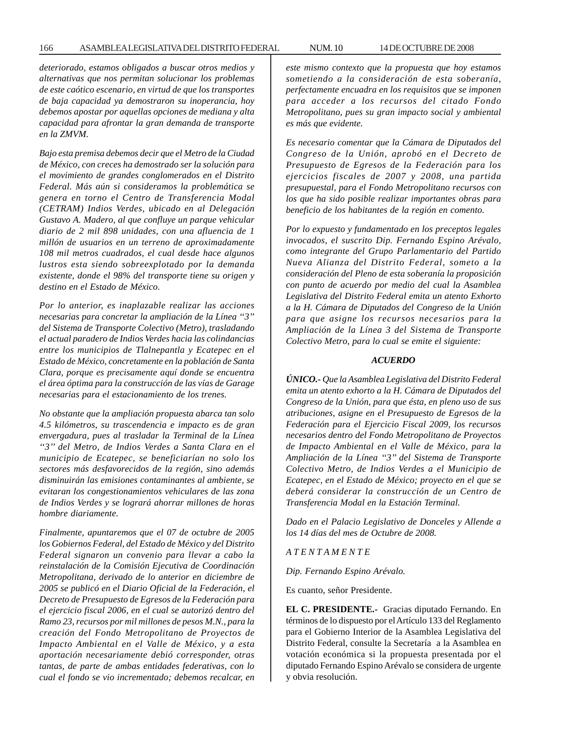*deteriorado, estamos obligados a buscar otros medios y alternativas que nos permitan solucionar los problemas de este caótico escenario, en virtud de que los transportes de baja capacidad ya demostraron su inoperancia, hoy debemos apostar por aquellas opciones de mediana y alta capacidad para afrontar la gran demanda de transporte en la ZMVM.*

*Bajo esta premisa debemos decir que el Metro de la Ciudad de México, con creces ha demostrado ser la solución para el movimiento de grandes conglomerados en el Distrito Federal. Más aún si consideramos la problemática se genera en torno el Centro de Transferencia Modal (CETRAM) Indios Verdes, ubicado en al Delegación Gustavo A. Madero, al que confluye un parque vehicular diario de 2 mil 898 unidades, con una afluencia de 1 millón de usuarios en un terreno de aproximadamente 108 mil metros cuadrados, el cual desde hace algunos lustros esta siendo sobreexplotado por la demanda existente, donde el 98% del transporte tiene su origen y destino en el Estado de México.*

*Por lo anterior, es inaplazable realizar las acciones necesarias para concretar la ampliación de la Línea ''3'' del Sistema de Transporte Colectivo (Metro), trasladando el actual paradero de Indios Verdes hacia las colindancias entre los municipios de Tlalnepantla y Ecatepec en el Estado de México, concretamente en la población de Santa Clara, porque es precisamente aquí donde se encuentra el área óptima para la construcción de las vías de Garage necesarias para el estacionamiento de los trenes.*

*No obstante que la ampliación propuesta abarca tan solo 4.5 kilómetros, su trascendencia e impacto es de gran envergadura, pues al trasladar la Terminal de la Línea ''3'' del Metro, de Indios Verdes a Santa Clara en el municipio de Ecatepec, se beneficiarían no solo los sectores más desfavorecidos de la región, sino además disminuirán las emisiones contaminantes al ambiente, se evitaran los congestionamientos vehiculares de las zona de Indios Verdes y se logrará ahorrar millones de horas hombre diariamente.*

*Finalmente, apuntaremos que el 07 de octubre de 2005 los Gobiernos Federal, del Estado de México y del Distrito Federal signaron un convenio para llevar a cabo la reinstalación de la Comisión Ejecutiva de Coordinación Metropolitana, derivado de lo anterior en diciembre de 2005 se publicó en el Diario Oficial de la Federación, el Decreto de Presupuesto de Egresos de la Federación para el ejercicio fiscal 2006, en el cual se autorizó dentro del Ramo 23, recursos por mil millones de pesos M.N., para la creación del Fondo Metropolitano de Proyectos de Impacto Ambiental en el Valle de México, y a esta aportación necesariamente debió corresponder, otras tantas, de parte de ambas entidades federativas, con lo cual el fondo se vio incrementado; debemos recalcar, en* *este mismo contexto que la propuesta que hoy estamos sometiendo a la consideración de esta soberanía, perfectamente encuadra en los requisitos que se imponen para acceder a los recursos del citado Fondo Metropolitano, pues su gran impacto social y ambiental es más que evidente.*

*Es necesario comentar que la Cámara de Diputados del Congreso de la Unión, aprobó en el Decreto de Presupuesto de Egresos de la Federación para los ejercicios fiscales de 2007 y 2008, una partida presupuestal, para el Fondo Metropolitano recursos con los que ha sido posible realizar importantes obras para beneficio de los habitantes de la región en comento.*

*Por lo expuesto y fundamentado en los preceptos legales invocados, el suscrito Dip. Fernando Espino Arévalo, como integrante del Grupo Parlamentario del Partido Nueva Alianza del Distrito Federal, someto a la consideración del Pleno de esta soberanía la proposición con punto de acuerdo por medio del cual la Asamblea Legislativa del Distrito Federal emita un atento Exhorto a la H. Cámara de Diputados del Congreso de la Unión para que asigne los recursos necesarios para la Ampliación de la Línea 3 del Sistema de Transporte Colectivo Metro, para lo cual se emite el siguiente:*

#### *ACUERDO*

*ÚNICO.- Que la Asamblea Legislativa del Distrito Federal emita un atento exhorto a la H. Cámara de Diputados del Congreso de la Unión, para que ésta, en pleno uso de sus atribuciones, asigne en el Presupuesto de Egresos de la Federación para el Ejercicio Fiscal 2009, los recursos necesarios dentro del Fondo Metropolitano de Proyectos de Impacto Ambiental en el Valle de México, para la Ampliación de la Línea ''3'' del Sistema de Transporte Colectivo Metro, de Indios Verdes a el Municipio de Ecatepec, en el Estado de México; proyecto en el que se deberá considerar la construcción de un Centro de Transferencia Modal en la Estación Terminal.*

*Dado en el Palacio Legislativo de Donceles y Allende a los 14 días del mes de Octubre de 2008.*

*A T E N T A M E N T E*

*Dip. Fernando Espino Arévalo.*

Es cuanto, señor Presidente.

**EL C. PRESIDENTE.-** Gracias diputado Fernando. En términos de lo dispuesto por el Artículo 133 del Reglamento para el Gobierno Interior de la Asamblea Legislativa del Distrito Federal, consulte la Secretaría a la Asamblea en votación económica si la propuesta presentada por el diputado Fernando Espino Arévalo se considera de urgente y obvia resolución.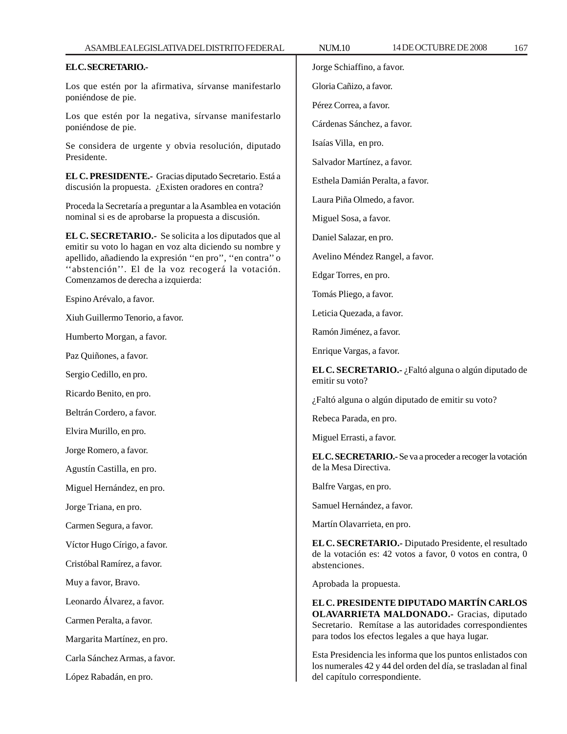### **EL C. SECRETARIO.-**

Los que estén por la afirmativa, sírvanse manifestarlo poniéndose de pie.

Los que estén por la negativa, sírvanse manifestarlo poniéndose de pie.

Se considera de urgente y obvia resolución, diputado Presidente.

**EL C. PRESIDENTE.-** Gracias diputado Secretario. Está a discusión la propuesta. ¿Existen oradores en contra?

Proceda la Secretaría a preguntar a la Asamblea en votación nominal si es de aprobarse la propuesta a discusión.

**EL C. SECRETARIO.-** Se solicita a los diputados que al emitir su voto lo hagan en voz alta diciendo su nombre y apellido, añadiendo la expresión ''en pro'', ''en contra'' o "abstención". El de la voz recogerá la votación. Comenzamos de derecha a izquierda:

Espino Arévalo, a favor.

Xiuh Guillermo Tenorio, a favor.

Humberto Morgan, a favor.

Paz Quiñones, a favor.

Sergio Cedillo, en pro.

Ricardo Benito, en pro.

Beltrán Cordero, a favor.

Elvira Murillo, en pro.

Jorge Romero, a favor.

Agustín Castilla, en pro.

Miguel Hernández, en pro.

Jorge Triana, en pro.

Carmen Segura, a favor.

Víctor Hugo Círigo, a favor.

Cristóbal Ramírez, a favor.

Muy a favor, Bravo.

Leonardo Álvarez, a favor.

Carmen Peralta, a favor.

Margarita Martínez, en pro.

Carla Sánchez Armas, a favor.

López Rabadán, en pro.

Jorge Schiaffino, a favor.

Gloria Cañizo, a favor.

Pérez Correa, a favor.

Cárdenas Sánchez, a favor.

Isaías Villa, en pro.

Salvador Martínez, a favor.

Esthela Damián Peralta, a favor.

Laura Piña Olmedo, a favor.

Miguel Sosa, a favor.

Daniel Salazar, en pro.

Avelino Méndez Rangel, a favor.

Edgar Torres, en pro.

Tomás Pliego, a favor.

Leticia Quezada, a favor.

Ramón Jiménez, a favor.

Enrique Vargas, a favor.

**EL C. SECRETARIO.-** ¿Faltó alguna o algún diputado de emitir su voto?

¿Faltó alguna o algún diputado de emitir su voto?

Rebeca Parada, en pro.

Miguel Errasti, a favor.

**EL C. SECRETARIO.-** Se va a proceder a recoger la votación de la Mesa Directiva.

Balfre Vargas, en pro.

Samuel Hernández, a favor.

Martín Olavarrieta, en pro.

**EL C. SECRETARIO.-** Diputado Presidente, el resultado de la votación es: 42 votos a favor, 0 votos en contra, 0 abstenciones.

Aprobada la propuesta.

**EL C. PRESIDENTE DIPUTADO MARTÍN CARLOS OLAVARRIETA MALDONADO.-** Gracias, diputado Secretario. Remítase a las autoridades correspondientes para todos los efectos legales a que haya lugar.

Esta Presidencia les informa que los puntos enlistados con los numerales 42 y 44 del orden del día, se trasladan al final del capítulo correspondiente.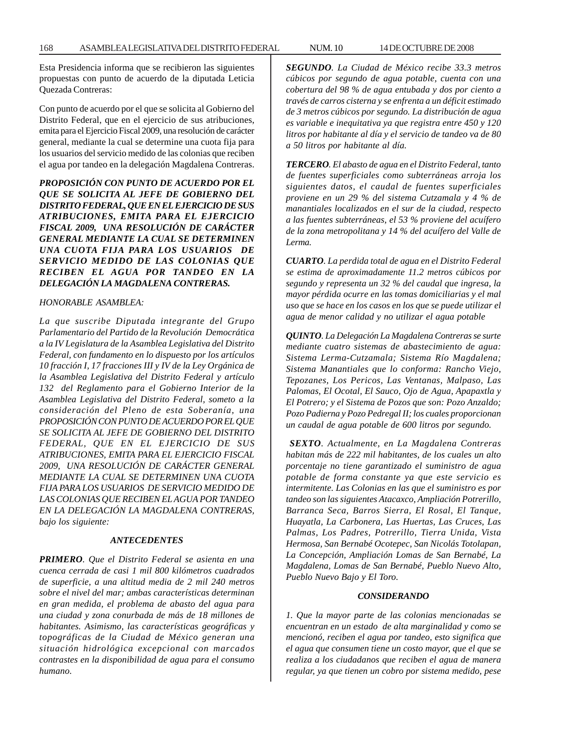Esta Presidencia informa que se recibieron las siguientes propuestas con punto de acuerdo de la diputada Leticia Quezada Contreras:

Con punto de acuerdo por el que se solicita al Gobierno del Distrito Federal, que en el ejercicio de sus atribuciones, emita para el Ejercicio Fiscal 2009, una resolución de carácter general, mediante la cual se determine una cuota fija para los usuarios del servicio medido de las colonias que reciben el agua por tandeo en la delegación Magdalena Contreras.

*PROPOSICIÓN CON PUNTO DE ACUERDO POR EL QUE SE SOLICITA AL JEFE DE GOBIERNO DEL DISTRITO FEDERAL, QUE EN EL EJERCICIO DE SUS ATRIBUCIONES, EMITA PARA EL EJERCICIO FISCAL 2009, UNA RESOLUCIÓN DE CARÁCTER GENERAL MEDIANTE LA CUAL SE DETERMINEN UNA CUOTA FIJA PARA LOS USUARIOS DE SERVICIO MEDIDO DE LAS COLONIAS QUE RECIBEN EL AGUA POR TANDEO EN LA DELEGACIÓN LA MAGDALENA CONTRERAS.*

### *HONORABLE ASAMBLEA:*

*La que suscribe Diputada integrante del Grupo Parlamentario del Partido de la Revolución Democrática a la IV Legislatura de la Asamblea Legislativa del Distrito Federal, con fundamento en lo dispuesto por los artículos 10 fracción I, 17 fracciones III y IV de la Ley Orgánica de la Asamblea Legislativa del Distrito Federal y artículo 132 del Reglamento para el Gobierno Interior de la Asamblea Legislativa del Distrito Federal, someto a la consideración del Pleno de esta Soberanía, una PROPOSICIÓN CON PUNTO DE ACUERDO POR EL QUE SE SOLICITA AL JEFE DE GOBIERNO DEL DISTRITO FEDERAL, QUE EN EL EJERCICIO DE SUS ATRIBUCIONES, EMITA PARA EL EJERCICIO FISCAL 2009, UNA RESOLUCIÓN DE CARÁCTER GENERAL MEDIANTE LA CUAL SE DETERMINEN UNA CUOTA FIJA PARA LOS USUARIOS DE SERVICIO MEDIDO DE LAS COLONIAS QUE RECIBEN EL AGUA POR TANDEO EN LA DELEGACIÓN LA MAGDALENA CONTRERAS, bajo los siguiente:*

#### *ANTECEDENTES*

*PRIMERO. Que el Distrito Federal se asienta en una cuenca cerrada de casi 1 mil 800 kilómetros cuadrados de superficie, a una altitud media de 2 mil 240 metros sobre el nivel del mar; ambas características determinan en gran medida, el problema de abasto del agua para una ciudad y zona conurbada de más de 18 millones de habitantes. Asimismo, las características geográficas y topográficas de la Ciudad de México generan una situación hidrológica excepcional con marcados contrastes en la disponibilidad de agua para el consumo humano.*

*SEGUNDO. La Ciudad de México recibe 33.3 metros cúbicos por segundo de agua potable, cuenta con una cobertura del 98 % de agua entubada y dos por ciento a través de carros cisterna y se enfrenta a un déficit estimado de 3 metros cúbicos por segundo. La distribución de agua es variable e inequitativa ya que registra entre 450 y 120 litros por habitante al día y el servicio de tandeo va de 80 a 50 litros por habitante al día.*

*TERCERO. El abasto de agua en el Distrito Federal, tanto de fuentes superficiales como subterráneas arroja los siguientes datos, el caudal de fuentes superficiales proviene en un 29 % del sistema Cutzamala y 4 % de manantiales localizados en el sur de la ciudad, respecto a las fuentes subterráneas, el 53 % proviene del acuífero de la zona metropolitana y 14 % del acuífero del Valle de Lerma.*

*CUARTO. La perdida total de agua en el Distrito Federal se estima de aproximadamente 11.2 metros cúbicos por segundo y representa un 32 % del caudal que ingresa, la mayor pérdida ocurre en las tomas domiciliarias y el mal uso que se hace en los casos en los que se puede utilizar el agua de menor calidad y no utilizar el agua potable*

*QUINTO. La Delegación La Magdalena Contreras se surte mediante cuatro sistemas de abastecimiento de agua: Sistema Lerma-Cutzamala; Sistema Río Magdalena; Sistema Manantiales que lo conforma: Rancho Viejo, Tepozanes, Los Pericos, Las Ventanas, Malpaso, Las Palomas, El Ocotal, El Sauco, Ojo de Agua, Apapaxtla y El Potrero; y el Sistema de Pozos que son: Pozo Anzaldo; Pozo Padierna y Pozo Pedregal II; los cuales proporcionan un caudal de agua potable de 600 litros por segundo.*

 *SEXTO. Actualmente, en La Magdalena Contreras habitan más de 222 mil habitantes, de los cuales un alto porcentaje no tiene garantizado el suministro de agua potable de forma constante ya que este servicio es intermitente. Las Colonias en las que el suministro es por tandeo son las siguientes Atacaxco, Ampliación Potrerillo, Barranca Seca, Barros Sierra, El Rosal, El Tanque, Huayatla, La Carbonera, Las Huertas, Las Cruces, Las Palmas, Los Padres, Potrerillo, Tierra Unida, Vista Hermosa, San Bernabé Ocotepec, San Nicolás Totolapan, La Concepción, Ampliación Lomas de San Bernabé, La Magdalena, Lomas de San Bernabé, Pueblo Nuevo Alto, Pueblo Nuevo Bajo y El Toro.*

#### *CONSIDERANDO*

*1. Que la mayor parte de las colonias mencionadas se encuentran en un estado de alta marginalidad y como se mencionó, reciben el agua por tandeo, esto significa que el agua que consumen tiene un costo mayor, que el que se realiza a los ciudadanos que reciben el agua de manera regular, ya que tienen un cobro por sistema medido, pese*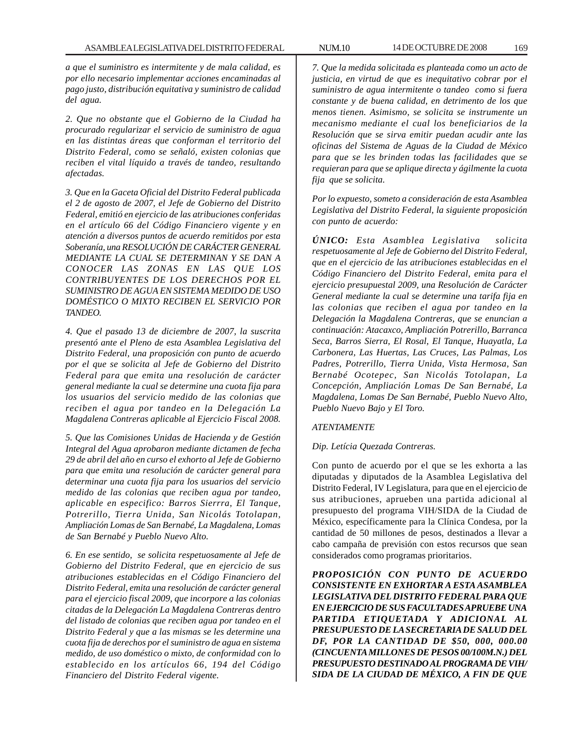*a que el suministro es intermitente y de mala calidad, es por ello necesario implementar acciones encaminadas al pago justo, distribución equitativa y suministro de calidad del agua.*

*2. Que no obstante que el Gobierno de la Ciudad ha procurado regularizar el servicio de suministro de agua en las distintas áreas que conforman el territorio del Distrito Federal, como se señaló, existen colonias que reciben el vital líquido a través de tandeo, resultando afectadas.*

*3. Que en la Gaceta Oficial del Distrito Federal publicada el 2 de agosto de 2007, el Jefe de Gobierno del Distrito Federal, emitió en ejercicio de las atribuciones conferidas en el artículo 66 del Código Financiero vigente y en atención a diversos puntos de acuerdo remitidos por esta Soberanía, una RESOLUCIÓN DE CARÁCTER GENERAL MEDIANTE LA CUAL SE DETERMINAN Y SE DAN A CONOCER LAS ZONAS EN LAS QUE LOS CONTRIBUYENTES DE LOS DERECHOS POR EL SUMINISTRO DE AGUA EN SISTEMA MEDIDO DE USO DOMÉSTICO O MIXTO RECIBEN EL SERVICIO POR TANDEO.*

*4. Que el pasado 13 de diciembre de 2007, la suscrita presentó ante el Pleno de esta Asamblea Legislativa del Distrito Federal, una proposición con punto de acuerdo por el que se solicita al Jefe de Gobierno del Distrito Federal para que emita una resolución de carácter general mediante la cual se determine una cuota fija para los usuarios del servicio medido de las colonias que reciben el agua por tandeo en la Delegación La Magdalena Contreras aplicable al Ejercicio Fiscal 2008.*

*5. Que las Comisiones Unidas de Hacienda y de Gestión Integral del Agua aprobaron mediante dictamen de fecha 29 de abril del año en curso el exhorto al Jefe de Gobierno para que emita una resolución de carácter general para determinar una cuota fija para los usuarios del servicio medido de las colonias que reciben agua por tandeo, aplicable en especifico: Barros Sierrra, El Tanque, Potrerillo, Tierra Unida, San Nicolás Totolapan, Ampliación Lomas de San Bernabé, La Magdalena, Lomas de San Bernabé y Pueblo Nuevo Alto.*

*6. En ese sentido, se solicita respetuosamente al Jefe de Gobierno del Distrito Federal, que en ejercicio de sus atribuciones establecidas en el Código Financiero del Distrito Federal, emita una resolución de carácter general para el ejercicio fiscal 2009, que incorpore a las colonias citadas de la Delegación La Magdalena Contreras dentro del listado de colonias que reciben agua por tandeo en el Distrito Federal y que a las mismas se les determine una cuota fija de derechos por el suministro de agua en sistema medido, de uso doméstico o mixto, de conformidad con lo establecido en los artículos 66, 194 del Código Financiero del Distrito Federal vigente.*

*7. Que la medida solicitada es planteada como un acto de justicia, en virtud de que es inequitativo cobrar por el suministro de agua intermitente o tandeo como si fuera constante y de buena calidad, en detrimento de los que menos tienen. Asimismo, se solicita se instrumente un mecanismo mediante el cual los beneficiarios de la Resolución que se sirva emitir puedan acudir ante las oficinas del Sistema de Aguas de la Ciudad de México para que se les brinden todas las facilidades que se requieran para que se aplique directa y ágilmente la cuota fija que se solicita.*

*Por lo expuesto, someto a consideración de esta Asamblea Legislativa del Distrito Federal, la siguiente proposición con punto de acuerdo:*

*ÚNICO: Esta Asamblea Legislativa solicita respetuosamente al Jefe de Gobierno del Distrito Federal, que en el ejercicio de las atribuciones establecidas en el Código Financiero del Distrito Federal, emita para el ejercicio presupuestal 2009, una Resolución de Carácter General mediante la cual se determine una tarifa fija en las colonias que reciben el agua por tandeo en la Delegación la Magdalena Contreras, que se enuncian a continuación: Atacaxco, Ampliación Potrerillo, Barranca Seca, Barros Sierra, El Rosal, El Tanque, Huayatla, La Carbonera, Las Huertas, Las Cruces, Las Palmas, Los Padres, Potrerillo, Tierra Unida, Vista Hermosa, San Bernabé Ocotepec, San Nicolás Totolapan, La Concepción, Ampliación Lomas De San Bernabé, La Magdalena, Lomas De San Bernabé, Pueblo Nuevo Alto, Pueblo Nuevo Bajo y El Toro.*

#### *ATENTAMENTE*

#### *Dip. Letícia Quezada Contreras.*

Con punto de acuerdo por el que se les exhorta a las diputadas y diputados de la Asamblea Legislativa del Distrito Federal, IV Legislatura, para que en el ejercicio de sus atribuciones, aprueben una partida adicional al presupuesto del programa VIH/SIDA de la Ciudad de México, específicamente para la Clínica Condesa, por la cantidad de 50 millones de pesos, destinados a llevar a cabo campaña de previsión con estos recursos que sean considerados como programas prioritarios.

*PROPOSICIÓN CON PUNTO DE ACUERDO CONSISTENTE EN EXHORTAR A ESTA ASAMBLEA LEGISLATIVA DEL DISTRITO FEDERAL PARA QUE EN EJERCICIO DE SUS FACULTADES APRUEBE UNA PARTIDA ETIQUETADA Y ADICIONAL AL PRESUPUESTO DE LA SECRETARIA DE SALUD DEL DF, POR LA CANTIDAD DE \$50, 000, 000.00 (CINCUENTA MILLONES DE PESOS 00/100M.N.) DEL PRESUPUESTO DESTINADO AL PROGRAMA DE VIH/ SIDA DE LA CIUDAD DE MÉXICO, A FIN DE QUE*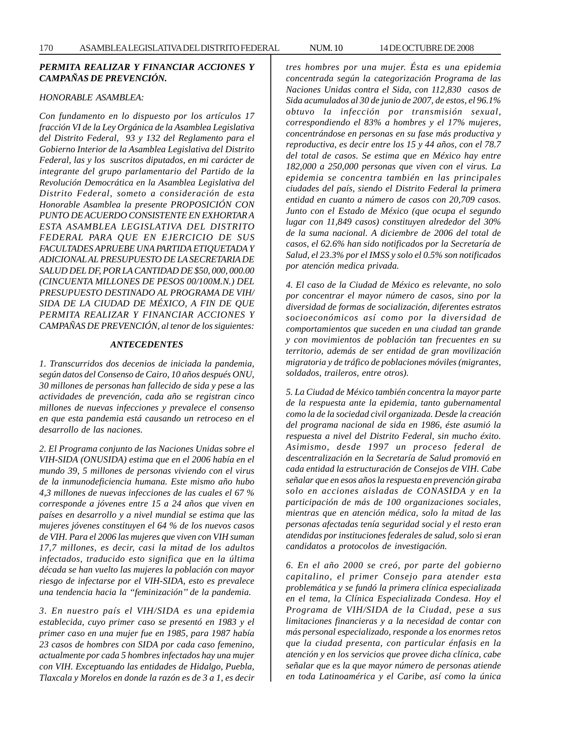# *PERMITA REALIZAR Y FINANCIAR ACCIONES Y CAMPAÑAS DE PREVENCIÓN.*

# *HONORABLE ASAMBLEA:*

*Con fundamento en lo dispuesto por los artículos 17 fracción VI de la Ley Orgánica de la Asamblea Legislativa del Distrito Federal, 93 y 132 del Reglamento para el Gobierno Interior de la Asamblea Legislativa del Distrito Federal, las y los suscritos diputados, en mi carácter de integrante del grupo parlamentario del Partido de la Revolución Democrática en la Asamblea Legislativa del Distrito Federal, someto a consideración de esta Honorable Asamblea la presente PROPOSICIÓN CON PUNTO DE ACUERDO CONSISTENTE EN EXHORTAR A ESTA ASAMBLEA LEGISLATIVA DEL DISTRITO FEDERAL PARA QUE EN EJERCICIO DE SUS FACULTADES APRUEBE UNA PARTIDA ETIQUETADA Y ADICIONAL AL PRESUPUESTO DE LA SECRETARIA DE SALUD DEL DF, POR LA CANTIDAD DE \$50, 000, 000.00 (CINCUENTA MILLONES DE PESOS 00/100M.N.) DEL PRESUPUESTO DESTINADO AL PROGRAMA DE VIH/ SIDA DE LA CIUDAD DE MÉXICO, A FIN DE QUE PERMITA REALIZAR Y FINANCIAR ACCIONES Y CAMPAÑAS DE PREVENCIÓN, al tenor de los siguientes:*

#### *ANTECEDENTES*

*1. Transcurridos dos decenios de iniciada la pandemia, según datos del Consenso de Cairo, 10 años después ONU, 30 millones de personas han fallecido de sida y pese a las actividades de prevención, cada año se registran cinco millones de nuevas infecciones y prevalece el consenso en que esta pandemia está causando un retroceso en el desarrollo de las naciones.*

*2. El Programa conjunto de las Naciones Unidas sobre el VIH-SIDA (ONUSIDA) estima que en el 2006 había en el mundo 39, 5 millones de personas viviendo con el virus de la inmunodeficiencia humana. Este mismo año hubo 4,3 millones de nuevas infecciones de las cuales el 67 % corresponde a jóvenes entre 15 a 24 años que viven en países en desarrollo y a nivel mundial se estima que las mujeres jóvenes constituyen el 64 % de los nuevos casos de VIH. Para el 2006 las mujeres que viven con VIH suman 17,7 millones, es decir, casi la mitad de los adultos infectados, traducido esto significa que en la última década se han vuelto las mujeres la población con mayor riesgo de infectarse por el VIH-SIDA, esto es prevalece una tendencia hacia la ''feminización'' de la pandemia.*

*3. En nuestro país el VIH/SIDA es una epidemia establecida, cuyo primer caso se presentó en 1983 y el primer caso en una mujer fue en 1985, para 1987 había 23 casos de hombres con SIDA por cada caso femenino, actualmente por cada 5 hombres infectados hay una mujer con VIH. Exceptuando las entidades de Hidalgo, Puebla, Tlaxcala y Morelos en donde la razón es de 3 a 1, es decir* *tres hombres por una mujer. Ésta es una epidemia concentrada según la categorización Programa de las Naciones Unidas contra el Sida, con 112,830 casos de Sida acumulados al 30 de junio de 2007, de estos, el 96.1% obtuvo la infección por transmisión sexual, correspondiendo el 83% a hombres y el 17% mujeres, concentrándose en personas en su fase más productiva y reproductiva, es decir entre los 15 y 44 años, con el 78.7 del total de casos. Se estima que en México hay entre 182,000 a 250,000 personas que viven con el virus. La epidemia se concentra también en las principales ciudades del país, siendo el Distrito Federal la primera entidad en cuanto a número de casos con 20,709 casos. Junto con el Estado de México (que ocupa el segundo lugar con 11,849 casos) constituyen alrededor del 30% de la suma nacional. A diciembre de 2006 del total de casos, el 62.6% han sido notificados por la Secretaría de Salud, el 23.3% por el IMSS y solo el 0.5% son notificados por atención medica privada.*

*4. El caso de la Ciudad de México es relevante, no solo por concentrar el mayor número de casos, sino por la diversidad de formas de socialización, diferentes estratos socioeconómicos así como por la diversidad de comportamientos que suceden en una ciudad tan grande y con movimientos de población tan frecuentes en su territorio, además de ser entidad de gran movilización migratoria y de tráfico de poblaciones móviles (migrantes, soldados, traileros, entre otros).*

*5. La Ciudad de México también concentra la mayor parte de la respuesta ante la epidemia, tanto gubernamental como la de la sociedad civil organizada. Desde la creación del programa nacional de sida en 1986, éste asumió la respuesta a nivel del Distrito Federal, sin mucho éxito. Asimismo, desde 1997 un proceso federal de descentralización en la Secretaría de Salud promovió en cada entidad la estructuración de Consejos de VIH. Cabe señalar que en esos años la respuesta en prevención giraba solo en acciones aisladas de CONASIDA y en la participación de más de 100 organizaciones sociales, mientras que en atención médica, solo la mitad de las personas afectadas tenía seguridad social y el resto eran atendidas por instituciones federales de salud, solo si eran candidatos a protocolos de investigación.*

*6. En el año 2000 se creó, por parte del gobierno capitalino, el primer Consejo para atender esta problemática y se fundó la primera clínica especializada en el tema, la Clínica Especializada Condesa. Hoy el Programa de VIH/SIDA de la Ciudad, pese a sus limitaciones financieras y a la necesidad de contar con más personal especializado, responde a los enormes retos que la ciudad presenta, con particular énfasis en la atención y en los servicios que provee dicha clínica, cabe señalar que es la que mayor número de personas atiende en toda Latinoamérica y el Caribe, así como la única*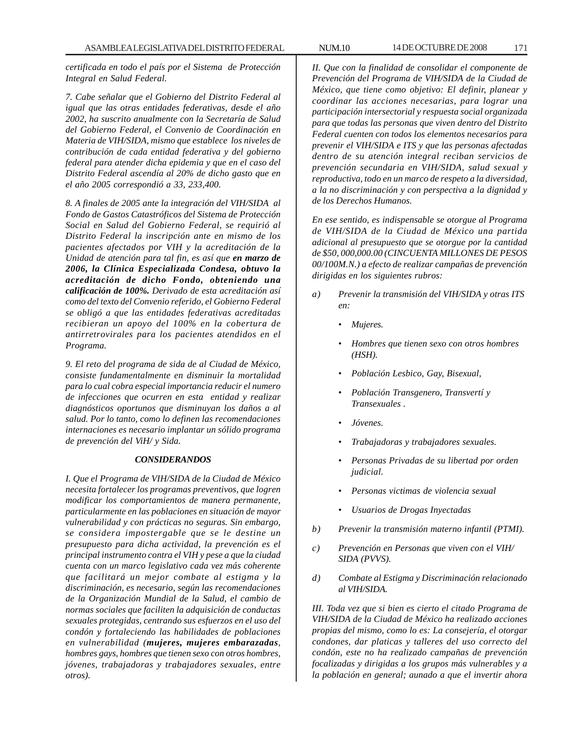*certificada en todo el país por el Sistema de Protección Integral en Salud Federal.*

*7. Cabe señalar que el Gobierno del Distrito Federal al igual que las otras entidades federativas, desde el año 2002, ha suscrito anualmente con la Secretaría de Salud del Gobierno Federal, el Convenio de Coordinación en Materia de VIH/SIDA, mismo que establece los niveles de contribución de cada entidad federativa y del gobierno federal para atender dicha epidemia y que en el caso del Distrito Federal ascendía al 20% de dicho gasto que en el año 2005 correspondió a 33, 233,400.*

*8. A finales de 2005 ante la integración del VIH/SIDA al Fondo de Gastos Catastróficos del Sistema de Protección Social en Salud del Gobierno Federal, se requirió al Distrito Federal la inscripción ante en mismo de los pacientes afectados por VIH y la acreditación de la Unidad de atención para tal fin, es así que en marzo de 2006, la Clínica Especializada Condesa, obtuvo la acreditación de dicho Fondo, obteniendo una calificación de 100%. Derivado de esta acreditación así como del texto del Convenio referido, el Gobierno Federal se obligó a que las entidades federativas acreditadas recibieran un apoyo del 100% en la cobertura de antirretrovirales para los pacientes atendidos en el Programa.*

*9. El reto del programa de sida de al Ciudad de México, consiste fundamentalmente en disminuir la mortalidad para lo cual cobra especial importancia reducir el numero de infecciones que ocurren en esta entidad y realizar diagnósticos oportunos que disminuyan los daños a al salud. Por lo tanto, como lo definen las recomendaciones internaciones es necesario implantar un sólido programa de prevención del ViH/ y Sida.*

#### *CONSIDERANDOS*

*I. Que el Programa de VIH/SIDA de la Ciudad de México necesita fortalecer los programas preventivos, que logren modificar los comportamientos de manera permanente, particularmente en las poblaciones en situación de mayor vulnerabilidad y con prácticas no seguras. Sin embargo, se considera impostergable que se le destine un presupuesto para dicha actividad, la prevención es el principal instrumento contra el VIH y pese a que la ciudad cuenta con un marco legislativo cada vez más coherente que facilitará un mejor combate al estigma y la discriminación, es necesario, según las recomendaciones de la Organización Mundial de la Salud, el cambio de normas sociales que faciliten la adquisición de conductas sexuales protegidas, centrando sus esfuerzos en el uso del condón y fortaleciendo las habilidades de poblaciones en vulnerabilidad (mujeres, mujeres embarazadas, hombres gays, hombres que tienen sexo con otros hombres, jóvenes, trabajadoras y trabajadores sexuales, entre otros).*

*II. Que con la finalidad de consolidar el componente de Prevención del Programa de VIH/SIDA de la Ciudad de México, que tiene como objetivo: El definir, planear y coordinar las acciones necesarias, para lograr una participación intersectorial y respuesta social organizada para que todas las personas que viven dentro del Distrito Federal cuenten con todos los elementos necesarios para prevenir el VIH/SIDA e ITS y que las personas afectadas dentro de su atención integral reciban servicios de prevención secundaria en VIH/SIDA, salud sexual y reproductiva, todo en un marco de respeto a la diversidad, a la no discriminación y con perspectiva a la dignidad y de los Derechos Humanos.*

*En ese sentido, es indispensable se otorgue al Programa de VIH/SIDA de la Ciudad de México una partida adicional al presupuesto que se otorgue por la cantidad de \$50, 000,000.00 (CINCUENTA MILLONES DE PESOS 00/100M.N.) a efecto de realizar campañas de prevención dirigidas en los siguientes rubros:*

- *a) Prevenir la transmisión del VIH/SIDA y otras ITS en:*
	- *Mujeres.*
	- *Hombres que tienen sexo con otros hombres (HSH).*
	- *Población Lesbico, Gay, Bisexual,*
	- *Población Transgenero, Transvertí y Transexuales .*
	- *Jóvenes.*
	- *Trabajadoras y trabajadores sexuales.*
	- *Personas Privadas de su libertad por orden judicial.*
	- *Personas victimas de violencia sexual*
	- *Usuarios de Drogas Inyectadas*
- *b) Prevenir la transmisión materno infantil (PTMI).*
- *c) Prevención en Personas que viven con el VIH/ SIDA (PVVS).*
- *d) Combate al Estigma y Discriminación relacionado al VIH/SIDA.*

*III. Toda vez que si bien es cierto el citado Programa de VIH/SIDA de la Ciudad de México ha realizado acciones propias del mismo, como lo es: La consejería, el otorgar condones, dar platicas y talleres del uso correcto del condón, este no ha realizado campañas de prevención focalizadas y dirigidas a los grupos más vulnerables y a la población en general; aunado a que el invertir ahora*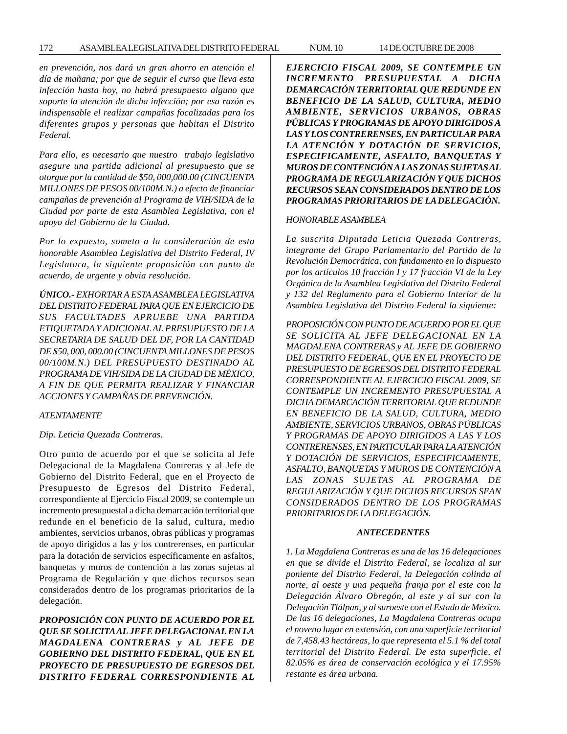*en prevención, nos dará un gran ahorro en atención el día de mañana; por que de seguir el curso que lleva esta infección hasta hoy, no habrá presupuesto alguno que soporte la atención de dicha infección; por esa razón es indispensable el realizar campañas focalizadas para los diferentes grupos y personas que habitan el Distrito Federal.*

*Para ello, es necesario que nuestro trabajo legislativo asegure una partida adicional al presupuesto que se otorgue por la cantidad de \$50, 000,000.00 (CINCUENTA MILLONES DE PESOS 00/100M.N.) a efecto de financiar campañas de prevención al Programa de VIH/SIDA de la Ciudad por parte de esta Asamblea Legislativa, con el apoyo del Gobierno de la Ciudad.*

*Por lo expuesto, someto a la consideración de esta honorable Asamblea Legislativa del Distrito Federal, IV Legislatura, la siguiente proposición con punto de acuerdo, de urgente y obvia resolución.*

*ÚNICO.- EXHORTAR A ESTA ASAMBLEA LEGISLATIVA DEL DISTRITO FEDERAL PARA QUE EN EJERCICIO DE SUS FACULTADES APRUEBE UNA PARTIDA ETIQUETADA Y ADICIONAL AL PRESUPUESTO DE LA SECRETARIA DE SALUD DEL DF, POR LA CANTIDAD DE \$50, 000, 000.00 (CINCUENTA MILLONES DE PESOS 00/100M.N.) DEL PRESUPUESTO DESTINADO AL PROGRAMA DE VIH/SIDA DE LA CIUDAD DE MÉXICO, A FIN DE QUE PERMITA REALIZAR Y FINANCIAR ACCIONES Y CAMPAÑAS DE PREVENCIÓN.*

# *ATENTAMENTE*

#### *Dip. Leticia Quezada Contreras.*

Otro punto de acuerdo por el que se solicita al Jefe Delegacional de la Magdalena Contreras y al Jefe de Gobierno del Distrito Federal, que en el Proyecto de Presupuesto de Egresos del Distrito Federal, correspondiente al Ejercicio Fiscal 2009, se contemple un incremento presupuestal a dicha demarcación territorial que redunde en el beneficio de la salud, cultura, medio ambientes, servicios urbanos, obras públicas y programas de apoyo dirigidos a las y los contrerenses, en particular para la dotación de servicios específicamente en asfaltos, banquetas y muros de contención a las zonas sujetas al Programa de Regulación y que dichos recursos sean considerados dentro de los programas prioritarios de la delegación.

*PROPOSICIÓN CON PUNTO DE ACUERDO POR EL QUE SE SOLICITA AL JEFE DELEGACIONAL EN LA MAGDALENA CONTRERAS y AL JEFE DE GOBIERNO DEL DISTRITO FEDERAL, QUE EN EL PROYECTO DE PRESUPUESTO DE EGRESOS DEL DISTRITO FEDERAL CORRESPONDIENTE AL*

*EJERCICIO FISCAL 2009, SE CONTEMPLE UN INCREMENTO PRESUPUESTAL A DICHA DEMARCACIÓN TERRITORIAL QUE REDUNDE EN BENEFICIO DE LA SALUD, CULTURA, MEDIO AMBIENTE, SERVICIOS URBANOS, OBRAS PÚBLICAS Y PROGRAMAS DE APOYO DIRIGIDOS A LAS Y LOS CONTRERENSES, EN PARTICULAR PARA LA ATENCIÓN Y DOTACIÓN DE SERVICIOS, ESPECIFICAMENTE, ASFALTO, BANQUETAS Y MUROS DE CONTENCIÓN A LAS ZONAS SUJETAS AL PROGRAMA DE REGULARIZACIÓN Y QUE DICHOS RECURSOS SEAN CONSIDERADOS DENTRO DE LOS PROGRAMAS PRIORITARIOS DE LA DELEGACIÓN.*

#### *HONORABLE ASAMBLEA*

*La suscrita Diputada Leticia Quezada Contreras, integrante del Grupo Parlamentario del Partido de la Revolución Democrática, con fundamento en lo dispuesto por los artículos 10 fracción I y 17 fracción VI de la Ley Orgánica de la Asamblea Legislativa del Distrito Federal y 132 del Reglamento para el Gobierno Interior de la Asamblea Legislativa del Distrito Federal la siguiente:*

*PROPOSICIÓN CON PUNTO DE ACUERDO POR EL QUE SE SOLICITA AL JEFE DELEGACIONAL EN LA MAGDALENA CONTRERAS y AL JEFE DE GOBIERNO DEL DISTRITO FEDERAL, QUE EN EL PROYECTO DE PRESUPUESTO DE EGRESOS DEL DISTRITO FEDERAL CORRESPONDIENTE AL EJERCICIO FISCAL 2009, SE CONTEMPLE UN INCREMENTO PRESUPUESTAL A DICHA DEMARCACIÓN TERRITORIAL QUE REDUNDE EN BENEFICIO DE LA SALUD, CULTURA, MEDIO AMBIENTE, SERVICIOS URBANOS, OBRAS PÚBLICAS Y PROGRAMAS DE APOYO DIRIGIDOS A LAS Y LOS CONTRERENSES, EN PARTICULAR PARA LA ATENCIÓN Y DOTACIÓN DE SERVICIOS, ESPECIFICAMENTE, ASFALTO, BANQUETAS Y MUROS DE CONTENCIÓN A LAS ZONAS SUJETAS AL PROGRAMA DE REGULARIZACIÓN Y QUE DICHOS RECURSOS SEAN CONSIDERADOS DENTRO DE LOS PROGRAMAS PRIORITARIOS DE LA DELEGACIÓN.*

#### *ANTECEDENTES*

*1. La Magdalena Contreras es una de las 16 delegaciones en que se divide el Distrito Federal, se localiza al sur poniente del Distrito Federal, la Delegación colinda al norte, al oeste y una pequeña franja por el este con la Delegación Álvaro Obregón, al este y al sur con la Delegación Tlálpan, y al suroeste con el Estado de México. De las 16 delegaciones, La Magdalena Contreras ocupa el noveno lugar en extensión, con una superficie territorial de 7,458.43 hectáreas, lo que representa el 5.1 % del total territorial del Distrito Federal. De esta superficie, el 82.05% es área de conservación ecológica y el 17.95% restante es área urbana.*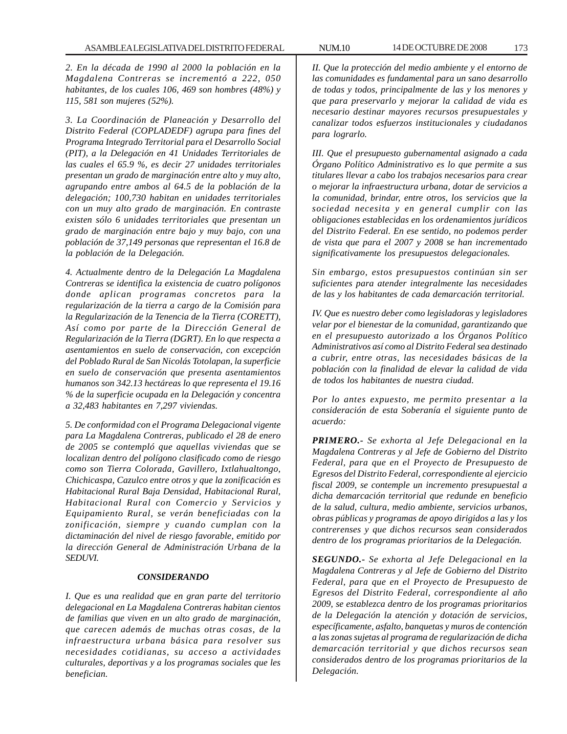*2. En la década de 1990 al 2000 la población en la Magdalena Contreras se incrementó a 222, 050 habitantes, de los cuales 106, 469 son hombres (48%) y 115, 581 son mujeres (52%).*

*3. La Coordinación de Planeación y Desarrollo del Distrito Federal (COPLADEDF) agrupa para fines del Programa Integrado Territorial para el Desarrollo Social (PIT), a la Delegación en 41 Unidades Territoriales de las cuales el 65.9 %, es decir 27 unidades territoriales presentan un grado de marginación entre alto y muy alto, agrupando entre ambos al 64.5 de la población de la delegación; 100,730 habitan en unidades territoriales con un muy alto grado de marginación. En contraste existen sólo 6 unidades territoriales que presentan un grado de marginación entre bajo y muy bajo, con una población de 37,149 personas que representan el 16.8 de la población de la Delegación.*

*4. Actualmente dentro de la Delegación La Magdalena Contreras se identifica la existencia de cuatro polígonos donde aplican programas concretos para la regularización de la tierra a cargo de la Comisión para la Regularización de la Tenencia de la Tierra (CORETT), Así como por parte de la Dirección General de Regularización de la Tierra (DGRT). En lo que respecta a asentamientos en suelo de conservación, con excepción del Poblado Rural de San Nicolás Totolapan, la superficie en suelo de conservación que presenta asentamientos humanos son 342.13 hectáreas lo que representa el 19.16 % de la superficie ocupada en la Delegación y concentra a 32,483 habitantes en 7,297 viviendas.*

*5. De conformidad con el Programa Delegacional vigente para La Magdalena Contreras, publicado el 28 de enero de 2005 se contempló que aquellas viviendas que se localizan dentro del polígono clasificado como de riesgo como son Tierra Colorada, Gavillero, Ixtlahualtongo, Chichicaspa, Cazulco entre otros y que la zonificación es Habitacional Rural Baja Densidad, Habitacional Rural, Habitacional Rural con Comercio y Servicios y Equipamiento Rural, se verán beneficiadas con la zonificación, siempre y cuando cumplan con la dictaminación del nivel de riesgo favorable, emitido por la dirección General de Administración Urbana de la SEDUVI.*

#### *CONSIDERANDO*

*I. Que es una realidad que en gran parte del territorio delegacional en La Magdalena Contreras habitan cientos de familias que viven en un alto grado de marginación, que carecen además de muchas otras cosas, de la infraestructura urbana básica para resolver sus necesidades cotidianas, su acceso a actividades culturales, deportivas y a los programas sociales que les benefician.*

*II. Que la protección del medio ambiente y el entorno de las comunidades es fundamental para un sano desarrollo de todas y todos, principalmente de las y los menores y que para preservarlo y mejorar la calidad de vida es necesario destinar mayores recursos presupuestales y canalizar todos esfuerzos institucionales y ciudadanos para lograrlo.*

*III. Que el presupuesto gubernamental asignado a cada Órgano Político Administrativo es lo que permite a sus titulares llevar a cabo los trabajos necesarios para crear o mejorar la infraestructura urbana, dotar de servicios a la comunidad, brindar, entre otros, los servicios que la sociedad necesita y en general cumplir con las obligaciones establecidas en los ordenamientos jurídicos del Distrito Federal. En ese sentido, no podemos perder de vista que para el 2007 y 2008 se han incrementado significativamente los presupuestos delegacionales.*

*Sin embargo, estos presupuestos continúan sin ser suficientes para atender integralmente las necesidades de las y los habitantes de cada demarcación territorial.*

*IV. Que es nuestro deber como legisladoras y legisladores velar por el bienestar de la comunidad, garantizando que en el presupuesto autorizado a los Órganos Político Administrativos así como al Distrito Federal sea destinado a cubrir, entre otras, las necesidades básicas de la población con la finalidad de elevar la calidad de vida de todos los habitantes de nuestra ciudad.*

*Por lo antes expuesto, me permito presentar a la consideración de esta Soberanía el siguiente punto de acuerdo:*

*PRIMERO.- Se exhorta al Jefe Delegacional en la Magdalena Contreras y al Jefe de Gobierno del Distrito Federal, para que en el Proyecto de Presupuesto de Egresos del Distrito Federal, correspondiente al ejercicio fiscal 2009, se contemple un incremento presupuestal a dicha demarcación territorial que redunde en beneficio de la salud, cultura, medio ambiente, servicios urbanos, obras públicas y programas de apoyo dirigidos a las y los contrerenses y que dichos recursos sean considerados dentro de los programas prioritarios de la Delegación.*

*SEGUNDO.- Se exhorta al Jefe Delegacional en la Magdalena Contreras y al Jefe de Gobierno del Distrito Federal, para que en el Proyecto de Presupuesto de Egresos del Distrito Federal, correspondiente al año 2009, se establezca dentro de los programas prioritarios de la Delegación la atención y dotación de servicios, específicamente, asfalto, banquetas y muros de contención a las zonas sujetas al programa de regularización de dicha demarcación territorial y que dichos recursos sean considerados dentro de los programas prioritarios de la Delegación.*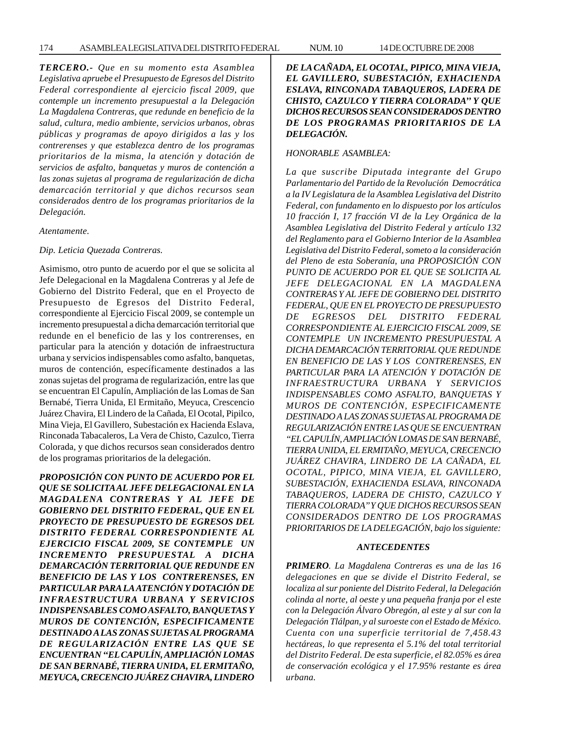*TERCERO.- Que en su momento esta Asamblea Legislativa apruebe el Presupuesto de Egresos del Distrito Federal correspondiente al ejercicio fiscal 2009, que contemple un incremento presupuestal a la Delegación La Magdalena Contreras, que redunde en beneficio de la salud, cultura, medio ambiente, servicios urbanos, obras públicas y programas de apoyo dirigidos a las y los contrerenses y que establezca dentro de los programas prioritarios de la misma, la atención y dotación de servicios de asfalto, banquetas y muros de contención a las zonas sujetas al programa de regularización de dicha demarcación territorial y que dichos recursos sean considerados dentro de los programas prioritarios de la Delegación.*

*Atentamente.*

#### *Dip. Leticia Quezada Contreras.*

Asimismo, otro punto de acuerdo por el que se solicita al Jefe Delegacional en la Magdalena Contreras y al Jefe de Gobierno del Distrito Federal, que en el Proyecto de Presupuesto de Egresos del Distrito Federal, correspondiente al Ejercicio Fiscal 2009, se contemple un incremento presupuestal a dicha demarcación territorial que redunde en el beneficio de las y los contrerenses, en particular para la atención y dotación de infraestructura urbana y servicios indispensables como asfalto, banquetas, muros de contención, específicamente destinados a las zonas sujetas del programa de regularización, entre las que se encuentran El Capulín, Ampliación de las Lomas de San Bernabé, Tierra Unida, El Ermitaño, Meyuca, Crescencio Juárez Chavira, El Lindero de la Cañada, El Ocotal, Pipilco, Mina Vieja, El Gavillero, Subestación ex Hacienda Eslava, Rinconada Tabacaleros, La Vera de Chisto, Cazulco, Tierra Colorada, y que dichos recursos sean considerados dentro de los programas prioritarios de la delegación.

*PROPOSICIÓN CON PUNTO DE ACUERDO POR EL QUE SE SOLICITA AL JEFE DELEGACIONAL EN LA MAGDALENA CONTRERAS Y AL JEFE DE GOBIERNO DEL DISTRITO FEDERAL, QUE EN EL PROYECTO DE PRESUPUESTO DE EGRESOS DEL DISTRITO FEDERAL CORRESPONDIENTE AL EJERCICIO FISCAL 2009, SE CONTEMPLE UN INCREMENTO PRESUPUESTAL A DICHA DEMARCACIÓN TERRITORIAL QUE REDUNDE EN BENEFICIO DE LAS Y LOS CONTRERENSES, EN PARTICULAR PARA LA ATENCIÓN Y DOTACIÓN DE INFRAESTRUCTURA URBANA Y SERVICIOS INDISPENSABLES COMO ASFALTO, BANQUETAS Y MUROS DE CONTENCIÓN, ESPECIFICAMENTE DESTINADO A LAS ZONAS SUJETAS AL PROGRAMA DE REGULARIZACIÓN ENTRE LAS QUE SE ENCUENTRAN ''EL CAPULÍN, AMPLIACIÓN LOMAS DE SAN BERNABÉ, TIERRA UNIDA, EL ERMITAÑO, MEYUCA, CRECENCIO JUÁREZ CHAVIRA, LINDERO* *DE LA CAÑADA, EL OCOTAL, PIPICO, MINA VIEJA, EL GAVILLERO, SUBESTACIÓN, EXHACIENDA ESLAVA, RINCONADA TABAQUEROS, LADERA DE CHISTO, CAZULCO Y TIERRA COLORADA'' Y QUE DICHOS RECURSOS SEAN CONSIDERADOS DENTRO DE LOS PROGRAMAS PRIORITARIOS DE LA DELEGACIÓN.*

# *HONORABLE ASAMBLEA:*

*La que suscribe Diputada integrante del Grupo Parlamentario del Partido de la Revolución Democrática a la IV Legislatura de la Asamblea Legislativa del Distrito Federal, con fundamento en lo dispuesto por los artículos 10 fracción I, 17 fracción VI de la Ley Orgánica de la Asamblea Legislativa del Distrito Federal y artículo 132 del Reglamento para el Gobierno Interior de la Asamblea Legislativa del Distrito Federal, someto a la consideración del Pleno de esta Soberanía, una PROPOSICIÓN CON PUNTO DE ACUERDO POR EL QUE SE SOLICITA AL JEFE DELEGACIONAL EN LA MAGDALENA CONTRERAS Y AL JEFE DE GOBIERNO DEL DISTRITO FEDERAL, QUE EN EL PROYECTO DE PRESUPUESTO DE EGRESOS DEL DISTRITO FEDERAL CORRESPONDIENTE AL EJERCICIO FISCAL 2009, SE CONTEMPLE UN INCREMENTO PRESUPUESTAL A DICHA DEMARCACIÓN TERRITORIAL QUE REDUNDE EN BENEFICIO DE LAS Y LOS CONTRERENSES, EN PARTICULAR PARA LA ATENCIÓN Y DOTACIÓN DE INFRAESTRUCTURA URBANA Y SERVICIOS INDISPENSABLES COMO ASFALTO, BANQUETAS Y MUROS DE CONTENCIÓN, ESPECIFICAMENTE DESTINADO A LAS ZONAS SUJETAS AL PROGRAMA DE REGULARIZACIÓN ENTRE LAS QUE SE ENCUENTRAN ''EL CAPULÍN, AMPLIACIÓN LOMAS DE SAN BERNABÉ, TIERRA UNIDA, EL ERMITAÑO, MEYUCA, CRECENCIO JUÁREZ CHAVIRA, LINDERO DE LA CAÑADA, EL OCOTAL, PIPICO, MINA VIEJA, EL GAVILLERO, SUBESTACIÓN, EXHACIENDA ESLAVA, RINCONADA TABAQUEROS, LADERA DE CHISTO, CAZULCO Y TIERRA COLORADA'' Y QUE DICHOS RECURSOS SEAN CONSIDERADOS DENTRO DE LOS PROGRAMAS PRIORITARIOS DE LA DELEGACIÓN, bajo los siguiente:*

# *ANTECEDENTES*

*PRIMERO. La Magdalena Contreras es una de las 16 delegaciones en que se divide el Distrito Federal, se localiza al sur poniente del Distrito Federal, la Delegación colinda al norte, al oeste y una pequeña franja por el este con la Delegación Álvaro Obregón, al este y al sur con la Delegación Tlálpan, y al suroeste con el Estado de México. Cuenta con una superficie territorial de 7,458.43 hectáreas, lo que representa el 5.1% del total territorial del Distrito Federal. De esta superficie, el 82.05% es área de conservación ecológica y el 17.95% restante es área urbana.*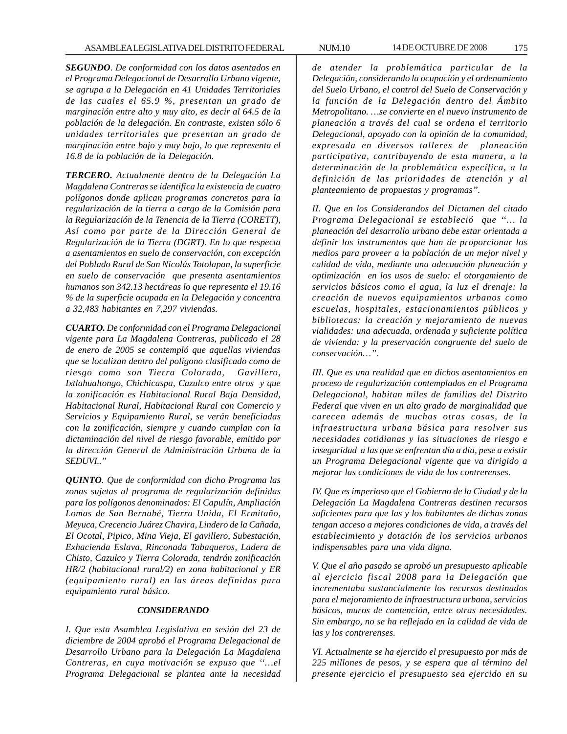*SEGUNDO. De conformidad con los datos asentados en el Programa Delegacional de Desarrollo Urbano vigente, se agrupa a la Delegación en 41 Unidades Territoriales de las cuales el 65.9 %, presentan un grado de marginación entre alto y muy alto, es decir al 64.5 de la población de la delegación. En contraste, existen sólo 6 unidades territoriales que presentan un grado de marginación entre bajo y muy bajo, lo que representa el 16.8 de la población de la Delegación.*

*TERCERO. Actualmente dentro de la Delegación La Magdalena Contreras se identifica la existencia de cuatro polígonos donde aplican programas concretos para la regularización de la tierra a cargo de la Comisión para la Regularización de la Tenencia de la Tierra (CORETT), Así como por parte de la Dirección General de Regularización de la Tierra (DGRT). En lo que respecta a asentamientos en suelo de conservación, con excepción del Poblado Rural de San Nicolás Totolapan, la superficie en suelo de conservación que presenta asentamientos humanos son 342.13 hectáreas lo que representa el 19.16 % de la superficie ocupada en la Delegación y concentra a 32,483 habitantes en 7,297 viviendas.*

*CUARTO. De conformidad con el Programa Delegacional vigente para La Magdalena Contreras, publicado el 28 de enero de 2005 se contempló que aquellas viviendas que se localizan dentro del polígono clasificado como de riesgo como son Tierra Colorada, Gavillero, Ixtlahualtongo, Chichicaspa, Cazulco entre otros y que la zonificación es Habitacional Rural Baja Densidad, Habitacional Rural, Habitacional Rural con Comercio y Servicios y Equipamiento Rural, se verán beneficiadas con la zonificación, siempre y cuando cumplan con la dictaminación del nivel de riesgo favorable, emitido por la dirección General de Administración Urbana de la SEDUVI..''*

*QUINTO. Que de conformidad con dicho Programa las zonas sujetas al programa de regularización definidas para los polígonos denominados: El Capulín, Ampliación Lomas de San Bernabé, Tierra Unida, El Ermitaño, Meyuca, Crecencio Juárez Chavira, Lindero de la Cañada, El Ocotal, Pipico, Mina Vieja, El gavillero, Subestación, Exhacienda Eslava, Rinconada Tabaqueros, Ladera de Chisto, Cazulco y Tierra Colorada, tendrán zonificación HR/2 (habitacional rural/2) en zona habitacional y ER (equipamiento rural) en las áreas definidas para equipamiento rural básico.*

#### *CONSIDERANDO*

*I. Que esta Asamblea Legislativa en sesión del 23 de diciembre de 2004 aprobó el Programa Delegacional de Desarrollo Urbano para la Delegación La Magdalena Contreras, en cuya motivación se expuso que ''…el Programa Delegacional se plantea ante la necesidad* *de atender la problemática particular de la Delegación, considerando la ocupación y el ordenamiento del Suelo Urbano, el control del Suelo de Conservación y la función de la Delegación dentro del Ámbito Metropolitano. …se convierte en el nuevo instrumento de planeación a través del cual se ordena el territorio Delegacional, apoyado con la opinión de la comunidad, expresada en diversos talleres de planeación participativa, contribuyendo de esta manera, a la determinación de la problemática específica, a la definición de las prioridades de atención y al planteamiento de propuestas y programas''.*

*II. Que en los Considerandos del Dictamen del citado Programa Delegacional se estableció que ''… la planeación del desarrollo urbano debe estar orientada a definir los instrumentos que han de proporcionar los medios para proveer a la población de un mejor nivel y calidad de vida, mediante una adecuación planeación y optimización en los usos de suelo: el otorgamiento de servicios básicos como el agua, la luz el drenaje: la creación de nuevos equipamientos urbanos como escuelas, hospitales, estacionamientos públicos y bibliotecas: la creación y mejoramiento de nuevas vialidades: una adecuada, ordenada y suficiente política de vivienda: y la preservación congruente del suelo de conservación…''.*

*III. Que es una realidad que en dichos asentamientos en proceso de regularización contemplados en el Programa Delegacional, habitan miles de familias del Distrito Federal que viven en un alto grado de marginalidad que carecen además de muchas otras cosas, de la infraestructura urbana básica para resolver sus necesidades cotidianas y las situaciones de riesgo e inseguridad a las que se enfrentan día a día, pese a existir un Programa Delegacional vigente que va dirigido a mejorar las condiciones de vida de los contrerenses.*

*IV. Que es imperioso que el Gobierno de la Ciudad y de la Delegación La Magdalena Contreras destinen recursos suficientes para que las y los habitantes de dichas zonas tengan acceso a mejores condiciones de vida, a través del establecimiento y dotación de los servicios urbanos indispensables para una vida digna.*

*V. Que el año pasado se aprobó un presupuesto aplicable al ejercicio fiscal 2008 para la Delegación que incrementaba sustancialmente los recursos destinados para el mejoramiento de infraestructura urbana, servicios básicos, muros de contención, entre otras necesidades. Sin embargo, no se ha reflejado en la calidad de vida de las y los contrerenses.*

*VI. Actualmente se ha ejercido el presupuesto por más de 225 millones de pesos, y se espera que al término del presente ejercicio el presupuesto sea ejercido en su*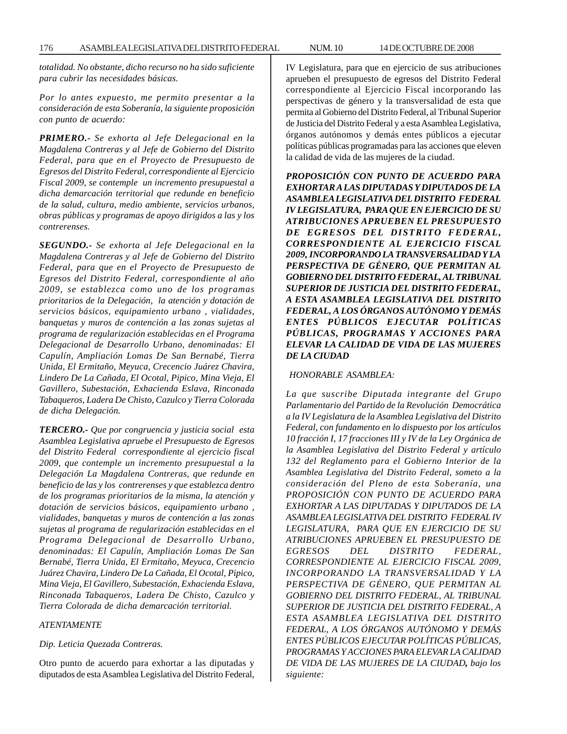*totalidad. No obstante, dicho recurso no ha sido suficiente para cubrir las necesidades básicas.*

*Por lo antes expuesto, me permito presentar a la consideración de esta Soberanía, la siguiente proposición con punto de acuerdo:*

*PRIMERO.- Se exhorta al Jefe Delegacional en la Magdalena Contreras y al Jefe de Gobierno del Distrito Federal, para que en el Proyecto de Presupuesto de Egresos del Distrito Federal, correspondiente al Ejercicio Fiscal 2009, se contemple un incremento presupuestal a dicha demarcación territorial que redunde en beneficio de la salud, cultura, medio ambiente, servicios urbanos, obras públicas y programas de apoyo dirigidos a las y los contrerenses.*

*SEGUNDO.- Se exhorta al Jefe Delegacional en la Magdalena Contreras y al Jefe de Gobierno del Distrito Federal, para que en el Proyecto de Presupuesto de Egresos del Distrito Federal, correspondiente al año 2009, se establezca como uno de los programas prioritarios de la Delegación, la atención y dotación de servicios básicos, equipamiento urbano , vialidades, banquetas y muros de contención a las zonas sujetas al programa de regularización establecidas en el Programa Delegacional de Desarrollo Urbano, denominadas: El Capulín, Ampliación Lomas De San Bernabé, Tierra Unida, El Ermitaño, Meyuca, Crecencio Juárez Chavira, Lindero De La Cañada, El Ocotal, Pipico, Mina Vieja, El Gavillero, Subestación, Exhacienda Eslava, Rinconada Tabaqueros, Ladera De Chisto, Cazulco y Tierra Colorada de dicha Delegación.*

*TERCERO.- Que por congruencia y justicia social esta Asamblea Legislativa apruebe el Presupuesto de Egresos del Distrito Federal correspondiente al ejercicio fiscal 2009, que contemple un incremento presupuestal a la Delegación La Magdalena Contreras, que redunde en beneficio de las y los contrerenses y que establezca dentro de los programas prioritarios de la misma, la atención y dotación de servicios básicos, equipamiento urbano , vialidades, banquetas y muros de contención a las zonas sujetas al programa de regularización establecidas en el Programa Delegacional de Desarrollo Urbano, denominadas: El Capulín, Ampliación Lomas De San Bernabé, Tierra Unida, El Ermitaño, Meyuca, Crecencio Juárez Chavira, Lindero De La Cañada, El Ocotal, Pipico, Mina Vieja, El Gavillero, Subestación, Exhacienda Eslava, Rinconada Tabaqueros, Ladera De Chisto, Cazulco y Tierra Colorada de dicha demarcación territorial.*

#### *ATENTAMENTE*

#### *Dip. Leticia Quezada Contreras.*

Otro punto de acuerdo para exhortar a las diputadas y diputados de esta Asamblea Legislativa del Distrito Federal, IV Legislatura, para que en ejercicio de sus atribuciones aprueben el presupuesto de egresos del Distrito Federal correspondiente al Ejercicio Fiscal incorporando las perspectivas de género y la transversalidad de esta que permita al Gobierno del Distrito Federal, al Tribunal Superior de Justicia del Distrito Federal y a esta Asamblea Legislativa, órganos autónomos y demás entes públicos a ejecutar políticas públicas programadas para las acciones que eleven la calidad de vida de las mujeres de la ciudad.

*PROPOSICIÓN CON PUNTO DE ACUERDO PARA EXHORTAR A LAS DIPUTADAS Y DIPUTADOS DE LA ASAMBLEA LEGISLATIVA DEL DISTRITO FEDERAL IV LEGISLATURA, PARA QUE EN EJERCICIO DE SU ATRIBUCIONES APRUEBEN EL PRESUPUESTO DE EGRESOS DEL DISTRITO FEDERAL, CORRESPONDIENTE AL EJERCICIO FISCAL 2009, INCORPORANDO LA TRANSVERSALIDAD Y LA PERSPECTIVA DE GÉNERO, QUE PERMITAN AL GOBIERNO DEL DISTRITO FEDERAL, AL TRIBUNAL SUPERIOR DE JUSTICIA DEL DISTRITO FEDERAL, A ESTA ASAMBLEA LEGISLATIVA DEL DISTRITO FEDERAL, A LOS ÓRGANOS AUTÓNOMO Y DEMÁS ENTES PÚBLICOS EJECUTAR POLÍTICAS PÚBLICAS, PROGRAMAS Y ACCIONES PARA ELEVAR LA CALIDAD DE VIDA DE LAS MUJERES DE LA CIUDAD*

#### *HONORABLE ASAMBLEA:*

*La que suscribe Diputada integrante del Grupo Parlamentario del Partido de la Revolución Democrática a la IV Legislatura de la Asamblea Legislativa del Distrito Federal, con fundamento en lo dispuesto por los artículos 10 fracción I, 17 fracciones III y IV de la Ley Orgánica de la Asamblea Legislativa del Distrito Federal y artículo 132 del Reglamento para el Gobierno Interior de la Asamblea Legislativa del Distrito Federal, someto a la consideración del Pleno de esta Soberanía, una PROPOSICIÓN CON PUNTO DE ACUERDO PARA EXHORTAR A LAS DIPUTADAS Y DIPUTADOS DE LA ASAMBLEA LEGISLATIVA DEL DISTRITO FEDERAL IV LEGISLATURA, PARA QUE EN EJERCICIO DE SU ATRIBUCIONES APRUEBEN EL PRESUPUESTO DE EGRESOS DEL DISTRITO FEDERAL, CORRESPONDIENTE AL EJERCICIO FISCAL 2009, INCORPORANDO LA TRANSVERSALIDAD Y LA PERSPECTIVA DE GÉNERO, QUE PERMITAN AL GOBIERNO DEL DISTRITO FEDERAL, AL TRIBUNAL SUPERIOR DE JUSTICIA DEL DISTRITO FEDERAL, A ESTA ASAMBLEA LEGISLATIVA DEL DISTRITO FEDERAL, A LOS ÓRGANOS AUTÓNOMO Y DEMÁS ENTES PÚBLICOS EJECUTAR POLÍTICAS PÚBLICAS, PROGRAMAS Y ACCIONES PARA ELEVAR LA CALIDAD DE VIDA DE LAS MUJERES DE LA CIUDAD, bajo los siguiente:*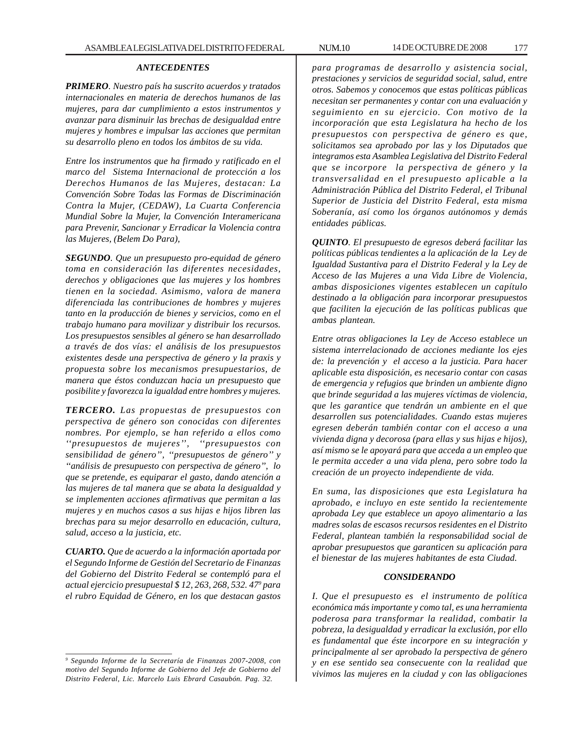#### *ANTECEDENTES*

*PRIMERO. Nuestro país ha suscrito acuerdos y tratados internacionales en materia de derechos humanos de las mujeres, para dar cumplimiento a estos instrumentos y avanzar para disminuir las brechas de desigualdad entre mujeres y hombres e impulsar las acciones que permitan su desarrollo pleno en todos los ámbitos de su vida.*

*Entre los instrumentos que ha firmado y ratificado en el marco del Sistema Internacional de protección a los Derechos Humanos de las Mujeres, destacan: La Convención Sobre Todas las Formas de Discriminación Contra la Mujer, (CEDAW), La Cuarta Conferencia Mundial Sobre la Mujer, la Convención Interamericana para Prevenir, Sancionar y Erradicar la Violencia contra las Mujeres, (Belem Do Para),*

*SEGUNDO. Que un presupuesto pro-equidad de género toma en consideración las diferentes necesidades, derechos y obligaciones que las mujeres y los hombres tienen en la sociedad. Asimismo, valora de manera diferenciada las contribuciones de hombres y mujeres tanto en la producción de bienes y servicios, como en el trabajo humano para movilizar y distribuir los recursos. Los presupuestos sensibles al género se han desarrollado a través de dos vías: el análisis de los presupuestos existentes desde una perspectiva de género y la praxis y propuesta sobre los mecanismos presupuestarios, de manera que éstos conduzcan hacia un presupuesto que posibilite y favorezca la igualdad entre hombres y mujeres.*

*TERCERO. Las propuestas de presupuestos con perspectiva de género son conocidas con diferentes nombres. Por ejemplo, se han referido a ellos como ''presupuestos de mujeres'', ''presupuestos con sensibilidad de género'', ''presupuestos de género'' y ''análisis de presupuesto con perspectiva de género'', lo que se pretende, es equiparar el gasto, dando atención a las mujeres de tal manera que se abata la desigualdad y se implementen acciones afirmativas que permitan a las mujeres y en muchos casos a sus hijas e hijos libren las brechas para su mejor desarrollo en educación, cultura, salud, acceso a la justicia, etc.*

*CUARTO. Que de acuerdo a la información aportada por el Segundo Informe de Gestión del Secretario de Finanzas del Gobierno del Distrito Federal se contempló para el actual ejercicio presupuestal \$ 12, 263, 268, 532. 479 para el rubro Equidad de Género, en los que destacan gastos*

*9 Segundo Informe de la Secretaría de Finanzas 2007-2008, con motivo del Segundo Informe de Gobierno del Jefe de Gobierno del Distrito Federal, Lic. Marcelo Luis Ebrard Casaubón. Pag. 32.*

*para programas de desarrollo y asistencia social, prestaciones y servicios de seguridad social, salud, entre otros. Sabemos y conocemos que estas políticas públicas necesitan ser permanentes y contar con una evaluación y seguimiento en su ejercicio. Con motivo de la incorporación que esta Legislatura ha hecho de los presupuestos con perspectiva de género es que, solicitamos sea aprobado por las y los Diputados que integramos esta Asamblea Legislativa del Distrito Federal que se incorpore la perspectiva de género y la transversalidad en el presupuesto aplicable a la Administración Pública del Distrito Federal, el Tribunal Superior de Justicia del Distrito Federal, esta misma Soberanía, así como los órganos autónomos y demás entidades públicas.*

*QUINTO. El presupuesto de egresos deberá facilitar las políticas públicas tendientes a la aplicación de la Ley de Igualdad Sustantiva para el Distrito Federal y la Ley de Acceso de las Mujeres a una Vida Libre de Violencia, ambas disposiciones vigentes establecen un capítulo destinado a la obligación para incorporar presupuestos que faciliten la ejecución de las políticas publicas que ambas plantean.*

*Entre otras obligaciones la Ley de Acceso establece un sistema interrelacionado de acciones mediante los ejes de: la prevención y el acceso a la justicia. Para hacer aplicable esta disposición, es necesario contar con casas de emergencia y refugios que brinden un ambiente digno que brinde seguridad a las mujeres víctimas de violencia, que les garantice que tendrán un ambiente en el que desarrollen sus potencialidades. Cuando estas mujeres egresen deberán también contar con el acceso a una vivienda digna y decorosa (para ellas y sus hijas e hijos), así mismo se le apoyará para que acceda a un empleo que le permita acceder a una vida plena, pero sobre todo la creación de un proyecto independiente de vida.*

*En suma, las disposiciones que esta Legislatura ha aprobado, e incluyo en este sentido la recientemente aprobada Ley que establece un apoyo alimentario a las madres solas de escasos recursos residentes en el Distrito Federal, plantean también la responsabilidad social de aprobar presupuestos que garanticen su aplicación para el bienestar de las mujeres habitantes de esta Ciudad.*

#### *CONSIDERANDO*

*I. Que el presupuesto es el instrumento de política económica más importante y como tal, es una herramienta poderosa para transformar la realidad, combatir la pobreza, la desigualdad y erradicar la exclusión, por ello es fundamental que éste incorpore en su integración y principalmente al ser aprobado la perspectiva de género y en ese sentido sea consecuente con la realidad que vivimos las mujeres en la ciudad y con las obligaciones*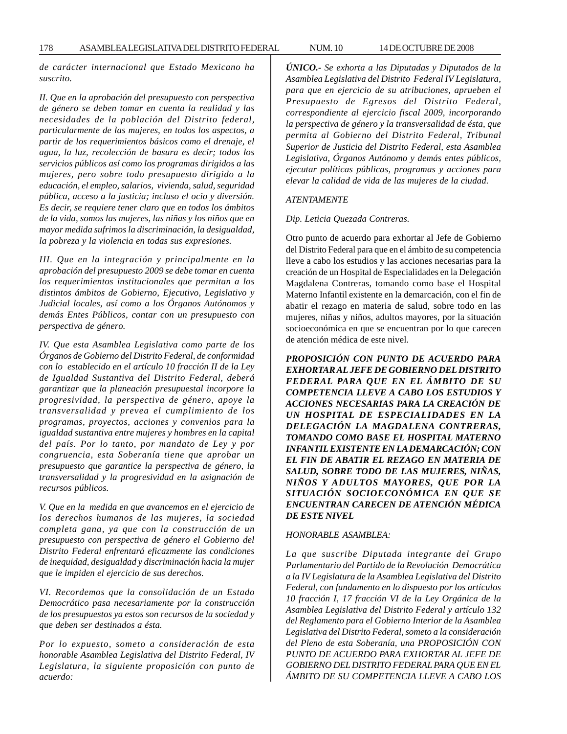178 ASAMBLEA LEGISLATIVA DEL DISTRITO FEDERAL NUM. 10 14 DE OCTUBRE DE 2008

*de carácter internacional que Estado Mexicano ha suscrito.*

*II. Que en la aprobación del presupuesto con perspectiva de género se deben tomar en cuenta la realidad y las necesidades de la población del Distrito federal, particularmente de las mujeres, en todos los aspectos, a partir de los requerimientos básicos como el drenaje, el agua, la luz, recolección de basura es decir; todos los servicios públicos así como los programas dirigidos a las mujeres, pero sobre todo presupuesto dirigido a la educación, el empleo, salarios, vivienda, salud, seguridad pública, acceso a la justicia; incluso el ocio y diversión. Es decir, se requiere tener claro que en todos los ámbitos de la vida, somos las mujeres, las niñas y los niños que en mayor medida sufrimos la discriminación, la desigualdad, la pobreza y la violencia en todas sus expresiones.*

*III. Que en la integración y principalmente en la aprobación del presupuesto 2009 se debe tomar en cuenta los requerimientos institucionales que permitan a los distintos ámbitos de Gobierno, Ejecutivo, Legislativo y Judicial locales, así como a los Órganos Autónomos y demás Entes Públicos, contar con un presupuesto con perspectiva de género.*

*IV. Que esta Asamblea Legislativa como parte de los Órganos de Gobierno del Distrito Federal, de conformidad con lo establecido en el artículo 10 fracción II de la Ley de Igualdad Sustantiva del Distrito Federal, deberá garantizar que la planeación presupuestal incorpore la progresividad, la perspectiva de género, apoye la transversalidad y prevea el cumplimiento de los programas, proyectos, acciones y convenios para la igualdad sustantiva entre mujeres y hombres en la capital del país. Por lo tanto, por mandato de Ley y por congruencia, esta Soberanía tiene que aprobar un presupuesto que garantice la perspectiva de género, la transversalidad y la progresividad en la asignación de recursos públicos.*

*V. Que en la medida en que avancemos en el ejercicio de los derechos humanos de las mujeres, la sociedad completa gana, ya que con la construcción de un presupuesto con perspectiva de género el Gobierno del Distrito Federal enfrentará eficazmente las condiciones de inequidad, desigualdad y discriminación hacia la mujer que le impiden el ejercicio de sus derechos.*

*VI. Recordemos que la consolidación de un Estado Democrático pasa necesariamente por la construcción de los presupuestos ya estos son recursos de la sociedad y que deben ser destinados a ésta.*

*Por lo expuesto, someto a consideración de esta honorable Asamblea Legislativa del Distrito Federal, IV Legislatura, la siguiente proposición con punto de acuerdo:*

*ÚNICO.- Se exhorta a las Diputadas y Diputados de la Asamblea Legislativa del Distrito Federal IV Legislatura, para que en ejercicio de su atribuciones, aprueben el Presupuesto de Egresos del Distrito Federal, correspondiente al ejercicio fiscal 2009, incorporando la perspectiva de género y la transversalidad de ésta, que permita al Gobierno del Distrito Federal, Tribunal Superior de Justicia del Distrito Federal, esta Asamblea Legislativa, Órganos Autónomo y demás entes públicos, ejecutar políticas públicas, programas y acciones para elevar la calidad de vida de las mujeres de la ciudad.*

#### *ATENTAMENTE*

#### *Dip. Leticia Quezada Contreras.*

Otro punto de acuerdo para exhortar al Jefe de Gobierno del Distrito Federal para que en el ámbito de su competencia lleve a cabo los estudios y las acciones necesarias para la creación de un Hospital de Especialidades en la Delegación Magdalena Contreras, tomando como base el Hospital Materno Infantil existente en la demarcación, con el fin de abatir el rezago en materia de salud, sobre todo en las mujeres, niñas y niños, adultos mayores, por la situación socioeconómica en que se encuentran por lo que carecen de atención médica de este nivel.

*PROPOSICIÓN CON PUNTO DE ACUERDO PARA EXHORTAR AL JEFE DE GOBIERNO DEL DISTRITO FEDERAL PARA QUE EN EL ÁMBITO DE SU COMPETENCIA LLEVE A CABO LOS ESTUDIOS Y ACCIONES NECESARIAS PARA LA CREACIÓN DE UN HOSPITAL DE ESPECIALIDADES EN LA DELEGACIÓN LA MAGDALENA CONTRERAS, TOMANDO COMO BASE EL HOSPITAL MATERNO INFANTIL EXISTENTE EN LA DEMARCACIÓN; CON EL FIN DE ABATIR EL REZAGO EN MATERIA DE SALUD, SOBRE TODO DE LAS MUJERES, NIÑAS, NIÑOS Y ADULTOS MAYORES, QUE POR LA SITUACIÓN SOCIOECONÓMICA EN QUE SE ENCUENTRAN CARECEN DE ATENCIÓN MÉDICA DE ESTE NIVEL*

#### *HONORABLE ASAMBLEA:*

*La que suscribe Diputada integrante del Grupo Parlamentario del Partido de la Revolución Democrática a la IV Legislatura de la Asamblea Legislativa del Distrito Federal, con fundamento en lo dispuesto por los artículos 10 fracción I, 17 fracción VI de la Ley Orgánica de la Asamblea Legislativa del Distrito Federal y artículo 132 del Reglamento para el Gobierno Interior de la Asamblea Legislativa del Distrito Federal, someto a la consideración del Pleno de esta Soberanía, una PROPOSICIÓN CON PUNTO DE ACUERDO PARA EXHORTAR AL JEFE DE GOBIERNO DEL DISTRITO FEDERAL PARA QUE EN EL ÁMBITO DE SU COMPETENCIA LLEVE A CABO LOS*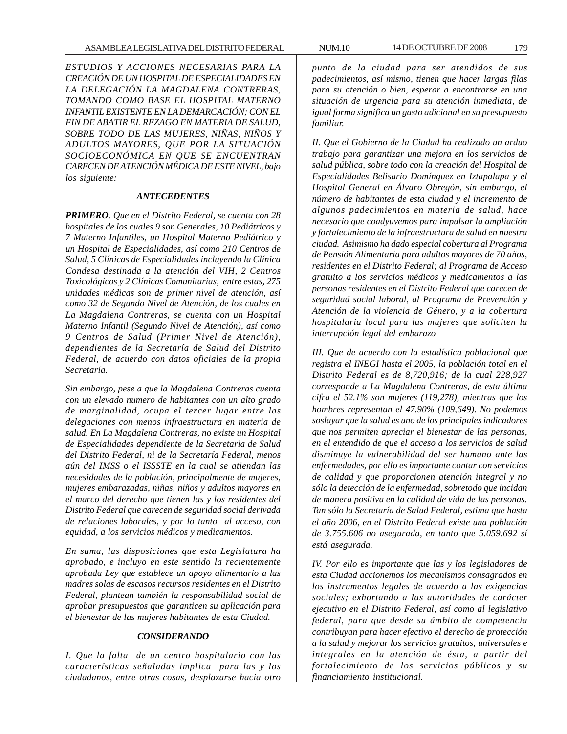*ESTUDIOS Y ACCIONES NECESARIAS PARA LA CREACIÓN DE UN HOSPITAL DE ESPECIALIDADES EN LA DELEGACIÓN LA MAGDALENA CONTRERAS, TOMANDO COMO BASE EL HOSPITAL MATERNO INFANTIL EXISTENTE EN LA DEMARCACIÓN; CON EL FIN DE ABATIR EL REZAGO EN MATERIA DE SALUD, SOBRE TODO DE LAS MUJERES, NIÑAS, NIÑOS Y ADULTOS MAYORES, QUE POR LA SITUACIÓN SOCIOECONÓMICA EN QUE SE ENCUENTRAN CARECEN DE ATENCIÓN MÉDICA DE ESTE NIVEL, bajo los siguiente:*

#### *ANTECEDENTES*

*PRIMERO. Que en el Distrito Federal, se cuenta con 28 hospitales de los cuales 9 son Generales, 10 Pediátricos y 7 Materno Infantiles, un Hospital Materno Pediátrico y un Hospital de Especialidades, así como 210 Centros de Salud, 5 Clínicas de Especialidades incluyendo la Clínica Condesa destinada a la atención del VIH, 2 Centros Toxicológicos y 2 Clínicas Comunitarias, entre estas, 275 unidades médicas son de primer nivel de atención, así como 32 de Segundo Nivel de Atención, de los cuales en La Magdalena Contreras, se cuenta con un Hospital Materno Infantil (Segundo Nivel de Atención), así como 9 Centros de Salud (Primer Nivel de Atención), dependientes de la Secretaría de Salud del Distrito Federal, de acuerdo con datos oficiales de la propia Secretaría.*

*Sin embargo, pese a que la Magdalena Contreras cuenta con un elevado numero de habitantes con un alto grado de marginalidad, ocupa el tercer lugar entre las delegaciones con menos infraestructura en materia de salud. En La Magdalena Contreras, no existe un Hospital de Especialidades dependiente de la Secretaria de Salud del Distrito Federal, ni de la Secretaría Federal, menos aún del IMSS o el ISSSTE en la cual se atiendan las necesidades de la población, principalmente de mujeres, mujeres embarazadas, niñas, niños y adultos mayores en el marco del derecho que tienen las y los residentes del Distrito Federal que carecen de seguridad social derivada de relaciones laborales, y por lo tanto al acceso, con equidad, a los servicios médicos y medicamentos.*

*En suma, las disposiciones que esta Legislatura ha aprobado, e incluyo en este sentido la recientemente aprobada Ley que establece un apoyo alimentario a las madres solas de escasos recursos residentes en el Distrito Federal, plantean también la responsabilidad social de aprobar presupuestos que garanticen su aplicación para el bienestar de las mujeres habitantes de esta Ciudad.*

#### *CONSIDERANDO*

*I. Que la falta de un centro hospitalario con las características señaladas implica para las y los ciudadanos, entre otras cosas, desplazarse hacia otro*

*punto de la ciudad para ser atendidos de sus padecimientos, así mismo, tienen que hacer largas filas para su atención o bien, esperar a encontrarse en una situación de urgencia para su atención inmediata, de igual forma significa un gasto adicional en su presupuesto familiar.*

*II. Que el Gobierno de la Ciudad ha realizado un arduo trabajo para garantizar una mejora en los servicios de salud pública, sobre todo con la creación del Hospital de Especialidades Belisario Domínguez en Iztapalapa y el Hospital General en Álvaro Obregón, sin embargo, el número de habitantes de esta ciudad y el incremento de algunos padecimientos en materia de salud, hace necesario que coadyuvemos para impulsar la ampliación y fortalecimiento de la infraestructura de salud en nuestra ciudad. Asimismo ha dado especial cobertura al Programa de Pensión Alimentaria para adultos mayores de 70 años, residentes en el Distrito Federal; al Programa de Acceso gratuito a los servicios médicos y medicamentos a las personas residentes en el Distrito Federal que carecen de seguridad social laboral, al Programa de Prevención y Atención de la violencia de Género, y a la cobertura hospitalaria local para las mujeres que soliciten la interrupción legal del embarazo*

*III. Que de acuerdo con la estadística poblacional que registra el INEGI hasta el 2005, la población total en el Distrito Federal es de 8,720,916; de la cual 228,927 corresponde a La Magdalena Contreras, de esta última cifra el 52.1% son mujeres (119,278), mientras que los hombres representan el 47.90% (109,649). No podemos soslayar que la salud es uno de los principales indicadores que nos permiten apreciar el bienestar de las personas, en el entendido de que el acceso a los servicios de salud disminuye la vulnerabilidad del ser humano ante las enfermedades, por ello es importante contar con servicios de calidad y que proporcionen atención integral y no sólo la detección de la enfermedad, sobretodo que incidan de manera positiva en la calidad de vida de las personas. Tan sólo la Secretaría de Salud Federal, estima que hasta el año 2006, en el Distrito Federal existe una población de 3.755.606 no asegurada, en tanto que 5.059.692 sí está asegurada.*

*IV. Por ello es importante que las y los legisladores de esta Ciudad accionemos los mecanismos consagrados en los instrumentos legales de acuerdo a las exigencias sociales; exhortando a las autoridades de carácter ejecutivo en el Distrito Federal, así como al legislativo federal, para que desde su ámbito de competencia contribuyan para hacer efectivo el derecho de protección a la salud y mejorar los servicios gratuitos, universales e integrales en la atención de ésta, a partir del fortalecimiento de los servicios públicos y su financiamiento institucional.*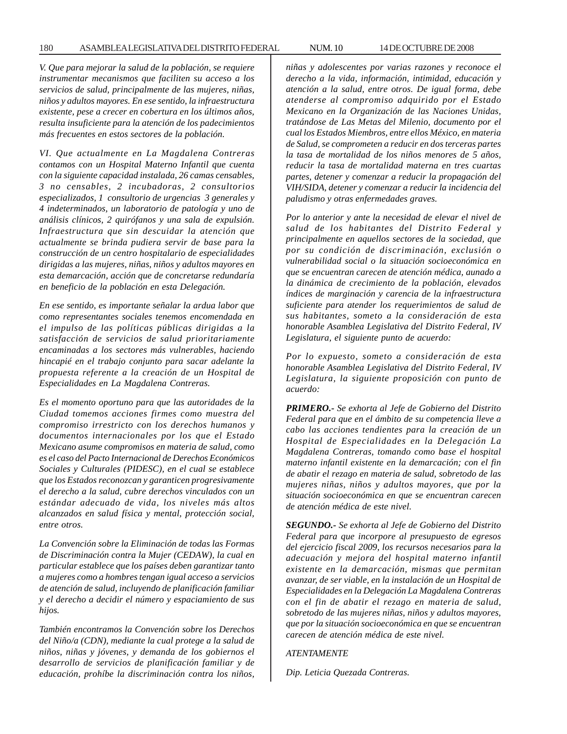*V. Que para mejorar la salud de la población, se requiere instrumentar mecanismos que faciliten su acceso a los servicios de salud, principalmente de las mujeres, niñas, niños y adultos mayores. En ese sentido, la infraestructura existente, pese a crecer en cobertura en los últimos años, resulta insuficiente para la atención de los padecimientos más frecuentes en estos sectores de la población.*

*VI. Que actualmente en La Magdalena Contreras contamos con un Hospital Materno Infantil que cuenta con la siguiente capacidad instalada, 26 camas censables, 3 no censables, 2 incubadoras, 2 consultorios especializados, 1 consultorio de urgencias 3 generales y 4 indeterminados, un laboratorio de patología y uno de análisis clínicos, 2 quirófanos y una sala de expulsión. Infraestructura que sin descuidar la atención que actualmente se brinda pudiera servir de base para la construcción de un centro hospitalario de especialidades dirigidas a las mujeres, niñas, niños y adultos mayores en esta demarcación, acción que de concretarse redundaría en beneficio de la población en esta Delegación.*

*En ese sentido, es importante señalar la ardua labor que como representantes sociales tenemos encomendada en el impulso de las políticas públicas dirigidas a la satisfacción de servicios de salud prioritariamente encaminadas a los sectores más vulnerables, haciendo hincapié en el trabajo conjunto para sacar adelante la propuesta referente a la creación de un Hospital de Especialidades en La Magdalena Contreras.*

*Es el momento oportuno para que las autoridades de la Ciudad tomemos acciones firmes como muestra del compromiso irrestricto con los derechos humanos y documentos internacionales por los que el Estado Mexicano asume compromisos en materia de salud, como es el caso del Pacto Internacional de Derechos Económicos Sociales y Culturales (PIDESC), en el cual se establece que los Estados reconozcan y garanticen progresivamente el derecho a la salud, cubre derechos vinculados con un estándar adecuado de vida, los niveles más altos alcanzados en salud física y mental, protección social, entre otros.*

*La Convención sobre la Eliminación de todas las Formas de Discriminación contra la Mujer (CEDAW), la cual en particular establece que los países deben garantizar tanto a mujeres como a hombres tengan igual acceso a servicios de atención de salud, incluyendo de planificación familiar y el derecho a decidir el número y espaciamiento de sus hijos.*

*También encontramos la Convención sobre los Derechos del Niño/a (CDN), mediante la cual protege a la salud de niños, niñas y jóvenes, y demanda de los gobiernos el desarrollo de servicios de planificación familiar y de educación, prohíbe la discriminación contra los niños,*

*niñas y adolescentes por varias razones y reconoce el derecho a la vida, información, intimidad, educación y atención a la salud, entre otros. De igual forma, debe atenderse al compromiso adquirido por el Estado Mexicano en la Organización de las Naciones Unidas, tratándose de Las Metas del Milenio, documento por el cual los Estados Miembros, entre ellos México, en materia de Salud, se comprometen a reducir en dos terceras partes la tasa de mortalidad de los niños menores de 5 años, reducir la tasa de mortalidad materna en tres cuartas partes, detener y comenzar a reducir la propagación del VIH/SIDA, detener y comenzar a reducir la incidencia del paludismo y otras enfermedades graves.*

*Por lo anterior y ante la necesidad de elevar el nivel de salud de los habitantes del Distrito Federal y principalmente en aquellos sectores de la sociedad, que por su condición de discriminación, exclusión o vulnerabilidad social o la situación socioeconómica en que se encuentran carecen de atención médica, aunado a la dinámica de crecimiento de la población, elevados índices de marginación y carencia de la infraestructura suficiente para atender los requerimientos de salud de sus habitantes, someto a la consideración de esta honorable Asamblea Legislativa del Distrito Federal, IV Legislatura, el siguiente punto de acuerdo:*

*Por lo expuesto, someto a consideración de esta honorable Asamblea Legislativa del Distrito Federal, IV Legislatura, la siguiente proposición con punto de acuerdo:*

*PRIMERO.- Se exhorta al Jefe de Gobierno del Distrito Federal para que en el ámbito de su competencia lleve a cabo las acciones tendientes para la creación de un Hospital de Especialidades en la Delegación La Magdalena Contreras, tomando como base el hospital materno infantil existente en la demarcación; con el fin de abatir el rezago en materia de salud, sobretodo de las mujeres niñas, niños y adultos mayores, que por la situación socioeconómica en que se encuentran carecen de atención médica de este nivel.*

*SEGUNDO.- Se exhorta al Jefe de Gobierno del Distrito Federal para que incorpore al presupuesto de egresos del ejercicio fiscal 2009, los recursos necesarios para la adecuación y mejora del hospital materno infantil existente en la demarcación, mismas que permitan avanzar, de ser viable, en la instalación de un Hospital de Especialidades en la Delegación La Magdalena Contreras con el fin de abatir el rezago en materia de salud, sobretodo de las mujeres niñas, niños y adultos mayores, que por la situación socioeconómica en que se encuentran carecen de atención médica de este nivel.*

#### *ATENTAMENTE*

*Dip. Leticia Quezada Contreras.*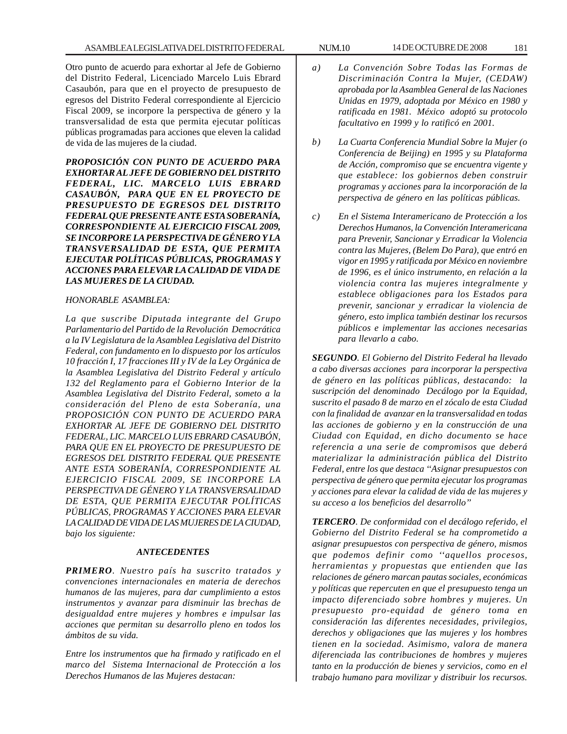Otro punto de acuerdo para exhortar al Jefe de Gobierno del Distrito Federal, Licenciado Marcelo Luis Ebrard Casaubón, para que en el proyecto de presupuesto de egresos del Distrito Federal correspondiente al Ejercicio Fiscal 2009, se incorpore la perspectiva de género y la transversalidad de esta que permita ejecutar políticas públicas programadas para acciones que eleven la calidad de vida de las mujeres de la ciudad.

*PROPOSICIÓN CON PUNTO DE ACUERDO PARA EXHORTAR AL JEFE DE GOBIERNO DEL DISTRITO FEDERAL, LIC. MARCELO LUIS EBRARD CASAUBÓN, PARA QUE EN EL PROYECTO DE PRESUPUESTO DE EGRESOS DEL DISTRITO FEDERAL QUE PRESENTE ANTE ESTA SOBERANÍA, CORRESPONDIENTE AL EJERCICIO FISCAL 2009, SE INCORPORE LA PERSPECTIVA DE GÉNERO Y LA TRANSVERSALIDAD DE ESTA, QUE PERMITA EJECUTAR POLÍTICAS PÚBLICAS, PROGRAMAS Y ACCIONES PARA ELEVAR LA CALIDAD DE VIDA DE LAS MUJERES DE LA CIUDAD.*

#### *HONORABLE ASAMBLEA:*

*La que suscribe Diputada integrante del Grupo Parlamentario del Partido de la Revolución Democrática a la IV Legislatura de la Asamblea Legislativa del Distrito Federal, con fundamento en lo dispuesto por los artículos 10 fracción I, 17 fracciones III y IV de la Ley Orgánica de la Asamblea Legislativa del Distrito Federal y artículo 132 del Reglamento para el Gobierno Interior de la Asamblea Legislativa del Distrito Federal, someto a la consideración del Pleno de esta Soberanía, una PROPOSICIÓN CON PUNTO DE ACUERDO PARA EXHORTAR AL JEFE DE GOBIERNO DEL DISTRITO FEDERAL, LIC. MARCELO LUIS EBRARD CASAUBÓN, PARA QUE EN EL PROYECTO DE PRESUPUESTO DE EGRESOS DEL DISTRITO FEDERAL QUE PRESENTE ANTE ESTA SOBERANÍA, CORRESPONDIENTE AL EJERCICIO FISCAL 2009, SE INCORPORE LA PERSPECTIVA DE GÉNERO Y LA TRANSVERSALIDAD DE ESTA, QUE PERMITA EJECUTAR POLÍTICAS PÚBLICAS, PROGRAMAS Y ACCIONES PARA ELEVAR LA CALIDAD DE VIDA DE LAS MUJERES DE LA CIUDAD, bajo los siguiente:*

### *ANTECEDENTES*

*PRIMERO. Nuestro país ha suscrito tratados y convenciones internacionales en materia de derechos humanos de las mujeres, para dar cumplimiento a estos instrumentos y avanzar para disminuir las brechas de desigualdad entre mujeres y hombres e impulsar las acciones que permitan su desarrollo pleno en todos los ámbitos de su vida.*

*Entre los instrumentos que ha firmado y ratificado en el marco del Sistema Internacional de Protección a los Derechos Humanos de las Mujeres destacan:*

- *a) La Convención Sobre Todas las Formas de Discriminación Contra la Mujer, (CEDAW) aprobada por la Asamblea General de las Naciones Unidas en 1979, adoptada por México en 1980 y ratificada en 1981. México adoptó su protocolo facultativo en 1999 y lo ratificó en 2001.*
- *b) La Cuarta Conferencia Mundial Sobre la Mujer (o Conferencia de Beijing) en 1995 y su Plataforma de Acción, compromiso que se encuentra vigente y que establece: los gobiernos deben construir programas y acciones para la incorporación de la perspectiva de género en las políticas públicas.*
- *c) En el Sistema Interamericano de Protección a los Derechos Humanos, la Convención Interamericana para Prevenir, Sancionar y Erradicar la Violencia contra las Mujeres, (Belem Do Para), que entró en vigor en 1995 y ratificada por México en noviembre de 1996, es el único instrumento, en relación a la violencia contra las mujeres integralmente y establece obligaciones para los Estados para prevenir, sancionar y erradicar la violencia de género, esto implica también destinar los recursos públicos e implementar las acciones necesarias para llevarlo a cabo.*

*SEGUNDO. El Gobierno del Distrito Federal ha llevado a cabo diversas acciones para incorporar la perspectiva de género en las políticas públicas, destacando: la suscripción del denominado Decálogo por la Equidad, suscrito el pasado 8 de marzo en el zócalo de esta Ciudad con la finalidad de avanzar en la transversalidad en todas las acciones de gobierno y en la construcción de una Ciudad con Equidad, en dicho documento se hace referencia a una serie de compromisos que deberá materializar la administración pública del Distrito Federal, entre los que destaca ''Asignar presupuestos con perspectiva de género que permita ejecutar los programas y acciones para elevar la calidad de vida de las mujeres y su acceso a los beneficios del desarrollo''*

*TERCERO. De conformidad con el decálogo referido, el Gobierno del Distrito Federal se ha comprometido a asignar presupuestos con perspectiva de género, mismos que podemos definir como ''aquellos procesos, herramientas y propuestas que entienden que las relaciones de género marcan pautas sociales, económicas y políticas que repercuten en que el presupuesto tenga un impacto diferenciado sobre hombres y mujeres. Un presupuesto pro-equidad de género toma en consideración las diferentes necesidades, privilegios, derechos y obligaciones que las mujeres y los hombres tienen en la sociedad. Asimismo, valora de manera diferenciada las contribuciones de hombres y mujeres tanto en la producción de bienes y servicios, como en el trabajo humano para movilizar y distribuir los recursos.*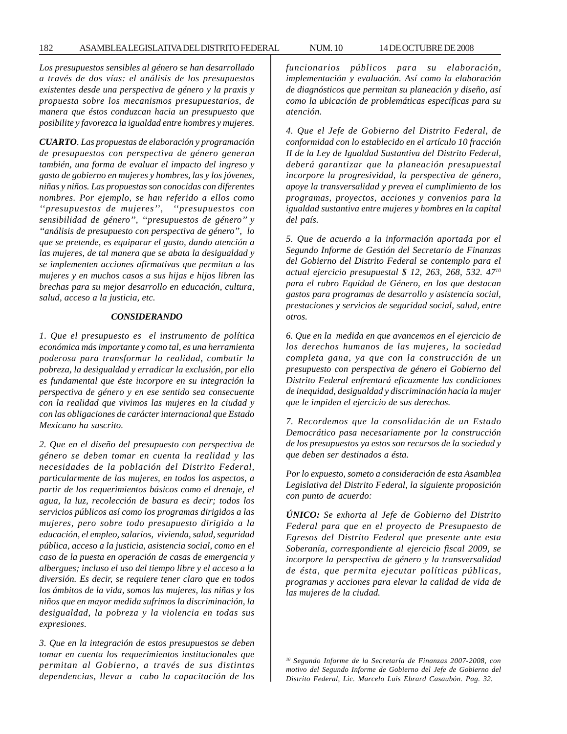*Los presupuestos sensibles al género se han desarrollado a través de dos vías: el análisis de los presupuestos existentes desde una perspectiva de género y la praxis y propuesta sobre los mecanismos presupuestarios, de manera que éstos conduzcan hacia un presupuesto que posibilite y favorezca la igualdad entre hombres y mujeres.*

*CUARTO. Las propuestas de elaboración y programación de presupuestos con perspectiva de género generan también, una forma de evaluar el impacto del ingreso y gasto de gobierno en mujeres y hombres, las y los jóvenes, niñas y niños. Las propuestas son conocidas con diferentes nombres. Por ejemplo, se han referido a ellos como ''presupuestos de mujeres'', ''presupuestos con sensibilidad de género'', ''presupuestos de género'' y ''análisis de presupuesto con perspectiva de género'', lo que se pretende, es equiparar el gasto, dando atención a las mujeres, de tal manera que se abata la desigualdad y se implementen acciones afirmativas que permitan a las mujeres y en muchos casos a sus hijas e hijos libren las brechas para su mejor desarrollo en educación, cultura, salud, acceso a la justicia, etc.*

#### *CONSIDERANDO*

*1. Que el presupuesto es el instrumento de política económica más importante y como tal, es una herramienta poderosa para transformar la realidad, combatir la pobreza, la desigualdad y erradicar la exclusión, por ello es fundamental que éste incorpore en su integración la perspectiva de género y en ese sentido sea consecuente con la realidad que vivimos las mujeres en la ciudad y con las obligaciones de carácter internacional que Estado Mexicano ha suscrito.*

*2. Que en el diseño del presupuesto con perspectiva de género se deben tomar en cuenta la realidad y las necesidades de la población del Distrito Federal, particularmente de las mujeres, en todos los aspectos, a partir de los requerimientos básicos como el drenaje, el agua, la luz, recolección de basura es decir; todos los servicios públicos así como los programas dirigidos a las mujeres, pero sobre todo presupuesto dirigido a la educación, el empleo, salarios, vivienda, salud, seguridad pública, acceso a la justicia, asistencia social, como en el caso de la puesta en operación de casas de emergencia y albergues; incluso el uso del tiempo libre y el acceso a la diversión. Es decir, se requiere tener claro que en todos los ámbitos de la vida, somos las mujeres, las niñas y los niños que en mayor medida sufrimos la discriminación, la desigualdad, la pobreza y la violencia en todas sus expresiones.*

*3. Que en la integración de estos presupuestos se deben tomar en cuenta los requerimientos institucionales que permitan al Gobierno, a través de sus distintas dependencias, llevar a cabo la capacitación de los*

*funcionarios públicos para su elaboración, implementación y evaluación. Así como la elaboración de diagnósticos que permitan su planeación y diseño, así como la ubicación de problemáticas específicas para su atención.*

*4. Que el Jefe de Gobierno del Distrito Federal, de conformidad con lo establecido en el artículo 10 fracción II de la Ley de Igualdad Sustantiva del Distrito Federal, deberá garantizar que la planeación presupuestal incorpore la progresividad, la perspectiva de género, apoye la transversalidad y prevea el cumplimiento de los programas, proyectos, acciones y convenios para la igualdad sustantiva entre mujeres y hombres en la capital del país.*

*5. Que de acuerdo a la información aportada por el Segundo Informe de Gestión del Secretario de Finanzas del Gobierno del Distrito Federal se contemplo para el actual ejercicio presupuestal \$ 12, 263, 268, 532. 4710 para el rubro Equidad de Género, en los que destacan gastos para programas de desarrollo y asistencia social, prestaciones y servicios de seguridad social, salud, entre otros.*

*6. Que en la medida en que avancemos en el ejercicio de los derechos humanos de las mujeres, la sociedad completa gana, ya que con la construcción de un presupuesto con perspectiva de género el Gobierno del Distrito Federal enfrentará eficazmente las condiciones de inequidad, desigualdad y discriminación hacia la mujer que le impiden el ejercicio de sus derechos.*

*7. Recordemos que la consolidación de un Estado Democrático pasa necesariamente por la construcción de los presupuestos ya estos son recursos de la sociedad y que deben ser destinados a ésta.*

*Por lo expuesto, someto a consideración de esta Asamblea Legislativa del Distrito Federal, la siguiente proposición con punto de acuerdo:*

*ÚNICO: Se exhorta al Jefe de Gobierno del Distrito Federal para que en el proyecto de Presupuesto de Egresos del Distrito Federal que presente ante esta Soberanía, correspondiente al ejercicio fiscal 2009, se incorpore la perspectiva de género y la transversalidad de ésta, que permita ejecutar políticas públicas, programas y acciones para elevar la calidad de vida de las mujeres de la ciudad.*

*<sup>10</sup> Segundo Informe de la Secretaría de Finanzas 2007-2008, con motivo del Segundo Informe de Gobierno del Jefe de Gobierno del Distrito Federal, Lic. Marcelo Luis Ebrard Casaubón. Pag. 32.*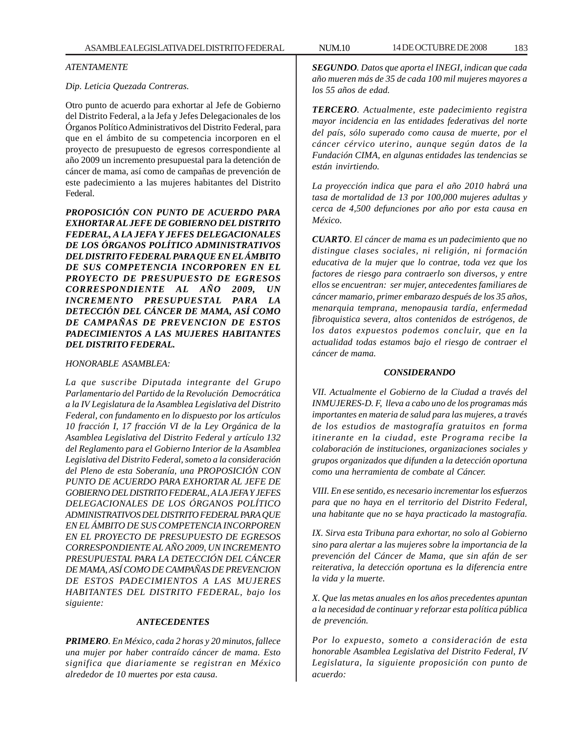## *ATENTAMENTE*

### *Dip. Leticia Quezada Contreras.*

Otro punto de acuerdo para exhortar al Jefe de Gobierno del Distrito Federal, a la Jefa y Jefes Delegacionales de los Órganos Político Administrativos del Distrito Federal, para que en el ámbito de su competencia incorporen en el proyecto de presupuesto de egresos correspondiente al año 2009 un incremento presupuestal para la detención de cáncer de mama, así como de campañas de prevención de este padecimiento a las mujeres habitantes del Distrito Federal.

*PROPOSICIÓN CON PUNTO DE ACUERDO PARA EXHORTAR AL JEFE DE GOBIERNO DEL DISTRITO FEDERAL, A LA JEFA Y JEFES DELEGACIONALES DE LOS ÓRGANOS POLÍTICO ADMINISTRATIVOS DEL DISTRITO FEDERAL PARA QUE EN EL ÁMBITO DE SUS COMPETENCIA INCORPOREN EN EL PROYECTO DE PRESUPUESTO DE EGRESOS CORRESPONDIENTE AL AÑO 2009, UN INCREMENTO PRESUPUESTAL PARA LA DETECCIÓN DEL CÁNCER DE MAMA, ASÍ COMO DE CAMPAÑAS DE PREVENCION DE ESTOS PADECIMIENTOS A LAS MUJERES HABITANTES DEL DISTRITO FEDERAL.*

## *HONORABLE ASAMBLEA:*

*La que suscribe Diputada integrante del Grupo Parlamentario del Partido de la Revolución Democrática a la IV Legislatura de la Asamblea Legislativa del Distrito Federal, con fundamento en lo dispuesto por los artículos 10 fracción I, 17 fracción VI de la Ley Orgánica de la Asamblea Legislativa del Distrito Federal y artículo 132 del Reglamento para el Gobierno Interior de la Asamblea Legislativa del Distrito Federal, someto a la consideración del Pleno de esta Soberanía, una PROPOSICIÓN CON PUNTO DE ACUERDO PARA EXHORTAR AL JEFE DE GOBIERNO DEL DISTRITO FEDERAL, A LA JEFA Y JEFES DELEGACIONALES DE LOS ÓRGANOS POLÍTICO ADMINISTRATIVOS DEL DISTRITO FEDERAL PARA QUE EN EL ÁMBITO DE SUS COMPETENCIA INCORPOREN EN EL PROYECTO DE PRESUPUESTO DE EGRESOS CORRESPONDIENTE AL AÑO 2009, UN INCREMENTO PRESUPUESTAL PARA LA DETECCIÓN DEL CÁNCER DE MAMA, ASÍ COMO DE CAMPAÑAS DE PREVENCION DE ESTOS PADECIMIENTOS A LAS MUJERES HABITANTES DEL DISTRITO FEDERAL, bajo los siguiente:*

# *ANTECEDENTES*

*PRIMERO. En México, cada 2 horas y 20 minutos, fallece una mujer por haber contraído cáncer de mama. Esto significa que diariamente se registran en México alrededor de 10 muertes por esta causa.*

*SEGUNDO. Datos que aporta el INEGI, indican que cada año mueren más de 35 de cada 100 mil mujeres mayores a los 55 años de edad.*

*TERCERO. Actualmente, este padecimiento registra mayor incidencia en las entidades federativas del norte del país, sólo superado como causa de muerte, por el cáncer cérvico uterino, aunque según datos de la Fundación CIMA, en algunas entidades las tendencias se están invirtiendo.*

*La proyección indica que para el año 2010 habrá una tasa de mortalidad de 13 por 100,000 mujeres adultas y cerca de 4,500 defunciones por año por esta causa en México.*

*CUARTO. El cáncer de mama es un padecimiento que no distingue clases sociales, ni religión, ni formación educativa de la mujer que lo contrae, toda vez que los factores de riesgo para contraerlo son diversos, y entre ellos se encuentran: ser mujer, antecedentes familiares de cáncer mamario, primer embarazo después de los 35 años, menarquia temprana, menopausia tardía, enfermedad fibroquistica severa, altos contenidos de estrógenos, de los datos expuestos podemos concluir, que en la actualidad todas estamos bajo el riesgo de contraer el cáncer de mama.*

# *CONSIDERANDO*

*VII. Actualmente el Gobierno de la Ciudad a través del INMUJERES-D. F, lleva a cabo uno de los programas más importantes en materia de salud para las mujeres, a través de los estudios de mastografía gratuitos en forma itinerante en la ciudad, este Programa recibe la colaboración de instituciones, organizaciones sociales y grupos organizados que difunden a la detección oportuna como una herramienta de combate al Cáncer.*

*VIII. En ese sentido, es necesario incrementar los esfuerzos para que no haya en el territorio del Distrito Federal, una habitante que no se haya practicado la mastografía.*

*IX. Sirva esta Tribuna para exhortar, no solo al Gobierno sino para alertar a las mujeres sobre la importancia de la prevención del Cáncer de Mama, que sin afán de ser reiterativa, la detección oportuna es la diferencia entre la vida y la muerte.*

*X. Que las metas anuales en los años precedentes apuntan a la necesidad de continuar y reforzar esta política pública de prevención.*

*Por lo expuesto, someto a consideración de esta honorable Asamblea Legislativa del Distrito Federal, IV Legislatura, la siguiente proposición con punto de acuerdo:*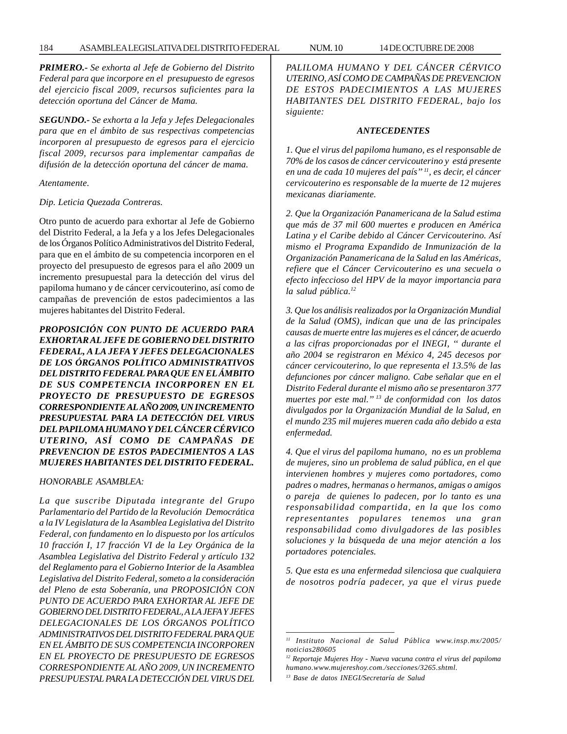*PRIMERO.- Se exhorta al Jefe de Gobierno del Distrito Federal para que incorpore en el presupuesto de egresos del ejercicio fiscal 2009, recursos suficientes para la detección oportuna del Cáncer de Mama.*

*SEGUNDO.- Se exhorta a la Jefa y Jefes Delegacionales para que en el ámbito de sus respectivas competencias incorporen al presupuesto de egresos para el ejercicio fiscal 2009, recursos para implementar campañas de difusión de la detección oportuna del cáncer de mama.*

*Atentamente.*

*Dip. Leticia Quezada Contreras.*

Otro punto de acuerdo para exhortar al Jefe de Gobierno del Distrito Federal, a la Jefa y a los Jefes Delegacionales de los Órganos Político Administrativos del Distrito Federal, para que en el ámbito de su competencia incorporen en el proyecto del presupuesto de egresos para el año 2009 un incremento presupuestal para la detección del virus del papiloma humano y de cáncer cervicouterino, así como de campañas de prevención de estos padecimientos a las mujeres habitantes del Distrito Federal.

*PROPOSICIÓN CON PUNTO DE ACUERDO PARA EXHORTAR AL JEFE DE GOBIERNO DEL DISTRITO FEDERAL, A LA JEFA Y JEFES DELEGACIONALES DE LOS ÓRGANOS POLÍTICO ADMINISTRATIVOS DEL DISTRITO FEDERAL PARA QUE EN EL ÁMBITO DE SUS COMPETENCIA INCORPOREN EN EL PROYECTO DE PRESUPUESTO DE EGRESOS CORRESPONDIENTE AL AÑO 2009, UN INCREMENTO PRESUPUESTAL PARA LA DETECCIÓN DEL VIRUS DEL PAPILOMA HUMANO Y DEL CÁNCER CÉRVICO UTERINO, ASÍ COMO DE CAMPAÑAS DE PREVENCION DE ESTOS PADECIMIENTOS A LAS MUJERES HABITANTES DEL DISTRITO FEDERAL.*

*HONORABLE ASAMBLEA:*

*La que suscribe Diputada integrante del Grupo Parlamentario del Partido de la Revolución Democrática a la IV Legislatura de la Asamblea Legislativa del Distrito Federal, con fundamento en lo dispuesto por los artículos 10 fracción I, 17 fracción VI de la Ley Orgánica de la Asamblea Legislativa del Distrito Federal y artículo 132 del Reglamento para el Gobierno Interior de la Asamblea Legislativa del Distrito Federal, someto a la consideración del Pleno de esta Soberanía, una PROPOSICIÓN CON PUNTO DE ACUERDO PARA EXHORTAR AL JEFE DE GOBIERNO DEL DISTRITO FEDERAL, A LA JEFA Y JEFES DELEGACIONALES DE LOS ÓRGANOS POLÍTICO ADMINISTRATIVOS DEL DISTRITO FEDERAL PARA QUE EN EL ÁMBITO DE SUS COMPETENCIA INCORPOREN EN EL PROYECTO DE PRESUPUESTO DE EGRESOS CORRESPONDIENTE AL AÑO 2009, UN INCREMENTO PRESUPUESTAL PARA LA DETECCIÓN DEL VIRUS DEL* *PALILOMA HUMANO Y DEL CÁNCER CÉRVICO UTERINO, ASÍ COMO DE CAMPAÑAS DE PREVENCION DE ESTOS PADECIMIENTOS A LAS MUJERES HABITANTES DEL DISTRITO FEDERAL, bajo los siguiente:*

#### *ANTECEDENTES*

*1. Que el virus del papiloma humano, es el responsable de 70% de los casos de cáncer cervicouterino y está presente en una de cada 10 mujeres del país'' 11, es decir, el cáncer cervicouterino es responsable de la muerte de 12 mujeres mexicanas diariamente.*

*2. Que la Organización Panamericana de la Salud estima que más de 37 mil 600 muertes e producen en América Latina y el Caribe debido al Cáncer Cervicouterino. Así mismo el Programa Expandido de Inmunización de la Organización Panamericana de la Salud en las Américas, refiere que el Cáncer Cervicouterino es una secuela o efecto infeccioso del HPV de la mayor importancia para la salud pública.12*

*3. Que los análisis realizados por la Organización Mundial de la Salud (OMS), indican que una de las principales causas de muerte entre las mujeres es el cáncer, de acuerdo a las cifras proporcionadas por el INEGI, '' durante el año 2004 se registraron en México 4, 245 decesos por cáncer cervicouterino, lo que representa el 13.5% de las defunciones por cáncer maligno. Cabe señalar que en el Distrito Federal durante el mismo año se presentaron 377 muertes por este mal.'' 13 de conformidad con los datos divulgados por la Organización Mundial de la Salud, en el mundo 235 mil mujeres mueren cada año debido a esta enfermedad.*

*4. Que el virus del papiloma humano, no es un problema de mujeres, sino un problema de salud pública, en el que intervienen hombres y mujeres como portadores, como padres o madres, hermanas o hermanos, amigas o amigos o pareja de quienes lo padecen, por lo tanto es una responsabilidad compartida, en la que los como representantes populares tenemos una gran responsabilidad como divulgadores de las posibles soluciones y la búsqueda de una mejor atención a los portadores potenciales.*

*5. Que esta es una enfermedad silenciosa que cualquiera de nosotros podría padecer, ya que el virus puede*

*<sup>11</sup> Instituto Nacional de Salud Pública www.insp.mx/2005/ noticias280605*

*<sup>12</sup> Reportaje Mujeres Hoy - Nueva vacuna contra el virus del papiloma humano.www.mujereshoy.com./secciones/3265.shtml.*

*<sup>13</sup> Base de datos INEGI/Secretaría de Salud*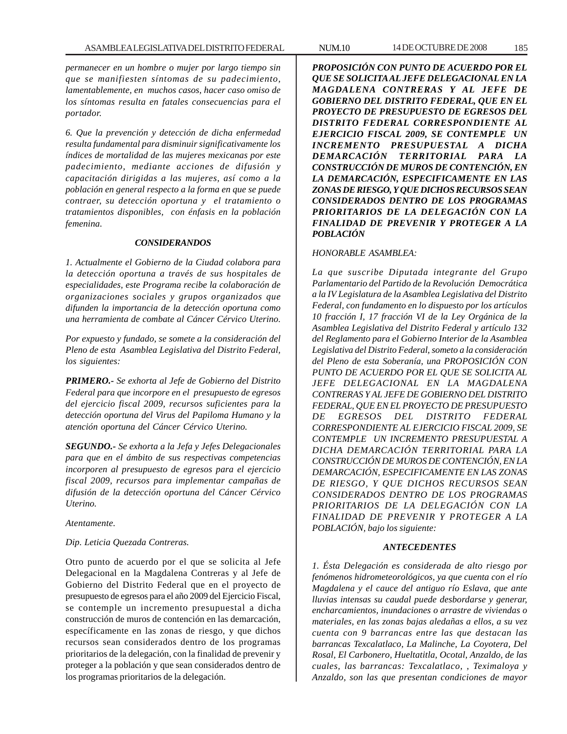*permanecer en un hombre o mujer por largo tiempo sin que se manifiesten síntomas de su padecimiento, lamentablemente, en muchos casos, hacer caso omiso de los síntomas resulta en fatales consecuencias para el portador.*

*6. Que la prevención y detección de dicha enfermedad resulta fundamental para disminuir significativamente los índices de mortalidad de las mujeres mexicanas por este padecimiento, mediante acciones de difusión y capacitación dirigidas a las mujeres, así como a la población en general respecto a la forma en que se puede contraer, su detección oportuna y el tratamiento o tratamientos disponibles, con énfasis en la población femenina.*

#### *CONSIDERANDOS*

*1. Actualmente el Gobierno de la Ciudad colabora para la detección oportuna a través de sus hospitales de especialidades, este Programa recibe la colaboración de organizaciones sociales y grupos organizados que difunden la importancia de la detección oportuna como una herramienta de combate al Cáncer Cérvico Uterino.*

*Por expuesto y fundado, se somete a la consideración del Pleno de esta Asamblea Legislativa del Distrito Federal, los siguientes:*

*PRIMERO.- Se exhorta al Jefe de Gobierno del Distrito Federal para que incorpore en el presupuesto de egresos del ejercicio fiscal 2009, recursos suficientes para la detección oportuna del Virus del Papiloma Humano y la atención oportuna del Cáncer Cérvico Uterino.*

*SEGUNDO.- Se exhorta a la Jefa y Jefes Delegacionales para que en el ámbito de sus respectivas competencias incorporen al presupuesto de egresos para el ejercicio fiscal 2009, recursos para implementar campañas de difusión de la detección oportuna del Cáncer Cérvico Uterino.*

*Atentamente.*

#### *Dip. Leticia Quezada Contreras.*

Otro punto de acuerdo por el que se solicita al Jefe Delegacional en la Magdalena Contreras y al Jefe de Gobierno del Distrito Federal que en el proyecto de presupuesto de egresos para el año 2009 del Ejercicio Fiscal, se contemple un incremento presupuestal a dicha construcción de muros de contención en las demarcación, específicamente en las zonas de riesgo, y que dichos recursos sean considerados dentro de los programas prioritarios de la delegación, con la finalidad de prevenir y proteger a la población y que sean considerados dentro de los programas prioritarios de la delegación.

*PROPOSICIÓN CON PUNTO DE ACUERDO POR EL QUE SE SOLICITA AL JEFE DELEGACIONAL EN LA MAGDALENA CONTRERAS Y AL JEFE DE GOBIERNO DEL DISTRITO FEDERAL, QUE EN EL PROYECTO DE PRESUPUESTO DE EGRESOS DEL DISTRITO FEDERAL CORRESPONDIENTE AL EJERCICIO FISCAL 2009, SE CONTEMPLE UN INCREMENTO PRESUPUESTAL A DICHA DEMARCACIÓN TERRITORIAL PARA LA CONSTRUCCIÓN DE MUROS DE CONTENCIÓN, EN LA DEMARCACIÓN, ESPECIFICAMENTE EN LAS ZONAS DE RIESGO, Y QUE DICHOS RECURSOS SEAN CONSIDERADOS DENTRO DE LOS PROGRAMAS PRIORITARIOS DE LA DELEGACIÓN CON LA FINALIDAD DE PREVENIR Y PROTEGER A LA POBLACIÓN*

#### *HONORABLE ASAMBLEA:*

*La que suscribe Diputada integrante del Grupo Parlamentario del Partido de la Revolución Democrática a la IV Legislatura de la Asamblea Legislativa del Distrito Federal, con fundamento en lo dispuesto por los artículos 10 fracción I, 17 fracción VI de la Ley Orgánica de la Asamblea Legislativa del Distrito Federal y artículo 132 del Reglamento para el Gobierno Interior de la Asamblea Legislativa del Distrito Federal, someto a la consideración del Pleno de esta Soberanía, una PROPOSICIÓN CON PUNTO DE ACUERDO POR EL QUE SE SOLICITA AL JEFE DELEGACIONAL EN LA MAGDALENA CONTRERAS Y AL JEFE DE GOBIERNO DEL DISTRITO FEDERAL, QUE EN EL PROYECTO DE PRESUPUESTO DE EGRESOS DEL DISTRITO FEDERAL CORRESPONDIENTE AL EJERCICIO FISCAL 2009, SE CONTEMPLE UN INCREMENTO PRESUPUESTAL A DICHA DEMARCACIÓN TERRITORIAL PARA LA CONSTRUCCIÓN DE MUROS DE CONTENCIÓN, EN LA DEMARCACIÓN, ESPECIFICAMENTE EN LAS ZONAS DE RIESGO, Y QUE DICHOS RECURSOS SEAN CONSIDERADOS DENTRO DE LOS PROGRAMAS PRIORITARIOS DE LA DELEGACIÓN CON LA FINALIDAD DE PREVENIR Y PROTEGER A LA POBLACIÓN, bajo los siguiente:*

### *ANTECEDENTES*

*1. Ésta Delegación es considerada de alto riesgo por fenómenos hidrometeorológicos, ya que cuenta con el río Magdalena y el cauce del antiguo río Eslava, que ante lluvias intensas su caudal puede desbordarse y generar, encharcamientos, inundaciones o arrastre de viviendas o materiales, en las zonas bajas aledañas a ellos, a su vez cuenta con 9 barrancas entre las que destacan las barrancas Texcalatlaco, La Malinche, La Coyotera, Del Rosal, El Carbonero, Hueltatitla, Ocotal, Anzaldo, de las cuales, las barrancas: Texcalatlaco, , Teximaloya y Anzaldo, son las que presentan condiciones de mayor*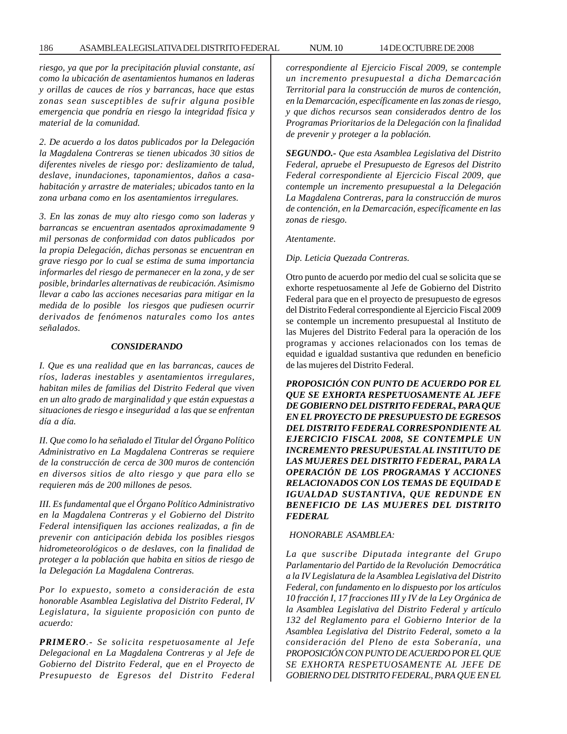#### 186 ASAMBLEA LEGISLATIVA DEL DISTRITO FEDERAL NUM. 10 14 DE OCTUBRE DE 2008

*riesgo, ya que por la precipitación pluvial constante, así como la ubicación de asentamientos humanos en laderas y orillas de cauces de ríos y barrancas, hace que estas zonas sean susceptibles de sufrir alguna posible emergencia que pondría en riesgo la integridad física y material de la comunidad.*

*2. De acuerdo a los datos publicados por la Delegación la Magdalena Contreras se tienen ubicados 30 sitios de diferentes niveles de riesgo por: deslizamiento de talud, deslave, inundaciones, taponamientos, daños a casahabitación y arrastre de materiales; ubicados tanto en la zona urbana como en los asentamientos irregulares.*

*3. En las zonas de muy alto riesgo como son laderas y barrancas se encuentran asentados aproximadamente 9 mil personas de conformidad con datos publicados por la propia Delegación, dichas personas se encuentran en grave riesgo por lo cual se estima de suma importancia informarles del riesgo de permanecer en la zona, y de ser posible, brindarles alternativas de reubicación. Asimismo llevar a cabo las acciones necesarias para mitigar en la medida de lo posible los riesgos que pudiesen ocurrir derivados de fenómenos naturales como los antes señalados.*

## *CONSIDERANDO*

*I. Que es una realidad que en las barrancas, cauces de ríos, laderas inestables y asentamientos irregulares, habitan miles de familias del Distrito Federal que viven en un alto grado de marginalidad y que están expuestas a situaciones de riesgo e inseguridad a las que se enfrentan día a día.*

*II. Que como lo ha señalado el Titular del Órgano Político Administrativo en La Magdalena Contreras se requiere de la construcción de cerca de 300 muros de contención en diversos sitios de alto riesgo y que para ello se requieren más de 200 millones de pesos.*

*III. Es fundamental que el Órgano Político Administrativo en la Magdalena Contreras y el Gobierno del Distrito Federal intensifiquen las acciones realizadas, a fin de prevenir con anticipación debida los posibles riesgos hidrometeorológicos o de deslaves, con la finalidad de proteger a la población que habita en sitios de riesgo de la Delegación La Magdalena Contreras.*

*Por lo expuesto, someto a consideración de esta honorable Asamblea Legislativa del Distrito Federal, IV Legislatura, la siguiente proposición con punto de acuerdo:*

*PRIMERO.- Se solicita respetuosamente al Jefe Delegacional en La Magdalena Contreras y al Jefe de Gobierno del Distrito Federal, que en el Proyecto de Presupuesto de Egresos del Distrito Federal* *correspondiente al Ejercicio Fiscal 2009, se contemple un incremento presupuestal a dicha Demarcación Territorial para la construcción de muros de contención, en la Demarcación, específicamente en las zonas de riesgo, y que dichos recursos sean considerados dentro de los Programas Prioritarios de la Delegación con la finalidad de prevenir y proteger a la población.*

*SEGUNDO.- Que esta Asamblea Legislativa del Distrito Federal, apruebe el Presupuesto de Egresos del Distrito Federal correspondiente al Ejercicio Fiscal 2009, que contemple un incremento presupuestal a la Delegación La Magdalena Contreras, para la construcción de muros de contención, en la Demarcación, específicamente en las zonas de riesgo.*

#### *Atentamente.*

#### *Dip. Leticia Quezada Contreras.*

Otro punto de acuerdo por medio del cual se solicita que se exhorte respetuosamente al Jefe de Gobierno del Distrito Federal para que en el proyecto de presupuesto de egresos del Distrito Federal correspondiente al Ejercicio Fiscal 2009 se contemple un incremento presupuestal al Instituto de las Mujeres del Distrito Federal para la operación de los programas y acciones relacionados con los temas de equidad e igualdad sustantiva que redunden en beneficio de las mujeres del Distrito Federal.

*PROPOSICIÓN CON PUNTO DE ACUERDO POR EL QUE SE EXHORTA RESPETUOSAMENTE AL JEFE DE GOBIERNO DEL DISTRITO FEDERAL, PARA QUE EN EL PROYECTO DE PRESUPUESTO DE EGRESOS DEL DISTRITO FEDERAL CORRESPONDIENTE AL EJERCICIO FISCAL 2008, SE CONTEMPLE UN INCREMENTO PRESUPUESTAL AL INSTITUTO DE LAS MUJERES DEL DISTRITO FEDERAL, PARA LA OPERACIÓN DE LOS PROGRAMAS Y ACCIONES RELACIONADOS CON LOS TEMAS DE EQUIDAD E IGUALDAD SUSTANTIVA, QUE REDUNDE EN BENEFICIO DE LAS MUJERES DEL DISTRITO FEDERAL*

### *HONORABLE ASAMBLEA:*

*La que suscribe Diputada integrante del Grupo Parlamentario del Partido de la Revolución Democrática a la IV Legislatura de la Asamblea Legislativa del Distrito Federal, con fundamento en lo dispuesto por los artículos 10 fracción I, 17 fracciones III y IV de la Ley Orgánica de la Asamblea Legislativa del Distrito Federal y artículo 132 del Reglamento para el Gobierno Interior de la Asamblea Legislativa del Distrito Federal, someto a la consideración del Pleno de esta Soberanía, una PROPOSICIÓN CON PUNTO DE ACUERDO POR EL QUE SE EXHORTA RESPETUOSAMENTE AL JEFE DE GOBIERNO DEL DISTRITO FEDERAL, PARA QUE EN EL*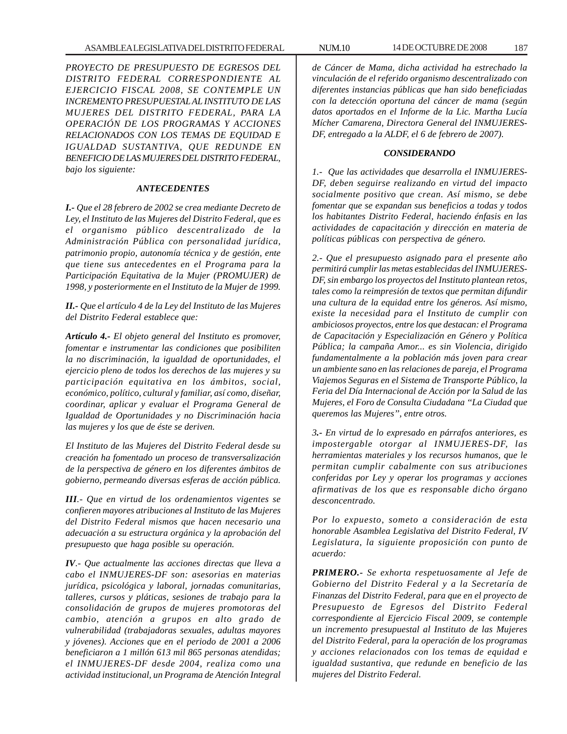*PROYECTO DE PRESUPUESTO DE EGRESOS DEL DISTRITO FEDERAL CORRESPONDIENTE AL EJERCICIO FISCAL 2008, SE CONTEMPLE UN INCREMENTO PRESUPUESTAL AL INSTITUTO DE LAS MUJERES DEL DISTRITO FEDERAL, PARA LA OPERACIÓN DE LOS PROGRAMAS Y ACCIONES RELACIONADOS CON LOS TEMAS DE EQUIDAD E IGUALDAD SUSTANTIVA, QUE REDUNDE EN BENEFICIO DE LAS MUJERES DEL DISTRITO FEDERAL, bajo los siguiente:*

## *ANTECEDENTES*

*I.- Que el 28 febrero de 2002 se crea mediante Decreto de Ley, el Instituto de las Mujeres del Distrito Federal, que es el organismo público descentralizado de la Administración Pública con personalidad jurídica, patrimonio propio, autonomía técnica y de gestión, ente que tiene sus antecedentes en el Programa para la Participación Equitativa de la Mujer (PROMUJER) de 1998, y posteriormente en el Instituto de la Mujer de 1999.*

*II.- Que el artículo 4 de la Ley del Instituto de las Mujeres del Distrito Federal establece que:*

*Artículo 4.- El objeto general del Instituto es promover, fomentar e instrumentar las condiciones que posibiliten la no discriminación, la igualdad de oportunidades, el ejercicio pleno de todos los derechos de las mujeres y su participación equitativa en los ámbitos, social, económico, político, cultural y familiar, así como, diseñar, coordinar, aplicar y evaluar el Programa General de Igualdad de Oportunidades y no Discriminación hacia las mujeres y los que de éste se deriven.*

*El Instituto de las Mujeres del Distrito Federal desde su creación ha fomentado un proceso de transversalización de la perspectiva de género en los diferentes ámbitos de gobierno, permeando diversas esferas de acción pública.*

*III.- Que en virtud de los ordenamientos vigentes se confieren mayores atribuciones al Instituto de las Mujeres del Distrito Federal mismos que hacen necesario una adecuación a su estructura orgánica y la aprobación del presupuesto que haga posible su operación.*

*IV.- Que actualmente las acciones directas que lleva a cabo el INMUJERES-DF son: asesorias en materias jurídica, psicológica y laboral, jornadas comunitarias, talleres, cursos y pláticas, sesiones de trabajo para la consolidación de grupos de mujeres promotoras del cambio, atención a grupos en alto grado de vulnerabilidad (trabajadoras sexuales, adultas mayores y jóvenes). Acciones que en el periodo de 2001 a 2006 beneficiaron a 1 millón 613 mil 865 personas atendidas; el INMUJERES-DF desde 2004, realiza como una actividad institucional, un Programa de Atención Integral*

*de Cáncer de Mama, dicha actividad ha estrechado la vinculación de el referido organismo descentralizado con diferentes instancias públicas que han sido beneficiadas con la detección oportuna del cáncer de mama (según datos aportados en el Informe de la Lic. Martha Lucía Mícher Camarena, Directora General del INMUJERES-DF, entregado a la ALDF, el 6 de febrero de 2007).*

#### *CONSIDERANDO*

*1.- Que las actividades que desarrolla el INMUJERES-DF, deben seguirse realizando en virtud del impacto socialmente positivo que crean. Así mismo, se debe fomentar que se expandan sus beneficios a todas y todos los habitantes Distrito Federal, haciendo énfasis en las actividades de capacitación y dirección en materia de políticas públicas con perspectiva de género.*

*2.- Que el presupuesto asignado para el presente año permitirá cumplir las metas establecidas del INMUJERES-DF, sin embargo los proyectos del Instituto plantean retos, tales como la reimpresión de textos que permitan difundir una cultura de la equidad entre los géneros. Así mismo, existe la necesidad para el Instituto de cumplir con ambiciosos proyectos, entre los que destacan: el Programa de Capacitación y Especialización en Género y Política Pública; la campaña Amor... es sin Violencia, dirigido fundamentalmente a la población más joven para crear un ambiente sano en las relaciones de pareja, el Programa Viajemos Seguras en el Sistema de Transporte Público, la Feria del Día Internacional de Acción por la Salud de las Mujeres, el Foro de Consulta Ciudadana ''La Ciudad que queremos las Mujeres'', entre otros.*

*3.- En virtud de lo expresado en párrafos anteriores, es impostergable otorgar al INMUJERES-DF, las herramientas materiales y los recursos humanos, que le permitan cumplir cabalmente con sus atribuciones conferidas por Ley y operar los programas y acciones afirmativas de los que es responsable dicho órgano desconcentrado.*

*Por lo expuesto, someto a consideración de esta honorable Asamblea Legislativa del Distrito Federal, IV Legislatura, la siguiente proposición con punto de acuerdo:*

*PRIMERO.- Se exhorta respetuosamente al Jefe de Gobierno del Distrito Federal y a la Secretaría de Finanzas del Distrito Federal, para que en el proyecto de Presupuesto de Egresos del Distrito Federal correspondiente al Ejercicio Fiscal 2009, se contemple un incremento presupuestal al Instituto de las Mujeres del Distrito Federal, para la operación de los programas y acciones relacionados con los temas de equidad e igualdad sustantiva, que redunde en beneficio de las mujeres del Distrito Federal.*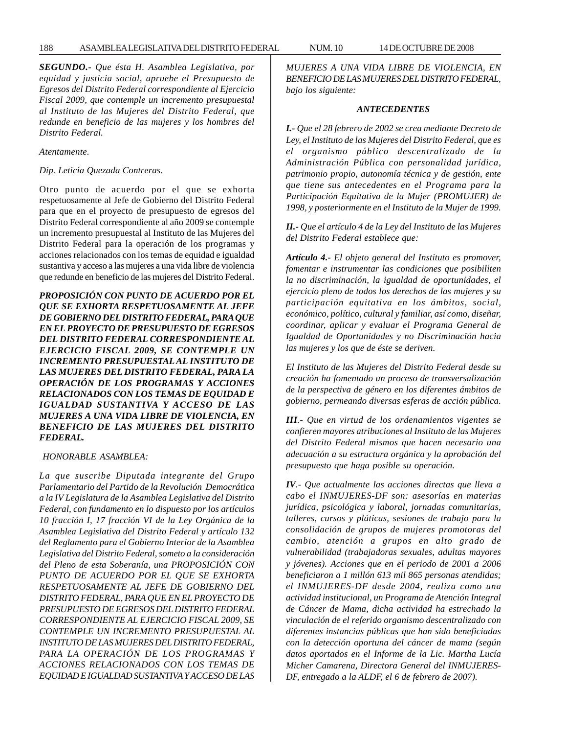*SEGUNDO.- Que ésta H. Asamblea Legislativa, por equidad y justicia social, apruebe el Presupuesto de Egresos del Distrito Federal correspondiente al Ejercicio Fiscal 2009, que contemple un incremento presupuestal al Instituto de las Mujeres del Distrito Federal, que redunde en beneficio de las mujeres y los hombres del Distrito Federal.*

*Atentamente.*

*Dip. Leticia Quezada Contreras.*

Otro punto de acuerdo por el que se exhorta respetuosamente al Jefe de Gobierno del Distrito Federal para que en el proyecto de presupuesto de egresos del Distrito Federal correspondiente al año 2009 se contemple un incremento presupuestal al Instituto de las Mujeres del Distrito Federal para la operación de los programas y acciones relacionados con los temas de equidad e igualdad sustantiva y acceso a las mujeres a una vida libre de violencia que redunde en beneficio de las mujeres del Distrito Federal.

*PROPOSICIÓN CON PUNTO DE ACUERDO POR EL QUE SE EXHORTA RESPETUOSAMENTE AL JEFE DE GOBIERNO DEL DISTRITO FEDERAL, PARA QUE EN EL PROYECTO DE PRESUPUESTO DE EGRESOS DEL DISTRITO FEDERAL CORRESPONDIENTE AL EJERCICIO FISCAL 2009, SE CONTEMPLE UN INCREMENTO PRESUPUESTAL AL INSTITUTO DE LAS MUJERES DEL DISTRITO FEDERAL, PARA LA OPERACIÓN DE LOS PROGRAMAS Y ACCIONES RELACIONADOS CON LOS TEMAS DE EQUIDAD E IGUALDAD SUSTANTIVA Y ACCESO DE LAS MUJERES A UNA VIDA LIBRE DE VIOLENCIA, EN BENEFICIO DE LAS MUJERES DEL DISTRITO FEDERAL.*

#### *HONORABLE ASAMBLEA:*

*La que suscribe Diputada integrante del Grupo Parlamentario del Partido de la Revolución Democrática a la IV Legislatura de la Asamblea Legislativa del Distrito Federal, con fundamento en lo dispuesto por los artículos 10 fracción I, 17 fracción VI de la Ley Orgánica de la Asamblea Legislativa del Distrito Federal y artículo 132 del Reglamento para el Gobierno Interior de la Asamblea Legislativa del Distrito Federal, someto a la consideración del Pleno de esta Soberanía, una PROPOSICIÓN CON PUNTO DE ACUERDO POR EL QUE SE EXHORTA RESPETUOSAMENTE AL JEFE DE GOBIERNO DEL DISTRITO FEDERAL, PARA QUE EN EL PROYECTO DE PRESUPUESTO DE EGRESOS DEL DISTRITO FEDERAL CORRESPONDIENTE AL EJERCICIO FISCAL 2009, SE CONTEMPLE UN INCREMENTO PRESUPUESTAL AL INSTITUTO DE LAS MUJERES DEL DISTRITO FEDERAL, PARA LA OPERACIÓN DE LOS PROGRAMAS Y ACCIONES RELACIONADOS CON LOS TEMAS DE EQUIDAD E IGUALDAD SUSTANTIVA Y ACCESO DE LAS* *MUJERES A UNA VIDA LIBRE DE VIOLENCIA, EN BENEFICIO DE LAS MUJERES DEL DISTRITO FEDERAL, bajo los siguiente:*

#### *ANTECEDENTES*

*I.- Que el 28 febrero de 2002 se crea mediante Decreto de Ley, el Instituto de las Mujeres del Distrito Federal, que es el organismo público descentralizado de la Administración Pública con personalidad jurídica, patrimonio propio, autonomía técnica y de gestión, ente que tiene sus antecedentes en el Programa para la Participación Equitativa de la Mujer (PROMUJER) de 1998, y posteriormente en el Instituto de la Mujer de 1999.*

*II.- Que el artículo 4 de la Ley del Instituto de las Mujeres del Distrito Federal establece que:*

*Artículo 4.- El objeto general del Instituto es promover, fomentar e instrumentar las condiciones que posibiliten la no discriminación, la igualdad de oportunidades, el ejercicio pleno de todos los derechos de las mujeres y su participación equitativa en los ámbitos, social, económico, político, cultural y familiar, así como, diseñar, coordinar, aplicar y evaluar el Programa General de Igualdad de Oportunidades y no Discriminación hacia las mujeres y los que de éste se deriven.*

*El Instituto de las Mujeres del Distrito Federal desde su creación ha fomentado un proceso de transversalización de la perspectiva de género en los diferentes ámbitos de gobierno, permeando diversas esferas de acción pública.*

*III.- Que en virtud de los ordenamientos vigentes se confieren mayores atribuciones al Instituto de las Mujeres del Distrito Federal mismos que hacen necesario una adecuación a su estructura orgánica y la aprobación del presupuesto que haga posible su operación.*

*IV.- Que actualmente las acciones directas que lleva a cabo el INMUJERES-DF son: asesorías en materias jurídica, psicológica y laboral, jornadas comunitarias, talleres, cursos y pláticas, sesiones de trabajo para la consolidación de grupos de mujeres promotoras del cambio, atención a grupos en alto grado de vulnerabilidad (trabajadoras sexuales, adultas mayores y jóvenes). Acciones que en el periodo de 2001 a 2006 beneficiaron a 1 millón 613 mil 865 personas atendidas; el INMUJERES-DF desde 2004, realiza como una actividad institucional, un Programa de Atención Integral de Cáncer de Mama, dicha actividad ha estrechado la vinculación de el referido organismo descentralizado con diferentes instancias públicas que han sido beneficiadas con la detección oportuna del cáncer de mama (según datos aportados en el Informe de la Lic. Martha Lucía Micher Camarena, Directora General del INMUJERES-DF, entregado a la ALDF, el 6 de febrero de 2007).*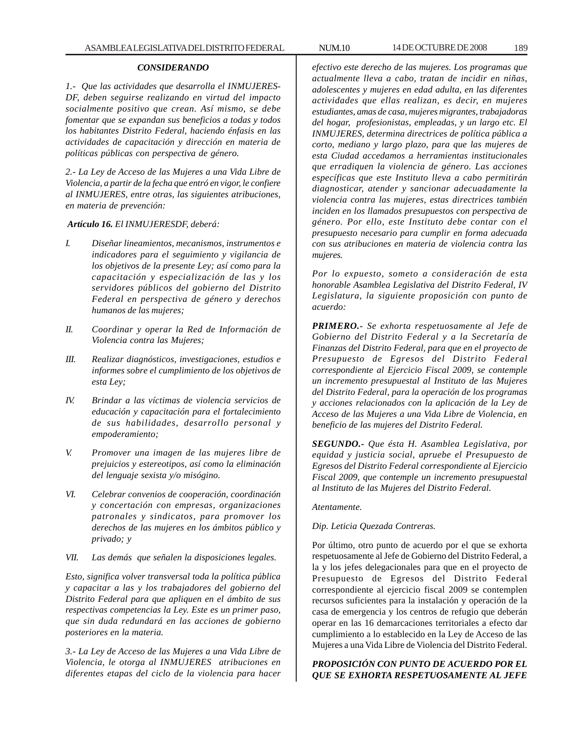### *CONSIDERANDO*

*1.- Que las actividades que desarrolla el INMUJERES-DF, deben seguirse realizando en virtud del impacto socialmente positivo que crean. Así mismo, se debe fomentar que se expandan sus beneficios a todas y todos los habitantes Distrito Federal, haciendo énfasis en las actividades de capacitación y dirección en materia de políticas públicas con perspectiva de género.*

*2.- La Ley de Acceso de las Mujeres a una Vida Libre de Violencia, a partir de la fecha que entró en vigor, le confiere al INMUJERES, entre otras, las siguientes atribuciones, en materia de prevención:*

#### *Artículo 16. El INMUJERESDF, deberá:*

- *I. Diseñar lineamientos, mecanismos, instrumentos e indicadores para el seguimiento y vigilancia de los objetivos de la presente Ley; así como para la capacitación y especialización de las y los servidores públicos del gobierno del Distrito Federal en perspectiva de género y derechos humanos de las mujeres;*
- *II. Coordinar y operar la Red de Información de Violencia contra las Mujeres;*
- *III. Realizar diagnósticos, investigaciones, estudios e informes sobre el cumplimiento de los objetivos de esta Ley;*
- *IV. Brindar a las víctimas de violencia servicios de educación y capacitación para el fortalecimiento de sus habilidades, desarrollo personal y empoderamiento;*
- *V. Promover una imagen de las mujeres libre de prejuicios y estereotipos, así como la eliminación del lenguaje sexista y/o misógino.*
- *VI. Celebrar convenios de cooperación, coordinación y concertación con empresas, organizaciones patronales y sindicatos, para promover los derechos de las mujeres en los ámbitos público y privado; y*
- *VII. Las demás que señalen la disposiciones legales.*

*Esto, significa volver transversal toda la política pública y capacitar a las y los trabajadores del gobierno del Distrito Federal para que apliquen en el ámbito de sus respectivas competencias la Ley. Este es un primer paso, que sin duda redundará en las acciones de gobierno posteriores en la materia.*

*3.- La Ley de Acceso de las Mujeres a una Vida Libre de Violencia, le otorga al INMUJERES atribuciones en diferentes etapas del ciclo de la violencia para hacer*

*efectivo este derecho de las mujeres. Los programas que actualmente lleva a cabo, tratan de incidir en niñas, adolescentes y mujeres en edad adulta, en las diferentes actividades que ellas realizan, es decir, en mujeres estudiantes, amas de casa, mujeres migrantes, trabajadoras del hogar, profesionistas, empleadas, y un largo etc. El INMUJERES, determina directrices de política pública a corto, mediano y largo plazo, para que las mujeres de esta Ciudad accedamos a herramientas institucionales que erradiquen la violencia de género. Las acciones específicas que este Instituto lleva a cabo permitirán diagnosticar, atender y sancionar adecuadamente la violencia contra las mujeres, estas directrices también inciden en los llamados presupuestos con perspectiva de género. Por ello, este Instituto debe contar con el presupuesto necesario para cumplir en forma adecuada con sus atribuciones en materia de violencia contra las mujeres.*

*Por lo expuesto, someto a consideración de esta honorable Asamblea Legislativa del Distrito Federal, IV Legislatura, la siguiente proposición con punto de acuerdo:*

*PRIMERO.- Se exhorta respetuosamente al Jefe de Gobierno del Distrito Federal y a la Secretaría de Finanzas del Distrito Federal, para que en el proyecto de Presupuesto de Egresos del Distrito Federal correspondiente al Ejercicio Fiscal 2009, se contemple un incremento presupuestal al Instituto de las Mujeres del Distrito Federal, para la operación de los programas y acciones relacionados con la aplicación de la Ley de Acceso de las Mujeres a una Vida Libre de Violencia, en beneficio de las mujeres del Distrito Federal.*

*SEGUNDO.- Que ésta H. Asamblea Legislativa, por equidad y justicia social, apruebe el Presupuesto de Egresos del Distrito Federal correspondiente al Ejercicio Fiscal 2009, que contemple un incremento presupuestal al Instituto de las Mujeres del Distrito Federal.*

#### *Atentamente.*

*Dip. Leticia Quezada Contreras.*

Por último, otro punto de acuerdo por el que se exhorta respetuosamente al Jefe de Gobierno del Distrito Federal, a la y los jefes delegacionales para que en el proyecto de Presupuesto de Egresos del Distrito Federal correspondiente al ejercicio fiscal 2009 se contemplen recursos suficientes para la instalación y operación de la casa de emergencia y los centros de refugio que deberán operar en las 16 demarcaciones territoriales a efecto dar cumplimiento a lo establecido en la Ley de Acceso de las Mujeres a una Vida Libre de Violencia del Distrito Federal.

# *PROPOSICIÓN CON PUNTO DE ACUERDO POR EL QUE SE EXHORTA RESPETUOSAMENTE AL JEFE*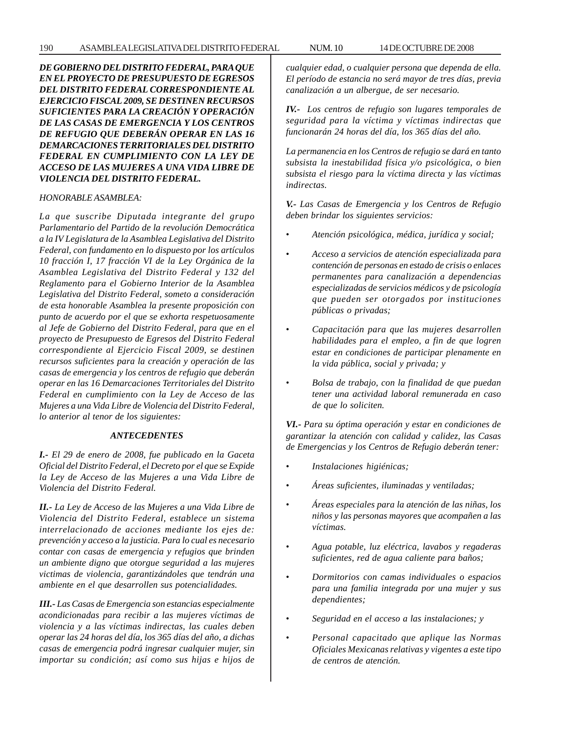*DE GOBIERNO DEL DISTRITO FEDERAL, PARA QUE EN EL PROYECTO DE PRESUPUESTO DE EGRESOS DEL DISTRITO FEDERAL CORRESPONDIENTE AL EJERCICIO FISCAL 2009, SE DESTINEN RECURSOS SUFICIENTES PARA LA CREACIÓN Y OPERACIÓN DE LAS CASAS DE EMERGENCIA Y LOS CENTROS DE REFUGIO QUE DEBERÁN OPERAR EN LAS 16 DEMARCACIONES TERRITORIALES DEL DISTRITO FEDERAL EN CUMPLIMIENTO CON LA LEY DE ACCESO DE LAS MUJERES A UNA VIDA LIBRE DE VIOLENCIA DEL DISTRITO FEDERAL.*

#### *HONORABLE ASAMBLEA:*

*La que suscribe Diputada integrante del grupo Parlamentario del Partido de la revolución Democrática a la IV Legislatura de la Asamblea Legislativa del Distrito Federal, con fundamento en lo dispuesto por los artículos 10 fracción I, 17 fracción VI de la Ley Orgánica de la Asamblea Legislativa del Distrito Federal y 132 del Reglamento para el Gobierno Interior de la Asamblea Legislativa del Distrito Federal, someto a consideración de esta honorable Asamblea la presente proposición con punto de acuerdo por el que se exhorta respetuosamente al Jefe de Gobierno del Distrito Federal, para que en el proyecto de Presupuesto de Egresos del Distrito Federal correspondiente al Ejercicio Fiscal 2009, se destinen recursos suficientes para la creación y operación de las casas de emergencia y los centros de refugio que deberán operar en las 16 Demarcaciones Territoriales del Distrito Federal en cumplimiento con la Ley de Acceso de las Mujeres a una Vida Libre de Violencia del Distrito Federal, lo anterior al tenor de los siguientes:*

### *ANTECEDENTES*

*I.- El 29 de enero de 2008, fue publicado en la Gaceta Oficial del Distrito Federal, el Decreto por el que se Expide la Ley de Acceso de las Mujeres a una Vida Libre de Violencia del Distrito Federal.*

*II.- La Ley de Acceso de las Mujeres a una Vida Libre de Violencia del Distrito Federal, establece un sistema interrelacionado de acciones mediante los ejes de: prevención y acceso a la justicia. Para lo cual es necesario contar con casas de emergencia y refugios que brinden un ambiente digno que otorgue seguridad a las mujeres victimas de violencia, garantizándoles que tendrán una ambiente en el que desarrollen sus potencialidades.*

*III.- Las Casas de Emergencia son estancias especialmente acondicionadas para recibir a las mujeres víctimas de violencia y a las víctimas indirectas, las cuales deben operar las 24 horas del día, los 365 días del año, a dichas casas de emergencia podrá ingresar cualquier mujer, sin importar su condición; así como sus hijas e hijos de*

*cualquier edad, o cualquier persona que dependa de ella. El período de estancia no será mayor de tres días, previa canalización a un albergue, de ser necesario.*

*IV.- Los centros de refugio son lugares temporales de seguridad para la víctima y víctimas indirectas que funcionarán 24 horas del día, los 365 días del año.*

*La permanencia en los Centros de refugio se dará en tanto subsista la inestabilidad física y/o psicológica, o bien subsista el riesgo para la víctima directa y las víctimas indirectas.*

*V.- Las Casas de Emergencia y los Centros de Refugio deben brindar los siguientes servicios:*

- *Atención psicológica, médica, jurídica y social;*
- *Acceso a servicios de atención especializada para contención de personas en estado de crisis o enlaces permanentes para canalización a dependencias especializadas de servicios médicos y de psicología que pueden ser otorgados por instituciones públicas o privadas;*
- *Capacitación para que las mujeres desarrollen habilidades para el empleo, a fin de que logren estar en condiciones de participar plenamente en la vida pública, social y privada; y*
- *Bolsa de trabajo, con la finalidad de que puedan tener una actividad laboral remunerada en caso de que lo soliciten.*

*VI.- Para su óptima operación y estar en condiciones de garantizar la atención con calidad y calidez, las Casas de Emergencias y los Centros de Refugio deberán tener:*

- *Instalaciones higiénicas;*
- *Áreas suficientes, iluminadas y ventiladas;*
- *Áreas especiales para la atención de las niñas, los niños y las personas mayores que acompañen a las víctimas.*
- *Agua potable, luz eléctrica, lavabos y regaderas suficientes, red de agua caliente para baños;*
- *Dormitorios con camas individuales o espacios para una familia integrada por una mujer y sus dependientes;*
- *Seguridad en el acceso a las instalaciones; y*
- *Personal capacitado que aplique las Normas Oficiales Mexicanas relativas y vigentes a este tipo de centros de atención.*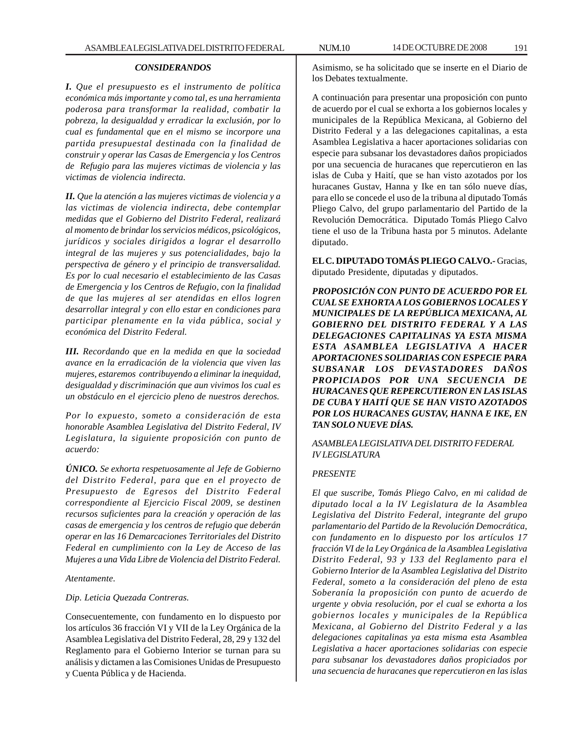#### *CONSIDERANDOS*

*I. Que el presupuesto es el instrumento de política económica más importante y como tal, es una herramienta poderosa para transformar la realidad, combatir la pobreza, la desigualdad y erradicar la exclusión, por lo cual es fundamental que en el mismo se incorpore una partida presupuestal destinada con la finalidad de construir y operar las Casas de Emergencia y los Centros de Refugio para las mujeres victimas de violencia y las victimas de violencia indirecta.*

*II. Que la atención a las mujeres victimas de violencia y a las victimas de violencia indirecta, debe contemplar medidas que el Gobierno del Distrito Federal, realizará al momento de brindar los servicios médicos, psicológicos, jurídicos y sociales dirigidos a lograr el desarrollo integral de las mujeres y sus potencialidades, bajo la perspectiva de género y el principio de transversalidad. Es por lo cual necesario el establecimiento de las Casas de Emergencia y los Centros de Refugio, con la finalidad de que las mujeres al ser atendidas en ellos logren desarrollar integral y con ello estar en condiciones para participar plenamente en la vida pública, social y económica del Distrito Federal.*

*III. Recordando que en la medida en que la sociedad avance en la erradicación de la violencia que viven las mujeres, estaremos contribuyendo a eliminar la inequidad, desigualdad y discriminación que aun vivimos los cual es un obstáculo en el ejercicio pleno de nuestros derechos.*

*Por lo expuesto, someto a consideración de esta honorable Asamblea Legislativa del Distrito Federal, IV Legislatura, la siguiente proposición con punto de acuerdo:*

*ÚNICO. Se exhorta respetuosamente al Jefe de Gobierno del Distrito Federal, para que en el proyecto de Presupuesto de Egresos del Distrito Federal correspondiente al Ejercicio Fiscal 2009, se destinen recursos suficientes para la creación y operación de las casas de emergencia y los centros de refugio que deberán operar en las 16 Demarcaciones Territoriales del Distrito Federal en cumplimiento con la Ley de Acceso de las Mujeres a una Vida Libre de Violencia del Distrito Federal.*

### *Atentamente.*

### *Dip. Leticia Quezada Contreras.*

Consecuentemente, con fundamento en lo dispuesto por los artículos 36 fracción VI y VII de la Ley Orgánica de la Asamblea Legislativa del Distrito Federal, 28, 29 y 132 del Reglamento para el Gobierno Interior se turnan para su análisis y dictamen a las Comisiones Unidas de Presupuesto y Cuenta Pública y de Hacienda.

Asimismo, se ha solicitado que se inserte en el Diario de los Debates textualmente.

A continuación para presentar una proposición con punto de acuerdo por el cual se exhorta a los gobiernos locales y municipales de la República Mexicana, al Gobierno del Distrito Federal y a las delegaciones capitalinas, a esta Asamblea Legislativa a hacer aportaciones solidarias con especie para subsanar los devastadores daños propiciados por una secuencia de huracanes que repercutieron en las islas de Cuba y Haití, que se han visto azotados por los huracanes Gustav, Hanna y Ike en tan sólo nueve días, para ello se concede el uso de la tribuna al diputado Tomás Pliego Calvo, del grupo parlamentario del Partido de la Revolución Democrática. Diputado Tomás Pliego Calvo tiene el uso de la Tribuna hasta por 5 minutos. Adelante diputado.

**EL C. DIPUTADO TOMÁS PLIEGO CALVO.-** Gracias, diputado Presidente, diputadas y diputados.

*PROPOSICIÓN CON PUNTO DE ACUERDO POR EL CUAL SE EXHORTA A LOS GOBIERNOS LOCALES Y MUNICIPALES DE LA REPÚBLICA MEXICANA, AL GOBIERNO DEL DISTRITO FEDERAL Y A LAS DELEGACIONES CAPITALINAS YA ESTA MISMA ESTA ASAMBLEA LEGISLATIVA A HACER APORTACIONES SOLIDARIAS CON ESPECIE PARA SUBSANAR LOS DEVASTADORES DAÑOS PROPICIADOS POR UNA SECUENCIA DE HURACANES QUE REPERCUTIERON EN LAS ISLAS DE CUBA Y HAITÍ QUE SE HAN VISTO AZOTADOS POR LOS HURACANES GUSTAV, HANNA E IKE, EN TAN SOLO NUEVE DÍAS.*

# *ASAMBLEA LEGISLATIVA DEL DISTRITO FEDERAL IV LEGISLATURA*

# *PRESENTE*

*El que suscribe, Tomás Pliego Calvo, en mi calidad de diputado local a la IV Legislatura de la Asamblea Legislativa del Distrito Federal, integrante del grupo parlamentario del Partido de la Revolución Democrática, con fundamento en lo dispuesto por los artículos 17 fracción VI de la Ley Orgánica de la Asamblea Legislativa Distrito Federal, 93 y 133 del Reglamento para el Gobierno Interior de la Asamblea Legislativa del Distrito Federal, someto a la consideración del pleno de esta Soberanía la proposición con punto de acuerdo de urgente y obvia resolución, por el cual se exhorta a los gobiernos locales y municipales de la República Mexicana, al Gobierno del Distrito Federal y a las delegaciones capitalinas ya esta misma esta Asamblea Legislativa a hacer aportaciones solidarias con especie para subsanar los devastadores daños propiciados por una secuencia de huracanes que repercutieron en las islas*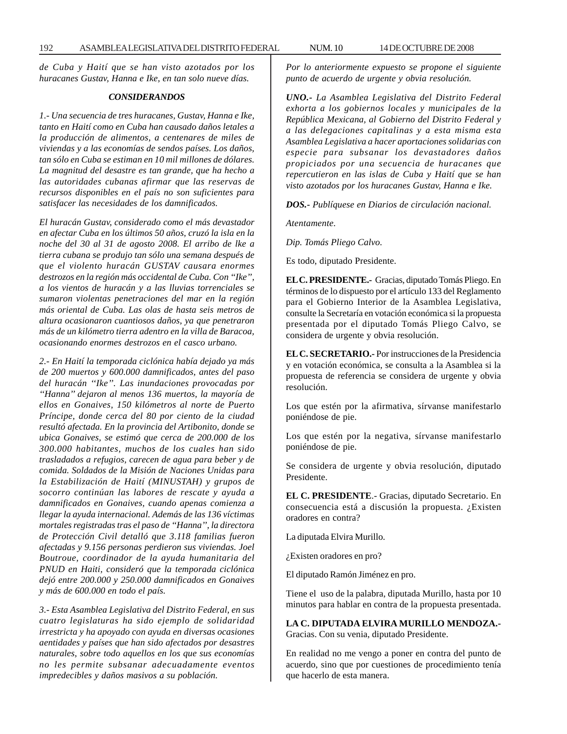*de Cuba y Haití que se han visto azotados por los huracanes Gustav, Hanna e Ike, en tan solo nueve días.*

### *CONSIDERANDOS*

*1.- Una secuencia de tres huracanes, Gustav, Hanna e Ike, tanto en Haití como en Cuba han causado daños letales a la producción de alimentos, a centenares de miles de viviendas y a las economías de sendos países. Los daños, tan sólo en Cuba se estiman en 10 mil millones de dólares. La magnitud del desastre es tan grande, que ha hecho a las autoridades cubanas afirmar que las reservas de recursos disponibles en el país no son suficientes para satisfacer las necesidades de los damnificados.*

*El huracán Gustav, considerado como el más devastador en afectar Cuba en los últimos 50 años, cruzó la isla en la noche del 30 al 31 de agosto 2008. El arribo de lke a tierra cubana se produjo tan sólo una semana después de que el violento huracán GUSTAV causara enormes destrozos en la región más occidental de Cuba. Con ''Ike'', a los vientos de huracán y a las lluvias torrenciales se sumaron violentas penetraciones del mar en la región más oriental de Cuba. Las olas de hasta seis metros de altura ocasionaron cuantiosos daños, ya que penetraron más de un kilómetro tierra adentro en la villa de Baracoa, ocasionando enormes destrozos en el casco urbano.*

*2.- En Haití la temporada ciclónica había dejado ya más de 200 muertos y 600.000 damnificados, antes del paso del huracán ''Ike''. Las inundaciones provocadas por ''Hanna'' dejaron al menos 136 muertos, la mayoría de ellos en Gonaives, 150 kilómetros al norte de Puerto Príncipe, donde cerca del 80 por ciento de la ciudad resultó afectada. En la provincia del Artibonito, donde se ubica Gonaives, se estimó que cerca de 200.000 de los 300.000 habitantes, muchos de los cuales han sido trasladados a refugios, carecen de agua para beber y de comida. Soldados de la Misión de Naciones Unidas para la Estabilización de Haití (MINUSTAH) y grupos de socorro continúan las labores de rescate y ayuda a damnificados en Gonaives, cuando apenas comienza a llegar la ayuda internacional. Además de las 136 víctimas mortales registradas tras el paso de ''Hanna'', la directora de Protección Civil detalló que 3.118 familias fueron afectadas y 9.156 personas perdieron sus viviendas. Joel Boutroue, coordinador de la ayuda humanitaria del PNUD en Haiti, consideró que la temporada ciclónica dejó entre 200.000 y 250.000 damnificados en Gonaives y más de 600.000 en todo el país.*

*3.- Esta Asamblea Legislativa del Distrito Federal, en sus cuatro legislaturas ha sido ejemplo de solidaridad irrestricta y ha apoyado con ayuda en diversas ocasiones aentidades y países que han sido afectados por desastres naturales, sobre todo aquellos en los que sus economías no les permite subsanar adecuadamente eventos impredecibles y daños masivos a su población.*

*Por lo anteriormente expuesto se propone el siguiente punto de acuerdo de urgente y obvia resolución.*

*UNO.- La Asamblea Legislativa del Distrito Federal exhorta a los gobiernos locales y municipales de la República Mexicana, al Gobierno del Distrito Federal y a las delegaciones capitalinas y a esta misma esta Asamblea Legislativa a hacer aportaciones solidarias con especie para subsanar los devastadores daños propiciados por una secuencia de huracanes que repercutieron en las islas de Cuba y Haití que se han visto azotados por los huracanes Gustav, Hanna e Ike.*

*DOS.- Publíquese en Diarios de circulación nacional.*

*Atentamente.*

*Dip. Tomás Pliego Calvo.*

Es todo, diputado Presidente.

**EL C. PRESIDENTE.-** Gracias, diputado Tomás Pliego. En términos de lo dispuesto por el artículo 133 del Reglamento para el Gobierno Interior de la Asamblea Legislativa, consulte la Secretaría en votación económica si la propuesta presentada por el diputado Tomás Pliego Calvo, se considera de urgente y obvia resolución.

**EL C. SECRETARIO.-** Por instrucciones de la Presidencia y en votación económica, se consulta a la Asamblea si la propuesta de referencia se considera de urgente y obvia resolución.

Los que estén por la afirmativa, sírvanse manifestarlo poniéndose de pie.

Los que estén por la negativa, sírvanse manifestarlo poniéndose de pie.

Se considera de urgente y obvia resolución, diputado Presidente.

**EL C. PRESIDENTE**.- Gracias, diputado Secretario. En consecuencia está a discusión la propuesta. ¿Existen oradores en contra?

La diputada Elvira Murillo.

¿Existen oradores en pro?

El diputado Ramón Jiménez en pro.

Tiene el uso de la palabra, diputada Murillo, hasta por 10 minutos para hablar en contra de la propuesta presentada.

**LA C. DIPUTADA ELVIRA MURILLO MENDOZA.-** Gracias. Con su venia, diputado Presidente.

En realidad no me vengo a poner en contra del punto de acuerdo, sino que por cuestiones de procedimiento tenía que hacerlo de esta manera.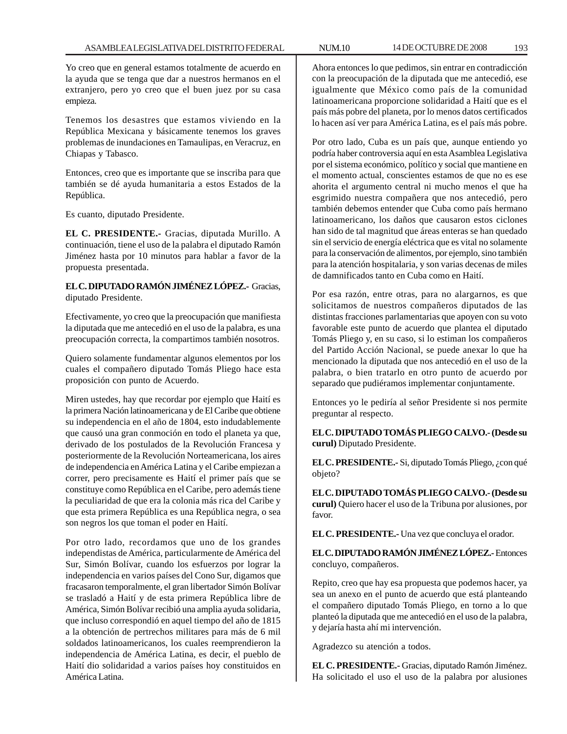Yo creo que en general estamos totalmente de acuerdo en la ayuda que se tenga que dar a nuestros hermanos en el extranjero, pero yo creo que el buen juez por su casa empieza.

Tenemos los desastres que estamos viviendo en la República Mexicana y básicamente tenemos los graves problemas de inundaciones en Tamaulipas, en Veracruz, en Chiapas y Tabasco.

Entonces, creo que es importante que se inscriba para que también se dé ayuda humanitaria a estos Estados de la República.

Es cuanto, diputado Presidente.

**EL C. PRESIDENTE.-** Gracias, diputada Murillo. A continuación, tiene el uso de la palabra el diputado Ramón Jiménez hasta por 10 minutos para hablar a favor de la propuesta presentada.

**EL C. DIPUTADO RAMÓN JIMÉNEZ LÓPEZ.-** Gracias, diputado Presidente.

Efectivamente, yo creo que la preocupación que manifiesta la diputada que me antecedió en el uso de la palabra, es una preocupación correcta, la compartimos también nosotros.

Quiero solamente fundamentar algunos elementos por los cuales el compañero diputado Tomás Pliego hace esta proposición con punto de Acuerdo.

Miren ustedes, hay que recordar por ejemplo que Haití es la primera Nación latinoamericana y de El Caribe que obtiene su independencia en el año de 1804, esto indudablemente que causó una gran conmoción en todo el planeta ya que, derivado de los postulados de la Revolución Francesa y posteriormente de la Revolución Norteamericana, los aires de independencia en América Latina y el Caribe empiezan a correr, pero precisamente es Haití el primer país que se constituye como República en el Caribe, pero además tiene la peculiaridad de que era la colonia más rica del Caribe y que esta primera República es una República negra, o sea son negros los que toman el poder en Haití.

Por otro lado, recordamos que uno de los grandes independistas de América, particularmente de América del Sur, Simón Bolívar, cuando los esfuerzos por lograr la independencia en varios países del Cono Sur, digamos que fracasaron temporalmente, el gran libertador Simón Bolívar se trasladó a Haití y de esta primera República libre de América, Simón Bolívar recibió una amplia ayuda solidaria, que incluso correspondió en aquel tiempo del año de 1815 a la obtención de pertrechos militares para más de 6 mil soldados latinoamericanos, los cuales reemprendieron la independencia de América Latina, es decir, el pueblo de Haití dio solidaridad a varios países hoy constituidos en América Latina.

Ahora entonces lo que pedimos, sin entrar en contradicción con la preocupación de la diputada que me antecedió, ese igualmente que México como país de la comunidad latinoamericana proporcione solidaridad a Haití que es el país más pobre del planeta, por lo menos datos certificados lo hacen así ver para América Latina, es el país más pobre.

Por otro lado, Cuba es un país que, aunque entiendo yo podría haber controversia aquí en esta Asamblea Legislativa por el sistema económico, político y social que mantiene en el momento actual, conscientes estamos de que no es ese ahorita el argumento central ni mucho menos el que ha esgrimido nuestra compañera que nos antecedió, pero también debemos entender que Cuba como país hermano latinoamericano, los daños que causaron estos ciclones han sido de tal magnitud que áreas enteras se han quedado sin el servicio de energía eléctrica que es vital no solamente para la conservación de alimentos, por ejemplo, sino también para la atención hospitalaria, y son varias decenas de miles de damnificados tanto en Cuba como en Haití.

Por esa razón, entre otras, para no alargarnos, es que solicitamos de nuestros compañeros diputados de las distintas fracciones parlamentarias que apoyen con su voto favorable este punto de acuerdo que plantea el diputado Tomás Pliego y, en su caso, si lo estiman los compañeros del Partido Acción Nacional, se puede anexar lo que ha mencionado la diputada que nos antecedió en el uso de la palabra, o bien tratarlo en otro punto de acuerdo por separado que pudiéramos implementar conjuntamente.

Entonces yo le pediría al señor Presidente si nos permite preguntar al respecto.

**EL C. DIPUTADO TOMÁS PLIEGO CALVO.- (Desde su curul)** Diputado Presidente.

**EL C. PRESIDENTE.-** Si, diputado Tomás Pliego, ¿con qué objeto?

**EL C. DIPUTADO TOMÁS PLIEGO CALVO.- (Desde su curul)** Quiero hacer el uso de la Tribuna por alusiones, por favor.

**EL C. PRESIDENTE.-** Una vez que concluya el orador.

**EL C. DIPUTADO RAMÓN JIMÉNEZ LÓPEZ.-** Entonces concluyo, compañeros.

Repito, creo que hay esa propuesta que podemos hacer, ya sea un anexo en el punto de acuerdo que está planteando el compañero diputado Tomás Pliego, en torno a lo que planteó la diputada que me antecedió en el uso de la palabra, y dejaría hasta ahí mi intervención.

Agradezco su atención a todos.

**EL C. PRESIDENTE.-** Gracias, diputado Ramón Jiménez. Ha solicitado el uso el uso de la palabra por alusiones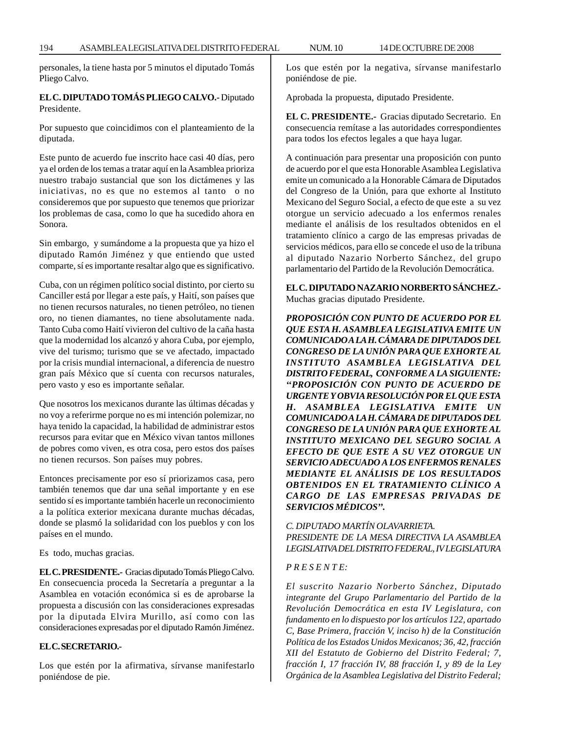personales, la tiene hasta por 5 minutos el diputado Tomás Pliego Calvo.

# **EL C. DIPUTADO TOMÁS PLIEGO CALVO.-** Diputado Presidente.

Por supuesto que coincidimos con el planteamiento de la diputada.

Este punto de acuerdo fue inscrito hace casi 40 días, pero ya el orden de los temas a tratar aquí en la Asamblea prioriza nuestro trabajo sustancial que son los dictámenes y las iniciativas, no es que no estemos al tanto o no consideremos que por supuesto que tenemos que priorizar los problemas de casa, como lo que ha sucedido ahora en Sonora.

Sin embargo, y sumándome a la propuesta que ya hizo el diputado Ramón Jiménez y que entiendo que usted comparte, sí es importante resaltar algo que es significativo.

Cuba, con un régimen político social distinto, por cierto su Canciller está por llegar a este país, y Haití, son países que no tienen recursos naturales, no tienen petróleo, no tienen oro, no tienen diamantes, no tiene absolutamente nada. Tanto Cuba como Haití vivieron del cultivo de la caña hasta que la modernidad los alcanzó y ahora Cuba, por ejemplo, vive del turismo; turismo que se ve afectado, impactado por la crisis mundial internacional, a diferencia de nuestro gran país México que sí cuenta con recursos naturales, pero vasto y eso es importante señalar.

Que nosotros los mexicanos durante las últimas décadas y no voy a referirme porque no es mi intención polemizar, no haya tenido la capacidad, la habilidad de administrar estos recursos para evitar que en México vivan tantos millones de pobres como viven, es otra cosa, pero estos dos países no tienen recursos. Son países muy pobres.

Entonces precisamente por eso sí priorizamos casa, pero también tenemos que dar una señal importante y en ese sentido sí es importante también hacerle un reconocimiento a la política exterior mexicana durante muchas décadas, donde se plasmó la solidaridad con los pueblos y con los países en el mundo.

Es todo, muchas gracias.

**EL C. PRESIDENTE.-** Gracias diputado Tomás Pliego Calvo. En consecuencia proceda la Secretaría a preguntar a la Asamblea en votación económica si es de aprobarse la propuesta a discusión con las consideraciones expresadas por la diputada Elvira Murillo, así como con las consideraciones expresadas por el diputado Ramón Jiménez.

# **EL C. SECRETARIO.-**

Los que estén por la afirmativa, sírvanse manifestarlo poniéndose de pie.

Los que estén por la negativa, sírvanse manifestarlo poniéndose de pie.

Aprobada la propuesta, diputado Presidente.

**EL C. PRESIDENTE.-** Gracias diputado Secretario. En consecuencia remítase a las autoridades correspondientes para todos los efectos legales a que haya lugar.

A continuación para presentar una proposición con punto de acuerdo por el que esta Honorable Asamblea Legislativa emite un comunicado a la Honorable Cámara de Diputados del Congreso de la Unión, para que exhorte al Instituto Mexicano del Seguro Social, a efecto de que este a su vez otorgue un servicio adecuado a los enfermos renales mediante el análisis de los resultados obtenidos en el tratamiento clínico a cargo de las empresas privadas de servicios médicos, para ello se concede el uso de la tribuna al diputado Nazario Norberto Sánchez, del grupo parlamentario del Partido de la Revolución Democrática.

**EL C. DIPUTADO NAZARIO NORBERTO SÁNCHEZ.-** Muchas gracias diputado Presidente.

*PROPOSICIÓN CON PUNTO DE ACUERDO POR EL QUE ESTA H. ASAMBLEA LEGISLATIVA EMITE UN COMUNICADO A LA H. CÁMARA DE DIPUTADOS DEL CONGRESO DE LA UNIÓN PARA QUE EXHORTE AL INSTITUTO ASAMBLEA LEGISLATIVA DEL DISTRITO FEDERAL, CONFORME A LA SIGUIENTE: ''PROPOSICIÓN CON PUNTO DE ACUERDO DE URGENTE Y OBVIA RESOLUCIÓN POR EL QUE ESTA H. ASAMBLEA LEGISLATIVA EMITE UN COMUNICADO A LA H. CÁMARA DE DIPUTADOS DEL CONGRESO DE LA UNIÓN PARA QUE EXHORTE AL INSTITUTO MEXICANO DEL SEGURO SOCIAL A EFECTO DE QUE ESTE A SU VEZ OTORGUE UN SERVICIO ADECUADO A LOS ENFERMOS RENALES MEDIANTE EL ANÁLISIS DE LOS RESULTADOS OBTENIDOS EN EL TRATAMIENTO CLÍNICO A CARGO DE LAS EMPRESAS PRIVADAS DE SERVICIOS MÉDICOS''.*

*C. DIPUTADO MARTÍN OLAVARRIETA. PRESIDENTE DE LA MESA DIRECTIVA LA ASAMBLEA LEGISLATIVA DEL DISTRITO FEDERAL, IV LEGISLATURA*

### *P R E S E N T E:*

*El suscrito Nazario Norberto Sánchez, Diputado integrante del Grupo Parlamentario del Partido de la Revolución Democrática en esta IV Legislatura, con fundamento en lo dispuesto por los artículos 122, apartado C, Base Primera, fracción V, inciso h) de la Constitución Política de los Estados Unidos Mexicanos; 36, 42, fracción XII del Estatuto de Gobierno del Distrito Federal; 7, fracción I, 17 fracción IV, 88 fracción I, y 89 de la Ley Orgánica de la Asamblea Legislativa del Distrito Federal;*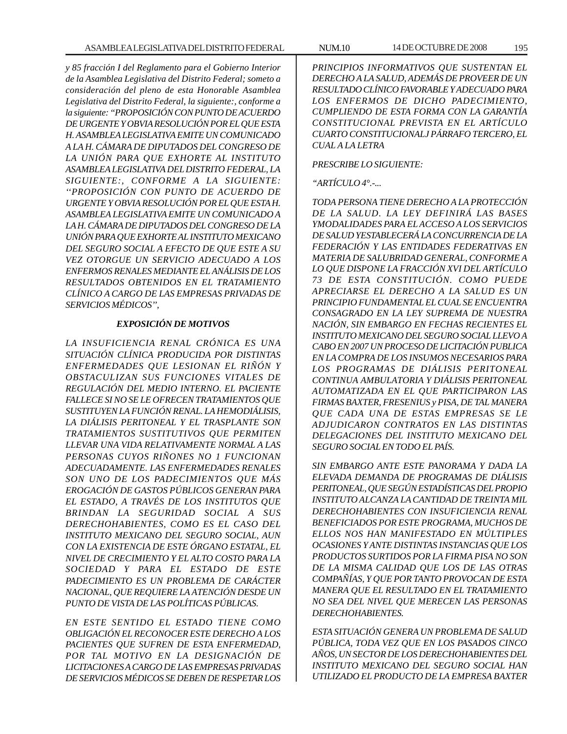*y 85 fracción I del Reglamento para el Gobierno Interior de la Asamblea Legislativa del Distrito Federal; someto a consideración del pleno de esta Honorable Asamblea Legislativa del Distrito Federal, la siguiente:, conforme a la siguiente: ''PROPOSICIÓN CON PUNTO DE ACUERDO DE URGENTE Y OBVIA RESOLUCIÓN POR EL QUE ESTA H. ASAMBLEA LEGISLATIVA EMITE UN COMUNICADO A LA H. CÁMARA DE DIPUTADOS DEL CONGRESO DE LA UNIÓN PARA QUE EXHORTE AL INSTITUTO ASAMBLEA LEGISLATIVA DEL DISTRITO FEDERAL, LA SIGUIENTE:, CONFORME A LA SIGUIENTE: ''PROPOSICIÓN CON PUNTO DE ACUERDO DE URGENTE Y OBVIA RESOLUCIÓN POR EL QUE ESTA H. ASAMBLEA LEGISLATIVA EMITE UN COMUNICADO A LA H. CÁMARA DE DIPUTADOS DEL CONGRESO DE LA UNIÓN PARA QUE EXHORTE AL INSTITUTO MEXICANO DEL SEGURO SOCIAL A EFECTO DE QUE ESTE A SU VEZ OTORGUE UN SERVICIO ADECUADO A LOS ENFERMOS RENALES MEDIANTE EL ANÁLISIS DE LOS RESULTADOS OBTENIDOS EN EL TRATAMIENTO CLÍNICO A CARGO DE LAS EMPRESAS PRIVADAS DE SERVICIOS MÉDICOS'',*

### *EXPOSICIÓN DE MOTIVOS*

*LA INSUFICIENCIA RENAL CRÓNICA ES UNA SITUACIÓN CLÍNICA PRODUCIDA POR DISTINTAS ENFERMEDADES QUE LESIONAN EL RIÑÓN Y OBSTACULIZAN SUS FUNCIONES VITALES DE REGULACIÓN DEL MEDIO INTERNO. EL PACIENTE FALLECE SI NO SE LE OFRECEN TRATAMIENTOS QUE SUSTITUYEN LA FUNCIÓN RENAL. LA HEMODIÁLISIS, LA DIÁLISIS PERITONEAL Y EL TRASPLANTE SON TRATAMIENTOS SUSTITUTIVOS QUE PERMITEN LLEVAR UNA VIDA RELATIVAMENTE NORMAL A LAS PERSONAS CUYOS RIÑONES NO 1 FUNCIONAN ADECUADAMENTE. LAS ENFERMEDADES RENALES SON UNO DE LOS PADECIMIENTOS QUE MÁS EROGACIÓN DE GASTOS PÚBLICOS GENERAN PARA EL ESTADO, A TRAVÉS DE LOS INSTITUTOS QUE BRINDAN LA SEGURIDAD SOCIAL A SUS DERECHOHABIENTES, COMO ES EL CASO DEL INSTITUTO MEXICANO DEL SEGURO SOCIAL, AUN CON LA EXISTENCIA DE ESTE ÓRGANO ESTATAL, EL NIVEL DE CRECIMIENTO Y EL ALTO COSTO PARA LA SOCIEDAD Y PARA EL ESTADO DE ESTE PADECIMIENTO ES UN PROBLEMA DE CARÁCTER NACIONAL, QUE REQUIERE LA ATENCIÓN DESDE UN PUNTO DE VISTA DE LAS POLÍTICAS PÚBLICAS.*

*EN ESTE SENTIDO EL ESTADO TIENE COMO OBLIGACIÓN EL RECONOCER ESTE DERECHO A LOS PACIENTES QUE SUFREN DE ESTA ENFERMEDAD, POR TAL MOTIVO EN LA DESIGNACIÓN DE LICITACIONES A CARGO DE LAS EMPRESAS PRIVADAS DE SERVICIOS MÉDICOS SE DEBEN DE RESPETAR LOS*

*PRINCIPIOS INFORMATIVOS QUE SUSTENTAN EL DERECHO A LA SALUD, ADEMÁS DE PROVEER DE UN RESULTADO CLÍNICO FAVORABLE Y ADECUADO PARA LOS ENFERMOS DE DICHO PADECIMIENTO, CUMPLIENDO DE ESTA FORMA CON LA GARANTÍA CONSTITUCIONAL PREVISTA EN EL ARTÍCULO CUARTO CONSTITUCIONALJ PÁRRAFO TERCERO, EL CUAL A LA LETRA*

# *PRESCRIBE LO SIGUIENTE:*

# *''ARTÍCULO 4°.-...*

*TODA PERSONA TIENE DERECHO A LA PROTECCIÓN DE LA SALUD. LA LEY DEFINIRÁ LAS BASES YMODALIDADES PARA EL ACCESO A LOS SERVICIOS DE SALUD YESTABLECERÁ LA CONCURRENCIA DE LA FEDERACIÓN Y LAS ENTIDADES FEDERATIVAS EN MATERIA DE SALUBRIDAD GENERAL, CONFORME A LO QUE DISPONE LA FRACCIÓN XVI DEL ARTÍCULO 73 DE ESTA CONSTITUCIÓN. COMO PUEDE APRECIARSE EL DERECHO A LA SALUD ES UN PRINCIPIO FUNDAMENTAL EL CUAL SE ENCUENTRA CONSAGRADO EN LA LEY SUPREMA DE NUESTRA NACIÓN, SIN EMBARGO EN FECHAS RECIENTES EL INSTITUTO MEXICANO DEL SEGURO SOCIAL LLEVO A CABO EN 2007 UN PROCESO DE LICITACIÓN PUBLICA EN LA COMPRA DE LOS INSUMOS NECESARIOS PARA LOS PROGRAMAS DE DIÁLISIS PERITONEAL CONTINUA AMBULATORIA Y DIÁLISIS PERITONEAL AUTOMATIZADA EN EL QUE PARTICIPARON LAS FIRMAS BAXTER, FRESENIUS y PISA, DE TAL MANERA QUE CADA UNA DE ESTAS EMPRESAS SE LE ADJUDICARON CONTRATOS EN LAS DISTINTAS DELEGACIONES DEL INSTITUTO MEXICANO DEL SEGURO SOCIAL EN TODO EL PAÍS.*

*SIN EMBARGO ANTE ESTE PANORAMA Y DADA LA ELEVADA DEMANDA DE PROGRAMAS DE DIÁLISIS PERITONEAL, QUE SEGÚN ESTADÍSTICAS DEL PROPIO INSTITUTO ALCANZA LA CANTIDAD DE TREINTA MIL DERECHOHABIENTES CON INSUFICIENCIA RENAL BENEFICIADOS POR ESTE PROGRAMA, MUCHOS DE ELLOS NOS HAN MANIFESTADO EN MÚLTIPLES OCASIONES Y ANTE DISTINTAS INSTANCIAS QUE LOS PRODUCTOS SURTIDOS POR LA FIRMA PISA NO SON DE LA MISMA CALIDAD QUE LOS DE LAS OTRAS COMPAÑÍAS, Y QUE POR TANTO PROVOCAN DE ESTA MANERA QUE EL RESULTADO EN EL TRATAMIENTO NO SEA DEL NIVEL QUE MERECEN LAS PERSONAS DERECHOHABIENTES.*

*ESTA SITUACIÓN GENERA UN PROBLEMA DE SALUD PÚBLICA, TODA VEZ QUE EN LOS PASADOS CINCO AÑOS, UN SECTOR DE LOS DERECHOHABIENTES DEL INSTITUTO MEXICANO DEL SEGURO SOCIAL HAN UTILIZADO EL PRODUCTO DE LA EMPRESA BAXTER*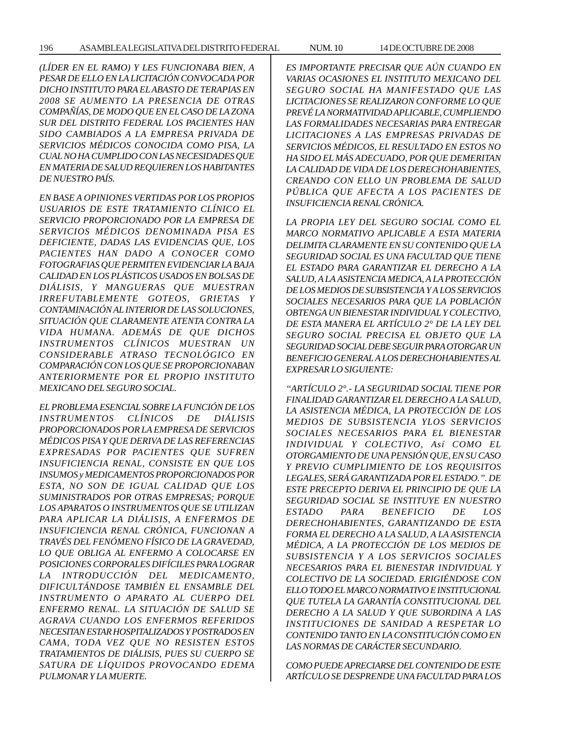*(LÍDER EN EL RAMO) Y LES FUNCIONABA BIEN, A PESAR DE ELLO EN LA LICITACIÓN CONVOCADA POR DICHO INSTITUTO PARA EL ABASTO DE TERAPIAS EN 2008 SE AUMENTO LA PRESENCIA DE OTRAS COMPAÑÍAS, DE MODO QUE EN EL CASO DE LA ZONA SUR DEL DISTRITO FEDERAL LOS PACIENTES HAN SIDO CAMBIADOS A LA EMPRESA PRIVADA DE SERVICIOS MÉDICOS CONOCIDA COMO PISA, LA CUAL NO HA CUMPLIDO CON LAS NECESIDADES QUE EN MATERIA DE SALUD REQUIEREN LOS HABITANTES DE NUESTRO PAÍS.*

*EN BASE A OPINIONES VERTIDAS POR LOS PROPIOS USUARIOS DE ESTE TRATAMIENTO CLÍNICO EL SERVICIO PROPORCIONADO POR LA EMPRESA DE SERVICIOS MÉDICOS DENOMINADA PISA ES DEFICIENTE, DADAS LAS EVIDENCIAS QUE, LOS PACIENTES HAN DADO A CONOCER COMO FOTOGRAFIAS QUE PERMITEN EVIDENCIAR LA BAJA CALIDAD EN LOS PLÁSTICOS USADOS EN BOLSAS DE DIÁLISIS, Y MANGUERAS QUE MUESTRAN IRREFUTABLEMENTE GOTEOS, GRIETAS Y CONTAMINACIÓN AL INTERIOR DE LAS SOLUCIONES, SITUACIÓN QUE CLARAMENTE ATENTA CONTRA LA VIDA HUMANA. ADEMÁS DE QUE DICHOS INSTRUMENTOS CLÍNICOS MUESTRAN UN CONSIDERABLE ATRASO TECNOLÓGICO EN COMPARACIÓN CON LOS QUE SE PROPORCIONABAN ANTERIORMENTE POR EL PROPIO INSTITUTO MEXICANO DEL SEGURO SOCIAL.*

*EL PROBLEMA ESENCIAL SOBRE LA FUNCIÓN DE LOS INSTRUMENTOS CLÍNICOS DE DIÁLISIS PROPORCIONADOS POR LA EMPRESA DE SERVICIOS MÉDICOS PISA Y QUE DERIVA DE LAS REFERENCIAS EXPRESADAS POR PACIENTES QUE SUFREN INSUFICIENCIA RENAL, CONSISTE EN QUE LOS INSUMOS y MEDICAMENTOS PROPORCIONADOS POR ESTA, NO SON DE IGUAL CALIDAD QUE LOS SUMINISTRADOS POR OTRAS EMPRESAS; PORQUE LOS APARATOS O INSTRUMENTOS QUE SE UTILIZAN PARA APLICAR LA DIÁLISIS, A ENFERMOS DE INSUFICIENCIA RENAL CRÓNICA, FUNCIONAN A TRAVÉS DEL FENÓMENO FÍSICO DE LA GRAVEDAD, LO QUE OBLIGA AL ENFERMO A COLOCARSE EN POSICIONES CORPORALES DIFÍCILES PARA LOGRAR LA INTRODUCCIÓN DEL MEDICAMENTO, DIFICULTÁNDOSE TAMBIÉN EL ENSAMBLE DEL INSTRUMENTO O APARATO AL CUERPO DEL ENFERMO RENAL. LA SITUACIÓN DE SALUD SE AGRAVA CUANDO LOS ENFERMOS REFERIDOS NECESITAN ESTAR HOSPITALIZADOS Y POSTRADOS EN CAMA, TODA VEZ QUE NO RESISTEN ESTOS TRATAMIENTOS DE DIÁLISIS, PUES SU CUERPO SE SATURA DE LÍQUIDOS PROVOCANDO EDEMA PULMONAR Y LA MUERTE.*

*ES IMPORTANTE PRECISAR QUE AÚN CUANDO EN VARIAS OCASIONES EL INSTITUTO MEXICANO DEL SEGURO SOCIAL HA MANIFESTADO QUE LAS LICITACIONES SE REALIZARON CONFORME LO QUE PREVÉ LA NORMATIVIDAD APLICABLE, CUMPLIENDO LAS FORMALIDADES NECESARIAS PARA ENTREGAR LICITACIONES A LAS EMPRESAS PRIVADAS DE SERVICIOS MÉDICOS, EL RESULTADO EN ESTOS NO HA SIDO EL MÁS ADECUADO, POR QUE DEMERITAN LA CALIDAD DE VIDA DE LOS DERECHOHABIENTES, CREANDO CON ELLO UN PROBLEMA DE SALUD PÚBLICA QUE AFECTA A LOS PACIENTES DE INSUFICIENCIA RENAL CRÓNICA.*

*LA PROPIA LEY DEL SEGURO SOCIAL COMO EL MARCO NORMATIVO APLICABLE A ESTA MATERIA DELIMITA CLARAMENTE EN SU CONTENIDO QUE LA SEGURIDAD SOCIAL ES UNA FACULTAD QUE TIENE EL ESTADO PARA GARANTIZAR EL DERECHO A LA SALUD, A LA ASISTENCIA MEDICA, A LA PROTECCIÓN DE LOS MEDIOS DE SUBSISTENCIA Y A LOS SERVICIOS SOCIALES NECESARIOS PARA QUE LA POBLACIÓN OBTENGA UN BIENESTAR INDIVIDUAL Y COLECTIVO, DE ESTA MANERA EL ARTÍCULO 2° DE LA LEY DEL SEGURO SOCIAL PRECISA EL OBJETO QUE LA SEGURIDAD SOCIAL DEBE SEGUIR PARA OTORGAR UN BENEFICIO GENERAL A LOS DERECHOHABIENTES AL EXPRESAR LO SIGUIENTE:*

*''ARTÍCULO 2°.- LA SEGURIDAD SOCIAL TIENE POR FINALIDAD GARANTIZAR EL DERECHO A LA SALUD, LA ASISTENCIA MÉDICA, LA PROTECCIÓN DE LOS MEDIOS DE SUBSISTENCIA YLOS SERVICIOS SOCIALES NECESARIOS PARA EL BIENESTAR INDIVIDUAL Y COLECTIVO, Así COMO EL OTORGAMIENTO DE UNA PENSIÓN QUE, EN SU CASO Y PREVIO CUMPLIMIENTO DE LOS REQUISITOS LEGALES, SERÁ GARANTIZADA POR EL ESTADO.''. DE ESTE PRECEPTO DERIVA EL PRINCIPIO DE QUE LA SEGURIDAD SOCIAL SE INSTITUYE EN NUESTRO ESTADO PARA BENEFICIO DE LOS DERECHOHABIENTES, GARANTIZANDO DE ESTA FORMA EL DERECHO A LA SALUD, A LA ASISTENCIA MÉDICA, A LA PROTECCIÓN DE LOS MEDIOS DE SUBSISTENCIA Y A LOS SERVICIOS SOCIALES NECESARIOS PARA EL BIENESTAR INDIVIDUAL Y COLECTIVO DE LA SOCIEDAD. ERIGIÉNDOSE CON ELLO TODO EL MARCO NORMATIVO E INSTITUCIONAL QUE TUTELA LA GARANTÍA CONSTITUCIONAL DEL DERECHO A LA SALUD Y QUE SUBORDINA A LAS INSTITUCIONES DE SANIDAD A RESPETAR LO CONTENIDO TANTO EN LA CONSTITUCIÓN COMO EN LAS NORMAS DE CARÁCTER SECUNDARIO.*

*COMO PUEDE APRECIARSE DEL CONTENIDO DE ESTE ARTÍCULO SE DESPRENDE UNA FACULTAD PARA LOS*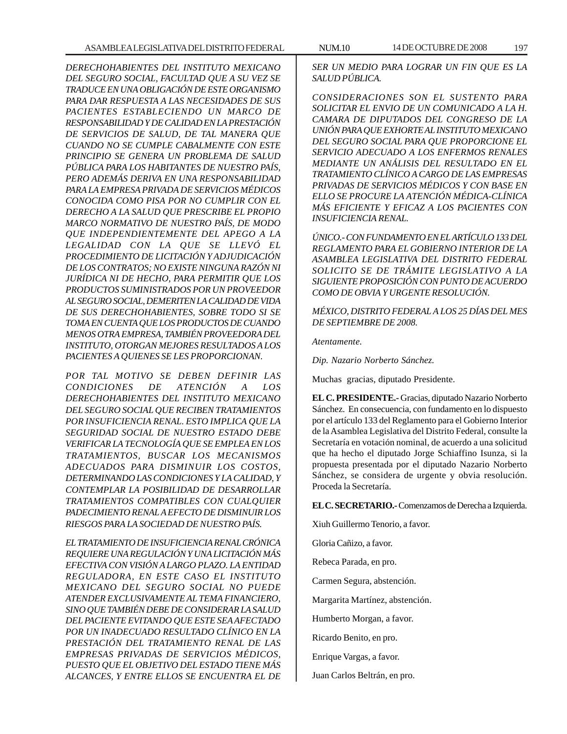*DERECHOHABIENTES DEL INSTITUTO MEXICANO DEL SEGURO SOCIAL, FACULTAD QUE A SU VEZ SE TRADUCE EN UNA OBLIGACIÓN DE ESTE ORGANISMO PARA DAR RESPUESTA A LAS NECESIDADES DE SUS PACIENTES ESTABLECIENDO UN MARCO DE RESPONSABILIDAD Y DE CALIDAD EN LA PRESTACIÓN DE SERVICIOS DE SALUD, DE TAL MANERA QUE CUANDO NO SE CUMPLE CABALMENTE CON ESTE PRINCIPIO SE GENERA UN PROBLEMA DE SALUD PÚBLICA PARA LOS HABITANTES DE NUESTRO PAÍS, PERO ADEMÁS DERIVA EN UNA RESPONSABILIDAD PARA LA EMPRESA PRIVADA DE SERVICIOS MÉDICOS CONOCIDA COMO PISA POR NO CUMPLIR CON EL DERECHO A LA SALUD QUE PRESCRIBE EL PROPIO MARCO NORMATIVO DE NUESTRO PAÍS, DE MODO QUE INDEPENDIENTEMENTE DEL APEGO A LA LEGALIDAD CON LA QUE SE LLEVÓ EL PROCEDIMIENTO DE LICITACIÓN Y ADJUDICACIÓN DE LOS CONTRATOS; NO EXISTE NINGUNA RAZÓN NI JURÍDICA NI DE HECHO, PARA PERMITIR QUE LOS PRODUCTOS SUMINISTRADOS POR UN PROVEEDOR AL SEGURO SOCIAL, DEMERITEN LA CALIDAD DE VIDA DE SUS DERECHOHABIENTES, SOBRE TODO SI SE TOMA EN CUENTA QUE LOS PRODUCTOS DE CUANDO MENOS OTRA EMPRESA, TAMBIÉN PROVEEDORA DEL INSTITUTO, OTORGAN MEJORES RESULTADOS A LOS PACIENTES A QUIENES SE LES PROPORCIONAN.*

*POR TAL MOTIVO SE DEBEN DEFINIR LAS CONDICIONES DE ATENCIÓN A LOS DERECHOHABIENTES DEL INSTITUTO MEXICANO DEL SEGURO SOCIAL QUE RECIBEN TRATAMIENTOS POR INSUFICIENCIA RENAL. ESTO IMPLICA QUE LA SEGURIDAD SOCIAL DE NUESTRO ESTADO DEBE VERIFICAR LA TECNOLOGÍA QUE SE EMPLEA EN LOS TRATAMIENTOS, BUSCAR LOS MECANISMOS ADECUADOS PARA DISMINUIR LOS COSTOS, DETERMINANDO LAS CONDICIONES Y LA CALIDAD, Y CONTEMPLAR LA POSIBILIDAD DE DESARROLLAR TRATAMIENTOS COMPATIBLES CON CUALQUIER PADECIMIENTO RENAL A EFECTO DE DISMINUIR LOS RIESGOS PARA LA SOCIEDAD DE NUESTRO PAÍS.*

*EL TRATAMIENTO DE INSUFICIENCIA RENAL CRÓNICA REQUIERE UNA REGULACIÓN Y UNA LICITACIÓN MÁS EFECTIVA CON VISIÓN A LARGO PLAZO. LA ENTIDAD REGULADORA, EN ESTE CASO EL INSTITUTO MEXICANO DEL SEGURO SOCIAL NO PUEDE ATENDER EXCLUSIVAMENTE AL TEMA FINANCIERO, SINO QUE TAMBIÉN DEBE DE CONSIDERAR LA SALUD DEL PACIENTE EVITANDO QUE ESTE SEA AFECTADO POR UN INADECUADO RESULTADO CLÍNICO EN LA PRESTACIÓN DEL TRATAMIENTO RENAL DE LAS EMPRESAS PRIVADAS DE SERVICIOS MÉDICOS, PUESTO QUE EL OBJETIVO DEL ESTADO TIENE MÁS ALCANCES, Y ENTRE ELLOS SE ENCUENTRA EL DE*

*SER UN MEDIO PARA LOGRAR UN FIN QUE ES LA SALUD PÚBLICA.*

*CONSIDERACIONES SON EL SUSTENTO PARA SOLICITAR EL ENVIO DE UN COMUNICADO A LA H. CAMARA DE DIPUTADOS DEL CONGRESO DE LA UNIÓN PARA QUE EXHORTE AL INSTITUTO MEXICANO DEL SEGURO SOCIAL PARA QUE PROPORCIONE EL SERVICIO ADECUADO A LOS ENFERMOS RENALES MEDIANTE UN ANÁLISIS DEL RESULTADO EN EL TRATAMIENTO CLÍNICO A CARGO DE LAS EMPRESAS PRIVADAS DE SERVICIOS MÉDICOS Y CON BASE EN ELLO SE PROCURE LA ATENCIÓN MÉDICA-CLÍNICA MÁS EFICIENTE Y EFICAZ A LOS PACIENTES CON INSUFICIENCIA RENAL.*

*ÚNICO.- CON FUNDAMENTO EN EL ARTÍCULO 133 DEL REGLAMENTO PARA EL GOBIERNO INTERIOR DE LA ASAMBLEA LEGISLATIVA DEL DISTRITO FEDERAL SOLICITO SE DE TRÁMITE LEGISLATIVO A LA SIGUIENTE PROPOSICIÓN CON PUNTO DE ACUERDO COMO DE OBVIA Y URGENTE RESOLUCIÓN.*

*MÉXICO, DISTRITO FEDERAL A LOS 25 DÍAS DEL MES DE SEPTIEMBRE DE 2008.*

*Atentamente.*

*Dip. Nazario Norberto Sánchez.*

Muchas gracias, diputado Presidente.

**EL C. PRESIDENTE.-** Gracias, diputado Nazario Norberto Sánchez. En consecuencia, con fundamento en lo dispuesto por el artículo 133 del Reglamento para el Gobierno Interior de la Asamblea Legislativa del Distrito Federal, consulte la Secretaría en votación nominal, de acuerdo a una solicitud que ha hecho el diputado Jorge Schiaffino Isunza, si la propuesta presentada por el diputado Nazario Norberto Sánchez, se considera de urgente y obvia resolución. Proceda la Secretaría.

**EL C. SECRETARIO.-** Comenzamos de Derecha a Izquierda.

Xiuh Guillermo Tenorio, a favor.

Gloria Cañizo, a favor.

Rebeca Parada, en pro.

Carmen Segura, abstención.

Margarita Martínez, abstención.

Humberto Morgan, a favor.

Ricardo Benito, en pro.

Enrique Vargas, a favor.

Juan Carlos Beltrán, en pro.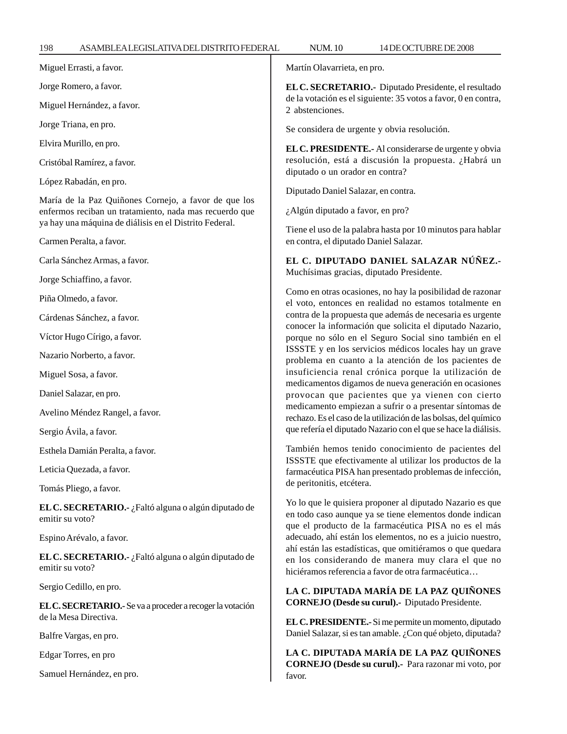| 198<br>ASAMBLEALEGISLATIVA DEL DISTRITO FEDERAL                                                                                                                          | <b>NUM.10</b><br>14 DE OCTUBRE DE 2008                                                                                                                                                                                                                                                                                                                                                                                                                                                                                                                                                                                                                                           |
|--------------------------------------------------------------------------------------------------------------------------------------------------------------------------|----------------------------------------------------------------------------------------------------------------------------------------------------------------------------------------------------------------------------------------------------------------------------------------------------------------------------------------------------------------------------------------------------------------------------------------------------------------------------------------------------------------------------------------------------------------------------------------------------------------------------------------------------------------------------------|
| Miguel Errasti, a favor.                                                                                                                                                 | Martín Olavarrieta, en pro.                                                                                                                                                                                                                                                                                                                                                                                                                                                                                                                                                                                                                                                      |
| Jorge Romero, a favor.                                                                                                                                                   | EL C. SECRETARIO.- Diputado Presidente, el resultado<br>de la votación es el siguiente: 35 votos a favor, 0 en contra,<br>2 abstenciones.                                                                                                                                                                                                                                                                                                                                                                                                                                                                                                                                        |
| Miguel Hernández, a favor.                                                                                                                                               |                                                                                                                                                                                                                                                                                                                                                                                                                                                                                                                                                                                                                                                                                  |
| Jorge Triana, en pro.                                                                                                                                                    | Se considera de urgente y obvia resolución.                                                                                                                                                                                                                                                                                                                                                                                                                                                                                                                                                                                                                                      |
| Elvira Murillo, en pro.                                                                                                                                                  | EL C. PRESIDENTE.- Al considerarse de urgente y obvia                                                                                                                                                                                                                                                                                                                                                                                                                                                                                                                                                                                                                            |
| Cristóbal Ramírez, a favor.                                                                                                                                              | resolución, está a discusión la propuesta. ¿Habrá un<br>diputado o un orador en contra?                                                                                                                                                                                                                                                                                                                                                                                                                                                                                                                                                                                          |
| López Rabadán, en pro.                                                                                                                                                   | Diputado Daniel Salazar, en contra.                                                                                                                                                                                                                                                                                                                                                                                                                                                                                                                                                                                                                                              |
| María de la Paz Quiñones Cornejo, a favor de que los<br>enfermos reciban un tratamiento, nada mas recuerdo que<br>ya hay una máquina de diálisis en el Distrito Federal. | ¿Algún diputado a favor, en pro?                                                                                                                                                                                                                                                                                                                                                                                                                                                                                                                                                                                                                                                 |
| Carmen Peralta, a favor.                                                                                                                                                 | Tiene el uso de la palabra hasta por 10 minutos para hablar<br>en contra, el diputado Daniel Salazar.                                                                                                                                                                                                                                                                                                                                                                                                                                                                                                                                                                            |
| Carla Sánchez Armas, a favor.                                                                                                                                            | EL C. DIPUTADO DANIEL SALAZAR NÚÑEZ.-<br>Muchísimas gracias, diputado Presidente.<br>Como en otras ocasiones, no hay la posibilidad de razonar<br>el voto, entonces en realidad no estamos totalmente en<br>contra de la propuesta que además de necesaria es urgente<br>conocer la información que solicita el diputado Nazario,<br>porque no sólo en el Seguro Social sino también en el<br>ISSSTE y en los servicios médicos locales hay un grave<br>problema en cuanto a la atención de los pacientes de<br>insuficiencia renal crónica porque la utilización de<br>medicamentos digamos de nueva generación en ocasiones<br>provocan que pacientes que ya vienen con cierto |
| Jorge Schiaffino, a favor.                                                                                                                                               |                                                                                                                                                                                                                                                                                                                                                                                                                                                                                                                                                                                                                                                                                  |
| Piña Olmedo, a favor.                                                                                                                                                    |                                                                                                                                                                                                                                                                                                                                                                                                                                                                                                                                                                                                                                                                                  |
| Cárdenas Sánchez, a favor.                                                                                                                                               |                                                                                                                                                                                                                                                                                                                                                                                                                                                                                                                                                                                                                                                                                  |
| Víctor Hugo Círigo, a favor.                                                                                                                                             |                                                                                                                                                                                                                                                                                                                                                                                                                                                                                                                                                                                                                                                                                  |
| Nazario Norberto, a favor.                                                                                                                                               |                                                                                                                                                                                                                                                                                                                                                                                                                                                                                                                                                                                                                                                                                  |
| Miguel Sosa, a favor.                                                                                                                                                    |                                                                                                                                                                                                                                                                                                                                                                                                                                                                                                                                                                                                                                                                                  |
| Daniel Salazar, en pro.                                                                                                                                                  |                                                                                                                                                                                                                                                                                                                                                                                                                                                                                                                                                                                                                                                                                  |
| Avelino Méndez Rangel, a favor.                                                                                                                                          | medicamento empiezan a sufrir o a presentar síntomas de<br>rechazo. Es el caso de la utilización de las bolsas, del químico                                                                                                                                                                                                                                                                                                                                                                                                                                                                                                                                                      |
| Sergio Ávila, a favor.                                                                                                                                                   | que refería el diputado Nazario con el que se hace la diálisis.                                                                                                                                                                                                                                                                                                                                                                                                                                                                                                                                                                                                                  |
| Esthela Damián Peralta, a favor.                                                                                                                                         | También hemos tenido conocimiento de pacientes del                                                                                                                                                                                                                                                                                                                                                                                                                                                                                                                                                                                                                               |
| Leticia Quezada, a favor.                                                                                                                                                | ISSSTE que efectivamente al utilizar los productos de la<br>farmacéutica PISA han presentado problemas de infección,                                                                                                                                                                                                                                                                                                                                                                                                                                                                                                                                                             |
| Tomás Pliego, a favor.                                                                                                                                                   | de peritonitis, etcétera.                                                                                                                                                                                                                                                                                                                                                                                                                                                                                                                                                                                                                                                        |
| EL C. SECRETARIO. - ¿Faltó alguna o algún diputado de<br>emitir su voto?                                                                                                 | Yo lo que le quisiera proponer al diputado Nazario es que<br>en todo caso aunque ya se tiene elementos donde indican<br>que el producto de la farmacéutica PISA no es el más                                                                                                                                                                                                                                                                                                                                                                                                                                                                                                     |
| Espino Arévalo, a favor.                                                                                                                                                 | adecuado, ahí están los elementos, no es a juicio nuestro,<br>ahí están las estadísticas, que omitiéramos o que quedara<br>en los considerando de manera muy clara el que no<br>hiciéramos referencia a favor de otra farmacéutica                                                                                                                                                                                                                                                                                                                                                                                                                                               |
| EL C. SECRETARIO.- ¿Faltó alguna o algún diputado de<br>emitir su voto?                                                                                                  |                                                                                                                                                                                                                                                                                                                                                                                                                                                                                                                                                                                                                                                                                  |
| Sergio Cedillo, en pro.                                                                                                                                                  | LA C. DIPUTADA MARÍA DE LA PAZ QUIÑONES                                                                                                                                                                                                                                                                                                                                                                                                                                                                                                                                                                                                                                          |
| EL C. SECRETARIO.- Se va a proceder a recoger la votación<br>de la Mesa Directiva.                                                                                       | CORNEJO (Desde su curul).- Diputado Presidente.<br>EL C. PRESIDENTE.- Si me permite un momento, diputado<br>Daniel Salazar, si es tan amable. ¿Con qué objeto, diputada?                                                                                                                                                                                                                                                                                                                                                                                                                                                                                                         |
| Balfre Vargas, en pro.                                                                                                                                                   |                                                                                                                                                                                                                                                                                                                                                                                                                                                                                                                                                                                                                                                                                  |
| Edgar Torres, en pro                                                                                                                                                     | LA C. DIPUTADA MARÍA DE LA PAZ QUIÑONES<br>CORNEJO (Desde su curul).- Para razonar mi voto, por<br>favor.                                                                                                                                                                                                                                                                                                                                                                                                                                                                                                                                                                        |
| Samuel Hernández, en pro.                                                                                                                                                |                                                                                                                                                                                                                                                                                                                                                                                                                                                                                                                                                                                                                                                                                  |
|                                                                                                                                                                          |                                                                                                                                                                                                                                                                                                                                                                                                                                                                                                                                                                                                                                                                                  |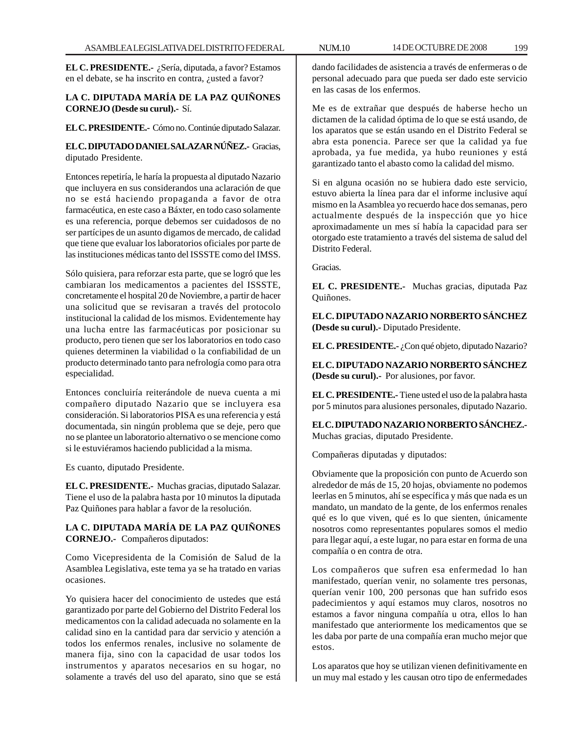**EL C. PRESIDENTE.-** ¿Sería, diputada, a favor? Estamos en el debate, se ha inscrito en contra, ¿usted a favor?

# **LA C. DIPUTADA MARÍA DE LA PAZ QUIÑONES CORNEJO (Desde su curul).-** Sí.

### **EL C. PRESIDENTE.-** Cómo no. Continúe diputado Salazar.

**EL C. DIPUTADO DANIEL SALAZAR NÚÑEZ.-** Gracias, diputado Presidente.

Entonces repetiría, le haría la propuesta al diputado Nazario que incluyera en sus considerandos una aclaración de que no se está haciendo propaganda a favor de otra farmacéutica, en este caso a Báxter, en todo caso solamente es una referencia, porque debemos ser cuidadosos de no ser partícipes de un asunto digamos de mercado, de calidad que tiene que evaluar los laboratorios oficiales por parte de las instituciones médicas tanto del ISSSTE como del IMSS.

Sólo quisiera, para reforzar esta parte, que se logró que les cambiaran los medicamentos a pacientes del ISSSTE, concretamente el hospital 20 de Noviembre, a partir de hacer una solicitud que se revisaran a través del protocolo institucional la calidad de los mismos. Evidentemente hay una lucha entre las farmacéuticas por posicionar su producto, pero tienen que ser los laboratorios en todo caso quienes determinen la viabilidad o la confiabilidad de un producto determinado tanto para nefrología como para otra especialidad.

Entonces concluiría reiterándole de nueva cuenta a mi compañero diputado Nazario que se incluyera esa consideración. Si laboratorios PISA es una referencia y está documentada, sin ningún problema que se deje, pero que no se plantee un laboratorio alternativo o se mencione como si le estuviéramos haciendo publicidad a la misma.

Es cuanto, diputado Presidente.

**EL C. PRESIDENTE.-** Muchas gracias, diputado Salazar. Tiene el uso de la palabra hasta por 10 minutos la diputada Paz Quiñones para hablar a favor de la resolución.

# **LA C. DIPUTADA MARÍA DE LA PAZ QUIÑONES CORNEJO.-** Compañeros diputados:

Como Vicepresidenta de la Comisión de Salud de la Asamblea Legislativa, este tema ya se ha tratado en varias ocasiones.

Yo quisiera hacer del conocimiento de ustedes que está garantizado por parte del Gobierno del Distrito Federal los medicamentos con la calidad adecuada no solamente en la calidad sino en la cantidad para dar servicio y atención a todos los enfermos renales, inclusive no solamente de manera fija, sino con la capacidad de usar todos los instrumentos y aparatos necesarios en su hogar, no solamente a través del uso del aparato, sino que se está

dando facilidades de asistencia a través de enfermeras o de personal adecuado para que pueda ser dado este servicio en las casas de los enfermos.

Me es de extrañar que después de haberse hecho un dictamen de la calidad óptima de lo que se está usando, de los aparatos que se están usando en el Distrito Federal se abra esta ponencia. Parece ser que la calidad ya fue aprobada, ya fue medida, ya hubo reuniones y está garantizado tanto el abasto como la calidad del mismo.

Si en alguna ocasión no se hubiera dado este servicio, estuvo abierta la línea para dar el informe inclusive aquí mismo en la Asamblea yo recuerdo hace dos semanas, pero actualmente después de la inspección que yo hice aproximadamente un mes sí había la capacidad para ser otorgado este tratamiento a través del sistema de salud del Distrito Federal.

Gracias.

**EL C. PRESIDENTE.-** Muchas gracias, diputada Paz Quiñones.

**EL C. DIPUTADO NAZARIO NORBERTO SÁNCHEZ (Desde su curul).-** Diputado Presidente.

**EL C. PRESIDENTE.-** ¿Con qué objeto, diputado Nazario?

**EL C. DIPUTADO NAZARIO NORBERTO SÁNCHEZ (Desde su curul).-** Por alusiones, por favor.

**EL C. PRESIDENTE.-** Tiene usted el uso de la palabra hasta por 5 minutos para alusiones personales, diputado Nazario.

**EL C. DIPUTADO NAZARIO NORBERTO SÁNCHEZ.-** Muchas gracias, diputado Presidente.

Compañeras diputadas y diputados:

Obviamente que la proposición con punto de Acuerdo son alrededor de más de 15, 20 hojas, obviamente no podemos leerlas en 5 minutos, ahí se específica y más que nada es un mandato, un mandato de la gente, de los enfermos renales qué es lo que viven, qué es lo que sienten, únicamente nosotros como representantes populares somos el medio para llegar aquí, a este lugar, no para estar en forma de una compañía o en contra de otra.

Los compañeros que sufren esa enfermedad lo han manifestado, querían venir, no solamente tres personas, querían venir 100, 200 personas que han sufrido esos padecimientos y aquí estamos muy claros, nosotros no estamos a favor ninguna compañía u otra, ellos lo han manifestado que anteriormente los medicamentos que se les daba por parte de una compañía eran mucho mejor que estos.

Los aparatos que hoy se utilizan vienen definitivamente en un muy mal estado y les causan otro tipo de enfermedades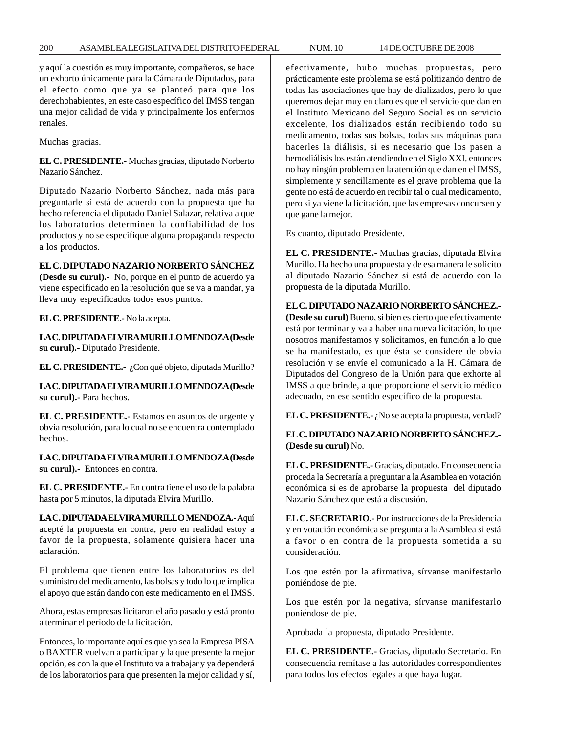y aquí la cuestión es muy importante, compañeros, se hace un exhorto únicamente para la Cámara de Diputados, para el efecto como que ya se planteó para que los derechohabientes, en este caso específico del IMSS tengan una mejor calidad de vida y principalmente los enfermos renales.

Muchas gracias.

**EL C. PRESIDENTE.-** Muchas gracias, diputado Norberto Nazario Sánchez.

Diputado Nazario Norberto Sánchez, nada más para preguntarle si está de acuerdo con la propuesta que ha hecho referencia el diputado Daniel Salazar, relativa a que los laboratorios determinen la confiabilidad de los productos y no se especifique alguna propaganda respecto a los productos.

# **EL C. DIPUTADO NAZARIO NORBERTO SÁNCHEZ**

**(Desde su curul).-** No, porque en el punto de acuerdo ya viene especificado en la resolución que se va a mandar, ya lleva muy especificados todos esos puntos.

**EL C. PRESIDENTE.-** No la acepta.

**LA C. DIPUTADA ELVIRA MURILLO MENDOZA (Desde su curul).-** Diputado Presidente.

**EL C. PRESIDENTE.-** ¿Con qué objeto, diputada Murillo?

**LA C. DIPUTADA ELVIRA MURILLO MENDOZA (Desde su curul).-** Para hechos.

**EL C. PRESIDENTE.-** Estamos en asuntos de urgente y obvia resolución, para lo cual no se encuentra contemplado hechos.

**LA C. DIPUTADA ELVIRA MURILLO MENDOZA (Desde su curul).-** Entonces en contra.

**EL C. PRESIDENTE.-** En contra tiene el uso de la palabra hasta por 5 minutos, la diputada Elvira Murillo.

**LA C. DIPUTADA ELVIRA MURILLO MENDOZA.-** Aquí acepté la propuesta en contra, pero en realidad estoy a favor de la propuesta, solamente quisiera hacer una aclaración.

El problema que tienen entre los laboratorios es del suministro del medicamento, las bolsas y todo lo que implica el apoyo que están dando con este medicamento en el IMSS.

Ahora, estas empresas licitaron el año pasado y está pronto a terminar el período de la licitación.

Entonces, lo importante aquí es que ya sea la Empresa PISA o BAXTER vuelvan a participar y la que presente la mejor opción, es con la que el Instituto va a trabajar y ya dependerá de los laboratorios para que presenten la mejor calidad y sí, efectivamente, hubo muchas propuestas, pero prácticamente este problema se está politizando dentro de todas las asociaciones que hay de dializados, pero lo que queremos dejar muy en claro es que el servicio que dan en el Instituto Mexicano del Seguro Social es un servicio excelente, los dializados están recibiendo todo su medicamento, todas sus bolsas, todas sus máquinas para hacerles la diálisis, si es necesario que los pasen a hemodiálisis los están atendiendo en el Siglo XXI, entonces no hay ningún problema en la atención que dan en el IMSS, simplemente y sencillamente es el grave problema que la gente no está de acuerdo en recibir tal o cual medicamento, pero si ya viene la licitación, que las empresas concursen y que gane la mejor.

Es cuanto, diputado Presidente.

**EL C. PRESIDENTE.-** Muchas gracias, diputada Elvira Murillo. Ha hecho una propuesta y de esa manera le solicito al diputado Nazario Sánchez si está de acuerdo con la propuesta de la diputada Murillo.

**EL C. DIPUTADO NAZARIO NORBERTO SÁNCHEZ.- (Desde su curul)** Bueno, si bien es cierto que efectivamente está por terminar y va a haber una nueva licitación, lo que nosotros manifestamos y solicitamos, en función a lo que se ha manifestado, es que ésta se considere de obvia resolución y se envíe el comunicado a la H. Cámara de Diputados del Congreso de la Unión para que exhorte al IMSS a que brinde, a que proporcione el servicio médico adecuado, en ese sentido específico de la propuesta.

**EL C. PRESIDENTE.-** ¿No se acepta la propuesta, verdad?

**EL C. DIPUTADO NAZARIO NORBERTO SÁNCHEZ.- (Desde su curul)** No.

**EL C. PRESIDENTE.-** Gracias, diputado. En consecuencia proceda la Secretaría a preguntar a la Asamblea en votación económica si es de aprobarse la propuesta del diputado Nazario Sánchez que está a discusión.

**EL C. SECRETARIO.-** Por instrucciones de la Presidencia y en votación económica se pregunta a la Asamblea si está a favor o en contra de la propuesta sometida a su consideración.

Los que estén por la afirmativa, sírvanse manifestarlo poniéndose de pie.

Los que estén por la negativa, sírvanse manifestarlo poniéndose de pie.

Aprobada la propuesta, diputado Presidente.

**EL C. PRESIDENTE.-** Gracias, diputado Secretario. En consecuencia remítase a las autoridades correspondientes para todos los efectos legales a que haya lugar.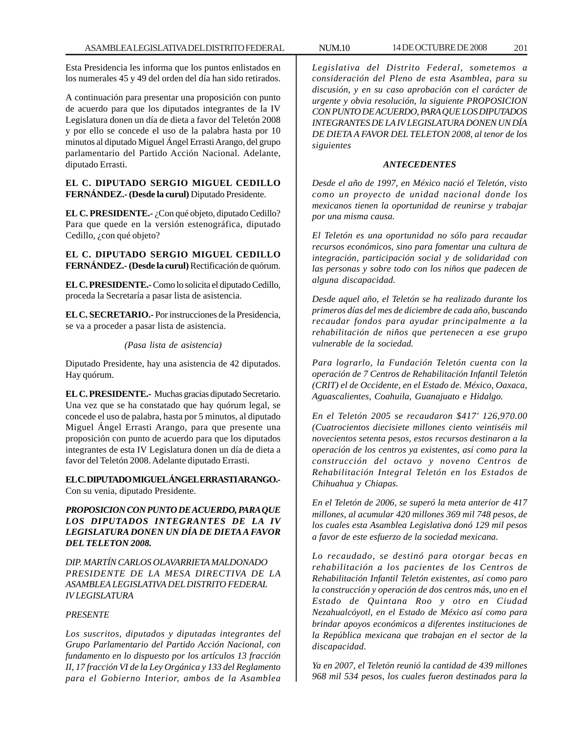Esta Presidencia les informa que los puntos enlistados en los numerales 45 y 49 del orden del día han sido retirados.

A continuación para presentar una proposición con punto de acuerdo para que los diputados integrantes de la IV Legislatura donen un día de dieta a favor del Teletón 2008 y por ello se concede el uso de la palabra hasta por 10 minutos al diputado Miguel Ángel Errasti Arango, del grupo parlamentario del Partido Acción Nacional. Adelante, diputado Errasti.

**EL C. DIPUTADO SERGIO MIGUEL CEDILLO FERNÁNDEZ.- (Desde la curul)** Diputado Presidente.

**EL C. PRESIDENTE.-** ¿Con qué objeto, diputado Cedillo? Para que quede en la versión estenográfica, diputado Cedillo, ¿con qué objeto?

**EL C. DIPUTADO SERGIO MIGUEL CEDILLO FERNÁNDEZ.- (Desde la curul)** Rectificación de quórum.

**EL C. PRESIDENTE.-** Como lo solicita el diputado Cedillo, proceda la Secretaría a pasar lista de asistencia.

**EL C. SECRETARIO.-** Por instrucciones de la Presidencia, se va a proceder a pasar lista de asistencia.

### *(Pasa lista de asistencia)*

Diputado Presidente, hay una asistencia de 42 diputados. Hay quórum.

**EL C. PRESIDENTE.-** Muchas gracias diputado Secretario. Una vez que se ha constatado que hay quórum legal, se concede el uso de palabra, hasta por 5 minutos, al diputado Miguel Ángel Errasti Arango, para que presente una proposición con punto de acuerdo para que los diputados integrantes de esta IV Legislatura donen un día de dieta a favor del Teletón 2008. Adelante diputado Errasti.

**EL C. DIPUTADO MIGUEL ÁNGEL ERRASTI ARANGO.-** Con su venia, diputado Presidente.

*PROPOSICION CON PUNTO DE ACUERDO, PARA QUE LOS DIPUTADOS INTEGRANTES DE LA IV LEGISLATURA DONEN UN DÍA DE DIETA A FAVOR DEL TELETON 2008.*

*DIP. MARTÍN CARLOS OLAVARRIETA MALDONADO PRESIDENTE DE LA MESA DIRECTIVA DE LA ASAMBLEA LEGISLATIVA DEL DISTRITO FEDERAL IV LEGISLATURA*

### *PRESENTE*

*Los suscritos, diputados y diputadas integrantes del Grupo Parlamentario del Partido Acción Nacional, con fundamento en lo dispuesto por los artículos 13 fracción II, 17 fracción VI de la Ley Orgánica y 133 del Reglamento para el Gobierno Interior, ambos de la Asamblea*

*Legislativa del Distrito Federal, sometemos a consideración del Pleno de esta Asamblea, para su discusión, y en su caso aprobación con el carácter de urgente y obvia resolución, la siguiente PROPOSICION CON PUNTO DE ACUERDO, PARA QUE LOS DIPUTADOS INTEGRANTES DE LA IV LEGISLATURA DONEN UN DÍA DE DIETA A FAVOR DEL TELETON 2008, al tenor de los siguientes*

# *ANTECEDENTES*

*Desde el año de 1997, en México nació el Teletón, visto como un proyecto de unidad nacional donde los mexicanos tienen la oportunidad de reunirse y trabajar por una misma causa.*

*El Teletón es una oportunidad no sólo para recaudar recursos económicos, sino para fomentar una cultura de integración, participación social y de solidaridad con las personas y sobre todo con los niños que padecen de alguna discapacidad.*

*Desde aquel año, el Teletón se ha realizado durante los primeros días del mes de diciembre de cada año, buscando recaudar fondos para ayudar principalmente a la rehabilitación de niños que pertenecen a ese grupo vulnerable de la sociedad.*

*Para lograrlo, la Fundación Teletón cuenta con la operación de 7 Centros de Rehabilitación Infantil Teletón (CRIT) el de Occidente, en el Estado de. México, Oaxaca, Aguascalientes, Coahuila, Guanajuato e Hidalgo.*

*En el Teletón 2005 se recaudaron \$417' 126,970.00 (Cuatrocientos diecisiete millones ciento veintiséis mil novecientos setenta pesos, estos recursos destinaron a la operación de los centros ya existentes, así como para la construcción del octavo y noveno Centros de Rehabilitación Integral Teletón en los Estados de Chihuahua y Chiapas.*

*En el Teletón de 2006, se superó la meta anterior de 417 millones, al acumular 420 millones 369 mil 748 pesos, de los cuales esta Asamblea Legislativa donó 129 mil pesos a favor de este esfuerzo de la sociedad mexicana.*

*Lo recaudado, se destinó para otorgar becas en rehabilitación a los pacientes de los Centros de Rehabilitación Infantil Teletón existentes, así como paro la construcción y operación de dos centros más, uno en el Estado de Quintana Roo y otro en Ciudad Nezahualcóyotl, en el Estado de México así como para brindar apoyos económicos a diferentes instituciones de la República mexicana que trabajan en el sector de la discapacidad.*

*Ya en 2007, el Teletón reunió la cantidad de 439 millones 968 mil 534 pesos, los cuales fueron destinados para la*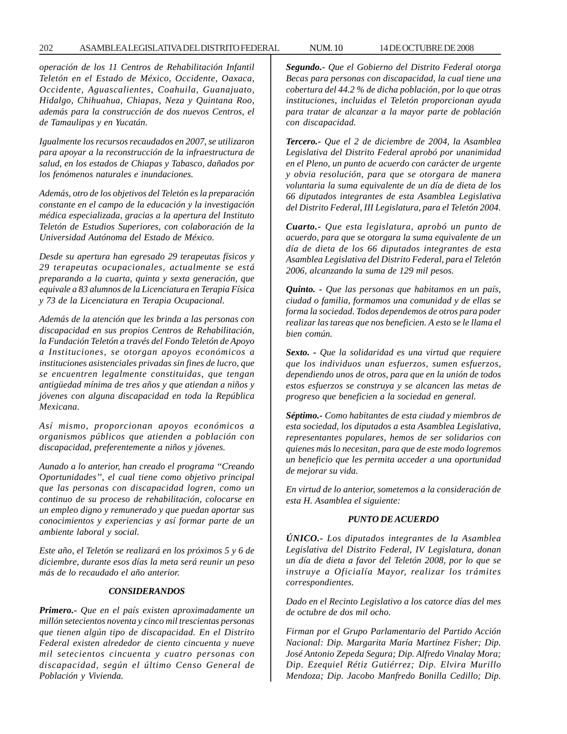### 202 ASAMBLEA LEGISLATIVA DEL DISTRITO FEDERAL NUM. 10 14 DE OCTUBRE DE 2008

*operación de los 11 Centros de Rehabilitación Infantil Teletón en el Estado de México, Occidente, Oaxaca, Occidente, Aguascalientes, Coahuila, Guanajuato, Hidalgo, Chihuahua, Chiapas, Neza y Quintana Roo, además para la construcción de dos nuevos Centros, el de Tamaulipas y en Yucatán.*

*Igualmente los recursos recaudados en 2007, se utilizaron para apoyar a la reconstrucción de la infraestructura de salud, en los estados de Chiapas y Tabasco, dañados por los fenómenos naturales e inundaciones.*

*Además, otro de los objetivos del Teletón es la preparación constante en el campo de la educación y la investigación médica especializada, gracias a la apertura del Instituto Teletón de Estudios Superiores, con colaboración de la Universidad Autónoma del Estado de México.*

*Desde su apertura han egresado 29 terapeutas físicos y 29 terapeutas ocupacionales, actualmente se está preparando a la cuarta, quinta y sexta generación, que equivale a 83 alumnos de la Licenciatura en Terapia Física y 73 de la Licenciatura en Terapia Ocupacional.*

*Además de la atención que les brinda a las personas con discapacidad en sus propios Centros de Rehabilitación, la Fundación Teletón a través del Fondo Teletón de Apoyo a Instituciones, se otorgan apoyos económicos a instituciones asistenciales privadas sin fines de lucro, que se encuentren legalmente constituidas, que tengan antigüedad mínima de tres años y que atiendan a niños y jóvenes con alguna discapacidad en toda la República Mexicana.*

*Así mismo, proporcionan apoyos económicos a organismos públicos que atienden a población con discapacidad, preferentemente a niños y jóvenes.*

*Aunado a lo anterior, han creado el programa ''Creando Oportunidades'', el cual tiene como objetivo principal que las personas con discapacidad logren, como un continuo de su proceso de rehabilitación, colocarse en un empleo digno y remunerado y que puedan aportar sus conocimientos y experiencias y así formar parte de un ambiente laboral y social.*

*Este año, el Teletón se realizará en los próximos 5 y 6 de diciembre, durante esos días la meta será reunir un peso más de lo recaudado el año anterior.*

### *CONSIDERANDOS*

*Primero.- Que en el país existen aproximadamente un millón setecientos noventa y cinco mil trescientas personas que tienen algún tipo de discapacidad. En el Distrito Federal existen alrededor de ciento cincuenta y nueve mil setecientos cincuenta y cuatro personas con discapacidad, según el último Censo General de Población y Vivienda.*

*Segundo.- Que el Gobierno del Distrito Federal otorga Becas para personas con discapacidad, la cual tiene una cobertura del 44.2 % de dicha población, por lo que otras instituciones, incluidas el Teletón proporcionan ayuda para tratar de alcanzar a la mayor parte de población con discapacidad.*

*Tercero.- Que el 2 de diciembre de 2004, la Asamblea Legislativa del Distrito Federal aprobó por unanimidad en el Pleno, un punto de acuerdo con carácter de urgente y obvia resolución, para que se otorgara de manera voluntaria la suma equivalente de un día de dieta de los 66 diputados integrantes de esta Asamblea Legislativa del Distrito Federal, III Legislatura, para el Teletón 2004.*

*Cuarto.- Que esta legislatura, aprobó un punto de acuerdo, para que se otorgara la suma equivalente de un día de dieta de los 66 diputados integrantes de esta Asamblea Legislativa del Distrito Federal, para el Teletón 2006, alcanzando la suma de 129 mil pesos.*

*Quinto. - Que las personas que habitamos en un país, ciudad o familia, formamos una comunidad y de ellas se forma la sociedad. Todos dependemos de otros para poder realizar las tareas que nos beneficien. A esto se le llama el bien común.*

*Sexto. - Que la solidaridad es una virtud que requiere que los individuos unan esfuerzos, sumen esfuerzos, dependiendo unos de otros, para que en la unión de todos estos esfuerzos se construya y se alcancen las metas de progreso que beneficien a la sociedad en general.*

*Séptimo.- Como habitantes de esta ciudad y miembros de esta sociedad, los diputados a esta Asamblea Legislativa, representantes populares, hemos de ser solidarios con quienes más lo necesitan, para que de este modo logremos un beneficio que les permita acceder a una oportunidad de mejorar su vida.*

*En virtud de lo anterior, sometemos a la consideración de esta H. Asamblea el siguiente:*

### *PUNTO DE ACUERDO*

*ÚNICO.- Los diputados integrantes de la Asamblea Legislativa del Distrito Federal, IV Legislatura, donan un día de dieta a favor del Teletón 2008, por lo que se instruye a Oficialía Mayor, realizar los trámites correspondientes.*

*Dado en el Recinto Legislativo a los catorce días del mes de octubre de dos mil ocho.*

*Firman por el Grupo Parlamentario del Partido Acción Nacional: Dip. Margarita María Martínez Fisher; Dip. José Antonio Zepeda Segura; Dip. Alfredo Vinalay Mora; Dip. Ezequiel Rétiz Gutiérrez; Dip. Elvira Murillo Mendoza; Dip. Jacobo Manfredo Bonilla Cedillo; Dip.*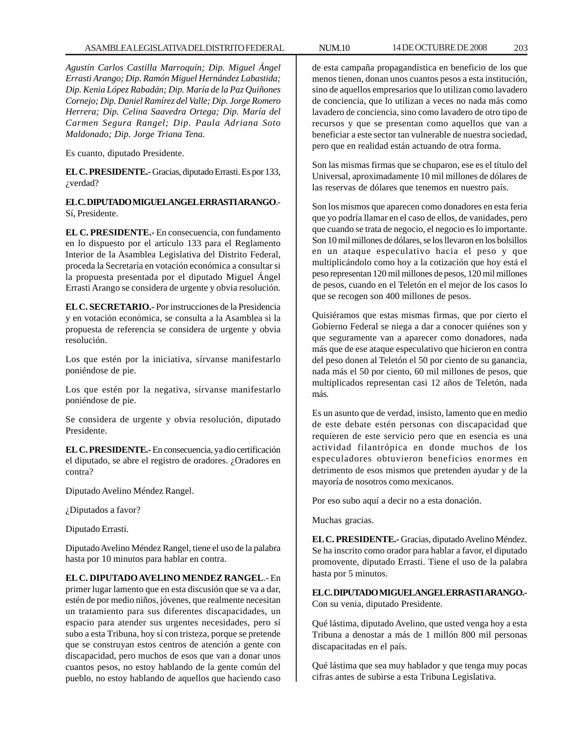*Agustín Carlos Castilla Marroquín; Dip. Miguel Ángel Errasti Arango; Dip. Ramón Miguel Hernández Labastida; Dip. Kenia López Rabadán; Dip. María de la Paz Quiñones Cornejo; Dip. Daniel Ramírez del Valle; Dip. Jorge Romero Herrera; Dip. Celina Saavedra Ortega; Dip. María del Carmen Segura Rangel; Dip. Paula Adriana Soto Maldonado; Dip. Jorge Triana Tena.*

Es cuanto, diputado Presidente.

**EL C. PRESIDENTE.-** Gracias, diputado Errasti. Es por 133, ¿verdad?

**EL C. DIPUTADO MIGUEL ANGEL ERRASTI ARANGO**.- Sí, Presidente.

**EL C. PRESIDENTE.-** En consecuencia, con fundamento en lo dispuesto por el artículo 133 para el Reglamento Interior de la Asamblea Legislativa del Distrito Federal, proceda la Secretaría en votación económica a consultar si la propuesta presentada por el diputado Miguel Ángel Errasti Arango se considera de urgente y obvia resolución.

**EL C. SECRETARIO.-** Por instrucciones de la Presidencia y en votación económica, se consulta a la Asamblea si la propuesta de referencia se considera de urgente y obvia resolución.

Los que estén por la iniciativa, sírvanse manifestarlo poniéndose de pie.

Los que estén por la negativa, sírvanse manifestarlo poniéndose de pie.

Se considera de urgente y obvia resolución, diputado Presidente.

**EL C. PRESIDENTE.-** En consecuencia, ya dio certificación el diputado, se abre el registro de oradores. ¿Oradores en contra?

Diputado Avelino Méndez Rangel.

¿Diputados a favor?

Diputado Errasti.

Diputado Avelino Méndez Rangel, tiene el uso de la palabra hasta por 10 minutos para hablar en contra.

**EL C. DIPUTADO AVELINO MENDEZ RANGEL**.- En primer lugar lamento que en esta discusión que se va a dar, estén de por medio niños, jóvenes, que realmente necesitan un tratamiento para sus diferentes discapacidades, un espacio para atender sus urgentes necesidades, pero sí subo a esta Tribuna, hoy sí con tristeza, porque se pretende que se construyan estos centros de atención a gente con discapacidad, pero muchos de esos que van a donar unos cuantos pesos, no estoy hablando de la gente común del pueblo, no estoy hablando de aquellos que haciendo caso

de esta campaña propagandística en beneficio de los que menos tienen, donan unos cuantos pesos a esta institución, sino de aquellos empresarios que lo utilizan como lavadero de conciencia, que lo utilizan a veces no nada más como lavadero de conciencia, sino como lavadero de otro tipo de recursos y que se presentan como aquellos que van a beneficiar a este sector tan vulnerable de nuestra sociedad, pero que en realidad están actuando de otra forma.

Son las mismas firmas que se chuparon, ese es el título del Universal, aproximadamente 10 mil millones de dólares de las reservas de dólares que tenemos en nuestro país.

Son los mismos que aparecen como donadores en esta feria que yo podría llamar en el caso de ellos, de vanidades, pero que cuando se trata de negocio, el negocio es lo importante. Son 10 mil millones de dólares, se los llevaron en los bolsillos en un ataque especulativo hacia el peso y que multiplicándolo como hoy a la cotización que hoy está el peso representan 120 mil millones de pesos, 120 mil millones de pesos, cuando en el Teletón en el mejor de los casos lo que se recogen son 400 millones de pesos.

Quisiéramos que estas mismas firmas, que por cierto el Gobierno Federal se niega a dar a conocer quiénes son y que seguramente van a aparecer como donadores, nada más que de ese ataque especulativo que hicieron en contra del peso donen al Teletón el 50 por ciento de su ganancia, nada más el 50 por ciento, 60 mil millones de pesos, que multiplicados representan casi 12 años de Teletón, nada más.

Es un asunto que de verdad, insisto, lamento que en medio de este debate estén personas con discapacidad que requieren de este servicio pero que en esencia es una actividad filantrópica en donde muchos de los especuladores obtuvieron beneficios enormes en detrimento de esos mismos que pretenden ayudar y de la mayoría de nosotros como mexicanos.

Por eso subo aquí a decir no a esta donación.

Muchas gracias.

**EL C. PRESIDENTE.-** Gracias, diputado Avelino Méndez. Se ha inscrito como orador para hablar a favor, el diputado promovente, diputado Errasti. Tiene el uso de la palabra hasta por 5 minutos.

**EL C. DIPUTADO MIGUEL ANGEL ERRASTI ARANGO.-** Con su venia, diputado Presidente.

Qué lástima, diputado Avelino, que usted venga hoy a esta Tribuna a denostar a más de 1 millón 800 mil personas discapacitadas en el país.

Qué lástima que sea muy hablador y que tenga muy pocas cifras antes de subirse a esta Tribuna Legislativa.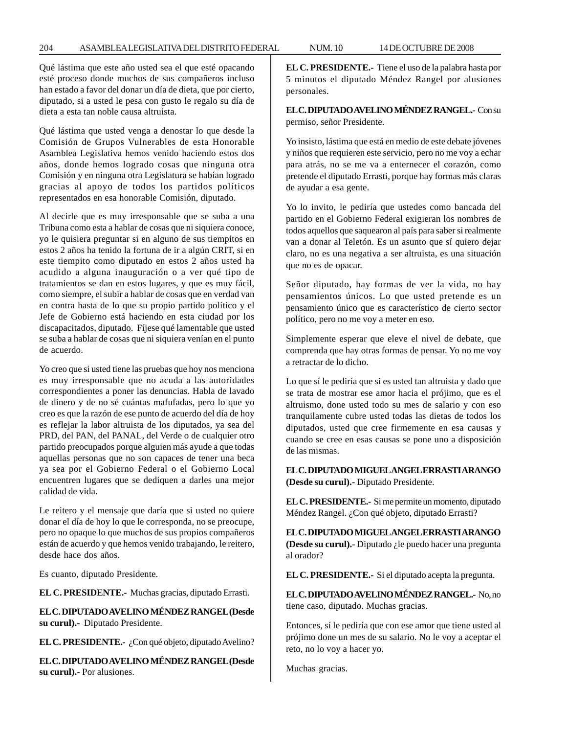Qué lástima que este año usted sea el que esté opacando esté proceso donde muchos de sus compañeros incluso han estado a favor del donar un día de dieta, que por cierto, diputado, si a usted le pesa con gusto le regalo su día de dieta a esta tan noble causa altruista.

Qué lástima que usted venga a denostar lo que desde la Comisión de Grupos Vulnerables de esta Honorable Asamblea Legislativa hemos venido haciendo estos dos años, donde hemos logrado cosas que ninguna otra Comisión y en ninguna otra Legislatura se habían logrado gracias al apoyo de todos los partidos políticos representados en esa honorable Comisión, diputado.

Al decirle que es muy irresponsable que se suba a una Tribuna como esta a hablar de cosas que ni siquiera conoce, yo le quisiera preguntar si en alguno de sus tiempitos en estos 2 años ha tenido la fortuna de ir a algún CRIT, si en este tiempito como diputado en estos 2 años usted ha acudido a alguna inauguración o a ver qué tipo de tratamientos se dan en estos lugares, y que es muy fácil, como siempre, el subir a hablar de cosas que en verdad van en contra hasta de lo que su propio partido político y el Jefe de Gobierno está haciendo en esta ciudad por los discapacitados, diputado. Fíjese qué lamentable que usted se suba a hablar de cosas que ni siquiera venían en el punto de acuerdo.

Yo creo que si usted tiene las pruebas que hoy nos menciona es muy irresponsable que no acuda a las autoridades correspondientes a poner las denuncias. Habla de lavado de dinero y de no sé cuántas mafufadas, pero lo que yo creo es que la razón de ese punto de acuerdo del día de hoy es reflejar la labor altruista de los diputados, ya sea del PRD, del PAN, del PANAL, del Verde o de cualquier otro partido preocupados porque alguien más ayude a que todas aquellas personas que no son capaces de tener una beca ya sea por el Gobierno Federal o el Gobierno Local encuentren lugares que se dediquen a darles una mejor calidad de vida.

Le reitero y el mensaje que daría que si usted no quiere donar el día de hoy lo que le corresponda, no se preocupe, pero no opaque lo que muchos de sus propios compañeros están de acuerdo y que hemos venido trabajando, le reitero, desde hace dos años.

Es cuanto, diputado Presidente.

**EL C. PRESIDENTE.-** Muchas gracias, diputado Errasti.

**EL C. DIPUTADO AVELINO MÉNDEZ RANGEL (Desde su curul).-** Diputado Presidente.

**EL C. PRESIDENTE.-** ¿Con qué objeto, diputado Avelino?

**EL C. DIPUTADO AVELINO MÉNDEZ RANGEL (Desde su curul).-** Por alusiones.

**EL C. PRESIDENTE.-** Tiene el uso de la palabra hasta por 5 minutos el diputado Méndez Rangel por alusiones personales.

**EL C. DIPUTADO AVELINO MÉNDEZ RANGEL.-** Con su permiso, señor Presidente.

Yo insisto, lástima que está en medio de este debate jóvenes y niños que requieren este servicio, pero no me voy a echar para atrás, no se me va a enternecer el corazón, como pretende el diputado Errasti, porque hay formas más claras de ayudar a esa gente.

Yo lo invito, le pediría que ustedes como bancada del partido en el Gobierno Federal exigieran los nombres de todos aquellos que saquearon al país para saber si realmente van a donar al Teletón. Es un asunto que sí quiero dejar claro, no es una negativa a ser altruista, es una situación que no es de opacar.

Señor diputado, hay formas de ver la vida, no hay pensamientos únicos. Lo que usted pretende es un pensamiento único que es característico de cierto sector político, pero no me voy a meter en eso.

Simplemente esperar que eleve el nivel de debate, que comprenda que hay otras formas de pensar. Yo no me voy a retractar de lo dicho.

Lo que sí le pediría que si es usted tan altruista y dado que se trata de mostrar ese amor hacia el prójimo, que es el altruismo, done usted todo su mes de salario y con eso tranquilamente cubre usted todas las dietas de todos los diputados, usted que cree firmemente en esa causas y cuando se cree en esas causas se pone uno a disposición de las mismas.

**EL C. DIPUTADO MIGUEL ANGEL ERRASTI ARANGO (Desde su curul).-** Diputado Presidente.

**EL C. PRESIDENTE.-** Si me permite un momento, diputado Méndez Rangel. ¿Con qué objeto, diputado Errasti?

**EL C. DIPUTADO MIGUEL ANGEL ERRASTI ARANGO (Desde su curul).-** Diputado ¿le puedo hacer una pregunta al orador?

**EL C. PRESIDENTE.-** Si el diputado acepta la pregunta.

**EL C. DIPUTADO AVELINO MÉNDEZ RANGEL.-** No, no tiene caso, diputado. Muchas gracias.

Entonces, sí le pediría que con ese amor que tiene usted al prójimo done un mes de su salario. No le voy a aceptar el reto, no lo voy a hacer yo.

Muchas gracias.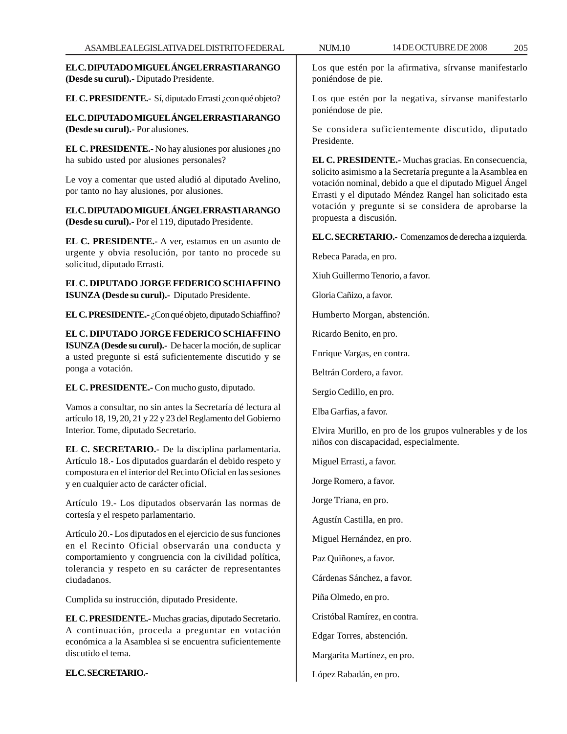**EL C. DIPUTADO MIGUEL ÁNGEL ERRASTI ARANGO (Desde su curul).-** Diputado Presidente.

**EL C. PRESIDENTE.-** Sí, diputado Errasti ¿con qué objeto?

**EL C. DIPUTADO MIGUEL ÁNGEL ERRASTI ARANGO (Desde su curul).-** Por alusiones.

**EL C. PRESIDENTE.** No hay alusiones por alusiones *i* no ha subido usted por alusiones personales?

Le voy a comentar que usted aludió al diputado Avelino, por tanto no hay alusiones, por alusiones.

**EL C. DIPUTADO MIGUEL ÁNGEL ERRASTI ARANGO (Desde su curul).-** Por el 119, diputado Presidente.

**EL C. PRESIDENTE.-** A ver, estamos en un asunto de urgente y obvia resolución, por tanto no procede su solicitud, diputado Errasti.

**EL C. DIPUTADO JORGE FEDERICO SCHIAFFINO ISUNZA (Desde su curul).-** Diputado Presidente.

**EL C. PRESIDENTE.**  $\cdot$  ¿Con qué objeto, diputado Schiaffino?

**EL C. DIPUTADO JORGE FEDERICO SCHIAFFINO ISUNZA (Desde su curul).-** De hacer la moción, de suplicar a usted pregunte si está suficientemente discutido y se ponga a votación.

**EL C. PRESIDENTE.-** Con mucho gusto, diputado.

Vamos a consultar, no sin antes la Secretaría dé lectura al artículo 18, 19, 20, 21 y 22 y 23 del Reglamento del Gobierno Interior. Tome, diputado Secretario.

**EL C. SECRETARIO.-** De la disciplina parlamentaria. Artículo 18.- Los diputados guardarán el debido respeto y compostura en el interior del Recinto Oficial en las sesiones y en cualquier acto de carácter oficial.

Artículo 19.- Los diputados observarán las normas de cortesía y el respeto parlamentario.

Artículo 20.- Los diputados en el ejercicio de sus funciones en el Recinto Oficial observarán una conducta y comportamiento y congruencia con la civilidad política, tolerancia y respeto en su carácter de representantes ciudadanos.

Cumplida su instrucción, diputado Presidente.

**EL C. PRESIDENTE.-** Muchas gracias, diputado Secretario. A continuación, proceda a preguntar en votación económica a la Asamblea si se encuentra suficientemente discutido el tema.

**EL C. SECRETARIO.-**

Los que estén por la afirmativa, sírvanse manifestarlo poniéndose de pie.

Los que estén por la negativa, sírvanse manifestarlo poniéndose de pie.

Se considera suficientemente discutido, diputado Presidente.

**EL C. PRESIDENTE.-** Muchas gracias. En consecuencia, solicito asimismo a la Secretaría pregunte a la Asamblea en votación nominal, debido a que el diputado Miguel Ángel Errasti y el diputado Méndez Rangel han solicitado esta votación y pregunte si se considera de aprobarse la propuesta a discusión.

**EL C. SECRETARIO.-** Comenzamos de derecha a izquierda.

Rebeca Parada, en pro.

Xiuh Guillermo Tenorio, a favor.

Gloria Cañizo, a favor.

Humberto Morgan, abstención.

Ricardo Benito, en pro.

Enrique Vargas, en contra.

Beltrán Cordero, a favor.

Sergio Cedillo, en pro.

Elba Garfias, a favor.

Elvira Murillo, en pro de los grupos vulnerables y de los niños con discapacidad, especialmente.

Miguel Errasti, a favor.

Jorge Romero, a favor.

Jorge Triana, en pro.

Agustín Castilla, en pro.

Miguel Hernández, en pro.

Paz Quiñones, a favor.

Cárdenas Sánchez, a favor.

Piña Olmedo, en pro.

Cristóbal Ramírez, en contra.

Edgar Torres, abstención.

Margarita Martínez, en pro.

López Rabadán, en pro.